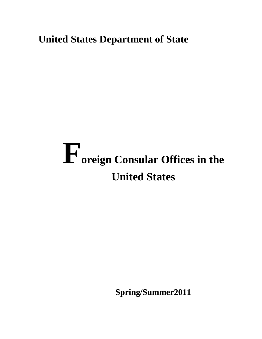## **United States Department of State**

# **Foreign Consular Offices in the United States**

 **Spring/Summer2011**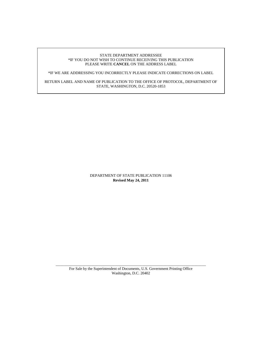#### STATE DEPARTMENT ADDRESSEE \*IF YOU DO NOT WISH TO CONTINUE RECEIVING THIS PUBLICATION PLEASE WRITE **CANCEL** ON THE ADDRESS LABEL

\*IF WE ARE ADDRESSING YOU INCORRECTLY PLEASE INDICATE CORRECTIONS ON LABEL

RETURN LABEL AND NAME OF PUBLICATION TO THE OFFICE OF PROTOCOL, DEPARTMENT OF STATE, WASHINGTON, D.C. 20520-1853

> DEPARTMENT OF STATE PUBLICATION 11106 **Revised May 24, 2011**

\_\_\_\_\_\_\_\_\_\_\_\_\_\_\_\_\_\_\_\_\_\_\_\_\_\_\_\_\_\_\_\_\_\_\_\_\_\_\_\_\_\_\_\_\_\_\_\_\_\_\_\_\_\_\_\_\_\_\_\_\_\_\_\_\_\_\_\_\_\_\_\_\_\_\_\_\_\_ For Sale by the Superintendent of Documents, U.S. Government Printing Office Washington, D.C. 20402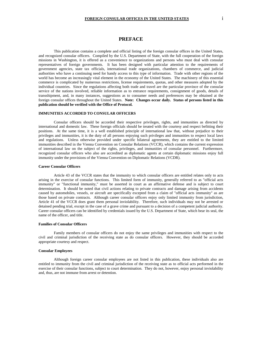#### **PREFACE**

This publication contains a complete and official listing of the foreign consular offices in the United States, and recognized consular officers. Compiled by the U.S. Department of State, with the full cooperation of the foreign missions in Washington, it is offered as a convenience to organizations and persons who must deal with consular representatives of foreign governments. It has been designed with particular attention to the requirements of government agencies, state tax officials, international trade organizations, chambers of commerce, and judicial authorities who have a continuing need for handy access to this type of information. Trade with other regions of the world has become an increasingly vital element in the economy of the United States. The machinery of this essential commerce is complicated by numerous restrictions, license requirements, quotas, and other measures adopted by the individual countries. Since the regulations affecting both trade and travel are the particular province of the consular service of the nations involved, reliable information as to entrance requirements, consignment of goods, details of transshipment, and, in many instances, suggestions as to consumer needs and preferences may be obtained at the foreign consular offices throughout the United States. **Note: Changes occur daily. Status of persons listed in this publication should be verified with the Office of Protocol.** 

#### **IMMUNITIES ACCORDED TO CONSULAR OFFICERS**

Consular officers should be accorded their respective privileges, rights, and immunities as directed by international and domestic law. These foreign officials should be treated with the courtesy and respect befitting their positions. At the same time, it is a well established principle of international law that, without prejudice to their privileges and immunities, it is the duty of all persons enjoying such privileges and immunities to respect local laws and regulations. Unless otherwise provided under specific bilateral agreements, they are entitled to the limited immunities described in the Vienna Convention on Consular Relations (VCCR), which contains the current expression of international law on the subject of the rights, privileges, and immunities of consular personnel. Furthermore, recognized consular officers who also are accredited as diplomatic agents at certain diplomatic missions enjoy full immunity under the provisions of the Vienna Convention on Diplomatic Relations (VCDR).

#### **Career Consular Officers**

Article 43 of the VCCR states that the immunity to which consular officers are entitled relates only to acts arising in the exercise of consular functions. This limited form of immunity, generally referred to as "official acts immunity" or "functional immunity," must be asserted in court as an affirmative defense and is subject to court determination. It should be noted that civil actions relating to private contracts and damage arising from accidents caused by automobiles, vessels, or aircraft are specifically excepted from a claim of "official acts immunity" as are those based on private contracts. Although career consular officers enjoy only limited immunity from jurisdiction, Article 41 of the VCCR does grant them personal inviolability. Therefore, such individuals may not be arrested or detained pending trial, except in the case of a grave crime and pursuant to a decision of a competent judicial authority. Career consular officers can be identified by credentials issued by the U.S. Department of State, which bear its seal, the name of the officer, and title.

#### **Families of Consular Officers**

Family members of consular officers do not enjoy the same privileges and immunities with respect to the civil and criminal jurisdiction of the receiving state as do consular officers. However, they should be accorded appropriate courtesy and respect.

#### **Consular Employees**

Although foreign career consular employees are not listed in this publication, these individuals also are entitled to immunity from the civil and criminal jurisdiction of the receiving state as to official acts performed in the exercise of their consular functions, subject to court determination. They do not, however, enjoy personal inviolability and, thus, are not immune from arrest or detention.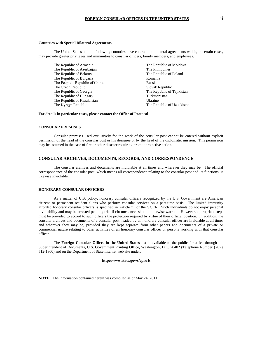#### **Countries with Special Bilateral Agreements**

The United States and the following countries have entered into bilateral agreements which, in certain cases, may provide greater privileges and immunities to consular officers, family members, and employees.

The Republic of Armenia The Republic of Moldova The Republic of Azerbaijan The Philippines The Republic of Belarus The Republic of Poland The Republic of Bulgaria Romania The People's Republic of China Russia The Czech Republic Slovak Republic The Republic of Georgia The Republic of Tajikistan The Republic of Hungary Turkmenistan The Republic of Kazakhstan Ukraine The Kyrgyz Republic The Republic The Republic of Uzbekistan

#### **For details in particular cases, please contact the Office of Protocol**

#### **CONSULAR PREMISES**

 Consular premises used exclusively for the work of the consular post cannot be entered without explicit permission of the head of the consular post or his designee or by the head of the diplomatic mission. This permission may be assumed in the case of fire or other disaster requiring prompt protective action.

#### **CONSULAR ARCHIVES, DOCUMENTS, RECORDS, AND CORRESPONDENCE**

 The consular archives and documents are inviolable at all times and wherever they may be. The official correspondence of the consular post, which means all correspondence relating to the consular post and its functions, is likewise inviolable.

#### **HONORARY CONSULAR OFFICERS**

As a matter of U.S. policy, honorary consular officers recognized by the U.S. Government are American citizens or permanent resident aliens who perform consular services on a part-time basis. The limited immunity afforded honorary consular officers is specified in Article 71 of the VCCR. Such individuals do not enjoy personal inviolability and may be arrested pending trial if circumstances should otherwise warrant. However, appropriate steps must be provided to accord to such officers the protection required by virtue of their official position. In addition, the consular archives and documents of a consular post headed by an honorary consular officer are inviolable at all times and wherever they may be, provided they are kept separate from other papers and documents of a private or commercial nature relating to other activities of an honorary consular officer or persons working with that consular officer.

The **Foreign Consular Offices in the United States** list is available to the public for a fee through the Superintendent of Documents, U.S. Government Printing Office, Washington, D.C. 20402 (Telephone Number {202} 512-1800) and on the Department of State Internet web site under:

#### **http://www.state.gov/s/cpr/rls**

**NOTE:** The information contained herein was compiled as of May 24, 2011.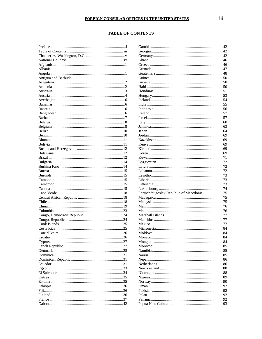#### **TABLE OF CONTENTS**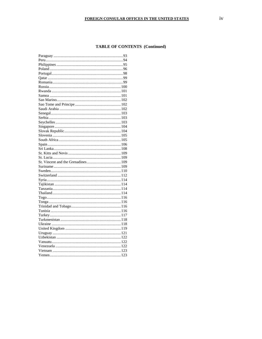#### **TABLE OF CONTENTS (Continued)**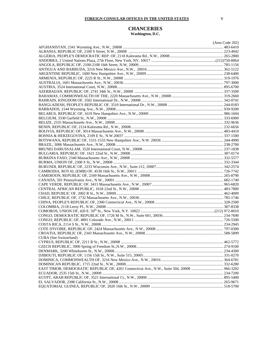#### **CHANCERIES Washington, D.C.**

|                                                                                             | (Area Code 202) |
|---------------------------------------------------------------------------------------------|-----------------|
|                                                                                             |                 |
|                                                                                             |                 |
|                                                                                             |                 |
|                                                                                             |                 |
|                                                                                             |                 |
|                                                                                             |                 |
|                                                                                             |                 |
|                                                                                             |                 |
|                                                                                             |                 |
|                                                                                             |                 |
|                                                                                             |                 |
|                                                                                             |                 |
|                                                                                             |                 |
|                                                                                             |                 |
|                                                                                             |                 |
|                                                                                             |                 |
|                                                                                             |                 |
|                                                                                             |                 |
|                                                                                             |                 |
|                                                                                             |                 |
|                                                                                             |                 |
|                                                                                             |                 |
|                                                                                             |                 |
|                                                                                             |                 |
|                                                                                             |                 |
|                                                                                             |                 |
|                                                                                             |                 |
|                                                                                             |                 |
|                                                                                             |                 |
|                                                                                             |                 |
|                                                                                             |                 |
|                                                                                             |                 |
|                                                                                             |                 |
|                                                                                             |                 |
|                                                                                             |                 |
|                                                                                             |                 |
|                                                                                             |                 |
|                                                                                             |                 |
|                                                                                             |                 |
|                                                                                             |                 |
|                                                                                             |                 |
|                                                                                             |                 |
|                                                                                             |                 |
| CUBA (See Switzerland)                                                                      |                 |
|                                                                                             |                 |
|                                                                                             |                 |
|                                                                                             |                 |
|                                                                                             |                 |
|                                                                                             |                 |
| EAST TIMOR, DEMOCRATIC REPUBLIC OF, 4201 Connecticut Ave., N.W., Suite 504, 20008  966-3202 |                 |
|                                                                                             |                 |
|                                                                                             |                 |
|                                                                                             |                 |
|                                                                                             |                 |
|                                                                                             |                 |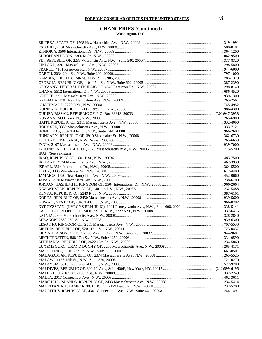#### **CHANCERIES (Continued) Washington, D.C.**

ERITREA, STATE OF, 1708 New Hampshire Ave., N.W., 20009 ..................................................................................... 319-1991 ESTONIA, 2131 Massachusetts Ave., N.W. 20008 ............................................................................................................. 588-0101 ETHIOPIA, 3506 International Dr., N.W., 20008 ............................................................................................................... 364-1200 EUROPEAN UNION, 2300 M St., N.W., 20037 ............................................................................................................... 862-9500 FIJI, REPUBLIC OF, 2233 Wisconsin Ave., N.W., Suite 240, 20007 ................................................................................ 337-8320 FINLAND, 3301 Massachusetts Ave., N.W., 20008 ........................................................................................................... 298-5800 FRANCE, 4101 Reservoir Rd., N.W., 20007 ...................................................................................................................... 944-6000 GABON, 2034 20th St., N.W., Suite 200, 20009................................................................................................................. 797-1000 GAMBIA, THE, 1156 15th St., N.W., Suite 905, 20005 ..................................................................................................... 785-1379 GEORGIA, REPUBLIC OF, 1101 15th St., N.W., Suite 602, 20005 .................................................................................. 387-2390 GERMANY, FEDERAL REPUBLIC OF, 4645 Reservoir Rd., N.W., 20007 .................................................................... 298-8140 GHANA, 3512 International Dr., N.W., 20008 ................................................................................................................... 686-4520 GREECE, 2221 Massachusetts Ave., N.W., 20008 ............................................................................................................. 939-1300 GRENADA, 1701 New Hampshire Ave., N.W., 20009 ...................................................................................................... 265-2561 GUATEMALA, 2220 R St., N.W. 20008 ............................................................................................................................ 745-4952 GUINEA, REPUBLIC OF, 2112 Leroy Pl., N.W., 20008 ................................................................................................... 986-4300 GUINEA-BISSAU, REPUBLIC OF, P.O. Box 33813, 20033 .................................................................................... (301)947-3958 GUYANA, 2490 Tracy Pl., N.W., 20008 ............................................................................................................................ 265-6900 HAITI, REPUBLIC OF, 2311 Massachusetts Ave., N.W., 20008 ....................................................................................... 332-4090 HOLY SEE, 3339 Massachusetts Ave., N.W., 20008 ......................................................................................................... 333-7121 HONDURAS, 3007 Tilden St., N.W., Suite 4-M, 20008 .................................................................................................... 966-2604 HUNGARY, REPUBLIC OF, 3910 Shoemaker St., N.W., 20008 ...................................................................................... 362-6730 ICELAND, 1156 15th St., N.W., Suite 1200, 20005 ........................................................................................................... 265-6653 INDIA, 2107 Massachusetts Ave., N.W., 20008 ................................................................................................................. 939-7000 INDONESIA, REPUBLIC OF, 2020 Massachusetts Ave., N.W., 20036 ............................................................................ 775-5200 IRAN (See Pakistan) IRAQ, REPUBLIC OF, 1801 P St., N.W., 20036 ................................................................................................................ 483-7500 IRELAND, 2234 Massachusetts Ave., N.W., 20008 ........................................................................................................... 462-3939 ISRAEL, 3514 International Dr., N.W., 20008.................................................................................................................... 364-5500 ITALY, 3000 Whitehaven St., N.W., 20008 ........................................................................................................................ 612-4400 JAMAICA, 1520 New Hampshire Ave., N.W., 20036 ........................................................................................................ 452-0660 JAPAN, 2520 Massachusetts Ave., N.W., 20008 ................................................................................................................ 238-6700 JORDAN, HASHEMITE KINGDOM OF, 3504 International Dr., N.W., 20008 ............................................................... 966-2664 KAZAKHSTAN, REPUBLIC OF, 1401 16th St., N.W., 20036 ......................................................................................... 232-5488 KENYA, REPUBLIC OF, 2249 R St., N.W., 20008 ........................................................................................................... 387-6101 KOREA, REPUBLIC OF, 2450 Massachusetts Ave., N.W., 20008 .................................................................................... 939-5600 KUWAIT, STATE OF, 2940 Tilden St.,N.W., 20008 ......................................................................................................... 966-0702 KYRGYZSTAN, (KYRGYZ REPUBLIC), 1001 Pennsylvania Ave., N.W., Suite 600, 20004 ......................................... 338-5141 LAOS, (LAO PEOPLE'S DEMOCRATIC REP.) 2222 S St., N.W., 20008 ........................................................................ 332-6416 LATVIA, 2306 Massachusetts Ave., N.W., 20008 .............................................................................................................. 328-2840 LEBANON, 2560 28th St., N.W., 20008 ............................................................................................................................. 939-6300 LESOTHO, KINGDOM OF, 2511 Massachusetts Ave., N.W., 20008 ............................................................................... 797-5533 LIBERIA, REPUBLIC OF, 5201 16th St., N.W., 20011 ..................................................................................................... 723-0437 LIBYA, LIAISON OFFICE, 2600 Virginia Ave., N.W., Suite 705, 20037 ......................................................................... 944-9601 LIECHTENSTEIN, 888 17th St., N.W., Suite 1250, 20006 ................................................................................................ 331-0590 LITHUANIA, REPUBLIC OF, 2622 16th St., N.W., 20009 ............................................................................................... 234-5860 LUXEMBOURG, GRAND DUCHY OF, 2200 Massachusetts Ave., N.W., 20008............................................................ 265-4171 MACEDONIA, 1101 30th St., N.W., Suite 302, 20007 ...................................................................................................... 667-0501 MADAGASCAR, REPUBLIC OF, 2374 Massachusetts Ave., N.W., 20008 ..................................................................... 265-5525 MALAWI, 1156 15th St., N.W., Suite 320, 20005 .............................................................................................................. 721-0270 MALAYSIA, 3516 International Court, N.W., 20008 ......................................................................................................... 572-9700 MALDIVES, REPUBLIC OF, 800 2nd Ave., Suite 400E, New York, NY, 10017 ...................................................... (212)599-6195 MALI, REPUBLIC OF, 2130 R St., N.W., 20008 ............................................................................................................... 332-2249 MALTA, 2017 Connecticut Ave., N.W., 20008 .................................................................................................................. 462-3611 MARSHALL ISLANDS, REPUBLIC OF, 2433 Massachusetts Ave., N.W., 20008 .......................................................... 234-5414 MAURITANIA, ISLAMIC REPUBLIC OF, 2129 Leroy Pl., N.W., 20008 ....................................................................... 232-5700 MAURITIUS, REPUBLIC OF, 4301 Connecticut Ave., N.W., Suite 441, 20008 .............................................................. 244-1491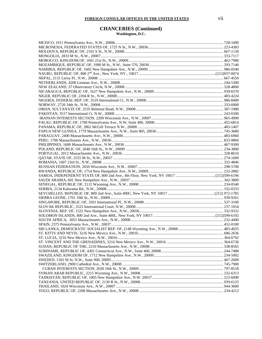### **CHANCERIES (Continued)**

**Washington, D.C.**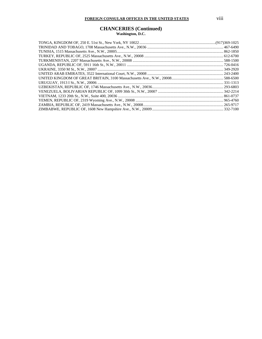#### **CHANCERIES (Continued) Washington, D.C.**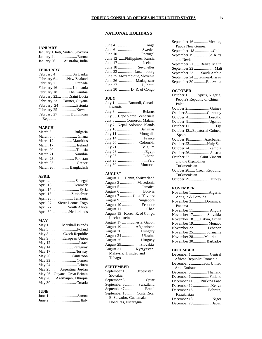#### **NATIONAL HOLIDAYS**

#### **JANUARY**

| January 1 Haiti, Sudan, Slovakia |  |
|----------------------------------|--|
| January 4Burma                   |  |
| January 26 Australia, India      |  |

#### **FEBRUARY**

|          | February 4 Sri Lanka       |
|----------|----------------------------|
|          | February 6 . New Zealand   |
|          | February 7 Grenada         |
|          | February 16 Lithuania      |
|          | February 18The Gambia      |
|          | February 22 Saint Lucia    |
|          | February 23 Brunei, Guyana |
|          | February 24Estonia         |
|          |                            |
|          | February 27 Dominican      |
| Republic |                            |

#### **MARCH**

| March 3Bulgaria     |  |
|---------------------|--|
|                     |  |
| March 12 Mauritius  |  |
| March 17 Ireland    |  |
| March 20Tunisia     |  |
| March 21  Namibia   |  |
|                     |  |
|                     |  |
| March 26 Bangladesh |  |

#### **APRIL**

| April 4 Senegal             |
|-----------------------------|
| April 16Denmark             |
|                             |
| April 18Zimbabwe            |
| April 26Tanzania            |
| April 27 Sierre Leone, Togo |
| April 27 South Africa       |
| April 30Netherlands         |

#### **MAY**

|        | May 1 Marshall Islands       |
|--------|------------------------------|
| May 3  | Poland                       |
| May 8  | .  Czech Republic            |
| May 9  | European Union               |
| May 12 | Israel                       |
| May 14 | Paraguay                     |
|        | May 17 Norway                |
|        | May 20 Cameroon              |
|        | May 22  Yemen                |
|        | May 24 Eritrea               |
|        | May 25  Argentina, Jordan    |
|        | May 26 Guyana, Great Britain |
|        | May 28  Azerbaijan, Ethiopia |
|        | May 30 Croatia               |

#### **JUNE**

| June 1 | Samoa |
|--------|-------|
| June 2 |       |

| June 4 | Tonga                        |
|--------|------------------------------|
| June 6 | Sweden                       |
|        |                              |
|        | June 12 Philippines, Russia  |
|        |                              |
|        | June 18 Seychelles           |
|        | June 23 Luxembourg           |
|        | June 25 Mozambique, Slovenia |
|        |                              |
|        | June 27 Djibouti             |
|        | June 30  D. R. of Congo      |

#### **JULY**

| July 1<br>Burundi, Canada     |
|-------------------------------|
| Rwanda                        |
| July 3 Belarus                |
| July 5 Cape Verde, Venezuela  |
| July 6  Comoros, Malawi       |
| July 7 Nepal, Solomon Islands |
| July 10  Bahamas              |
| Mongolia<br>July 11           |
| July 14  France               |
| July 20 Colombia              |
| July 21<br>Belgium            |
| July 23                       |
| Liberia<br>July 26            |
| July 28<br>Peru               |
| Morocco<br>July 30            |

#### **AUGUST**

| August 1  Benin, Switzerland  |
|-------------------------------|
| August 2  Macedonia           |
| August 5  Jamaica             |
| August 6  Bolivia             |
| August 7 Cote D'Ivoire        |
| August 9 Singapore            |
| August 10 Ecuador             |
| August 11 Chad                |
| August 15 Korea, R. of Congo, |
| Liechtenstein                 |
| August 17  Indonesia, Gabon   |
| August 19 Afghanistan         |
| August 20  Hungary            |
| August 24  Ukraine            |
| August 25  Uruguay            |
| August 29Slovakia             |
| August 31 Kyrgyzstan,         |
| Malaysia, Trinidad and        |
| Tobago                        |

#### **SEPTEMBER**

| September 1 Uzbekistan, |  |  |  |  |
|-------------------------|--|--|--|--|
| Slovakia                |  |  |  |  |
|                         |  |  |  |  |
| September 6Swaziland    |  |  |  |  |
| September 7 Brazil      |  |  |  |  |
| September 15Costa Rica, |  |  |  |  |
| El Salvador, Guatemala, |  |  |  |  |
| Honduras, Nicaragua     |  |  |  |  |
|                         |  |  |  |  |

| September 16  Mexico,       |
|-----------------------------|
| Papua New Guinea            |
| September 18 Chile          |
| September 19  St. Kitts     |
| and Nevis                   |
| September 21  Belize, Malta |
|                             |
| September 23 Saudi Arabia   |
| September 24  Guinea-Bissau |
| September 30 Botswana       |
|                             |

#### **OCTOBER**

| October 1 Cyprus, Nigeria,   |
|------------------------------|
| People's Republic of China,  |
| Palau                        |
| October 2Guinea              |
| October 3Germany             |
| October 4Lesotho             |
| October 9 Uganda             |
|                              |
| October 12Equatorial Guinea, |
| Spain                        |
| October 18Azerbaijan         |
| October 22Holy See           |
|                              |
|                              |
| October 27 Saint Vincent     |
| and the Grenadines,          |
| Turkmenistan                 |
| October 28 Czech Republic,   |
| Turkmenistan                 |
| October 29Turkey             |

#### **NOVEMBER**

| Antigua & Barbuda       |
|-------------------------|
| November 3Dominica,     |
| Panama                  |
| November 11Angola       |
| November 17Slovakia     |
| November 18Latvia, Oman |
| November 19 Monaco      |
| November 22Lebanon      |
| November 25 Suriname    |
| November 28 Mauritania  |
| November 30 Barbados    |

#### **DECEMBER**

| December 1 Central        |
|---------------------------|
| African Republic, Romania |
| December 2Laos, United    |
| <b>Arab Emirates</b>      |
| December 5  Thailand      |
|                           |
| December 11  Burkina Faso |
| December 12  Kenya        |
| December 16 Bahrain,      |
| Kazakhstan                |
| December 18  Niger        |
|                           |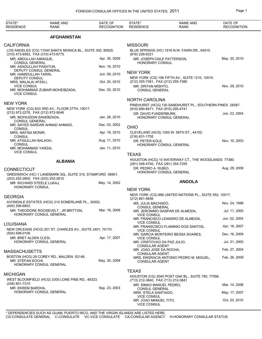| STATE*<br><b>RESIDENCE</b>                                                              | <b>NAME AND</b><br><b>RANK</b>                                                      | DATE OF<br><b>RECOGNITION</b> | STATE*<br><b>RESIDENCE</b>                                | <b>NAME AND</b><br><b>RANK</b>                           | DATE OF<br><b>RECOGNITION</b> |
|-----------------------------------------------------------------------------------------|-------------------------------------------------------------------------------------|-------------------------------|-----------------------------------------------------------|----------------------------------------------------------|-------------------------------|
|                                                                                         | <b>AFGHANISTAN</b>                                                                  |                               |                                                           |                                                          |                               |
| <b>CALIFORNIA</b>                                                                       |                                                                                     |                               | <b>MISSOURI</b>                                           |                                                          |                               |
| (310) 473-6583, FAX (310) 473-6775                                                      | LOS ANGELES (CG) 11040 SANTA MONICA BL., SUITE 300, 90025.                          |                               | (816) 228-6321                                            | BLUE SPRINGS (HC) 1916 N.W. FAWN DR., 64015.             |                               |
| MR. ABDULLAH AIMAQUE,<br><b>CONSUL GENERAL</b>                                          |                                                                                     | Apr. 30, 2009                 | MR. JOSEPH DALE PATTERSON,<br><b>HONORARY CONSUL</b>      |                                                          | May. 20, 2010                 |
| MR. ASADULLAH PASHTUN,<br>DEPUTY CONSUL GENERAL                                         |                                                                                     | Nov. 16, 2010                 |                                                           |                                                          |                               |
| MR. HAMIDULLAH TARIN,                                                                   |                                                                                     | Jun. 09, 2010                 | <b>NEW YORK</b>                                           | NEW YORK (CG) 156 FIFTH AV., SUITE 1210, 10010.          |                               |
| DEPUTY CONSUL<br>MRS. MALALAI AFZALI,<br><b>VICE CONSUL</b>                             |                                                                                     | Oct. 20, 2010                 | (212) 255-7381, FAX (212) 255-7380<br>MR. DRITAN MISHTO,  |                                                          | Nov. 29, 2010                 |
| <b>VICE CONSUL</b>                                                                      | MR. MOHAMMAD ZUBAIR MOHEIBZADA,                                                     | Dec. 20, 2010                 | <b>CONSUL GENERAL</b>                                     |                                                          |                               |
|                                                                                         |                                                                                     |                               | <b>NORTH CAROLINA</b>                                     |                                                          |                               |
| <b>NEW YORK</b>                                                                         | NEW YORK (CG) 633 3RD AV., FLOOR 27TH, 10017.                                       |                               | (910) 690-8471, FAX (910) 295-4741                        | PINEHURST (HCG) 130 SANDHURST PL., SOUTHERN PINES 28387. |                               |
| (212) 972-2276, FAX (212) 972-9046<br>MR. MOHIUDDIN SAHEBZADA,<br><b>CONSUL GENERAL</b> |                                                                                     | Jan. 28, 2010                 | DR. DAVID FUNDERBURK.                                     | HONORARY CONSUL GENERAL                                  | Jun. 23, 2004                 |
|                                                                                         | MR. SAYED SARDAR AHMAD AHMADI,                                                      | Dec. 03, 2002                 | <b>OHIO</b>                                               |                                                          |                               |
| <b>CONSUL</b><br>MRS. NAFISA MONIR,<br><b>CONSUL</b>                                    |                                                                                     | Apr. 19, 2010                 | (216) 631-1755                                            | CLEVELAND (HCG) 1200 W. 58TH ST., 44102.                 |                               |
| MR. ATIQULLAH BALAGH,<br><b>CONSUL</b>                                                  |                                                                                     | Aug. 11, 2010                 | DR. PETER KOLE,                                           |                                                          | Nov. 10, 2003                 |
| MR. MOHAMMAD YARZAI,<br><b>VICE CONSUL</b>                                              |                                                                                     | Jan. 11, 2010                 |                                                           | HONORARY CONSUL GENERAL                                  |                               |
|                                                                                         | <b>ALBANIA</b>                                                                      |                               | <b>TEXAS</b>                                              | HOUSTON (HCG) 10 WATERWAY CT., THE WOODLANDS 77380.      |                               |
|                                                                                         |                                                                                     |                               | (281) 548-4740, FAX (281) 354-7255<br>DR. PEDRO A. RUBIO, |                                                          | Aug. 28, 2009                 |
| CONNECTICUT                                                                             | GREENWICH (HC) 1 LANDMARK SQ., SUITE 315, STAMFORD 06901.                           |                               |                                                           | HONORARY CONSUL GENERAL                                  |                               |
| (203) 252-2800, FAX (203) 252-2810                                                      |                                                                                     |                               |                                                           |                                                          |                               |
| MR. RICHARD STEELE LUKAJ,<br>HONORARY CONSUL                                            |                                                                                     | May. 14, 2002                 |                                                           | <b>ANGOLA</b>                                            |                               |
|                                                                                         |                                                                                     |                               | <b>NEW YORK</b>                                           |                                                          |                               |
| <b>GEORGIA</b>                                                                          |                                                                                     |                               | $(212) 861 - 5656$                                        | NEW YORK (CG) 866 UNITED NATIONS PL., SUITE 552, 10017.  |                               |
| (404) 299-6803                                                                          | AVONDALE ESTATES (HCG) 310 SOMERLANE PL., 30002.                                    |                               | MS. JULIA MACHADO,                                        |                                                          | Nov. 24, 1999                 |
|                                                                                         | MR. THEODORE ROOSEVELT, JR BRITTON, Mar. 16, 2006<br><b>HONORARY CONSUL GENERAL</b> |                               | <b>CONSUL GENERAL</b><br><b>VICE CONSUL</b>               | MR. JERONIMO GASPAR DE ALMEIDA,                          | Jul. 11, 2000                 |
|                                                                                         |                                                                                     |                               | <b>VICE CONSUL</b>                                        | MR. FRANCISCO LEANDRO DE ALMEIDA,                        | Jun. 02, 2004                 |
| LOUISIANA                                                                               | NEW ORLEANS (HCG) 201 ST. CHARLES AV., SUITE 2401, 70170.                           |                               | <b>VICE CONSUL</b>                                        | MR. FRANSCISCO FLAMINIO DOS SANTOS,                      | Apr. 18, 2007                 |
| $(504) 598 - 0106$<br>MR. BRET ALDEN CLESI,                                             |                                                                                     | Apr. 17, 2007                 | <b>VICE CONSUL</b>                                        | MR. GARCIA MONTEIRO BESSA SOARES,                        | Dec. 16, 2009                 |
|                                                                                         | HONORARY CONSUL GENERAL                                                             |                               | MR. CRISTOVAO DA PAZ JULIO,<br><b>CONSULAR AGENT</b>      |                                                          | Jul. 31, 2000                 |
| MASSACHUSETTS                                                                           |                                                                                     |                               | MR. JOAO JOSE DA ROCHA,<br><b>CONSULAR AGENT</b>          |                                                          | Feb. 27, 2004                 |
| MR. STEFAN KOCHI,                                                                       | BOSTON (HCG) 29 COREY RD., MALDEN 02148.<br>HONORARY CONSUL GENERAL                 | May. 30, 2008                 | <b>CONSULAR AGENT</b>                                     | MRS. ENGRACIA ANTONIO PEDRO M. MIGUEL,                   | Feb. 26, 2009                 |
|                                                                                         |                                                                                     |                               | <b>TEXAS</b>                                              |                                                          |                               |
| MICHIGAN                                                                                | WEST BLOOMFIELD (HCG) 3300 LONE PINE RD., 48323.                                    |                               | (713) 212-3840, FAX (713) 212-3841                        | HOUSTON (CG) 3040 POST OAK BL., SUITE 780, 77056.        |                               |
| (248) 851-7310                                                                          |                                                                                     | Sep. 23, 2003                 | MR. SIMAO MANUEL PEDRO,                                   |                                                          | Mar. 14, 2006                 |
| MR. EKREM BARDHA,                                                                       | HONORARY CONSUL GENERAL                                                             |                               | <b>CONSUL GENERAL</b><br>MRS. STELA SANTIAGO,             |                                                          | May. 17, 2007                 |
|                                                                                         |                                                                                     |                               | <b>VICE CONSUL</b><br>MR. JOAO MANUEL TITO.               |                                                          | Oct. 20, 2010                 |

MR. JOAO MANUEL TITO,

VICE CONSUL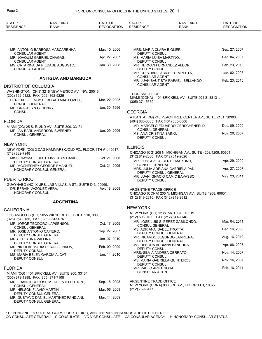#### Page 2 FOREIGN CONSULAR OFFICES IN THE UNITED STATES, 2011

|                                                                                                                                                                 | Sep. 27, 2007<br>Dec. 04, 2007 |
|-----------------------------------------------------------------------------------------------------------------------------------------------------------------|--------------------------------|
|                                                                                                                                                                 |                                |
| Mar. 10, 2006<br>MRS. MARIA CLARA BIGLIERI,<br>MR. ANTONIO BARBOSA MASCARENHA,<br>DEPUTY CONSUL<br><b>CONSULAR AGENT</b>                                        |                                |
| Apr. 27, 2007<br>MR. JOAQUIM GABRIEL CHAGAS,<br>MS. MARIA LUISA MARTINO,                                                                                        |                                |
| <b>CONSULAR AGENT</b><br>DEPUTY CONSUL<br>Jan. 30, 2008<br>MS. CATARINA DA PIEDADE AUGUSTO,<br>MR. HERNAN FERNANDEZ ALBOR,                                      | Feb. 23, 2010                  |
| <b>CONSULAR AGENT</b><br>DEPUTY CONSUL<br>MR. CRISTIAN GABRIEL TEMPESTA.                                                                                        | Jan. 02, 2008                  |
| <b>CONSULAR AGENT</b><br><b>ANTIGUA AND BARBUDA</b><br>MR. JUAN BAUTISTA RAFAEL BELLANDO,                                                                       | Feb. 23, 2010                  |
| <b>CONSULAR AGENT</b><br>DISTRICT OF COLUMBIA                                                                                                                   |                                |
| WASHINGTON (CHN) 3216 NEW MEXICO AV., NW, 20016.<br><b>TOURISM OFFICE</b><br>(202) 362-5122, FAX (202) 362-5225                                                 |                                |
| MIAMI (CONA) 1101 BRICKELL AV., SUITE 901 S, 33131.<br>Mar. 22, 2005<br>HER EXCELLENCY DEBORAH MAE LOVELL,<br>$(305)$ 371-5559<br><b>CONSUL GENERAL</b>         |                                |
| Jan. 30, 1996<br>MS. GRACELYN G. HENRY,<br><b>CONSUL</b>                                                                                                        |                                |
| <b>GEORGIA</b><br>ATLANTA (CG) 245 PEACHTREE CENTER AV., SUITE 2101, 30303.                                                                                     |                                |
| <b>FLORIDA</b><br>(404) 880-0805, FAX (404) 880-0806                                                                                                            |                                |
| MR. MARCELO EDUARDO GERSCHENFELD,<br>MIAMI (CG) 25 S. E. 2ND AV., SUITE 300, 33131.<br><b>CONSUL GENERAL</b><br>Jan. 09, 2006<br>MR. IAN EARL ANDERSON SWEENEY, | Dec. 09, 2009                  |
| MS. ANA CRISTINA SAINO,<br><b>CONSUL GENERAL</b><br><b>DEPUTY CONSUL</b>                                                                                        | Nov. 20, 2007                  |
| NEW YORK                                                                                                                                                        |                                |
| <b>ILLINOIS</b><br>NEW YORK (CG) 3 DAG HAMMARSKJOLD PZ., FLOOR 6TH #1, 10017.<br>CHICAGO (CG) 205 N. MICHIGAN AV., SUITE 4208/4209, 60601.<br>(718) 882-7948    |                                |
| (312) 819-2660, FAX (312) 819-2626<br>Oct. 21, 2005<br>MISS OMYMA ELSPETH IVY JEAN DAVID,                                                                       | Apr. 29, 2009                  |
| MR. GUSTAVO ALBERTO MARTINO,<br>DEPUTY CONSUL GENERAL<br><b>CONSUL GENERAL</b><br>Oct. 21, 2005<br>MR. MCCHESNEY GEORGE EMANUEL,                                |                                |
| MRS. JULIA ADRIANA GABRIELA PAN,<br>HONORARY CONSUL GENERAL<br>DEPUTY CONSUL GENERAL                                                                            | Apr. 27, 2007                  |
| MR. JUAN IGNACIO CAMIO BAVASSO,<br>PUERTO RICO<br>DEPUTY CONSUL                                                                                                 | May. 23, 2011                  |
| GUAYNABO (HC) X URB. LAS VILLAS, A ST., SUITE D-3, 00969.                                                                                                       |                                |
| Apr. 18, 2008<br>DR. EFRAIN VAZQUEZ VERA,<br>ARGENTINE TRADE OFFICE<br><b>HONORARY CONSUL</b><br>CHICAGO (CONA) 205 N. MICHIGAN AV., SUITE 4208, 60601.         |                                |
| (312) 819-2610, FAX (312) 819-2612<br><b>ARGENTINA</b>                                                                                                          |                                |
| <b>NEW YORK</b>                                                                                                                                                 |                                |
| CALIFORNIA<br>NEW YORK (CG) 12 W. 56TH ST., 10019.<br>LOS ANGELES (CG) 5055 WILSHIRE BL., SUITE 210, 90036.                                                     |                                |
| (212) 603-0400, FAX (212) 541-7746<br>(323) 954-9155, FAX (323) 934-9076<br>MR. JOSE LUIS S. PEREZ GABILONDO,                                                   | Mar. 04, 2011                  |
| Oct. 17, 2005<br>MR. JORGE TEODORO LAPSENSON,<br>CONSUL GENERAL<br><b>CONSUL GENERAL</b><br>MS. ADRIANA ISABEL TROTTA,                                          | Dec. 16, 2008                  |
| Sep. 27, 2007<br>MR. JOSE ANTONIO CAFIERO,<br>DEPUTY CONSUL GENERAL<br>DEPUTY CONSUL GENERAL                                                                    |                                |
| MR. RICARDO SEGUNDO LARRIERA,<br>Jan. 07, 2010<br>MRS. CRISTINA VALLINA,<br>DEPUTY CONSUL GENERAL<br>DEPUTY CONSUL GENERAL                                      | Aug. 16, 2010                  |
| MS. DEBORA ADRIANA BANDURA,<br>Feb. 09, 2009<br>MR. NICOLAS MARIA PERAZZO NAON,<br>DEPUTY CONSUL<br>DEPUTY CONSUL                                               | Apr. 06, 2007                  |
| MRS. SILVIA ANDREA CERRATO,<br>Jan. 14, 2010<br>MS. MARIA BELEN GARCIA ALCAT,<br>DEPUTY CONSUL                                                                  | Nov. 14, 2007                  |
| DEPUTY CONSUL<br>MS. MARIA GABRIELA QUINTEROS,<br>DEPUTY CONSUL                                                                                                 | Nov. 16, 2007                  |
| <b>FLORIDA</b><br>MR. PABLO ARIEL SOSA,                                                                                                                         | Feb. 16, 2011                  |
| <b>CONSULAR AGENT</b><br>MIAMI (CG) 1101 BRICKELL AV., SUITE 900, 33131.<br>(305) 373-1899, FAX (305) 371-7108                                                  |                                |
| ARGENTINE TRADE OFFICE<br>Sep. 18, 2008<br>MR. FRANCISCO JOSE M. TALENTO CUTRIN,<br>NEW YORK (CONA) 900 3RD AV., FLOOR 4TH, 10022.                              |                                |
| <b>CONSUL GENERAL</b><br>(212) 759-6477<br>Mar. 06, 2009<br>MR. NELSON FLAVIO MARTIN,                                                                           |                                |
| DEPUTY CONSUL GENERAL<br>Mar. 14, 2009<br>MR. GUSTAVO DANIEL MARTINEZ PANDIANI,<br>DEPUTY CONSUL GENERAL                                                        |                                |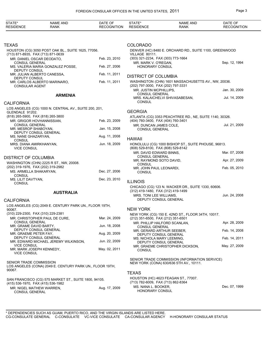| STATE*<br><b>RESIDENCE</b>                                                               | <b>NAME AND</b><br>RANK                                | DATE OF<br><b>RECOGNITION</b>                                                            | STATE*<br><b>RESIDENCE</b>                                                                | <b>NAME AND</b><br><b>RANK</b>                          | DATE OF<br><b>RECOGNITION</b> |  |
|------------------------------------------------------------------------------------------|--------------------------------------------------------|------------------------------------------------------------------------------------------|-------------------------------------------------------------------------------------------|---------------------------------------------------------|-------------------------------|--|
|                                                                                          |                                                        |                                                                                          |                                                                                           |                                                         |                               |  |
| TEXAS                                                                                    |                                                        |                                                                                          | <b>COLORADO</b>                                                                           |                                                         |                               |  |
| HOUSTON (CG) 3050 POST OAK BL., SUITE 1625, 77056.<br>(713) 871-8935, FAX (713) 871-0639 |                                                        |                                                                                          | DENVER (HC) 8480 E. ORCHARD RD., SUITE 1100, GREENWOOD<br>VILLAGE 80111.                  |                                                         |                               |  |
| MR. DANIEL OSCAR DEODATO,                                                                |                                                        | Feb. 23, 2010                                                                            | (303) 321-2234, FAX (303) 773-1664                                                        |                                                         |                               |  |
| <b>CONSUL GENERAL</b><br>DEPUTY CONSUL                                                   | MS. VALERIA MARIA GONZALEZ POSSE,                      | Feb. 27, 2006                                                                            | MR. MARK V. O'REGAN,<br><b>HONORARY CONSUL</b>                                            |                                                         | Sep. 12, 1994                 |  |
| MR. JULIAN ALBERTO CANESSA,                                                              |                                                        | Feb. 11, 2011                                                                            | <b>DISTRICT OF COLUMBIA</b>                                                               |                                                         |                               |  |
| DEPUTY CONSUL<br><b>CONSULAR AGENT</b>                                                   | MR. CARLOS ALBERTO MARINARO,                           | Feb. 11, 2011                                                                            | WASHINGTON (CHN) 1601 MASSACHUSETTS AV., NW, 20036.<br>(202) 797-3000, FAX (202) 797-3331 |                                                         |                               |  |
|                                                                                          |                                                        |                                                                                          | MR. JUSTIN MCPHILLIPS,<br><b>CONSUL GENERAL</b>                                           |                                                         | Jan. 30, 2009                 |  |
|                                                                                          | <b>ARMENIA</b>                                         |                                                                                          |                                                                                           | MRS. KALAICHELVI SHIVASABESAN,                          | Jul. 14, 2009                 |  |
| <b>CALIFORNIA</b>                                                                        |                                                        |                                                                                          | <b>CONSUL</b>                                                                             |                                                         |                               |  |
| GLENDALE 91202.                                                                          | LOS ANGELES (CG) 1000 N. CENTRAL AV., SUITE 200, 201,  |                                                                                          | <b>GEORGIA</b>                                                                            |                                                         |                               |  |
| (818) 265-5900, FAX (818) 265-3800<br>MR. GRIGOR HOVHANNISSIAN,                          |                                                        | Feb. 23, 2009                                                                            | (404) 760-3400, FAX (404) 760-3401                                                        | ATLANTA (CG) 3353 PEACHTREE RD., NE, SUITE 1140, 30326. |                               |  |
| CONSUL GENERAL<br>MR. MESROP SHABOYAN,                                                   |                                                        | Jan. 15, 2008                                                                            | MR. DUNCAN JAMES COLE.<br><b>CONSUL GENERAL</b>                                           |                                                         | Jul. 21, 2009                 |  |
| <b>DEPUTY CONSUL GENERAL</b>                                                             |                                                        |                                                                                          |                                                                                           |                                                         |                               |  |
| MS. NANE GHAZARYAN,<br><b>CONSUL</b>                                                     |                                                        | Aug. 11, 2008                                                                            | <b>HAWAII</b>                                                                             |                                                         |                               |  |
| MRS. DIANA AMIRKHANYAN,<br><b>VICE CONSUL</b>                                            |                                                        | Jun. 18, 2009                                                                            | (808) 529-8100, FAX (808) 529-8142                                                        | HONOLULU (CG) 1000 BISHOP ST., SUITE PHOUSE, 96813.     |                               |  |
|                                                                                          |                                                        |                                                                                          | MR. DAVID EDWARD BINNS,<br><b>CONSUL GENERAL</b>                                          |                                                         | Mar. 07, 2008                 |  |
| DISTRICT OF COLUMBIA                                                                     | WASHINGTON (CHN) 2225 R ST., NW, 20008.                |                                                                                          | MR. RAYMOND SOTO DAVID,<br><b>CONSUL</b>                                                  |                                                         | Apr. 27, 2009                 |  |
| (202) 319-1976, FAX (202) 319-2982                                                       |                                                        |                                                                                          | MR. JOHN PAUL LEONARDI,                                                                   |                                                         | Feb. 05, 2010                 |  |
| MS. ARMELLA SHAKARYAN,<br><b>CONSUL</b>                                                  |                                                        | Dec. 27, 2006                                                                            | <b>CONSUL</b>                                                                             |                                                         |                               |  |
| MS. LILIT DAVTYAN,<br><b>CONSUL</b>                                                      |                                                        | Dec. 23, 2010                                                                            | <b>ILLINOIS</b>                                                                           |                                                         |                               |  |
|                                                                                          | <b>AUSTRALIA</b>                                       |                                                                                          | (312) 419-1480, FAX (312) 419-1499<br>MRS. TONI LEE WILLIAMS.                             | CHICAGO (CG) 123 N. WACKER DR., SUITE 1330, 60606.      | Jun. 24, 2008                 |  |
| CALIFORNIA                                                                               |                                                        |                                                                                          |                                                                                           | <b>DEPUTY CONSUL GENERAL</b>                            |                               |  |
| 90067.                                                                                   | LOS ANGELES (CG) 2049 E. CENTURY PARK UN., FLOOR 19TH, |                                                                                          | <b>NEW YORK</b>                                                                           |                                                         |                               |  |
| (310) 229-2300, FAX (310) 229-2381                                                       |                                                        |                                                                                          |                                                                                           | NEW YORK (CG) 150 E. 42ND ST., FLOOR 34TH, 10017.       |                               |  |
|                                                                                          | MR. CHRISTOPHER PAUL DE CURE,                          | Mar. 24, 2009                                                                            | (212) 351-6500, FAX (212) 351-6501                                                        |                                                         |                               |  |
| <b>CONSUL GENERAL</b><br>MR. GRAME DAVID BARTY,                                          |                                                        | Jun. 18, 2008                                                                            | CONSUL GENERAL                                                                            | MR. PHILLIP HALFORD SCANLAN,                            | Apr. 28, 2009                 |  |
| DEPUTY CONSUL GENERAL<br>MR. GRAEME PETER FAY,                                           |                                                        | Aug. 20, 2009                                                                            |                                                                                           | MR. GERARD ARTHUR SEEBER,<br>DEPUTY CONSUL GENERAL      | Feb. 14, 2008                 |  |
| DEPUTY CONSUL GENERAL                                                                    | MR. EDWARD MICHAEL JEREMY WILKINSON,                   | Jun. 22, 2009                                                                            | MS. NICHOLA MARY LEEMING,                                                                 | DEPUTY CONSUL GENERAL                                   | Feb. 14, 2011                 |  |
| <b>VICE CONSUL</b><br>MR. MARK JOSEPH KENNEDY,<br><b>VICE CONSUL</b>                     |                                                        | May. 02, 2011                                                                            | <b>CONSUL</b>                                                                             | MR. GRAEME CHRISTOPHER DICKSON,                         | May. 27, 2009                 |  |
| SENIOR TRADE COMMISSION<br>LOS ANGELES (CONA) 2049 E. CENTURY PARK UN., FLOOR 19TH,      |                                                        | SENIOR TRADE COMMISSION (INFORMATION SERVICE)<br>NEW YORK (CONA) 630/636 5TH AV., 10111. |                                                                                           |                                                         |                               |  |
| 90067.                                                                                   |                                                        |                                                                                          | <b>TEXAS</b>                                                                              |                                                         |                               |  |
| (415) 536-1970, FAX (415) 536-1982                                                       | SAN FRANCISCO (CG) 575 MARKET ST., SUITE 1800, 94105.  |                                                                                          | (713) 782-6009, FAX (713) 862-8364                                                        | HOUSTON (HC) 4623 FEAGAN ST., 77007.                    |                               |  |
| MR. NIGEL MATHEW WARREN,<br><b>CONSUL GENERAL</b>                                        |                                                        | Aug. 17, 2009                                                                            | MS. NANA L. BOOKER,<br>HONORARY CONSUL                                                    |                                                         | Dec. 07, 1999                 |  |
|                                                                                          |                                                        |                                                                                          |                                                                                           |                                                         |                               |  |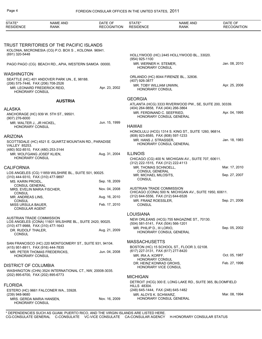| TRUST TERRITORIES OF THE PACIFIC ISLANDS<br>KOLONIA, MICRONESIA (CG) P.O. BOX S., KOLONIA 96941.<br>(691) 320-5448<br>HOLLYWOOD (HC) 2445 HOLLYWOOD BL., 33020.<br>(954) 925-1100<br>Jan. 08, 2010<br>MR. WERNER H. STEMER,<br>PAGO PAGO (CG) BEACH RD., APIA, WESTERN SAMOA 00000.<br><b>HONORARY CONSUL</b><br>ORLANDO (HC) 8044 FIRENZE BL., 32836.<br>SEATTLE (HC) 401 ANDOVER PARK UN., E, 98188.<br>(407) 926-3877<br>(206) 575-7446, FAX (206) 708-2526<br>Apr. 25, 2006<br>MR. TOBY WILLIAM UNWIN,<br>Apr. 23, 2002<br>MR. LEONARD FREDERICK REID,<br>HONORARY CONSUL<br>HONORARY CONSUL<br><b>GEORGIA</b><br><b>AUSTRIA</b><br>ATLANTA (HCG) 3333 RIVERWOOD PW., SE, SUITE 200, 30339.<br>(404) 264-9858, FAX (404) 266-3864<br>Apr. 04, 1995<br>MR. FERDINAND C. SEEFRIED.<br>ANCHORAGE (HC) 939 W. 5TH ST., 99501.<br>HONORARY CONSUL GENERAL<br>(907) 276-6000<br>Jun. 15, 1999<br>MR. WALTER J., JR HICKEL,<br><b>HAWAII</b><br>HONORARY CONSUL<br>HONOLULU (HCG) 1314 S. KING ST., SUITE 1260, 96814.<br>(808) 923-8585, FAX (808) 597-1233<br><b>ARIZONA</b><br>Jan. 18, 1983<br>MR. HANS J. STRASSER,<br>SCOTTSDALE (HC) 4521 E. QUARTZ MOUNTAIN RD., PARADISE<br>HONORARY CONSUL GENERAL<br><b>VALLEY 85253.</b><br>(480) 502-8510, FAX (480) 253-3144<br><b>ILLINOIS</b><br>Aug. 31, 2004<br>MR. WOLFGANG JOSEF KLIEN.<br>HONORARY CONSUL<br>CHICAGO (CG) 400 N. MICHIGAN AV., SUITE 707, 60611.<br>(312) 222-1515, FAX (312) 222-4113<br>MR. THOMAS SCHNOELL,<br>Mar. 17, 2010<br><b>CONSUL GENERAL</b><br>LOS ANGELES (CG) 11859 WILSHIRE BL., SUITE 501, 90025.<br>Sep. 27, 2007<br>MR. MICHAEL MILOSITS,<br>(310) 444-9310, FAX (310) 477-9897<br><b>CONSUL</b><br>Sep. 18, 2009<br>MS. KARIN PROIDL,<br><b>CONSUL GENERAL</b><br>AUSTRIAN TRADE COMMISSION<br>Nov. 04, 2008<br>MRS. EVELIN MARIA FISCHER.<br>CHICAGO (CONA) 500 N. MICHIGAN AV., SUITE 1950, 60611.<br><b>CONSUL</b><br>(312) 644-5556, FAX (312) 644-6526<br>MR. ANDREAS LINS,<br>Aug. 16, 2010<br>Sep. 21, 2006<br>MR. FRANZ ROESSLER.<br><b>CONSUL</b><br>Feb. 17, 2010<br><b>CONSUL</b><br>MISS URSULA BAUER,<br><b>CONSULAR AGENT</b><br><b>LOUISIANA</b><br><b>AUSTRIAN TRADE COMMISSION</b><br>NEW ORLEANS (HCG) 755 MAGAZINE ST., 70130.<br>LOS ANGELES (CONA) 11601 WILSHIRE BL., SUITE 2420, 90025.<br>(504) 581-5141, FAX (504) 566-1201<br>(310) 477-9988, FAX (310) 477-1643<br>Sep. 05, 2002<br>MR. PHILIP D., III LORIO,<br>Aug. 21, 2009<br>DR. RUDOLF THALER,<br>HONORARY CONSUL GENERAL<br><b>CONSUL</b><br><b>MASSACHUSETTS</b><br>SAN FRANCISCO (HC) 220 MONTGOMERY ST., SUITE 931, 94104.<br>BOSTON (HC) 15 SCHOOL ST., FLOOR 3, 02108.<br>(415) 951-8911, FAX (916) 444-7835<br>(617) 227-3131, FAX (617) 277-8420<br>Jun. 04, 2008<br>MR. PETER THOMAS FREDERICKS,<br>Oct. 05, 1987<br>MR. IRA A. KORFF,<br><b>HONORARY CONSUL</b><br><b>HONORARY CONSUL</b><br>Feb. 27, 1996<br>DR. HEINZ KONRAD GROHS,<br><b>DISTRICT OF COLUMBIA</b><br>HONORARY VICE CONSUL<br>WASHINGTON (CHN) 3524 INTERNATIONAL CT., NW, 20008-3035.<br>(202) 895-6700, FAX (202) 895-6773<br><b>MICHIGAN</b><br>DETROIT (HCG) 300 E. LONG LAKE RD., SUITE 365, BLOOMFIELD<br><b>HILLS 48304.</b><br>(248) 645-1444, FAX (248) 645-1482<br>ESTERO (HC) 9661 FALCONER WA., 33928.<br>Mar. 08, 1994<br>(239) 948-9680<br>MR. ALOYS K. SCHWARZ,<br>HONORARY CONSUL GENERAL<br>Nov. 16, 2009<br>MRS. GERDA MARIA HANSEN,<br>HONORARY CONSUL | STATE*<br><b>RESIDENCE</b> | <b>NAME AND</b><br><b>RANK</b> | DATE OF<br><b>RECOGNITION</b> | STATE*<br><b>RESIDENCE</b> | <b>NAME AND</b><br><b>RANK</b> | DATE OF<br><b>RECOGNITION</b> |
|------------------------------------------------------------------------------------------------------------------------------------------------------------------------------------------------------------------------------------------------------------------------------------------------------------------------------------------------------------------------------------------------------------------------------------------------------------------------------------------------------------------------------------------------------------------------------------------------------------------------------------------------------------------------------------------------------------------------------------------------------------------------------------------------------------------------------------------------------------------------------------------------------------------------------------------------------------------------------------------------------------------------------------------------------------------------------------------------------------------------------------------------------------------------------------------------------------------------------------------------------------------------------------------------------------------------------------------------------------------------------------------------------------------------------------------------------------------------------------------------------------------------------------------------------------------------------------------------------------------------------------------------------------------------------------------------------------------------------------------------------------------------------------------------------------------------------------------------------------------------------------------------------------------------------------------------------------------------------------------------------------------------------------------------------------------------------------------------------------------------------------------------------------------------------------------------------------------------------------------------------------------------------------------------------------------------------------------------------------------------------------------------------------------------------------------------------------------------------------------------------------------------------------------------------------------------------------------------------------------------------------------------------------------------------------------------------------------------------------------------------------------------------------------------------------------------------------------------------------------------------------------------------------------------------------------------------------------------------------------------------------------------------------------------------------------------------------------------------------------------------------------------------------------------------------------------------------------------------------------------------------------------------------------------------------------------------------------------------------------------------------------------------------------------------|----------------------------|--------------------------------|-------------------------------|----------------------------|--------------------------------|-------------------------------|
|                                                                                                                                                                                                                                                                                                                                                                                                                                                                                                                                                                                                                                                                                                                                                                                                                                                                                                                                                                                                                                                                                                                                                                                                                                                                                                                                                                                                                                                                                                                                                                                                                                                                                                                                                                                                                                                                                                                                                                                                                                                                                                                                                                                                                                                                                                                                                                                                                                                                                                                                                                                                                                                                                                                                                                                                                                                                                                                                                                                                                                                                                                                                                                                                                                                                                                                                                                                                                              |                            |                                |                               |                            |                                |                               |
|                                                                                                                                                                                                                                                                                                                                                                                                                                                                                                                                                                                                                                                                                                                                                                                                                                                                                                                                                                                                                                                                                                                                                                                                                                                                                                                                                                                                                                                                                                                                                                                                                                                                                                                                                                                                                                                                                                                                                                                                                                                                                                                                                                                                                                                                                                                                                                                                                                                                                                                                                                                                                                                                                                                                                                                                                                                                                                                                                                                                                                                                                                                                                                                                                                                                                                                                                                                                                              |                            |                                |                               |                            |                                |                               |
|                                                                                                                                                                                                                                                                                                                                                                                                                                                                                                                                                                                                                                                                                                                                                                                                                                                                                                                                                                                                                                                                                                                                                                                                                                                                                                                                                                                                                                                                                                                                                                                                                                                                                                                                                                                                                                                                                                                                                                                                                                                                                                                                                                                                                                                                                                                                                                                                                                                                                                                                                                                                                                                                                                                                                                                                                                                                                                                                                                                                                                                                                                                                                                                                                                                                                                                                                                                                                              |                            |                                |                               |                            |                                |                               |
|                                                                                                                                                                                                                                                                                                                                                                                                                                                                                                                                                                                                                                                                                                                                                                                                                                                                                                                                                                                                                                                                                                                                                                                                                                                                                                                                                                                                                                                                                                                                                                                                                                                                                                                                                                                                                                                                                                                                                                                                                                                                                                                                                                                                                                                                                                                                                                                                                                                                                                                                                                                                                                                                                                                                                                                                                                                                                                                                                                                                                                                                                                                                                                                                                                                                                                                                                                                                                              |                            |                                |                               |                            |                                |                               |
|                                                                                                                                                                                                                                                                                                                                                                                                                                                                                                                                                                                                                                                                                                                                                                                                                                                                                                                                                                                                                                                                                                                                                                                                                                                                                                                                                                                                                                                                                                                                                                                                                                                                                                                                                                                                                                                                                                                                                                                                                                                                                                                                                                                                                                                                                                                                                                                                                                                                                                                                                                                                                                                                                                                                                                                                                                                                                                                                                                                                                                                                                                                                                                                                                                                                                                                                                                                                                              |                            |                                |                               |                            |                                |                               |
|                                                                                                                                                                                                                                                                                                                                                                                                                                                                                                                                                                                                                                                                                                                                                                                                                                                                                                                                                                                                                                                                                                                                                                                                                                                                                                                                                                                                                                                                                                                                                                                                                                                                                                                                                                                                                                                                                                                                                                                                                                                                                                                                                                                                                                                                                                                                                                                                                                                                                                                                                                                                                                                                                                                                                                                                                                                                                                                                                                                                                                                                                                                                                                                                                                                                                                                                                                                                                              | <b>WASHINGTON</b>          |                                |                               |                            |                                |                               |
|                                                                                                                                                                                                                                                                                                                                                                                                                                                                                                                                                                                                                                                                                                                                                                                                                                                                                                                                                                                                                                                                                                                                                                                                                                                                                                                                                                                                                                                                                                                                                                                                                                                                                                                                                                                                                                                                                                                                                                                                                                                                                                                                                                                                                                                                                                                                                                                                                                                                                                                                                                                                                                                                                                                                                                                                                                                                                                                                                                                                                                                                                                                                                                                                                                                                                                                                                                                                                              |                            |                                |                               |                            |                                |                               |
|                                                                                                                                                                                                                                                                                                                                                                                                                                                                                                                                                                                                                                                                                                                                                                                                                                                                                                                                                                                                                                                                                                                                                                                                                                                                                                                                                                                                                                                                                                                                                                                                                                                                                                                                                                                                                                                                                                                                                                                                                                                                                                                                                                                                                                                                                                                                                                                                                                                                                                                                                                                                                                                                                                                                                                                                                                                                                                                                                                                                                                                                                                                                                                                                                                                                                                                                                                                                                              |                            |                                |                               |                            |                                |                               |
|                                                                                                                                                                                                                                                                                                                                                                                                                                                                                                                                                                                                                                                                                                                                                                                                                                                                                                                                                                                                                                                                                                                                                                                                                                                                                                                                                                                                                                                                                                                                                                                                                                                                                                                                                                                                                                                                                                                                                                                                                                                                                                                                                                                                                                                                                                                                                                                                                                                                                                                                                                                                                                                                                                                                                                                                                                                                                                                                                                                                                                                                                                                                                                                                                                                                                                                                                                                                                              |                            |                                |                               |                            |                                |                               |
|                                                                                                                                                                                                                                                                                                                                                                                                                                                                                                                                                                                                                                                                                                                                                                                                                                                                                                                                                                                                                                                                                                                                                                                                                                                                                                                                                                                                                                                                                                                                                                                                                                                                                                                                                                                                                                                                                                                                                                                                                                                                                                                                                                                                                                                                                                                                                                                                                                                                                                                                                                                                                                                                                                                                                                                                                                                                                                                                                                                                                                                                                                                                                                                                                                                                                                                                                                                                                              |                            |                                |                               |                            |                                |                               |
|                                                                                                                                                                                                                                                                                                                                                                                                                                                                                                                                                                                                                                                                                                                                                                                                                                                                                                                                                                                                                                                                                                                                                                                                                                                                                                                                                                                                                                                                                                                                                                                                                                                                                                                                                                                                                                                                                                                                                                                                                                                                                                                                                                                                                                                                                                                                                                                                                                                                                                                                                                                                                                                                                                                                                                                                                                                                                                                                                                                                                                                                                                                                                                                                                                                                                                                                                                                                                              |                            |                                |                               |                            |                                |                               |
|                                                                                                                                                                                                                                                                                                                                                                                                                                                                                                                                                                                                                                                                                                                                                                                                                                                                                                                                                                                                                                                                                                                                                                                                                                                                                                                                                                                                                                                                                                                                                                                                                                                                                                                                                                                                                                                                                                                                                                                                                                                                                                                                                                                                                                                                                                                                                                                                                                                                                                                                                                                                                                                                                                                                                                                                                                                                                                                                                                                                                                                                                                                                                                                                                                                                                                                                                                                                                              | <b>ALASKA</b>              |                                |                               |                            |                                |                               |
|                                                                                                                                                                                                                                                                                                                                                                                                                                                                                                                                                                                                                                                                                                                                                                                                                                                                                                                                                                                                                                                                                                                                                                                                                                                                                                                                                                                                                                                                                                                                                                                                                                                                                                                                                                                                                                                                                                                                                                                                                                                                                                                                                                                                                                                                                                                                                                                                                                                                                                                                                                                                                                                                                                                                                                                                                                                                                                                                                                                                                                                                                                                                                                                                                                                                                                                                                                                                                              |                            |                                |                               |                            |                                |                               |
|                                                                                                                                                                                                                                                                                                                                                                                                                                                                                                                                                                                                                                                                                                                                                                                                                                                                                                                                                                                                                                                                                                                                                                                                                                                                                                                                                                                                                                                                                                                                                                                                                                                                                                                                                                                                                                                                                                                                                                                                                                                                                                                                                                                                                                                                                                                                                                                                                                                                                                                                                                                                                                                                                                                                                                                                                                                                                                                                                                                                                                                                                                                                                                                                                                                                                                                                                                                                                              |                            |                                |                               |                            |                                |                               |
|                                                                                                                                                                                                                                                                                                                                                                                                                                                                                                                                                                                                                                                                                                                                                                                                                                                                                                                                                                                                                                                                                                                                                                                                                                                                                                                                                                                                                                                                                                                                                                                                                                                                                                                                                                                                                                                                                                                                                                                                                                                                                                                                                                                                                                                                                                                                                                                                                                                                                                                                                                                                                                                                                                                                                                                                                                                                                                                                                                                                                                                                                                                                                                                                                                                                                                                                                                                                                              |                            |                                |                               |                            |                                |                               |
|                                                                                                                                                                                                                                                                                                                                                                                                                                                                                                                                                                                                                                                                                                                                                                                                                                                                                                                                                                                                                                                                                                                                                                                                                                                                                                                                                                                                                                                                                                                                                                                                                                                                                                                                                                                                                                                                                                                                                                                                                                                                                                                                                                                                                                                                                                                                                                                                                                                                                                                                                                                                                                                                                                                                                                                                                                                                                                                                                                                                                                                                                                                                                                                                                                                                                                                                                                                                                              |                            |                                |                               |                            |                                |                               |
|                                                                                                                                                                                                                                                                                                                                                                                                                                                                                                                                                                                                                                                                                                                                                                                                                                                                                                                                                                                                                                                                                                                                                                                                                                                                                                                                                                                                                                                                                                                                                                                                                                                                                                                                                                                                                                                                                                                                                                                                                                                                                                                                                                                                                                                                                                                                                                                                                                                                                                                                                                                                                                                                                                                                                                                                                                                                                                                                                                                                                                                                                                                                                                                                                                                                                                                                                                                                                              |                            |                                |                               |                            |                                |                               |
|                                                                                                                                                                                                                                                                                                                                                                                                                                                                                                                                                                                                                                                                                                                                                                                                                                                                                                                                                                                                                                                                                                                                                                                                                                                                                                                                                                                                                                                                                                                                                                                                                                                                                                                                                                                                                                                                                                                                                                                                                                                                                                                                                                                                                                                                                                                                                                                                                                                                                                                                                                                                                                                                                                                                                                                                                                                                                                                                                                                                                                                                                                                                                                                                                                                                                                                                                                                                                              |                            |                                |                               |                            |                                |                               |
|                                                                                                                                                                                                                                                                                                                                                                                                                                                                                                                                                                                                                                                                                                                                                                                                                                                                                                                                                                                                                                                                                                                                                                                                                                                                                                                                                                                                                                                                                                                                                                                                                                                                                                                                                                                                                                                                                                                                                                                                                                                                                                                                                                                                                                                                                                                                                                                                                                                                                                                                                                                                                                                                                                                                                                                                                                                                                                                                                                                                                                                                                                                                                                                                                                                                                                                                                                                                                              |                            |                                |                               |                            |                                |                               |
|                                                                                                                                                                                                                                                                                                                                                                                                                                                                                                                                                                                                                                                                                                                                                                                                                                                                                                                                                                                                                                                                                                                                                                                                                                                                                                                                                                                                                                                                                                                                                                                                                                                                                                                                                                                                                                                                                                                                                                                                                                                                                                                                                                                                                                                                                                                                                                                                                                                                                                                                                                                                                                                                                                                                                                                                                                                                                                                                                                                                                                                                                                                                                                                                                                                                                                                                                                                                                              |                            |                                |                               |                            |                                |                               |
|                                                                                                                                                                                                                                                                                                                                                                                                                                                                                                                                                                                                                                                                                                                                                                                                                                                                                                                                                                                                                                                                                                                                                                                                                                                                                                                                                                                                                                                                                                                                                                                                                                                                                                                                                                                                                                                                                                                                                                                                                                                                                                                                                                                                                                                                                                                                                                                                                                                                                                                                                                                                                                                                                                                                                                                                                                                                                                                                                                                                                                                                                                                                                                                                                                                                                                                                                                                                                              |                            |                                |                               |                            |                                |                               |
|                                                                                                                                                                                                                                                                                                                                                                                                                                                                                                                                                                                                                                                                                                                                                                                                                                                                                                                                                                                                                                                                                                                                                                                                                                                                                                                                                                                                                                                                                                                                                                                                                                                                                                                                                                                                                                                                                                                                                                                                                                                                                                                                                                                                                                                                                                                                                                                                                                                                                                                                                                                                                                                                                                                                                                                                                                                                                                                                                                                                                                                                                                                                                                                                                                                                                                                                                                                                                              | <b>CALIFORNIA</b>          |                                |                               |                            |                                |                               |
|                                                                                                                                                                                                                                                                                                                                                                                                                                                                                                                                                                                                                                                                                                                                                                                                                                                                                                                                                                                                                                                                                                                                                                                                                                                                                                                                                                                                                                                                                                                                                                                                                                                                                                                                                                                                                                                                                                                                                                                                                                                                                                                                                                                                                                                                                                                                                                                                                                                                                                                                                                                                                                                                                                                                                                                                                                                                                                                                                                                                                                                                                                                                                                                                                                                                                                                                                                                                                              |                            |                                |                               |                            |                                |                               |
|                                                                                                                                                                                                                                                                                                                                                                                                                                                                                                                                                                                                                                                                                                                                                                                                                                                                                                                                                                                                                                                                                                                                                                                                                                                                                                                                                                                                                                                                                                                                                                                                                                                                                                                                                                                                                                                                                                                                                                                                                                                                                                                                                                                                                                                                                                                                                                                                                                                                                                                                                                                                                                                                                                                                                                                                                                                                                                                                                                                                                                                                                                                                                                                                                                                                                                                                                                                                                              |                            |                                |                               |                            |                                |                               |
|                                                                                                                                                                                                                                                                                                                                                                                                                                                                                                                                                                                                                                                                                                                                                                                                                                                                                                                                                                                                                                                                                                                                                                                                                                                                                                                                                                                                                                                                                                                                                                                                                                                                                                                                                                                                                                                                                                                                                                                                                                                                                                                                                                                                                                                                                                                                                                                                                                                                                                                                                                                                                                                                                                                                                                                                                                                                                                                                                                                                                                                                                                                                                                                                                                                                                                                                                                                                                              |                            |                                |                               |                            |                                |                               |
|                                                                                                                                                                                                                                                                                                                                                                                                                                                                                                                                                                                                                                                                                                                                                                                                                                                                                                                                                                                                                                                                                                                                                                                                                                                                                                                                                                                                                                                                                                                                                                                                                                                                                                                                                                                                                                                                                                                                                                                                                                                                                                                                                                                                                                                                                                                                                                                                                                                                                                                                                                                                                                                                                                                                                                                                                                                                                                                                                                                                                                                                                                                                                                                                                                                                                                                                                                                                                              |                            |                                |                               |                            |                                |                               |
|                                                                                                                                                                                                                                                                                                                                                                                                                                                                                                                                                                                                                                                                                                                                                                                                                                                                                                                                                                                                                                                                                                                                                                                                                                                                                                                                                                                                                                                                                                                                                                                                                                                                                                                                                                                                                                                                                                                                                                                                                                                                                                                                                                                                                                                                                                                                                                                                                                                                                                                                                                                                                                                                                                                                                                                                                                                                                                                                                                                                                                                                                                                                                                                                                                                                                                                                                                                                                              |                            |                                |                               |                            |                                |                               |
|                                                                                                                                                                                                                                                                                                                                                                                                                                                                                                                                                                                                                                                                                                                                                                                                                                                                                                                                                                                                                                                                                                                                                                                                                                                                                                                                                                                                                                                                                                                                                                                                                                                                                                                                                                                                                                                                                                                                                                                                                                                                                                                                                                                                                                                                                                                                                                                                                                                                                                                                                                                                                                                                                                                                                                                                                                                                                                                                                                                                                                                                                                                                                                                                                                                                                                                                                                                                                              |                            |                                |                               |                            |                                |                               |
|                                                                                                                                                                                                                                                                                                                                                                                                                                                                                                                                                                                                                                                                                                                                                                                                                                                                                                                                                                                                                                                                                                                                                                                                                                                                                                                                                                                                                                                                                                                                                                                                                                                                                                                                                                                                                                                                                                                                                                                                                                                                                                                                                                                                                                                                                                                                                                                                                                                                                                                                                                                                                                                                                                                                                                                                                                                                                                                                                                                                                                                                                                                                                                                                                                                                                                                                                                                                                              |                            |                                |                               |                            |                                |                               |
|                                                                                                                                                                                                                                                                                                                                                                                                                                                                                                                                                                                                                                                                                                                                                                                                                                                                                                                                                                                                                                                                                                                                                                                                                                                                                                                                                                                                                                                                                                                                                                                                                                                                                                                                                                                                                                                                                                                                                                                                                                                                                                                                                                                                                                                                                                                                                                                                                                                                                                                                                                                                                                                                                                                                                                                                                                                                                                                                                                                                                                                                                                                                                                                                                                                                                                                                                                                                                              |                            |                                |                               |                            |                                |                               |
|                                                                                                                                                                                                                                                                                                                                                                                                                                                                                                                                                                                                                                                                                                                                                                                                                                                                                                                                                                                                                                                                                                                                                                                                                                                                                                                                                                                                                                                                                                                                                                                                                                                                                                                                                                                                                                                                                                                                                                                                                                                                                                                                                                                                                                                                                                                                                                                                                                                                                                                                                                                                                                                                                                                                                                                                                                                                                                                                                                                                                                                                                                                                                                                                                                                                                                                                                                                                                              |                            |                                |                               |                            |                                |                               |
|                                                                                                                                                                                                                                                                                                                                                                                                                                                                                                                                                                                                                                                                                                                                                                                                                                                                                                                                                                                                                                                                                                                                                                                                                                                                                                                                                                                                                                                                                                                                                                                                                                                                                                                                                                                                                                                                                                                                                                                                                                                                                                                                                                                                                                                                                                                                                                                                                                                                                                                                                                                                                                                                                                                                                                                                                                                                                                                                                                                                                                                                                                                                                                                                                                                                                                                                                                                                                              |                            |                                |                               |                            |                                |                               |
|                                                                                                                                                                                                                                                                                                                                                                                                                                                                                                                                                                                                                                                                                                                                                                                                                                                                                                                                                                                                                                                                                                                                                                                                                                                                                                                                                                                                                                                                                                                                                                                                                                                                                                                                                                                                                                                                                                                                                                                                                                                                                                                                                                                                                                                                                                                                                                                                                                                                                                                                                                                                                                                                                                                                                                                                                                                                                                                                                                                                                                                                                                                                                                                                                                                                                                                                                                                                                              |                            |                                |                               |                            |                                |                               |
|                                                                                                                                                                                                                                                                                                                                                                                                                                                                                                                                                                                                                                                                                                                                                                                                                                                                                                                                                                                                                                                                                                                                                                                                                                                                                                                                                                                                                                                                                                                                                                                                                                                                                                                                                                                                                                                                                                                                                                                                                                                                                                                                                                                                                                                                                                                                                                                                                                                                                                                                                                                                                                                                                                                                                                                                                                                                                                                                                                                                                                                                                                                                                                                                                                                                                                                                                                                                                              |                            |                                |                               |                            |                                |                               |
|                                                                                                                                                                                                                                                                                                                                                                                                                                                                                                                                                                                                                                                                                                                                                                                                                                                                                                                                                                                                                                                                                                                                                                                                                                                                                                                                                                                                                                                                                                                                                                                                                                                                                                                                                                                                                                                                                                                                                                                                                                                                                                                                                                                                                                                                                                                                                                                                                                                                                                                                                                                                                                                                                                                                                                                                                                                                                                                                                                                                                                                                                                                                                                                                                                                                                                                                                                                                                              |                            |                                |                               |                            |                                |                               |
|                                                                                                                                                                                                                                                                                                                                                                                                                                                                                                                                                                                                                                                                                                                                                                                                                                                                                                                                                                                                                                                                                                                                                                                                                                                                                                                                                                                                                                                                                                                                                                                                                                                                                                                                                                                                                                                                                                                                                                                                                                                                                                                                                                                                                                                                                                                                                                                                                                                                                                                                                                                                                                                                                                                                                                                                                                                                                                                                                                                                                                                                                                                                                                                                                                                                                                                                                                                                                              |                            |                                |                               |                            |                                |                               |
|                                                                                                                                                                                                                                                                                                                                                                                                                                                                                                                                                                                                                                                                                                                                                                                                                                                                                                                                                                                                                                                                                                                                                                                                                                                                                                                                                                                                                                                                                                                                                                                                                                                                                                                                                                                                                                                                                                                                                                                                                                                                                                                                                                                                                                                                                                                                                                                                                                                                                                                                                                                                                                                                                                                                                                                                                                                                                                                                                                                                                                                                                                                                                                                                                                                                                                                                                                                                                              |                            |                                |                               |                            |                                |                               |
|                                                                                                                                                                                                                                                                                                                                                                                                                                                                                                                                                                                                                                                                                                                                                                                                                                                                                                                                                                                                                                                                                                                                                                                                                                                                                                                                                                                                                                                                                                                                                                                                                                                                                                                                                                                                                                                                                                                                                                                                                                                                                                                                                                                                                                                                                                                                                                                                                                                                                                                                                                                                                                                                                                                                                                                                                                                                                                                                                                                                                                                                                                                                                                                                                                                                                                                                                                                                                              |                            |                                |                               |                            |                                |                               |
|                                                                                                                                                                                                                                                                                                                                                                                                                                                                                                                                                                                                                                                                                                                                                                                                                                                                                                                                                                                                                                                                                                                                                                                                                                                                                                                                                                                                                                                                                                                                                                                                                                                                                                                                                                                                                                                                                                                                                                                                                                                                                                                                                                                                                                                                                                                                                                                                                                                                                                                                                                                                                                                                                                                                                                                                                                                                                                                                                                                                                                                                                                                                                                                                                                                                                                                                                                                                                              |                            |                                |                               |                            |                                |                               |
|                                                                                                                                                                                                                                                                                                                                                                                                                                                                                                                                                                                                                                                                                                                                                                                                                                                                                                                                                                                                                                                                                                                                                                                                                                                                                                                                                                                                                                                                                                                                                                                                                                                                                                                                                                                                                                                                                                                                                                                                                                                                                                                                                                                                                                                                                                                                                                                                                                                                                                                                                                                                                                                                                                                                                                                                                                                                                                                                                                                                                                                                                                                                                                                                                                                                                                                                                                                                                              |                            |                                |                               |                            |                                |                               |
|                                                                                                                                                                                                                                                                                                                                                                                                                                                                                                                                                                                                                                                                                                                                                                                                                                                                                                                                                                                                                                                                                                                                                                                                                                                                                                                                                                                                                                                                                                                                                                                                                                                                                                                                                                                                                                                                                                                                                                                                                                                                                                                                                                                                                                                                                                                                                                                                                                                                                                                                                                                                                                                                                                                                                                                                                                                                                                                                                                                                                                                                                                                                                                                                                                                                                                                                                                                                                              |                            |                                |                               |                            |                                |                               |
|                                                                                                                                                                                                                                                                                                                                                                                                                                                                                                                                                                                                                                                                                                                                                                                                                                                                                                                                                                                                                                                                                                                                                                                                                                                                                                                                                                                                                                                                                                                                                                                                                                                                                                                                                                                                                                                                                                                                                                                                                                                                                                                                                                                                                                                                                                                                                                                                                                                                                                                                                                                                                                                                                                                                                                                                                                                                                                                                                                                                                                                                                                                                                                                                                                                                                                                                                                                                                              | <b>FLORIDA</b>             |                                |                               |                            |                                |                               |
|                                                                                                                                                                                                                                                                                                                                                                                                                                                                                                                                                                                                                                                                                                                                                                                                                                                                                                                                                                                                                                                                                                                                                                                                                                                                                                                                                                                                                                                                                                                                                                                                                                                                                                                                                                                                                                                                                                                                                                                                                                                                                                                                                                                                                                                                                                                                                                                                                                                                                                                                                                                                                                                                                                                                                                                                                                                                                                                                                                                                                                                                                                                                                                                                                                                                                                                                                                                                                              |                            |                                |                               |                            |                                |                               |
|                                                                                                                                                                                                                                                                                                                                                                                                                                                                                                                                                                                                                                                                                                                                                                                                                                                                                                                                                                                                                                                                                                                                                                                                                                                                                                                                                                                                                                                                                                                                                                                                                                                                                                                                                                                                                                                                                                                                                                                                                                                                                                                                                                                                                                                                                                                                                                                                                                                                                                                                                                                                                                                                                                                                                                                                                                                                                                                                                                                                                                                                                                                                                                                                                                                                                                                                                                                                                              |                            |                                |                               |                            |                                |                               |
|                                                                                                                                                                                                                                                                                                                                                                                                                                                                                                                                                                                                                                                                                                                                                                                                                                                                                                                                                                                                                                                                                                                                                                                                                                                                                                                                                                                                                                                                                                                                                                                                                                                                                                                                                                                                                                                                                                                                                                                                                                                                                                                                                                                                                                                                                                                                                                                                                                                                                                                                                                                                                                                                                                                                                                                                                                                                                                                                                                                                                                                                                                                                                                                                                                                                                                                                                                                                                              |                            |                                |                               |                            |                                |                               |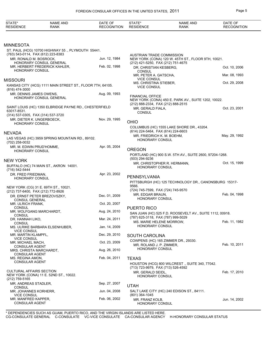| STATE*<br><b>RESIDENCE</b>                                   | <b>NAME AND</b><br><b>RANK</b>                            | DATE OF<br><b>RECOGNITION</b> | STATE*<br><b>RESIDENCE</b>                              | <b>NAME AND</b><br><b>RANK</b>                           | DATE OF<br><b>RECOGNITION</b> |
|--------------------------------------------------------------|-----------------------------------------------------------|-------------------------------|---------------------------------------------------------|----------------------------------------------------------|-------------------------------|
|                                                              |                                                           |                               |                                                         |                                                          |                               |
| MINNESOTA                                                    |                                                           |                               |                                                         |                                                          |                               |
|                                                              | ST. PAUL (HCG) 10700 HIGHWAY 55., PLYMOUTH 55441.         |                               |                                                         |                                                          |                               |
| (763) 543-0114, FAX (612) 223-8383<br>MR. RONALD M. BOSROCK, |                                                           | Jun. 12, 1984                 | AUSTRIAN TRADE COMMISSION                               | NEW YORK (CONA) 120 W. 45TH ST., FLOOR 9TH, 10021.       |                               |
|                                                              | HONORARY CONSUL GENERAL                                   |                               | (212) 421-5250, FAX (212) 751-4675                      |                                                          |                               |
| <b>HONORARY CONSUL</b>                                       | MR. HERBERT FREDERICK KAHLER,                             | Feb. 02, 1998                 | DR. CHRISTIAN KESBERG.                                  |                                                          | Oct. 10, 2006                 |
|                                                              |                                                           |                               | <b>CONSUL</b><br>MR. PETER A. GATSCHA,                  |                                                          | Mar. 08, 1993                 |
| Missouri                                                     |                                                           |                               | <b>VICE CONSUL</b>                                      |                                                          | Oct. 29, 2008                 |
| (816) 474-3000                                               | KANSAS CITY (HCG) 1111 MAIN STREET ST., FLOOR 7TH, 64105. |                               | MS. CHRISTINA STIEBER,<br><b>VICE CONSUL</b>            |                                                          |                               |
| MR. DENNIS JAMES OWENS,                                      | HONORARY CONSUL GENERAL                                   | Aug. 09, 1993                 | <b>FINANCIAL OFFICE</b>                                 |                                                          |                               |
|                                                              |                                                           |                               |                                                         | NEW YORK (CONA) 450 E. PARK AV., SUITE 1202, 10022.      |                               |
|                                                              | SAINT LOUIS (HC) 1350 ELBRIDGE PAYNE RD., CHESTERFIELD    |                               | (212) 888-2334, FAX (212) 888-2515<br>MR. GERALD FIALA. |                                                          | Oct. 23, 2001                 |
| 63017-8531.<br>(314) 537-0305, FAX (314) 537-3720            |                                                           |                               | <b>CONSUL</b>                                           |                                                          |                               |
| MR. DIETER K. UNGERBOECK,                                    |                                                           | Nov. 29, 1995                 |                                                         |                                                          |                               |
| HONORARY CONSUL                                              |                                                           |                               | <b>OHIO</b>                                             |                                                          |                               |
|                                                              |                                                           |                               | (614) 224-5464, FAX (614) 224-6603                      | COLUMBUS (HC) 1555 LAKE SHORE DR., 43204.                |                               |
| NEVADA                                                       | LAS VEGAS (HC) 3959 SPRING MOUNTAIN RD., 89102.           |                               | MR. FRIEDRICH K. M. BOEHM,                              |                                                          | May. 29, 1992                 |
| (702) 258-0032                                               |                                                           |                               | <b>HONORARY CONSUL</b>                                  |                                                          |                               |
| MR. M. EDWIN PRUD'HOMME,                                     |                                                           | Apr. 05, 2004                 | <b>OREGON</b>                                           |                                                          |                               |
| HONORARY CONSUL                                              |                                                           |                               |                                                         | PORTLAND (HC) 900 S.W. 5TH AV., SUITE 2600, 97204-1268.  |                               |
| NEW YORK                                                     |                                                           |                               | (503) 294-9236                                          |                                                          |                               |
|                                                              | BUFFALO (HC) 74 MAIN ST., AKRON 14001.                    |                               | HONORARY CONSUL                                         | MR. CHRISTOPHER R. HERMANN,                              | Oct. 15, 1999                 |
| (716) 542-5444                                               |                                                           |                               |                                                         |                                                          |                               |
| DR. FRED FRIEDMAN,<br><b>HONORARY CONSUL</b>                 |                                                           | Apr. 23, 2002                 | PENNSYLVANIA                                            |                                                          |                               |
|                                                              |                                                           |                               |                                                         | PITTSBURGH (HC) 125 TECHNOLOGY DR., CANONSBURG 15317-    |                               |
| (212) 737-6400, FAX (212) 772-8926                           | NEW YORK (CG) 31 E. 69TH ST., 10021.                      |                               | 9566.<br>(724) 745-7599, FAX (724) 745-9570             |                                                          |                               |
|                                                              | DR. ERNST PETER BREZOVSZKY,                               | Dec. 01, 2009                 | MR. EDGAR BRAUN,                                        |                                                          | Feb. 04, 1998                 |
| <b>CONSUL GENERAL</b>                                        |                                                           |                               | HONORARY CONSUL                                         |                                                          |                               |
| MR. ULRICH FRANK,<br><b>CONSUL</b>                           |                                                           | Oct. 20, 2007                 | <b>PUERTO RICO</b>                                      |                                                          |                               |
| MR. WOLFGANG MARCHARDT,                                      |                                                           | Aug. 24, 2010                 |                                                         | SAN JUAN (HC) 525 F.D. ROOSEVELT AV., SUITE 1112, 00918. |                               |
| <b>CONSUL</b><br>DR. HANNAH LIKO,                            |                                                           | Mar. 24, 2011                 | (787) 625-3118, FAX (787) 999-5029                      |                                                          |                               |
| <b>CONSUL</b>                                                |                                                           |                               | MS. MARIE HELENE MORROW,<br>HONORARY CONSUL             |                                                          | Feb. 11, 1982                 |
| <b>VICE CONSUL</b>                                           | MS. ULRIKE BARBARA ELSENHUBER,                            | Jan. 14, 2009                 |                                                         |                                                          |                               |
| MR. MARTIN KLAMPFL,                                          |                                                           | Dec. 29, 2010                 | <b>SOUTH CAROLINA</b>                                   |                                                          |                               |
| <b>VICE CONSUL</b><br>MR. MICHAEL MACH,                      |                                                           | Oct. 23, 2009                 |                                                         | COWPENS (HC) 165 ZIMMER DR., 29330.                      |                               |
| <b>CONSULAR AGENT</b>                                        |                                                           |                               | MR. ROLAND J. P. ZIMMER,<br>HONORARY CONSUL             |                                                          | Feb. 10, 2011                 |
| MRS. CHRISTA MARCHARDT,<br><b>CONSULAR AGENT</b>             |                                                           | Aug. 26, 2010                 |                                                         |                                                          |                               |
| MS. REGINA AMON,                                             |                                                           | Feb. 04, 2011                 | <b>TEXAS</b>                                            |                                                          |                               |
| <b>CONSULAR AGENT</b>                                        |                                                           |                               |                                                         | HOUSTON (HCG) 800 WILCREST., SUITE 340, 77042.           |                               |
| <b>CULTURAL AFFAIRS SECTION</b>                              |                                                           |                               | (713) 723-9979, FAX (713) 526-4592<br>MR. GERALD SEIDL, |                                                          | Feb. 17, 2010                 |
|                                                              | NEW YORK (CONA) 11 E. 52ND ST., 10022.                    |                               | HONORARY CONSUL                                         |                                                          |                               |
| $(212)$ 759-5165<br>MR. ANDREAS STADLER,                     |                                                           | Sep. 27, 2007                 |                                                         |                                                          |                               |
| <b>CONSUL</b>                                                |                                                           |                               | <b>UTAH</b>                                             |                                                          |                               |
| MR. JOHANNES KORHERR,<br><b>VICE CONSUL</b>                  |                                                           | Jun. 04, 2008                 | (801) 364-1045                                          | SALT LAKE CITY (HC) 240 EDISON ST., 84111.               |                               |
| MR. MANFRED KAPPER,<br><b>CONSULAR AGENT</b>                 |                                                           | Feb. 06, 2002                 | MR. FRANZ KOLB,<br>HONORARY CONSUL                      |                                                          | Jun. 14, 2002                 |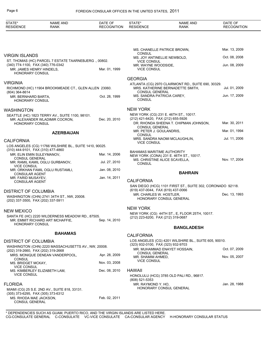#### Page 6 FOREIGN CONSULAR OFFICES IN THE UNITED STATES, 2011

| STATE*<br><b>RESIDENCE</b>                                      | <b>NAME AND</b><br><b>RANK</b>                          | DATE OF<br><b>RECOGNITION</b> | STATE*<br><b>RESIDENCE</b>                                         | <b>NAME AND</b><br><b>RANK</b>                                                         | DATE OF<br><b>RECOGNITION</b> |
|-----------------------------------------------------------------|---------------------------------------------------------|-------------------------------|--------------------------------------------------------------------|----------------------------------------------------------------------------------------|-------------------------------|
|                                                                 |                                                         |                               |                                                                    |                                                                                        |                               |
|                                                                 |                                                         |                               | <b>CONSUL</b>                                                      | MS. CHANELLE PATRICE BROWN,                                                            | Mar. 13, 2009                 |
| <b>VIRGIN ISLANDS</b>                                           |                                                         |                               | MS. JOY ANTINELLIE NEWBOLD,                                        |                                                                                        | Oct. 08, 2008                 |
| (340) 774-1100, FAX (340) 776-0342                              | ST. THOMAS (HC) PARCEL 7 ESTATE TAARNEBJERG., 00802.    |                               | <b>VICE CONSUL</b><br>MR. WAYNE WOODSIDE,                          |                                                                                        | Jun. 08, 2009                 |
| MR. JAMES HENRY HINDELS,<br>HONORARY CONSUL                     |                                                         | Mar. 01, 1999                 | <b>VICE CONSUL</b>                                                 |                                                                                        |                               |
| <b>VIRGINIA</b>                                                 |                                                         |                               | <b>GEORGIA</b>                                                     |                                                                                        |                               |
|                                                                 | RICHMOND (HC) 11904 BROOKMEADE CT., GLEN ALLEN 23060.   |                               |                                                                    | ATLANTA (CG) 2970 CLAIRMONT RD., SUITE 690, 30329.<br>MRS. KATHERINE BERNADETTE SMITH, | Jul. 01, 2009                 |
| (804) 364-8614                                                  |                                                         |                               | <b>CONSUL GENERAL</b><br>MS. SANDRA PATRICIA CAREY,                |                                                                                        | Jun. 17, 2009                 |
| MR. BERNHARD BARTA,<br>HONORARY CONSUL                          |                                                         | Oct. 28, 1999                 | <b>CONSUL</b>                                                      |                                                                                        |                               |
| <b>WASHINGTON</b>                                               |                                                         |                               | <b>NEW YORK</b>                                                    |                                                                                        |                               |
|                                                                 | SEATTLE (HC) 1823 TERRY AV., SUITE 1100, 98101.         |                               | (212) 421-6420, FAX (212) 655-5926                                 | NEW YORK (CG) 231 E. 46TH ST., 10017.                                                  |                               |
| <b>HONORARY CONSUL</b>                                          | MR. ALEXANDER WLADIMIR COCRON,                          | Dec. 20, 2010                 |                                                                    | DR. RHONDA SHEENA T. CHIPMAN JOHNSON,                                                  | Mar. 30, 2011                 |
|                                                                 | <b>AZERBAIJAN</b>                                       |                               | <b>CONSUL GENERAL</b><br>MR. PETER J. GOULANDRIS,<br><b>CONSUL</b> |                                                                                        | Mar. 01, 1994                 |
| <b>CALIFORNIA</b>                                               |                                                         |                               |                                                                    | MRS. SANDRA NAOMI MCLAUGHLIN,                                                          | Jul. 11, 2006                 |
|                                                                 | LOS ANGELES (CG) 11766 WILSHIRE BL., SUITE 1410, 90025. |                               | <b>VICE CONSUL</b>                                                 |                                                                                        |                               |
| (310) 444-9101, FAX (310) 477-4860<br>MR. ELIN EMIN SULEYMANOV, |                                                         | Mar. 14, 2006                 | <b>BAHAMAS MARITIME AUTHORITY</b>                                  | NEW YORK (CONA) 231 E. 46TH ST., 10017.                                                |                               |
| <b>CONSUL GENERAL</b>                                           |                                                         | Jul. 27, 2010                 |                                                                    | MS. CHRISTINE ALICE SCAVELLA,                                                          | Nov. 17, 2004                 |
| <b>VICE CONSUL</b>                                              | MR. RAMIL KAMIL OGLU GURBANOV,                          |                               | <b>CONSUL</b>                                                      |                                                                                        |                               |
| <b>CONSULAR AGENT</b>                                           | MR. ORKHAN FAMIL OGLU RUSTAMLI,                         | Jan. 08, 2010                 |                                                                    | <b>BAHRAIN</b>                                                                         |                               |
| MR. FARID MUSAYEV,<br><b>CONSULAR AGENT</b>                     |                                                         | Jan. 14, 2011                 | <b>CALIFORNIA</b>                                                  |                                                                                        |                               |
|                                                                 |                                                         |                               |                                                                    | SAN DIEGO (HCG) 1101 FIRST ST., SUITE 302, CORONADO 92118.                             |                               |
| <b>DISTRICT OF COLUMBIA</b>                                     |                                                         |                               | (619) 437-0044, FAX (619) 437-0066                                 |                                                                                        | Dec. 13, 1993                 |
| (202) 337-3500, FAX (202) 337-5911                              | WASHINGTON (CHN) 2741 34TH ST., NW, 20008.              |                               | MR. CHARLES W. HOSTLER,                                            | HONORARY CONSUL GENERAL                                                                |                               |
| <b>NEW MEXICO</b>                                               |                                                         |                               | <b>NEW YORK</b>                                                    |                                                                                        |                               |
|                                                                 | SANTA FE (HC) 2220 WILDERNESS MEADOW RD., 87505.        |                               | (212) 223-6200, FAX (212) 319-0687                                 | NEW YORK (CG) 44TH ST., E, FLOOR 25TH, 10017.                                          |                               |
| HONORARY CONSUL                                                 | MR. EMMIT RICHARD ART MCHAFFIE,                         | Sep. 14, 2010                 |                                                                    |                                                                                        |                               |
|                                                                 |                                                         |                               |                                                                    | <b>BANGLADESH</b>                                                                      |                               |
|                                                                 | <b>BAHAMAS</b>                                          |                               | <b>CALIFORNIA</b>                                                  |                                                                                        |                               |
| <b>DISTRICT OF COLUMBIA</b>                                     |                                                         |                               |                                                                    | LOS ANGELES (CG) 4201 WILSHIRE BL., SUITE 605, 90010.                                  |                               |
| (202) 319-2660, FAX (202) 319-2668                              | WASHINGTON (CHN) 2220 MASSACHUSETTS AV., NW, 20008.     |                               | (323) 932-0100, FAX (323) 932-9703                                 | MR. MUHAMMAD ENAYET HOSSAIN,                                                           | Oct. 07, 2009                 |
|                                                                 | MRS. MONIQUE DENEAN VANDERPOOL,                         | Apr. 28, 2009                 | <b>CONSUL GENERAL</b><br>MR. SHAMIM AHMED,                         |                                                                                        | Nov. 05, 2007                 |
| <b>CONSUL</b><br>MS. BRIDGET MCKAY,                             |                                                         | Nov. 03, 2008                 | <b>VICE CONSUL</b>                                                 |                                                                                        |                               |
| <b>VICE CONSUL</b><br>MS. KIMBERLEY ELIZABETH LAM,              |                                                         | Dec. 08, 2010                 | <b>HAWAII</b>                                                      |                                                                                        |                               |
| <b>VICE CONSUL</b>                                              |                                                         |                               |                                                                    | HONOLULU (HCG) 3785 OLD PALI RD., 96817.                                               |                               |
|                                                                 |                                                         |                               | (808) 521-5353                                                     |                                                                                        |                               |
| <b>FLORIDA</b>                                                  | MIAMI (CG) 25 S.E. 2ND AV., SUITE 818, 33131.           |                               | MR. RAYMOND Y. HO,                                                 | HONORARY CONSUL GENERAL                                                                | Jan. 28, 1988                 |
| (305) 373-6295, FAX (305) 373-6312                              |                                                         |                               |                                                                    |                                                                                        |                               |
| MS. RHODA MAE JACKSON,<br><b>CONSUL GENERAL</b>                 |                                                         | Feb. 02, 2011                 |                                                                    |                                                                                        |                               |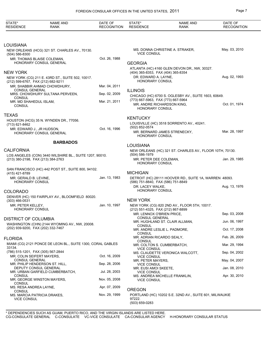| STATE*<br><b>RESIDENCE</b>                         | <b>NAME AND</b><br><b>RANK</b>                              | DATE OF<br><b>RECOGNITION</b> | STATE*<br><b>RESIDENCE</b>                             | <b>NAME AND</b><br><b>RANK</b>                           | DATE OF<br><b>RECOGNITION</b> |
|----------------------------------------------------|-------------------------------------------------------------|-------------------------------|--------------------------------------------------------|----------------------------------------------------------|-------------------------------|
|                                                    |                                                             |                               |                                                        |                                                          |                               |
| LOUISIANA                                          |                                                             |                               |                                                        |                                                          |                               |
| $(504) 586 - 8300$                                 | NEW ORLEANS (HCG) 321 ST. CHARLES AV., 70130.               |                               | <b>VICE CONSUL</b>                                     | MS. DONNA CHRISTINE A. STRAKER,                          | May. 03, 2010                 |
|                                                    | MR. THOMAS BLAISE COLEMAN,<br>HONORARY CONSUL GENERAL       | Oct. 26, 1988                 | <b>GEORGIA</b>                                         |                                                          |                               |
| NEW YORK                                           |                                                             |                               | (404) 365-8353, FAX (404) 365-8354                     | ATLANTA (HC) 4160 GLEN DEVON DR., NW, 30327.             |                               |
| (212) 599-6767, FAX (212) 682-9211                 | NEW YORK (CG) 211 E. 43RD ST., SUITE 502, 10017.            |                               | DR. EDWARD A. LAYNE.<br>HONORARY CONSUL                |                                                          | Aug. 02, 1993                 |
|                                                    | MR. SHABBIR AHMAD CHOWDHURY,                                | Mar. 04, 2011                 |                                                        |                                                          |                               |
| <b>CONSUL GENERAL</b>                              | MRS. CHOWDHURY SULTANA PERVEEN,                             | Sep. 02, 2009                 | <b>ILLINOIS</b>                                        |                                                          |                               |
| <b>CONSUL</b><br>MR. MD SHAHEDUL ISLAM,            |                                                             | Mar. 21, 2011                 | (773) 667-5963, FAX (773) 667-5964                     | CHICAGO (HC) 6700 S. OGLESBY AV., SUITE 1603, 60649.     |                               |
| <b>CONSUL</b>                                      |                                                             |                               | MR. ANDRE RICHARDSON KING,<br>HONORARY CONSUL          |                                                          | Oct. 01, 1974                 |
| TEXAS                                              |                                                             |                               | <b>KENTUCKY</b>                                        |                                                          |                               |
| (713) 621-8462                                     | HOUSTON (HCG) 35 N. WYNDEN DR., 77056.                      |                               |                                                        | LOUISVILLE (HC) 3518 SORRENTO AV., 40241.                |                               |
| MR. EDWARD J., JR HUDSON,                          | HONORARY CONSUL GENERAL                                     | Oct. 16, 1996                 | (502) 852-0574                                         | MR. BERNARD JAMES STRENECKY,                             | Mar. 28, 1997                 |
|                                                    |                                                             |                               | HONORARY CONSUL                                        |                                                          |                               |
|                                                    | <b>BARBADOS</b>                                             |                               | <b>LOUISIANA</b>                                       |                                                          |                               |
| CALIFORNIA                                         |                                                             |                               | (504) 586-1979                                         | NEW ORLEANS (HC) 321 ST. CHARLES AV., FLOOR 10TH, 70130. |                               |
| (213) 380-2198, FAX (213) 384-2763                 | LOS ANGELES (CON) 3440 WILSHIRE BL., SUITE 1207, 90010.     |                               | MR. PETER DEE COLEMAN,<br>HONORARY CONSUL              |                                                          | Jan. 29, 1985                 |
|                                                    | SAN FRANCISCO (HC) 442 POST ST., SUITE 800, 94102.          |                               |                                                        |                                                          |                               |
| (415) 421-8789<br>MR. GERALD B. LEVINE,            |                                                             | Jan. 13, 1983                 | <b>MICHIGAN</b>                                        | DETROIT (HC) 28111 HOOVER RD., SUITE 1A, WARREN 48093.   |                               |
| <b>HONORARY CONSUL</b>                             |                                                             |                               | (586) 751-8840, FAX (586) 751-8849<br>DR. LACEY WALKE, |                                                          | Aug. 13, 1976                 |
| COLORADO                                           |                                                             |                               | HONORARY CONSUL                                        |                                                          |                               |
| $(303)$ 466-0531                                   | DENVER (HC) 150 FAIRPLAY AV., BLOOMFIELD 80020.             |                               | <b>NEW YORK</b>                                        |                                                          |                               |
| MR. PETER KELLEY,<br>HONORARY CONSUL               |                                                             | Jan. 10, 1997                 | (212) 551-4325, FAX (212) 867-8899                     | NEW YORK (CG) 820 2ND AV., FLOOR 5TH, 10017.             |                               |
|                                                    |                                                             |                               | MR. LENNOX O'BRIEN PRICE,<br><b>CONSUL GENERAL</b>     |                                                          | Sep. 03, 2008                 |
| DISTRICT OF COLUMBIA                               | WASHINGTON (CHN) 2144 WYOMING AV., NW, 20008.               |                               |                                                        | MR. HUGHLAND ST. CLAIR ALLMAN,                           | Jun. 06, 1997                 |
| (202) 939-9200, FAX (202) 332-7467                 |                                                             |                               | CONSUL<br>CONSUL                                       | MR. ANDRE LESLIE L. PADMORE,                             | Oct. 17, 2008                 |
| <b>FLORIDA</b>                                     |                                                             |                               | MR. ADRIAN RICARDO SEALY,                              |                                                          | Feb. 26, 2009                 |
| 33134.                                             | MIAMI (CG) 2121 PONCE DE LEON BL., SUITE 1300, CORAL GABLES |                               | CONSUL<br><b>VICE CONSUL</b>                           | MR. COLTON S. CUMBERBATCH,                               | Mar. 29, 1994                 |
| (786) 515-1201, FAX (305) 567-2844                 |                                                             |                               |                                                        | MS. CLAUDETTE VERONICA WALCOTT,                          | Sep. 04, 2002                 |
| MR. COLIN SEIFERT MAYERS,<br><b>CONSUL GENERAL</b> |                                                             | Oct. 16, 2009                 | <b>VICE CONSUL</b><br>MR. PETER MAYERS,                |                                                          | May. 04, 2007                 |
|                                                    | MR. PHILIP HENDERSON ST. HILL,<br>DEPUTY CONSUL GENERAL     | Sep. 28, 2006                 | <b>VICE CONSUL</b><br>MR. EUSI AMOI SKEETE,            |                                                          | Jan. 08, 2010                 |
| <b>CONSUL</b>                                      | MR. URBAN GARFIELD CUMBERBATCH,                             | Jul. 28, 2003                 | <b>VICE CONSUL</b>                                     |                                                          |                               |
| <b>CONSUL</b>                                      | MR. GEORGE WINSTON MAYERS,                                  | Nov. 05, 2008                 | <b>VICE CONSUL</b>                                     | MS. ANDREA MICHELLE FRANKLIN,                            | Apr. 30, 2010                 |
| MS. RESA ANDREA LAYNE,<br><b>CONSUL</b>            |                                                             | Apr. 07, 2009                 | <b>OREGON</b>                                          |                                                          |                               |
| MS. MARCIA PATRICIA DRAKES,<br><b>VICE CONSUL</b>  |                                                             | Nov. 29, 1999                 | 97222.<br>(503) 659-0283                               | PORTLAND (HC) 10202 S.E. 32ND AV., SUITE 601, MILWAUKIE  |                               |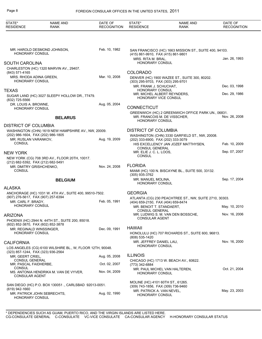#### Page 8 FOREIGN CONSULAR OFFICES IN THE UNITED STATES, 2011

| STATE*<br><b>RESIDENCE</b>                                                         | <b>NAME AND</b><br><b>RANK</b>                            | DATE OF<br><b>RECOGNITION</b> | STATE*<br><b>RESIDENCE</b>                                              | <b>NAME AND</b><br><b>RANK</b>                                                     | DATE OF<br><b>RECOGNITION</b>  |
|------------------------------------------------------------------------------------|-----------------------------------------------------------|-------------------------------|-------------------------------------------------------------------------|------------------------------------------------------------------------------------|--------------------------------|
|                                                                                    |                                                           |                               |                                                                         |                                                                                    |                                |
| HONORARY CONSUL                                                                    | MR. HAROLD DESMOND JOHNSON,                               | Feb. 10, 1982                 | (415) 861-9910, FAX (415) 861-9801                                      | SAN FRANCISCO (HC) 1663 MISSION ST., SUITE 400, 94103.                             |                                |
| <b>SOUTH CAROLINA</b>                                                              |                                                           |                               | MRS. RITA M. BRAL,<br><b>HONORARY CONSUL</b>                            |                                                                                    | Jan. 26, 1993                  |
| (843) 571-4165                                                                     | CHARLESTON (HC) 1320 MARVIN AV., 29407.                   |                               | <b>COLORADO</b>                                                         |                                                                                    |                                |
| MRS. RHODA ADINA GREEN,<br><b>HONORARY CONSUL</b>                                  |                                                           | Mar. 10, 2008                 | (303) 295-9703, FAX (303) 295-9701                                      | DENVER (HC) 1900 WAZEE ST., SUITE 300, 80202.                                      |                                |
|                                                                                    |                                                           |                               | MR. FRANK J. SCHUCHAT,                                                  |                                                                                    | Dec. 03, 1998                  |
| <b>TEXAS</b><br>(832) 725-5566                                                     | SUGAR LAND (HC) 3027 SLEEPY HOLLOW DR., 77479.            |                               | HONORARY CONSUL<br>HONORARY VICE CONSUL                                 | MR. MICHEL ALBERT REYNDERS,                                                        | Dec. 29, 1986                  |
| DR. LOUIS A. BROWNE,<br><b>HONORARY CONSUL</b>                                     |                                                           | Aug. 05, 2004                 | <b>CONNECTICUT</b>                                                      |                                                                                    |                                |
|                                                                                    | <b>BELARUS</b>                                            |                               | <b>HONORARY CONSUL</b>                                                  | GREENWICH (HC) 2 GREENWICH OFFICE PARK UN., 06831.<br>MR. FRANCOIS M. DE VISSCHER, | Nov. 26, 2008                  |
| <b>DISTRICT OF COLUMBIA</b>                                                        |                                                           |                               |                                                                         |                                                                                    |                                |
| (202) 986-1604, FAX (202) 986-1805<br>MR. RUSLAN VARANKOV,                         | WASHINGTON (CHN) 1619 NEW HAMPSHIRE AV., NW, 20009.       | Aug. 19, 2009                 | <b>DISTRICT OF COLUMBIA</b><br>(202) 333-6900, FAX (202) 333-3079       | WASHINGTON (CHN) 3330 GARFIELD ST., NW, 20008.                                     |                                |
| <b>CONSUL</b>                                                                      |                                                           |                               | <b>CONSUL GENERAL</b>                                                   | HIS EXCELLENCY JAN JOZEF MATTHYSEN,                                                | Feb. 10, 2009                  |
| <b>NEW YORK</b>                                                                    | NEW YORK (CG) 708 3RD AV., FLOOR 20TH, 10017.             |                               | MR. ELIE J. C. L. LOOS,<br><b>CONSUL</b>                                |                                                                                    | Sep. 07, 2007                  |
| (212) 682-5392, FAX (212) 682-5491<br>MR. DMITRY GRISHCHENKO,                      |                                                           | Nov. 24, 2008                 | <b>FLORIDA</b>                                                          |                                                                                    |                                |
| <b>CONSUL</b>                                                                      |                                                           |                               | $(305)$ 935-3762                                                        | MIAMI (HC) 100 N. BISCAYNE BL., SUITE 500, 33132.                                  |                                |
|                                                                                    | <b>BELGIUM</b>                                            |                               | MR. MANUEL MOLINA,<br><b>HONORARY CONSUL</b>                            |                                                                                    | Sep. 17, 2004                  |
| <b>ALASKA</b>                                                                      |                                                           |                               |                                                                         |                                                                                    |                                |
|                                                                                    | ANCHORAGE (HC) 1031 W. 4TH AV., SUITE 400, 99510-7502.    |                               | <b>GEORGIA</b>                                                          |                                                                                    |                                |
| (907) 276-5617, FAX (907) 257-6394<br>MR. CARL F. BRADY.<br><b>HONORARY CONSUL</b> |                                                           | Feb. 05, 1991                 | (404) 659-2150, FAX (404) 659-8474                                      | ATLANTA (CG) 230 PEACHTREE ST., NW, SUITE 2710, 30303.                             |                                |
|                                                                                    |                                                           |                               | MR. BENOIT T. STANDAERT,<br><b>CONSUL GENERAL</b>                       |                                                                                    | May. 10, 2010<br>Nov. 16, 2006 |
| <b>ARIZONA</b>                                                                     | PHOENIX (HC) 2944 N. 44TH ST., SUITE 200, 85018.          |                               | <b>CONSULAR AGENT</b>                                                   | MR. LUDWIG S. M. VAN DEN BOSSCHE,                                                  |                                |
| (602) 852-3870, FAX (602) 852-3878<br>MR. REGINALD WINSSINGER.                     |                                                           | Dec. 09, 1991                 | <b>HAWAII</b>                                                           |                                                                                    |                                |
| <b>HONORARY CONSUL</b>                                                             |                                                           |                               | (808) 535-1420                                                          | HONOLULU (HC) 707 RICHARDS ST., SUITE 600, 96813.                                  |                                |
| <b>CALIFORNIA</b>                                                                  |                                                           |                               | MR. JEFFREY DANIEL LAU,<br><b>HONORARY CONSUL</b>                       |                                                                                    | Nov. 16, 2000                  |
| (323) 857-1244, FAX (323) 936-2564                                                 | LOS ANGELES (CG) 6100 WILSHIRE BL., W, FLOOR 12TH, 90048. |                               |                                                                         |                                                                                    |                                |
| MR. GEERT CRIEL,<br><b>CONSUL GENERAL</b>                                          |                                                           | Aug. 05, 2008                 | <b>ILLINOIS</b>                                                         | CHICAGO (HC) 1713 W. BEACH AV., 60622.                                             |                                |
| MR. PASCAL FAIDHERBE,<br><b>CONSUL</b>                                             |                                                           | Oct. 02, 2007                 | (773) 342-6884                                                          | MR. PAUL MICHEL VAN HALTEREN,                                                      | Oct. 21, 2004                  |
| <b>CONSULAR AGENT</b>                                                              | MS. ANTONIA HENDRIKA M. VAN DE VYVER,                     | Nov. 04, 2009                 | <b>HONORARY CONSUL</b>                                                  |                                                                                    |                                |
| (619) 942-1660                                                                     | SAN DIEGO (HC) P.O. BOX 130051, CARLSBAD 92013-0051.      |                               | MOLINE (HC) 4101 60TH ST., 61265.<br>(309) 743-1856, FAX (309) 736-9460 |                                                                                    |                                |
| <b>HONORARY CONSUL</b>                                                             | MR. PATRICK JOHN SEBRECHTS,                               | Aug. 02, 1990                 | MR. PATRICK A. VAN NEVEL,<br><b>HONORARY CONSUL</b>                     |                                                                                    | May. 23, 2003                  |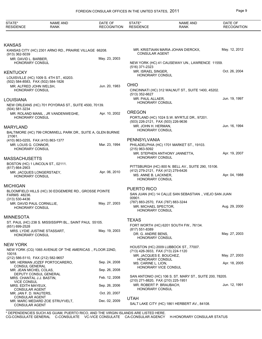| STATE*<br><b>RESIDENCE</b>                                                           | <b>NAME AND</b><br><b>RANK</b>                             | DATE OF<br><b>RECOGNITION</b> | STATE*<br><b>RESIDENCE</b>                                            | <b>NAME AND</b><br><b>RANK</b>                          | DATE OF<br><b>RECOGNITION</b> |
|--------------------------------------------------------------------------------------|------------------------------------------------------------|-------------------------------|-----------------------------------------------------------------------|---------------------------------------------------------|-------------------------------|
|                                                                                      |                                                            |                               |                                                                       |                                                         |                               |
| KANSAS                                                                               |                                                            |                               |                                                                       |                                                         |                               |
| $(913)$ 362-5039                                                                     | KANSAS CITY (HC) 2301 ARNO RD., PRAIRIE VILLAGE 66208.     |                               | <b>CONSULAR AGENT</b>                                                 | MR. KRISTIAAN MARIA JOHAN DIERCKX,                      | May. 12, 2012                 |
| MR. DAVID L. BARBER,<br>HONORARY CONSUL                                              |                                                            | May. 23, 2003                 | (516) 371-2323                                                        | NEW YORK (HC) 41 CAUSEWAY UN., LAWRENCE 11559.          |                               |
| KENTUCKY<br>(502) 584-8583, FAX (502) 584-1826                                       | LOUISVILLE (HC) 1009 S. 4TH ST., 40203.                    |                               | MR. ISRAEL SINGER,<br><b>HONORARY CONSUL</b>                          |                                                         | Oct. 26, 2004                 |
| MR. ALFRED JOHN WELSH,<br>HONORARY CONSUL                                            |                                                            | Jun. 20, 1983                 | <b>OHIO</b><br>(513) 352-6627                                         | CINCINNATI (HC) 312 WALNUT ST., SUITE 1400, 45202.      |                               |
| LOUISIANA                                                                            |                                                            |                               | MR. PAUL ALLAER,                                                      |                                                         | Jun. 19, 1997                 |
| (504) 581-3234                                                                       | NEW ORLEANS (HC) 701 POYDRAS ST., SUITE 4500, 70139.       |                               | <b>HONORARY CONSUL</b>                                                |                                                         |                               |
|                                                                                      | MR. ROLAND MANIL, JR VANDENWEGHE,                          | Apr. 10, 2002                 | <b>OREGON</b>                                                         |                                                         |                               |
| <b>HONORARY CONSUL</b>                                                               |                                                            |                               | (503) 226-2121, FAX (503) 226-9636                                    | PORTLAND (HC) 1024 S.W. MYRTLE DR., 97201.              |                               |
| MARYLAND                                                                             | BALTIMORE (HC) 799 CROMWELL PARK DR., SUITE A, GLEN BURNIE |                               | MR. JOHN H. HERMAN,<br><b>HONORARY CONSUL</b>                         |                                                         | Jun. 16, 1994                 |
| 21061.                                                                               |                                                            |                               | PENNSYLVANIA                                                          |                                                         |                               |
| (410) 863-0255, FAX (410) 863-1377<br>MR. LOUIS G. CONNOR.<br><b>HONORARY CONSUL</b> |                                                            | Mar. 23, 1994                 | (215) 963-5092                                                        | PHILADELPHIA (HC) 1701 MARKET ST., 19103.               |                               |
| MASSACHUSETTS                                                                        |                                                            |                               | <b>HONORARY CONSUL</b>                                                | MR. STEPHEN ANTHONY JANNETTA,                           | Apr. 19, 2007                 |
| BOSTON (HC) 1 LINCOLN ST., 02111.                                                    |                                                            |                               |                                                                       |                                                         |                               |
| (617) 664-2903<br>MR. JACQUES LONGERSTAEY,<br>HONORARY CONSUL                        |                                                            | Apr. 06, 2010                 | (412) 279-2121, FAX (412) 279-6426<br>MS. ANNE B. LACKNER,            | PITTSBURGH (HC) 800 N. BELL AV., SUITE 290, 15106.      | Apr. 04, 1988                 |
|                                                                                      |                                                            |                               | <b>HONORARY CONSUL</b>                                                |                                                         |                               |
| MICHIGAN                                                                             |                                                            |                               |                                                                       |                                                         |                               |
| <b>FARMS 48236.</b>                                                                  | BLOOMFIELD HILLS (HC) 30 EDGEMERE RD., GROSSE POINTE       |                               | <b>PUERTO RICO</b><br>00901.                                          | SAN JUAN (HC) 14 CALLE SAN SEBASTIAN., VIEJO SAN JUAN   |                               |
| $(313) 530 - 4436$<br>MR. DAVID PAUL CORNILLIE,                                      |                                                            | May. 27, 2003                 | (787) 883-2570, FAX (787) 883-3244                                    |                                                         |                               |
| HONORARY CONSUL                                                                      |                                                            |                               | MR. MICHAEL SPECTOR,<br>HONORARY CONSUL                               |                                                         | Aug. 29, 2000                 |
| MINNESOTA                                                                            |                                                            |                               |                                                                       |                                                         |                               |
| (651) 699-2528                                                                       | ST. PAUL (HC) 238 S. MISSISSIPPI BL., SAINT PAUL 55105.    |                               | <b>TEXAS</b>                                                          | FORT WORTH (HC) 6201 SOUTH FW., 76134.                  |                               |
| HONORARY CONSUL                                                                      | MRS. LYDIE JUSTINE STASSART,                               | May. 19, 2003                 | (817) 551-8389<br>DR. G. ANDRE BENS,<br><b>HONORARY CONSUL</b>        |                                                         | May. 27, 2003                 |
| NEW YORK                                                                             |                                                            |                               |                                                                       |                                                         |                               |
| 10018.                                                                               | NEW YORK (CG) 1065 AVENUE OF THE AMERICAS., FLOOR 22ND,    |                               | (713) 426-3933, FAX (713) 224-1120                                    | HOUSTON (HC) 2009 LUBBOCK ST., 77007.                   |                               |
| (212) 586-5110, FAX (212) 582-9657                                                   |                                                            |                               | MR. JACQUES E. BOUCHEZ,                                               |                                                         | May. 27, 2003                 |
| <b>CONSUL GENERAL</b>                                                                | MR. HERMAN JOZEF PORTOCARERO,                              | Sep. 24, 2008                 | <b>HONORARY CONSUL</b><br>MS. CARINE L. LION,<br>HONORARY VICE CONSUL |                                                         | Apr. 18, 2005                 |
| MR. JEAN MICHEL COLAS,                                                               | DEPUTY CONSUL GENERAL                                      | Sep. 26, 2008                 |                                                                       |                                                         |                               |
| MRS. CHANTAL J.J. BASTIN,<br><b>VICE CONSUL</b>                                      |                                                            | Feb. 12, 2008                 | (210) 271-8820, FAX (210) 225-1951                                    | SAN ANTONIO (HC) 106 S. ST. MARY ST., SUITE 200, 78205. |                               |
| MRS. EDITH MAYEUX,<br><b>CONSULAR AGENT</b>                                          |                                                            | Sep. 26, 2006                 | MR. ROBERT P. BRAUBACH,<br><b>HONORARY CONSUL</b>                     |                                                         | Jun. 12, 1991                 |
| MR. JAN F. D. WAUTERS,<br><b>CONSULAR AGENT</b>                                      |                                                            | Oct. 20, 2007                 |                                                                       |                                                         |                               |
| <b>CONSULAR AGENT</b>                                                                | MR. MARC MEDARD ZOE STRUYVELT,                             | Dec. 02, 2009                 | <b>UTAH</b>                                                           | SALT LAKE CITY (HC) 1861 HERBERT AV., 84108.            |                               |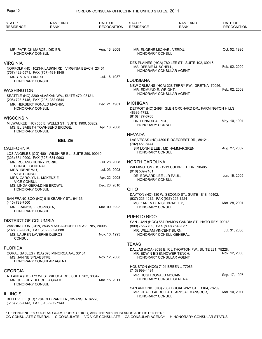| STATE*                                                        | <b>NAME AND</b>                                       | DATE OF            | STATE*                                                          | <b>NAME AND</b>                                                                                                   | DATE OF            |
|---------------------------------------------------------------|-------------------------------------------------------|--------------------|-----------------------------------------------------------------|-------------------------------------------------------------------------------------------------------------------|--------------------|
| <b>RESIDENCE</b>                                              | RANK                                                  | <b>RECOGNITION</b> | <b>RESIDENCE</b>                                                | <b>RANK</b>                                                                                                       | <b>RECOGNITION</b> |
|                                                               |                                                       |                    |                                                                 |                                                                                                                   |                    |
| MR. PATRICK MARCEL DIDIER,<br><b>HONORARY CONSUL</b>          |                                                       | Aug. 13, 2008      | MR. EUGENE MICHAEL VERDU,<br>HONORARY CONSUL                    |                                                                                                                   | Oct. 02, 1995      |
| <b>VIRGINIA</b>                                               | NORFOLK (HC) 1023-K LASKIN RD., VIRGINIA BEACH 23451. |                    | MS. DEBBIE M. SCHELL,                                           | DES PLAINES (HCA) 780 LEE ST., SUITE 102, 60016.                                                                  | Feb. 02, 2009      |
| (757) 422-5571, FAX (757) 491-1845<br>MRS. MIA S. LANESE,     |                                                       | Jul. 16, 1987      |                                                                 | HONORARY CONSULAR AGENT                                                                                           |                    |
| <b>HONORARY CONSUL</b>                                        |                                                       |                    | LOUISIANA                                                       | NEW ORLEANS (HCA) 328 TERRY PW., GRETNA 70056.                                                                    |                    |
| <b>WASHINGTON</b>                                             |                                                       |                    | MR. EDMUND E. WRIGHT,                                           | HONORARY CONSULAR AGENT                                                                                           | Feb. 02, 2009      |
| (206) 728-5145, FAX (206) 282-9544                            | SEATTLE (HC) 2200 ALASKAN WA., SUITE 470, 98121.      |                    |                                                                 |                                                                                                                   |                    |
| <b>HONORARY CONSUL</b>                                        | MR. HERBERT RONALD MASNIK.                            | Dec. 21, 1981      | <b>MICHIGAN</b>                                                 | DETROIT (HC) 24984 GLEN ORCHARD DR., FARMINGTON HILLS                                                             |                    |
|                                                               |                                                       |                    | 48336-1732.<br>(810) 477-8768                                   |                                                                                                                   |                    |
| <b>WISCONSIN</b>                                              | MILWAUKEE (HC) 555 E. WELLS ST., SUITE 1900, 53202.   |                    | DR. LENNOX A. PIKE,<br>HONORARY CONSUL                          |                                                                                                                   | May. 10, 1991      |
| <b>HONORARY CONSUL</b>                                        | MS. ELISABETH TOWNSEND BRIDGE.                        | Apr. 18, 2008      |                                                                 |                                                                                                                   |                    |
|                                                               |                                                       |                    | <b>NEVADA</b>                                                   | LAS VEGAS (HC) 4300 RIDGECREST DR., 89121.                                                                        |                    |
|                                                               | <b>BELIZE</b>                                         |                    | (702) 451-8444                                                  |                                                                                                                   |                    |
| <b>CALIFORNIA</b>                                             | LOS ANGELES (CG) 4801 WILSHIRE BL., SUITE 250, 90010. |                    | HONORARY CONSUL                                                 | SIR LONNIE LEE, MD HAMMARGREN,                                                                                    | Aug. 27, 2002      |
| (323) 634-9900, FAX (323) 634-9903<br>MR. ROLAND HENRY YORKE, |                                                       | Jul. 28, 2008      | <b>NORTH CAROLINA</b>                                           |                                                                                                                   |                    |
| <b>CONSUL GENERAL</b><br>MRS. IRENE WU,                       |                                                       | Jul. 03, 2003      |                                                                 | WILMINGTON (HC) 1213 CULBRETH DR., 28405.                                                                         |                    |
| <b>VICE CONSUL</b><br>MRS. CAROLYN L. MCKENZIE,               |                                                       | Apr. 22, 2008      | (910) 509-7161<br>DR. EDWARD LEE, JR PAUL,                      |                                                                                                                   | Jun. 16, 2005      |
| <b>VICE CONSUL</b><br>MS. LINDA GERALDINE BROWN,              |                                                       | Dec. 20, 2010      | HONORARY CONSUL                                                 |                                                                                                                   |                    |
| <b>HONORARY CONSUL</b>                                        |                                                       |                    | <b>OHIO</b>                                                     |                                                                                                                   |                    |
|                                                               | SAN FRANCISCO (HC) 916 KEARNY ST., 94133.             |                    | (937) 226-1212, FAX (937) 226-1224                              | DAYTON (HC) 130 W. SECOND ST., SUITE 1818, 45402.                                                                 |                    |
| (415) 788-7500<br>MR. FRANCIS F. COPPOLA,                     |                                                       | Mar. 09, 1993      | MS. KAREN DENISE BRADLEY,<br>HONORARY CONSUL                    |                                                                                                                   | Mar. 28, 2001      |
| <b>HONORARY CONSUL</b>                                        |                                                       |                    | PUERTO RICO                                                     |                                                                                                                   |                    |
| DISTRICT OF COLUMBIA                                          |                                                       |                    |                                                                 | SAN JUAN (HCG) 567 RAMON GANDIA ST., HATO REY 00918.                                                              |                    |
| (202) 332-9636, FAX (202) 332-6888                            | WASHINGTON (CHN) 2535 MASSACHUSETTS AV., NW, 20008.   |                    | (809) 766-7709, FAX (809) 764-2087<br>MR. WILLIAM VINCENT BURN, |                                                                                                                   | Jul. 31, 2000      |
| MS. LAUREN LAVERNE QUIROS.<br><b>CONSUL</b>                   |                                                       | Nov. 10, 1993      |                                                                 | HONORARY CONSUL GENERAL                                                                                           |                    |
| <b>FLORIDA</b>                                                |                                                       |                    | <b>TEXAS</b>                                                    |                                                                                                                   |                    |
| MS. JANINE SYLVESTRE,                                         | CORAL GABLES (HCA) 370 MINORCA AV., 33134.            | Nov. 12, 2008      |                                                                 | DALLAS (HCA) 8035 E. R L THORTON FW., SUITE 221, 75228.<br>MR. EDWIN EISENHOWER TENCH,<br>HONORARY CONSULAR AGENT | Nov. 12, 2008      |
|                                                               | <b>HONORARY CONSULAR AGENT</b>                        |                    |                                                                 | HOUSTON (HCG) 7101 BREEN., 77086.                                                                                 |                    |
| <b>GEORGIA</b>                                                |                                                       |                    | (713) 999-4484<br>MR. HUGH DONALD MCCAIN,                       |                                                                                                                   | Sep. 17, 1997      |
| MR. JEFFREY BEECHER GRAM,<br>HONORARY CONSUL                  | ATLANTA (HC) 173 WEST WIEUCA RD., SUITE 202, 30342.   | Mar. 15, 2011      |                                                                 | HONORARY CONSUL GENERAL                                                                                           |                    |
| <b>ILLINOIS</b>                                               |                                                       |                    |                                                                 | SAN ANTONIO (HC) 7887 BROADWAY ST., 1104, 78209.<br>MR. KHALID ABDULLAH TARIQ AL MANSOUR,                         | Mar. 10, 2011      |
| (618) 235-7143, FAX (618) 235-7143                            | BELLEVILLE (HC) 1704 OLD PARK LA., SWANSEA 62226.     |                    | <b>HONORARY CONSUL</b>                                          |                                                                                                                   |                    |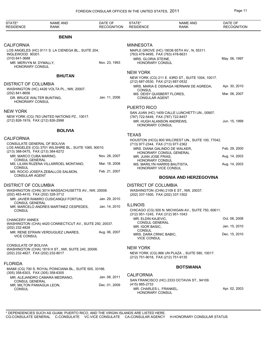| STATE*<br><b>RESIDENCE</b>                                                          | <b>NAME AND</b><br><b>RANK</b>                           | DATE OF<br><b>RECOGNITION</b> | STATE*<br><b>RESIDENCE</b>                                                                       | <b>NAME AND</b><br><b>RANK</b>                                              | DATE OF<br><b>RECOGNITION</b> |
|-------------------------------------------------------------------------------------|----------------------------------------------------------|-------------------------------|--------------------------------------------------------------------------------------------------|-----------------------------------------------------------------------------|-------------------------------|
|                                                                                     | <b>BENIN</b>                                             |                               |                                                                                                  |                                                                             |                               |
| <b>CALIFORNIA</b><br>INGLEWOOD 90301.<br>$(310)$ 641-3688<br>MR. MERVYN M. DYMALLY, | LOS ANGELES (HC) 9111 S. LA CIENEGA BL., SUITE 204,      | Nov. 23, 1993                 | <b>MINNESOTA</b><br>(763) 478-9495, FAX (763) 478-6631<br>MRS. GLORIA STEINE,<br>HONORARY CONSUL | MAPLE GROVE (HC) 18036 65TH AV., N, 55311.                                  | May. 06, 1997                 |
| <b>HONORARY CONSUL</b>                                                              |                                                          |                               | <b>NEW YORK</b>                                                                                  |                                                                             |                               |
|                                                                                     | <b>BHUTAN</b>                                            |                               | (212) 687-0530, FAX (212) 687-0532                                                               | NEW YORK (CG) 211 E. 43RD ST., SUITE 1004, 10017.                           |                               |
| <b>DISTRICT OF COLUMBIA</b>                                                         |                                                          |                               |                                                                                                  | MRS. MARIA E OSINAGA HERNANI DE AGREDA,                                     | Apr. 30, 2010                 |
| (202) 841-8656<br>DR. BRUCE WALTER BUNTING.<br><b>HONORARY CONSUL</b>               | WASHINGTON (HC) 4426 VOLTA PL., NW, 20007.               | Jan. 11, 2006                 | <b>CONSUL</b><br>MS. DEISY QUISBERT FLORES,<br><b>CONSULAR AGENT</b>                             |                                                                             | Mar. 06, 2007                 |
|                                                                                     |                                                          |                               | <b>PUERTO RICO</b>                                                                               |                                                                             |                               |
| <b>NEW YORK</b><br>(212) 826-1919, FAX (212) 826-2998                               | NEW YORK (CG) 763 UNITED NATIONS PZ., 10017.             |                               | (787) 722-5449, FAX (787) 722-8457<br><b>HONORARY CONSUL</b>                                     | SAN JUAN (HC) 1409 CALLE LUNCHETTI UN., 00907.<br>MR. HUGH ALANSON ANDREWS. | Jun. 15, 1999                 |
|                                                                                     | <b>BOLIVIA</b>                                           |                               |                                                                                                  |                                                                             |                               |
| <b>CALIFORNIA</b><br>CONSULATE GENERAL OF BOLIVIA                                   |                                                          |                               | <b>TEXAS</b>                                                                                     | HOUSTON (HCG) 800 WILCREST UN., SUITE 100, 77042.                           |                               |
| (213) 388-0475, FAX (213) 384-6272                                                  | LOS ANGELES (CG) 3701 WILSHIRE BL., SUITE 1065, 90010.   |                               | (713) 977-2344, FAX (713) 977-2362                                                               | MRS. DIANA GALINDO DE WALKER,                                               | Feb. 29, 2000                 |
| MR. MARCO CUBA MARINO,                                                              |                                                          | Nov. 28, 2007                 | MR. JUAN JOSE FRIAS,                                                                             | HONORARY CONSUL GENERAL                                                     | Aug. 14, 2003                 |
| CONSUL GENERAL                                                                      | MS. LILIAN RUZENA VILLARROEL MONTANO,                    | Mar. 18, 2008                 | <b>HONORARY CONSUL</b>                                                                           | MS. MARILYN HARRIS BAUTISTA,                                                | Aug. 14, 2003                 |
| <b>CONSUL</b><br><b>CONSULAR AGENT</b>                                              | MS. ROCIO JOSEFA ZEBALLOS SALMON,                        | Feb. 21, 2007                 | HONORARY VICE CONSUL                                                                             |                                                                             |                               |
|                                                                                     |                                                          |                               |                                                                                                  | <b>BOSNIA AND HERZEGOVINA</b>                                               |                               |
| <b>DISTRICT OF COLUMBIA</b>                                                         | WASHINGTON (CHN) 3014 MASSACHUSETTS AV., NW, 20008.      |                               | <b>DISTRICT OF COLUMBIA</b>                                                                      | WASHINGTON (CHN) 2109 E ST., NW, 20037.                                     |                               |
| (202) 483-4410, FAX (202) 328-3712                                                  | MR. JAVIER RAMIRO CUSICANQUI FORTUN,                     | Jan. 29, 2010                 | (202) 337-1500, FAX (202) 337-1502                                                               |                                                                             |                               |
| <b>CONSUL GENERAL</b><br>CONSUL                                                     | MR. MARCELO ANDRES MARTINEZ CESPEDES,                    | Jan. 14, 2010                 | <b>ILLINOIS</b>                                                                                  | CHICAGO (CG) 500 N. MICHIGAN AV., SUITE 750, 60611.                         |                               |
|                                                                                     |                                                          |                               | (312) 951-1245, FAX (312) 951-1043<br>MR. ELDIN KAJEVIC.                                         |                                                                             | Oct. 08, 2008                 |
| <b>CHANCERY ANNEX</b>                                                               | WASHINGTON (CHA) 4420 CONNECTICUT AV., SUITE 250, 20037. |                               | CONSUL GENERAL<br>MR. IGOR BASIC,                                                                |                                                                             | Jan. 15, 2010                 |
| (202) 232-4828<br><b>VICE CONSUL</b>                                                | MR. RENE EFRAIN VERDUGUEZ LINARES,                       | Aug. 06, 2007                 | CONSUL<br>MRS. DARA CRNIC BABIC,<br><b>VICE CONSUL</b>                                           |                                                                             | Dec. 15, 2010                 |
| CONSULATE OF BOLIVIA<br>(202) 232-4827, FAX (202) 232-8017                          | WASHINGTON (CHA) 1819 H ST., NW, SUITE 240, 20006.       |                               | <b>NEW YORK</b><br>(212) 751-9018, FAX (212) 751-9135                                            | NEW YORK (CG) 866 UN PLAZA, SUITE 580, 10017.                               |                               |
| <b>FLORIDA</b>                                                                      | MIAMI (CG) 700 S. ROYAL POINCIANA BL., SUITE 505, 33166. |                               |                                                                                                  | <b>BOTSWANA</b>                                                             |                               |
| (305) 358-6303, FAX (305) 358-6305                                                  | MR. ALEJANDRO CAMARA MEDRANO,                            | Jan. 08, 2011                 | <b>CALIFORNIA</b>                                                                                |                                                                             |                               |
| <b>CONSUL GENERAL</b><br>MR. MILTON PANIAGUA LEON,<br><b>CONSUL</b>                 |                                                          | Dec. 01, 2009                 | (415) 885-2733<br>MR. CHARLES L. FRANKEL,<br><b>HONORARY CONSUL</b>                              | SAN FRANCISCO (HC) 2333 OCTAVIA ST., 94109.                                 | Apr. 02, 2003                 |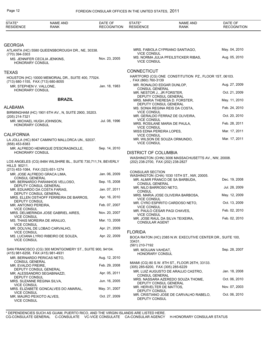| STATE*<br><b>RESIDENCE</b>                                           | <b>NAME AND</b><br>RANK                                         | DATE OF<br><b>RECOGNITION</b> | STATE*<br><b>RESIDENCE</b>                     | <b>NAME AND</b><br><b>RANK</b>                             | DATE OF<br><b>RECOGNITION</b> |
|----------------------------------------------------------------------|-----------------------------------------------------------------|-------------------------------|------------------------------------------------|------------------------------------------------------------|-------------------------------|
|                                                                      |                                                                 |                               |                                                |                                                            |                               |
| <b>GEORGIA</b>                                                       | ATLANTA (HC) 5580 QUEENSBOROUGH DR., NE, 30338.                 |                               | <b>VICE CONSUL</b>                             | MRS. FABIOLA CYPRIANO SANTIAGO,                            | May. 04, 2010                 |
| (770) 394-3303<br><b>HONORARY CONSUL</b>                             | MS. JENNIFER CECILIA JENKINS,                                   | Nov. 23, 2005                 | <b>VICE CONSUL</b>                             | MS. NORMA JULIA PFEILSTICKER RIBAS,                        | Aug. 05, 2010                 |
| <b>TEXAS</b>                                                         |                                                                 |                               | <b>CONNECTICUT</b>                             |                                                            |                               |
|                                                                      | HOUSTON (HC) 10000 MEMORIAL DR., SUITE 400, 77024.              |                               | FAX (860) 760-3139                             | HARTFORD (CG) ONE CONSTITUTION PZ., FLOOR 1ST, 06103.      |                               |
| (713) 680-1155, FAX (713) 680-8055<br>MR. STEPHEN V. VALLONE,        |                                                                 | Jan. 18, 1983                 | MR. RONALDO EDGAR DUNLOP.                      |                                                            | Aug. 27, 2009                 |
| HONORARY CONSUL                                                      |                                                                 |                               | CONSUL GENERAL<br>MR. NESTOR J., JR FORSTER,   |                                                            | Oct. 21, 2009                 |
|                                                                      | <b>BRAZIL</b>                                                   |                               | DEPUTY CONSUL GENERAL                          | MRS. MARIA THERESA D. FORSTER,                             | May. 11, 2010                 |
| <b>ALABAMA</b>                                                       |                                                                 |                               | <b>DEPUTY CONSUL GENERAL</b>                   | MS. SONIA REGINA REIS DA COSTA.                            | Feb. 24, 2010                 |
|                                                                      | BIRMINGHAM (HC) 1901 6TH AV., N, SUITE 2900, 35203.             |                               | <b>VICE CONSUL</b>                             |                                                            |                               |
| (205) 214-7321<br>MR. MICHAEL HUGH JOHNSON,                          |                                                                 | Jul. 08, 1996                 | <b>VICE CONSUL</b>                             | MR. GERALDO FERRAZ DE OLIVEIRA,                            | Oct. 20, 2010                 |
| <b>HONORARY CONSUL</b>                                               |                                                                 |                               | <b>VICE CONSUL</b>                             | MRS. ROSILANE MARIA DE PAULA,                              | Feb. 28, 2011                 |
| <b>CALIFORNIA</b>                                                    |                                                                 |                               | MISS EDNA PEREIRA LOPES,<br><b>VICE CONSUL</b> |                                                            | Mar. 17, 2011                 |
| (858) 453-8383                                                       | LA JOLLA (HC) 8047 CAMINITO MALLORCA UN., 92037.                |                               | VICE CONSUL                                    | MR. WILSON DE SOUZA ORMUNDO,                               | Mar. 17, 2011                 |
| <b>HONORARY CONSUL</b>                                               | MR. ALFREDO HENRIQUE D'ESCRAGNOLLE,                             | Sep. 14, 2010                 | <b>DISTRICT OF COLUMBIA</b>                    |                                                            |                               |
| <b>HILLS 90211.</b><br>(213) 453-1084, FAX (323) 651-1274            | LOS ANGELES (CG) 8484 WILSHIRE BL., SUITE 730,711,74, BEVERLY   |                               | (202) 238-2700, FAX (202) 238-2827             | WASHINGTON (CHN) 3006 MASSACHUSETTS AV., NW, 20008.        |                               |
|                                                                      | MR. JOSE ALFREDO GRACA LIMA,                                    | Jan. 06, 2009                 | <b>CONSULAR SECTION</b>                        | WASHINGTON (CHA) 1030 15TH ST., NW, 20005.                 |                               |
| <b>CONSUL GENERAL</b>                                                | MR. BERNARDO PARANHOS VELLOSO,                                  | Sep. 15, 2008                 | <b>CONSUL GENERAL</b>                          | MR. ALMIR FRANCO DE SA BARBUDA.                            | Dec. 19, 2008                 |
|                                                                      | DEPUTY CONSUL GENERAL<br>MR. EDUARDO DA COSTA FARIAS,           | Jan. 07, 2011                 | MR. NILO BARROSO NETO,                         |                                                            | Jul. 28, 2009                 |
|                                                                      | DEPUTY CONSUL GENERAL<br>MRS. ELLEN OSTHOFF FERREIRA DE BARROS, | Apr. 16, 2010                 | CONSUL                                         | MRS. MARIA JOSE OLIVEIRA BARBOSA,                          | May. 12, 2009                 |
| DEPUTY CONSUL                                                        |                                                                 |                               | <b>VICE CONSUL</b>                             | MR. CYRO ESPIRITO CARDOSO NETO,                            | Oct. 13, 2009                 |
| MR. ANTONIO PEREIRA,<br><b>VICE CONSUL</b>                           |                                                                 | Feb. 07, 2007                 | <b>VICE CONSUL</b>                             | MR. PAULO CESAR PAGI CHAVES,                               | Feb. 02, 2010                 |
| <b>VICE CONSUL</b>                                                   | MRS. DELMERINDA JOSE GABRIEL AIRES,                             | Nov. 20, 2007                 | <b>VICE CONSUL</b>                             |                                                            |                               |
| <b>VICE CONSUL</b>                                                   | MS. THAIS MOREIRA DE ARAUJO,                                    | Mar. 13, 2008                 | <b>CONSULAR AGENT</b>                          | MR. JOSE RAUL DA SILVA TEIXEIRA,                           | Feb. 02, 2010                 |
|                                                                      | MR. DOLIVAL DE LOBAO CARVALHO,                                  | Apr. 21, 2009                 |                                                |                                                            |                               |
| <b>VICE CONSUL</b><br><b>VICE CONSUL</b>                             | MS. LUCIANA LYRIO RIBEIRO DE SOUZA,                             | Apr. 22, 2009                 | <b>FLORIDA</b><br>33431.                       | BOCA RATON (HC) 2385 N.W. EXECUTIVE CENTER DR., SUITE 100, |                               |
|                                                                      | SAN FRANCISCO (CG) 300 MONTGOMERY ST., SUITE 900, 94104.        |                               | (561) 210-7192                                 |                                                            | Sep. 28, 2007                 |
| (415) 981-6258, FAX (415) 981-4931                                   |                                                                 |                               | MR. MOUJAN VAHDAT,<br>HONORARY CONSUL          |                                                            |                               |
| CONSUL GENERAL                                                       | MR. BERNARDO PERICAS NETO,                                      | Aug. 12, 2010                 |                                                | MIAMI (CG) 80 S.W. 8TH ST., FLOOR 26TH, 33133.             |                               |
| MR. EVALDO FREIRE,                                                   | DEPUTY CONSUL GENERAL                                           | Feb. 29, 2008                 | (305) 285-6200, FAX (305) 285-6229             |                                                            |                               |
|                                                                      | MR. ALESSANDRO SEGABINAZZI,                                     | Apr. 05, 2011                 | CONSUL GENERAL                                 | MR. LUIZ AUGUSTO DE ARAUJO CASTRO,                         | Jan. 18, 2008                 |
| DEPUTY CONSUL<br>MRS. SUZANNE REGINA SILVA,                          |                                                                 | Jun. 16, 2005                 | DEPUTY CONSUL GENERAL                          | MRS. NASSARA AZEREDO SOUZA THOME,                          | Oct. 06, 2010                 |
| <b>VICE CONSUL</b>                                                   | MRS. ELIZABETE GONCALVES DO AMARAL,                             | May. 31, 2007                 | MR. HERVELTER DE MATTOS,                       |                                                            | Nov. 07, 2003                 |
| <b>VICE CONSUL</b><br>MR. MAURO PEIXOTO ALVES,<br><b>VICE CONSUL</b> |                                                                 | Oct. 27, 2009                 | DEPUTY CONSUL<br>DEPUTY CONSUL                 | MR. CRISTIANO JOSE DE CARVALHO RABELO,                     | Oct. 06, 2010                 |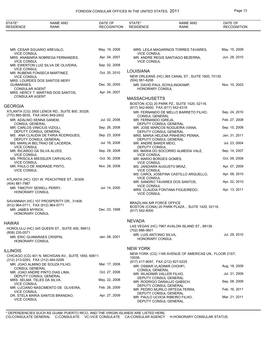| STATE*                                                | <b>NAME AND</b>                                              | DATE OF            | STATE*                                                           | <b>NAME AND</b>                                            | DATE OF            |
|-------------------------------------------------------|--------------------------------------------------------------|--------------------|------------------------------------------------------------------|------------------------------------------------------------|--------------------|
| <b>RESIDENCE</b>                                      | RANK                                                         | <b>RECOGNITION</b> | <b>RESIDENCE</b>                                                 | <b>RANK</b>                                                | <b>RECOGNITION</b> |
|                                                       |                                                              |                    |                                                                  |                                                            |                    |
|                                                       |                                                              |                    |                                                                  |                                                            |                    |
| <b>VICE CONSUL</b>                                    | MR. CESAR SGUARIO AREVALO,                                   | May. 19, 2006      | <b>VICE CONSUL</b>                                               | MRS. LEILA MAGARINOS TORRES TAVARES,                       | May. 15, 2009      |
| <b>VICE CONSUL</b>                                    | MRS. ANAMARIA NOBREGA FERNANDES,                             | Apr. 04, 2007      | <b>VICE CONSUL</b>                                               | MR. ANDRE REGIS SANTIAGO BEZERRA,                          | Jun. 28, 2010      |
| <b>VICE CONSUL</b>                                    | MR. EWERTON LUIZ SILVA DE OLIVEIRA,                          | Sep. 02, 2008      |                                                                  |                                                            |                    |
|                                                       | MR. RUBENS FONSECA MARTINEZ,                                 | Oct. 25, 2010      | <b>LOUISIANA</b>                                                 | NEW ORLEANS (HC) 365 CANAL ST., SUITE 1600, 70130.         |                    |
| <b>VICE CONSUL</b>                                    | MRS. LOURDES DOS SANTOS NERY                                 |                    | $(504) 561 - 6206$                                               |                                                            |                    |
| GUIMARAES,<br><b>CONSULAR AGENT</b>                   |                                                              | Dec. 30, 2005      | HONORARY CONSUL                                                  | MR. DAVID PAUL SCHULINGKAMP,                               | Nov. 10, 2003      |
|                                                       | MRS. HERCY T. MARTINS DOS SANTOS,                            | Apr. 04, 2007      |                                                                  |                                                            |                    |
| <b>CONSULAR AGENT</b>                                 |                                                              |                    | <b>MASSACHUSETTS</b>                                             |                                                            |                    |
| <b>GEORGIA</b>                                        |                                                              |                    | (617) 542-4000, FAX (617) 542-4318                               | BOSTON (CG) 20 PARK PZ., SUITE 1420, 02116.                |                    |
| (770) 885-9035, FAX (404) 949-2402                    | ATLANTA (CG) 3500 LENOX RD., SUITE 800, 30326.               |                    |                                                                  | MR. FERNANDO DE MELLO BARRETO FILHO,                       | Sep. 24, 2010      |
| MR. ADALNIO SENNA GANEM,                              |                                                              | Jul. 02, 2008      | <b>CONSUL GENERAL</b><br>MR. FERNANDO IGREJA,                    |                                                            | Feb. 27, 2008      |
| <b>CONSUL GENERAL</b><br>MR. CARLOS VINICIUS VIZIOLI, |                                                              | Sep. 26, 2008      |                                                                  | DEPUTY CONSUL GENERAL<br>MR. JOSE MARCOS NOGUEIRA VIANA.   | Sep. 15, 2008      |
|                                                       | DEPUTY CONSUL GENERAL<br>MS. ANA CLAUDIA DE FARIA RODRIGUES, | Sep. 23, 2009      |                                                                  | DEPUTY CONSUL GENERAL<br>MRS. MARIA HELENA PINHEIRO PENNA, | Jan. 31, 2011      |
|                                                       | DEPUTY CONSUL GENERAL<br>MS. MARILIA BELTRAO DE LACERDA,     | Jul. 16, 2008      | MR. ANDRE BAKER MEIO,                                            | DEPUTY CONSUL GENERAL                                      | Jul. 23, 0004      |
| <b>VICE CONSUL</b>                                    | MR. RICARDO DA SILVA ALVES,                                  | Sep. 29, 2008      | DEPUTY CONSUL                                                    | MS. MARIA DO SOCORRO ALMEIDA VALE,                         | Sep. 14, 2007      |
| <b>VICE CONSUL</b>                                    |                                                              | Oct. 30, 2008      | <b>VICE CONSUL</b>                                               |                                                            | Oct. 09, 2008      |
| <b>VICE CONSUL</b>                                    | MS. PRISCILA MIESSLER CARVALHO,                              |                    | MR. MARIO BORGES GOMES,<br><b>VICE CONSUL</b>                    |                                                            |                    |
| <b>VICE CONSUL</b>                                    | MR. PAULO DE ANDRADE PINTO,                                  | Nov. 28, 2008      | MS. JANDIARA AUGUSTO BRAZ,<br><b>VICE CONSUL</b>                 |                                                            | Apr. 07, 2009      |
|                                                       | ATLANTA (HC) 1201 W. PEACHTREE ST., 30309.                   |                    | <b>VICE CONSUL</b>                                               | MS. CAROL JOSEFINA CASTILLO ARGUELLO,                      | Apr. 09, 2010      |
| (404) 881-7987                                        |                                                              |                    | <b>VICE CONSUL</b>                                               | MR. SANDRO TAVARES DOS SANTOS,                             | Apr. 22, 2010      |
| MR. TIMOTHY SEWELL PERRY,<br><b>HONORARY CONSUL</b>   |                                                              | Jul. 14, 2000      | <b>VICE CONSUL</b>                                               | MRS. CLAUDIA FONTANA FIGUEIREDO,                           | Apr. 13, 2011      |
|                                                       |                                                              |                    |                                                                  |                                                            |                    |
| (912) 964-0711, FAX (912) 964-0771                    | SAVANNAH (HC) 107 PROSPERITY DR., 31408.                     |                    | BRAZILIAN AIR FORCE OFFICE                                       | BOSTON (CONA) 20 PARK PLAZA., SUITE 1420, 02116.           |                    |
| MR. JAMES MYRICK,<br>HONORARY CONSUL                  |                                                              | Dec. 03, 1998      | (617) 542-4000                                                   |                                                            |                    |
|                                                       |                                                              |                    | <b>NEVADA</b>                                                    |                                                            |                    |
| HAWAII                                                |                                                              |                    |                                                                  | LAS VEGAS (HC) 7967 AVALON ISLAND ST., 89139.              |                    |
| (808) 235-0571                                        | HONOLULU (HC) 345 QUEEN ST., SUITE 400, 96813.               |                    | $(702)$ 686-0601                                                 |                                                            |                    |
| HONORARY CONSUL                                       | MR. ERIC GUIMARAES CRISPIN,                                  | Jan. 08, 2001      | MR. LUIS ANTONIO SILVA,<br><b>HONORARY CONSUL</b>                |                                                            | Jul. 29, 2010      |
|                                                       |                                                              |                    | <b>NEW YORK</b>                                                  |                                                            |                    |
| <b>ILLINOIS</b>                                       |                                                              |                    |                                                                  | NEW YORK (CG) 1185 AVENUE OF AMERICAS UN., FLOOR 21ST,     |                    |
| (312) 213-0293, FAX (312) 464-0299                    | CHICAGO (CG) 401 N. MICHIGAN AV., SUITE 1850, 60611.         |                    | 10036.                                                           |                                                            |                    |
|                                                       | MR. JOAO ALMINO DE SOUZA FILHO,                              | Mar. 17, 2008      | (917) 417-8097, FAX (212) 827-0225<br>MR. OSMAR VLADIMIR CHOHFI, |                                                            | Aug. 18, 2009      |
| <b>CONSUL GENERAL</b>                                 | MR. JOAO ANDRE PINTO DIAS LIMA,                              | Oct. 27, 2008      | <b>CONSUL GENERAL</b><br>MR. WLADIMIR VALLER FILHO,              |                                                            | Jul. 31, 2009      |
| MRS. SELMA TELES DA SILVA,                            | DEPUTY CONSUL GENERAL                                        | May. 22, 2008      |                                                                  | DEPUTY CONSUL GENERAL<br>MR. RODRIGO DARAUJO GABSCH,       | Sep. 08, 2009      |
| <b>VICE CONSUL</b>                                    | MR. LUCIANO NASCIMENTO DE OLIVEIRA,                          | Feb. 26, 2009      |                                                                  | DEPUTY CONSUL GENERAL                                      |                    |
| <b>VICE CONSUL</b>                                    | DR. STELA MARIA SANTOS BRANDAO,                              | Apr. 27, 2009      |                                                                  | MR. PEDRO MURILO 0RTEGA TERRA,<br>DEPUTY CONSUL GENERAL    | Feb. 16, 2011      |
| <b>VICE CONSUL</b>                                    |                                                              |                    |                                                                  | MR. PAULO UCHOA RIBEIRO FILHO,<br>DEPUTY CONSUL GENERAL    | Mar. 21, 2011      |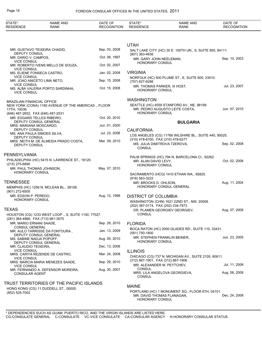| STATE*                                                        | <b>NAME AND</b>                                                                   | DATE OF            | STATE*                             | <b>NAME AND</b>                                                              | DATE OF            |
|---------------------------------------------------------------|-----------------------------------------------------------------------------------|--------------------|------------------------------------|------------------------------------------------------------------------------|--------------------|
| <b>RESIDENCE</b>                                              | <b>RANK</b>                                                                       | <b>RECOGNITION</b> | <b>RESIDENCE</b>                   | RANK                                                                         | <b>RECOGNITION</b> |
|                                                               |                                                                                   |                    |                                    |                                                                              |                    |
|                                                               |                                                                                   |                    | <b>UTAH</b>                        |                                                                              |                    |
| MR. GUSTAVO TEIXEIRA CHADID,                                  |                                                                                   | Sep. 03, 2008      |                                    | SALT LAKE CITY (HC) 30 E. 100TH UN., S, SUITE 950, 84111.                    |                    |
| <b>DEPUTY CONSUL</b>                                          |                                                                                   |                    | (801) 363-4936                     |                                                                              |                    |
| MR. DARIO V. CAMPOS,<br><b>VICE CONSUL</b>                    |                                                                                   | Oct. 08, 1997      | MR. GARY JOHN NEELEMAN,            |                                                                              | Sep. 10, 2003      |
|                                                               | MR. ROBERTO IVENS MELLO DE SOUZA,                                                 | Oct. 02, 2007      | <b>HONORARY CONSUL</b>             |                                                                              |                    |
| <b>VICE CONSUL</b><br>MS. ELIENE FONSECA CASTRO,              |                                                                                   | Jan. 02, 2008      | <b>VIRGINIA</b>                    |                                                                              |                    |
| <b>VICE CONSUL</b><br>MR. JOAO ANICETO LIMA NETO,             |                                                                                   | Sep. 15, 2008      |                                    | NORFOLK (HC) 500 PLUME ST., E, SUITE 600, 23510.                             |                    |
| <b>VICE CONSUL</b>                                            |                                                                                   |                    | (757) 627-6286                     | MR. THOMAS PARKER, III HOST,                                                 | Jul. 23, 2007      |
| <b>VICE CONSUL</b>                                            | MS. ALBA VALERIA PORTO SARDINHA,                                                  | Oct. 15, 2008      | <b>HONORARY CONSUL</b>             |                                                                              |                    |
|                                                               |                                                                                   |                    |                                    |                                                                              |                    |
| <b>BRAZILIAN FINANCIAL OFFICE</b>                             |                                                                                   |                    | <b>WASHINGTON</b>                  |                                                                              |                    |
| 17TH, 10036.                                                  | NEW YORK (CONA) 1180 AVENUE OF THE AMERICAS., FLOOR                               |                    |                                    | SEATTLE (HC) 4559 STANFORD AV., NE, 98199.<br>MR. PEDRO AUGUSTO LEITE COSTA, | Jun. 07, 2010      |
| (646) 487-2652, FAX (646) 487-2531                            |                                                                                   |                    | <b>HONORARY CONSUL</b>             |                                                                              |                    |
| MR. EDGARD TELLES RIBEIRO,<br>DEPUTY CONSUL GENERAL           |                                                                                   | Oct. 20, 2010      |                                    | <b>BULGARIA</b>                                                              |                    |
| MRS. MARIANA MOSCARDO,                                        |                                                                                   | Jun. 01, 2000      |                                    |                                                                              |                    |
| DEPUTY CONSUL<br>MS. ANA PAULA SIMOES SILVA,                  |                                                                                   | Jul. 23, 2008      | <b>CALIFORNIA</b>                  |                                                                              |                    |
| DEPUTY CONSUL                                                 |                                                                                   |                    | (310) 478-6700, FAX (310) 478-6277 | LOS ANGELES (CG) 11766 WILSHIRE BL., SUITE 440, 90025.                       |                    |
| DEPUTY CONSUL                                                 | MRS. NEITH M. DE ALMEIDA PRADO COSTA,                                             | Mar. 09, 2010      |                                    | MS. JULIA DIMITROVA TZEROVA,                                                 | Sep. 02, 2008      |
|                                                               |                                                                                   |                    | <b>CONSUL</b>                      |                                                                              |                    |
| PENNSYLVANIA                                                  |                                                                                   |                    |                                    | PALM SPRINGS (HC) 794 N. BARCELONA CI., 92262.                               |                    |
|                                                               | PHILADELPHIA (HC) 5415 N. LAWRENCE ST., 19120.                                    |                    | MR. ALAN DAVID LEVY,               |                                                                              | Oct. 02, 2008      |
| (215) 275-6890<br>MR. PAUL THOMAS JOHNSON,                    |                                                                                   | May. 07, 2010      | HONORARY CONSUL                    |                                                                              |                    |
| HONORARY CONSUL                                               |                                                                                   |                    |                                    | SACRAMENTO (HCG) 1410 ETHAN WA., 95825.                                      |                    |
|                                                               |                                                                                   |                    | $(916) 563 - 3222$                 |                                                                              |                    |
| TENNESSEE                                                     | MEMPHIS (HC) 1256 N. MCLEAN BL., 38108.                                           |                    | MR. BROOKS D. OHLSON,              | HONORARY CONSUL GENERAL                                                      | Aug. 11, 2004      |
| (901) 272-6505                                                |                                                                                   |                    |                                    |                                                                              |                    |
| MR. EDSON P. PEREDO,                                          |                                                                                   | Aug. 12, 1998      | <b>DISTRICT OF COLUMBIA</b>        |                                                                              |                    |
| HONORARY CONSUL                                               |                                                                                   |                    | (202) 387-0174, FAX (202) 234-7973 | WASHINGTON (CHN) 1621 22ND ST., NW, 20008.                                   |                    |
| <b>TEXAS</b>                                                  |                                                                                   |                    |                                    | DR. PLAMEN GEORGIEV GEORGIEV,                                                | Aug. 07, 2009      |
|                                                               | HOUSTON (CG) 1233 WEST LOOP ., S, SUITE 1150, 77027.                              |                    | <b>CONSUL</b>                      |                                                                              |                    |
| (281) 384-4966, FAX (713) 961-3070<br>MR. MARIO ERNANI SAADE, |                                                                                   | Sep. 29, 2010      |                                    |                                                                              |                    |
| CONSUL GENERAL                                                |                                                                                   |                    | <b>FLORIDA</b>                     | BOCA RATON (HC) 2000 GLADES RD., SUITE 110, 33431.                           |                    |
| DEPUTY CONSUL GENERAL                                         | MR. AULO TARRISSE DA FONTOURA,                                                    | Jan. 13, 2009      | (561) 750-1800                     |                                                                              |                    |
| MS. SABINE NADJA POPOFF,                                      |                                                                                   | Aug. 05, 2010      |                                    | MR. STEPHEN FRANKLIN BEINER,                                                 | Jun. 23, 2005      |
| DEPUTY CONSUL GENERAL<br>MR. CLAUDIO TEIXEIRA,                |                                                                                   | Dec. 13, 2006      | <b>HONORARY CONSUL</b>             |                                                                              |                    |
| <b>VICE CONSUL</b>                                            |                                                                                   |                    | <b>ILLINOIS</b>                    |                                                                              |                    |
| <b>VICE CONSUL</b>                                            | MRS. CARITA REZENDE DE CASTRO,                                                    | Mar. 24, 2008      |                                    | CHICAGO (CG) 737 N. MICHIGAN AV., SUITE 2105, 60611.                         |                    |
|                                                               | MRS. MARCIA MARIA MENEZES SAADE,                                                  | Sep. 29, 2010      | (312) 867-1901, FAX (312) 867-1906 | MR. ALEXANDER M. PEYTCHEV,                                                   | Jul. 11, 2006      |
| <b>VICE CONSUL</b>                                            | MR. FERNANDO A. DEFENSOR MOREIRA,                                                 | Aug. 20, 2007      | CONSUL                             |                                                                              |                    |
| <b>CONSULAR AGENT</b>                                         |                                                                                   |                    | CONSUL                             | MRS. LILA ANGELOVA GEORGIEVA,                                                | Aug. 06, 2009      |
|                                                               |                                                                                   |                    |                                    |                                                                              |                    |
|                                                               | TRUST TERRITORIES OF THE PACIFIC ISLANDS<br>HONG KONG (CG) 11 DUDDELL ST., 00000. |                    | <b>MAINE</b>                       |                                                                              |                    |
| (852) 525-7002                                                |                                                                                   |                    |                                    | PORTLAND (HC) 1 MONUMENT SQ., FLOOR 6TH, 04101.                              |                    |
|                                                               |                                                                                   |                    | HONORARY CONSUL                    | MR. DAVID THOMAS FLANAGAN,                                                   | Dec. 24, 2008      |
|                                                               |                                                                                   |                    |                                    |                                                                              |                    |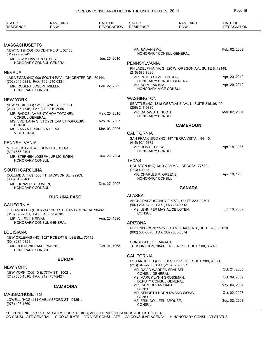| STATE*<br><b>RESIDENCE</b>                                      | <b>NAME AND</b><br><b>RANK</b>                       | DATE OF<br><b>RECOGNITION</b> | STATE*<br><b>RESIDENCE</b>                                      | <b>NAME AND</b><br>RANK                                | DATE OF<br><b>RECOGNITION</b> |
|-----------------------------------------------------------------|------------------------------------------------------|-------------------------------|-----------------------------------------------------------------|--------------------------------------------------------|-------------------------------|
|                                                                 |                                                      |                               |                                                                 |                                                        |                               |
| <b>MASSACHUSETTS</b>                                            |                                                      |                               |                                                                 |                                                        |                               |
| (617) 796-8242                                                  | NEWTON (HCG) 400 CENTRE ST., 02458.                  |                               | MR. SOVANN OU,                                                  | HONORARY CONSUL GENERAL                                | Feb. 02, 2009                 |
| MR. ADAM DAVID PORTNOY,                                         | <b>HONORARY CONSUL GENERAL</b>                       | Jun. 25, 2010                 |                                                                 |                                                        |                               |
|                                                                 |                                                      |                               | PENNSYLVANIA                                                    | PHILADELPHIA (HCG) 320 W. OREGON AV., SUITE 6, 19148.  |                               |
| <b>NEVADA</b>                                                   |                                                      |                               | (215) 586-8226                                                  |                                                        |                               |
|                                                                 | LAS VEGAS (HC) 900 SOUTH PAVILION CENTER DR., 89144. |                               | MR. PETER SAVOEUN SOK,                                          |                                                        | Apr. 20, 2010                 |
| (702) 240-0831, FAX (702) 240-0331<br>MR. ROBERT JOSEPH MILLER, |                                                      | Feb. 22, 2005                 | MR. SOPHEAK KIM,                                                | HONORARY CONSUL GENERAL                                | Apr. 29, 2010                 |
| HONORARY CONSUL                                                 |                                                      |                               | HONORARY VICE CONSUL                                            |                                                        |                               |
| <b>NEW YORK</b>                                                 |                                                      |                               | <b>WASHINGTON</b>                                               |                                                        |                               |
| (212) 935-4646, FAX (212) 319-5955                              | NEW YORK (CG) 121 E. 62ND ST., 10021.                |                               | (206) 217-0830                                                  | SEATTLE (HC) 1818 WESTLAKE AV., N, SUITE 315, 98109.   |                               |
|                                                                 | MR. RADOSLAV VENTCHOV TOTCHEV.                       | May. 28, 2010                 | MR. DARAVUTH HUOTH,<br><b>HONORARY CONSUL</b>                   |                                                        | Mar. 02, 2001                 |
| <b>CONSUL GENERAL</b>                                           | MS. SVETLANA S. STOYCHEVA ETROPOLSKI,                | Nov. 07, 2007                 |                                                                 |                                                        |                               |
| CONSUL                                                          |                                                      |                               |                                                                 | <b>CAMEROON</b>                                        |                               |
| MS. VANYA ILIYANOVA ILIEVA,<br><b>VICE CONSUL</b>               |                                                      | Mar. 03, 2006                 | <b>CALIFORNIA</b>                                               |                                                        |                               |
|                                                                 |                                                      |                               |                                                                 | SAN FRANCISCO (HC) 147 TERRA VISTA, 94115.             |                               |
| PENNSYLVANIA                                                    |                                                      |                               | (415) 921-5372                                                  |                                                        |                               |
| $(610)$ 565-9191                                                | MEDIA (HC) 201 W. FRONT ST., 19063.                  |                               | MR. DONALD LOW,<br><b>HONORARY CONSUL</b>                       |                                                        | Apr. 18, 1986                 |
|                                                                 | MR. STEPHEN JOSEPH, JR MC EWEN,                      | Jun. 29, 2004                 |                                                                 |                                                        |                               |
| HONORARY CONSUL                                                 |                                                      |                               | <b>TEXAS</b>                                                    |                                                        |                               |
| SOUTH CAROLINA                                                  |                                                      |                               | (713) 499-3502                                                  | HOUSTON (HC) 1319 GAMMA., CROSBY 77532.                |                               |
|                                                                 | COLUMBIA (HC) 4500 FT. JACKSON BL., 29209.           |                               | MR. CHARLES R. GREENE,                                          |                                                        | Apr. 18, 1986                 |
| (803) 540-3400                                                  |                                                      |                               | <b>HONORARY CONSUL</b>                                          |                                                        |                               |
| MR. DONALD R. TOMLIN,<br>HONORARY CONSUL                        |                                                      | Dec. 27, 2007                 |                                                                 | <b>CANADA</b>                                          |                               |
|                                                                 |                                                      |                               |                                                                 |                                                        |                               |
|                                                                 | <b>BURKINA FASO</b>                                  |                               | <b>ALASKA</b>                                                   | ANCHORAGE (CON) 310 K ST., SUITE 220, 99501.           |                               |
| <b>CALIFORNIA</b>                                               |                                                      |                               | (907) 264-6733, FAX (907) 264-6713                              |                                                        |                               |
|                                                                 | LOS ANGELES (HCG) 214 23RD ST., SANTA MONICA 90402.  |                               | <b>CONSUL</b>                                                   | MS. JENNIFER MAY ALICE LOTEN,                          | Jul. 16, 2009                 |
| (310) 393-2531, FAX (310) 393-0181<br>MR. ALLEN I. NEIMAN,      |                                                      | Aug. 20, 1980                 |                                                                 |                                                        |                               |
|                                                                 | HONORARY CONSUL GENERAL                              |                               | <b>ARIZONA</b>                                                  |                                                        |                               |
|                                                                 |                                                      |                               |                                                                 | PHOENIX (CON) 2575 E. CAMELBACK RD., SUITE 450, 85016. |                               |
| <b>LOUISIANA</b>                                                | NEW ORLEANS (HC) 1527 ROBERT E. LEE BL., 70112.      |                               | (602) 508-3573, FAX (602) 508-3574                              |                                                        |                               |
| (504) 284-6351                                                  |                                                      |                               | CONSULATE OF CANADA                                             |                                                        |                               |
| MR. JOHN WILLIAM ORMOND,<br>HONORARY CONSUL                     |                                                      | Oct. 04, 1968                 |                                                                 | TUCSON (CON) 1840 E. RIVER RD., SUITE 200, 85718.      |                               |
|                                                                 |                                                      |                               | <b>CALIFORNIA</b>                                               |                                                        |                               |
|                                                                 | <b>BURMA</b>                                         |                               |                                                                 | LOS ANGELES (CG) 550 S. HOPE ST., SUITE 900, 90071.    |                               |
| NEW YORK                                                        |                                                      |                               | (213) 346-2700, FAX (213) 620-8827<br>MR. DAVID WARREN FRANSEN, |                                                        | Oct. 21, 2008                 |
|                                                                 | NEW YORK (CG) 10 E. 77TH ST., 10021.                 |                               | CONSUL GENERAL                                                  |                                                        |                               |
| (212) 535-1310, FAX (212) 737-2421                              |                                                      |                               | MS. MARCY LYNN GROSSMAN,                                        | DEPUTY CONSUL GENERAL                                  | Oct. 09, 2009                 |
|                                                                 | <b>CAMBODIA</b>                                      |                               | MR. CARL BEVAN HARTILL,<br>CONSUL                               |                                                        | May. 04, 2007                 |
| <b>MASSACHUSETTS</b>                                            |                                                      |                               |                                                                 | MR. KENNETH HORN KWANG WONG,                           | Oct. 02, 2007                 |
|                                                                 | LOWELL (HCG) 111 CHELMSFORD ST., 01851.              |                               | CONSUL<br>MS. ERIN COLLEEN BROUSE,                              |                                                        | Sep. 02, 2008                 |
| (978) 408-1760                                                  |                                                      |                               | <b>CONSUL</b>                                                   |                                                        |                               |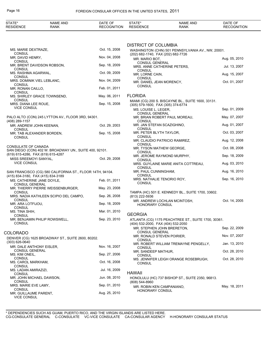| STATE*<br><b>RESIDENCE</b>                                      | NAME AND<br><b>RANK</b>                                   | DATE OF<br><b>RECOGNITION</b> | STATE*<br><b>RESIDENCE</b>                                     | <b>NAME AND</b><br><b>RANK</b>                      | DATE OF<br><b>RECOGNITION</b> |
|-----------------------------------------------------------------|-----------------------------------------------------------|-------------------------------|----------------------------------------------------------------|-----------------------------------------------------|-------------------------------|
|                                                                 |                                                           |                               |                                                                |                                                     |                               |
| MS. MARIE DEXTRAZE,                                             |                                                           | Oct. 15, 2008                 | <b>DISTRICT OF COLUMBIA</b>                                    | WASHINGTON (CHN) 501 PENNSYLVANIA AV., NW, 20001.   |                               |
| <b>CONSUL</b><br>MR. DAVID HENRY,                               |                                                           | Nov. 04, 2008                 | (202) 682-1740, FAX (202) 682-7726<br>MR. MARIO BOT.           |                                                     | Aug. 05, 2010                 |
| <b>CONSUL</b><br><b>CONSUL</b>                                  | MR. BRENT DAVIDSON ROBSON,                                | Sep. 18, 2009                 | <b>CONSUL GENERAL</b><br>MRS. ANNE CATHERINE PETERS,<br>CONSUL |                                                     | Jul. 13, 2007                 |
| MS. RASHMA AGARWAL,<br><b>CONSUL</b>                            |                                                           | Oct. 09, 2009                 | MR. LORNE CAIN,                                                |                                                     | Aug. 15, 2007                 |
| MRS. DOMINIK VIEL LEBLANC,<br><b>CONSUL</b>                     |                                                           | Nov. 04, 2009                 | <b>CONSUL</b><br>MR. DANIEL JEAN MORENCY,                      |                                                     | Oct. 01, 2007                 |
| MR. RONAN CAILLO,                                               |                                                           | Feb. 01, 2011                 | <b>CONSUL</b>                                                  |                                                     |                               |
| <b>CONSUL</b>                                                   | MS. SHIRLEY GRACE TOWNSEND,                               | May. 06, 2011                 | <b>FLORIDA</b>                                                 |                                                     |                               |
| <b>CONSUL</b><br>MRS. DIANA LEE ROUE,                           |                                                           | Sep. 15, 2008                 | (305) 579-1600, FAX (305) 374-6774                             | MIAMI (CG) 200 S. BISCAYNE BL., SUITE 1600, 33131.  |                               |
| <b>VICE CONSUL</b>                                              |                                                           |                               | MS. LOUISE L. LEGER.                                           |                                                     | Sep. 01, 2009                 |
| (408) 289-1157                                                  | PALO ALTO (CON) 245 LYTTON AV., FLOOR 3RD, 94301.         |                               | <b>CONSUL GENERAL</b><br>CONSUL                                | MR. BRIAN ROBERT PAUL MOREAU,                       | May. 07, 2007                 |
| MR. ANDREW JOHN KEENAN,                                         |                                                           | Oct. 29, 2003                 | MR. JAN STEFAN SCAZIGHINO,                                     |                                                     | Aug. 01, 2007                 |
| <b>CONSUL</b>                                                   | MR. TAB ALEXANDER BORDEN,                                 | Sep. 15, 2008                 | <b>CONSUL</b><br>MR. PETER BLYTH TAYLOR,                       |                                                     | Oct. 03, 2007                 |
| <b>CONSUL</b>                                                   |                                                           |                               | CONSUL<br>MR. CLAUDIO PATRICIO RAMIREZ,                        |                                                     | Aug. 12, 2008                 |
| CONSULATE OF CANADA                                             | SAN DIEGO (CON) 402 W. BROADWAY UN., SUITE 400, 92101.    |                               | <b>CONSUL</b><br>MR. TYSON MATHEW GEORGE,                      |                                                     | Oct. 08, 2008                 |
| (619) 615-4286, FAX (619) 615-4287                              |                                                           |                               | CONSUL<br>MR. JEROME RAYMOND MURPHY,                           |                                                     | Sep. 18, 2009                 |
| MISS SREEMOYI SANYAL,<br><b>VICE CONSUL</b>                     |                                                           | Oct. 29, 2008                 | CONSUL                                                         | MRS. GUYLAINE MARIE ANITA COTTREAU,                 | Aug. 03, 2010                 |
|                                                                 | SAN FRANCISCO (CG) 580 CALIFORNIA ST., FLOOR 14TH, 94104. |                               | CONSUL<br>MR. PAUL CUNNINGHAM,                                 |                                                     | Aug. 16, 2010                 |
| (415) 834-3180, FAX (415) 834-3189<br>MS. CATHERINE JANE DOYLE, |                                                           | Feb. 01, 2011                 | <b>CONSUL</b><br>MRS. NATHALIE TENORIO ROY,                    |                                                     | Sep. 16, 2010                 |
| <b>CONSUL GENERAL</b>                                           | MR. THIERRY PIERRE WEISSENBURGER,                         | May. 23, 2008                 | <b>CONSUL</b>                                                  |                                                     |                               |
| <b>CONSUL</b>                                                   |                                                           |                               |                                                                | TAMPA (HC) 501 E. KENNEDY BL., SUITE 1700, 33602.   |                               |
| <b>CONSUL</b>                                                   | MRS. NADIA KATHLEEN SCIPIO DEL CAMPO,                     | Sep. 26, 2008                 | (813) 222-5936                                                 | MR. ANDREW LOCHLAN MCINTOSH,                        | Oct. 14, 2005                 |
| MR. ARA LOTFIJOU.<br><b>CONSUL</b>                              |                                                           | Sep. 18, 2009                 | <b>HONORARY CONSUL</b>                                         |                                                     |                               |
| MS. TINA SHIH,<br><b>CONSUL</b>                                 |                                                           | Mar. 01, 2010                 | <b>GEORGIA</b>                                                 |                                                     |                               |
| CONSUL                                                          | MR. BENJAMIN PHILIP ROWSWELL,                             | Sep. 23, 2010                 | (404) 532-2000, FAX (404) 532-2050                             | ATLANTA (CG) 1175 PEACHTREE ST., SUITE 1700, 30361. |                               |
|                                                                 |                                                           |                               | MR. STEPHEN JOHN BRERETON,<br>CONSUL GENERAL                   |                                                     | Sep. 22, 2009                 |
| COLORADO                                                        | DENVER (CG) 1625 BROADWAY ST., SUITE 2600, 80202.         |                               | MR. RONALD STEVEN POIRIER,<br>CONSUL                           |                                                     | Nov. 07, 2007                 |
| $(303)$ 626-0640<br>MR. DALE ANTHONY EISLER,                    |                                                           | Nov. 16, 2007                 | CONSUL                                                         | MR. ROBERT WILLIAM TREMAYNE PENGELLY,               | Jan. 13, 2010                 |
| CONSUL GENERAL<br>MS. KIM ONEIL,                                |                                                           | Sep. 27, 2006                 | MR. SANDEEP MATHUR,                                            |                                                     | Oct. 28, 2010                 |
| CONSUL                                                          |                                                           |                               | CONSUL                                                         | MS. JENNIFER LEIGH ORANGE ROSEBRUGH,                | Oct. 28, 2010                 |
| MS. CAROL MARKHAM,<br><b>CONSUL</b>                             |                                                           | Oct. 16, 2008                 | <b>CONSUL</b>                                                  |                                                     |                               |
| MS. LADAN AMIRAZIZI,<br>CONSUL                                  |                                                           | Jul. 16, 2009                 | <b>HAWAII</b>                                                  |                                                     |                               |
| MR. JOHN MICHAEL DAWSON,<br>CONSUL                              |                                                           | Jun. 08, 2010                 | (808) 544-8960                                                 | HONOLULU (HC) 737 BISHOP ST., SUITE 2350, 96813.    |                               |
| MRS. MARIE EVE LAMY,                                            |                                                           | Sep. 01, 2010                 | MR. ROBIN KEN CAMPANIANO,                                      |                                                     | May. 18, 2011                 |
| CONSUL<br>MR. GUILLAUME PARENT,<br><b>VICE CONSUL</b>           |                                                           | Aug. 25, 2010                 | <b>HONORARY CONSUL</b>                                         |                                                     |                               |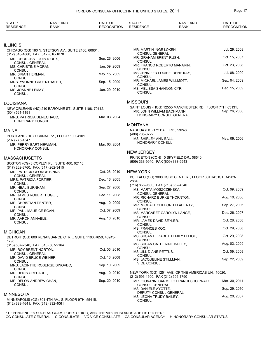| STATE*<br><b>RESIDENCE</b>                                      | <b>NAME AND</b><br><b>RANK</b>                                | DATE OF<br><b>RECOGNITION</b> | STATE*<br><b>RESIDENCE</b>                         | <b>NAME AND</b><br><b>RANK</b>                                                          | DATE OF<br><b>RECOGNITION</b> |
|-----------------------------------------------------------------|---------------------------------------------------------------|-------------------------------|----------------------------------------------------|-----------------------------------------------------------------------------------------|-------------------------------|
|                                                                 |                                                               |                               |                                                    |                                                                                         |                               |
| <b>ILLINOIS</b>                                                 |                                                               |                               |                                                    |                                                                                         |                               |
|                                                                 | CHICAGO (CG) 180 N. STETSON AV., SUITE 2400, 60601.           |                               | MR. MARTIN INGE LOKEN,                             |                                                                                         | Jul. 29, 2008                 |
| (312) 616-1860, FAX (312) 616-1878<br>MR. GEORGES LOUIS RIOUX,  |                                                               | Sep. 26, 2006                 | <b>CONSUL GENERAL</b><br>MR. GRAHAM BRENT RUSH,    |                                                                                         | Oct. 15, 2007                 |
| <b>CONSUL GENERAL</b>                                           |                                                               |                               | <b>CONSUL</b>                                      | MR. FRANCO ROBERTO MANARIN,                                                             | Oct. 23, 2008                 |
| MS. CHRISTINE MORAN,<br><b>CONSUL</b>                           |                                                               | Jan. 09, 2009                 | CONSUL                                             |                                                                                         | Jul. 08, 2009                 |
| MR. BRIAN HERMAN,<br><b>CONSUL</b>                              |                                                               | May. 15, 2009                 | <b>CONSUL</b>                                      | MS. JENNIFER LOUISE IRENE KAY,                                                          |                               |
| MRS. YVONNE GRUENTHALER,                                        |                                                               | Sep. 15, 2009                 | <b>CONSUL</b>                                      | MR. MICHAEL JAMES WILLMOTT,                                                             | Sep. 04, 2009                 |
| <b>CONSUL</b><br>MS. JOANNE LEMAY,<br><b>CONSUL</b>             |                                                               | Jan. 29, 2010                 | MS. MELISSA SHANNON CYR,<br><b>CONSUL</b>          |                                                                                         | Dec. 15, 2009                 |
| <b>LOUISIANA</b>                                                |                                                               |                               | <b>MISSOURI</b>                                    |                                                                                         |                               |
|                                                                 | NEW ORLEANS (HC) 210 BARONNE ST., SUITE 1108, 70112.          |                               |                                                    | SAINT LOUIS (HCG) 12555 MANCHESTER RD., FLOOR 7TH, 63131.<br>MR. JOHN WILLIAM BACHMANN. | Sep. 26, 2006                 |
| $(504) 561-1191$<br>MRS. PATRICIA DENECHAUD,<br>HONORARY CONSUL |                                                               | Mar. 03, 2004                 |                                                    | HONORARY CONSUL GENERAL                                                                 |                               |
|                                                                 |                                                               |                               | <b>MONTANA</b>                                     |                                                                                         |                               |
| <b>MAINE</b>                                                    |                                                               |                               | NASHUA (HC) 172 BALL RD., 59248.<br>(406) 785-3722 |                                                                                         |                               |
| (207) 775-1547                                                  | PORTLAND (HC) 1 CANAL PZ., FLOOR 10, 04101.                   |                               | MS. SHIRLEY ANN BALL,                              |                                                                                         | May. 09, 2006                 |
| MR. PERRY BART NEWMAN,                                          |                                                               | Mar. 03, 2004                 | <b>HONORARY CONSUL</b>                             |                                                                                         |                               |
| HONORARY CONSUL                                                 |                                                               |                               | <b>NEW JERSEY</b>                                  |                                                                                         |                               |
| <b>MASSACHUSETTS</b>                                            |                                                               |                               |                                                    | PRINCETON (CON) 10 SKYFIELD DR., 08540.                                                 |                               |
|                                                                 | BOSTON (CG) 3 COPLEY PL., SUITE 400, 02116.                   |                               | (609) 333-9940, FAX (609) 333-9943                 |                                                                                         |                               |
| (617) 262-3760, FAX (617) 262-3415<br>MR. PATRICK GEORGE BINNS. |                                                               | Oct. 26, 2010                 | <b>NEW YORK</b>                                    |                                                                                         |                               |
| <b>CONSUL GENERAL</b><br>MRS. PATRICIA FORTIER,                 |                                                               | Dec. 16, 2005                 |                                                    | BUFFALO (CG) 3000 HSBC CENTER., FLOOR 30TH&31ST, 14203-                                 |                               |
| <b>CONSUL</b>                                                   |                                                               |                               | 2884.<br>(716) 858-9500, FAX (716) 852-4340        |                                                                                         |                               |
| MR. NEAL BURNHAM,<br><b>CONSUL</b>                              |                                                               | Sep. 27, 2006                 | MS. MARTA MOSZCZENSKA.                             |                                                                                         | Oct. 09, 2009                 |
| MR. JAMES ROBERT HUGET,                                         |                                                               | Dec. 11, 2008                 | <b>CONSUL GENERAL</b>                              | MR. RICHARD BURKE THORNTON,                                                             | Aug. 10, 2006                 |
| <b>CONSUL</b><br>MR. CHRISTIAN DENTER,                          |                                                               | Aug. 10, 2009                 | <b>CONSUL</b>                                      | MR. MICHAEL CLIFFORD FLAHERTY,                                                          | Sep. 27, 2006                 |
| <b>CONSUL</b><br>MR. PAUL MAURICE EGAN,                         |                                                               | Oct. 07, 2009                 | <b>CONSUL</b>                                      |                                                                                         |                               |
| <b>CONSUL</b>                                                   |                                                               |                               | CONSUL                                             | MS. MARGARET CAROLYN LANGE,                                                             | Dec. 26, 2007                 |
| MR. AARON ANNABLE,<br><b>CONSUL</b>                             |                                                               | Aug. 16, 2010                 | MR. JAMES DAVID SEYLER,<br>CONSUL                  |                                                                                         | Oct. 28, 2008                 |
|                                                                 |                                                               |                               | MS. FRANCES KOO,                                   |                                                                                         | Oct. 29, 2008                 |
| <b>MICHIGAN</b>                                                 | DETROIT (CG) 600 RENAISSANCE CTR. ., SUITE 1100, R650, 48243- |                               | CONSUL                                             | MS. SUSAN ELIZABETH EMILY ELLIOT.                                                       | Oct. 29, 2008                 |
| 1798.                                                           |                                                               |                               | CONSUL                                             | MS. SUSAN CATHERINE BAILEY,                                                             | Aug. 03, 2009                 |
| (313) 567-2340, FAX (313) 567-2164<br>MR. ROY BRENT NORTON,     |                                                               | Oct. 05, 2010                 | <b>CONSUL</b>                                      |                                                                                         |                               |
| <b>CONSUL GENERAL</b>                                           |                                                               | Oct. 16, 2008                 | MS. JILL DIANE PETTUS,<br>CONSUL                   |                                                                                         | Oct. 09, 2009                 |
| MR. DAVID BRUCE WEINER,<br><b>CONSUL</b>                        |                                                               |                               | MS. JACQUELINE STILLMAN,                           |                                                                                         | Sep. 22, 2009                 |
| <b>CONSUL</b>                                                   | MRS. JACINTHE ROBERGE BINOVEC,                                | Sep. 10, 2009                 | <b>VICE CONSUL</b>                                 |                                                                                         |                               |
| MR. DENIS CREPAULT,                                             |                                                               | Aug. 10, 2010                 |                                                    | NEW YORK (CG) 1251 AVE. OF THE AMERICAS UN., 10020.                                     |                               |
| <b>CONSUL</b><br>MR. DELON ANDREW CHAN,                         |                                                               | Sep. 20, 2010                 | (212) 596-1600, FAX (212) 596-1790                 | MR. GIOVANNI CARMELO FRANCESCO PRATO,                                                   | Mar. 30, 2011                 |
| <b>CONSUL</b>                                                   |                                                               |                               | <b>CONSUL GENERAL</b><br>MS. DANIELE AYOTTE,       |                                                                                         | Sep. 29, 2010                 |
| <b>MINNESOTA</b>                                                |                                                               |                               |                                                    | DEPUTY CONSUL GENERAL                                                                   |                               |
| (612) 333-4641, FAX (612) 332-4061                              | MINNEAPOLIS (CG) 701 4TH AV., S, FLOOR 9TH, 55415.            |                               | MS. LEONA TRUDY BAILEY,<br><b>CONSUL</b>           |                                                                                         | Aug. 20, 2007                 |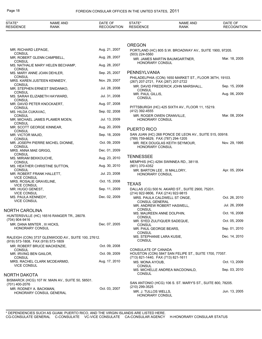| STATE*<br><b>RESIDENCE</b>                    | NAME AND<br><b>RANK</b>                            | DATE OF<br><b>RECOGNITION</b> | STATE*<br><b>RESIDENCE</b>                                | <b>NAME AND</b><br><b>RANK</b>                             | DATE OF<br><b>RECOGNITION</b> |
|-----------------------------------------------|----------------------------------------------------|-------------------------------|-----------------------------------------------------------|------------------------------------------------------------|-------------------------------|
|                                               |                                                    |                               |                                                           |                                                            |                               |
|                                               |                                                    |                               | <b>OREGON</b>                                             |                                                            |                               |
| MR. RICHARD LEPAGE,<br><b>CONSUL</b>          |                                                    | Aug. 21, 2007                 | (503) 224-5560                                            | PORTLAND (HC) 805 S.W. BROADWAY AV., SUITE 1900, 97205.    |                               |
| CONSUL                                        | MR. ROBERT GLENN CAMPBELL,                         | Aug. 28, 2007                 |                                                           | MR. JAMES MARTIN BAUMGARTNER,                              | Mar. 18, 2005                 |
| CONSUL                                        | MS. NATHALIE MARY HELEN BECHAMP,                   | Aug. 28, 2007                 | HONORARY CONSUL                                           |                                                            |                               |
| MS. MARY ANNE JOAN DEHLER,<br><b>CONSUL</b>   |                                                    | Sep. 25, 2007                 | <b>PENNSYLVANIA</b>                                       |                                                            |                               |
|                                               | MRS. KAREN JUSTEEN KENNEDY,                        | Nov. 29, 2007                 | (267) 207-2721, FAX (267) 207-2722                        | PHILADELPHIA (CON) 1650 MARKET ST., FLOOR 36TH, 19103.     |                               |
| CONSUL                                        | MR. STEPHEN ERNEST SNIDANKO,                       | Jul. 28, 2008                 | <b>CONSUL</b>                                             | MR. DAVID FREDERICK JOHN MARSHALL,                         | Sep. 15, 2008                 |
| <b>CONSUL</b>                                 | MS. SARAH ELIZABETH HAYWARD,                       | Jul. 31, 2008                 | MR. PAUL GILLIS,<br><b>CONSUL</b>                         |                                                            | Aug. 06, 2009                 |
| CONSUL<br>MR. DAVID PETER KNOCKAERT,          |                                                    | Aug. 07, 2008                 |                                                           |                                                            |                               |
| <b>CONSUL</b><br>MS. HILDA CUKAVAC,           |                                                    | Sep. 02, 2008                 | (412) 392-4555                                            | PITTSBURGH (HC) 425 SIXTH AV., FLOOR 11, 15219.            |                               |
| CONSUL                                        | MR. MICHAEL JAMES PLAMER MOEN,                     | Jul. 13, 2009                 | HONORARY CONSUL                                           | MR. ROGER OWEN CRANVILLE,                                  | Mar. 08, 2004                 |
| CONSUL<br>MR. SCOTT GEORGE KINNEAR,           |                                                    | Aug. 20, 2009                 | PUERTO RICO                                               |                                                            |                               |
| CONSUL<br>MR. VICTOR MAJID,                   |                                                    | Sep. 18, 2009                 |                                                           | SAN JUAN (HC) 268 PONCE DE LEON AV., SUITE 515, 00918.     |                               |
| CONSUL                                        | MR. JOSEPH PIERRE MICHEL DIONNE,                   | Oct. 09, 2009                 | (789) 759-6629, FAX (787) 294-1205                        | MR. REX DOUGLAS KEITH SEYMOUR,                             | Nov. 29, 1995                 |
| CONSUL<br>MRS. ANNA MAE GRIGG,                |                                                    | Dec. 01, 2009                 | HONORARY CONSUL                                           |                                                            |                               |
| <b>CONSUL</b><br>MS. MIRIAM BEKKOUCHE,        |                                                    | Aug. 23, 2010                 | <b>TENNESSEE</b>                                          |                                                            |                               |
| CONSUL                                        | MS. HEATHER CHRISTINE SUTTON,                      | Aug. 30, 2010                 | (901) 370-4352                                            | MEMPHIS (HC) 4294 SWINNEA RD., 38118.                      |                               |
| <b>CONSUL</b><br>MR. ROBERT FRANK HALLETT,    |                                                    | Jul. 23, 2008                 | HONORARY CONSUL                                           | MR. BARTON LEE, III MALLORY,                               | Apr. 05, 2004                 |
| <b>VICE CONSUL</b><br>MRS. ROSALIE GRAVELINE, |                                                    | Oct. 15, 2008                 |                                                           |                                                            |                               |
| <b>VICE CONSUL</b><br>MR. HUGO GENEST,        |                                                    | Sep. 11, 2009                 | <b>TEXAS</b>                                              | DALLAS (CG) 500 N. AKARD ST., SUITE 2900, 75201.           |                               |
| <b>VICE CONSUL</b><br>MS. PAULA KENNEDY,      |                                                    | Dec. 02, 2009                 | (214) 922-9806, FAX (214) 922-9815                        |                                                            |                               |
| <b>VICE CONSUL</b>                            |                                                    |                               | <b>CONSUL GENERAL</b>                                     | MRS. PAULA CALDWELL ST ONGE,                               | Oct. 26, 2010                 |
| NORTH CAROLINA                                |                                                    |                               | <b>CONSUL</b>                                             | MR. ANDREW ROBERT HASWELL,                                 | Jul. 26, 2008                 |
|                                               | HUNTERSVILLE (HC) 16516 RANGER TR., 28078.         |                               | MS. MAUREEN ANNE DOLPHIN,<br><b>CONSUL</b>                |                                                            | Oct. 16, 2008                 |
| (704) 904-9416<br>MR. DANA MINTER, III HICKS, |                                                    | Dec. 07, 2005                 | <b>CONSUL</b>                                             | MR. SYED ZULFIQUER SADEQUE,                                | Oct. 05, 2009                 |
| <b>HONORARY CONSUL</b>                        |                                                    |                               | MR. PAUL GEORGE BEARS,<br><b>CONSUL</b>                   |                                                            | Sep. 01, 2010                 |
| (919) 573-1808, FAX (919) 573-1809            | RALEIGH (CON) 3737 GLENWOOD AV., SUITE 100, 27612. |                               | MS. STEPHANIE LARA KUSIE,<br><b>CONSUL</b>                |                                                            | Dec. 14, 2010                 |
|                                               | MR. ROBERT BRUCE MACKENZIE,                        | Oct. 09, 2008                 |                                                           |                                                            |                               |
| CONSUL<br>MR. IRVING BEN GAILOR,              |                                                    | Oct. 09, 2009                 | CONSULATE OF CANADA<br>(713) 821-1440, FAX (713) 821-1611 | HOUSTON (CON) 5847 SAN FELIPE ST., SUITE 1700, 77057.      |                               |
| CONSUL                                        | MRS. RACHEL CLARK MCDEARMID,                       | Aug. 17, 2010                 | MS. MONA AYOUB,                                           |                                                            | Oct. 13, 2009                 |
| <b>VICE CONSUL</b>                            |                                                    |                               | <b>CONSUL</b>                                             | MS. MICHELLE ANDREA MACDONALD,                             | Sep. 03, 2010                 |
| NORTH DAKOTA                                  |                                                    |                               | <b>CONSUL</b>                                             |                                                            |                               |
| (701) 400-2076                                | BISMARCK (HCG) 107 W. MAIN AV., SUITE 50, 58501.   |                               |                                                           | SAN ANTONIO (HCG) 106 S. ST. MARY'S ST., SUITE 800, 78205. |                               |
| MR. RODNEY A. BACKMAN,                        | HONORARY CONSUL GENERAL                            | Oct. 03, 2007                 | (210) 299-3525<br>MR. J. TULLOS WELLS,<br>HONORARY CONSUL |                                                            | Jun. 13, 2005                 |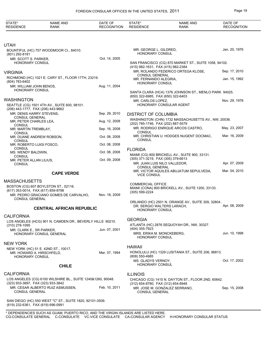| STATE*<br><b>RESIDENCE</b>                                 | <b>NAME AND</b><br>RANK                                     | DATE OF<br><b>RECOGNITION</b> | STATE*<br><b>RESIDENCE</b>                                            | <b>NAME AND</b><br><b>RANK</b>                        | DATE OF<br><b>RECOGNITION</b> |
|------------------------------------------------------------|-------------------------------------------------------------|-------------------------------|-----------------------------------------------------------------------|-------------------------------------------------------|-------------------------------|
|                                                            |                                                             |                               |                                                                       |                                                       |                               |
| <b>UTAH</b>                                                |                                                             |                               |                                                                       |                                                       |                               |
| (801) 292-8181                                             | BOUNTIFUL (HC) 757 WOODMOOR CI., 84010.                     |                               | MR. GEORGE L. GILDRED,<br><b>HONORARY CONSUL</b>                      |                                                       | Jan. 20, 1976                 |
| MR. SCOTT S. PARKER,<br>HONORARY CONSUL                    |                                                             | Oct. 14, 2005                 |                                                                       | SAN FRANCISCO (CG) 870 MARKET ST., SUITE 1058, 94102. |                               |
| <b>VIRGINIA</b>                                            |                                                             |                               | (415) 982-1631, FAX (415) 982-2384                                    | MR. ROLANDO FEDERICO ORTEGA KLOSE,                    | Sep. 17, 2010                 |
| (804) 783-6402                                             | RICHMOND (HC) 1021 E. CARY ST., FLOOR 17TH, 23219.          |                               | CONSUL GENERAL<br>MR. FERNANDO ALEGRIA,<br>HONORARY CONSUL            |                                                       | Jan. 15, 1992                 |
| MR. WILLIAM JOHN BENOS,<br><b>HONORARY CONSUL</b>          |                                                             | Aug. 11, 2004                 |                                                                       | SANTA CLARA (HCA) 1376 JOHNSON ST., MENLO PARK 94025. |                               |
| WASHINGTON                                                 |                                                             |                               | (650) 322-6985, FAX (650) 322-6403                                    |                                                       |                               |
| (206) 443-1777, FAX (206) 443-9662                         | SEATTLE (CG) 1501 4TH AV., SUITE 600, 98101.                |                               | MR. CARLOS LOPEZ,                                                     | HONORARY CONSULAR AGENT                               | Nov. 29, 1976                 |
| MR. DENIS HARRY STEVENS.                                   |                                                             | Sep. 29, 2010                 | <b>DISTRICT OF COLUMBIA</b>                                           |                                                       |                               |
| <b>CONSUL GENERAL</b><br>MR. PETER CHARLES LEA,<br>CONSUL  |                                                             | Aug. 12, 2008                 | (202) 785-1746, FAX (202) 887-5579                                    | WASHINGTON (CHN) 1732 MASSACHUSETTS AV., NW, 20036.   |                               |
| MR. MARTIN TREMBLAY,                                       |                                                             | Sep. 16, 2008                 | CONSUL                                                                | MR. RODRIGO ENRIQUE ARCOS CASTRO.                     | May. 23, 2007                 |
| <b>CONSUL</b><br>MR. DUANE ANDREW ROBSON,<br><b>CONSUL</b> |                                                             | Oct. 08, 2008                 | <b>CONSUL</b>                                                         | MR. CHRISTIAN U. HODGES NUGENT DOCMAC,                | Mar. 16, 2009                 |
| MR. ROBERTO LUIGI FOSCO,                                   |                                                             | Oct. 08, 2008                 |                                                                       |                                                       |                               |
| <b>CONSUL</b><br>MS. WENDY BALDWIN,<br><b>CONSUL</b>       |                                                             | Oct. 08, 2008                 | <b>FLORIDA</b>                                                        | MIAMI (CG) 800 BRICKELL AV., SUITE 900, 33131.        |                               |
| MR. PETER ALLAN LILIUS,<br><b>CONSUL</b>                   |                                                             | Oct. 09, 2008                 | (305) 371-3219, FAX (305) 379-6613<br>MR. JUAN LUIS NILO VALLEDOR,    |                                                       | Apr. 07, 2009                 |
|                                                            | <b>CAPE VERDE</b>                                           |                               | <b>CONSUL GENERAL</b><br><b>VICE CONSUL</b>                           | MR. VICTOR AQUILES ABUJATUM SEPULVEDA,                | Mar. 04, 2010                 |
| <b>MASSACHUSETTS</b>                                       |                                                             |                               |                                                                       |                                                       |                               |
|                                                            | BOSTON (CG) 607 BOYLSTON ST., 02116.                        |                               | <b>COMMERCIAL OFFICE</b>                                              | MIAMI (CONA) 800 BRICKELL AV., SUITE 1200, 33133.     |                               |
| (617) 353-0014, FAX (617) 859-9798                         | MR. PEDRO GRACIANO GOMES DE CARVALHO.                       | Nov. 18, 2009                 | (305) 599-2224                                                        |                                                       |                               |
| <b>CONSUL GENERAL</b>                                      |                                                             |                               |                                                                       | ORLANDO (HC) 2501 N. ORANGE AV., SUITE 309, 32804.    |                               |
|                                                            | <b>CENTRAL AFRICAN REPUBLIC</b>                             |                               | DR. SERGIO WALTERS LARACH,<br><b>HONORARY CONSUL</b>                  |                                                       | Apr. 08, 2009                 |
| <b>CALIFORNIA</b>                                          |                                                             |                               | <b>GEORGIA</b>                                                        |                                                       |                               |
| $(310)$ 278-1095                                           | LOS ANGELES (HCG) 901 N. CAMDEN DR., BEVERLY HILLS 90210.   |                               |                                                                       | ATLANTA (HC) 2876 SEQUOYAH DR., NW, 30327.            |                               |
| MR. CLARK E., SR PARKER,                                   | HONORARY CONSUL GENERAL                                     | Jun. 07, 2001                 | (404) 355-7923<br>MRS. ERIKA M. MONCKEBERG,<br><b>HONORARY CONSUL</b> |                                                       | Jun. 10, 1998                 |
| <b>NEW YORK</b>                                            |                                                             |                               |                                                                       |                                                       |                               |
|                                                            | NEW YORK (HC) 51 E. 42ND ST., 10017.                        |                               | <b>HAWAII</b>                                                         |                                                       |                               |
| MR. HOWARD A. HIRSCHFELD,<br>HONORARY CONSUL               |                                                             | Mar. 07, 1994                 | (808) 550-4985                                                        | HONOLULU (HC) 1329 LUSITANIA ST., SUITE 206, 96813.   |                               |
|                                                            | <b>CHILE</b>                                                |                               | MS. GLADYS VERNOY,<br><b>HONORARY CONSUL</b>                          |                                                       | Oct. 17, 2002                 |
| <b>CALIFORNIA</b>                                          |                                                             |                               | <b>ILLINOIS</b>                                                       |                                                       |                               |
| (323) 933-3697, FAX (323) 933-3842                         | LOS ANGELES (CG) 6100 WILSHIRE BL., SUITE 1240&1260, 90048. |                               | (312) 654-8780, FAX (312) 654-8948                                    | CHICAGO (CG) 1415 N. DAYTON ST., FLOOR 2ND, 60642.    |                               |
| CONSUL GENERAL                                             | MR. CESAR ALBERTO RUIZ ASMUSSEN,                            | Feb. 10, 2011                 | CONSUL GENERAL                                                        | MR. JOSE M. GONZALEZ SERRANO,                         | Sep. 15, 2008                 |
| (619) 232-6361, FAX (619) 696-0991                         | SAN DIEGO (HC) 550 WEST "C" ST., SUITE 1820, 92101-3509.    |                               |                                                                       |                                                       |                               |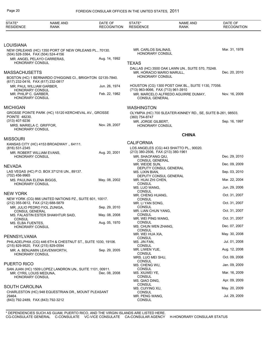| STATE*<br><b>RESIDENCE</b>                                           | <b>NAME AND</b><br><b>RANK</b>                               | DATE OF<br><b>RECOGNITION</b> | STATE*<br><b>RESIDENCE</b>                                                       | <b>NAME AND</b><br><b>RANK</b>                               | DATE OF<br><b>RECOGNITION</b> |
|----------------------------------------------------------------------|--------------------------------------------------------------|-------------------------------|----------------------------------------------------------------------------------|--------------------------------------------------------------|-------------------------------|
|                                                                      |                                                              |                               |                                                                                  |                                                              |                               |
| <b>LOUISIANA</b>                                                     |                                                              |                               |                                                                                  |                                                              |                               |
| (504) 528-3364, FAX (504) 524-4156                                   | NEW ORLEANS (HC) 1350 PORT OF NEW ORLEANS PL., 70130.        |                               | MR. CARLOS SALINAS,<br><b>HONORARY CONSUL</b>                                    |                                                              | Mar. 31, 1978                 |
| HONORARY CONSUL                                                      | MR. ANGEL PELAYO CARRERAS,                                   | Aug. 14, 1992                 | <b>TEXAS</b>                                                                     |                                                              |                               |
| <b>MASSACHUSETTS</b><br>(617) 232-0416, FAX (617) 232-0817           | BOSTON (HC) 1 BERNARDO O'HIGGINS CI., BRIGHTON 02135-7840.   |                               | MR. HORACIO MARIO MARULL.<br><b>HONORARY CONSUL</b>                              | DALLAS (HC) 3500 OAK LAWN UN., SUITE 570, 75248.             | Dec. 20, 2010                 |
| MR. PAUL WILLIAM GARBER,                                             |                                                              | Jun. 26, 1974                 |                                                                                  | HOUSTON (CG) 1300 POST OAK BL., SUITE 1130, 77056.           |                               |
| HONORARY CONSUL<br>MR. PHILIP C. GARBER,<br><b>HONORARY CONSUL</b>   |                                                              | Feb. 22, 1982                 | (713) 963-9066, FAX (713) 961-3910<br><b>CONSUL GENERAL</b>                      | MR. MARCELO ALFREDO AGUIRRE DUMAY,                           | Nov. 16, 2009                 |
| <b>MICHIGAN</b>                                                      |                                                              |                               | <b>WASHINGTON</b>                                                                |                                                              |                               |
| <b>POINTE 48230.</b>                                                 | GROSSE POINTE PARK (HC) 15120 KERCHEVAL AV., GROSSE          |                               | (360) 754-8747                                                                   | OLYMPIA (HC) 700 SLEATER-KINNEY RD., SE, SUITE B-261, 98503. |                               |
| (313) 407-9236<br>MRS. MARIELA C. GRIFFOR,<br><b>HONORARY CONSUL</b> |                                                              | Nov. 28, 2007                 | MR. JORGE GILBERT.<br>HONORARY CONSUL                                            |                                                              | Sep. 16, 1997                 |
| <b>MISSOURI</b>                                                      |                                                              |                               |                                                                                  | <b>CHINA</b>                                                 |                               |
|                                                                      | KANSAS CITY (HC) 4153 BROADWAY ., 64111.                     |                               | <b>CALIFORNIA</b>                                                                |                                                              |                               |
| (816) 531-2345                                                       |                                                              |                               |                                                                                  | LOS ANGELES (CG) 443 SHATTO PL., 90020.                      |                               |
| MR. ROBERT WILLIAM EVANS,<br><b>HONORARY CONSUL</b>                  |                                                              | Aug. 20, 2001                 | (213) 380-2506, FAX (213) 380-1961<br>MR. SHAOFANG QIU,<br><b>CONSUL GENERAL</b> |                                                              | Dec. 29, 2010                 |
| <b>NEVADA</b>                                                        |                                                              |                               | MR. WEIDE SUN,                                                                   |                                                              | Dec. 09, 2009                 |
|                                                                      | LAS VEGAS (HC) P.O. BOX 371216 UN., 89137.                   |                               | MS. LIXIN BIAN,                                                                  | DEPUTY CONSUL GENERAL                                        | Sep. 03, 2010                 |
| (702) 456-9965<br>MS. PAULINA ELENA BIGGS,                           |                                                              | May. 08, 2002                 | MR. HUAI ZHI CHEN,                                                               | DEPUTY CONSUL GENERAL                                        | Mar. 22, 2004                 |
| <b>HONORARY CONSUL</b>                                               |                                                              |                               | CONSUL<br>MS. LUO WANG,                                                          |                                                              | Jun. 29, 2006                 |
| <b>NEW YORK</b>                                                      |                                                              |                               | CONSUL<br>MR. CHENG HUANG,                                                       |                                                              | Oct. 31, 2007                 |
| (212) 355-0612, FAX (212) 688-5879                                   | NEW YORK (CG) 866 UNITED NATIONS PZ., SUITE 601, 10017.      |                               | CONSUL<br>MR. LI YAN SONG,                                                       |                                                              | Oct. 31, 2007                 |
| MR. JULIO PEDRO FIOL ZUNIGA,                                         |                                                              | Sep. 29, 2010                 | CONSUL                                                                           |                                                              | Oct. 31, 2007                 |
| <b>CONSUL GENERAL</b>                                                | MS. FALASTIN ESTER SHAKHTUR SAID,                            | May. 08, 2008                 | MR. LIAN CHUN YANG,<br><b>CONSUL</b>                                             |                                                              |                               |
| <b>CONSUL</b><br>MS. ELBA FUENTES,                                   |                                                              | Aug. 05, 1970                 | MR. WEI PING WANG,<br><b>CONSUL</b>                                              |                                                              | Oct. 31, 2007                 |
| <b>HONORARY CONSUL</b>                                               |                                                              |                               | MS. CHUN WEN ZHANG,<br><b>CONSUL</b>                                             |                                                              | Dec. 07, 2007                 |
| <b>PENNSYLVANIA</b>                                                  |                                                              |                               | MR. WEI HUA XIA,<br><b>CONSUL</b>                                                |                                                              | May. 30, 2008                 |
| (215) 829-9520, FAX (215) 829-0594                                   | PHILADELPHIA (CG) 446 6TH & CHESTNUT ST., SUITE 1030, 19106. |                               | MS. JIN FAN,<br><b>CONSUL</b>                                                    |                                                              | Jul. 01, 2008                 |
|                                                                      | MR. A. BENJAMIN LEAVENWORTH.                                 | Sep. 29, 2005                 | MR. LIWEN YUE,<br>CONSUL                                                         |                                                              | Aug. 12, 2008                 |
| HONORARY CONSUL                                                      |                                                              |                               | MRS. LUO MEI SHU,<br><b>CONSUL</b>                                               |                                                              | Oct. 09, 2008                 |
| <b>PUERTO RICO</b>                                                   |                                                              |                               | MS. CHENG WU,                                                                    |                                                              | Jan. 09, 2009                 |
| MR. CYRIL LOUIS MEDUNA,                                              | SAN JUAN (HC) 1509 LOPEZ LANDRON UN., SUITE 1101, 00911.     | Dec. 08, 2008                 | CONSUL<br>MS. XIUWEI YE,                                                         |                                                              | Mar. 16, 2009                 |
| <b>HONORARY CONSUL</b>                                               |                                                              |                               | CONSUL<br>MS. QIAO DING,                                                         |                                                              | Apr. 09, 2009                 |
| <b>SOUTH CAROLINA</b>                                                | CHARLESTON (HC) 948 EQUESTRIAN DR., MOUNT PLEASANT           |                               | CONSUL<br>MS. CUIYING XU,<br>CONSUL                                              |                                                              | May. 20, 2009                 |
| 29464.<br>(843) 792-2489, FAX (843) 792-3212                         |                                                              |                               | MR. PENG WANG,<br><b>CONSUL</b>                                                  |                                                              | Jul. 29, 2009                 |
|                                                                      |                                                              |                               |                                                                                  |                                                              |                               |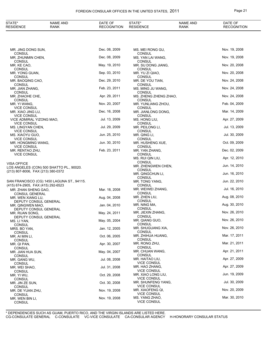#### FOREIGN CONSULAR OFFICES IN THE UNITED STATES, 2011 **Page 21**

| STATE*<br>NAME AND<br>RESIDENCE<br><b>RANK</b>                                   | DATE OF<br><b>RECOGNITION</b> | STATE*<br><b>RESIDENCE</b>                                 | NAME AND<br><b>RANK</b> | DATE OF<br><b>RECOGNITION</b> |
|----------------------------------------------------------------------------------|-------------------------------|------------------------------------------------------------|-------------------------|-------------------------------|
|                                                                                  |                               |                                                            |                         |                               |
| MR. JING DONG SUN,                                                               | Dec. 08, 2009                 | MS. MEI RONG GU,                                           |                         | Nov. 19, 2008                 |
| <b>CONSUL</b><br>MR. ZHUNMIN CHEN,                                               | Dec. 08, 2009                 | <b>CONSUL</b><br>MS. YAN LAI WANG,                         |                         | Nov. 19, 2008                 |
| <b>CONSUL</b><br>MR. KE CAO,                                                     | May. 19, 2010                 | <b>CONSUL</b><br>MR. SU DONG JIANG,                        |                         | Nov. 20, 2008                 |
| <b>CONSUL</b><br>MR. YONG GUAN,                                                  | Sep. 03, 2010                 | <b>CONSUL</b><br>MR. YU ZI QIAO,                           |                         | Nov. 20, 2008                 |
| <b>CONSUL</b><br>MR. BAOQING CAO,                                                | Dec. 29, 2010                 | <b>CONSUL</b><br>MR. DE YOU TIAN,                          |                         | Nov. 24, 2008                 |
| <b>CONSUL</b><br>MR. JIAN ZHANG,                                                 | Feb. 23, 2011                 | <b>CONSUL</b><br>MS. MING JU WANG,                         |                         | Nov. 24, 2008                 |
| <b>CONSUL</b><br>MR. ZHAOHE CHE,                                                 | Apr. 29, 2011                 | <b>CONSUL</b><br>MS. ZHENG ZHENG ZHAO,                     |                         | Nov. 24, 2008                 |
| <b>CONSUL</b><br>MR. YI WANG,                                                    | Nov. 20, 2007                 | <b>CONSUL</b><br>MR. YUNLIANG ZHOU,                        |                         | Feb. 04, 2009                 |
| <b>VICE CONSUL</b><br>MR. XIAO JING LU,                                          | Dec. 16, 2008                 | <b>CONSUL</b><br>MR. JIANLONG DONG,                        |                         | Mar. 14, 2009                 |
| <b>VICE CONSUL</b><br>VICE ADMIRAL YIZONG MAO,                                   | Jul. 13, 2009                 | <b>CONSUL</b><br>MS. HONG LIU,                             |                         | Apr. 27, 2009                 |
| <b>VICE CONSUL</b><br>MS. LINGYAN CHEN,                                          | Jul. 29, 2009                 | <b>CONSUL</b><br>MR. PEILONG LI,                           |                         | Jul. 13, 2009                 |
| <b>VICE CONSUL</b><br>MS. XIAOYU GUO,                                            | Jun. 25, 2010                 | <b>CONSUL</b><br>MR. QING LI,                              |                         | Jul. 30, 2009                 |
| <b>VICE CONSUL</b><br>MR. HONGMING WANG,                                         | Jun. 30, 2010                 | <b>CONSUL</b><br>MR. HUSHENG XUE,                          |                         | Oct. 09, 2009                 |
| <b>VICE CONSUL</b>                                                               | Feb. 23, 2011                 | <b>CONSUL</b>                                              |                         | Dec. 02, 2009                 |
| MR. RENTAO ZHU,<br><b>VICE CONSUL</b>                                            |                               | MR. YAN ZHANG,<br><b>CONSUL</b>                            |                         |                               |
| <b>VISA OFFICE</b>                                                               |                               | MS. RUI QIN LIU,<br><b>CONSUL</b>                          |                         | Apr. 12, 2010                 |
| LOS ANGELES (CON) 500 SHATTO PL., 90020.<br>(213) 807-8006, FAX (213) 380-0372   |                               | MR. ZHENGWEN CHEN,<br><b>CONSUL</b>                        |                         | Jun. 14, 2010                 |
|                                                                                  |                               | MR. QINGCHUN LI,<br><b>CONSUL</b>                          |                         | Jun. 16, 2010                 |
| SAN FRANCISCO (CG) 1450 LAGUNA ST., 94115.<br>(415) 674-2905, FAX (415) 292-6523 |                               | MR. TONG YANG,<br><b>CONSUL</b>                            |                         | Jun. 22, 2010                 |
| MR. ZHAN SHENG GAO,<br><b>CONSUL GENERAL</b>                                     | Mar. 18, 2008                 | MR. WEIWEI ZHANG,<br><b>CONSUL</b>                         |                         | Jul. 16, 2010                 |
| MR. WEN XIANG LU,<br>DEPUTY CONSUL GENERAL                                       | Aug. 04, 2008                 | MR. ZHEN LIU,<br><b>CONSUL</b>                             |                         | Aug. 08, 2010                 |
| MR. QINGWEN MAO.<br>DEPUTY CONSUL GENERAL                                        | Jan. 04, 2010                 | MR. NING MA,<br><b>CONSUL</b>                              |                         | Aug. 30, 2010                 |
| MR. RUAN SONG,                                                                   | May. 24, 2011                 | MR. JIEXIN ZHANG,<br><b>CONSUL</b>                         |                         | Nov. 26, 2010                 |
| DEPUTY CONSUL GENERAL<br>MS. LI YAN,                                             | May. 05, 2004                 | MR. QIANG GUO,<br><b>CONSUL</b>                            |                         | Nov. 26, 2010                 |
| <b>CONSUL</b><br>MRS. BO YAN,                                                    | Jan. 12, 2005                 | MR. SHUGUANG XIA,                                          |                         | Nov. 26, 2010                 |
| <b>CONSUL</b><br>MR. AI MIN LI,                                                  | Oct. 06, 2005                 | <b>CONSUL</b><br>MR. ZHIHUA HUANG,                         |                         | Mar. 17, 2011                 |
| <b>CONSUL</b><br>MR. QI PAN,                                                     | Apr. 30, 2007                 | <b>CONSUL</b><br>MR. RONG ZHU,                             |                         | Mar. 21, 2011                 |
| <b>CONSUL</b><br>MR. JIAN HUA SUN,                                               | May. 04, 2007                 | CONSUL<br>MR. CHUAN WANG,                                  |                         | Apr. 21, 2011                 |
| <b>CONSUL</b><br>MR. GANG WU,                                                    | Jul. 08, 2008                 | <b>CONSUL</b><br>MR. HAITAO LIU,                           |                         | Apr. 27, 2009                 |
| <b>CONSUL</b><br>MR. WEI SHAO,                                                   | Jul. 31, 2008                 | <b>VICE CONSUL</b><br>MR. HAO ZHANG,                       |                         | Apr. 27, 2009                 |
| <b>CONSUL</b><br>MR. YI WU,                                                      | Oct. 29, 2008                 | <b>VICE CONSUL</b><br>MR. XIAO LONG LIU,                   |                         | Jun. 19, 2009                 |
| <b>CONSUL</b><br>MR. JIN ZE SUN,                                                 | Oct. 30, 2008                 | <b>VICE CONSUL</b><br>MR. SHUNFENG YANG,                   |                         | Jul. 30, 2009                 |
| <b>CONSUL</b><br>MR. DE YUAN ZHU,                                                | Nov. 19, 2008                 | <b>VICE CONSUL</b><br>MR. XIAOFENG QI,                     |                         | Nov. 20, 2009                 |
| <b>CONSUL</b><br>MR. WEN BIN LI,<br>CONSUL                                       | Nov. 19, 2008                 | <b>VICE CONSUL</b><br>MS. YANG ZHAO,<br><b>VICE CONSUL</b> |                         | Mar. 30, 2010                 |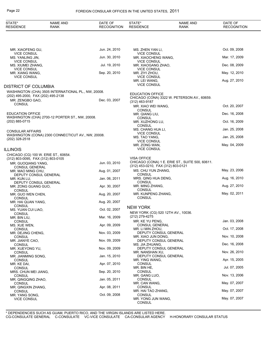| STATE*<br><b>RESIDENCE</b>                            | <b>NAME AND</b><br><b>RANK</b>                      | DATE OF<br><b>RECOGNITION</b> | STATE*<br><b>RESIDENCE</b>                                | <b>NAME AND</b><br>RANK                         | DATE OF<br><b>RECOGNITION</b> |
|-------------------------------------------------------|-----------------------------------------------------|-------------------------------|-----------------------------------------------------------|-------------------------------------------------|-------------------------------|
|                                                       |                                                     |                               |                                                           |                                                 |                               |
| MR. XIAOFENG GU,<br><b>VICE CONSUL</b>                |                                                     | Jun. 24, 2010                 | MS. ZHEN YAN LI,<br>VICE CONSUL                           |                                                 | Oct. 09, 2008                 |
| MS. YANLING JIN,                                      |                                                     | Jun. 30, 2010                 | MR. XIAOCHENG WANG,                                       |                                                 | Mar. 17, 2009                 |
| <b>VICE CONSUL</b><br>MS. XIUMEI ZHANG.               |                                                     | Jul. 19, 2010                 | <b>VICE CONSUL</b><br>MR. XIAOGANG ZHAO,                  |                                                 | Dec. 08, 2009                 |
| <b>VICE CONSUL</b><br>MR. XIANG WANG,                 |                                                     | Sep. 20, 2010                 | <b>VICE CONSUL</b><br>MR. ZIYI ZHOU,                      |                                                 | May. 12, 2010                 |
| <b>VICE CONSUL</b>                                    |                                                     |                               | <b>VICE CONSUL</b><br>MR. LEI WANG,                       |                                                 | Aug. 27, 2010                 |
| DISTRICT OF COLUMBIA                                  |                                                     |                               | <b>VICE CONSUL</b>                                        |                                                 |                               |
|                                                       | WASHINGTON (CHA) 3505 INTERNATIONAL PL., NW, 20008. |                               | <b>EDUCATION OFFICE</b>                                   |                                                 |                               |
| (202) 495-2000, FAX (202) 495-2138<br>MR. ZENGBO GAO, |                                                     | Dec. 03, 2007                 | (312) 463-9187                                            | CHICAGO (CONA) 3322 W. PETERSON AV., 60659.     |                               |
| <b>CONSUL</b>                                         |                                                     |                               | MR. XIAO WEI WANG,                                        |                                                 | Oct. 20, 2007                 |
| <b>EDUCATION OFFICE</b>                               |                                                     |                               | <b>CONSUL</b><br>MR. QIANG LIU,                           |                                                 | Dec. 16, 2008                 |
| (202) 885-0715                                        | WASHINGTON (CHA) 2700-12 PORTER ST., NW, 20008.     |                               | <b>CONSUL</b>                                             |                                                 | Oct. 16, 2009                 |
|                                                       |                                                     |                               | MR. XUZHONG LU,<br><b>CONSUL</b>                          |                                                 |                               |
| <b>CONSULAR AFFAIRS</b>                               |                                                     |                               | MS. CHANG HUA LI,<br><b>VICE CONSUL</b>                   |                                                 | Jan. 25, 2008                 |
| (202) 328-2518                                        | WASHINGTON (CONA) 2300 CONNECTICUT AV., NW, 20008.  |                               | MS. TAO YANG,                                             |                                                 | Jan. 25, 2008                 |
| <b>ILLINOIS</b>                                       |                                                     |                               | <b>VICE CONSUL</b><br>MR. ZONG WAN,<br><b>VICE CONSUL</b> |                                                 | May. 04, 2009                 |
|                                                       | CHICAGO (CG) 100 W. ERIE ST., 60654.                |                               |                                                           |                                                 |                               |
| (312) 803-0095, FAX (312) 803-0105                    |                                                     |                               | <b>VISA OFFICE</b>                                        | CHICAGO (CONA) 1 E. ERIE ST., SUITE 500, 60611. |                               |
| MR. GUOQIANG YANG,<br><b>CONSUL GENERAL</b>           |                                                     | Jun. 03, 2010                 | (312) 453-0210, FAX (312) 803-0121                        |                                                 |                               |
| MR. MAO MING CHU,                                     | DEPUTY CONSUL GENERAL                               | Aug. 01, 2007                 | MS. CHU YUN ZHANG,<br><b>CONSUL</b>                       |                                                 | May. 23, 2006                 |
| MR. KUN LU,                                           |                                                     | Jan. 06, 2011                 | MRS. QING HUA DENG,                                       |                                                 | Aug. 16, 2010                 |
| MR. ZONG GUANG GUO.                                   | DEPUTY CONSUL GENERAL                               | Apr. 30, 2007                 | <b>CONSUL</b><br>MR. MING ZHANG,                          |                                                 | Aug. 27, 2010                 |
| <b>CONSUL</b><br>MR. GUO WEN CHEN,                    |                                                     | Aug. 20, 2007                 | <b>CONSUL</b><br>MR. KUNPENG ZHANG,                       |                                                 | May. 02, 2011                 |
| <b>CONSUL</b>                                         |                                                     |                               | <b>CONSUL</b>                                             |                                                 |                               |
| MR. HAI QUAN YANG,<br><b>CONSUL</b>                   |                                                     | Aug. 20, 2007                 | <b>NEW YORK</b>                                           |                                                 |                               |
| MS. YUAN CUI LIAO,                                    |                                                     | Oct. 02, 2007                 | NEW YORK (CG) 520 12TH AV., 10036.                        |                                                 |                               |
| <b>CONSUL</b><br>MR. BIN LIU,                         |                                                     | Mar. 16, 2009                 | (212) 279-4275                                            |                                                 |                               |
| <b>CONSUL</b><br>MS. XUE WEN,                         |                                                     | Apr. 09, 2009                 | MR. KE YU PENG,<br>CONSUL GENERAL                         |                                                 | Jan. 03, 2008                 |
| <b>CONSUL</b>                                         |                                                     |                               | MR. LI MIN ZHOU,                                          |                                                 | Oct. 17, 2008                 |
| MR. DEJING CHENG,<br><b>CONSUL</b>                    |                                                     | Nov. 03, 2009                 | DEPUTY CONSUL GENERAL<br>MR. XIAO JUN DONG,               |                                                 | Nov. 10, 2008                 |
| MR. JIANYE CAO,<br><b>CONSUL</b>                      |                                                     | Nov. 09, 2009                 | DEPUTY CONSUL GENERAL<br>MS. JIA ZHUANG,                  |                                                 | Dec. 16, 2008                 |
| MR. XUEYONG YU,                                       |                                                     | Nov. 09, 2009                 | DEPUTY CONSUL GENERAL                                     |                                                 | Nov. 26, 2010                 |
| <b>CONSUL</b><br>MR. JIANMING SONG,                   |                                                     | Jan. 15, 2010                 | MR. NANSHAN XU,<br>DEPUTY CONSUL GENERAL                  |                                                 |                               |
| <b>CONSUL</b><br>MR. KE DAI,                          |                                                     | Apr. 07, 2010                 | MR. YING WANG,<br><b>CONSUL</b>                           |                                                 | Apr. 15, 2005                 |
| <b>CONSUL</b>                                         |                                                     |                               | MR. BIN HE,                                               |                                                 | Jul. 07, 2005                 |
| MRS. CHUN MEI JIANG,<br><b>CONSUL</b>                 |                                                     | Sep. 20, 2010                 | CONSUL<br>MR. GANG LUO,                                   |                                                 | Nov. 13, 2006                 |
| MR. QINGQING ZHAO,<br><b>CONSUL</b>                   |                                                     | Jan. 05, 2011                 | CONSUL<br>MR. CAN WANG,                                   |                                                 | May. 07, 2007                 |
| MR. QINGXIN ZHANG,                                    |                                                     | Apr. 08, 2011                 | CONSUL                                                    |                                                 |                               |
| <b>CONSUL</b><br>MR. YANG SONG,                       |                                                     | Oct. 09, 2008                 | MR. HAI TAO ZHANG,<br>CONSUL                              |                                                 | May. 07, 2007                 |
| <b>VICE CONSUL</b>                                    |                                                     |                               | MR. YONG JUN WANG,<br><b>CONSUL</b>                       |                                                 | May. 07, 2007                 |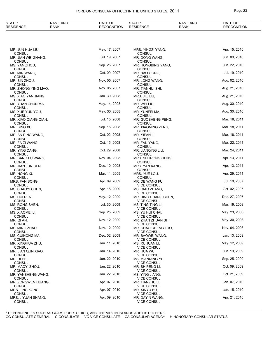#### FOREIGN CONSULAR OFFICES IN THE UNITED STATES, 2011 **Page 23**

| STATE*<br><b>RESIDENCE</b>           | <b>NAME AND</b><br><b>RANK</b> | DATE OF<br><b>RECOGNITION</b> | STATE*<br><b>RESIDENCE</b>                 | <b>NAME AND</b><br><b>RANK</b> | DATE OF<br><b>RECOGNITION</b> |
|--------------------------------------|--------------------------------|-------------------------------|--------------------------------------------|--------------------------------|-------------------------------|
|                                      |                                |                               |                                            |                                |                               |
| MR. JUN HUA LIU,                     |                                | May. 17, 2007                 | MRS. YINGZI YANG,                          |                                | Apr. 15, 2010                 |
| <b>CONSUL</b><br>MR. JIAN WEI ZHANG, |                                | Jul. 19, 2007                 | <b>CONSUL</b><br>MR. DONG WANG,            |                                | Jun. 09, 2010                 |
| <b>CONSUL</b><br>MS. YAN ZHOU,       |                                | Sep. 25, 2007                 | <b>CONSUL</b><br>MR. HONGBING YANG,        |                                | Jun. 22, 2010                 |
| <b>CONSUL</b><br>MS. MIN WANG,       |                                | Oct. 09, 2007                 | <b>CONSUL</b><br>MR. BAO GONG,             |                                | Jul. 19, 2010                 |
| <b>CONSUL</b><br>MR. BIN ZHOU,       |                                | Nov. 05, 2007                 | <b>CONSUL</b><br>MR. LONG WANG,            |                                | Aug. 02, 2010                 |
| <b>CONSUL</b>                        |                                | Nov. 05, 2007                 | <b>CONSUL</b>                              |                                | Aug. 21, 2010                 |
| MR. ZHONG YING MAO,<br><b>CONSUL</b> |                                |                               | MR. TIANHUI SHI,<br><b>CONSUL</b>          |                                |                               |
| MS. XIAO YAN JIANG,<br><b>CONSUL</b> |                                | Jan. 30, 2008                 | MRS. JIE LIU,<br><b>CONSUL</b>             |                                | Aug. 21, 2010                 |
| MS. YUAN CHUN MA,<br><b>CONSUL</b>   |                                | May. 14, 2008                 | MR. WEI LIU,<br><b>CONSUL</b>              |                                | Aug. 30, 2010                 |
| MS. XUE YUN YOU,<br><b>CONSUL</b>    |                                | May. 30, 2008                 | MR. YUNFEI MA,<br><b>CONSUL</b>            |                                | Aug. 30, 2010                 |
| MR. XIAO QIANG QIAN,                 |                                | Jul. 15, 2008                 | MR. GUOSHENG PENG,                         |                                | Mar. 18, 2011                 |
| <b>CONSUL</b><br>MR. BING XU,        |                                | Sep. 15, 2008                 | <b>CONSUL</b><br>MR. XIAOMING ZENG,        |                                | Mar. 18, 2011                 |
| <b>CONSUL</b><br>MR. AN PING WANG,   |                                | Oct. 02, 2008                 | <b>CONSUL</b><br>MR. YIFAN LI,             |                                | Mar. 18, 2011                 |
| <b>CONSUL</b><br>MR. FA ZI WANG,     |                                | Oct. 15, 2008                 | <b>CONSUL</b><br>MR. FAN YANG,             |                                | Mar. 22, 2011                 |
| <b>CONSUL</b><br>MR. YING DANG,      |                                | Oct. 29, 2008                 | <b>CONSUL</b><br>MR. JIANQING LIU,         |                                | Mar. 24, 2011                 |
| <b>CONSUL</b>                        |                                | Nov. 04, 2008                 | <b>CONSUL</b>                              |                                | Apr. 13, 2011                 |
| MR. BANG FU WANG,<br><b>CONSUL</b>   |                                |                               | MRS. SHURONG GENG,<br><b>CONSUL</b>        |                                |                               |
| MR. JIAN JUN CEN,<br><b>CONSUL</b>   |                                | Dec. 10, 2008                 | MRS. YAN KANG,<br><b>CONSUL</b>            |                                | Apr. 13, 2011                 |
| MR. HONG XU,<br><b>CONSUL</b>        |                                | Mar. 11, 2009                 | MRS. YUE LOU,<br><b>CONSUL</b>             |                                | Apr. 29, 2011                 |
| MRS. FAN SONG,<br><b>CONSUL</b>      |                                | Apr. 09, 2009                 | MR. DE WANG FU,<br><b>VICE CONSUL</b>      |                                | Jul. 10, 2007                 |
| MS. SHAOYI CHEN,                     |                                | Apr. 15, 2009                 | MS. QIAO ZHANG,                            |                                | Oct. 02, 2007                 |
| <b>CONSUL</b><br>MS. HUI REN,        |                                | May. 12, 2009                 | <b>VICE CONSUL</b><br>MR. BING HUANG CHEN, |                                | Dec. 27, 2007                 |
| <b>CONSUL</b><br>MS. RONG SHEN,      |                                | Jul. 30, 2009                 | <b>VICE CONSUL</b><br>MS. TING TING LI,    |                                | Mar. 19, 2008                 |
| <b>CONSUL</b><br>MS. XIAOMEI LI,     |                                | Sep. 25, 2009                 | <b>VICE CONSUL</b><br>MS. YU HUI CHAI,     |                                | May. 23, 2008                 |
| <b>CONSUL</b><br>MR. QI AN,          |                                | Nov. 12, 2009                 | <b>VICE CONSUL</b><br>MR. ZHAN ZHUAN SHI,  |                                | May. 30, 2008                 |
| <b>CONSUL</b>                        |                                |                               | <b>VICE CONSUL</b>                         |                                |                               |
| MS. MING ZHAO.<br><b>CONSUL</b>      |                                | Nov. 12, 2009                 | MR. CHAO CHENG LUO,<br><b>VICE CONSUL</b>  |                                | Nov. 04, 2008                 |
| MS. CUIHONG MA,<br><b>CONSUL</b>     |                                | Dec. 02, 2009                 | MR. BAOWEI WANG,<br><b>VICE CONSUL</b>     |                                | Jan. 13, 2009                 |
| MR. XINGHUA ZHU,<br><b>CONSUL</b>    |                                | Jan. 11, 2010                 | MS. RUIJUAN LI,<br><b>VICE CONSUL</b>      |                                | May. 12, 2009                 |
| MR. LIAN QUN XIAO.<br><b>CONSUL</b>  |                                | Jan. 14, 2010                 | MR. HUA WU,<br><b>VICE CONSUL</b>          |                                | Jun. 19, 2009                 |
| MR. DI HE,                           |                                | Jan. 22, 2010                 | MS. MIANQING YU,                           |                                | Sep. 25, 2009                 |
| <b>CONSUL</b><br>MR. MAOYI ZHOU,     |                                | Jan. 22, 2010                 | <b>VICE CONSUL</b><br>MR. SHIPENG LI,      |                                | Oct. 09, 2009                 |
| <b>CONSUL</b><br>MR. YANSHENG WANG,  |                                | Jan. 22, 2010                 | <b>VICE CONSUL</b><br>MS. YING JIANG,      |                                | Oct. 21, 2009                 |
| <b>CONSUL</b><br>MR. ZONGWEN HUANG,  |                                | Apr. 07, 2010                 | <b>VICE CONSUL</b><br>MR. TIANZHU LI,      |                                | Jan. 07, 2010                 |
| <b>CONSUL</b><br>MRS. JING KONG,     |                                | Apr. 07, 2010                 | <b>VICE CONSUL</b><br>MR. XINYU BU,        |                                | Jan. 15, 2010                 |
| <b>CONSUL</b>                        |                                |                               | <b>VICE CONSUL</b>                         |                                |                               |
| MRS. JIYUAN SHANG,<br><b>CONSUL</b>  |                                | Apr. 09, 2010                 | MR. DAYIN WANG,<br><b>VICE CONSUL</b>      |                                | Apr. 21, 2010                 |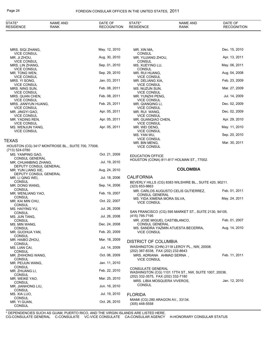| STATE*<br><b>RESIDENCE</b>                | NAME AND<br><b>RANK</b>                           | DATE OF<br><b>RECOGNITION</b> | STATE*<br><b>RESIDENCE</b>                                           | <b>NAME AND</b><br>RANK                                 | DATE OF<br><b>RECOGNITION</b> |
|-------------------------------------------|---------------------------------------------------|-------------------------------|----------------------------------------------------------------------|---------------------------------------------------------|-------------------------------|
|                                           |                                                   |                               |                                                                      |                                                         |                               |
| MRS. SIQI ZHANG,                          |                                                   | May. 12, 2010                 | MR. XIN MA,                                                          |                                                         | Dec. 15, 2010                 |
| <b>VICE CONSUL</b><br>MR. JI ZHOU,        |                                                   | Aug. 30, 2010                 | CONSUL<br>MR. YUJIANG ZHOU,                                          |                                                         | Apr. 13, 2011                 |
| <b>VICE CONSUL</b><br>MRS. LIN ZHANG,     |                                                   | Sep. 01, 2010                 | <b>CONSUL</b><br>MS. XUEYING LU,                                     |                                                         | May. 06, 2011                 |
| <b>VICE CONSUL</b>                        |                                                   |                               | CONSUL                                                               |                                                         |                               |
| MR. TONG WEN,<br><b>VICE CONSUL</b>       |                                                   | Sep. 29, 2010                 | MR. RUI HUANG,<br><b>VICE CONSUL</b>                                 |                                                         | Aug. 04, 2008                 |
| MRS. YI SONG,                             |                                                   | Jan. 03, 2011                 | MR. DELIANG XIA,                                                     |                                                         | Feb. 23, 2009                 |
| <b>VICE CONSUL</b><br>MRS. NING SUN,      |                                                   | Feb. 08, 2011                 | <b>VICE CONSUL</b><br>MS. NUZUN SUN,                                 |                                                         | Mar. 27, 2009                 |
| <b>VICE CONSUL</b><br>MRS. QUAN CHEN,     |                                                   | Feb. 08, 2011                 | <b>VICE CONSUL</b><br>MR. YUNZHI PENG,                               |                                                         | Jul. 14, 2009                 |
| <b>VICE CONSUL</b>                        |                                                   |                               | <b>VICE CONSUL</b>                                                   |                                                         |                               |
| MRS. JIANYUN HUANG,<br><b>VICE CONSUL</b> |                                                   | Feb. 25, 2011                 | MR. QIANQING LI,<br><b>VICE CONSUL</b>                               |                                                         | Dec. 02, 2009                 |
| MR. JINGYI GAO,<br><b>VICE CONSUL</b>     |                                                   | Apr. 05, 2011                 | MR. RUI WANG,<br><b>VICE CONSUL</b>                                  |                                                         | Dec. 02, 2009                 |
| MR. YADING REN,                           |                                                   | Apr. 05, 2011                 | MR. GUANQIAO CHEN,                                                   |                                                         | Apr. 29, 2010                 |
| <b>VICE CONSUL</b><br>MS. WENJUN YANG,    |                                                   | Apr. 05, 2011                 | <b>VICE CONSUL</b><br>MR. WEI DENG,                                  |                                                         | May. 11, 2010                 |
| <b>VICE CONSUL</b>                        |                                                   |                               | VICE CONSUL                                                          |                                                         | Sep. 20, 2010                 |
| TEXAS                                     |                                                   |                               | MS. YAN WU,<br><b>VICE CONSUL</b>                                    |                                                         |                               |
|                                           | HOUSTON (CG) 3417 MONTROSE BL., SUITE 700, 77006. |                               | MR. BIN MENG,<br><b>VICE CONSUL</b>                                  |                                                         | Mar. 30, 2011                 |
| (713) 524-0780                            |                                                   |                               |                                                                      |                                                         |                               |
| MS. YANPING GAO.<br><b>CONSUL GENERAL</b> |                                                   | Oct. 21, 2009                 | <b>EDUCATION OFFICE</b><br>HOUSTON (CONA) 811-817 HOLMAN ST., 77002. |                                                         |                               |
| MR. CHUANBING ZHANG,                      | DEPUTY CONSUL GENERAL                             | Jul. 19, 2010                 |                                                                      |                                                         |                               |
| MR. YUN LIANG XIE,                        |                                                   | Aug. 24, 2010                 |                                                                      | <b>COLOMBIA</b>                                         |                               |
| MR. LI QING WEI,                          | DEPUTY CONSUL GENERAL                             | Jul. 18, 2006                 | <b>CALIFORNIA</b>                                                    |                                                         |                               |
| <b>CONSUL</b>                             |                                                   |                               |                                                                      | BEVERLY HILLS (CG) 8383 WILSHIRE BL., SUITE 420, 90211. |                               |
| MR. DONG WANG,<br><b>CONSUL</b>           |                                                   | Sep. 14, 2006                 | $(323)$ 653-9863                                                     | MR. CARLOS AUGUSTO CELIS GUTIERREZ,                     | Feb. 01, 2011                 |
| MR. WENLIANG YAO,<br><b>CONSUL</b>        |                                                   | Feb. 19, 2007                 | CONSUL GENERAL                                                       |                                                         |                               |
| MR. KAI MIN CHU,                          |                                                   | Oct. 22, 2007                 | MS. YIDA XIMENA MORA SILVA,<br><b>VICE CONSUL</b>                    |                                                         | May. 24, 2011                 |
| CONSUL<br>MS. HAIYING YU,                 |                                                   | Jul. 26, 2008                 |                                                                      |                                                         |                               |
| <b>CONSUL</b><br>MS. JUN TANG,            |                                                   | Jul. 26, 2008                 | (415) 795-7195                                                       | SAN FRANCISCO (CG) 595 MARKET ST., SUITE 2130, 94105.   |                               |
| <b>CONSUL</b>                             |                                                   |                               | MR. JOSE MIGUEL CASTIBLANCO,                                         |                                                         | Feb. 01, 2007                 |
| MS. MIN WANG,<br><b>CONSUL</b>            |                                                   | Dec. 24, 2008                 | CONSUL GENERAL<br>MS. SANDRA YAZMIN ATUESTA BECERRA,                 |                                                         | Aug. 14, 2010                 |
| MR. GUOHUA YAN,                           |                                                   | Feb. 20, 2009                 | <b>VICE CONSUL</b>                                                   |                                                         |                               |
| <b>CONSUL</b><br>MR. HAIBO ZHOU,          |                                                   | Mar. 18, 2009                 | <b>DISTRICT OF COLUMBIA</b>                                          |                                                         |                               |
| <b>CONSUL</b><br>MS. LIAN CAI,            |                                                   | Jul. 14, 2009                 |                                                                      | WASHINGTON (CHN) 2118 LEROY PL., NW, 20008.             |                               |
| <b>CONSUL</b>                             |                                                   |                               | (202) 387-8338, FAX (202) 232-8643                                   |                                                         |                               |
| MR. ZHIHONG WANG,<br><b>CONSUL</b>        |                                                   | Oct. 06, 2009                 | MRS. ADRIANA AHMAD SERNA,<br><b>VICE CONSUL</b>                      |                                                         | Feb. 11, 2011                 |
| MR. PEIJUN WANG,                          |                                                   | Jan. 11, 2010                 |                                                                      |                                                         |                               |
| <b>CONSUL</b><br>MR. ZHUANG LI,           |                                                   | Feb. 22, 2010                 | <b>CONSULATE GENERAL</b>                                             | WASHINGTON (CG) 1101 17TH ST., NW, SUITE 1007, 20036.   |                               |
| <b>CONSUL</b><br>MR. WEIKE YAO,           |                                                   | Mar. 25, 2010                 | (202) 332-3575, FAX (202) 332-7180                                   |                                                         |                               |
| <b>CONSUL</b>                             |                                                   |                               | MRS. LIBIA MOSQUERA VIVEROS,<br><b>CONSUL</b>                        |                                                         | Jan. 12, 2010                 |
| MR. JIANHONG LIU,<br><b>CONSUL</b>        |                                                   | Jun. 16, 2010                 |                                                                      |                                                         |                               |
| MS. XIA LUO,<br><b>CONSUL</b>             |                                                   | Jul. 19, 2010                 | <b>FLORIDA</b>                                                       |                                                         |                               |
| MR. YI GUAN,                              |                                                   | Oct. 26, 2010                 | MIAMI (CG) 280 ARAGON AV., 33134.<br>$(305)$ 448-5558                |                                                         |                               |
| <b>CONSUL</b>                             |                                                   |                               |                                                                      |                                                         |                               |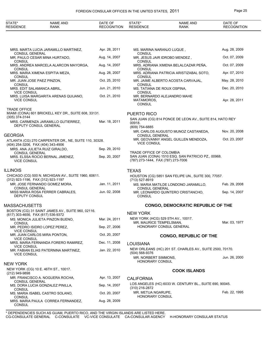| STATE*<br><b>RESIDENCE</b>                       | NAME AND<br><b>RANK</b>                                     | DATE OF<br><b>RECOGNITION</b> | STATE*<br><b>RESIDENCE</b>                     | <b>NAME AND</b><br><b>RANK</b>                           | DATE OF<br><b>RECOGNITION</b> |
|--------------------------------------------------|-------------------------------------------------------------|-------------------------------|------------------------------------------------|----------------------------------------------------------|-------------------------------|
|                                                  |                                                             |                               |                                                |                                                          |                               |
| <b>CONSUL GENERAL</b>                            | MRS. MARTA LUCIA JARAMILLO MARTINEZ,                        | Apr. 28, 2011                 | MS. MARINA NARANJO LUQUE,<br>CONSUL            |                                                          | Aug. 28, 2009                 |
|                                                  | MR. PAULO CESAR MINA HURTADO,                               | Aug. 14, 2007                 |                                                | MR. JESUS JAIR IDROBO MENDEZ,                            | Oct. 07, 2009                 |
| <b>CONSUL</b>                                    | MRS. ANDREA MARCELA ALARCON MAYORGA,                        | Aug. 14, 2007                 | CONSUL                                         | MRS. ADRIANA XIMENA BELALCAZAR PEÑA,                     | Oct. 07, 2009                 |
| <b>CONSUL</b><br><b>CONSUL</b>                   | MRS. MARIA XIMENA ESPITIA MEZA,                             | Aug. 28, 2007                 | <b>CONSUL</b><br><b>CONSUL</b>                 | MRS. ADRIANA PATRICIA ARISTIZABAL SOTO,                  | Apr. 07, 2010                 |
| MR. JUAN JOSE PAEZ PINZON.<br><b>CONSUL</b>      |                                                             | Oct. 25, 2010                 | <b>CONSUL</b>                                  | MR. JAIME ALBERTO ACOSTA CARVAJAL,                       | May. 28, 2010                 |
| MRS. EDIT SALAMANCA ABRIL,<br><b>VICE CONSUL</b> |                                                             | Jun. 21, 2010                 | MS. TATIANA DE ROUX OSPINA,<br><b>CONSUL</b>   |                                                          | Dec. 20, 2010                 |
| <b>VICE CONSUL</b>                               | MRS. LUISA MARGARITA ARENAS QUIJANO,                        | Oct. 21, 2010                 | MATAMOROS,<br><b>CONSUL</b>                    | MR. BERNARDO ALEJANDRO MAHE                              | Apr. 28, 2011                 |
| <b>TRADE OFFICE</b>                              | MIAMI (CONA) 601 BRICKELL KEY DR., SUITE 608, 33131.        |                               | PUERTO RICO                                    |                                                          |                               |
| (305) 374-3144                                   | MRS. CARMENZA JARAMILLO GUTIERREZ,<br>DEPUTY CONSUL GENERAL | Mar. 18, 2011                 | 00918.<br>(809) 754-6885                       | SAN JUAN (CG) 814 PONCE DE LEON AV., SUITE 814, HATO REY |                               |
| GEORGIA                                          |                                                             |                               | <b>CONSUL GENERAL</b>                          | MR. CARLOS AUGUSTO MUNOZ CASTANEDA,                      | Nov. 20, 2008                 |
| (404) 254-3206, FAX (404) 343-4906               | ATLANTA (CG) 270 CARPENTER DR., NE, SUITE 110, 30328.       |                               | <b>VICE CONSUL</b>                             | MR. GEOVANNY ANGEL GUILLEN MENDOZA,                      | Oct. 23, 2007                 |
|                                                  | MRS. ANA JULIETA RUIZ GIRALDO,                              | Sep. 29, 2010                 | TRADE OFFICE OF COLOMBIA                       |                                                          |                               |
| <b>CONSUL GENERAL</b><br><b>VICE CONSUL</b>      | MRS. ELSSA ROCIO BERNAL JIMENEZ,                            | Sep. 20, 2007                 | (787) 273-1444, FAX (787) 273-7006             | SAN JUAN (CONA) 1510 ESQ. SAN PATRICIO PZ., 00968.       |                               |
| ILLINOIS                                         |                                                             |                               | <b>TEXAS</b>                                   |                                                          |                               |
| (312) 923-1196, FAX (312) 923-1197               | CHICAGO (CG) 500 N. MICHIGAN AV., SUITE 1960, 60611.        |                               | (713) 527-8919                                 | HOUSTON (CG) 5851 SAN FELIPE UN., SUITE 300, 77057.      |                               |
| <b>CONSUL GENERAL</b>                            | MR. JOSE FERNANDO GOMEZ MORA,                               | Jan. 11, 2011                 | <b>CONSUL GENERAL</b>                          | MS. MARIA MATILDE LONDONO JARAMILLO,                     | Feb. 29, 2008                 |
| DEPUTY CONSUL                                    | MISS MARIA ROSA FERRER CABRALES,                            | Jun. 02, 2008                 | <b>CONSUL</b>                                  | MR. LEONARDO QUINTERO CRISTANCHO,                        | Sep. 14, 2007                 |
| MASSACHUSETTS                                    |                                                             |                               |                                                | <b>CONGO, DEMOCRATIC REPUBLIC OF THE</b>                 |                               |
| (617) 303-4656, FAX (617) 536-9372               | BOSTON (CG) 31 SAINT JAMES AV., SUITE 960, 02116.           |                               | <b>NEW YORK</b>                                |                                                          |                               |
| <b>CONSUL</b>                                    | MS. MONICA JULIETA PINZON BUENO,                            | Mar. 24, 2011                 | MR. MAURICE TEMPELSMAN,                        | NEW YORK (HCG) 529 5TH AV., 10017.                       | Mar. 03, 1977                 |
| <b>VICE CONSUL</b>                               | MR. PEDRO ISIDRO LOPEZ PEREZ,                               | Sep. 27, 2006                 |                                                | HONORARY CONSUL GENERAL                                  |                               |
| <b>VICE CONSUL</b>                               | MR. JUAN CARLOS MIRA PONTON,                                | Oct. 20, 2007                 |                                                | <b>CONGO, REPUBLIC OF THE</b>                            |                               |
| <b>VICE CONSUL</b>                               | MRS. MARIA FERNANDA FORERO RAMIREZ,                         | Dec. 11, 2008                 | <b>LOUISIANA</b>                               |                                                          |                               |
| <b>VICE CONSUL</b>                               | MR. FABIAN ELIAS PATERNINA MARTINEZ,                        | Jan. 22, 2010                 | (504) 568-9376                                 | NEW ORLEANS (HC) 201 ST. CHARLES AV., SUITE 2500, 70170. |                               |
| <b>NEW YORK</b>                                  |                                                             |                               | MR. NORBERT SIMMONS.<br><b>HONORARY CONSUL</b> |                                                          | Jun. 26, 2000                 |
| (212) 949-9898                                   | NEW YORK (CG) 10 E. 46TH ST., 10017.                        |                               |                                                | <b>COOK ISLANDS</b>                                      |                               |
| <b>CONSUL GENERAL</b>                            | MR. FRANCISCO A. NOGUERA ROCHA,                             | Apr. 13, 2007                 | <b>CALIFORNIA</b>                              |                                                          |                               |
| <b>CONSUL</b>                                    | MS. DORA LUCIA GONZALEZ PINILLA,                            | Sep. 14, 2007                 | (310) 216-2872                                 | LOS ANGELES (HC) 6033 W. CENTURY BL., SUITE 690, 90045.  |                               |
| <b>CONSUL</b>                                    | MS. MARIA ISABEL CASTRO SOLANO,                             | Oct. 20, 2007                 | MR. METUA NGARUPE,<br>HONORARY CONSUL          |                                                          | Feb. 22, 1995                 |
| <b>CONSUL</b>                                    | MRS. MARIA PAULA CORREA FERNANDEZ,                          | Aug. 28, 2009                 |                                                |                                                          |                               |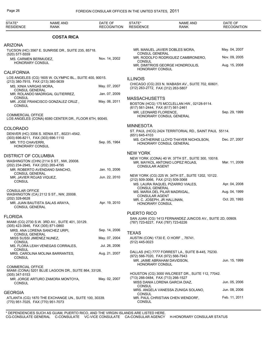| STATE*<br><b>RESIDENCE</b>                      | <b>NAME AND</b><br>RANK                                                                       | DATE OF<br><b>RECOGNITION</b> | STATE*<br><b>RESIDENCE</b>                            | <b>NAME AND</b><br><b>RANK</b>                                                       | DATE OF<br><b>RECOGNITION</b> |
|-------------------------------------------------|-----------------------------------------------------------------------------------------------|-------------------------------|-------------------------------------------------------|--------------------------------------------------------------------------------------|-------------------------------|
|                                                 | <b>COSTA RICA</b>                                                                             |                               |                                                       |                                                                                      |                               |
| <b>ARIZONA</b>                                  |                                                                                               |                               |                                                       |                                                                                      |                               |
| (520) 577-5559                                  | TUCSON (HC) 3567 E. SUNRISE DR., SUITE 235, 85718.                                            |                               | <b>CONSUL GENERAL</b>                                 | MR. MANUEL JAVIER DOBLES MORA,                                                       | May. 04, 2007                 |
| MS. CARMEN BERMUDEZ,                            |                                                                                               | Nov. 14, 2002                 | <b>CONSUL</b>                                         | MR. RODOLFO RODRIGUEZ CAMBRONERO,                                                    | Nov. 09, 2005                 |
| <b>HONORARY CONSUL</b>                          |                                                                                               |                               | <b>HONORARY CONSUL</b>                                | MR. DIMITRIOS GEORGE HONDROULIS,                                                     | Aug. 15, 2008                 |
| <b>CALIFORNIA</b>                               |                                                                                               |                               |                                                       |                                                                                      |                               |
|                                                 | LOS ANGELES (CG) 1605 W. OLYMPIC BL., SUITE 400, 90015.<br>(213) 380-7915, FAX (213) 380-5639 |                               | <b>ILLINOIS</b>                                       | CHICAGO (CG) 203 N. WABASH AV., SUITE 702, 60601.                                    |                               |
| MS. XINIA VARGAS MORA,<br><b>CONSUL GENERAL</b> |                                                                                               | May. 07, 2007                 | (312) 263-2772, FAX (312) 263-5807                    |                                                                                      |                               |
|                                                 | MR. ROLANDO MADRIGAL GUTIERREZ,                                                               | Jan. 07, 2009                 |                                                       |                                                                                      |                               |
| <b>CONSUL</b>                                   | MR. JOSE FRANCISCO GONZALEZ CRUZ,                                                             | May. 06, 2011                 | <b>MASSACHUSETTS</b>                                  | BOSTON (HCG) 175 MCCLELLAN HW., 02128-9114.                                          |                               |
| <b>CONSUL</b>                                   |                                                                                               |                               | (617) 561-2444, FAX (617) 561-2461                    |                                                                                      |                               |
| <b>COMMERCIAL OFFICE</b>                        |                                                                                               |                               | MR. LEONARD FLORENCE,                                 | HONORARY CONSUL GENERAL                                                              | Sep. 29, 1999                 |
|                                                 | LOS ANGELES (CONA) 6080 CENTER DR., FLOOR 6TH, 90045.                                         |                               |                                                       |                                                                                      |                               |
| <b>COLORADO</b>                                 |                                                                                               |                               | <b>MINNESOTA</b>                                      |                                                                                      |                               |
|                                                 | DENVER (HC) 3356 S. XENIA ST., 80231-4542.                                                    |                               | (651) 645-4103                                        | ST. PAUL (HCG) 2424 TERRITORIAL RD., SAINT PAUL 55114.                               |                               |
| MR. TITO CHAVERRI.                              | (303) 696-8211, FAX (303) 696-1110                                                            | Sep. 05, 1964                 |                                                       | MS. CATHERINE LLOYD THAYER NICHOLSON,<br>HONORARY CONSUL GENERAL                     | Dec. 27, 2007                 |
| <b>HONORARY CONSUL</b>                          |                                                                                               |                               |                                                       |                                                                                      |                               |
| <b>DISTRICT OF COLUMBIA</b>                     |                                                                                               |                               | <b>NEW YORK</b>                                       |                                                                                      |                               |
|                                                 | WASHINGTON (CHN) 2114 S ST., NW, 20008.                                                       |                               |                                                       | NEW YORK (CONA) 40 W. 37TH ST., SUITE 300, 10018.<br>MR. MAYKOL ANTONIO LOPEZ ROJAS, | Mar. 11, 2009                 |
|                                                 | (202) 234-2945, FAX (202) 265-4795<br>MR. ROBERTO AVENDANO SANCHO,                            | Jan. 10, 2006                 | <b>CONSULAR AGENT</b>                                 |                                                                                      |                               |
| <b>CONSUL GENERAL</b>                           |                                                                                               | Jun. 22, 2010                 |                                                       | NEW YORK (CG) 225 W. 34TH ST., SUITE 1202, 10122.                                    |                               |
| <b>CONSUL</b>                                   | MR. JAVIER ROJAS VIQUEZ,                                                                      |                               | (212) 509-3066, FAX (212) 509-3068                    | MS. LAURA RAQUEL PIZARRO VIALES,                                                     | Apr. 04, 2008                 |
| <b>CONSULAR OFFICE</b>                          |                                                                                               |                               | <b>CONSUL GENERAL</b>                                 |                                                                                      |                               |
|                                                 | WASHINGTON (CA) 2112 S ST., NW, 20008.                                                        |                               | <b>CONSULAR AGENT</b>                                 | MS. MARIA DEL PILAR MADRIGAL,                                                        | Aug. 04, 1999                 |
| (202) 328-6628                                  | MR. JUAN BAUTISTA SALAS ARAYA,                                                                | Apr. 19, 2010                 | MR. C. JOSEPH, JR HALLINAN,<br><b>HONORARY CONSUL</b> |                                                                                      | Oct. 20, 1993                 |
| <b>CONSUL GENERAL</b>                           |                                                                                               |                               |                                                       |                                                                                      |                               |
| <b>FLORIDA</b>                                  |                                                                                               |                               | <b>PUERTO RICO</b>                                    |                                                                                      |                               |
|                                                 | MIAMI (CG) 2730 S.W. 3RD AV., SUITE 401, 33129.                                               |                               | (787) 723-6227, FAX (787) 723-6226                    | SAN JUAN (CG) 1413 FERNANDEZ JUNCOS AV., SUITE 2D, 00909.                            |                               |
|                                                 | (305) 423-3946, FAX (305) 871-0860<br>MRS. ANA LORENA SANCHEZ URPI,                           | Sep. 14, 2006                 |                                                       |                                                                                      |                               |
| <b>CONSUL GENERAL</b>                           |                                                                                               | May. 07, 2004                 | <b>TEXAS</b>                                          | AUSTIN (CON) 1730 E. O HORF ., 78741.                                                |                               |
| <b>CONSUL</b>                                   | MISS SUSSI JIMENEZ NUNEZ,                                                                     |                               | (512) 445-0023                                        |                                                                                      |                               |
| <b>CONSUL</b>                                   | MS. FLORA LEAH VENEGAS CORRALES,                                                              | Jul. 26, 2006                 |                                                       |                                                                                      |                               |
| <b>CONSUL</b>                                   | MRS. CAROLINA MOLINA BARRANTES,                                                               | Aug. 21, 2007                 | (972) 566-7020, FAX (972) 566-7943                    | DALLAS (HC) 7777 FORREST LA., SUITE B-445, 75230.                                    |                               |
|                                                 |                                                                                               |                               | MR. JAIME ABRAHAM DAVIDSON.                           |                                                                                      | Jun. 15, 1999                 |
| <b>COMMERCIAL OFFICE</b>                        | MIAMI (CONA) 5201 BLUE LAGOON DR., SUITE 864, 33126.                                          |                               | <b>HONORARY CONSUL</b>                                |                                                                                      |                               |
| $(305)$ 347-5153                                |                                                                                               |                               |                                                       | HOUSTON (CG) 3000 WILCREST DR., SUITE 112, 77042.                                    |                               |
| <b>CONSUL</b>                                   | MR. JORGE ARTURO ZAMORA MONTOYA,                                                              | May. 02, 2007                 | (713) 266-0484, FAX (713) 266-1527                    | MISS DANIA LORENA GARCIA DIAZ,                                                       | Jun. 05, 2006                 |
|                                                 |                                                                                               |                               | <b>CONSUL</b>                                         | MRS. ANGELA VANESSA ZUNIGA SOLANO,                                                   | Jun. 08, 2006                 |
| <b>GEORGIA</b>                                  |                                                                                               |                               | <b>CONSUL</b>                                         | MR. PAUL CHRISTIAN CHEN WENDORF,                                                     | Feb. 11, 2011                 |
|                                                 | ATLANTA (CG) 1870 THE EXCHANGE UN., SUITE 100, 30339.<br>(770) 951-7025, FAX (770) 951-7073   |                               | <b>CONSUL</b>                                         |                                                                                      |                               |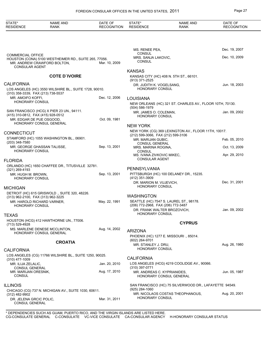| STATE*<br><b>RESIDENCE</b>                                     | <b>NAME AND</b><br><b>RANK</b>                                                       | DATE OF<br><b>RECOGNITION</b> | STATE*<br><b>RESIDENCE</b>                            | <b>NAME AND</b><br><b>RANK</b>                           | DATE OF<br><b>RECOGNITION</b> |
|----------------------------------------------------------------|--------------------------------------------------------------------------------------|-------------------------------|-------------------------------------------------------|----------------------------------------------------------|-------------------------------|
|                                                                |                                                                                      |                               |                                                       |                                                          |                               |
|                                                                |                                                                                      |                               | MS. RENEE PEA,                                        |                                                          | Dec. 19, 2007                 |
| <b>COMMERCIAL OFFICE</b><br><b>CONSULAR AGENT</b>              | HOUSTON (CONA) 5100 WESTHEIMER RD., SUITE 265, 77056.<br>MR. ANDREW CRAWFORD BOLTON, | Mar. 10, 2009                 | <b>CONSUL</b><br>MRS. SANJA LAKOVIC,<br><b>CONSUL</b> |                                                          | Dec. 10, 2009                 |
|                                                                |                                                                                      |                               | <b>KANSAS</b>                                         |                                                          |                               |
|                                                                | <b>COTE D'IVOIRE</b>                                                                 |                               | (913) 371-2525                                        | KANSAS CITY (HC) 408 N. 5TH ST., 66101.                  |                               |
| <b>CALIFORNIA</b>                                              |                                                                                      |                               | DR. JUDITH K. VOGELSANG,                              |                                                          | Jun. 18, 2003                 |
| (310) 358-3339, FAX (213) 738-5537                             | LOS ANGELES (HC) 3550 WILSHIRE BL., SUITE 1728, 90010.                               |                               | <b>HONORARY CONSUL</b>                                |                                                          |                               |
| MR. AMOIFO KOFFI,<br><b>HONORARY CONSUL</b>                    |                                                                                      | Dec. 12, 2006                 | <b>LOUISIANA</b>                                      |                                                          |                               |
|                                                                |                                                                                      |                               | $(504) 586 - 1979$                                    | NEW ORLEANS (HC) 321 ST. CHARLES AV., FLOOR 10TH, 70130. |                               |
|                                                                | SAN FRANCISCO (HCG) X PIER 23 UN., 94111.                                            |                               | MR. JAMES O. COLEMAN,                                 |                                                          | Jan. 09, 2002                 |
| (415) 310-0812, FAX (415) 928-0512<br>MR. EDGAR DE PUE OSGOOD, |                                                                                      | Oct. 09, 1981                 | <b>HONORARY CONSUL</b>                                |                                                          |                               |
|                                                                | HONORARY CONSUL GENERAL                                                              |                               | <b>NEW YORK</b>                                       |                                                          |                               |
| <b>CONNECTICUT</b>                                             |                                                                                      |                               |                                                       | NEW YORK (CG) 369 LEXINGTON AV., FLOOR 11TH, 10017.      |                               |
|                                                                | STAMFORD (HC) 1055 WASHINGTON BL., 06901.                                            |                               | (212) 599-3066, FAX (212) 599-3106                    |                                                          | Feb. 05, 2010                 |
| (203) 348-7580                                                 |                                                                                      |                               | MR. MARIJAN GUBIC,<br><b>CONSUL GENERAL</b>           |                                                          |                               |
| MR. GEORGE GHASSAN TALISSE,<br><b>HONORARY CONSUL</b>          |                                                                                      | Sep. 13, 2001                 | MRS. MARINA ROGINA,<br><b>CONSUL</b>                  |                                                          | Oct. 13, 2009                 |
|                                                                |                                                                                      |                               | MS. IVANA ZIVKOVIC MIKEC,                             |                                                          | Apr. 29, 2010                 |
| <b>FLORIDA</b>                                                 |                                                                                      |                               | <b>CONSULAR AGENT</b>                                 |                                                          |                               |
| (321) 269-4193                                                 | ORLANDO (HC) 1650 CHAFFEE DR., TITUSVILLE 32781.                                     |                               | PENNSYLVANIA                                          |                                                          |                               |
| MR. HUGH M. BROWN,<br><b>HONORARY CONSUL</b>                   |                                                                                      | Sep. 13, 2001                 | (412) 351-3909                                        | PITTSBURGH (HC) 100 DELANEY DR., 15235.                  |                               |
|                                                                |                                                                                      |                               | DR. MARION M. VUJEVICH,<br><b>HONORARY CONSUL</b>     |                                                          | Dec. 31, 2001                 |
| <b>MICHIGAN</b>                                                |                                                                                      |                               |                                                       |                                                          |                               |
| (313) 962-2100, FAX (313) 962-3225                             | DETROIT (HC) 615 GRISWOLD., SUITE 320, 48226.                                        |                               | <b>WASHINGTON</b>                                     |                                                          |                               |
| MR. HAROLD RICHARD VARNER,<br>HONORARY CONSUL                  |                                                                                      | May. 22, 1991                 | (206) 772-2968, FAX (206) 772-3487                    | SEATTLE (HC) 7547 S. LAUREL ST., 98178.                  |                               |
|                                                                |                                                                                      |                               | DR. FRANK WALTER BROZOVICH,<br>HONORARY CONSUL        |                                                          | Jan. 09, 2002                 |
| TEXAS                                                          | HOUSTON (HCG) 412 HAWTHORNE UN., 77006.                                              |                               |                                                       |                                                          |                               |
| (713) 529-4928                                                 |                                                                                      |                               |                                                       | <b>CYPRUS</b>                                            |                               |
|                                                                | MS. MARLENE DENESE MCCLINTON,<br>HONORARY CONSUL GENERAL                             | Aug. 14, 2002                 | <b>ARIZONA</b>                                        | PHOENIX (HC) 1277 E. MISSOURI., 85014.                   |                               |
|                                                                | <b>CROATIA</b>                                                                       |                               | (602) 264-9701                                        |                                                          | Aug. 26, 1980                 |
| <b>CALIFORNIA</b>                                              |                                                                                      |                               | MR. STANLEY J. DRU,<br><b>HONORARY CONSUL</b>         |                                                          |                               |
| $(310)$ 477-1009                                               | LOS ANGELES (CG) 11766 WILSHIRE BL., SUITE 1250, 90025.                              |                               | <b>CALIFORNIA</b>                                     |                                                          |                               |
| MR. ILIJA ZELALIC,                                             |                                                                                      | Jan. 20, 2010                 |                                                       | LOS ANGELES (HCG) 4219 COOLIDGE AV., 90066.              |                               |
| <b>CONSUL GENERAL</b><br>MR. MARIJAN ORESNIK,<br>CONSUL        |                                                                                      | Aug. 17, 2010                 | (310) 397-0771<br>MR. ANDREAS C. KYPRIANIDES,         | HONORARY CONSUL GENERAL                                  | Jun. 05, 1987                 |
| <b>ILLINOIS</b>                                                |                                                                                      |                               |                                                       | SAN FRANCISCO (HC) 75 SILVERWOOD DR., LAFAYETTE 94549.   |                               |
|                                                                | CHICAGO (CG) 737 N. MICHIGAN AV., SUITE 1030, 60611.                                 |                               | (925) 284-1060                                        | MR. NICOLAOS COSTAS THEOPHANOUS,                         | Aug. 20, 2001                 |
| (312) 482-9902<br>DR. JELENA GRCIC POLIC,<br>CONSUL GENERAL    |                                                                                      | Mar. 31, 2011                 | <b>HONORARY CONSUL</b>                                |                                                          |                               |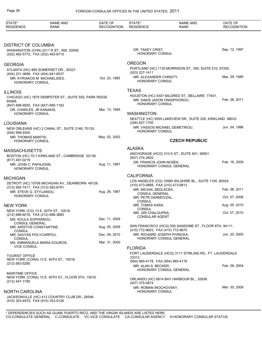| STATE*<br><b>RESIDENCE</b>                                        | <b>NAME AND</b><br><b>RANK</b>                        | DATE OF<br><b>RECOGNITION</b> | STATE*<br><b>RESIDENCE</b>                                    | <b>NAME AND</b><br>RANK                                                        | DATE OF<br><b>RECOGNITION</b> |
|-------------------------------------------------------------------|-------------------------------------------------------|-------------------------------|---------------------------------------------------------------|--------------------------------------------------------------------------------|-------------------------------|
|                                                                   |                                                       |                               |                                                               |                                                                                |                               |
| <b>DISTRICT OF COLUMBIA</b><br>(202) 462-5772, FAX (202) 483-6710 | WASHINGTON (CHN) 2211 R ST., NW, 20008.               |                               | DR. TAKEY CRIST,<br><b>HONORARY CONSUL</b>                    |                                                                                | Sep. 12, 1997                 |
| <b>GEORGIA</b>                                                    |                                                       |                               | <b>OREGON</b>                                                 |                                                                                |                               |
|                                                                   | ATLANTA (HC) 895 SOMERSET DR., 30327.                 |                               | (503) 227-1411                                                | PORTLAND (HC) 1130 MORRISON ST., SW, SUITE 510, 97205.                         |                               |
| (404) 231-3698, FAX (404) 841-6537<br><b>HONORARY CONSUL</b>      | MR. KYRIAKOS M. MICHAELIDES,                          | Oct. 23, 1985                 | MR. ALEXANDER CHRISTY,<br><b>HONORARY CONSUL</b>              |                                                                                | Mar. 29, 1985                 |
| <b>ILLINOIS</b>                                                   |                                                       |                               | <b>TEXAS</b>                                                  |                                                                                |                               |
| 60068.<br>(847) 698-9500, FAX (847) 685-1182                      | CHICAGO (HC) 1875 DEMPSTER ST., SUITE 555, PARK RIDGE |                               | <b>HONORARY CONSUL</b>                                        | HOUSTON (HC) 4307 MILDRED ST., BELLAIRE 77401.<br>MR. SAKIS JASON ONISIPHOROU, | Feb. 28, 2011                 |
| DR. CHARLES, JR KANAKIS,<br><b>HONORARY CONSUL</b>                |                                                       | Mar. 13, 1995                 | <b>WASHINGTON</b>                                             |                                                                                |                               |
| LOUISIANA                                                         |                                                       |                               | (206) 827-1700                                                | SEATTLE (HC) 5555 LAKEVIEW DR., SUITE 200, KIRKLAND 98033.                     |                               |
| (504) 568-9300                                                    | NEW ORLEANS (HC) 2 CANAL ST., SUITE 2146, 70130.      |                               | <b>HONORARY CONSUL</b>                                        | MR. VASSOS MICHAEL DEMETRIOU,                                                  | Jun. 04, 1996                 |
| MR. THOMAS MANTIS,<br><b>HONORARY CONSUL</b>                      |                                                       | May. 02, 2002                 |                                                               | <b>CZECH REPUBLIC</b>                                                          |                               |
|                                                                   |                                                       |                               | <b>ALASKA</b>                                                 |                                                                                |                               |
| <b>MASSACHUSETTS</b><br>(617) 497-0219                            | BOSTON (HC) 70-7 KIRKLAND ST., CAMBRIDGE 02138.       |                               | (907) 274-2602                                                | ANCHORAGE (HCG) 310 K ST., SUITE 601, 99501.                                   |                               |
| MR. JOHN C. PAPAJOHN,<br>HONORARY CONSUL                          |                                                       | Aug. 11, 1987                 | DR. FRANCIS JOHN NOSEK,                                       | HONORARY CONSUL GENERAL                                                        | Feb. 16, 2009                 |
| <b>MICHIGAN</b>                                                   |                                                       |                               | <b>CALIFORNIA</b>                                             |                                                                                |                               |
|                                                                   | DETROIT (HC) 15706 MICHIGAN AV., DEARBORN 48126.      |                               | (310) 473-0889, FAX (310) 473-9813                            | LOS ANGELES (CG) 10990 WILSHIRE BL., SUITE 1100, 90024.                        |                               |
| (313) 582-1411, FAX (313) 582-6791<br>MR. STEVE G. STYLIANOU,     |                                                       | Aug. 26, 1987                 | MR. MICHAL SEDLACEK,                                          |                                                                                | Feb. 08, 2011                 |
| <b>HONORARY CONSUL</b>                                            |                                                       |                               | <b>CONSUL GENERAL</b><br>MR. PETR DARMOVZAL,<br><b>CONSUL</b> |                                                                                | Oct. 07, 2009                 |
| <b>NEW YORK</b>                                                   |                                                       |                               | MR. TOMAS KARA,                                               |                                                                                | Aug. 05, 2010                 |
| (212) 686-6016, FAX (212) 686-3660                                | NEW YORK (CG) 13 E. 40TH ST., 10016.                  |                               | CONSUL<br>MR. JIRI CHALOUPKA,                                 |                                                                                | Oct. 27, 2010                 |
| MS. KOULA SOPHIANOU,                                              |                                                       | Dec. 11, 2009                 | <b>CONSULAR AGENT</b>                                         |                                                                                |                               |
| <b>CONSUL GENERAL</b><br>MR. ARISTOS CONSTANTINE,                 |                                                       | Aug. 05, 2009                 | (415) 772-9603, FAX (415) 772-9670                            | SAN FRANCISCO (HCG) 500 SANSOME ST., FLOOR 8TH, 94111.                         |                               |
| <b>CONSUL</b><br>MR. SAVVAS POLYCARPOU,                           |                                                       | Dec. 09, 2010                 |                                                               | MR. RICHARD JOSEPH PIVNICKA,                                                   | Jun. 20, 2000                 |
| <b>CONSUL</b>                                                     | MS. EMMANUELA MARIA KOUROS,                           | Mar. 31, 2000                 |                                                               | HONORARY CONSUL GENERAL                                                        |                               |
| <b>VICE CONSUL</b>                                                |                                                       |                               | <b>FLORIDA</b>                                                |                                                                                |                               |
| <b>TOURIST OFFICE</b>                                             |                                                       |                               | 33312.                                                        | FORT LAUDERDALE (HCG) 3111 STIRLING RD., FT. LAUDERDALE                        |                               |
| (212) 683-5280                                                    | NEW YORK (CONA) 13 E. 40TH ST., 10016.                |                               | (954) 985-4178, FAX (954) 985-4176<br>MR. ALAN S. BECKER,     |                                                                                | Feb. 09, 2004                 |
| <b>MARITIME OFFICE</b>                                            |                                                       |                               |                                                               | HONORARY CONSUL GENERAL                                                        |                               |
| (212) 447-1790                                                    | NEW YORK (CONA) 13 E. 40TH ST., FLOOR 5TH, 10016.     |                               | (407) 375-0874                                                | ORLANDO (HC) 8814 BAY HARBOUR BL., 32836.                                      |                               |
| <b>NORTH CAROLINA</b><br>(910) 353-4970, FAX (910) 353-0126       | JACKSONVILLE (HC) 412 COUNTRY CLUB DR., 28546.        |                               | MR. ROMAN INOCHOVSKY,<br>HONORARY CONSUL                      |                                                                                | Mar. 30, 2009                 |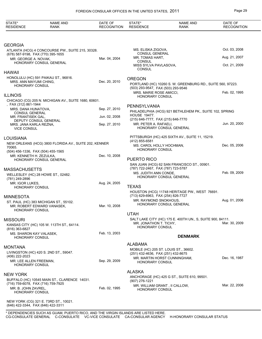| STATE*<br><b>RESIDENCE</b>                                    | <b>NAME AND</b><br>RANK                                              | DATE OF<br><b>RECOGNITION</b> | STATE*<br><b>RESIDENCE</b>                                  | <b>NAME AND</b><br><b>RANK</b>                             | DATE OF<br><b>RECOGNITION</b> |
|---------------------------------------------------------------|----------------------------------------------------------------------|-------------------------------|-------------------------------------------------------------|------------------------------------------------------------|-------------------------------|
|                                                               |                                                                      |                               |                                                             |                                                            |                               |
| <b>GEORGIA</b>                                                | ATLANTA (HCG) 4 CONCOURSE PW., SUITE 215, 30328.                     |                               | MS. ELISKA ZIGOVA,                                          |                                                            | Oct. 03, 2008                 |
| (678) 587-9198, FAX (770) 395-1655                            |                                                                      |                               | CONSUL GENERAL                                              |                                                            |                               |
| MR. GEORGE A. NOVAK,                                          | HONORARY CONSUL GENERAL                                              | Mar. 04, 2004                 | MR. TOMAS HART,<br><b>CONSUL</b>                            |                                                            | Aug. 21, 2007                 |
|                                                               |                                                                      |                               | MISS SYLVA PAVLASOVA,<br><b>CONSUL</b>                      |                                                            | Oct. 21, 2009                 |
| HAWAII                                                        |                                                                      |                               |                                                             |                                                            |                               |
| MRS. ANN MAYUMI CHING,                                        | HONOLULU (HC) 591 PAIKAU ST., 96816.                                 | Dec. 20, 2010                 | <b>OREGON</b>                                               |                                                            |                               |
| HONORARY CONSUL                                               |                                                                      |                               | (503) 293-9547, FAX (503) 293-9546                          | PORTLAND (HC) 10260 S. W. GREENBURG RD., SUITE 560, 97223. |                               |
|                                                               |                                                                      |                               | MRS. MARIE ROSE AMICCI,                                     |                                                            | Feb. 02, 1995                 |
| <b>ILLINOIS</b>                                               | CHICAGO (CG) 205 N. MICHIGAN AV., SUITE 1680, 60601.                 |                               | HONORARY CONSUL                                             |                                                            |                               |
| , FAX (312) 861-1944                                          |                                                                      |                               | PENNSYLVANIA                                                |                                                            |                               |
| MRS. DANA HUNATOVA.<br><b>CONSUL GENERAL</b>                  |                                                                      | Sep. 27, 2010                 |                                                             | PHILADELPHIA (HCG) 921 BETHLEHEM PK., SUITE 102, SPRING    |                               |
| MR. FRANTISEK GAL,                                            |                                                                      | Jun. 02, 2008                 | <b>HOUSE 19477.</b><br>(215) 646-7777, FAX (215) 646-7770   |                                                            |                               |
| MRS. JANA KARLA REZNA,                                        | DEPUTY CONSUL GENERAL                                                | Sep. 27, 2010                 | MR. PETER A. RAFAELI,                                       |                                                            | Jun. 20, 2000                 |
| <b>VICE CONSUL</b>                                            |                                                                      |                               |                                                             | HONORARY CONSUL GENERAL                                    |                               |
| LOUISIANA                                                     |                                                                      |                               |                                                             | PITTSBURGH (HC) 425 SIXTH AV., SUITE 11, 15219.            |                               |
|                                                               | NEW ORLEANS (HCG) 3800 FLORIDA AV., SUITE 202, KENNER                |                               | (412) 855-6581                                              |                                                            |                               |
| 70065.                                                        |                                                                      |                               | MS. CAROL HOLLY HOCHMAN,<br>HONORARY CONSUL                 |                                                            | Dec. 05, 2006                 |
| (504) 456-1336, FAX (504) 455-1565<br>MR. KENNETH H. ZEZULKA, |                                                                      | Dec. 10, 2008                 |                                                             |                                                            |                               |
|                                                               | HONORARY CONSUL GENERAL                                              |                               | PUERTO RICO                                                 |                                                            |                               |
| MASSACHUSETTS                                                 |                                                                      |                               | (787) 722-2467, FAX (787) 723-5787                          | SAN JUAN (HCG) 62 SAN FRANCISCO ST., 00901.                |                               |
|                                                               | WELLESLEY (HC) 28 HOWE ST., 02482.                                   |                               | MS. JUDITH ANN CONDE,                                       |                                                            | Feb. 09, 2009                 |
| (781) 249-2896                                                |                                                                      |                               |                                                             | HONORARY CONSUL GENERAL                                    |                               |
| MR. IGOR LUKES,<br>HONORARY CONSUL                            |                                                                      | Aug. 24, 2005                 | <b>TEXAS</b>                                                |                                                            |                               |
|                                                               |                                                                      |                               |                                                             | HOUSTON (HCG) 11748 HERITAGE PW., WEST 76691.              |                               |
| MINNESOTA                                                     |                                                                      |                               | (713) 629-6963, FAX (254) 826-7727<br>MR. RAYMOND SNOKHOUS, |                                                            | Aug. 01, 2006                 |
|                                                               | ST. PAUL (HC) 383 MICHIGAN ST., 55102.<br>MR. ROBERT EDWARD VANASEK, | Mar. 10, 2008                 |                                                             | HONORARY CONSUL GENERAL                                    |                               |
| HONORARY CONSUL                                               |                                                                      |                               | <b>UTAH</b>                                                 |                                                            |                               |
| Missouri                                                      |                                                                      |                               |                                                             | SALT LAKE CITY (HC) 175 E. 400TH UN., S, SUITE 900, 84111. |                               |
|                                                               | KANSAS CITY (HC) 105 W. 113TH ST., 64114.                            |                               | MR. JONATHON T. TICHY,<br><b>HONORARY CONSUL</b>            |                                                            | Mar. 30, 2009                 |
| (816) 363-6827                                                |                                                                      | Feb. 13, 2003                 |                                                             |                                                            |                               |
| MS. SHARON KAY VALASEK,<br>HONORARY CONSUL                    |                                                                      |                               |                                                             | <b>DENMARK</b>                                             |                               |
|                                                               |                                                                      |                               | <b>ALABAMA</b>                                              |                                                            |                               |
| MONTANA                                                       | LIVINGSTON (HC) 420 S. 2ND ST., 59047.                               |                               | MOBILE (HC) 205 ST. LOUIS ST., 36602.                       |                                                            |                               |
| (406) 222-2023                                                |                                                                      |                               | (251) 432-4636, FAX (251) 432-8675                          | MR. MARTIN HORST CUNNINGHAM,                               | Dec. 16, 1987                 |
| MR. LEE ALLEN FREEMAN,<br><b>HONORARY CONSUL</b>              |                                                                      | Sep. 29, 2009                 | HONORARY CONSUL                                             |                                                            |                               |
|                                                               |                                                                      |                               | <b>ALASKA</b>                                               |                                                            |                               |
| NEW YORK                                                      |                                                                      |                               |                                                             | ANCHORAGE (HC) 425 G ST., SUITE 610, 99501.                |                               |
| (716) 759-6078, FAX (716) 759-7925                            | BUFFALO (HC) 10545 MAIN ST., CLARENCE 14031.                         |                               | (907) 276-1221                                              |                                                            |                               |
| MR. B. JOHN ZAVREL,                                           |                                                                      | Feb. 02, 1995                 | MR. WILLIAM GRANT, II CALLOW,<br><b>HONORARY CONSUL</b>     |                                                            | Mar. 22, 2006                 |
| HONORARY CONSUL                                               |                                                                      |                               |                                                             |                                                            |                               |
| (646) 422-3344, FAX (646) 422-3311                            | NEW YORK (CG) 321 E. 73RD ST., 10021.                                |                               |                                                             |                                                            |                               |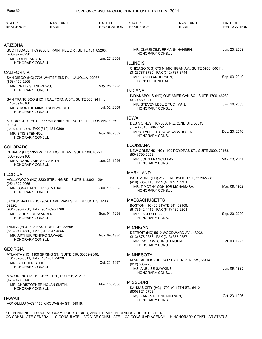| STATE*<br><b>RESIDENCE</b>                                              | <b>NAME AND</b><br><b>RANK</b>                               | DATE OF<br><b>RECOGNITION</b> | STATE*<br><b>RESIDENCE</b>                                | <b>NAME AND</b><br><b>RANK</b>                         | DATE OF<br><b>RECOGNITION</b> |
|-------------------------------------------------------------------------|--------------------------------------------------------------|-------------------------------|-----------------------------------------------------------|--------------------------------------------------------|-------------------------------|
| <b>ARIZONA</b>                                                          |                                                              |                               |                                                           |                                                        |                               |
| (480) 922-0290                                                          | SCOTTSDALE (HC) 9280 E. RAINTREE DR., SUITE 101, 85260.      |                               | HONORARY CONSUL                                           | MR. CLAUS ZIMMERMANN HANSEN,                           | Jun. 25, 2009                 |
| MR. JOHN LARSEN,<br>HONORARY CONSUL                                     |                                                              | Jan. 27, 2005                 | <b>ILLINOIS</b>                                           |                                                        |                               |
|                                                                         |                                                              |                               |                                                           | CHICAGO (CG) 875 N. MICHIGAN AV., SUITE 3950, 60611.   |                               |
| <b>CALIFORNIA</b>                                                       |                                                              |                               | (312) 787-8780, FAX (312) 787-8744<br>MR. JAKOB ANDERSEN, |                                                        | Sep. 03, 2010                 |
| (858) 459-5205                                                          | SAN DIEGO (HC) 7705 WHITEFIELD PL., LA JOLLA 92037.          |                               | <b>CONSUL GENERAL</b>                                     |                                                        |                               |
| MR. CRAIG S. ANDREWS,<br>HONORARY CONSUL                                |                                                              | May. 28, 1998                 | <b>INDIANA</b>                                            |                                                        |                               |
|                                                                         |                                                              |                               |                                                           | INDIANAPOLIS (HC) ONE AMERICAN SQ., SUITE 1700, 46282. |                               |
| (415) 391-0100                                                          | SAN FRANCISCO (HC) 1 CALIFORNIA ST., SUITE 330, 94111.       |                               | $(317)$ 639-1210<br>MR. STEVEN LESLIE TUCHMAN,            |                                                        | Jan. 16, 2003                 |
| HONORARY CONSUL                                                         | MRS. DORTHE MIKKELSEN WRIGHT,                                | Jul. 02, 2009                 | HONORARY CONSUL                                           |                                                        |                               |
|                                                                         |                                                              |                               | <b>IOWA</b>                                               |                                                        |                               |
| 90024.                                                                  | STUDIO CITY (HC) 10877 WILSHIRE BL., SUITE 1402, LOS ANGELES |                               |                                                           | DES MOINES (HC) 5550 N.E. 22ND ST., 50313.             |                               |
| (310) 481-0391, FAX (310) 481-0390<br><b>MR. STIG STENHOJ.</b>          |                                                              | Nov. 08, 2002                 | , FAX (515) 266-5152                                      | MRS. LYNETTE SKOW RASMUSSEN.                           | Dec. 20, 2010                 |
| HONORARY CONSUL                                                         |                                                              |                               | HONORARY CONSUL                                           |                                                        |                               |
| <b>COLORADO</b>                                                         |                                                              |                               | <b>LOUISIANA</b>                                          |                                                        |                               |
|                                                                         | DENVER (HC) 5353 W. DARTMOUTH AV., SUITE 508, 80227.         |                               | (504) 799-2252                                            | NEW ORLEANS (HC) 1100 POYDRAS ST., SUITE 2900, 70163.  |                               |
| $(303)$ 980-9100<br>MRS. NANNA NIELSEN SMITH,<br><b>HONORARY CONSUL</b> |                                                              | Jun. 25, 1996                 | MR. JOHN FRANCIS FAY,<br>HONORARY CONSUL                  |                                                        | May. 23, 2011                 |
| <b>FLORIDA</b>                                                          |                                                              |                               | <b>MARYLAND</b>                                           |                                                        |                               |
|                                                                         | HOLLYWOOD (HC) 3230 STIRLING RD., SUITE 1, 33021--2041.      |                               | (410) 685-3116, FAX (410) 625-3801                        | BALTIMORE (HC) 217 E. REDWOOD ST., 21202-3316.         |                               |
| (954) 322-0065<br><b>HONORARY CONSUL</b>                                | MR. JONATHAN H. ROSENTHAL,                                   | Jun. 10, 2005                 | HONORARY CONSUL                                           | MR. TIMOTHY CONNOR MCNAMARA.                           | Mar. 09, 1982                 |
|                                                                         | JACKSONVILLE (HC) 9620 DAVE RAWLS BL., BLOUNT ISLAND         |                               | <b>MASSACHUSETTS</b>                                      |                                                        |                               |
| 32226.                                                                  |                                                              |                               | BOSTON (HC) 60 STATE ST., 02109.                          |                                                        |                               |
| MR. LARRY JOE WARREN,                                                   | (904) 696-7750, FAX (904) 696-7760                           | Sep. 01, 1995                 | (617) 542-1415, FAX (617) 482-6201<br>MR. JACOB FRIIS,    |                                                        | Sep. 20, 2000                 |
| HONORARY CONSUL                                                         |                                                              |                               | <b>HONORARY CONSUL</b>                                    |                                                        |                               |
|                                                                         | TAMPA (HC) 1803 EASTPORT DR., 33605.                         |                               | <b>MICHIGAN</b>                                           |                                                        |                               |
| (813) 247-4550, FAX (813) 247-4256                                      | MR. ARTHUR RENFRO SAVAGE,                                    | Nov. 04, 1998                 | (313) 875-9856, FAX (313) 875-9857                        | DETROIT (HC) 5510 WOODWARD AV., 48202.                 |                               |
| <b>HONORARY CONSUL</b>                                                  |                                                              |                               | MR. DAVID W. CHRISTENSEN,                                 |                                                        | Oct. 03, 1995                 |
| <b>GEORGIA</b>                                                          |                                                              |                               | HONORARY CONSUL                                           |                                                        |                               |
|                                                                         | ATLANTA (HC) 1100 SPRING ST., SUITE 550, 30309-2848.         |                               | <b>MINNESOTA</b>                                          |                                                        |                               |
| (404) 876-5511, FAX (404) 875-2629<br>MR. STEPHEN SELIG.                |                                                              | Oct. 20, 1997                 | (612) 338-7283                                            | MINNEAPOLIS (HC) 1417 EAST RIVER PW., 55414.           |                               |
| HONORARY CONSUL                                                         |                                                              |                               | MS. ANELISE SAWKINS,                                      |                                                        | Jun. 09, 1995                 |
|                                                                         | MACON (HC) 130 N. CREST DR., SUITE B, 31210.                 |                               | <b>HONORARY CONSUL</b>                                    |                                                        |                               |
| (478) 477-8145                                                          | MR. CHRISTOPHER NOLAN SMITH,                                 | Mar. 13, 2006                 | <b>MISSOURI</b>                                           |                                                        |                               |
| HONORARY CONSUL                                                         |                                                              |                               | (800) 821-2702                                            | KANSAS CITY (HC) 1700 W. 12TH ST., 64101.              |                               |
| <b>HAWAII</b>                                                           |                                                              |                               | MS. KAREN ELAINE NIELSEN,                                 |                                                        | Oct. 23, 1996                 |
|                                                                         | HONOLULU (HC) 1150 KIKOWAENA ST., 96819.                     |                               | HONORARY CONSUL                                           |                                                        |                               |
|                                                                         |                                                              |                               |                                                           |                                                        |                               |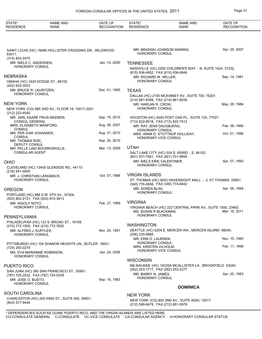| STATE*<br><b>RESIDENCE</b>                               | NAME AND<br><b>RANK</b>                                 | DATE OF<br><b>RECOGNITION</b> | STATE*<br><b>RESIDENCE</b>                                       | <b>NAME AND</b><br>RANK                                      | DATE OF<br><b>RECOGNITION</b> |
|----------------------------------------------------------|---------------------------------------------------------|-------------------------------|------------------------------------------------------------------|--------------------------------------------------------------|-------------------------------|
|                                                          |                                                         |                               |                                                                  |                                                              |                               |
| 63011.<br>(314) 603-2470                                 | SAINT LOUIS (HC) 16486 HOLLISTER CROSSING DR., WILDWOOD |                               | <b>HONORARY CONSUL</b>                                           | MR. BRADISH JOHNSON WARING,                                  | Apr. 25, 2007                 |
| MR. NIELS C. ANDERSEN,                                   |                                                         | Jan. 14, 2000                 | <b>TENNESSEE</b>                                                 |                                                              |                               |
| <b>HONORARY CONSUL</b>                                   |                                                         |                               |                                                                  | NASHVILLE (HC) 2200 CHILDREN'S WAY., N, SUITE 1424, 37232.   |                               |
| <b>NEBRASKA</b>                                          |                                                         |                               | (615) 936-4952, FAX (615) 936-4944                               |                                                              |                               |
|                                                          | OMAHA (HC) 1620 DODGE ST., 68102.                       |                               | MR. RICHARD M. HELLER,<br>HONORARY CONSUL                        |                                                              | Sep. 14, 1981                 |
| (402) 633-3033                                           |                                                         |                               |                                                                  |                                                              |                               |
| MR. BRUCE R. LAURITZEN,<br><b>HONORARY CONSUL</b>        |                                                         | Dec. 01, 1995                 | <b>TEXAS</b>                                                     |                                                              |                               |
|                                                          |                                                         |                               | (214) 661-8399, FAX (214) 661-8036                               | DALLAS (HC) 2100 MCKINNEY AV., SUITE 700, 75201.             |                               |
| <b>NEW YORK</b>                                          |                                                         |                               | MR. HARLAN R. CROW,                                              |                                                              | May. 28, 1984                 |
| (212) 223-4545                                           | NEW YORK (CG) 885 2ND AV., FLOOR 18, 10017-2201.        |                               | <b>HONORARY CONSUL</b>                                           |                                                              |                               |
| <b>CONSUL GENERAL</b>                                    | MR. JARL KAARE FRIJS MADSEN,                            | Sep. 15, 2010                 | (713) 622-9018, FAX (713) 622-7512                               | HOUSTON (HC) 4545 POST OAK PL., SUITE 105, 77027.            |                               |
| MRS. ELISABETH MANFORD,                                  |                                                         | Aug. 28, 2007                 | MR. RAY JENS DAUGBJERG.                                          |                                                              | Feb. 09, 1990                 |
| <b>CONSUL</b><br>MR. PER IVAR JOHANSEN,<br><b>CONSUL</b> |                                                         | Aug. 31, 2010                 | <b>HONORARY CONSUL</b><br>HONORARY VICE CONSUL                   | MRS. ANNA D. STOTTRUP HOLLIDAY,                              | Oct. 01, 1998                 |
| MR. THOMAS RIZK,                                         |                                                         | Sep. 20, 2010                 |                                                                  |                                                              |                               |
| <b>DEPUTY CONSUL</b>                                     | MR. PELLE LIND BOURNONVILLE,                            | Mar. 13, 2009                 | <b>UTAH</b>                                                      |                                                              |                               |
| <b>CONSULAR AGENT</b>                                    |                                                         |                               |                                                                  | SALT LAKE CITY (HC) 524 S. 600RD., E, 84102.                 |                               |
| <b>OHIO</b>                                              |                                                         |                               | (801) 531-7061, FAX (801) 531-9850<br>MR. NIELS ERIK VALENTINER, |                                                              | Apr. 07, 1993                 |
|                                                          | CLEVELAND (HC) 13400 GLENSIDE RD., 44110.               |                               | <b>HONORARY CONSUL</b>                                           |                                                              |                               |
| $(216) 541 - 0500$                                       |                                                         |                               |                                                                  |                                                              |                               |
| MR. J. CHRISTIAN LANGMACK,<br><b>HONORARY CONSUL</b>     |                                                         | Oct. 07, 1998                 | <b>VIRGIN ISLANDS</b>                                            | ST. THOMAS (HC) 9003 HAVENSIGHT MALL., 3, ST. THOMAS 00801.  |                               |
|                                                          |                                                         |                               | (340) 776-0656, FAX (340) 774-6642                               |                                                              |                               |
| OREGON                                                   |                                                         |                               | MR. SOREN BLAK,                                                  |                                                              | Apr. 06, 1994                 |
|                                                          | PORTLAND (HC) 888 S.W. 5TH AV., 97204.                  |                               | <b>HONORARY CONSUL</b>                                           |                                                              |                               |
| (503) 802-2131, FAX (503) 972-3813<br>MR. INGOLF NOTO,   |                                                         | Feb. 27, 1989                 | <b>VIRGINIA</b>                                                  |                                                              |                               |
| HONORARY CONSUL                                          |                                                         |                               |                                                                  | VIRGINIA BEACH (HC) 222 CENTRAL PARK AV., SUITE 1500, 23462. |                               |
|                                                          |                                                         |                               | <b>HONORARY CONSUL</b>                                           | MS. SUSAN R BLACKMAN, MS. SUSAN R BLACKMAN,                  |                               |
| PENNSYLVANIA                                             | PHILADELPHIA (HC) 123 S. BROAD ST., 19109.              |                               |                                                                  |                                                              |                               |
| (215) 772-1500, FAX (215) 772-7620                       |                                                         |                               | <b>WASHINGTON</b>                                                |                                                              |                               |
| MR. ALFRED J. KUFFLER,<br><b>HONORARY CONSUL</b>         |                                                         | Nov. 20, 1991                 | (206) 230-0888                                                   | SEATTLE (HC) 6204 E. MERCER WA., MERCER ISLAND 98040.        |                               |
|                                                          | PITTSBURGH (HC) 104 SHANOR HEIGHTS UN., BUTLER 16001.   |                               | MR. ERIK D. LAURSEN,<br><b>HONORARY CONSUL</b>                   |                                                              | Nov. 15, 1993                 |
| (724) 283-2274                                           |                                                         |                               | MRS. KIRSTEN VILHOLM,                                            |                                                              | Feb. 11, 1999                 |
|                                                          | MS. EVA MARIANNE ROBINSON,                              | Jan. 24, 2006                 | <b>HONORARY VICE CONSUL</b>                                      |                                                              |                               |
| HONORARY CONSUL                                          |                                                         |                               | <b>WISCONSIN</b>                                                 |                                                              |                               |
| <b>PUERTO RICO</b>                                       |                                                         |                               |                                                                  | MILWAUKEE (HC) 19335A MCALLISTER LA., BROOKFIELD 53045.      |                               |
|                                                          | SAN JUAN (HC) 360 SAN FRANCISCO ST., 00901.             |                               | (262) 253-1717, FAX (262) 253-2277<br>MR. BARRY N. JAMES,        |                                                              | Apr. 25, 1983                 |
| (787) 725-2532, FAX (787) 724-0339<br>MR. JOSE O. BUSTO, |                                                         | Sep. 15, 1983                 | HONORARY CONSUL                                                  |                                                              |                               |
| <b>HONORARY CONSUL</b>                                   |                                                         |                               |                                                                  |                                                              |                               |
|                                                          |                                                         |                               |                                                                  | <b>DOMINICA</b>                                              |                               |
| <b>SOUTH CAROLINA</b>                                    | CHARLESTON (HC) 205 KING ST., SUITE 400, 29401.         |                               | <b>NEW YORK</b>                                                  |                                                              |                               |
| (843) 577-9440                                           |                                                         |                               | (212) 599-8478, FAX (212) 661-0979                               | NEW YORK (CG) 800 2ND AV., SUITE 400H, 10017.                |                               |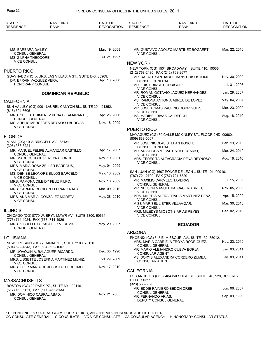| STATE*<br><b>RESIDENCE</b>                                      | <b>NAME AND</b><br><b>RANK</b>                            | DATE OF<br><b>RECOGNITION</b> | STATE*<br><b>RESIDENCE</b>                                  | <b>NAME AND</b><br>RANK                                                  | DATE OF<br><b>RECOGNITION</b>  |
|-----------------------------------------------------------------|-----------------------------------------------------------|-------------------------------|-------------------------------------------------------------|--------------------------------------------------------------------------|--------------------------------|
|                                                                 |                                                           |                               |                                                             |                                                                          |                                |
| MS. BARBARA DAILEY,<br><b>CONSUL GENERAL</b>                    |                                                           | Mar. 19, 2008                 | <b>VICE CONSUL</b>                                          | MR. GUSTAVO ADOLFO MARTINEZ BOGAERT,                                     | Mar. 22, 2010                  |
| MS. ZILPHA THEODORE,                                            |                                                           | Jul. 21, 1997                 |                                                             |                                                                          |                                |
| <b>VICE CONSUL</b>                                              |                                                           |                               | <b>NEW YORK</b>                                             |                                                                          |                                |
| <b>PUERTO RICO</b>                                              |                                                           |                               |                                                             | NEW YORK (CG) 1501 BROADWAY., SUITE 410, 10036.                          |                                |
| DR. EFRAIN VAZQUEZ VERA,                                        | GUAYNABO (HC) X URB. LAS VILLAS, A ST., SUITE D-3, 00969. | Apr. 18, 2008                 | (212) 768-2480, FAX (212) 768-2677<br><b>CONSUL GENERAL</b> | MR. RAFAEL SANTIAGO EVANS CRISOSTOMO,                                    | Nov. 30, 2009                  |
| HONORARY CONSUL                                                 |                                                           |                               | MR. LUIS PRINCE RODRIGUEZ.                                  |                                                                          | Jul. 31, 2006                  |
|                                                                 | <b>DOMINICAN REPUBLIC</b>                                 |                               | <b>VICE CONSUL</b><br><b>VICE CONSUL</b>                    | MR. ROMAN OCTAVIO JAQUEZ HERNANDEZ,                                      | Jan. 29, 2007                  |
| <b>CALIFORNIA</b>                                               |                                                           |                               |                                                             | MS. RAMONA ANTONIA ABREU DE LOPEZ,                                       | May. 04, 2007                  |
| (818) 504-6605                                                  | SUN VALLEY (CG) 9001 LAUREL CANYON BL., SUITE 204, 91352. |                               | <b>VICE CONSUL</b><br><b>VICE CONSUL</b>                    | MR. JOSE TOMAS PAULINO RODRIGUEZ,                                        | Mar. 23, 2009                  |
| <b>CONSUL GENERAL</b>                                           | MRS. CELESTE JIMENEZ PENA DE AMARANTE,                    | Apr. 25, 2006                 | MS. MARIBEL RIVAS CALDERON,<br><b>VICE CONSUL</b>           |                                                                          | Aug. 18, 2010                  |
| <b>VICE CONSUL</b>                                              | MS. ARELIS MERCEDES REYNOSO BURGOS,                       | Nov. 18, 2009                 |                                                             |                                                                          |                                |
|                                                                 |                                                           |                               | PUERTO RICO                                                 |                                                                          |                                |
| <b>FLORIDA</b>                                                  |                                                           |                               | (809) 833-0007                                              | MAYAGUEZ (CG) 30 CALLE MCKINLEY ST., FLOOR 2ND, 00680.                   |                                |
| $(305)$ 358-3221                                                | MIAMI (CG) 1038 BRICKELL AV., 33131.                      |                               | <b>CONSUL GENERAL</b>                                       | MR. JOSE NICOLAS STEFAN BOSCH,                                           | Feb. 19, 2010                  |
| <b>CONSUL GENERAL</b>                                           | MR. MANUEL FELIPE ALMANZAR CASTILLO,                      | Apr. 17, 2007                 |                                                             | MR. ARISTIDES M. BAUTISTA ROSARIO,                                       | Mar. 24, 2010                  |
| <b>VICE CONSUL</b>                                              | MR. MARCOS JOSE PEREYRA JORGE,                            | Nov. 19, 2001                 | <b>VICE CONSUL</b><br><b>VICE CONSUL</b>                    | MRS. TERESITA ALTAGRACIA PENA REYNOSO,                                   | Aug. 18, 2010                  |
| <b>VICE CONSUL</b>                                              | MRS. MARIA ROSA ZELLER BARROUS,                           | May. 04, 2009                 |                                                             |                                                                          |                                |
| <b>VICE CONSUL</b>                                              | MS. DENISE LEONORE BULOS BARCELO,                         | May. 13, 2009                 | (787) 721-2700, FAX (787) 721-7820                          | SAN JUAN (CG) 1607 PONCE DE LEON., SUITE 101, 00910.                     |                                |
|                                                                 | MRS. RAMONA DILEIDY FELIZ FILPO,                          | Nov. 16, 2009                 | <b>CONSUL GENERAL</b>                                       | MR. MAXIMO CARMELO TAVERAS.                                              | Jul. 15, 2009                  |
| <b>VICE CONSUL</b><br><b>VICE CONSUL</b>                        | MRS. CARMEN ROCIO PELLERANO NADAL,                        | Mar. 09, 2010                 | <b>VICE CONSUL</b>                                          | MR. NELSON MANUEL BALCACER ABREU,                                        | Nov. 05, 2008                  |
| <b>VICE CONSUL</b>                                              | MRS. ANA MARIA GONZALEZ MORETA,                           | May. 28, 2010                 | <b>VICE CONSUL</b>                                          | MRS. MILEDIS ALTRAGRACIA MARTINEZ PENZ,                                  | Apr. 15, 2009                  |
|                                                                 |                                                           |                               | <b>VICE CONSUL</b>                                          | MISS MARISEL LISTER VILLAVIZAR,                                          | Mar. 30, 2010                  |
| <b>ILLINOIS</b>                                                 |                                                           |                               |                                                             | MRS. MILEDYS MIOSOTIS ARIAS REYES,                                       | Dec. 02, 2010                  |
| (773) 714-4924, FAX (773) 714-4926                              | CHICAGO (CG) 8770 W. BRYN MAWR AV., SUITE 1300, 60631.    |                               | <b>VICE CONSUL</b>                                          |                                                                          |                                |
| <b>CONSUL GENERAL</b>                                           | MRS. GISSELLE D. CASTILLO VEREMIS,                        | May. 29, 2007                 |                                                             | <b>ECUADOR</b>                                                           |                                |
|                                                                 |                                                           |                               | <b>ARIZONA</b>                                              |                                                                          |                                |
| <b>LOUISIANA</b>                                                |                                                           |                               |                                                             | PHOENIX (CG) 645 E. MISSOURI AV., SUITE 132, 85012.                      |                                |
| (504) 522-1843, FAX (504) 522-1007                              | NEW ORLEANS (CG) 2 CANAL ST., SUITE 2100, 70130.          |                               | <b>CONSUL GENERAL</b>                                       | MRS. MARIA GABRIELA TROYA RODRIGUEZ,<br>MR. MARIO ALEJANDRO CUEVA BORJA, | Nov. 23, 2010<br>Jan. 03, 2011 |
| <b>CONSUL GENERAL</b>                                           | MR. JOAQUIN A. BALAGUER RICARDO,                          | Dec. 05, 1990                 | <b>CONSULAR AGENT</b>                                       |                                                                          |                                |
| <b>VICE CONSUL</b>                                              | MRS. LISSETTE JOSEFINA MARTINEZ MUNIZ,                    | Oct. 29, 2009                 | <b>CONSULAR AGENT</b>                                       | MS. DORYS ALEXANDRA CORDERO ZUMBA,                                       | Jan. 03, 2011                  |
| <b>VICE CONSUL</b>                                              | MRS. FLOR MARIA DE JESUS DE PERDOMO,                      | Nov. 17, 2010                 | <b>CALIFORNIA</b>                                           |                                                                          |                                |
|                                                                 |                                                           |                               |                                                             | LOS ANGELES (CG) 8484 WILSHIRE BL., SUITE 540, 520, BEVERLY              |                                |
| <b>MASSACHUSETTS</b>                                            |                                                           |                               | <b>HILLS 90211.</b>                                         |                                                                          |                                |
|                                                                 | BOSTON (CG) 20 PARK PZ., SUITE 601, 02116.                |                               | $(323)$ 658-6020                                            | MR. EDDIE RAINIERO BEDON ORBE,                                           | Jun. 06, 2007                  |
| (617) 482-8121, FAX (617) 482-8133<br>MR. DOMINICO CABRAL ABAD, |                                                           | Nov. 21, 2005                 | <b>CONSUL GENERAL</b>                                       |                                                                          |                                |
| <b>CONSUL GENERAL</b>                                           |                                                           |                               | MR. FERNANDO ARIAS,<br>DEPUTY CONSUL GENERAL                |                                                                          | Sep. 09, 1999                  |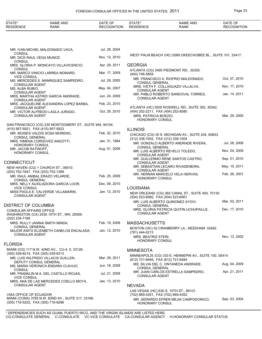| STATE*<br><b>RESIDENCE</b>                                   | <b>NAME AND</b><br><b>RANK</b>                           | DATE OF<br><b>RECOGNITION</b> | STATE*<br><b>RESIDENCE</b>                                                     | <b>NAME AND</b><br><b>RANK</b>                              | DATE OF<br><b>RECOGNITION</b> |
|--------------------------------------------------------------|----------------------------------------------------------|-------------------------------|--------------------------------------------------------------------------------|-------------------------------------------------------------|-------------------------------|
|                                                              |                                                          |                               |                                                                                |                                                             |                               |
|                                                              | MR. IVAN MICHEL MALDONADO VACA,                          | Jul. 28, 2004                 |                                                                                |                                                             |                               |
| <b>CONSUL</b><br>MR. DICK RAUL VEGA MUNOZ,                   |                                                          | Nov. 12, 2010                 |                                                                                | WEST PALM BEACH (HC) 5589 OKEECHOBEE BL., SUITE 101, 33417. |                               |
| <b>CONSUL</b>                                                | MRS. GLORIA P. MONCAYO VILLAVICENCIO,                    | Apr. 29, 2011                 | <b>GEORGIA</b>                                                                 |                                                             |                               |
| <b>CONSUL</b>                                                | MR. MARCO VINICIO LARREA MONARD,                         | Mar. 17, 2009                 | (404) 746-5859                                                                 | ATLANTA (CG) 3495 PIEDMONT RD., 30305.                      |                               |
| <b>VICE CONSUL</b>                                           | MS. MERCEDES S. MANRIQUEZ SAMPEDRO,                      | Jul. 29, 2005                 | <b>CONSUL GENERAL</b>                                                          | MR. FRANCISCO A. RIOFRIO MALDONADO.                         | Oct. 07, 2010                 |
| <b>CONSULAR AGENT</b><br>MS. ALBA RUBIO,                     |                                                          | May. 04, 2007                 | <b>CONSULAR AGENT</b>                                                          | MRS. IVETH F. COLLAGUAZO VILLALVA,                          | Nov. 17, 2010                 |
| <b>CONSULAR AGENT</b>                                        | MRS. MARTHA ASTRID GARCIA ANDRADE,                       | Jun. 24, 2009                 | <b>CONSULAR AGENT</b>                                                          | MR. PABLO ROBERTO SANDOVAL TORRES,                          | Jan. 14, 2011                 |
| <b>CONSULAR AGENT</b>                                        | MRS. JACQUELINE ALEXANDRA LOPEZ BARBA,                   | Feb. 23, 2010                 |                                                                                | ATLANTA (HC) 5505 ROSWELL RD., SUITE 350, 30342.            |                               |
| <b>CONSULAR AGENT</b><br><b>CONSULAR AGENT</b>               | MR. VICTOR ALFREDO LAGLA JURADO,                         | Oct. 29, 2010                 | (404) 252-2211, FAX (404) 252-8580<br>MRS. PATRICIA BOEZIO,<br>HONORARY CONSUL |                                                             | Mar. 29, 2000                 |
|                                                              | SAN FRANCISCO (CG) 235 MONTGOMERY ST., SUITE 944, 94104. |                               |                                                                                |                                                             |                               |
| (415) 957-5921, FAX (415) 957-5923                           | MR. MOISES VALDIS SOSA MORENO,                           | Feb. 22, 2010                 | <b>ILLINOIS</b>                                                                | CHICAGO (CG) 30 S. MICHIGAN AV., SUITE 204, 60603.          |                               |
| <b>CONSUL GENERAL</b>                                        | MRS. XIMENA CORDOVEZ ANGOTTI,                            | Jan. 31, 1984                 | (312) 338-1002, FAX (312) 338-1004                                             | MR. GONZALO ALBERTO ANDRADE RIVERA,                         | Jul. 28, 2008                 |
| HONORARY CONSUL<br>MR. JACOB RATINOFF,                       |                                                          | Aug. 01, 2006                 | <b>CONSUL GENERAL</b>                                                          | MR. LUIS ALBERTO REVELO TOLEDO,                             | Nov. 04, 2009                 |
| HONORARY CONSUL                                              |                                                          |                               | <b>CONSULAR AGENT</b>                                                          | MR. GUILLERMO RENE SANTOS CASTRO,                           | Sep. 01, 2010                 |
| CONNECTICUT                                                  | NEW HAVEN (CG) 1 CHURCH ST., 06510.                      |                               | CONSULAR AGENT                                                                 | MR. SEBASTIAN LECARO RIVADENEIRA,                           | May. 10, 2011                 |
| (203) 752-1947, FAX (203) 752-1389                           |                                                          |                               | <b>CONSULAR AGENT</b>                                                          | MR. HERNAN MARCELO VELA HERVAS,                             | Feb. 26, 2001                 |
| <b>CONSUL GENERAL</b>                                        | MR. RAUL ANIBAL ERAZO VELARDE,                           | Feb. 25, 2009                 | HONORARY CONSUL                                                                |                                                             |                               |
| <b>VICE CONSUL</b>                                           | MRS. NELLY AUXILIADORA GARCIA LOOR,                      | Dec. 09, 2010                 | <b>LOUISIANA</b>                                                               |                                                             |                               |
| <b>CONSULAR AGENT</b>                                        | MISS PAOLA E. VALVERDE VILLAMARIN,                       | Jan. 12, 2010                 | (504) 523-6060, FAX (504) 523-6061                                             | NEW ORLEANS (CG) 365 CANAL ST., SUITE 400, 70130.           |                               |
| DISTRICT OF COLUMBIA                                         |                                                          |                               | <b>CONSUL GENERAL</b>                                                          | MR. LUIS ALBERTO QUINONEZ AYOVI,                            | Mar. 02, 2011                 |
| CONSULAR AFFAIRS OFFICE<br>(202) 234-7166                    | WASHINGTON (CA) 2535 15TH ST., NW, 20009.                |                               | <b>CONSULAR AGENT</b>                                                          | MRS. GLORIA PATRICIA QUITIN UCHUPAILLE,                     | Dec. 17, 2010                 |
|                                                              | MRS. RULLY JANINA SMITH MINDA,                           | Feb. 19, 2008                 | <b>MASSACHUSETTS</b>                                                           |                                                             |                               |
| <b>CONSUL GENERAL</b><br><b>CONSULAR AGENT</b>               | MAJOR ANITA ELIZABETH CANELOS ENCALADA,                  | Jan. 12, 2010                 | (781) 444-0213                                                                 | BOSTON (HC) 52 CRANBERRY LA., NEEDHAM 02492.                |                               |
|                                                              |                                                          |                               | MRS. BEATRIZ STEIN,<br>HONORARY CONSUL                                         |                                                             | Nov. 13, 2002                 |
| <b>FLORIDA</b>                                               | MIAMI (CG) 117 N.W. 42ND AV., CU-4, 5, 33126.            |                               | <b>MINNESOTA</b>                                                               |                                                             |                               |
| (305) 539-8214, FAX (305) 539-8313                           |                                                          |                               |                                                                                | MINNEAPOLIS (CG) 333 E. HENNEPIN AV., SUITE 100, 55414.     |                               |
| DEPUTY CONSUL GENERAL                                        | MR. LUIS WILFRIDO VILLACIS GUILLEN.                      | Mar. 29, 2011                 | (612) 721-6469, FAX (612) 721-6484                                             | MS. SILVIA DEL C. ONTANEDA ANDRADE,                         | Aug. 04, 2009                 |
| <b>CONSUL</b>                                                | MS. MARIA VERONICA ENDARA CLAVIJO,                       | Jun. 18, 2009                 | <b>CONSUL GENERAL</b>                                                          |                                                             | Apr. 21, 2011                 |
| <b>VICE CONSUL</b>                                           | MR. FRANKLIN M.A. DEL CASTILLO ROJAS,                    | Jul. 21, 2009                 | <b>CONSULAR AGENT</b>                                                          | MR. JUAN CARLOS ESTRELLA SAMPEDRO,                          |                               |
| <b>CONSULAR AGENT</b>                                        | MRS. ANA DE LAS MERCEDES COELLO MOYA,                    | Jan. 13, 2010                 | <b>NEVADA</b>                                                                  |                                                             |                               |
|                                                              |                                                          |                               |                                                                                | LAS VEGAS (HC) 630 S. 10TH ST., 89101.                      |                               |
| VISA OFFICE OF ECUADOR<br>(305) 716-5252, FAX (305) 716-9296 | MIAMI (CONA) 3785 N.W. 82ND AV., SUITE 317, 33166.       |                               | (702) 869-4351, FAX (702) 869-4352<br>HONORARY CONSUL                          | MR. GERARDO EFREN MEJIA CAMPODONICO,                        | Sep. 03, 2004                 |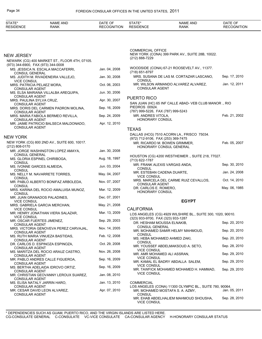| STATE*<br><b>RESIDENCE</b>                                  | <b>NAME AND</b><br><b>RANK</b>                | DATE OF<br><b>RECOGNITION</b> | STATE*<br><b>RESIDENCE</b>                           | <b>NAME AND</b><br><b>RANK</b>                                           | DATE OF<br><b>RECOGNITION</b> |
|-------------------------------------------------------------|-----------------------------------------------|-------------------------------|------------------------------------------------------|--------------------------------------------------------------------------|-------------------------------|
|                                                             |                                               |                               |                                                      |                                                                          |                               |
|                                                             |                                               |                               | <b>COMMERCIAL OFFICE</b>                             | NEW YORK (CONA) 399 PARK AV., SUITE 28B, 10022.                          |                               |
| <b>NEW JERSEY</b>                                           | NEWARK (CG) 400 MARKET ST., FLOOR 4TH, 07105. |                               | (212) 888-7229                                       |                                                                          |                               |
| (973) 344-6900, FAX (973) 344-0008<br><b>CONSUL GENERAL</b> | MS. JESSICA N. ESCALA MACCAFERRI,             | Jan. 04, 2008                 | (718) 651-8797                                       | WOODSIDE (CONA) 67-21 ROOSEVELT AV., 11377.                              |                               |
| <b>VICE CONSUL</b>                                          | MS. JUDITH M. RIVADENEIRA VALLEJO,            | Jan. 30, 2008                 | <b>CONSUL</b>                                        | MRS. SUSANA DE LAS M. CORTAZAR LASCANO,                                  | Sep. 17, 2010                 |
| MRS. PATRICIA PELAEZ MORA,<br><b>CONSULAR AGENT</b>         |                                               | Oct. 06, 2003                 | CONSULAR AGENT                                       | MR. WILSON ARMANDO ALVAREZ ALVAREZ,                                      | Jan. 12, 2011                 |
| <b>CONSULAR AGENT</b>                                       | MS. ELSA MARIANA VILLALBA AREQUIPA,           | Jun. 30, 2006                 |                                                      |                                                                          |                               |
| MRS. PAULINA SYLVA CRUZ,<br><b>CONSULAR AGENT</b>           |                                               | Apr. 30, 2007                 | <b>PUERTO RICO</b>                                   | SAN JUAN (HC) 65 INF CALLE ABAD- VEB CLUB MANOR ., RIO                   |                               |
| <b>CONSULAR AGENT</b>                                       | MRS. DORIS DEL CARMEN PADRON MOLINA,          | Sep. 16, 2009                 | PIEDROS 00924.<br>(787) 999-5226, FAX (787) 999-5243 |                                                                          |                               |
| <b>CONSULAR AGENT</b>                                       | MRS. MARIA FABIOLA BERMEO REVILLA,            | Sep. 24, 2009                 | MR. ANDRES VITOLA,<br><b>HONORARY CONSUL</b>         |                                                                          | Feb. 21, 2002                 |
| <b>CONSULAR AGENT</b>                                       | MR. JAIME PATRICIO BALSECA MALDONADO,         | Apr. 12, 2010                 |                                                      |                                                                          |                               |
|                                                             |                                               |                               | <b>TEXAS</b>                                         |                                                                          |                               |
| <b>NEW YORK</b>                                             |                                               |                               | (972) 712-9106, FAX (253) 369-7475                   | DALLAS (HCG) 7510 ACORN LA., FRISCO 75034.                               |                               |
| (212) 808-0170                                              | NEW YORK (CG) 800 2ND AV., SUITE 600, 10017.  |                               |                                                      | MR. RICARDO M. BOWEN GRIMMER,<br>HONORARY CONSUL GENERAL                 | Feb. 05, 2007                 |
| <b>CONSUL GENERAL</b>                                       | MR. JORGE WASHINGTON LOPEZ AMAYA,             | Jan. 30, 2008                 |                                                      |                                                                          |                               |
| <b>CONSUL</b>                                               | MS. GLORIA ESPINEL CHIRIBOGA,                 | Aug. 18, 1997                 | (713) 622-1787                                       | HOUSTON (CG) 4200 WESTHEIMER., SUITE 218, 77027.                         |                               |
| MS. IVONNE GARCES ALMEIDA,<br><b>CONSUL</b>                 |                                               | Jun. 03, 2004                 | <b>CONSUL</b>                                        | MR. FRANK ALEXIS VARGAS ANDA,                                            | Sep. 30, 2010                 |
| <b>CONSUL</b>                                               | MS. NELLY M. NAVARRETE TORRES,                | May. 04, 2007                 | <b>VICE CONSUL</b>                                   | MR. ESTEBAN CADENA DUARTE,                                               | Jan. 24, 2008                 |
| <b>CONSUL</b>                                               | MR. PABLO ALBERTO BONIFAZ ARBOLEDA,           | Nov. 07, 2007                 | <b>CONSULAR AGENT</b>                                | MRS. MARCELA DEL CARME RUIZ CEVALLOS,                                    | Oct. 14, 2010                 |
| <b>CONSUL</b>                                               | MRS. KARINA DEL ROCIO AMALUISA MUNOZ,         | Mar. 12, 2009                 | DR. CARLOS E. ROMERO,<br>HONORARY CONSUL             |                                                                          | May. 06, 1985                 |
|                                                             | MR. JUAN GRANADOS PALADINES,                  | Dec. 07, 2001                 |                                                      | <b>EGYPT</b>                                                             |                               |
| <b>VICE CONSUL</b>                                          | MRS. GABRIELA GARCIA MERCHAN,                 | May. 21, 2008                 |                                                      |                                                                          |                               |
| <b>VICE CONSUL</b>                                          | MR. HENRY JONATHAN VIERA SALAZAR,             | Mar. 13, 2009                 | <b>CALIFORNIA</b>                                    | LOS ANGELES (CG) 4929 WILSHIRE BL., SUITE 300, 1020, 90010.              |                               |
| <b>VICE CONSUL</b>                                          | MR. OSCAR FUERTES JIMENEZ,                    | Sep. 29, 2003                 | (323) 933-9700, FAX (323) 933-1287                   | DR. HESHAM MOUSSA ELNAKIB,                                               | Sep. 20, 2010                 |
| CONSULAR AGENT                                              | MRS. VICTORIA GENOVEVA PEREZ CARVAJAL,        | Nov. 14, 2005                 | <b>CONSUL GENERAL</b>                                | MR. MOHAMED SAMIR HELMY MAHMOUD,                                         | Sep. 20, 2010                 |
| CONSULAR AGENT                                              | MS. RUTH MARIA VINUEZA BASTIDAS,              | Feb. 12, 2008                 | <b>CONSUL</b>                                        | MS. HEBA MOHAMED AHMED ZAKI,                                             | Sep. 20, 2010                 |
| CONSULAR AGENT                                              | DR. CARLOS D. ESPINOZA ESPINOZA,              | Oct. 29, 2008                 | CONSUL                                               |                                                                          | Sep. 28, 2010                 |
| CONSULAR AGENT                                              | MS. MARITZA DEL ROCIO ARAUZ CASTRO,           | Nov. 26, 2008                 | <b>VICE CONSUL</b>                                   | MR. YOUSSEF ABDELMAKSOUD A. SETO,                                        |                               |
| CONSULAR AGENT                                              | MR. PABLO ANDRES CALLE FIGUEROA,              | Sep. 16, 2009                 | <b>VICE CONSUL</b>                                   | MR. AMR MOHAMED ALI ASSRAN,                                              | Sep. 29, 2010                 |
| <b>CONSULAR AGENT</b>                                       | MS. BERTHA ADELAIDA IDROVO ORTIZ,             | Sep. 16, 2009                 | <b>VICE CONSUL</b>                                   | MR. KAMAL EL BADRY ABDALLA SALEM,                                        | Sep. 29, 2010                 |
| CONSULAR AGENT                                              | MR. CHRISTIAN GEOVANNY LEROUX SUAREZ,         | Jan. 08, 2010                 | <b>VICE CONSUL</b>                                   | MR. TAWFICK MOHAMED MOHAMED H. HAMMAD,                                   | Sep. 29, 2010                 |
| CONSULAR AGENT                                              | MS. ELISA NATALY JARRIN HARO,                 | Jan. 13, 2010                 | <b>COMMERCIAL</b>                                    |                                                                          |                               |
| <b>CONSULAR AGENT</b>                                       |                                               | Apr. 07, 2010                 |                                                      | LOS ANGELES (CONA) 11300 OLYMPIC BL., SUITE 780, 90064.                  | Jan. 05, 2011                 |
| <b>CONSULAR AGENT</b>                                       | MR. CESAR DAVID LEON ALVAREZ,                 |                               | <b>CONSUL</b><br><b>VICE CONSUL</b>                  | MR. MOHAMED MOSTAFA S. A. AZMY,<br>MR. EHAB ABDELHALIEM MAHMOUD SHOUSHA, | Sep. 28, 2010                 |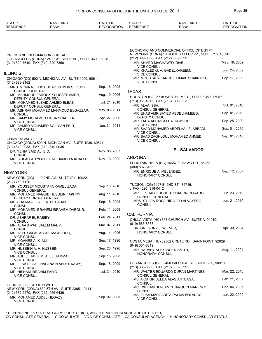| STATE*<br><b>RESIDENCE</b>                                    | <b>NAME AND</b><br><b>RANK</b>                              | DATE OF<br><b>RECOGNITION</b> | STATE*<br><b>RESIDENCE</b>                            | <b>NAME AND</b><br><b>RANK</b>                                                                   | DATE OF<br><b>RECOGNITION</b> |
|---------------------------------------------------------------|-------------------------------------------------------------|-------------------------------|-------------------------------------------------------|--------------------------------------------------------------------------------------------------|-------------------------------|
|                                                               |                                                             |                               |                                                       |                                                                                                  |                               |
| PRESS AND INFORMATION BUREAU                                  |                                                             |                               | (212) 399-9898, FAX (212) 399-9899                    | ECONOMIC AND COMMERCIAL OFFICE OF EGYPT<br>NEW YORK (CONA) 10 ROCKEFELLER PZ., SUITE 715, 10020. |                               |
| (310) 820-7640, FAX (310) 820-7350                            | LOS ANGELES (CONA) 12400 WILSHIRE BL., SUITE 360, 90025.    |                               | MR. AHMED MAGHAWRY DIAB.<br><b>VICE CONSUL</b>        |                                                                                                  | May. 19, 2009                 |
| <b>ILLINOIS</b>                                               |                                                             |                               | <b>VICE CONSUL</b>                                    | MR. KHALED G. A. GADELKAREEM,                                                                    | Jun. 24, 2009                 |
| (312) 828-9162                                                | CHICAGO (CG) 500 N. MICHIGAN AV., SUITE 1900, 60611.        |                               | <b>VICE CONSUL</b>                                    | MR. MOUSTAFA FAROUK ISMAIL SHAIKHON,                                                             | Sep. 17, 2009                 |
| <b>CONSUL GENERAL</b>                                         | MRS. MONA NEFISSA SOAD TAWFIK SEOUDY,                       | Sep. 16, 2008                 | <b>TEXAS</b>                                          |                                                                                                  |                               |
| DEPUTY CONSUL GENERAL                                         | MR. MAHMOUD FAROUK YOUSSEF AMER,                            | Aug. 10, 2006                 |                                                       | HOUSTON (CG) 5718 WESTHEIMER., SUITE 1350, 77057.                                                |                               |
|                                                               | MR. MOHAMED ELSAID AHMED ELBAZ,<br>DEPUTY CONSUL GENERAL    | Jul. 21, 2010                 | (713) 961-4915, FAX (713) 977-0323<br>MR. ALAA ISSA,  |                                                                                                  | Oct. 01, 2010                 |
| <b>CONSUL</b>                                                 | MR. ASHRAF MOHAMED MAHMOUD ELGAZZAR,                        | May. 06, 2011                 | <b>CONSUL GENERAL</b>                                 | MR. EHAB AMR SAYED ABDELHAMEED,                                                                  | Sep. 01, 2010                 |
| <b>VICE CONSUL</b>                                            | MR. SAMY MOHAMED EISSA SHAHEEN,                             | Apr. 27, 2009                 | DEPUTY CONSUL                                         | MR. TAHA ABBAS ATTIA DAWOOD,                                                                     | Sep. 25, 2009                 |
| <b>VICE CONSUL</b>                                            | MR. AHMED MOHAMED SOLIMAN EBID,                             | Jan. 31, 2011                 | <b>VICE CONSUL</b><br><b>VICE CONSUL</b>              | MR. SAAD MOHAMED ABDELAAL ELABBADI,                                                              | Sep. 01, 2010                 |
| <b>COMMERCIAL OFFICE</b>                                      | CHICAGO (CONA) 500 N. MICHIGAN AV., SUITE 1030, 60611.      |                               | <b>VICE CONSUL</b>                                    | MR. SAAD ZAGHLOUL MOHAMED AHMED,                                                                 | Sep. 01, 2010                 |
| (312) 840-9033, FAX (312) 840-9035<br>DR. YEHIA SAID ALI EID, |                                                             | Nov. 05, 2007                 |                                                       | <b>EL SALVADOR</b>                                                                               |                               |
| <b>CONSUL</b>                                                 | MR. SEIFALLAH YOUSEF MOHAMED A KHALED,                      | Nov. 13, 2009                 | <b>ARIZONA</b>                                        |                                                                                                  |                               |
| <b>VICE CONSUL</b>                                            |                                                             |                               | (480) 837-6463                                        | FOUNTAIN HILLS (HC) 16657 E. HAWK DR., 85268.                                                    |                               |
| NEW YORK                                                      |                                                             |                               | MR. ENRIQUE A. MELENDEZ,<br>HONORARY CONSUL           |                                                                                                  | Sep. 12, 2007                 |
| (212) 759-7120                                                | NEW YORK (CG) 1110 2ND AV., SUITE 201, 10022.               |                               | TUCSON (CG) 3127 E. 2ND ST., 85716.                   |                                                                                                  |                               |
| <b>CONSUL GENERAL</b>                                         | MR. YOUSSEF MOUSTAFA KAMEL ZADA,                            | Sep. 16, 2010                 | , FAX (520) 318-0412                                  |                                                                                                  |                               |
|                                                               | MR. MOHAMED NAGUIB HUSSEIN FAKHRY,<br>DEPUTY CONSUL GENERAL | Aug. 11, 2010                 | <b>CONSUL GENERAL</b>                                 | MR. LEOCADIO JOSE J. CHACON CORADO,                                                              | Jun. 23, 2010                 |
| <b>CONSUL</b>                                                 | MS. SHAIMAA L. S. E. A. EL SABAIE,                          | Sep. 18, 2008                 | <b>CONSUL</b>                                         | MRS. SYLVIA ROSA HIDALGO ALVAYERO,                                                               | Jun. 21, 2010                 |
| <b>CONSUL</b>                                                 | MR. MOHAMED IBRAHEM IBRAHEM DABOUR,                         | Feb. 11, 2009                 | <b>CALIFORNIA</b>                                     |                                                                                                  |                               |
| DR. ASHRAF EL RABIEY,<br>CONSUL                               |                                                             | Feb. 24, 2011                 | (619) 585-8883                                        | CHULA VISTA (HC) 353 CHURCH AV., SUITE A, 91910.                                                 |                               |
| MR. ALAA AWAD SALEM MADY,<br><b>CONSUL</b>                    |                                                             | Mar. 07, 2011                 | DR. GREGORY J. WIENER,                                |                                                                                                  | Apr. 30, 2004                 |
| <b>VICE CONSUL</b>                                            | MR. ATEF GALAL ABDEL MAWGOOD,                               | Aug. 14, 1996                 | HONORARY CONSUL                                       |                                                                                                  |                               |
| MR. MOANES A. K. ALI,<br><b>VICE CONSUL</b>                   |                                                             | Sep. 17, 1996                 | (949) 351-6319                                        | COSTA MESA (HC) 32562 CRETE RD., DANA POINT 92629.                                               |                               |
| MR. HUSSEIN A. H. HUSSEIN,<br><b>VICE CONSUL</b>              |                                                             | Sep. 23, 1996                 | MR. HARVEY ALEXANDER SMITH,<br><b>HONORARY CONSUL</b> |                                                                                                  | Aug. 11, 2004                 |
| <b>VICE CONSUL</b>                                            | MR. ABDEL HAFIZ M. A. EL GAMMAL,                            | Sep. 15, 2008                 |                                                       | LOS ANGELES (CG) 3450 WILSHIRE BL., SUITE 250, 90010.                                            |                               |
| <b>VICE CONSUL</b>                                            | MR. ELSAYED ALI HASANAIN ABDEL KAWY,                        | Sep. 18, 2009                 | (213) 383-8580, FAX (213) 383-8599                    |                                                                                                  |                               |
| MR. HISHAM IBRAHIM FARID,<br><b>VICE CONSUL</b>               |                                                             | Jul. 21, 2010                 | CONSUL GENERAL                                        | MR. WALTER EDUARDO DURAN MARTINEZ,                                                               | Mar. 22, 2010                 |
| TOURIST OFFICE OF EGYPT                                       |                                                             |                               | <b>CONSUL</b>                                         | MS. AIDA GRISELDA ALAS ARTEAGA,                                                                  | Feb. 21, 2007                 |
| (212) 332-2570, FAX (212) 956-6439                            | NEW YORK (CONA) 630 5TH AV., SUITE 2305, 10111.             |                               | <b>CONSUL</b>                                         | MR. WILLIAM BENJAMIN JARQUIN MARENCO,                                                            | Dec. 04, 2007                 |
| MR. MOHAMED ABDEL HEGAZY,<br><b>VICE CONSUL</b>               |                                                             | Sep. 02, 2008                 | <b>VICE CONSUL</b>                                    | MS. ELISA MARGARITA PALMA BOLANOS,                                                               | Jan. 22, 2009                 |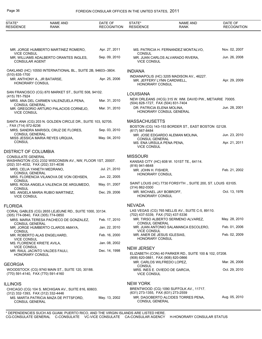| STATE*<br><b>RESIDENCE</b>                                     | <b>NAME AND</b><br><b>RANK</b>                               | DATE OF<br><b>RECOGNITION</b> | STATE*<br><b>RESIDENCE</b>                            | <b>NAME AND</b><br><b>RANK</b>                                           | DATE OF<br><b>RECOGNITION</b>  |
|----------------------------------------------------------------|--------------------------------------------------------------|-------------------------------|-------------------------------------------------------|--------------------------------------------------------------------------|--------------------------------|
|                                                                |                                                              |                               |                                                       |                                                                          |                                |
| <b>VICE CONSUL</b>                                             | MR. JORGE HUMBERTO MARTINEZ ROMERO,                          | Apr. 27, 2011                 | <b>CONSUL</b>                                         | MS. PATRICIA H. FERNANDEZ MONTALVO,                                      | Nov. 02, 2007                  |
| <b>CONSULAR AGENT</b>                                          | MR. WILLIAMS ADALBERTO ORANTES INGLES,                       | Sep. 09, 2010                 | <b>VICE CONSUL</b>                                    | MR. JUAN CARLOS ALVARADO RIVERA,                                         | Jun. 26, 2008                  |
| (510) 635-1700                                                 | OAKLAND (HC) 10550 INTERNATIONAL BL., SUITE 2B, 94603--3804. |                               | <b>INDIANA</b>                                        |                                                                          |                                |
| MR. ANTHONY A., JR BATARSE,<br><b>HONORARY CONSUL</b>          |                                                              | Apr. 25, 2006                 | <b>HONORARY CONSUL</b>                                | INDIANAPOLIS (HC) 3205 MADISON AV., 46227.<br>MR. JEFFERY LYNN CARDWELL, | Apr. 29, 2009                  |
| (415) 781-7924                                                 | SAN FRANCISCO (CG) 870 MARKET ST., SUITE 508, 94102.         |                               | <b>LOUISIANA</b>                                      |                                                                          |                                |
| <b>CONSUL GENERAL</b>                                          | MRS. ANA DEL CARMEN VALENZUELA PENA,                         | Mar. 31, 2010                 | (504) 828-1727, FAX (504) 831-7404                    | NEW ORLEANS (HCG) 315 W. WM. DAVID PW., METAIRIE 70005.                  |                                |
| <b>VICE CONSUL</b>                                             | MR. GREGORIO ARTURO PALACIOS CORNEJO,                        | Mar. 31, 2010                 | DR. PATRICIA ELENA MOLINA.                            | HONORARY CONSUL GENERAL                                                  | Jun. 28, 2001                  |
|                                                                | SANTA ANA (CG) 203 N. GOLDEN CIRCLE DR., SUITE 103, 92705.   |                               | <b>MASSACHUSETTS</b>                                  |                                                                          |                                |
| , FAX (714) 972-8236                                           | MRS. SANDRA MARISOL CRUZ DE FLORES,                          | Sep. 03, 2010                 | (617) 567-8484                                        | BOSTON (CG) 143-153 BORDER ST., EAST BOSTON 02128.                       |                                |
| <b>CONSUL GENERAL</b><br><b>CONSUL</b>                         | MISS JESSICA MARIA REYES URQUIA,                             | May. 04, 2010                 | <b>CONSUL GENERAL</b>                                 | MR. JOSE EDGARDO ALEMAN MOLINA,                                          | Jun. 23, 2010<br>Apr. 21, 2011 |
|                                                                |                                                              |                               | MS. ENA URSULA PENA PENA,<br><b>VICE CONSUL</b>       |                                                                          |                                |
| DISTRICT OF COLUMBIA                                           |                                                              |                               |                                                       |                                                                          |                                |
| <b>CONSULATE GENERAL</b><br>(202) 331-4032, FAX (202) 331-4036 | WASHINGTON (CG) 2332 WISCONSIN AV., NW, FLOOR 1ST, 20007.    |                               | <b>MISSOURI</b>                                       | KANSAS CITY (HC) 608 W. 101ST TE., 64114.                                |                                |
| <b>CONSUL GENERAL</b>                                          | MRS. CELIA YANETH MEDRANO,                                   | Jul. 21, 2010                 | (816) 941-6648<br>MR. JOHN H. FISHER,                 |                                                                          | Feb. 21, 2002                  |
| <b>CONSUL</b>                                                  | MRS. FLORENCIA VILANOVA DE VON OEHSEN,                       | Jun. 22, 2005                 | <b>HONORARY CONSUL</b>                                |                                                                          |                                |
| CONSUL                                                         | MRS. ROSA ANGELA VALENCIA DE ARGUMEDO,                       | May. 01, 2007                 | (314) 862-0300                                        | SAINT LOUIS (HC) 7730 FORSYTH ., SUITE 200, ST. LOUIS 63105.             |                                |
| <b>VICE CONSUL</b>                                             | MS. ANGELA MARIA RUBIO MARTINEZ,                             | Dec. 29, 2006                 | MR. MICHAEL JAY BOBROFF,<br><b>HONORARY CONSUL</b>    |                                                                          | Oct. 13, 1976                  |
| FLORIDA                                                        |                                                              |                               | <b>NEVADA</b>                                         |                                                                          |                                |
| (305) 774-0840, FAX (305) 774-0850                             | CORAL GABLES (CG) 2655 LEJEUNE RD., SUITE 1000, 33134.       |                               | (702) 437-5339, FAX (702) 437-5336                    | LAS VEGAS (CG) 765 NELLIS AV., SUITE C-5, 89110.                         |                                |
| CONSUL GENERAL                                                 | MRS. MARIA TERESA PACHECO DE GONZALEZ,                       | Feb. 17, 2010                 | <b>CONSUL GENERAL</b>                                 | MR. TIRSO ALBERTO SERMENO ALVAREZ,                                       | May. 28, 2010                  |
| CONSUL                                                         | MR. JORGE HUMBERTO CLAROS AMAYA,                             | Jan. 22, 2010                 | <b>VICE CONSUL</b>                                    | MR. JUAN ANTONIO SALAMANCA ESCOLERO,                                     | Feb. 01, 2006                  |
| <b>VICE CONSUL</b>                                             | MR. ROBERTO ALAS ENGELHARD,                                  | Feb. 16, 2000                 | MR. ANER DE JESUS IGLESIAS.<br><b>HONORARY CONSUL</b> |                                                                          | Feb. 02, 2009                  |
| MS. FLORENCE KRIETE AVILA,<br><b>VICE CONSUL</b>               |                                                              | Jan. 08, 2002                 | <b>NEW JERSEY</b>                                     |                                                                          |                                |
| <b>HONORARY CONSUL</b>                                         | MR. RAUL JACINTO VALDES FAULI,                               | Dec. 14, 1998                 | (908) 820-0881, FAX (908) 820-0866                    | ELIZABETH (CON) 40 PARKER RD., SUITE 100 & 102, 07208.                   |                                |
| GEORGIA                                                        |                                                              |                               | <b>CONSUL</b>                                         | MR. CARLOS WILFREDO LOPEZ,                                               | Mar. 26, 2006                  |
| (770) 591-4140, FAX (770) 591-4160                             | WOODSTOCK (CG) 9740 MAIN ST., SUITE 120, 30188.              |                               | <b>VICE CONSUL</b>                                    | MRS. INES E. OVIEDO DE GARCIA,                                           | Oct. 29, 2010                  |
| <b>ILLINOIS</b>                                                |                                                              |                               | <b>NEW YORK</b>                                       |                                                                          |                                |
| (312) 332-1393, FAX (312) 332-4446                             | CHICAGO (CG) 104 S. MICHIGAN AV., SUITE 816, 60603.          |                               | (631) 273-1355, FAX (631) 273-2559                    | BRENTWOOD (CG) 1090 SUFFOLK AV., 11717.                                  |                                |
| <b>CONSUL GENERAL</b>                                          | MS. MARTA PATRICIA MAZA DE PITTSFORD,                        | May. 13, 2002                 | <b>CONSUL GENERAL</b>                                 | MR. DAGOBERTO ALCIDES TORRES PENA,                                       | Aug. 05, 2010                  |
|                                                                |                                                              |                               |                                                       |                                                                          |                                |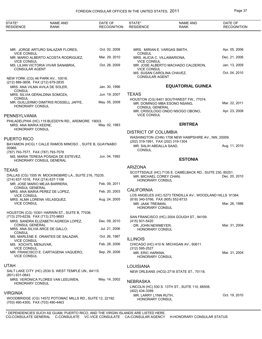| STATE*<br><b>RESIDENCE</b>                  | <b>NAME AND</b><br><b>RANK</b>                                                                  | DATE OF<br><b>RECOGNITION</b> | STATE*<br><b>RESIDENCE</b>                              | <b>NAME AND</b><br><b>RANK</b>                                          | DATE OF<br><b>RECOGNITION</b> |
|---------------------------------------------|-------------------------------------------------------------------------------------------------|-------------------------------|---------------------------------------------------------|-------------------------------------------------------------------------|-------------------------------|
|                                             |                                                                                                 |                               |                                                         |                                                                         |                               |
| <b>VICE CONSUL</b>                          | MR. JORGE ARTURO SALAZAR FLORES,                                                                | Oct. 02, 2008                 | <b>CONSUL</b>                                           | MRS. MIRIAN E. VARGAS SMITH,                                            | Apr. 05, 2006                 |
| <b>VICE CONSUL</b>                          | MR. MARIO ALBERTO ACOSTA RODRIGUEZ,                                                             | Mar. 29, 2010                 | MRS. ALICIA C. VILLAMARIONA,<br><b>VICE CONSUL</b>      |                                                                         | Dec. 21, 2006                 |
| <b>CONSULAR AGENT</b>                       | MS. LILIAN VICTORIA VIVAR SANABRIA,                                                             | Oct. 28, 2009                 | <b>VICE CONSUL</b>                                      | MR. JOSE ALBERTO MACHADO CALDERON,                                      | Jan. 13, 2009                 |
|                                             | NEW YORK (CG) 46 PARK AV., 10016.<br>(212) 889-3608, FAX (212) 679-2835                         |                               | MS. SUSAN CAROLINA CHAVEZ,<br><b>CONSULAR AGENT</b>     |                                                                         | Oct. 04, 2010                 |
| <b>CONSUL</b>                               | MRS. ANA VILMA AVILA DE SOLER,                                                                  | Jan. 30, 1996                 |                                                         | <b>EQUATORIAL GUINEA</b>                                                |                               |
|                                             | MRS. SILVIA GERALDINA SOMOZA,                                                                   | Jun. 19, 2007                 | <b>TEXAS</b>                                            |                                                                         |                               |
| <b>CONSUL</b><br><b>HONORARY CONSUL</b>     | MR. GUILLERMO DIMITRIS ROSSELL JAFFE,                                                           | May. 05, 2008                 | <b>CONSUL GENERAL</b>                                   | HOUSTON (CG) 6401 SOUTHWEST FW., 77074.<br>MR. DOMINGO MBA ESONO NSANG, | Mar. 22, 2011                 |
| PENNSYLVANIA                                |                                                                                                 |                               | <b>VICE CONSUL</b>                                      | MR. CRISOLOGO ONDO NSOGO OBONO,                                         | Apr. 23, 2008                 |
| MRS. ANA MARIA KEENE,<br>HONORARY CONSUL    | PHILADELPHIA (HC) 119 BLEDDYN RD., ARDMORE 19003.                                               | May. 02, 1983                 |                                                         | <b>ERITREA</b>                                                          |                               |
|                                             |                                                                                                 |                               | <b>DISTRICT OF COLUMBIA</b>                             |                                                                         |                               |
| <b>PUERTO RICO</b>                          |                                                                                                 |                               | (202) 319-1991, FAX (202) 319-1304                      | WASHINGTON (CHN) 1708 NEW HAMPSHIRE AV., NW, 20009.                     |                               |
| 00966.                                      | BAYAMON (HCG) 1 CALLE RAMOS MIMOSO., SUITE B, GUAYNABO<br>(787) 793-7577, FAX (787) 793-7578    |                               | MR. SALIH ABDALLA SAAD,<br><b>CONSUL</b>                |                                                                         | Aug. 11, 2010                 |
|                                             | MS. MARIA TERESA POSADA DE ESTEVEZ.<br>HONORARY CONSUL GENERAL                                  | Jun. 04, 1992                 |                                                         | <b>ESTONIA</b>                                                          |                               |
| <b>TEXAS</b>                                |                                                                                                 |                               | <b>ARIZONA</b>                                          |                                                                         |                               |
|                                             | DALLAS (CG) 1555 W. MOCKINGBIRD LA., SUITE 216, 75235.<br>(214) 637-1018, FAX (214) 637-1106    |                               | MR. MICHAEL COREY CHAN,<br>HONORARY CONSUL              | SCOTTSDALE (HC) 7135 E. CAMELBACK RD., SUITE 230, 85251.                | Dec. 20, 2010                 |
| <b>CONSUL GENERAL</b>                       | MR. JOSE MARIO MEJIA BARRERA,                                                                   | Feb. 09, 2011                 |                                                         |                                                                         |                               |
| <b>VICE CONSUL</b>                          | MRS. ANA MARIA PEREZ DE LOPEZ,                                                                  | Feb. 20, 2003                 | <b>CALIFORNIA</b>                                       | LOS ANGELES (HC) 5273 TENDILLA AV., WOODLAND HILLS 91364.               |                               |
| <b>VICE CONSUL</b>                          | MRS. ALMA LORENA VELASQUEZ,                                                                     | Aug. 24, 2005                 | (818) 340-5766, FAX (805) 552-8733<br>MR. JAAK TREIMAN, |                                                                         | Mar. 26, 1986                 |
|                                             | HOUSTON (CG) 10301 HARWIN ST., SUITE B, 77036.                                                  |                               | <b>HONORARY CONSUL</b>                                  |                                                                         |                               |
|                                             | (713) 270-6239, FAX (713) 270-9683<br>MRS. SANDRA ELIZABETH AGREDA LOPEZ,                       | Dec. 09, 2010                 | (415) 931-5420                                          | SAN FRANCISCO (HC) 2004 GOUGH ST., 94109.                               |                               |
| <b>CONSUL GENERAL</b>                       | MRS. ANA SILVIA ARCE DE GALLO,                                                                  | Jul. 21, 2006                 | DR. JOHN NEWMEYER,                                      |                                                                         | Mar. 31, 2004                 |
| CONSUL                                      |                                                                                                 | Oct. 26, 1987                 | <b>HONORARY CONSUL</b>                                  |                                                                         |                               |
| <b>VICE CONSUL</b>                          | MS. MARLENE E. ORANTES DE SALAZAR,                                                              |                               | <b>ILLINOIS</b>                                         |                                                                         |                               |
| MS. XOCHITL MENJIVAR,<br><b>VICE CONSUL</b> |                                                                                                 | Feb. 28, 2006                 | $(312) 595 - 2527$                                      | CHICAGO (HC) 410 N. MICHIGAN AV., 60611.                                |                               |
| <b>VICE CONSUL</b>                          | MR. FRANCISCO E. CARTAGENA VAQUERO,                                                             | Sep. 29, 2006                 | MR. ERIC HARKNA,<br>HONORARY CONSUL                     |                                                                         | Mar. 31, 2004                 |
| <b>UTAH</b>                                 |                                                                                                 |                               | <b>LOUISIANA</b>                                        |                                                                         |                               |
| (801) 631-0843                              | SALT LAKE CITY (HC) 2530 S. WEST TEMPLE UN., 84115.                                             |                               |                                                         | NEW ORLEANS (HCG) 2718 STATE ST., 70118.                                |                               |
| HONORARY CONSUL                             | MRS. VERONICA FLORES VAN LEEUWEN,                                                               | May. 14, 2002                 | <b>NEBRASKA</b>                                         | LINCOLN (HC) 530 S. 13TH ST., SUITE 110, 68508.                         |                               |
| <b>VIRGINIA</b>                             |                                                                                                 |                               | (402) 434-3399                                          |                                                                         |                               |
|                                             | WOODBRIDGE (CG) 14572 POTOMAC MILLS RD., SUITE 12, 22192.<br>(703) 490-4300, FAX (703) 490-4463 |                               | MR. LARRY LYNN RUTH,<br>HONORARY CONSUL                 |                                                                         | Oct. 19, 2010                 |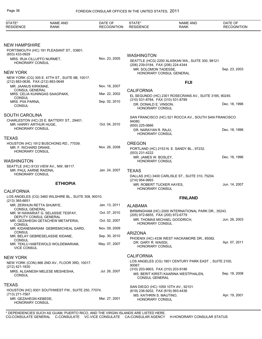| STATE*<br><b>RESIDENCE</b>                                 | <b>NAME AND</b><br><b>RANK</b>                              | DATE OF<br><b>RECOGNITION</b> | STATE*<br><b>RESIDENCE</b>                                  | <b>NAME AND</b><br><b>RANK</b>                         | DATE OF<br><b>RECOGNITION</b> |
|------------------------------------------------------------|-------------------------------------------------------------|-------------------------------|-------------------------------------------------------------|--------------------------------------------------------|-------------------------------|
|                                                            |                                                             |                               |                                                             |                                                        |                               |
| <b>NEW HAMPSHIRE</b><br>(603) 433-0929                     | PORTSMOUTH (HC) 181 PLEASANT ST., 03801.                    |                               |                                                             |                                                        |                               |
| MRS. IRJA CILLUFFO NURMET,<br><b>HONORARY CONSUL</b>       |                                                             | Nov. 23, 2005                 | <b>WASHINGTON</b><br>(206) 239-0184, FAX (206) 224-4344     | SEATTLE (HCG) 2200 ALASKAN WA., SUITE 300, 98121.      |                               |
| <b>NEW YORK</b>                                            | NEW YORK (CG) 305 E. 47TH ST., SUITE 6B, 10017.             |                               | MR. SOLOMON TADESSE,                                        | HONORARY CONSUL GENERAL                                | Sep. 23, 2003                 |
| (212) 883-0636, FAX (212) 883-0648<br>MR. JAANUS KIRIKMAE, |                                                             | Nov. 16, 2007                 |                                                             | <b>FIJI</b>                                            |                               |
| <b>CONSUL GENERAL</b>                                      | MRS. CELIA KUNINGAS SAAGPAKK,                               | Mar. 22, 2002                 | <b>CALIFORNIA</b>                                           |                                                        |                               |
| <b>CONSUL</b>                                              |                                                             |                               | (310) 531-8784, FAX (310) 531-8789                          | EL SEGUNDO (HC) 2301 ROSECRANS AV., SUITE 3185, 90245. |                               |
| MRS. PIIA PARNA,<br><b>CONSUL</b>                          |                                                             | Sep. 02, 2010                 | DR. DONALD E. VINSON.<br>HONORARY CONSUL                    |                                                        | Dec. 18, 1996                 |
| <b>SOUTH CAROLINA</b>                                      |                                                             |                               |                                                             | SAN FRANCISCO (HC) 521 ROCCA AV., SOUTH SAN FRANCISCO  |                               |
| MR. HARRY ARTHUR HUGE.                                     | CHARLESTON (HC) 25 E. BATTERY ST., 29401.                   | Oct. 04, 2010                 | 94080.<br>(650) 225-0666                                    |                                                        |                               |
| <b>HONORARY CONSUL</b>                                     |                                                             |                               | DR. NARAYAN R. RAJU,<br><b>HONORARY CONSUL</b>              |                                                        | Dec. 18, 1996                 |
| <b>TEXAS</b>                                               | HOUSTON (HC) 1912 BUSCHONG RD., 77039.                      |                               | <b>OREGON</b>                                               |                                                        |                               |
| MR. F. RICHARD DRAKE,<br><b>HONORARY CONSUL</b>            |                                                             | Nov. 26, 2008                 | (503) 231-4222                                              | PORTLAND (HC) 2153 N. E. SANDY BL., 97232.             |                               |
| <b>WASHINGTON</b>                                          |                                                             |                               | MR. JAMES W. BOSLEY,<br>HONORARY CONSUL                     |                                                        | Dec. 18, 1996                 |
| MR. PAUL AARNE RAIDNA,<br><b>HONORARY CONSUL</b>           | SEATTLE (HC) 9133 VIEW AV., NW, 98117.                      | Jan. 24, 2007                 | TEXAS                                                       | DALLAS (HC) 3400 CARLISLE ST., SUITE 310, 75204.       |                               |
|                                                            | <b>ETHIOPIA</b>                                             |                               | (214) 954-9993<br>MR. ROBERT TUCKER HAYES,                  |                                                        | Jun. 14, 2007                 |
| <b>CALIFORNIA</b>                                          |                                                             |                               | HONORARY CONSUL                                             |                                                        |                               |
| $(213)$ 365-6651                                           | LOS ANGELES (CG) 3460 WILSHIRE BL., SUITE 308, 90010.       |                               |                                                             | <b>FINLAND</b>                                         |                               |
| MR. ZERIHUN RETTA SHUMYE.<br>CONSUL GENERAL                |                                                             | Jan. 13, 2011                 | ALABAMA                                                     |                                                        |                               |
|                                                            | MR. W HAWARIAT G. SELASSIE TESFAY,<br>DEPUTY CONSUL GENERAL | Oct. 07, 2010                 | (205) 972-6655, FAX (205) 972-6779                          | BIRMINGHAM (HC) 2000 INTERNATIONAL PARK DR., 35243.    |                               |
| CONSUL                                                     | MR. GEZAHEGN GETACHEW METAFERIA,                            | Oct. 02, 2007                 | <b>HONORARY CONSUL</b>                                      | MR. THOMAS MICHAEL GOODRICH,                           | Jun. 26, 2003                 |
| <b>CONSUL</b>                                              | MR. KIDANEMARIAM GEBREMICHEAL GARD,                         | Nov. 09, 2009                 |                                                             |                                                        |                               |
| <b>CONSUL</b>                                              | MR. BELAY GEBRESELASSIE KIDANE,                             | Sep. 30, 2010                 | <b>ARIZONA</b>                                              | PHOENIX (HC) 4336 WEST HACKAMORE DR., 85082.           |                               |
| <b>VICE CONSUL</b>                                         | MR. TEKLU HABTEWOLD WOLDEMARIAM,                            | May. 07, 2007                 | DR. GARY R. WAISSI,<br>HONORARY CONSUL                      |                                                        | Apr. 07, 2011                 |
| <b>NEW YORK</b>                                            |                                                             |                               | <b>CALIFORNIA</b>                                           |                                                        |                               |
| (212) 421-1830                                             | NEW YORK (CON) 866 2ND AV., FLOOR 3RD, 10017.               |                               | 90067.                                                      | LOS ANGELES (CG) 1801 CENTURY PARK EAST., SUITE 2100,  |                               |
| <b>CONSUL</b>                                              | MRS. ALGANESH MELESE MESHESHA,                              | Jul. 26, 2007                 | (310) 203-9903, FAX (310) 203-9186<br><b>CONSUL GENERAL</b> | MS. BERIT KIRSTI KAARINA WESTPHALEN,                   | Sep. 18, 2008                 |
| <b>TEXAS</b>                                               | HOUSTON (HC) 9301 SOUTHWEST FW., SUITE 250, 77074.          |                               | (619) 236-9202, FAX (619) 993-4436                          | SAN DIEGO (HC) 1059 10TH AV., 92101.                   |                               |
| (713) 271-7567<br>MR. GEZAHEGN KEBEDE,<br>HONORARY CONSUL  |                                                             | Mar. 27, 2001                 | MS. KATHRIN S. MAUTINO,<br><b>HONORARY CONSUL</b>           |                                                        | Apr. 19, 2001                 |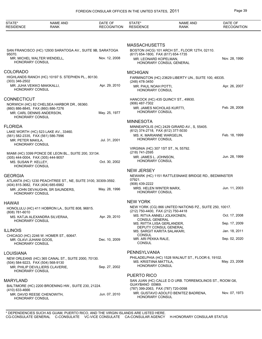| STATE*<br><b>RESIDENCE</b>                                                | <b>NAME AND</b><br><b>RANK</b>                                                        | DATE OF<br><b>RECOGNITION</b> | STATE*<br><b>RESIDENCE</b>                                                                | <b>NAME AND</b><br><b>RANK</b>                          | DATE OF<br><b>RECOGNITION</b> |
|---------------------------------------------------------------------------|---------------------------------------------------------------------------------------|-------------------------------|-------------------------------------------------------------------------------------------|---------------------------------------------------------|-------------------------------|
|                                                                           |                                                                                       |                               |                                                                                           |                                                         |                               |
|                                                                           | SAN FRANCISCO (HC) 12930 SARATOGA AV., SUITE 9B, SARATOGA                             |                               | <b>MASSACHUSETTS</b>                                                                      | BOSTON (HCG) 101 ARCH ST., FLOOR 12TH, 02110.           |                               |
| 95070.<br>HONORARY CONSUL                                                 | MR. MICHEL WALTER WENDELL,                                                            | Nov. 12, 2008                 | (617) 654-1800, FAX (617) 654-1735<br>MR. LEONARD KOPELMAN,                               | HONORARY CONSUL GENERAL                                 | Nov. 28, 1990                 |
| COLORADO                                                                  |                                                                                       |                               | <b>MICHIGAN</b>                                                                           |                                                         |                               |
| $(303)$ 346-2502                                                          | HIGHLANDS RANCH (HC) 10197 S. STEPHEN PL., 80130.                                     |                               | (248) 478-3450                                                                            | FARMINGTON (HC) 23629 LIBERTY UN., SUITE 100, 48335.    |                               |
| MR. JUHA VEIKKO MAKIKALLI,<br>HONORARY CONSUL                             |                                                                                       | Apr. 29, 2010                 | MR. PAUL NOAH POTTI,<br><b>HONORARY CONSUL</b>                                            |                                                         | Apr. 26, 2007                 |
| <b>CONNECTICUT</b>                                                        | NORWICH (HC) 82 CHELSEA HARBOR DR., 06360.                                            |                               | (906) 487-7302                                                                            | HANCOCK (HC) 435 QUINCY ST., 49930.                     |                               |
| (860) 886-8845, FAX (860) 886-7276<br>MR. CARL DENNIS ANDERSON.           |                                                                                       | May. 25, 1977                 | MR. JAMES NICHOLAS KURTTI,<br><b>HONORARY CONSUL</b>                                      |                                                         | Feb. 28, 2008                 |
| <b>HONORARY CONSUL</b>                                                    |                                                                                       |                               | <b>MINNESOTA</b>                                                                          |                                                         |                               |
| <b>FLORIDA</b><br>(561) 582-2335, FAX (561) 586-7996<br>MR. PETER MAKILA, | LAKE WORTH (HC) 523 LAKE AV., 33460.                                                  | Jul. 31, 2001                 | (612) 374-2718, FAX (612) 377-5030<br>MS. K. MARIANNE WARGELIN,<br><b>HONORARY CONSUL</b> | MINNEAPOLIS (HC) 2429 GIRARD AV., S, 55405.             | Feb. 18, 1999                 |
| HONORARY CONSUL                                                           |                                                                                       |                               | VIRGINIA (HC) 307 1ST ST., N, 55792.                                                      |                                                         |                               |
| (305) 444-0004, FAX (305) 444-9057                                        | MIAMI (HC) 3399 PONCE DE LEON BL., SUITE 200, 33134.                                  |                               | (218) 741-2595<br>MR. JAMES L. JOHNSON,<br>HONORARY CONSUL                                |                                                         | Jun. 28, 1999                 |
| MS. SUSAN P. KELLEY,<br>HONORARY CONSUL                                   |                                                                                       | Oct. 30, 2002                 |                                                                                           |                                                         |                               |
| <b>GEORGIA</b>                                                            |                                                                                       |                               | <b>NEW JERSEY</b>                                                                         | NEWARK (HC) 1151 RATTLESNAKE BRIDGE RD., BEDMINSTER     |                               |
|                                                                           | ATLANTA (HC) 1230 PEACHTREE ST., NE, SUITE 3100, 30309-3592.                          |                               | 07921.<br>(908) 439-2222                                                                  |                                                         |                               |
| (404) 815-3682, FAX (404) 685-6982<br><b>HONORARY CONSUL</b>              | MR. JOHN DEVAUGHN, SR SAUNDERS,                                                       | May. 28, 1996                 | MRS. HELEN WINTER MARX,<br><b>HONORARY CONSUL</b>                                         |                                                         | Jun. 11, 2003                 |
| <b>HAWAII</b>                                                             |                                                                                       |                               | <b>NEW YORK</b>                                                                           |                                                         |                               |
| (808) 781-6010                                                            | HONOLULU (HC) 411 HOBRON LA., SUITE 808, 96815.                                       |                               | (212) 750-4400, FAX (212) 750-4418                                                        | NEW YORK (CG) 866 UNITED NATIONS PZ., SUITE 250, 10017. |                               |
| <b>HONORARY CONSUL</b>                                                    | MS. KATJA ALEXANDRA SILVERAA,                                                         | Apr. 29, 2010                 | MS. RITVA ANNELI JOLKKONEN,<br><b>CONSUL GENERAL</b>                                      |                                                         | Oct. 17, 2008                 |
|                                                                           |                                                                                       |                               | MS. RIITTA LIISA GERLANDER,<br>DEPUTY CONSUL GENERAL                                      |                                                         | Sep. 17, 2009                 |
| <b>ILLINOIS</b>                                                           | CHICAGO (HC) 2246 W. HOMER ST., 60647.                                                |                               | MS. SARGIT KARITA SALAKARI,<br>CONSUL                                                     |                                                         | Jan. 18, 2011                 |
| MR. OLAVI JUHANI GOOS,<br>HONORARY CONSUL                                 |                                                                                       | Dec. 10, 2009                 | MR. ARI PEKKA RALE,<br><b>CONSUL</b>                                                      |                                                         | Sep. 02, 2020                 |
| LOUISIANA                                                                 |                                                                                       |                               | PENNSYLVANIA                                                                              |                                                         |                               |
| (504) 584-9223, FAX (504) 568-9130<br>HONORARY CONSUL                     | NEW ORLEANS (HC) 365 CANAL ST., SUITE 2000, 70130.<br>MR. PHILIP DEVILLIERS CLAVERIE, | Sep. 27, 2002                 | MS. KRISTIINA MATTILA,<br>HONORARY CONSUL                                                 | PHILADELPHIA (HC) 1528 WALNUT ST., FLOOR 6, 19102.      | May. 23, 2008                 |
|                                                                           |                                                                                       |                               | PUERTO RICO                                                                               |                                                         |                               |
| MARYLAND                                                                  | BALTIMORE (HC) 2200 BROENING HW., SUITE 230, 21224.                                   |                               | GUAYBANO 00969.<br>(787) 399-2063, FAX (787) 720-0098                                     | SAN JUAN (HC) CALLE D D URB. TORREMOLINOS ST., ROOM G6, |                               |
| (410) 633-4666<br><b>HONORARY CONSUL</b>                                  | MR. DAVID REESE CHENOWITH,                                                            | Jun. 07, 2010                 | HONORARY CONSUL                                                                           | MR. GUSTAVO ADOLFO BENITEZ BADRENA,                     | Nov. 07, 1973                 |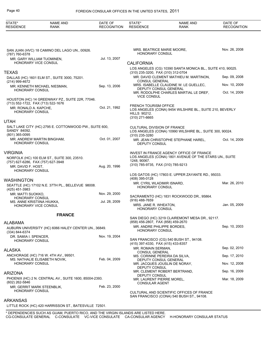| STATE*<br><b>RESIDENCE</b>                                                  | NAME AND<br><b>RANK</b>                                | DATE OF<br><b>RECOGNITION</b> | STATE*<br><b>RESIDENCE</b>                           | <b>NAME AND</b><br><b>RANK</b>                                                                                                           | DATE OF<br><b>RECOGNITION</b> |
|-----------------------------------------------------------------------------|--------------------------------------------------------|-------------------------------|------------------------------------------------------|------------------------------------------------------------------------------------------------------------------------------------------|-------------------------------|
|                                                                             |                                                        |                               |                                                      |                                                                                                                                          |                               |
| (787) 760-6378                                                              | SAN JUAN (HVC) 18 CAMINO DEL LAGO UN., 00926.          |                               | <b>HONORARY CONSUL</b>                               | MRS. BEATRICE MARIE MOORE,                                                                                                               | Nov. 26, 2008                 |
| MR. GARY WILLIAM TUOMINEN,<br><b>HONORARY VICE CONSUL</b>                   |                                                        | Jul. 13, 2007                 | <b>CALIFORNIA</b>                                    |                                                                                                                                          |                               |
|                                                                             |                                                        |                               |                                                      | LOS ANGELES (CG) 10390 SANTA MONICA BL., SUITE 410, 90025.                                                                               |                               |
| <b>TEXAS</b><br>(214) 999-4672                                              | DALLAS (HC) 1601 ELM ST., SUITE 3000, 75201.           |                               | <b>CONSUL GENERAL</b>                                | (310) 235-3200, FAX (310) 312-0704<br>MR. DAVID CLEMENT MATHIEU M. MARTINON,                                                             | Sep. 09, 2008                 |
| <b>HONORARY CONSUL</b>                                                      | MR. KENNETH MICHAEL NIESMAN,                           | Sep. 13, 2006                 |                                                      | MRS. ISABELLE CLAUDINE W. LE GUELLEC,<br>DEPUTY CONSUL GENERAL                                                                           | Nov. 10, 2009                 |
|                                                                             | HOUSTON (HC) 14 GREENWAY PZ., SUITE 22R, 77046.        |                               | <b>VICE CONSUL</b>                                   | MR. RODOLPHE CHARLES MARTIAL LE DREF,                                                                                                    | Oct. 14, 2009                 |
| (713) 552-1722, FAX (713) 522-1676                                          |                                                        |                               | <b>FRENCH TOURISM OFFICE</b>                         |                                                                                                                                          |                               |
| MR. RONALD A. KAPCHE,<br><b>HONORARY CONSUL</b>                             |                                                        | Oct. 21, 1992                 | <b>HILLS 90212.</b><br>(310) 271-6665                | LOS ANGELES (CONA) 9454 WILSHIRE BL., SUITE 210, BEVERLY                                                                                 |                               |
| <b>UTAH</b>                                                                 |                                                        |                               |                                                      |                                                                                                                                          |                               |
| SANDY 84092.<br>(801) 365-0095                                              | SALT LAKE CITY (HC) 2795 E. COTTONWOOD PW., SUITE 600, |                               | <b>CULTURAL DIVISION OF FRANCE</b><br>(310) 235-3280 | LOS ANGELES (CONA) 10990 WILSHIRE BL., SUITE 300, 90024.                                                                                 |                               |
| <b>HONORARY CONSUL</b>                                                      | MR. ANDREW MARTIN BINGHAM,                             | Oct. 01, 2007                 | DEPUTY CONSUL                                        | MR. JEAN CHRISTOPHE STEPHANE HAREL,                                                                                                      | Oct. 14, 2009                 |
| <b>VIRGINIA</b><br>(757) 627-6286, FAX (757) 627-3948<br>MR. DAVID F. HOST. | NORFOLK (HC) 100 ELM ST., SUITE 300, 23510.            | Aug. 20, 1996                 | 1248, 90067.                                         | INVEST IN FRANCE AGENCY OFFICE OF FRANCE<br>LOS ANGELES (CONA) 1801 AVENUE OF THE STARS UN., SUITE<br>(310) 785-9735, FAX (310) 785-9213 |                               |
| <b>HONORARY CONSUL</b>                                                      |                                                        |                               |                                                      | LOS GATOS (HC) 17803 E. UPPER ZAYANTE RD., 95033.                                                                                        |                               |
| <b>WASHINGTON</b>                                                           |                                                        |                               | (408) 395-0128                                       |                                                                                                                                          |                               |
| (425) 451-3983                                                              | SEATTLE (HC) 17102 N.E. 37TH PL., BELLEVUE 98008.      |                               | <b>HONORARY CONSUL</b>                               | MR. CYRIL WLADIMIR ISNARD,                                                                                                               | Mar. 26, 2010                 |
| MR. MATTI SUOKKO,                                                           |                                                        | Nov. 29, 2000                 |                                                      | SACRAMENTO (HC) 1831 ROCKWOOD DR., 95864.                                                                                                |                               |
| <b>HONORARY CONSUL</b><br>MS. ANNE KRISTIINA HIUKKA,                        |                                                        | Jul. 28, 2009                 | (916) 488-7659                                       |                                                                                                                                          |                               |
| HONORARY VICE CONSUL                                                        |                                                        |                               | MRS. JANE R. WHEATON,<br><b>HONORARY CONSUL</b>      |                                                                                                                                          | Jan. 05, 2009                 |
|                                                                             | <b>FRANCE</b>                                          |                               |                                                      |                                                                                                                                          |                               |
| <b>ALABAMA</b>                                                              |                                                        |                               |                                                      | SAN DIEGO (HC) 3219 CLAIREMONT MESA DR., 92117.<br>(858) 456-2807, FAX (858) 459-2670                                                    |                               |
| (334) 844-6374                                                              | AUBURN UNIVERSITY (HC) 6066 HALEY CENTER UN., 36849.   |                               | <b>HONORARY CONSUL</b>                               | MR. ANDRE PHILIPPE BORDES,                                                                                                               | Sep. 10, 2003                 |
| DR. SAMIA I. SPENCER,<br><b>HONORARY CONSUL</b>                             |                                                        | Nov. 19, 2004                 |                                                      | SAN FRANCISCO (CG) 540 BUSH ST., 94108.<br>(415) 397-4330, FAX (415) 433-8357                                                            |                               |
| ALASKA                                                                      |                                                        |                               | MR. ROMAIN SERMAN,                                   |                                                                                                                                          | Sep. 02, 2010                 |
|                                                                             | ANCHORAGE (HC) 716 W. 4TH AV., 99501.                  |                               | <b>CONSUL GENERAL</b>                                |                                                                                                                                          | Sep. 17, 2010                 |
| <b>HONORARY CONSUL</b>                                                      | MS. NATHALIE ELISABETH NOVIK,                          | Feb. 04, 2009                 |                                                      | MS. CORINNE PEREIRA DA SILVA,<br>DEPUTY CONSUL GENERAL<br>MR. JACQUES JOUSLIN DE NORAY,                                                  | Nov. 12, 2008                 |
|                                                                             |                                                        |                               | DEPUTY CONSUL                                        | MR. CLEMENT ROBERT BERTRAND,                                                                                                             | Sep. 16, 2009                 |
| <b>ARIZONA</b>                                                              |                                                        |                               | DEPUTY CONSUL                                        |                                                                                                                                          |                               |
| (602) 262-5846<br>MR. GERRIT MARK STEENBLIK,                                | PHOENIX (HC) 2 N. CENTRAL AV., SUITE 1600, 85004-2393. | Feb. 23, 2000                 | <b>CONSULAR AGENT</b>                                | MR. LAURENT PIERRE MOREL,                                                                                                                | Mar. 18, 2009                 |
| <b>HONORARY CONSUL</b>                                                      |                                                        |                               |                                                      | CULTURAL AND SCIENTIFIC OFFICES OF FRANCE<br>SAN FRANCISCO (CONA) 540 BUSH ST., 94108.                                                   |                               |

## ARKANSAS

LITTLE ROCK (HC) 420 HARRISSON ST., BATESVILLE 72501.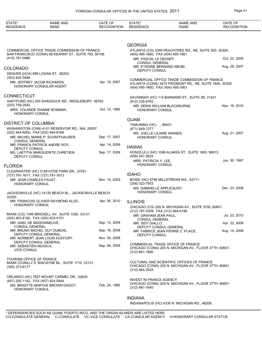| STATE*<br><b>RESIDENCE</b>                   | <b>NAME AND</b><br><b>RANK</b>                        | DATE OF<br><b>RECOGNITION</b> | STATE*<br><b>RESIDENCE</b>                                  | <b>NAME AND</b><br><b>RANK</b>                                                                      | DATE OF<br><b>RECOGNITION</b> |
|----------------------------------------------|-------------------------------------------------------|-------------------------------|-------------------------------------------------------------|-----------------------------------------------------------------------------------------------------|-------------------------------|
|                                              |                                                       |                               |                                                             |                                                                                                     |                               |
|                                              |                                                       |                               | <b>GEORGIA</b>                                              |                                                                                                     |                               |
|                                              | COMMERCIAL OFFICE TRADE COMMISSION OF FRANCE          |                               |                                                             | ATLANTA (CG) 3399 PEACHTREE RD., NE, SUITE 500, 30326.                                              |                               |
| (415) 781-0986                               | SAN FRANCISCO (CONA) 88 KEARNY ST., SUITE 700, 94108. |                               | (404) 495-1660, FAX (404) 495-1661<br>MR. PASCAL LE DEUNFF, |                                                                                                     | Oct. 22, 2009                 |
|                                              |                                                       |                               | <b>CONSUL GENERAL</b><br>MR. ETIENNE BERNARD ABOBI,         |                                                                                                     | Aug. 28, 2007                 |
| <b>COLORADO</b>                              | DENVER (HCA) 899 LOGAN ST., 80203.                    |                               | DEPUTY CONSUL                                               |                                                                                                     |                               |
| (303) 832-5588                               |                                                       |                               |                                                             | COMMERCIAL OFFICE TRADE COMMISSION OF FRANCE                                                        |                               |
| MR. JEFFREY JACOB RICHARDS.                  | HONORARY CONSULAR AGENT                               | Apr. 19, 2007                 | (404) 495-1660, FAX (404) 495-1661                          | ATLANTA (CONA) 3475 PIEDMONT RD., NE, SUITE 1840, 30305.                                            |                               |
| CONNECTICUT                                  |                                                       |                               |                                                             | SAVANNAH (HC) 114 BARNARD ST., SUITE 2B, 31401.                                                     |                               |
|                                              | HARTFORD (HC) 250 SHADDUCK RD., MIDDLEBURY 06762.     |                               | (912) 235-4762                                              |                                                                                                     |                               |
| (203) 758-2042<br>HONORARY CONSUL            | MRS. YOLANDE DIANNE BOSMAN,                           | Oct. 12, 1995                 | <b>HONORARY CONSUL</b>                                      | MR. DENIS WILLIAM BLACKBURNE,                                                                       | Nov. 16, 2010                 |
|                                              |                                                       |                               | <b>GUAM</b>                                                 |                                                                                                     |                               |
| DISTRICT OF COLUMBIA                         |                                                       |                               | TAMUNING (HC) ., 96931.                                     |                                                                                                     |                               |
| (202) 944-6000, FAX (202) 944-6166           | WASHINGTON (CHN) 4101 RESERVOIR RD., NW, 20007.       |                               | (671) 649-7277<br>MS. JOELLE LILIANE WAINER,                |                                                                                                     | Aug. 21, 2007                 |
| <b>CONSUL GENERAL</b>                        | MR. MICHEL MARIE P. SCHAFFHAUSER,                     | Sep. 17, 2007                 | <b>HONORARY CONSUL</b>                                      |                                                                                                     |                               |
|                                              | MR. FRANCK PATRICK ANDRE ROY,                         | Apr. 14, 2009                 | <b>HAWAII</b>                                               |                                                                                                     |                               |
| DEPUTY CONSUL<br>DEPUTY CONSUL               | MS. LAETITIA MARGUERITE CHRETIEN,                     | Sep. 17, 2009                 | (808) 547-5625                                              | HONOLULU (HC) 1099 ALAKEA ST., SUITE 1800, 96813.                                                   |                               |
|                                              |                                                       |                               | MRS. PATRICIA Y. LEE,<br><b>HONORARY CONSUL</b>             |                                                                                                     | Jun. 30, 1997                 |
| <b>FLORIDA</b>                               |                                                       |                               |                                                             |                                                                                                     |                               |
| (727) 791-1617, FAX (727) 791-1613           | CLEARWATER (HC) 3158 HYDE PARK DR., 33761.            |                               | <b>IDAHO</b>                                                |                                                                                                     |                               |
| MR. JEAN CHARLES FAUST.<br>HONORARY CONSUL   |                                                       | Nov. 10, 2003                 | (208) 323-7953                                              | BOISE (HC) 5796 MILLSTREAM WA., 83711.                                                              |                               |
|                                              |                                                       |                               | MS. GABRIELLE APPLEQUIST,                                   |                                                                                                     | Dec. 23, 2008                 |
| 32250.                                       | JACKSONVILLE (HC) 14125 BEACH BL., JACKSONVILLE BEACH |                               | <b>HONORARY CONSUL</b>                                      |                                                                                                     |                               |
|                                              | MR. FRANCOIS OLIVIER RAYMOND KLOC.                    | Apr. 06, 2010                 | <b>ILLINOIS</b>                                             |                                                                                                     |                               |
| <b>HONORARY CONSUL</b>                       |                                                       |                               | (312) 787-5359, FAX (312) 664-4196                          | CHICAGO (CG) 205 N. MICHIGAN AV., SUITE 3700, 60601.                                                |                               |
| (305) 403-4150, FAX (305) 403-4151           | MIAMI (CG) 1395 BRICKELL AV., SUITE 1050, 33131.      |                               | MR. GRAHAM JEAN PAUL,                                       |                                                                                                     | Jul. 23, 2010                 |
| MR. GAEL DE MAISONNEUVE,                     |                                                       | Sep. 10, 2009                 | <b>CONSUL GENERAL</b><br>MR. SIDY DIALLO,                   |                                                                                                     | Apr. 22, 2009                 |
| <b>CONSUL GENERAL</b>                        | MR. BRUNO MICHEL GUY DUBOIS,                          | Sep. 16, 2008                 | DEPUTY CONSUL GENERAL                                       | MR. FABRICE JEAN PIERRE C. PLACE,                                                                   | Aug. 14, 2008                 |
| DEPUTY CONSUL GENERAL                        | MR. NORBERT JEAN LOUIS DUFFORT,                       | Nov. 05, 2008                 | DEPUTY CONSUL                                               |                                                                                                     |                               |
| DEPUTY CONSUL GENERAL                        |                                                       |                               |                                                             | COMMERICAL TRADE OFFICE OF FRANCE                                                                   |                               |
| MR. SEBASTIEN MUGICA,<br><b>VICE CONSUL</b>  |                                                       | Sep. 09, 2009                 | (312) 661-1880                                              | CHICAGO (CONA) 205 N. MICHIGAN AV., FLOOR 37TH, 60601.                                              |                               |
| TOURISM OFFICE OF FRANCE<br>$(305)$ 373-8177 | MIAMI (CONA) 2 S. BISCAYNE BL., SUITE 1710, 33131.    |                               |                                                             | CULTURAL AND SCIENTIFIC OFFICES OF FRANCE<br>CHICAGO (CONA) 205 N. MICHIGAN AV., FLOOR 37TH, 60601. |                               |
|                                              |                                                       |                               | (312) 664-3525                                              |                                                                                                     |                               |
| (407) 292-1142, FAX (407) 924-5844           | ORLANDO (HC) 7657 MOUNT CARMEL DR., 32835.            |                               | <b>INVEST IN FRANCE AGENCY</b>                              |                                                                                                     |                               |
| HONORARY CONSUL                              | MS. BRIGITTE MARTHE BROWN DAGOT,                      | Feb. 24, 1995                 | (312) 661-1640                                              | CHICAGO (CONA) 205 N. MICHIGAN AV., FLOOR 37TH, 60601.                                              |                               |
|                                              |                                                       |                               | <b>INDIANA</b>                                              |                                                                                                     |                               |
|                                              |                                                       |                               |                                                             | INDIANAPOLIS (HC) 4330 N. MICHIGAN RD., 46208.                                                      |                               |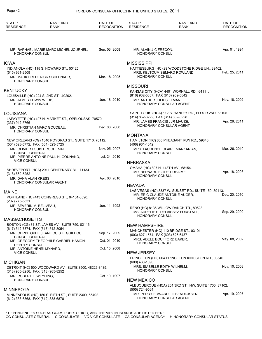| STATE*<br><b>RESIDENCE</b>                         | <b>NAME AND</b><br><b>RANK</b>                                            | DATE OF<br><b>RECOGNITION</b> | STATE*<br><b>RESIDENCE</b>                                                           | <b>NAME AND</b><br><b>RANK</b>                                                  | DATE OF<br><b>RECOGNITION</b> |
|----------------------------------------------------|---------------------------------------------------------------------------|-------------------------------|--------------------------------------------------------------------------------------|---------------------------------------------------------------------------------|-------------------------------|
|                                                    |                                                                           |                               |                                                                                      |                                                                                 |                               |
| <b>HONORARY CONSUL</b>                             | MR. RAPHAEL MARIE MARC MICHEL JOURNEL,                                    | Sep. 03, 2008                 | MR. ALAIN J-C FRECON,<br>HONORARY CONSUL                                             |                                                                                 | Apr. 01, 1994                 |
| <b>IOWA</b>                                        |                                                                           |                               | <b>MISSISSIPPI</b>                                                                   |                                                                                 |                               |
| (515) 961-2509<br><b>HONORARY CONSUL</b>           | INDIANOLA (HC) 115 S. HOWARD ST., 50125.<br>MR. MARK FREDERICK SCHLENKER, | Mar. 18, 2005                 | <b>HONORARY CONSUL</b>                                                               | HATTIESBURG (HC) 29 WOODSTONE RIDGE UN., 39402.<br>MRS. KELTOUM SEMARD ROWLAND, | Feb. 25, 2011                 |
|                                                    |                                                                           |                               | <b>MISSOURI</b>                                                                      |                                                                                 |                               |
| <b>KENTUCKY</b>                                    |                                                                           |                               |                                                                                      | KANSAS CITY (HCA) 4401 WORNALL RD., 64111.                                      |                               |
| MR. JAMES EDWIN WEBB,<br><b>HONORARY CONSUL</b>    | LOUISVILLE (HC) 224 S. 2ND ST., 40202.                                    | Jun. 18, 2010                 | (816) 932-5887, FAX (816) 932-5842<br>MR. ARTHUR JULIUS ELMAN,                       | HONORARY CONSULAR AGENT                                                         | Nov. 18, 2002                 |
| LOUISIANA                                          |                                                                           |                               |                                                                                      | SAINT LOUIS (HCA) 112 S. HANLEY RD., FLOOR 2ND, 63105.                          |                               |
| (337) 942-5766                                     | LAFAYETTE (HC) 407 N. MARKET ST., OPELOUSAS 70570.                        |                               | (314) 862-3222, FAX (314) 862-3228<br>MR. JAMES FRANCIS, JR MAUZE,                   | HONORARY CONSULAR AGENT                                                         | Apr. 28, 2011                 |
| <b>HONORARY CONSUL</b>                             | MR. CHRISTIAN MARC GOUDEAU,                                               | Dec. 06, 2000                 |                                                                                      |                                                                                 |                               |
|                                                    |                                                                           |                               | <b>MONTANA</b>                                                                       |                                                                                 |                               |
| (504) 523-5772, FAX (504) 523-5725                 | NEW ORLEANS (CG) 1340 POYDRAS ST., SUITE 1710, 70112.                     |                               | (406) 961-4042                                                                       | HAMILTON (HC) 805 PHEASANT RUN RD., 59840.                                      |                               |
| <b>CONSUL GENERAL</b>                              | MR. OLIVIER LOUIS BROCHENIN,                                              | Nov. 05, 2007                 | <b>HONORARY CONSUL</b>                                                               | MRS. LAURENCE CLAIRE MARKARIAN,                                                 | Mar. 26, 2010                 |
| <b>VICE CONSUL</b>                                 | MR. PIERRE ANTOINE PAUL H. GOUNAND,                                       | Jul. 24, 2010                 |                                                                                      |                                                                                 |                               |
|                                                    |                                                                           |                               | <b>NEBRASKA</b>                                                                      |                                                                                 |                               |
| (318) 869-5252                                     | SHREVEPORT (HCA) 2911 CENTENARY BL., 71134.                               |                               | OMAHA (HC) 807 N. 148TH AV., 68154.<br>MR. BERNARD EGIDE DUHAIME,<br>HONORARY CONSUL |                                                                                 | Apr. 18, 2008                 |
| MR. DANA ALAN KRESS,                               | HONORARY CONSULAR AGENT                                                   | Apr. 06, 2010                 | NEVADA                                                                               |                                                                                 |                               |
| <b>MAINE</b>                                       |                                                                           |                               |                                                                                      | LAS VEGAS (HC) 8337 W. SUNSET RD., SUITE 150, 89113.                            |                               |
| (207) 775-5831                                     | PORTLAND (HC) 443 CONGRESS ST., 04101-3590.                               |                               | <b>HONORARY CONSUL</b>                                                               | MR. ERIC CLAUDE ANTOINE AUGER,                                                  | Dec. 20, 2010                 |
| MR. SEVERIN M. BELIVEAU,<br><b>HONORARY CONSUL</b> |                                                                           | Jun. 11, 1992                 |                                                                                      | RENO (HC) 8135 WILLOW RANCH TR., 89523.                                         |                               |
|                                                    |                                                                           |                               | <b>HONORARY CONSUL</b>                                                               | MS. AURELIE S. DELAISSEZ FORSTALL,                                              | Sep. 29, 2009                 |
| <b>MASSACHUSETTS</b>                               |                                                                           |                               |                                                                                      |                                                                                 |                               |
| (617) 542-7374, FAX (617) 542-8054                 | BOSTON (CG) 31 ST. JAMES AV., SUITE 750, 02116.                           |                               | <b>NEW HAMPSHIRE</b>                                                                 |                                                                                 |                               |
| <b>CONSUL GENERAL</b>                              | MR. CHRISTOPHE JEAN LOUIS E. GUILHOU,                                     | Sep. 17, 2009                 | (603) 627-1574, FAX (603) 625-6437                                                   | MANCHESTER (HC) 110 BRIDGE ST., 03101.                                          |                               |
|                                                    | MR. GREGORY THEOPHILE GABRIEL HAMON,                                      | Oct. 01, 2010                 | MRS. ADELE BOUFFORD BAKER,<br><b>HONORARY CONSUL</b>                                 |                                                                                 | May. 08, 2002                 |
| DEPUTY CONSUL<br>MR. ANTOINE HENRI MYNARD,         |                                                                           | Oct. 15, 2008                 |                                                                                      |                                                                                 |                               |
| <b>VICE CONSUL</b>                                 |                                                                           |                               | <b>NEW JERSEY</b>                                                                    | PRINCETON (HC) 604 PRINCETON KINGSTON RD., 08540.                               |                               |
| <b>MICHIGAN</b>                                    |                                                                           |                               | $(609)$ 430-1690                                                                     |                                                                                 |                               |
| (313) 965-8256, FAX (313) 965-8252                 | DETROIT (HC) 500 WOODWARD AV., SUITE 3500, 48226-3435.                    |                               | MRS. ISABELLE EDITH WILHELM,<br><b>HONORARY CONSUL</b>                               |                                                                                 | Nov. 10, 2003                 |
| MR. ROBERT L. WEYHING,                             |                                                                           | Oct. 10, 1997                 |                                                                                      |                                                                                 |                               |
| <b>HONORARY CONSUL</b>                             |                                                                           |                               | <b>NEW MEXICO</b>                                                                    |                                                                                 |                               |
| <b>MINNESOTA</b>                                   |                                                                           |                               | (505) 724-9564                                                                       | ALBUQUERQUE (HCA) 201 3RD ST., NW, SUITE 1700, 87102.                           |                               |
| (612) 338-6868, FAX (612) 338-6878                 | MINNEAPOLIS (HC) 150 S. FIFTH ST., SUITE 2300, 55402.                     |                               |                                                                                      | MR. PERRY EDWARD, III BENDICKSEN,<br>HONORARY CONSULAR AGENT                    | Apr. 19, 2007                 |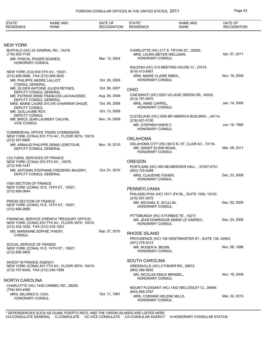| STATE*<br><b>RESIDENCE</b>                     | <b>NAME AND</b><br><b>RANK</b>                                                          | DATE OF<br><b>RECOGNITION</b> | STATE*<br><b>RESIDENCE</b>                           | <b>NAME AND</b><br><b>RANK</b>                                              | DATE OF<br><b>RECOGNITION</b> |
|------------------------------------------------|-----------------------------------------------------------------------------------------|-------------------------------|------------------------------------------------------|-----------------------------------------------------------------------------|-------------------------------|
|                                                |                                                                                         |                               |                                                      |                                                                             |                               |
| NEW YORK                                       |                                                                                         |                               |                                                      |                                                                             |                               |
| (716) 832-7740                                 | BUFFALO (HC) 32 ADMIRAL RD., 14216.                                                     |                               |                                                      | CHARLOTTE (HC) 217 S. TRYON ST., 28202.<br>MRS. LAURA MEYER WELLMAN,        | Apr. 07, 2011                 |
| MR. PASCAL ROGER SOARES,<br>HONORARY CONSUL    |                                                                                         | Mar. 12, 2004                 | HONORARY CONSUL                                      |                                                                             |                               |
| (212) 606-3688, FAX (212) 606-3620             | NEW YORK (CG) 934 5TH AV., 10021.                                                       |                               | (919) 413-8481<br>MRS. MARIE CLAIRE RIBEIL,          | RALEIGH (HC) 313 MEETING HOUSE CI., 27615.                                  | Nov. 16, 2009                 |
|                                                | MR. PHILIPPE ANDRE LALLIOT,                                                             | Oct. 29, 2009                 | HONORARY CONSUL                                      |                                                                             |                               |
| <b>CONSUL GENERAL</b>                          | MR. OLIVER ANTOINE JULIEN REYNES,                                                       | Oct. 06, 2007                 | <b>OHIO</b>                                          |                                                                             |                               |
|                                                | DEPUTY CONSUL GENERAL<br>MR. PATRICK RENE FRANCOIS LACHAUSSEE,<br>DEPUTY CONSUL GENERAL | Aug. 06, 2009                 | (513) 791-5970                                       | CINCINNATI (HC) 9253 VILLAGE GREEN DR., 45242.                              |                               |
|                                                | MRS. MARIE LAURE SYLVIE CHARRIER DHAZE,                                                 | Oct. 09, 2008                 | MRS. ANNE CAPPEL.<br>HONORARY CONSUL                 |                                                                             | Jan. 14, 2000                 |
| <b>DEPUTY CONSUL</b><br>MR. GUILLAUME ROY,     |                                                                                         | Oct. 13, 2009                 |                                                      |                                                                             |                               |
| DEPUTY CONSUL<br><b>VICE CONSUL</b>            | MR. BRICE JEAN LAURENT CAUVIN,                                                          | Nov. 16, 2009                 | (216) 621-0150                                       | CLEVELAND (HC) 3300 BP AMERICA BUILDING., 44114.                            |                               |
|                                                |                                                                                         |                               | MR. STEPHEN KNERLY,<br><b>HONORARY CONSUL</b>        |                                                                             | Jun. 16, 1995                 |
|                                                | COMMERCIAL OFFICE TRADE COMMISSION<br>NEW YORK (CONA) 810 7TH AV., FLOOR 38TH, 10019.   |                               | <b>OKLAHOMA</b>                                      |                                                                             |                               |
| (212) 307-8800                                 | MR. ARNAUD PHILIPPE DENIS LERETOUR,<br>DEPUTY CONSUL GENERAL                            | Nov. 18, 2010                 | MR. GRANT ELWIN MOAK,                                | OKLAHOMA CITY (HC) 6612 N. ST. CLAIR AV., 73116.                            | Mar. 08, 2011                 |
|                                                |                                                                                         |                               | HONORARY CONSUL                                      |                                                                             |                               |
| <b>CULTURAL SERVICES OF FRANCE</b>             | NEW YORK (CONA) 972 5TH AV., 10075.                                                     |                               | <b>OREGON</b>                                        |                                                                             |                               |
| (212) 439-1447                                 | MR. ANTONIN STEPHANE FREDERIC BAUDRY,                                                   | Oct. 01, 2010                 | (503) 725-5298                                       | PORTLAND (HC) 393 NEUBERGER HALL., 97207-0751.                              |                               |
|                                                | DEPUTY CONSUL GENERAL                                                                   |                               | MRS. CLAUDINE FISHER,<br><b>HONORARY CONSUL</b>      |                                                                             | Dec. 23, 2008                 |
| VISA SECTION OF FRANCE                         | NEW YORK (CONA) 10 E. 74TH ST., 10021.                                                  |                               |                                                      |                                                                             |                               |
| (212) 606-3644                                 |                                                                                         |                               | PENNSYLVANIA                                         | PHILADELPHIA (HC) 1617 JFK BL., SUITE 1500, 19103.                          |                               |
| PRESS SECTION OF FRANCE                        |                                                                                         |                               | $(215) 557 - 2975$                                   |                                                                             |                               |
| $(212) 606 - 3685$                             | NEW YORK (CONA) 10 E. 74TH ST., 10021.                                                  |                               | MR. MICHAEL E. SCULLIN,<br>HONORARY CONSUL           |                                                                             | Dec. 02, 2005                 |
|                                                | FINANCIAL SERVICE (FRENCH TREASURY OFFICE)                                              |                               |                                                      | PITTSBURGH (HC) 5 FORBES TE., 15217.<br>MS. JEAN DOMINIQUE MARIE LE GARREC, | Dec. 24, 2008                 |
| (212) 432-1820, FAX (212) 432-1822             | NEW YORK (CONA) 810 7TH AV., FLOOR 38TH, 10019.                                         |                               | <b>HONORARY CONSUL</b>                               |                                                                             |                               |
|                                                | MS. MARIANNE SOPHIE THIERY,                                                             | Sep. 27, 2010                 | <b>RHODE ISLAND</b>                                  |                                                                             |                               |
| <b>CONSUL</b>                                  |                                                                                         |                               | (401) 278-5213                                       | PROVIDENCE (HC) 100 WESTMINSTER ST., SUITE 136, 02903.                      |                               |
| SOCIAL SERVICE OF FRANCE<br>$(212) 606 - 3605$ | NEW YORK (CONA) 10 E. 74TH ST., 10021.                                                  |                               | MR. ROGER N. BEGIN,<br>HONORARY CONSUL               |                                                                             | Nov. 06, 1998                 |
|                                                |                                                                                         |                               |                                                      |                                                                             |                               |
| <b>INVEST IN FRANCE AGENCY</b>                 | NEW YORK (CONA) 810 7TH AV., FLOOR 38TH, 10019.                                         |                               | <b>SOUTH CAROLINA</b>                                | GREENVILLE (HC) 2 FISHER RD., 29615.                                        |                               |
| (212) 757-9340, FAX (212) 245-1568             |                                                                                         |                               | (864) 268-5600                                       |                                                                             | Nov. 16, 2009                 |
| NORTH CAROLINA                                 |                                                                                         |                               | MR. NICOLAS EMILE BRINDEL,<br><b>HONORARY CONSUL</b> |                                                                             |                               |
|                                                | CHARLOTTE (HC) 1440 CARMEL RD., 28226.                                                  |                               |                                                      | MOUNT PLEASANT (HC) 1432 WELLESLEY CI., 29466.                              |                               |
| (704) 943-4566<br>MRS. MILDRED D. COX,         |                                                                                         | Oct. 11, 1991                 | (843) 856-2787                                       |                                                                             |                               |
| HONORARY CONSUL                                |                                                                                         |                               | MRS. CORINNE HELENE MILLS,<br>HONORARY CONSUL        |                                                                             | Mar. 22, 2010                 |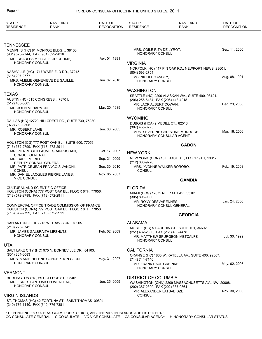| STATE*<br><b>RESIDENCE</b>              | <b>NAME AND</b><br><b>RANK</b>                                                                     | DATE OF<br><b>RECOGNITION</b> | STATE*<br><b>RESIDENCE</b>                          | <b>NAME AND</b><br><b>RANK</b>                      | DATE OF<br><b>RECOGNITION</b> |
|-----------------------------------------|----------------------------------------------------------------------------------------------------|-------------------------------|-----------------------------------------------------|-----------------------------------------------------|-------------------------------|
|                                         |                                                                                                    |                               |                                                     |                                                     |                               |
| <b>TENNESSEE</b>                        |                                                                                                    |                               |                                                     |                                                     | Sep. 11, 2000                 |
|                                         | MEMPHIS (HC) 81 MONROE BLDG. ., 38103.<br>(901) 525-7744, FAX (901) 529-9816                       |                               | MRS. ODILE RITA DE LYROT,<br><b>HONORARY CONSUL</b> |                                                     |                               |
|                                         | MR. CHARLES METCALF, JR CRUMP,                                                                     | Apr. 01, 1991                 |                                                     |                                                     |                               |
| <b>HONORARY CONSUL</b>                  |                                                                                                    |                               | <b>VIRGINIA</b>                                     |                                                     |                               |
|                                         | NASHVILLE (HC) 1717 WARFIELD DR., 37215.                                                           |                               | (804) 596-2754                                      | NORFOLK (HC) 417 PIN OAK RD., NEWPORT NEWS 23601.   |                               |
| (615) 297-2777                          |                                                                                                    |                               | MS. NICOLE YANCEY,                                  |                                                     | Aug. 08, 1991                 |
| HONORARY CONSUL                         | MRS. AMELIE GENEVIEVE DE GAULLE,                                                                   | Jun. 07, 2010                 | HONORARY CONSUL                                     |                                                     |                               |
|                                         |                                                                                                    |                               | <b>WASHINGTON</b>                                   |                                                     |                               |
| <b>TEXAS</b>                            |                                                                                                    |                               |                                                     | SEATTLE (HC) 2200 ALASKAN WA., SUITE 490, 98121.    |                               |
|                                         | AUSTIN (HC) 515 CONGRESS., 78701.                                                                  |                               | (206) 256-6184, FAX (206) 448-4218                  |                                                     |                               |
| $(512)$ 480-5605<br>MR. JOHN M. HARMON, |                                                                                                    | Mar. 20, 1989                 | MR. JACK ALBERT COWAN.<br>HONORARY CONSUL           |                                                     | Dec. 23, 2008                 |
| HONORARY CONSUL                         |                                                                                                    |                               |                                                     |                                                     |                               |
|                                         |                                                                                                    |                               | <b>WYOMING</b>                                      |                                                     |                               |
| (972) 789-9305                          | DALLAS (HC) 12720 HILLCREST RD., SUITE 730, 75230.                                                 |                               | DUBOIS (HCA) 9 MEDILL CT., 82513.                   |                                                     |                               |
| MR. ROBERT LAVIE.                       |                                                                                                    | Jun. 08, 2005                 | $(307)$ 455-3775                                    | MRS. SEVERINE CHRISTINE MURDOCH,                    | Mar. 16, 2006                 |
| <b>HONORARY CONSUL</b>                  |                                                                                                    |                               |                                                     | HONORARY CONSULAR AGENT                             |                               |
|                                         | HOUSTON (CG) 777 POST OAK BL., SUITE 600, 77056.                                                   |                               |                                                     | <b>GABON</b>                                        |                               |
|                                         | (713) 572-2799, FAX (713) 572-2911                                                                 |                               |                                                     |                                                     |                               |
| <b>CONSUL GENERAL</b>                   | MR. PIERRE GUILLAUME GRANDJOUAN,                                                                   | Oct. 17, 2007                 | <b>NEW YORK</b>                                     |                                                     |                               |
| MR. CARL POIRIER,                       |                                                                                                    | Sep. 21, 2009                 | (212) 686-9720                                      | NEW YORK (CON) 18 E. 41ST ST., FLOOR 9TH, 10017.    |                               |
|                                         | DEPUTY CONSUL GENERAL<br>MR. PATRICE JEAN FRANCOIS VANONI,                                         | Sep. 30, 2010                 |                                                     | MRS. YVONNE WALKER BOROBO,                          | Feb. 19, 2008                 |
| <b>CONSUL</b>                           | MR. DANIEL JACQUES PIERRE LANES,                                                                   | Nov. 05, 2007                 | <b>CONSUL</b>                                       |                                                     |                               |
| <b>VICE CONSUL</b>                      |                                                                                                    |                               |                                                     | <b>GAMBIA</b>                                       |                               |
|                                         |                                                                                                    |                               |                                                     |                                                     |                               |
|                                         | <b>CULTURAL AND SCIENTIFIC OFFICE</b><br>HOUSTON (CONA) 777 POST OAK BL., FLOOR 6TH, 77056.        |                               | <b>FLORIDA</b>                                      |                                                     |                               |
|                                         | (713) 572-2799, FAX (713) 572-2911                                                                 |                               | $(305)$ 895-9600                                    | MIAMI (HCG) 12875 N.E. 14TH AV., 33161.             |                               |
|                                         |                                                                                                    |                               | MR. RONY DESVARENNES,                               |                                                     | Jan. 24, 2006                 |
|                                         | COMMERCIAL OFFICE TRADE COMMISSION OF FRANCE<br>HOUSTON (CONA) 777 POST OAK BL., FLOOR 6TH, 77056. |                               |                                                     | HONORARY CONSUL GENERAL                             |                               |
|                                         | (713) 572-2799, FAX (713) 572-2911                                                                 |                               |                                                     | <b>GEORGIA</b>                                      |                               |
|                                         | SAN ANTONIO (HC) 215 W. TRAVIS UN., 78205.                                                         |                               | ALABAMA                                             |                                                     |                               |
| (210) 225-6742                          |                                                                                                    |                               |                                                     | MOBILE (HC) 5 DAUPHIN ST., SUITE 101, 36602.        |                               |
|                                         | MR. JAMES GALBRAITH LIFSHUTZ,                                                                      | Feb. 02, 2009                 | (251) 432-2600, FAX (251) 433-4478                  |                                                     |                               |
| <b>HONORARY CONSUL</b>                  |                                                                                                    |                               | <b>HONORARY CONSUL</b>                              | MR. MATTHEW SPURGEON METCALFE.                      | Jul. 30, 1999                 |
| <b>UTAH</b>                             |                                                                                                    |                               |                                                     |                                                     |                               |
|                                         | SALT LAKE CITY (HC) 975 N. BONNEVILLE DR., 84103.                                                  |                               | <b>CALIFORNIA</b>                                   |                                                     |                               |
| $(801)$ 364-6083                        |                                                                                                    | May. 31, 2007                 |                                                     | ORANGE (HC) 1800 W. KATELLA AV., SUITE 400, 92867.  |                               |
| <b>HONORARY CONSUL</b>                  | MRS. MARIE HELENE CONCEPTION GLON,                                                                 |                               | (714) 744-7140<br>MR. FRANK PAUL GREINKE,           |                                                     | May. 02, 2007                 |
|                                         |                                                                                                    |                               | HONORARY CONSUL                                     |                                                     |                               |
| <b>VERMONT</b>                          |                                                                                                    |                               |                                                     |                                                     |                               |
|                                         | BURLINGTON (HC) 69 COLLEGE ST., 05401.<br>MR. ERNEST ANTONIO POMERLEAU,                            | Jun. 25, 2009                 | <b>DISTRICT OF COLUMBIA</b>                         |                                                     |                               |
| <b>HONORARY CONSUL</b>                  |                                                                                                    |                               | (202) 387-2390, FAX (202) 387-0864                  | WASHINGTON (CHN) 2209 MASSACHUSETTS AV., NW, 20008. |                               |
|                                         |                                                                                                    |                               | MR. ALEXANDER LATSABIDZE,                           |                                                     | Nov. 30, 2006                 |
| <b>VIRGIN ISLANDS</b>                   |                                                                                                    |                               | <b>CONSUL</b>                                       |                                                     |                               |
|                                         | ST. THOMAS (HC) 42 FORTUNA ST., SAINT THOMAS 00804.<br>(340) 776-1140, FAX (340) 776-7381          |                               |                                                     |                                                     |                               |
|                                         |                                                                                                    |                               |                                                     |                                                     |                               |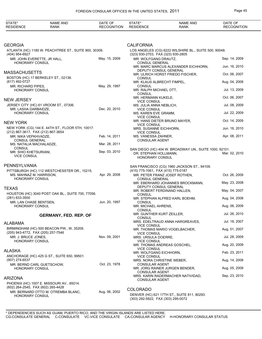| STATE*<br><b>RESIDENCE</b>                                   | <b>NAME AND</b><br><b>RANK</b>                        | DATE OF<br><b>RECOGNITION</b> | STATE*<br><b>RESIDENCE</b>                       | <b>NAME AND</b><br><b>RANK</b>                         | DATE OF<br><b>RECOGNITION</b> |
|--------------------------------------------------------------|-------------------------------------------------------|-------------------------------|--------------------------------------------------|--------------------------------------------------------|-------------------------------|
|                                                              |                                                       |                               |                                                  |                                                        |                               |
| GEORGIA                                                      |                                                       |                               | <b>CALIFORNIA</b>                                |                                                        |                               |
| (404) 954-6927                                               | ATLANTA (HC) 1180 W. PEACHTREE ST., SUITE 900, 30309. |                               | (323) 930-2703, FAX (323) 930-2805               | LOS ANGELES (CG) 6222 WILSHIRE BL., SUITE 500, 90048.  |                               |
| MR. JOHN EVERETTE, JR HALL,<br><b>HONORARY CONSUL</b>        |                                                       | May. 15, 2009                 | MR. WOLFGANG DRAUTZ,<br>CONSUL GENERAL           |                                                        | Sep. 14, 2009                 |
|                                                              |                                                       |                               | DEPUTY CONSUL GENERAL                            | MR. MARC MARCUS ALEXANDER EICHHORN,                    | Jun. 16, 2010                 |
| MASSACHUSETTS                                                | BOSTON (HC) 17 BERKELEY ST., 02138.                   |                               | <b>CONSUL</b>                                    | MR. ULRICH HORST FRIEDO FISCHER,                       | Oct. 06, 2007                 |
| (617) 492-0727                                               |                                                       |                               | MR. KLAUS ALBRECHT FIMPEL,                       |                                                        | Aug. 04, 2008                 |
| MR. RICHARD PIPES.<br><b>HONORARY CONSUL</b>                 |                                                       | May. 29, 1997                 | <b>CONSUL</b><br>MR. RALPH MICHAEL OTT,          |                                                        | Jul. 13, 2009                 |
| NEW JERSEY                                                   |                                                       |                               | <b>CONSUL</b><br>MR. HERMANN KUKELE,             |                                                        | Oct. 06, 2007                 |
|                                                              | JERSEY CITY (HC) 61 VROOM ST., 07306.                 |                               | <b>VICE CONSUL</b><br>MS. JULIA ANNA NEBLICH,    |                                                        | Jul. 08, 2009                 |
| MR. LASHA DARBAIDZE.<br><b>HONORARY CONSUL</b>               |                                                       | Dec. 20, 2010                 | <b>VICE CONSUL</b><br>MS. KAREN EVE GRAMM,       |                                                        | Jul. 22, 2009                 |
| NEW YORK                                                     |                                                       |                               | <b>VICE CONSUL</b>                               | MR. HANS DIETER BRUNO MAYER,                           | Oct. 14, 2009                 |
|                                                              | NEW YORK (CG) 144 E. 44TH ST., FLOOR 5TH, 10017.      |                               | <b>VICE CONSUL</b><br>MRS. SUSANNE EICHHORN,     |                                                        | Jun. 16, 2010                 |
| (212) 867-3617, FAX (212) 867-3654<br>MR. NIKA VEPKHVADZE,   |                                                       | Feb. 14, 2011                 | <b>VICE CONSUL</b><br>MS. VANESSA ZAHNER,        |                                                        | Apr. 08, 2011                 |
| <b>CONSUL GENERAL</b><br>MS. NATALIA MACHALADZE,             |                                                       | Mar. 28, 2011                 | <b>CONSULAR AGENT</b>                            |                                                        |                               |
| <b>CONSUL</b><br>MR. SHIO KHETSURIANI,<br><b>VICE CONSUL</b> |                                                       | Sep. 03, 2010                 | DR. STEPHAN HOLLMANN,<br>HONORARY CONSUL         | SAN DIEGO (HC) 404 W. BROADWAY UN., SUITE 1000, 92101. | Mar. 02, 2010                 |
| PENNSYLVANIA                                                 |                                                       |                               |                                                  | SAN FRANCISCO (CG) 1960 JACKSON ST., 94109.            |                               |
| MS. MAHNAZ M. HARRISON,                                      | PITTSBURGH (HC) 112 WESTCHESSTER DR., 15215.          | Apr. 29, 2008                 | (415) 775-1061, FAX (415) 775-0187               |                                                        | Oct. 26, 2009                 |
| <b>HONORARY CONSUL</b>                                       |                                                       |                               | <b>CONSUL GENERAL</b>                            | MR. PETER FRANZ JOSEF ROTHEN,                          |                               |
| TEXAS                                                        |                                                       |                               | DEPUTY CONSUL GENERAL                            | MR. EBERHARD JOHANNES BROCKMANN.                       | May. 23, 2008                 |
|                                                              | HOUSTON (HC) 3040 POST OAK BL., SUITE 700, 77056.     |                               | <b>CONSUL</b>                                    | MR. ROBERT FERDINAND HALLEN,                           | May. 04, 2007                 |
| (281) 633-3500<br>MR. LAN CHASE BENTSEN,                     |                                                       | Jun. 20, 1997                 | <b>CONSUL</b>                                    | MR. STEPHAN ALFRED KARL BOEHM,                         | Aug. 04, 2008                 |
| <b>HONORARY CONSUL</b>                                       |                                                       |                               | MR. MICHAEL AHRENS,<br><b>CONSUL</b>             |                                                        | Aug. 06, 2009                 |
|                                                              | <b>GERMANY, FED. REP. OF</b>                          |                               | MR. GUNTHER KURT ZEILLER,<br>CONSUL              |                                                        | Jul. 26, 2010                 |
| ALABAMA                                                      |                                                       |                               | <b>VICE CONSUL</b>                               | MRS. EDELTRAUD ANNA HARGREAVES,                        | Jul. 18, 2007                 |
| (205) 943-4772, FAX (205) 257-7546                           | BIRMINGHAM (HC) 500 BEACON PW., W, 35209.             |                               | <b>VICE CONSUL</b>                               | MR. THOMAS MARIO VOGELBACHER,                          | Aug. 01, 2007                 |
| MR. J. BRUCE JONES,                                          |                                                       | Nov. 09, 2001                 | MRS. URSULA DOERRE,                              |                                                        | Jul. 28, 2009                 |
| <b>HONORARY CONSUL</b>                                       |                                                       |                               | <b>VICE CONSUL</b>                               | MR. THOMAS ANDREAS GOSCHEL,                            | Aug. 20, 2009                 |
| ALASKA                                                       |                                                       |                               | <b>VICE CONSUL</b><br>MR. WOLFGANG EICHHORN,     |                                                        | Feb. 23, 2011                 |
| (907) 274-6537                                               | ANCHORAGE (HC) 425 G ST., SUITE 650, 99501.           |                               | <b>VICE CONSUL</b><br>MRS. NORA CHRISTINE WEBER, |                                                        | Aug. 14, 2008                 |
| <b>HONORARY CONSUL</b>                                       | MR. BERND CARL GUETSCHOW,                             | Oct. 23, 1978                 | <b>CONSULAR AGENT</b>                            | MR. JORG RAINER JURGEN BENDER,                         | Aug. 05, 2009                 |
|                                                              |                                                       |                               | <b>CONSULAR AGENT</b>                            | MRS. KARIN RADERMACHER NATIVIDAD,                      | Sep. 23, 2010                 |
| ARIZONA                                                      | PHOENIX (HC) 1007 E. MISSOURI AV., 85014.             |                               | <b>CONSULAR AGENT</b>                            |                                                        |                               |
| (602) 264-2545, FAX (602) 265-4428                           |                                                       |                               | <b>COLORADO</b>                                  |                                                        |                               |
| <b>HONORARY CONSUL</b>                                       | MR. BERNARD OTTO M. OTREMBA BLANC,                    | Aug. 06, 2002                 | (303) 292-5922, FAX (303) 295-0072               | DENVER (HC) 621 17TH ST., SUITE 811, 80293.            |                               |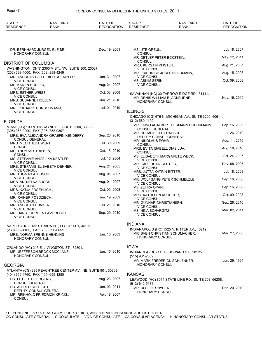| STATE*<br><b>RESIDENCE</b>                                  | <b>NAME AND</b><br>RANK                                      | DATE OF<br><b>RECOGNITION</b> | STATE*<br><b>RESIDENCE</b>                      | NAME AND<br>RANK                                                               | DATE OF<br><b>RECOGNITION</b> |
|-------------------------------------------------------------|--------------------------------------------------------------|-------------------------------|-------------------------------------------------|--------------------------------------------------------------------------------|-------------------------------|
|                                                             |                                                              |                               |                                                 |                                                                                |                               |
|                                                             | DR. BERNHARD JURGEN BLEISE,                                  | Dec. 19, 2001                 | MS. UTE GREUL,                                  |                                                                                | Jul. 18, 2007                 |
| <b>HONORARY CONSUL</b>                                      |                                                              |                               | <b>CONSUL</b>                                   | MR. DETLEF PETER ECKSTEIN,                                                     | May. 12, 2011                 |
| <b>DISTRICT OF COLUMBIA</b>                                 |                                                              |                               | <b>CONSUL</b><br>MRS. KERSTIN PFISTER.          |                                                                                | Aug. 21, 2007                 |
| (202) 298-4000, FAX (202) 298-4249                          | WASHINGTON (CHN) 2300 M ST., NW, SUITE 300, 20037.           |                               | <b>VICE CONSUL</b>                              | MR. FRIEDRICH JOSEF HOERMANN,                                                  | Aug. 15, 2008                 |
|                                                             | MR. ANDREAS GOTTFRIED RUEMPLER,                              | Jan. 31, 2007                 | <b>VICE CONSUL</b>                              |                                                                                |                               |
| <b>VICE CONSUL</b><br>MS. KAREN HOEFER,                     |                                                              | Aug. 24, 2007                 | MS. ASKIM SERIN,<br><b>VICE CONSUL</b>          |                                                                                | Oct. 09, 2008                 |
| <b>VICE CONSUL</b><br>MRS. ESTHER WEISS,                    |                                                              | Oct. 03, 2008                 |                                                 | SAVANNAH (HC) 30 TARROW RIDGE RD., 31411.                                      |                               |
| <b>VICE CONSUL</b><br>MRS. SUSANNE HOLZEM,                  |                                                              | Jun. 21, 2010                 | HONORARY CONSUL                                 | MR. DENIS WILLIAM BLACKBURNE,                                                  | Nov. 16, 2010                 |
| <b>VICE CONSUL</b><br>MR. ECKHARD CURSCHMANN,               |                                                              | Jul. 01, 2010                 |                                                 |                                                                                |                               |
| <b>VICE CONSUL</b>                                          |                                                              |                               | <b>ILLINOIS</b>                                 | CHICAGO (CG) 676 N. MICHIGAN AV., SUITE 3200, 60611.                           |                               |
| <b>FLORIDA</b>                                              |                                                              |                               | $(312) 580 - 1199$                              |                                                                                |                               |
| (305) 358-0290, FAX (305) 358-0307                          | MIAMI (CG) 100 N. BISCAYNE BL., SUITE 2200, 33132.           |                               | <b>CONSUL GENERAL</b>                           | MR. ONNO ADALBERT HERMANN HUECKMANN,                                           | Sep. 16, 2009                 |
|                                                             | MRS. EVA ALEXANDRA GRAEFIN KENDEFFY,                         | Sep. 23, 2010                 | MR. HELMUT OTTO RAUSCH,                         | DEPUTY CONSUL GENERAL                                                          | Jul. 26, 2010                 |
| <b>CONSUL GENERAL</b><br>MRS. MECHTILD EWERT,               |                                                              | Jul. 30, 2009                 | MR. NIKOLAUS POHR,<br><b>CONSUL</b>             |                                                                                | Aug. 11, 2010                 |
| <b>CONSUL</b><br>MR. THOMAS STRIEBEN,                       |                                                              | Oct. 15, 2010                 | MRS. EVITA ISABELL DIASILUA,<br><b>CONSUL</b>   |                                                                                | Aug. 18, 2010                 |
| <b>CONSUL</b>                                               | MS. STEFANIE ANGELIKA KESTLER,                               | Jul. 16, 2004                 | <b>VICE CONSUL</b>                              | MS. ELISABETH MARGARETE WECK,                                                  | Oct. 24, 2007                 |
| <b>VICE CONSUL</b>                                          | MRS. STEFANIE ELISABETH DEHNER,                              | Aug. 24, 2005                 | MR. KARL HEINZ ROTHER,                          |                                                                                | Nov. 08, 2007                 |
| <b>VICE CONSUL</b><br>MR. THOMAS A. BUSCH,                  |                                                              | Aug. 01, 2007                 | <b>VICE CONSUL</b><br>MRS. JUTTA KATRIN BITTER, |                                                                                | Jul. 18, 2008                 |
| <b>VICE CONSUL</b><br>MRS. ANDJELKA BUSCH,                  |                                                              | Aug. 01, 2007                 | <b>VICE CONSUL</b>                              | MR. WOLFGANG PETER SCHMELZLE,                                                  | Sep. 16, 2008                 |
| <b>VICE CONSUL</b><br>MRS. KATJA FROEHLICH,                 |                                                              | Oct. 09, 2008                 | <b>VICE CONSUL</b><br>MS. ZEHRA OYAN,           |                                                                                | Sep. 16, 2008                 |
| <b>VICE CONSUL</b>                                          |                                                              | Jun. 19, 2009                 | <b>VICE CONSUL</b><br>MRS. KATHLEEN KRUEGER,    |                                                                                | Oct. 09, 2008                 |
| MR. RAINER POSDZIECH,<br><b>VICE CONSUL</b>                 |                                                              |                               | <b>VICE CONSUL</b><br>MR. GUNNAR CHRISTIANSEN,  |                                                                                | Sep. 26, 2010                 |
| MR. ANDREAS DUNKER,<br><b>VICE CONSUL</b>                   |                                                              | Jul. 21, 2010                 | <b>VICE CONSUL</b><br>MS. NINA SCHARGITZ,       |                                                                                | Mar. 02, 2011                 |
| <b>VICE CONSUL</b>                                          | MR. HANS JUERGEN LAMPRECHT,                                  | Sep. 29, 2010                 | <b>VICE CONSUL</b>                              |                                                                                |                               |
|                                                             | NAPLES (HC) 9132 STRADA PL., FLOOR 4TH, 34108.               |                               | <b>INDIANA</b>                                  |                                                                                |                               |
| (239) 552-4105, FAX (239) 596-6051                          |                                                              |                               |                                                 | INDIANAPOLIS (HC) 1525 N. RITTER AV., 46219.<br>MR. SVEN CHRISTIAN SCHUMACHER, | Mar. 27, 2008                 |
| <b>HONORARY CONSUL</b>                                      | MRS. NORMA BRENNE HENNING,                                   | Jan. 16, 2003                 | <b>HONORARY CONSUL</b>                          |                                                                                |                               |
|                                                             | ORLANDO (HC) 215 E. LIVINGSTON ST., 32801.                   |                               | <b>IOWA</b>                                     |                                                                                |                               |
| <b>HONORARY CONSUL</b>                                      | MR. JEFFERSON BROCK MCCLANE,                                 | Jan. 15, 2010                 |                                                 | INDIANOLA (HC) 115 S. HOWARD ST., 50125.                                       |                               |
| <b>GEORGIA</b>                                              |                                                              |                               | $(515)$ 961-2509<br>HONORARY CONSUL             | MR. MARK FREDERICK SCHLENKER,                                                  | Jun. 29, 1994                 |
|                                                             | ATLANTA (CG) 285 PEACHTREE CENTER AV., NE, SUITE 901, 30303. |                               |                                                 |                                                                                |                               |
| (404) 659-4760, FAX (404) 659-1280<br>DR. LUTZ H. GOERGENS, |                                                              | Aug. 23, 2007                 | <b>KANSAS</b>                                   | LEAWOOD (HC) 8014 STATE LINE RD., SUITE 203, 66208.                            |                               |
| CONSUL GENERAL<br>DR. ALFRED SCHLICHT,                      |                                                              | Jan. 03, 2011                 | (913) 642-5134<br>MR. ROLF D. SNYDER,           |                                                                                | Dec. 20, 2010                 |
| <b>CONSUL</b>                                               | DEPUTY CONSUL GENERAL<br>MR. REINHOLD FRIEDRICH KRICKL,      | Apr. 18, 2007                 | <b>HONORARY CONSUL</b>                          |                                                                                |                               |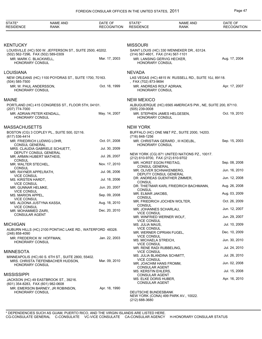| STATE*<br><b>RESIDENCE</b>                                   | <b>NAME AND</b><br>RANK                                   | DATE OF<br><b>RECOGNITION</b> | STATE*<br><b>RESIDENCE</b>                                       | <b>NAME AND</b><br><b>RANK</b>                             | DATE OF<br><b>RECOGNITION</b> |
|--------------------------------------------------------------|-----------------------------------------------------------|-------------------------------|------------------------------------------------------------------|------------------------------------------------------------|-------------------------------|
|                                                              |                                                           |                               |                                                                  |                                                            |                               |
| KENTUCKY                                                     |                                                           |                               | <b>MISSOURI</b>                                                  |                                                            |                               |
|                                                              | LOUISVILLE (HC) 500 W. JEFFERSON ST., SUITE 2500, 40202.  |                               |                                                                  | SAINT LOUIS (HC) 330 WENNEKER DR., 63124.                  |                               |
| (502) 562-7296, FAX (502) 589-0309<br>MR. MARK C. BLACKWELL, |                                                           | Mar. 17, 2003                 | (314) 567-4601, FAX (314) 567-1101<br>MR. LANSING GERVIG HECKER, |                                                            | Aug. 17, 2004                 |
| HONORARY CONSUL                                              |                                                           |                               | HONORARY CONSUL                                                  |                                                            |                               |
| LOUISIANA                                                    |                                                           |                               | <b>NEVADA</b>                                                    |                                                            |                               |
| (504) 585-7500                                               | NEW ORLEANS (HC) 1100 POYDRAS ST., SUITE 1700, 70163.     |                               | , FAX (702) 873-9694                                             | LAS VEGAS (HC) 4815 W. RUSSELL RD., SUITE 10J, 89118.      |                               |
| MR. W. PAUL ANDERSSON,<br><b>HONORARY CONSUL</b>             |                                                           | Oct. 18, 1999                 | MR. ANDREAS ROLF ADRIAN,<br><b>HONORARY CONSUL</b>               |                                                            | Apr. 17, 2007                 |
| MAINE                                                        |                                                           |                               | <b>NEW MEXICO</b>                                                |                                                            |                               |
| (207) 774-7000                                               | PORTLAND (HC) 415 CONGRESS ST., FLOOR 5TH, 04101.         |                               | $(505)$ 239-0008                                                 | ALBUQUERQUE (HC) 6565 AMERICA'S PW., NE, SUITE 200, 87110. |                               |
| MR. ADRIAN PETER KENDALL,<br>HONORARY CONSUL                 |                                                           | May. 14, 2007                 | MR. STEPHEN JAMES HELGESEN,<br>HONORARY CONSUL                   |                                                            | Oct. 19, 2010                 |
| MASSACHUSETTS                                                |                                                           |                               | <b>NEW YORK</b>                                                  |                                                            |                               |
| (617) 536-4414                                               | BOSTON (CG) 3 COPLEY PL., SUITE 500, 02116.               |                               | (716) 848-1256                                                   | BUFFALO (HC) ONE M&T PZ., SUITE 2000, 14203.               |                               |
| MR. FRIEDRICH LUDWIG LOHR,<br><b>CONSUL GENERAL</b>          |                                                           | Oct. 01, 2008                 | HONORARY CONSUL                                                  | MR. CHRISTIAN GERARD, III KOELBL,                          | Sep. 15, 2003                 |
| DEPUTY CONSUL GENERAL                                        | MRS. CLAUDIA GABRIELE SCHUETT,                            | Jul. 30, 2009                 |                                                                  |                                                            |                               |
| MR. ARMIN HUBERT MATHEIS,<br><b>CONSUL</b>                   |                                                           | Jul. 26, 2007                 | (212) 610-9700, FAX (212) 610-9702                               | NEW YORK (CG) 871 UNITED NATIONS PZ., 10017.               |                               |
| MR. WALTER STECHEL,                                          |                                                           | Nov. 17, 2010                 | MR. HORST EGON FREITAG,<br><b>CONSUL GENERAL</b>                 |                                                            | Sep. 08, 2008                 |
| <b>CONSUL</b><br>MR. RAYNER APPELRATH,                       |                                                           | Jul. 06, 2006                 | MR. OLIVER SCHNAKENBERG,<br>DEPUTY CONSUL GENERAL                |                                                            | Jun. 16, 2010                 |
| <b>VICE CONSUL</b><br>MS. KIRSTEN HARDT,                     |                                                           | Jul. 18, 2006                 | CONSUL                                                           | DR. ANDREAS GUENTHER ZIMMER,                               | Jun. 12, 2008                 |
| <b>VICE CONSUL</b><br>MR. GUNNAR HELMKE,                     |                                                           | Jun. 20, 2007                 |                                                                  | DR. THIETMAR KARL FRIEDRICH BACHMANN,                      | Aug. 26, 2008                 |
| <b>VICE CONSUL</b><br>MS. MARION APPEL,                      |                                                           | Sep. 09, 2008                 | <b>CONSUL</b><br>MR. ELMAR JAKOBS,                               |                                                            | Aug. 03, 2009                 |
| <b>VICE CONSUL</b>                                           |                                                           |                               | <b>CONSUL</b>                                                    | MR. FRIEDRICH JOCHEN WOLTER,                               | Oct. 26, 2009                 |
| MS. ALDONA JUSTYNA KASSA,<br><b>VICE CONSUL</b>              |                                                           | Aug. 18, 2010                 | <b>CONSUL</b>                                                    |                                                            |                               |
| MR. MOHAMMED ZAIRI,                                          |                                                           | Dec. 20, 2010                 | MR. JOHANNES SCHARLAU,<br><b>VICE CONSUL</b>                     |                                                            | Jun. 12, 2007                 |
| <b>CONSULAR AGENT</b>                                        |                                                           |                               | MR. WINFRIED WERNER WOLF,<br><b>VICE CONSUL</b>                  |                                                            | Jun. 29, 2007                 |
| <b>MICHIGAN</b>                                              |                                                           |                               | MS. JULIA MAUS,                                                  |                                                            | Jul. 10, 2009                 |
| (248) 858-4090                                               | AUBURN HILLS (HC) 2100 PONTIAC LAKE RD., WATERFORD 48328. |                               | <b>VICE CONSUL</b><br>MR. WERNER CIPRIAN FUGEL,                  |                                                            | Dec. 10, 2009                 |
| MR. FREDERICK W. HOFFMAN,<br>HONORARY CONSUL                 |                                                           | Jan. 22, 2003                 | <b>VICE CONSUL</b><br>MS. MICHAELA STREICH,                      |                                                            | Jun. 30, 2010                 |
|                                                              |                                                           |                               | <b>VICE CONSUL</b><br>MR. RENE RADI RUBBELING,                   |                                                            | Jul. 24, 2010                 |
| MINNESOTA                                                    | MINNEAPOLIS (HC) 60 S. 6TH ST., SUITE 2800, 55402.        |                               | <b>VICE CONSUL</b><br>MS. JULIA BLANDINA SCHMITT,                |                                                            | Jul. 26, 2010                 |
|                                                              | MRS. CHRISTA TIEFENBACHER HUDSON,                         | Mar. 09, 2010                 | <b>VICE CONSUL</b><br>MR. JOACHIM HANS FROMM,                    |                                                            | Jun. 02, 2008                 |
| <b>HONORARY CONSUL</b>                                       |                                                           |                               | <b>CONSULAR AGENT</b><br>MS. KERSTIN EHLERS,                     |                                                            | Jul. 15, 2008                 |
| MISSISSIPPI                                                  |                                                           |                               | <b>CONSULAR AGENT</b>                                            |                                                            |                               |
| (601) 354-8283, FAX (601) 982-0608                           | JACKSON (HC) 49 EASTBROOK ST., 39216.                     |                               | MS. ELKE DORIS HUBER,<br>CONSULAR AGENT                          |                                                            | Apr. 16, 2010                 |
|                                                              | MR. EMERSON BARNEY, JR ROBINSON,                          | Apr. 18, 1990                 |                                                                  |                                                            |                               |
| <b>HONORARY CONSUL</b>                                       |                                                           |                               | DEUTSCHE BUNDESBANK<br>(212) 688-3680                            | NEW YORK (CONA) 499 PARK AV., 10022.                       |                               |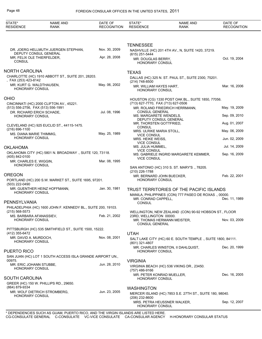| STATE*<br><b>RESIDENCE</b>                                      | <b>NAME AND</b><br><b>RANK</b>                                | DATE OF<br><b>RECOGNITION</b> | STATE*<br><b>RESIDENCE</b>                        | <b>NAME AND</b><br>RANK                                                                           | DATE OF<br><b>RECOGNITION</b> |
|-----------------------------------------------------------------|---------------------------------------------------------------|-------------------------------|---------------------------------------------------|---------------------------------------------------------------------------------------------------|-------------------------------|
|                                                                 |                                                               |                               |                                                   |                                                                                                   |                               |
|                                                                 |                                                               |                               | <b>TENNESSEE</b>                                  |                                                                                                   |                               |
|                                                                 | DR. JOERG HELLMUTH JUERGEN STEPHAN.<br>DEPUTY CONSUL GENERAL  | Nov. 30, 2009                 | (615) 251-5444                                    | NASHVILLE (HC) 201 4TH AV., N, SUITE 1420, 37219.                                                 |                               |
| MR. FELIX OLE THIERFELDER,<br><b>CONSUL</b>                     |                                                               | Apr. 28, 2008                 | MR. DOUGLAS BERRY,<br>HONORARY CONSUL             |                                                                                                   | Oct. 19, 2004                 |
| <b>NORTH CAROLINA</b>                                           |                                                               |                               | <b>TEXAS</b>                                      |                                                                                                   |                               |
|                                                                 | CHARLOTTE (HC) 1910 ABBOTT ST., SUITE 201, 28203.             |                               |                                                   | DALLAS (HC) 325 N. ST. PAUL ST., SUITE 2300, 75201.                                               |                               |
| , FAX (253) 423-8142<br>MR. KURT G. WALDTHAUSEN,                |                                                               | May. 06, 2002                 | (214) 748-8500                                    |                                                                                                   |                               |
| <b>HONORARY CONSUL</b>                                          |                                                               |                               | MR. WILLIAM HAYES HART,<br><b>HONORARY CONSUL</b> |                                                                                                   | Mar. 16, 2006                 |
| <b>OHIO</b>                                                     |                                                               |                               |                                                   | HOUSTON (CG) 1330 POST OAK BL., SUITE 1850, 77056.                                                |                               |
|                                                                 | CINCINNATI (HC) 2000 CLIFTON AV., 45221.                      |                               | (713) 627-7770, FAX (713) 627-0506                |                                                                                                   |                               |
| (513) 556-2756, FAX (513) 556-1991<br>DR. RICHARD ERICH SCHADE, |                                                               | Jul. 08, 1996                 | <b>CONSUL GENERAL</b>                             | MR. ROLAND FRIEDRICH HERRMANN,                                                                    | May. 19, 2009                 |
| <b>HONORARY CONSUL</b>                                          |                                                               |                               | MS. MARGARETE WENDELS,                            |                                                                                                   | Sep. 09, 2010                 |
|                                                                 |                                                               |                               | DEPUTY CONSUL GENERAL<br>MR. THORSTEN GOTTFRIED,  |                                                                                                   | Aug. 01, 2007                 |
| (216) 696-1100                                                  | CLEVELAND (HC) 925 EUCLID ST., 44115-1475.                    |                               | <b>CONSUL</b><br>MRS. ULRIKE MARIA STOLL,         |                                                                                                   | May. 06, 2009                 |
| MS. DIANA MARIE THIMMIG.<br><b>HONORARY CONSUL</b>              |                                                               | May. 25, 1989                 | <b>VICE CONSUL</b>                                |                                                                                                   |                               |
|                                                                 |                                                               |                               | MRS. HEIKE WEISS,<br><b>VICE CONSUL</b>           |                                                                                                   | Jun. 02, 2009                 |
| <b>OKLAHOMA</b>                                                 |                                                               |                               | MS. JULIA HUMMEL,<br><b>VICE CONSUL</b>           |                                                                                                   | Jul. 14, 2009                 |
| (405) 842-0100                                                  | OKLAHOMA CITY (HC) 5801 N. BROADWAY., SUITE 120, 73118.       |                               |                                                   | MS. GABRIELE INGRID MARGARETE KEMMER,                                                             | Sep. 16, 2009                 |
| MR. CHARLES E. WIGGIN,                                          |                                                               | Mar. 08, 1995                 | <b>VICE CONSUL</b>                                |                                                                                                   |                               |
| <b>HONORARY CONSUL</b>                                          |                                                               |                               |                                                   | SAN ANTONIO (HC) 310 S. ST. MARY'S., 78205.                                                       |                               |
| <b>OREGON</b>                                                   |                                                               |                               | (210) 226-1788<br>MR. BERNARD JOHN BUECKER,       |                                                                                                   | Feb. 22, 2001                 |
|                                                                 | PORTLAND (HC) 200 S.W. MARKET ST., SUITE 1695, 97201.         |                               | HONORARY CONSUL                                   |                                                                                                   |                               |
| (503) 222-0490                                                  | MR. GUENTHER HEINZ HOFFMANN,                                  | Jan. 30, 1981                 |                                                   |                                                                                                   |                               |
| <b>HONORARY CONSUL</b>                                          |                                                               |                               |                                                   | TRUST TERRITORIES OF THE PACIFIC ISLANDS<br>MANILA, PHILIPPINES (CON) 777 PASEO DE ROXAS., 00000. |                               |
|                                                                 |                                                               |                               | MR. CONRAD CAPPELL,                               |                                                                                                   | Dec. 11, 1989                 |
| PENNSYLVANIA                                                    | PHILADELPHIA (HC) 1600 JOHN F. KENNEDY BL., SUITE 200, 19103. |                               | <b>CONSUL</b>                                     |                                                                                                   |                               |
| $(215) 568 - 5573$                                              |                                                               |                               |                                                   | WELLINGTON, NEW ZEALAND (CON) 90-92 HOBSON ST., FLOOR                                             |                               |
| MS. BARBARA AFANASSIEV,<br><b>HONORARY CONSUL</b>               |                                                               | Feb. 21, 2002                 | 23RD, WELLINGTON 00000.                           | MR. THOMAS HERMANN MEISTER,                                                                       | Nov. 03, 2009                 |
|                                                                 |                                                               |                               | <b>CONSUL GENERAL</b>                             |                                                                                                   |                               |
|                                                                 | PITTSBURGH (HC) 535 SMITHFIELD ST., SUITE 1500, 15222.        |                               |                                                   |                                                                                                   |                               |
| (412) 355-6472<br>MR. DAVID A. MURDOCH,                         |                                                               | Nov. 08, 2001                 | <b>UTAH</b>                                       | SALT LAKE CITY (HC) 60 E. SOUTH TEMPLE., SUITE 1800, 84111.                                       |                               |
| <b>HONORARY CONSUL</b>                                          |                                                               |                               | (801) 321-4807                                    |                                                                                                   |                               |
| PUERTO RICO                                                     |                                                               |                               | <b>HONORARY CONSUL</b>                            | MR. CHARLES WINSTON, II DAHLQUIST,                                                                | Dec. 20, 1999                 |
|                                                                 | SAN JUAN (HC) LOT 1 SOUTH ACCESS ISLA GRANDE AIRPORT UN.,     |                               |                                                   |                                                                                                   |                               |
| 00975.                                                          |                                                               |                               | <b>VIRGINIA</b>                                   |                                                                                                   |                               |
| MR. ERIC JOHANN STUBBE,<br><b>HONORARY CONSUL</b>               |                                                               | Jun. 28, 2010                 | $(757)$ 486-9166                                  | VIRGINIA BEACH (HC) 536 VIKING DR., 23450.                                                        |                               |
|                                                                 |                                                               |                               | MR. PETER KONRAD MUELLER,                         |                                                                                                   | Dec. 16, 2005                 |
| <b>SOUTH CAROLINA</b>                                           |                                                               |                               | <b>HONORARY CONSUL</b>                            |                                                                                                   |                               |
| (864) 879-9334                                                  | GREER (HC) 150 W. PHILLIPS RD., 29650.                        |                               | <b>WASHINGTON</b>                                 |                                                                                                   |                               |
|                                                                 | MR. WOLF DIETRICH STROMBERG,                                  | Jun. 23, 2005                 |                                                   | MERCER ISLAND (HC) 7853 S.E. 27TH ST., SUITE 180, 98040.                                          |                               |
| <b>HONORARY CONSUL</b>                                          |                                                               |                               | (206) 232-8600                                    |                                                                                                   |                               |
|                                                                 |                                                               |                               | HONORARY CONSUL                                   | MRS. PETRA HEUSSNER WALKER,                                                                       | Sep. 12, 2007                 |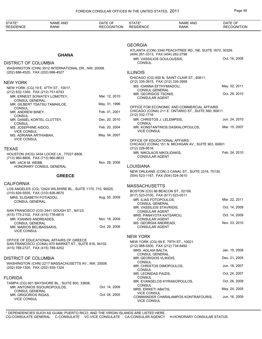| STATE*<br><b>RESIDENCE</b>                                     | <b>NAME AND</b><br>RANK                                                                           | DATE OF<br><b>RECOGNITION</b> | STATE*<br><b>RESIDENCE</b>                                      | <b>NAME AND</b><br><b>RANK</b>                                                                     | DATE OF<br><b>RECOGNITION</b> |
|----------------------------------------------------------------|---------------------------------------------------------------------------------------------------|-------------------------------|-----------------------------------------------------------------|----------------------------------------------------------------------------------------------------|-------------------------------|
|                                                                |                                                                                                   |                               |                                                                 |                                                                                                    |                               |
|                                                                |                                                                                                   |                               | <b>GEORGIA</b>                                                  |                                                                                                    |                               |
|                                                                |                                                                                                   |                               |                                                                 | ATLANTA (CON) 3340 PEACHTREE RD., NE, SUITE 1670, 30326.                                           |                               |
|                                                                | <b>GHANA</b>                                                                                      |                               | (404) 261-3313, FAX (404) 262-2798<br>MR. VASSILIOS GOULOUSSIS, |                                                                                                    | Oct. 16, 2008                 |
| <b>DISTRICT OF COLUMBIA</b>                                    |                                                                                                   |                               | <b>CONSUL</b>                                                   |                                                                                                    |                               |
|                                                                | WASHINGTON (CHN) 3512 INTERNATIONAL DR., NW, 20008.                                               |                               |                                                                 |                                                                                                    |                               |
| (202) 686-4520, FAX (202) 686-4527                             |                                                                                                   |                               | <b>ILLINOIS</b>                                                 |                                                                                                    |                               |
| <b>NEW YORK</b>                                                |                                                                                                   |                               | (312) 335-3915, FAX (312) 335-3958                              | CHICAGO (CG) 650 N. SAINT CLAIR ST., 60611.                                                        |                               |
|                                                                | NEW YORK (CG) 19 E. 47TH ST., 10017.                                                              |                               | MS. IOANNA EFTHYMIADOU,                                         |                                                                                                    | May. 02, 2011                 |
| (212) 832-1300, FAX (212) 751-6743                             |                                                                                                   |                               | <b>CONSUL GENERAL</b><br>MR. GEORGIOS TSONIS,                   |                                                                                                    | Oct. 29, 2010                 |
|                                                                | MR. ERNEST SOWATEY LOMOTEY,                                                                       | Mar. 12, 2010                 | <b>CONSULAR AGENT</b>                                           |                                                                                                    |                               |
| <b>CONSUL GENERAL</b>                                          | MR. GILBERT TSATSU TAMAKLOE,                                                                      | May. 31, 1996                 |                                                                 |                                                                                                    |                               |
| <b>CONSUL</b><br>MR. ANDREW BINEY,                             |                                                                                                   | Feb. 01, 2001                 |                                                                 | OFFICE FOR ECONOMIC AND COMMERCIAL AFFAIRS<br>CHICAGO (CONA) 211 E. ONTARIO ST., SUITE 560, 60611. |                               |
| <b>CONSUL</b>                                                  |                                                                                                   |                               | (312) 332-1716                                                  |                                                                                                    |                               |
| MR. DANIEL KORTEL CLOTTEY,<br><b>CONSUL</b>                    |                                                                                                   | Dec. 20, 2010                 | MR. CHRISTOS J. LELEMPSIS,<br><b>CONSUL</b>                     |                                                                                                    | Jun. 24, 2010                 |
| MS. JOSEPHINE AIDOO,                                           |                                                                                                   | Feb. 20, 2004                 |                                                                 | MR. KONSTANTINOS DASKALOPOULOS,                                                                    | Mar. 15, 2007                 |
| <b>VICE CONSUL</b><br>MS. ADRIANA ARTHIABAH,                   |                                                                                                   | May. 04, 2007                 | <b>VICE CONSUL</b>                                              |                                                                                                    |                               |
| <b>VICE CONSUL</b>                                             |                                                                                                   |                               | OFFICE OF EDUCATIONAL AFFAIRS                                   |                                                                                                    |                               |
|                                                                |                                                                                                   |                               |                                                                 | CHICAGO (CONA) 151 N. MICHIGAN AV., SUITE 903, 60601.                                              |                               |
| <b>TEXAS</b>                                                   |                                                                                                   |                               | (312) 228-9516<br>MR. NIKOLAOS NIKOLIDAKIS,                     |                                                                                                    | Feb. 24, 2010                 |
| (713) 960-8806, FAX (713) 960-8833                             | HOUSTON (HCG) 3434 LOCKE LA., 77027-8806.                                                         |                               | <b>CONSULAR AGENT</b>                                           |                                                                                                    |                               |
| MR. JACK M. WEBB,                                              |                                                                                                   | Nov. 28, 2006                 |                                                                 |                                                                                                    |                               |
|                                                                | HONORARY CONSUL GENERAL                                                                           |                               | LOUISIANA                                                       |                                                                                                    |                               |
|                                                                | <b>GREECE</b>                                                                                     |                               | (504) 523-1167, FAX (504) 524-3610                              | NEW ORLEANS (CON) 2 CANAL ST., SUITE 2318, 70130.                                                  |                               |
| <b>CALIFORNIA</b>                                              |                                                                                                   |                               | <b>MASSACHUSETTS</b>                                            |                                                                                                    |                               |
|                                                                | LOS ANGELES (CG) 12424 WILSHIRE BL., SUITE 1170, 710, 90025.                                      |                               | BOSTON (CG) 86 BEACON ST., 02108.                               |                                                                                                    |                               |
| (310) 826-5555, FAX (310) 826-8670<br>MRS. ELISABETH FOTIADOU, |                                                                                                   | Aug. 05, 2009                 | (617) 523-0100, FAX (617) 523-0511                              |                                                                                                    |                               |
| <b>CONSUL GENERAL</b>                                          |                                                                                                   |                               | MR. ILIAS FOTOPOULOS.<br><b>CONSUL GENERAL</b>                  |                                                                                                    | Mar. 22, 2011                 |
|                                                                |                                                                                                   |                               | MR. VASSILIOS STAVRIDIS,                                        |                                                                                                    | Oct. 14, 2009                 |
| (415) 775-2102, FAX (415) 776-6815                             | SAN FRANCISCO (CG) 2441 GOUGH ST., 94123.                                                         |                               | <b>CONSULAR AGENT</b><br>MRS. PANAYOTA KATSAROU,                |                                                                                                    | Oct. 14, 2009                 |
| MR. IOANNIS ANDREADES,                                         |                                                                                                   | Nov. 18, 2009                 | <b>CONSULAR AGENT</b>                                           |                                                                                                    |                               |
| <b>CONSUL GENERAL</b>                                          |                                                                                                   | Oct. 29, 2008                 | MS. GEORGIA ANDREADI,                                           |                                                                                                    | Nov. 03, 2010                 |
| MR. MARIOS BELIBASSAKIS,<br><b>VICE CONSUL</b>                 |                                                                                                   |                               | <b>CONSULAR AGENT</b>                                           |                                                                                                    |                               |
|                                                                |                                                                                                   |                               | <b>NEW YORK</b>                                                 |                                                                                                    |                               |
|                                                                | OFFICE OF EDUCATIONAL AFFAIRS OF GREECE<br>SAN FRANCISCO (CONA) 870 MARKET ST., SUITE 616, 94102. |                               |                                                                 | NEW YORK (CG) 69 E. 79TH ST., 10021.                                                               |                               |
| (415) 788-2727, FAX (415) 788-4252                             |                                                                                                   |                               | (212) 988-5500, FAX (212) 734-8492                              |                                                                                                    | Jan. 15, 2008                 |
|                                                                |                                                                                                   |                               | MRS. AGLAIA BALTA,<br><b>CONSUL GENERAL</b>                     |                                                                                                    |                               |
| <b>DISTRICT OF COLUMBIA</b>                                    |                                                                                                   |                               | MR. GEORGIOS VLIKIDIS,                                          |                                                                                                    | Dec. 21, 2005                 |
|                                                                | WASHINGTON (CHN) 2217 MASSACHUSETTS AV., NW, 20008.                                               |                               | CONSUL<br>MR. CHRISTOS DIMOPOULOS,                              |                                                                                                    | Jun. 18, 2007                 |
| (202) 939-1300, FAX (202) 939-1324                             |                                                                                                   |                               | CONSUL                                                          |                                                                                                    |                               |
| <b>FLORIDA</b>                                                 |                                                                                                   |                               | MR. LEONIDAS PAIZIS,<br>CONSUL                                  |                                                                                                    | Oct. 24, 2007                 |
|                                                                | TAMPA (CG) 601 BAYSHORE BL., SUITE 800, 33606.                                                    |                               |                                                                 | MR. EVANGELOS KYRIAKOPOULOS,                                                                       | Oct. 26, 2009                 |
|                                                                | MR. ANTONIOS SGOUROPOULOS.                                                                        | Oct. 14, 2009                 | CONSUL<br>MRS. ERIKETI ABATIS,                                  |                                                                                                    | May. 24, 2005                 |
| <b>CONSUL GENERAL</b><br>MR. GRIGORIOS RIGAS,                  |                                                                                                   | Oct. 04, 2005                 | <b>VICE CONSUL</b>                                              |                                                                                                    | Jun. 16, 2009                 |
| <b>VICE CONSUL</b>                                             |                                                                                                   |                               | VICE COMPUL                                                     | COMMANDER CHARALAMPOS KONTRAFOURIS,                                                                |                               |

VICE CONSUL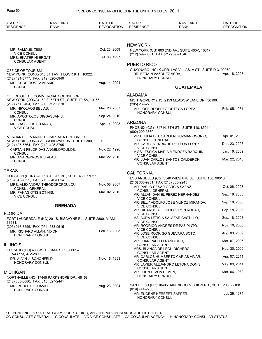| STATE*<br><b>RESIDENCE</b>                          | <b>NAME AND</b><br><b>RANK</b>                              | DATE OF<br><b>RECOGNITION</b> | STATE*<br><b>RESIDENCE</b>                             | <b>NAME AND</b><br><b>RANK</b>                                | DATE OF<br><b>RECOGNITION</b> |
|-----------------------------------------------------|-------------------------------------------------------------|-------------------------------|--------------------------------------------------------|---------------------------------------------------------------|-------------------------------|
|                                                     |                                                             |                               |                                                        |                                                               |                               |
|                                                     |                                                             |                               | <b>NEW YORK</b>                                        |                                                               |                               |
| MR. SAMOUIL ZISIS,<br><b>VICE CONSUL</b>            |                                                             | Oct. 26, 2009                 | (212) 599-0301, FAX (212) 599-1540                     | NEW YORK (CG) 800 2ND AV., SUITE 400K, 10017.                 |                               |
| MRS. EKATERINI ERGATI,                              |                                                             | Jul. 03, 1997                 |                                                        |                                                               |                               |
| <b>CONSULAR AGENT</b>                               |                                                             |                               | <b>PUERTO RICO</b>                                     |                                                               |                               |
| OFFICE OF TOURISM                                   | NEW YORK (CONA) 645 5TH AV., FLOOR 9TH, 10022.              |                               | DR. EFRAIN VAZQUEZ VERA,                               | GUAYNABO (HC) X URB. LAS VILLAS, A ST., SUITE D-3, 00969.     | Apr. 18, 2008                 |
| (212) 421-5777, FAX (212) 826-6940                  |                                                             |                               | HONORARY CONSUL                                        |                                                               |                               |
| MR. GEORGIOS TAMBAKIS,                              |                                                             | Aug. 14, 2001                 |                                                        |                                                               |                               |
| <b>CONSUL</b>                                       |                                                             |                               |                                                        | <b>GUATEMALA</b>                                              |                               |
|                                                     | OFFICE OF THE COMMERCIAL COUNSELOR                          |                               | ALABAMA                                                |                                                               |                               |
| (212) 751-2404, FAX (212) 593-2278                  | NEW YORK (CONA) 150 E. 58TH ST., SUITE 1715A, 10155.        |                               | (205) 269-2756                                         | MONTGOMERY (HC) 2153 MEADOW LANE DR., 36106.                  |                               |
| MR. NIKOLAOS BELIAS,                                |                                                             | Mar. 28, 2007                 |                                                        | MR. JOSE ROBERTO ORTEGA-LOPEZ,                                | Feb. 05, 1981                 |
| <b>CONSUL</b><br>MR. APOSTOLOS DIGBASSANIS,         |                                                             | Sep. 24, 2010                 | HONORARY CONSUL                                        |                                                               |                               |
| CONSUL                                              |                                                             |                               | <b>ARIZONA</b>                                         |                                                               |                               |
| MR. VASSILIOS SITARAS,<br><b>VICE CONSUL</b>        |                                                             | Apr. 14, 2008                 | (602) 200-3660                                         | PHOENIX (CG) 4747 N. 7TH ST., SUITE 410, 85014.               |                               |
|                                                     | MERCANTILE MARINE DEPARTMENT OF GREECE                      |                               |                                                        | MRS. JULIA DEL CARMEN GUZMAN OSORIO,                          | Apr. 01, 2009                 |
| (212) 425-5764, FAX (212) 425-3795                  | NEW YORK (CONA) 29 BROADWAY UN., SUITE 2300, 10006.         |                               | <b>CONSUL GENERAL</b>                                  | MR. CARLOS ENRIQUE DE LEON LOPEZ,                             | Dec. 23, 2008                 |
| <b>CONSUL</b>                                       | CAPTAIN PELOPIDAS ANGELOPOULOS,                             | Nov. 22, 1996                 | <b>VICE CONSUL</b>                                     | MISS JESSICA MARIA MENDOZA BARQUIN,                           | Jan. 16, 2009                 |
| MR. ANARGYROS KEFALAS,<br><b>CONSUL</b>             |                                                             | Mar. 22, 2010                 | <b>VICE CONSUL</b>                                     | MR. JUAN CARLOS SANTOS CALDERON,                              | Mar. 22, 2010                 |
|                                                     |                                                             |                               | <b>CONSULAR AGENT</b>                                  |                                                               |                               |
| TEXAS                                               |                                                             |                               | <b>CALIFORNIA</b>                                      |                                                               |                               |
| (713) 840-7522, FAX (713) 840-0614                  | HOUSTON (CON) 520 POST OAK BL., SUITE 450, 77027.           |                               |                                                        | LOS ANGELES (CG) 3540 WILSHIRE BL., SUITE 100, 90010.         |                               |
|                                                     | MRS. ALEXANDRA THEODOROPOULOU,                              | Nov. 08, 2007                 | (213) 365-9251, FAX (213) 365-9245                     |                                                               |                               |
| CONSUL GENERAL                                      |                                                             |                               | MR. PABLO CESAR GARCIA SAENZ,<br><b>CONSUL GENERAL</b> |                                                               | Oct. 06, 2008                 |
| MR. PANAGIOTIS BOTINIS,<br><b>VICE CONSUL</b>       |                                                             | Mar. 02, 2010                 | <b>VICE CONSUL</b>                                     | MR. ALLAN DANIEL PEREZ HERNANDEZ,                             | Sep. 18, 2008                 |
|                                                     | <b>GRENADA</b>                                              |                               |                                                        | MR. BILLY ADOLFO JOSE MUNOZ MIRANDA,                          | Sep. 18, 2008                 |
|                                                     |                                                             |                               | <b>VICE CONSUL</b>                                     | MR. RICARDO ALFONSO GIRON RODAS,                              | Sep. 18, 2008                 |
| <b>FLORIDA</b>                                      |                                                             |                               | <b>VICE CONSUL</b>                                     | MS. AURA LETICIA SALAZAR CASTILLO,                            | Sep. 18, 2008                 |
| 33131.                                              | FORT LAUDERDALE (HC) 201 S. BISCAYNE BL., SUITE 2800, MIAMI |                               | <b>VICE CONSUL</b>                                     |                                                               |                               |
| (305) 913-7555, FAX (954) 538-9615                  |                                                             |                               | <b>VICE CONSUL</b>                                     | MR. RODRIGO ANDRES DE PAZ PINTO,                              | Nov. 10, 2008                 |
| MR. RICHARD ALLAN. NIXON,<br><b>HONORARY CONSUL</b> |                                                             | Feb. 13, 2003                 |                                                        | MR. JOSE RODRIGO GUEVARA SOTO,                                | Aug. 03, 2009                 |
|                                                     |                                                             |                               | <b>VICE CONSUL</b><br>MR. JUAN PABLO FRANCISCO,        |                                                               | Mar. 07, 2005                 |
| illinois                                            |                                                             |                               | <b>CONSULAR AGENT</b><br>MRS. BLANCA DE LEON DIGHERO.  |                                                               | Nov. 30, 2009                 |
| , FAX (773) 472-2809                                | CHICAGO (HC) 438 W. ST. JAMES PL., 60614.                   |                               | <b>CONSULAR AGENT</b>                                  |                                                               |                               |
| DR. ALVIN J. SCHONFELD.                             |                                                             | Nov. 16, 1993                 | <b>CONSULAR AGENT</b>                                  | MR. CARLOS HUMBERTO CARIAS VIVAR,                             | Apr. 07, 2011                 |
| HONORARY CONSUL                                     |                                                             |                               | <b>CONSULAR AGENT</b>                                  | MR. JAVIER ALEJANDRO LETONA DONIS,                            | May. 09, 2011                 |
| MICHIGAN                                            | NORTHVILLE (HC) 17445 PARKSHORE DR., 48168.                 |                               | MR. JOHN L. VON ULMEN,<br>HONORARY CONSUL              |                                                               | Mar. 06, 1989                 |
| (248) 305-8080, FAX (815) 327-2441                  |                                                             |                               |                                                        |                                                               |                               |
| MR. ROBERT G. DAVID,<br>HONORARY CONSUL             |                                                             | Aug. 23, 2004                 | (619) 444-2280                                         | SAN DIEGO (HC) 10405 SAN DIEGO MISSION RD., SUITE 205, 92108. |                               |
|                                                     |                                                             |                               | MR. EUGENE HERBERT SAPPER,<br>HONORARY CONSUL          |                                                               | Jul. 26, 1974                 |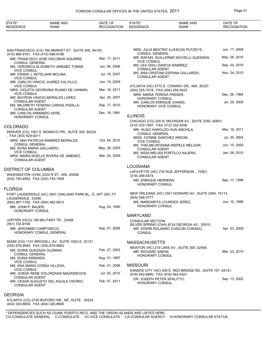| <b>STATE</b>                | <b>AND</b><br>NAME | . JA '             |                | AND<br>NAME | OF<br>۱Δ<br>,, |
|-----------------------------|--------------------|--------------------|----------------|-------------|----------------|
| <b>RESIDE</b><br><b>VUL</b> | RANK               | οг<br>.ON<br>) GNI | SΙ<br>ים<br>NF | <b>RANK</b> | IUN            |

| SAN FRANCISCO (CG) 785 MARKET ST., SUITE 400, 94103.<br>(415) 896-9181, FAX (415) 896-9186 |               | MRS. JULIA BEATRIZ ILLESCAS PUTZEYS,<br><b>CONSUL GENERAL</b>                                   | Jun. 17, 2008 |
|--------------------------------------------------------------------------------------------|---------------|-------------------------------------------------------------------------------------------------|---------------|
| MR. FRANCISCO JOSE ESCOBAR AGUIRRE.<br><b>CONSUL GENERAL</b>                               | Mar. 17, 2011 | MR. RAFAEL GUILLERMO NOVIELLI QUESADA,<br><b>VICE CONSUL</b>                                    | May. 26, 2010 |
| MS. VERONICA ELIZABETH JIMENEZ TOBAR,                                                      | Jun. 06, 2006 | MS. LEA ODILI GARCIA RAMIREZ,<br><b>CONSULAR AGENT</b>                                          | Sep. 03, 2010 |
| <b>VICE CONSUL</b><br>MR. FRANS J. KETELAAR MOLINA,<br><b>VICE CONSUL</b>                  | Jul. 16, 2007 | MS. ANA CRISTINA ESPANA GALLARDO,<br><b>CONSULAR AGENT</b>                                      | Nov. 24, 2010 |
| MR. CARLOS VINICIO JUAREZ CALVILLO,<br><b>VICE CONSUL</b>                                  | Jun. 19, 2009 |                                                                                                 |               |
| MRS. VIOLETA GEORGINA RUANO DE VANNINI,                                                    | Mar. 16, 2011 | ATLANTA (HC) 4772 E. CONWAY DR., NW, 30327.<br>(404) 255-7019, FAX (404) 255-0023               |               |
| <b>VICE CONSUL</b><br>MR. BAYRON VINICIO MORALES LOPEZ,                                    | Apr. 30, 2007 | MRS. MARIA TERESA FRASER,<br>HONORARY CONSUL                                                    | Dec. 26, 1964 |
| <b>CONSULAR AGENT</b><br>MS. MILDRETH YESENIA CARIAS PADILLA,<br><b>CONSULAR AGENT</b>     | Sep. 17, 2010 | MR. CARLOS ENRIQUE CHANG,<br>HONORARY VICE CONSUL                                               | Jul. 29, 2005 |
| MR. CARLOS ARMANDO AFRE,<br>HONORARY CONSUL                                                | Dec. 16, 1991 | <b>ILLINOIS</b>                                                                                 |               |
| COLORADO                                                                                   |               | CHICAGO (CG) 205 N. MICHIGAN AV., SUITE 2350, 60601.<br>(312) 332-1587, FAX (312) 332-4256      |               |
| DENVER (CG) 1001 S. MONACO PW., SUITE 300, 80224.                                          |               | MR. HUGO HAROLDO HUN ARCHILA,<br><b>CONSUL GENERAL</b>                                          | Mar. 16, 2011 |
| , FAX (303) 629-9211<br>MRS. ANA PATRICIA RAMIREZ MORALES,                                 | Oct. 04, 2010 | MISS IVONNE SANCHEZ ARDON,<br><b>VICE CONSUL</b>                                                | Jul. 20, 2004 |
| <b>CONSUL GENERAL</b><br>MS. ROSA MARIA GALLARDO,                                          | May. 26, 2005 | MS. THELMA ROXANA RIEPELE MELGAR,<br><b>CONSULAR AGENT</b>                                      | Jun. 15, 2000 |
| <b>VICE CONSUL</b><br>MRS. MARIA NOELLE RIVERA DE JIMENEZ,<br><b>CONSULAR AGENT</b>        | Mar. 24, 2009 | MS. NIDIA MELISA PORTILLO NAJERA,<br>CONSULAR AGENT                                             | Jan. 08, 2010 |
| DISTRICT OF COLUMBIA                                                                       |               | <b>LOUISIANA</b>                                                                                |               |
| WASHINGTON (CHN) 2220 R ST., NW, 20008.                                                    |               | LAFAYETTE (HC) 735 RUE JEFFERSON., 70501.<br>(318) 268-5474                                     |               |
| (202) 745-4952, FAX (202) 745-1908                                                         |               | MR. ENRIQUE HERRERA,<br>HONORARY CONSUL                                                         | Sep. 17, 1996 |
| <b>FLORIDA</b>                                                                             |               |                                                                                                 |               |
| FORT LAUDERDALE (HC) 2601 OAKLAND PARK BL., E, APT 200, FT.<br>LAUDERDALE 33306.           |               | NEW ORLEANS (HC) 1001 HOWARD AV., SUITE 2504, 70113.<br>$(504)$ 558-3777                        |               |
| (954) 467-1700, FAX (954) 462-0913<br>MR. JOHN P. BAUER,                                   | Aug. 24, 1990 | MS. MARGARITA LOURDES JEREZ,<br>HONORARY CONSUL                                                 | Jun. 10, 1998 |
| HONORARY CONSUL                                                                            |               | <b>MARYLAND</b>                                                                                 |               |
| JUPITER (HCG) 106 MILITARY TR., 33458.                                                     |               | <b>CONSULAR SECTION</b>                                                                         |               |
| (561) 745-9199                                                                             |               | SILVER SPRING (CHA) 8124 GEORGIA AV., 20910.                                                    |               |
| MR. JERONIMO CAMPOSECO,<br>HONORARY CONSUL GENERAL                                         | Sep. 01, 2006 | MR. EDWIN ROLANDO CHACON CORADO,<br><b>CONSUL</b>                                               | Apr. 03, 2009 |
| MIAMI (CG) 1101 BRICKELL AV., SUITE 1003-S, 33131.                                         |               | <b>MASSACHUSETTS</b>                                                                            |               |
| (305) 679-9945, FAX (305) 679-9983<br>MS. DORIS QUEZADA GUZMAN,                            | Feb. 27, 2003 | NEWTON (HC) 219 LAKE AV., SUITE 300, 02458.<br>MR. RICHARD SIMON,                               | Mar. 23, 2010 |
| CONSUL GENERAL<br>MS. DUNIA MIRANDA,                                                       | Aug. 01, 1997 | HONORARY CONSUL                                                                                 |               |
| <b>VICE CONSUL</b><br>MS. ANA MARIA COREA VILLEDA,                                         | Feb. 01, 2006 | <b>MISSOURI</b>                                                                                 |               |
| <b>VICE CONSUL</b><br>MR. JORGE RENE SOLORZANO MAZARIEGOS,                                 | Jul. 02, 2010 | KANSAS CITY (HC) 400 E. RED BRIDGE RD., SUITE 107, 64131.<br>(816) 942-6990, FAX (816) 942-4301 |               |
| CONSULAR AGENT<br>MR. CESAR AUGUSTO DEL AGUILA OSORIO,<br><b>CONSULAR AGENT</b>            | Feb. 07, 2011 | DR. JOSEPH PETER SPALITTO,<br>HONORARY CONSUL                                                   | Sep. 13, 2002 |
|                                                                                            |               |                                                                                                 |               |

## GEORGIA

ATLANTA (CG) 2750 BUFORD HW., NE, SUITE , 30324. (404) 320-8804 , FAX (404) 320-8806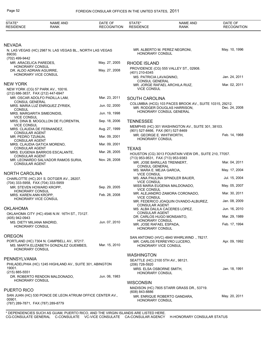| <b>NEVADA</b>                                                                                                                                                                         |               |
|---------------------------------------------------------------------------------------------------------------------------------------------------------------------------------------|---------------|
| MR. ALBERTO M. PEREZ NEGRONI,<br>N. LAS VEGAS (HC) 2987 N. LAS VEGAS BL., NORTH LAS VEGAS                                                                                             | May. 10, 1996 |
| <b>HONORARY CONSUL</b><br>89030.<br>(702) 499-9442                                                                                                                                    |               |
| May. 27, 2005<br>MR. ARACELICA PAREDES,<br><b>RHODE ISLAND</b>                                                                                                                        |               |
| HONORARY CONSUL<br>PROVIDENCE (CG) 555 VALLEY ST., 02908.<br>May. 27, 2008<br>DR. ALDO ADRIAN AGUIRRE,                                                                                |               |
| (401) 210-6345<br>HONORARY VICE CONSUL<br>MS. PATRICIA LAVAGNINO,<br><b>CONSUL GENERAL</b>                                                                                            | Jan. 24, 2011 |
| <b>NEW YORK</b><br>MR. JORGE RAFAEL ARCHILA RUIZ,                                                                                                                                     | Mar. 02, 2011 |
| <b>VICE CONSUL</b><br>NEW YORK (CG) 57 PARK AV., 10016.<br>(212) 686-3837, FAX (212) 447-6947                                                                                         |               |
| Mar. 23, 2011<br>MR. OSCAR ADOLFO PADILLA LAM,<br><b>SOUTH CAROLINA</b>                                                                                                               |               |
| <b>CONSUL GENERAL</b><br>COLUMBIA (HCG) 103 PACES BROOK AV., SUITE 10315, 29212.<br>MRS. MARIA LUZ ENRIQUEZ ZYRIEK,<br>Jun. 02, 2000<br>MR. RODGER DOUGLAS HARRISON,<br><b>CONSUL</b> | Dec. 24, 2008 |
| HONORARY CONSUL GENERAL<br>Jun. 19, 1998<br>MRS. MARGARITA SIMEONIDIS,                                                                                                                |               |
| <b>VICE CONSUL</b><br>Sep. 18, 2006<br>MRS. DINA B. MOGOLLON DE FLORENTIN,<br><b>TENNESSEE</b>                                                                                        |               |
| <b>VICE CONSUL</b><br>MEMPHIS (HC) 301 WASHINGTON AV., SUITE 301, 38103.<br>Aug. 27, 1999<br>MRS. CLAUDIA DE FERNANDEZ,                                                               |               |
| (901) 527-8466, FAX (901) 527-8469<br><b>CONSULAR AGENT</b><br>MR. GEORGE E. WHITWORTH,<br>Mar. 09, 2001                                                                              | Feb. 14, 1968 |
| MR. PEDRO TZUNUN,<br>HONORARY CONSUL<br><b>CONSULAR AGENT</b>                                                                                                                         |               |
| Mar. 09, 2001<br>MRS. CLAUDIA GATICA MORENO,<br><b>CONSULAR AGENT</b><br><b>TEXAS</b>                                                                                                 |               |
| Mar. 28, 2005<br>MRS. EUGENIA BARRIOS ESCALANTE,<br>HOUSTON (CG) 3013 FOUNTAIN VIEW DR., SUITE 210, 77057.                                                                            |               |
| <b>CONSULAR AGENT</b><br>(713) 953-9531, FAX (713) 953-9383<br>Nov. 28, 2008<br>MR. LEONARDO SALVADOR RAMOS SURIA,                                                                    |               |
| MR. JOSE BARILLAS TRENNERT.<br><b>CONSULAR AGENT</b><br><b>CONSUL GENERAL</b>                                                                                                         | Mar. 04, 2011 |
| MS. MARA E. MEJIA GARCIA,<br><b>NORTH CAROLINA</b><br><b>VICE CONSUL</b>                                                                                                              | May. 17, 2004 |
| MS. ANA PAULINA SPINDLER BAUER,<br>CHARLOTTE (HC) 201 S. DOTGER AV., 28207.                                                                                                           | Jul. 15, 2004 |
| <b>VICE CONSUL</b><br>(704) 333-5958, FAX (704) 333-5959<br>MISS MARIA EUGENIA MALDONADO,<br>Sep. 29, 2005<br>MR. STEVEN HOWARD KROPP,                                                | May. 05, 2007 |
| <b>VICE CONSUL</b><br>HONORARY CONSUL<br>MR. ALEJANDRO ZAMORA CORONADO,                                                                                                               | Mar. 30, 2011 |
| Feb. 28, 2008<br>MRS. KAREN ANN KROPP,<br><b>VICE CONSUL</b><br>HONORARY VICE CONSUL                                                                                                  |               |
| MR. FEDERICO JOAQUIN OVANDO-ALBUREZ,<br><b>CONSULAR AGENT</b>                                                                                                                         | Jan. 08, 2009 |
| <b>OKLAHOMA</b><br>MS. ALBA DALILA CACERES LOPEZ,<br><b>CONSULAR AGENT</b>                                                                                                            | Jun. 16, 2010 |
| OKLAHOMA CITY (HC) 4546 N.W. 16TH ST., 73127.<br>DR. CARLOS HUGO MONSANTO,<br>(405) 942-0943                                                                                          | Mar. 29, 1989 |
| <b>HONORARY CONSUL</b><br>Jun. 07, 2010<br>MS. DIETY MILIANA MADRID,<br>MR. JOSE RAFAEL ESPADA,                                                                                       | Feb. 17, 1994 |
| <b>HONORARY CONSUL</b><br><b>HONORARY CONSUL</b>                                                                                                                                      |               |
| <b>OREGON</b><br>SAN ANTONIO (HVC) 4840 WHIRLWIND ., 78217.                                                                                                                           |               |
| PORTLAND (HC) 7304 N. CAMPBELL AV., 97217.<br>MR. CARLOS FERREYRO LUCERO,<br>Mar. 15, 2010                                                                                            | Apr. 09, 1992 |
| MS. MARTA ELIZABETH GONZALEZ GUEMBES,<br><b>HONORARY VICE CONSUL</b><br><b>HONORARY CONSUL</b>                                                                                        |               |
| <b>WASHINGTON</b>                                                                                                                                                                     |               |
| PENNSYLVANIA<br>SEATTLE (HC) 2100 5TH AV., 98121.<br>PHILADELPHIA (HC) 1245 HIGHLAND AV., SUITE 301, ABINGTON                                                                         |               |
| (206) 728-5920<br>19001.<br>MRS. ELSA OSBORNE SMITH,                                                                                                                                  | Jan. 18, 1991 |
| $(215)$ 885-5551<br><b>HONORARY CONSUL</b><br>Jun. 06, 1983<br>DR. ROBERTO RENDON MALDONADO,                                                                                          |               |
| <b>HONORARY CONSUL</b><br><b>WISCONSIN</b>                                                                                                                                            |               |
| MADISON (HC) 7805 STARR GRASS DR., 53719.                                                                                                                                             |               |
| <b>PUERTO RICO</b><br>(608) 843-8886                                                                                                                                                  |               |
| SAN JUAN (HC) 530 PONCE DE LEON ATRIUM OFFICE CENTER AV.,<br>MR. ENRIQUE ROBERTO GANDARA,<br>00901.<br><b>HONORARY CONSUL</b>                                                         | May. 20, 2011 |
| (787) 289-7871, FAX (787) 289-8779                                                                                                                                                    |               |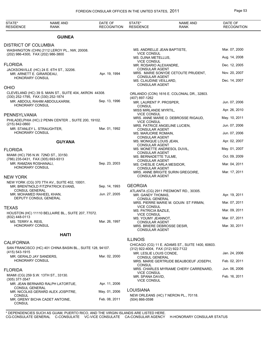| STATE*<br><b>RESIDENCE</b>                               | NAME AND<br><b>RANK</b>                                   | DATE OF<br><b>RECOGNITION</b> | STATE*<br><b>RESIDENCE</b>                       | <b>NAME AND</b><br>RANK                          | DATE OF<br><b>RECOGNITION</b> |
|----------------------------------------------------------|-----------------------------------------------------------|-------------------------------|--------------------------------------------------|--------------------------------------------------|-------------------------------|
|                                                          | <b>GUINEA</b>                                             |                               |                                                  |                                                  |                               |
| DISTRICT OF COLUMBIA                                     |                                                           |                               |                                                  |                                                  |                               |
|                                                          | WASHINGTON (CHN) 2112 LEROY PL., NW, 20008.               |                               | MS. ANDRELLE JEAN BAPTISTE,                      |                                                  | Mar. 07, 2000                 |
| (202) 986-4300, FAX (202) 986-3800                       |                                                           |                               | <b>VICE CONSUL</b><br>MS. DJINA METELLUS,        |                                                  | Aug. 14, 2008                 |
| <b>FLORIDA</b>                                           |                                                           |                               | <b>VICE CONSUL</b><br>MR. ROSARIO ALEXANDRE,     |                                                  | Dec. 12, 2005                 |
|                                                          | JACKSONVILLE (HC) 24 E. 6TH ST., 32206.                   |                               | <b>CONSULAR AGENT</b>                            |                                                  |                               |
| MR. ARNETT E. GIRARDEAU,                                 |                                                           | Apr. 19, 1994                 | <b>CONSULAR AGENT</b>                            | MRS. MARIE SONYDE CETOUTE PRUDENT,               | Nov. 20, 2007                 |
| <b>HONORARY CONSUL</b>                                   |                                                           |                               | MS. CLAUDINE VEILLARD,                           |                                                  | Dec. 14, 2007                 |
| <b>OHIO</b>                                              |                                                           |                               | <b>CONSULAR AGENT</b>                            |                                                  |                               |
|                                                          | CLEVELAND (HC) 39 S. MAIN ST., SUITE 404, AKRON 44308.    |                               |                                                  | ORLANDO (CON) 1616 E. COLONIAL DR., 32803.       |                               |
| (330) 252-1795, FAX (330) 252-1874                       | MR. ABDOUL RAHIM ABDOULKARIM,                             | Sep. 13, 1996                 | (407) 897-1262                                   |                                                  |                               |
| <b>HONORARY CONSUL</b>                                   |                                                           |                               | MR. LAURENT P. PROSPER,<br><b>CONSUL</b>         |                                                  | Jun. 07, 2006                 |
|                                                          |                                                           |                               | MISS MIRLANDE MYRTIL,                            |                                                  | Apr. 26, 2010                 |
| PENNSYLVANIA                                             |                                                           |                               | <b>VICE CONSUL</b>                               | MRS. ANNE MARIE D. DEBROSSE RIGAUD,              | May. 10, 2011                 |
| (215) 842-0860                                           | PHILADELPHIA (HC) 2 PENN CENTER., SUITE 200, 19102.       |                               | <b>VICE CONSUL</b>                               |                                                  |                               |
| MR. STANLEY L. STRAUGHTER,                               |                                                           | Mar. 01, 1992                 | <b>CONSULAR AGENT</b>                            | MRS. PATRICE ANGELINE LUCIEN,                    | Jun. 07, 2006                 |
| <b>HONORARY CONSUL</b>                                   |                                                           |                               | MS. MARJORIE ROMAIN,<br><b>CONSULAR AGENT</b>    |                                                  | Jun. 07, 2006                 |
|                                                          | <b>GUYANA</b>                                             |                               | MS. MONIQUE LOUIS JEAN,                          |                                                  | Apr. 02, 2007                 |
|                                                          |                                                           |                               | <b>CONSULAR AGENT</b>                            | MS. MONETTE ANDRESOL DUVIL,                      | May. 01, 2007                 |
| <b>FLORIDA</b><br>MIAMI (HC) 795 N.W. 72ND ST., 33150.   |                                                           |                               | <b>CONSULAR AGENT</b>                            |                                                  |                               |
| (786) 235-0431, FAX (305) 693-9313                       |                                                           |                               | MS. BERNADETTE TULME,<br><b>CONSULAR AGENT</b>   |                                                  | Oct. 09, 2009                 |
| MR. RAMZAN ROSHANALI,                                    |                                                           | Sep. 23, 2003                 | MS. CHESLIE CARLA MESIDOR,                       |                                                  | Mar. 04, 2011                 |
| <b>HONORARY CONSUL</b>                                   |                                                           |                               | <b>CONSULAR AGENT</b>                            | MRS. ANNE BRIGITE SURIN GREGOIRE,                | Mar. 17, 2011                 |
| NEW YORK                                                 |                                                           |                               | <b>CONSULAR AGENT</b>                            |                                                  |                               |
|                                                          | NEW YORK (CG) 370 7TH AV., SUITE 402, 10001.              |                               |                                                  |                                                  |                               |
| <b>CONSUL GENERAL</b>                                    | MR. BRENTNOLD FITZPATRICK EVANS,                          | Sep. 14, 1993                 | <b>GEORGIA</b>                                   | ATLANTA (CG) 2911 PIEDMONT RD., 30305.           |                               |
| MR. MOHAMED RAHEEL KHAN,                                 |                                                           | Jun. 27, 2005                 | MR. GANDY THOMAS,                                |                                                  | Apr. 19, 2011                 |
| DEPUTY CONSUL GENERAL                                    |                                                           |                               | <b>CONSUL GENERAL</b>                            | MRS. PIERRE MARIE M. GOUIN ST FIRMIN,            | Mar. 07, 2011                 |
| TEXAS                                                    |                                                           |                               | <b>VICE CONSUL</b>                               |                                                  |                               |
|                                                          | HOUSTON (HC) 11110 BELLAIRE BL., SUITE 207, 77072.        |                               | <b>MS. PATRICIA BAZILE</b><br><b>VICE CONSUL</b> |                                                  | Mar. 09, 2011                 |
| (832) 448-0113                                           |                                                           |                               | MS. YOUMY JEANNOT,                               |                                                  | Mar. 07, 2011                 |
| MS. TERRY A. REIS,<br>HONORARY CONSUL                    |                                                           | Mar. 26, 1997                 | <b>CONSULAR AGENT</b>                            | MRS. BRIERE DEBROSSE DESIR,                      | Mar. 30, 2011                 |
|                                                          |                                                           |                               | <b>CONSULAR AGENT</b>                            |                                                  |                               |
|                                                          | <b>HAITI</b>                                              |                               |                                                  |                                                  |                               |
| CALIFORNIA                                               |                                                           |                               | <b>ILLINOIS</b>                                  | CHICAGO (CG) 11 E. ADAMS ST., SUITE 1400, 60603. |                               |
|                                                          | SAN FRANCISCO (HC) 401 CHINA BASIN BL., SUITE 128, 94107. |                               | (312) 922-4004, FAX (312) 922-7122               |                                                  |                               |
| (415) 543-1915<br>MR. GERALD JAY SANDERS,                |                                                           | Mar. 02, 2000                 | MR. LESLIE LOUIS CONDE,                          |                                                  | Jan. 24, 2006                 |
| <b>HONORARY CONSUL</b>                                   |                                                           |                               | <b>CONSUL GENERAL</b>                            | MRS. MARIE GERTRUDE BEAUBOEUF JOSEPH,            | Feb. 02, 2011                 |
|                                                          |                                                           |                               | <b>CONSUL</b>                                    |                                                  | Jun. 06, 2006                 |
| <b>FLORIDA</b>                                           |                                                           |                               | <b>VICE CONSUL</b>                               | MRS. CHARLES MYRIAME CHERY CARRENARD,            |                               |
| MIAMI (CG) 259 S.W. 13TH ST., 33130.<br>$(305)$ 377-3547 |                                                           |                               | MR. SPANA DAVID,<br><b>VICE CONSUL</b>           |                                                  | Feb. 16, 2011                 |
|                                                          | MR. JEAN BERNARD RALPH LATORTUE,                          | Apr. 11, 2006                 |                                                  |                                                  |                               |
| <b>CONSUL GENERAL</b>                                    | MR. NICOLAS GERARD ALEX JOSPITRE,                         | May. 01, 2006                 | <b>LOUISIANA</b>                                 |                                                  |                               |
| <b>CONSUL</b>                                            |                                                           |                               |                                                  | NEW ORLEANS (HC) 7 NERON PL., 70118.             |                               |
| <b>CONSUL</b>                                            | MR. GRENY BICHA CADET ANTOINE,                            | Feb. 08, 2011                 | $(504) 866 - 0598$                               |                                                  |                               |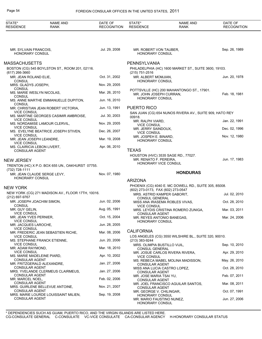| STATE*<br><b>RESIDENCE</b>                            | <b>NAME AND</b><br><b>RANK</b>                    | DATE OF<br><b>RECOGNITION</b> | STATE*<br><b>RESIDENCE</b>                                      | <b>NAME AND</b><br>RANK                                 | DATE OF<br><b>RECOGNITION</b> |
|-------------------------------------------------------|---------------------------------------------------|-------------------------------|-----------------------------------------------------------------|---------------------------------------------------------|-------------------------------|
|                                                       |                                                   |                               |                                                                 |                                                         |                               |
| MR. SYLVAIN FRANCOIS,<br>HONORARY CONSUL              |                                                   | Jul. 29, 2008                 | MR. ROBERT VON TAUBER,<br><b>HONORARY CONSUL</b>                |                                                         | Sep. 26, 1989                 |
| <b>MASSACHUSETTS</b>                                  |                                                   |                               | PENNSYLVANIA                                                    |                                                         |                               |
|                                                       | BOSTON (CG) 545 BOYLSTON ST., ROOM 201, 02116.    |                               |                                                                 | PHILADELPHIA (HC) 1600 MARKET ST., SUITE 3600, 19103.   |                               |
| $(617)$ 266-3660<br>MR. JEAN ROLAND ELIE,             |                                                   | Oct. 31, 2002                 | (215) 751-2516<br>MR. ALBERT MOMJIAN,                           |                                                         | Jun. 20, 1978                 |
| <b>CONSUL</b>                                         |                                                   |                               | <b>HONORARY CONSUL</b>                                          |                                                         |                               |
| MRS. GLADYS JOSEPH,<br><b>CONSUL</b>                  |                                                   | Nov. 29, 2005                 |                                                                 |                                                         |                               |
| MS. MARIE WESLYN NICOLAS,                             |                                                   | Mar. 26, 2010                 | MR. JOHN JOSEPH CURRAN,                                         | POTTSVILLE (HC) 200 MAHANTONGO ST., 17901.              | Feb. 18, 1981                 |
| <b>CONSUL</b>                                         | MS. ANNE MARTHE EMMANUELLE DUPITON,               | Jun. 16, 2010                 | HONORARY CONSUL                                                 |                                                         |                               |
| <b>CONSUL</b>                                         | MR. CHRISTIAN JEAN ROBERT VICTORIA,               | Jun. 13, 1991                 | <b>PUERTO RICO</b>                                              |                                                         |                               |
| <b>VICE CONSUL</b>                                    | MS. MARTINE GEORGES CASIMIR AMBROISE,             | Jul. 30, 2003                 | 00918.                                                          | SAN JUAN (CG) 654 NUNOS RIVERA AV., SUITE 909, HATO REY |                               |
| <b>VICE CONSUL</b>                                    |                                                   | Nov. 29, 2005                 | MR. RALPH VIARD,                                                |                                                         | Jan. 22, 1991                 |
| <b>VICE CONSUL</b>                                    | MS. NORDAMISE LAMOUR CLERVIL,                     |                               | <b>VICE CONSUL</b><br>MR. JERRY SAINDOUX,                       |                                                         | Dec. 02, 1996                 |
| <b>VICE CONSUL</b>                                    | MS. EVELYNE BEATRICE JOSEPH STIVEN,               | Dec. 26, 2007                 | <b>VICE CONSUL</b><br>MR. JOSPEH E. BINARD,                     |                                                         | Nov. 12, 1980                 |
| MR. JEAN JOSEPH LEANDRE,<br><b>VICE CONSUL</b>        |                                                   | Mar. 19, 2008                 | HONORARY CONSUL                                                 |                                                         |                               |
| MS. CLAIRICIA LEBON LIVERT,<br><b>CONSULAR AGENT</b>  |                                                   | Apr. 06, 2010                 | <b>TEXAS</b>                                                    |                                                         |                               |
|                                                       |                                                   |                               | HOUSTON (HVC) 3535 SAGE RD., 77027.                             |                                                         |                               |
| <b>NEW JERSEY</b>                                     |                                                   |                               | MR. RENATO F. PEREIRA,                                          |                                                         | Jun. 17, 1983                 |
|                                                       | TRENTON (HC) X P.O. BOX 655 UN., OAKHURST 07755.  |                               | HONORARY VICE CONSUL                                            |                                                         |                               |
| (732) 728-1111                                        |                                                   |                               |                                                                 | <b>HONDURAS</b>                                         |                               |
| MR. JEAN CLAUDE SERGE LEVY,<br><b>HONORARY CONSUL</b> |                                                   | Nov. 07, 1980                 |                                                                 |                                                         |                               |
|                                                       |                                                   |                               | <b>ARIZONA</b>                                                  |                                                         |                               |
| <b>NEW YORK</b>                                       |                                                   |                               | (602) 273-0173, FAX (602) 273-0547                              | PHOENIX (CG) 4040 E. MC DOWELL RD., SUITE 305, 85008.   |                               |
|                                                       | NEW YORK (CG) 271 MADISON AV., FLOOR 17TH, 10016. |                               | MRS. ASTRID KAMPER GABORIT,                                     |                                                         | Jul. 02, 2010                 |
| (212) 697-9767<br>MR. JOSEPH JOACHIM SIMON,           |                                                   | Jun. 02, 2006                 | <b>CONSUL GENERAL</b><br>MISS ANA IRASEMA ROBLES VIVAS,         |                                                         | Oct. 28, 2010                 |
| <b>CONSUL</b>                                         |                                                   |                               | <b>VICE CONSUL</b>                                              |                                                         |                               |
| MR. GUY GELIN.<br><b>VICE CONSUL</b>                  |                                                   | Aug. 05, 1991                 | <b>CONSULAR AGENT</b>                                           | MRS. LEYDIS CRISTINA ROMERO ZUNIGA,                     | Mar. 03, 2011                 |
| MR. JEAN YVES PERNIER,<br><b>VICE CONSUL</b>          |                                                   | Oct. 15, 2004                 | MR. REYES ANTONIO BANEGAS.                                      |                                                         | Mar. 24, 2006                 |
| MR. JACQUES LAROCHE,                                  |                                                   | Jun. 28, 2005                 | HONORARY CONSUL                                                 |                                                         |                               |
| <b>VICE CONSUL</b>                                    | MR. FREDERIC JEAN SEBASTIEN RICHE,                | Mar. 08, 2006                 | <b>CALIFORNIA</b>                                               |                                                         |                               |
| <b>VICE CONSUL</b>                                    | MS. STEPHANE FRANCK ETIENNE,                      | Jun. 20, 2006                 | (213) 383-9244                                                  | LOS ANGELES (CG) 3550 WILSHIRE BL., SUITE 320, 90010.   |                               |
| <b>VICE CONSUL</b>                                    |                                                   |                               | MRS. OLIMPIA BUSTILLO VIJIL,                                    |                                                         | Sep. 10, 2010                 |
| MR. ADAM RAYMOND,<br><b>VICE CONSUL</b>               |                                                   | Mar. 18, 2010                 | <b>CONSUL GENERAL</b>                                           | MR. JOSUE CARLOS RIVERA RIVERA,                         | Apr. 29, 2010                 |
| MS. MARIE MADELEINE PIARD,                            |                                                   | Apr. 10, 2002                 | <b>VICE CONSUL</b>                                              |                                                         |                               |
| <b>CONSULAR AGENT</b><br>MR. FRITZGERALD ALEXANDRE,   |                                                   | Jan. 27, 2006                 | CONSULAR AGENT                                                  | MS. REBECA MABEL MOLINA MADISSON,                       | May. 26, 2010                 |
| <b>CONSULAR AGENT</b>                                 | MRS. YVELANDE CLERMEUS CLAIRMEUS,                 | Jan. 27, 2006                 | MISS ANA LUCIA CASTRO LOPEZ,<br>CONSULAR AGENT                  |                                                         | Oct. 28, 2010                 |
| <b>CONSULAR AGENT</b>                                 |                                                   |                               | MR. JOSE MARIA TSAI YU,                                         |                                                         | Feb. 07, 2011                 |
| MR. MARCEL NOEL,<br><b>CONSULAR AGENT</b>             |                                                   | Feb. 02, 2006                 | CONSULAR AGENT                                                  | MR. JOEL FRANCISCO AGUILAR SANTOS,                      | Mar. 08, 2011                 |
| <b>CONSULAR AGENT</b>                                 | MRS. GUIRLENE BELLEVUE ANTOINE,                   | Nov. 21, 2007                 | CONSULAR AGENT<br>MR. GEORGE V. CHILINGAR,                      |                                                         | Oct. 07, 1991                 |
| <b>CONSULAR AGENT</b>                                 | MRS. MARIE LOURDE LOUISSAINT MILIEN,              | Sep. 19, 2008                 | HONORARY CONSUL<br>MR. MARIO FAUSTINO NUNEZ,<br>HONORARY CONSUL |                                                         | Jun. 27, 2006                 |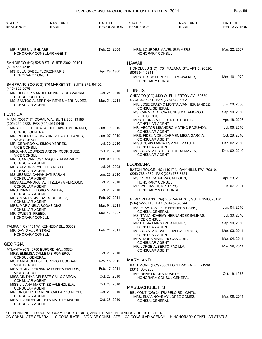| STATE*<br><b>RESIDENCE</b>                           | <b>NAME AND</b><br><b>RANK</b>                                             | DATE OF<br><b>RECOGNITION</b>  | STATE*<br><b>RESIDENCE</b>                  | <b>NAME AND</b><br><b>RANK</b>                                                   | DATE OF<br><b>RECOGNITION</b>  |
|------------------------------------------------------|----------------------------------------------------------------------------|--------------------------------|---------------------------------------------|----------------------------------------------------------------------------------|--------------------------------|
|                                                      |                                                                            |                                |                                             |                                                                                  |                                |
| MR. FARES N. ENNABE,                                 | HONORARY CONSULAR AGENT                                                    | Feb. 28, 2008                  | <b>HONORARY CONSUL</b>                      | MRS. LOURDES MAVEL SUMMERS,                                                      | Mar. 22, 2007                  |
| $(619) 533 - 4515$                                   | SAN DIEGO (HC) 525 B ST., SUITE 2002, 92101.                               |                                | <b>HAWAII</b>                               |                                                                                  |                                |
| HONORARY CONSUL                                      | MS. ELLA ISABEL FLORES-PARIS,                                              | Apr. 29, 1966                  | (808) 944-2811                              | HONOLULU (HC) 1734 MALANAI ST., APT B, 96826.<br>MRS. LESBY PEREZ BILLAM-WALKER, | Mar. 10, 1972                  |
| (415) 392-0076                                       | SAN FRANCISCO (CG) 870 MARKET ST., SUITE 875, 94102.                       |                                | <b>HONORARY CONSUL</b>                      |                                                                                  |                                |
| <b>CONSUL GENERAL</b>                                | MR. HECTOR MANUEL MONROY CHAVARRIA,                                        | Oct. 28, 2010                  | <b>ILLINOIS</b>                             | CHICAGO (CG) 4439 W. FULLERTON AV., 60639.                                       |                                |
| <b>CONSULAR AGENT</b>                                | MS. SANTOS ALBERTINA REYES HERNANDEZ,                                      | Mar. 31, 2011                  | (773) 342-8281, FAX (773) 342-8293          | MR. JOSE ERAZMO MONTALVAN HERNANDEZ,                                             | Jun. 20, 2006                  |
| FLORIDA                                              |                                                                            |                                | <b>CONSUL GENERAL</b><br><b>VICE CONSUL</b> | MS. CARMEN ALICIA FUNES MATAMOROS,                                               | Sep. 10, 2010                  |
| (305) 269-9322, FAX (305) 269-9445                   | MIAMI (CG) 7171 CORAL WA., SUITE 309, 33155.                               |                                | <b>CONSULAR AGENT</b>                       | MRS. DIONISIA D. FUENTES PUERTO,                                                 | Apr. 18, 2006                  |
| <b>CONSUL GENERAL</b>                                | MRS. LIZETTE GUADALUPE HAWIT MEDRANO,                                      | Jun. 10, 2010                  | <b>CONSULAR AGENT</b>                       | MR. HECTOR LISANDRO MOTINO PAGUADA,                                              | Jul. 06, 2010                  |
| <b>VICE CONSUL</b>                                   | MR. ROBERTO A. MARTINEZ CASTELLANOS,                                       | Jun. 07, 2010                  | <b>CONSULAR AGENT</b>                       | MRS. FIDELIA DEL CARMEN MEZA GARCIA,<br>MISS DUVIS MARIA ESPINAL MATUTE,         | Oct. 28, 2010<br>Dec. 02, 2010 |
| <b>VICE CONSUL</b>                                   | MR. GERARDO A. SIMON YERRES,<br>MRS. ANA LOURDES ARDON RODRIGUEZ,          | Jul. 30, 2010<br>Oct. 28, 2010 | <b>CONSULAR AGENT</b>                       | MS. SUYAPA ESTHER TEJEDA MAYEN,                                                  | Dec. 02, 2010                  |
| <b>VICE CONSUL</b>                                   | MR. JUAN CARLOS VASQUEZ ALVARADO,                                          | Feb. 09, 1999                  | <b>CONSULAR AGENT</b>                       |                                                                                  |                                |
| <b>CONSULAR AGENT</b>                                | MRS. CLAUDIA PAREDES REYES,                                                | Jul. 08, 2008                  | LOUISIANA                                   | BATON ROUGE (HC) 11017 N. OAK HILLS PW., 70810.                                  |                                |
| <b>CONSULAR AGENT</b><br><b>CONSULAR AGENT</b>       | MS. JESSICA CANAHUATI FARAH,                                               | Jun. 28, 2010                  | (225) 766-4350, FAX (225) 766-7334          | MS. VILMA CABRERA CALHOUN,                                                       | Apr. 23, 2003                  |
| <b>CONSULAR AGENT</b>                                | MISS ALEJANDRA IVETH ZELAYA PERDOMO,                                       | Oct. 28, 2010                  | HONORARY CONSUL<br>MR. WILLIAM HUMPHREYS,   |                                                                                  | Jun. 07, 2001                  |
| MRS. DINA LUZ LOBO MIRALDA,<br><b>CONSULAR AGENT</b> |                                                                            | Oct. 28, 2010                  |                                             | HONORARY VICE CONSUL                                                             |                                |
| <b>CONSULAR AGENT</b><br>MRS. MARIANELA RODAS DIAZ,  | MRS. MARTA RIVERA RODRIGUEZ,                                               | Feb. 07, 2011<br>Mar. 04, 2011 | (504) 522-3118, FAX (504) 523-0544          | NEW ORLEANS (CG) 365 CANAL ST., SUITE 1580, 70130.                               |                                |
| <b>CONSULAR AGENT</b><br>MR. OWEN S. FREED.          |                                                                            | Mar. 17, 1997                  | <b>CONSUL GENERAL</b>                       | MS. ELKA YAMILETH HERRERA DAVIS,                                                 | Jun. 04, 2010                  |
| <b>HONORARY CONSUL</b>                               |                                                                            |                                | <b>VICE CONSUL</b>                          | MS. TANIA NOHEMY HERNANDEZ SALINAS,<br>MRS. DINA MARGARITA NUNEZ,                | Jul. 30, 2010<br>Sep. 10, 2010 |
| MR. DAVID A., JR STRAZ,                              | TAMPA (HC) 4401 W. KENNEDY BL., 33609.                                     | Feb. 24, 2011                  | CONSULAR AGENT                              | MS. SUYAPA ISSABEL HANDAL REYES,                                                 | Mar. 03, 2011                  |
| <b>HONORARY CONSUL</b>                               |                                                                            |                                | CONSULAR AGENT                              | MRS. NORA MARIA RODAS QUITO,                                                     | Mar. 04, 2011                  |
| GEORGIA                                              |                                                                            |                                | CONSULAR AGENT                              | MR. JORGE ALBERTO PADILLA,                                                       | Mar. 29, 2011                  |
| <b>CONSUL GENERAL</b>                                | ATLANTA (CG) 2750 BUFORD HW., 30324.<br>MRS. EMELISA CALLEJAS ROMERO,      | Oct. 28, 2010                  | CONSULAR AGENT                              |                                                                                  |                                |
| <b>VICE CONSUL</b>                                   | MS. KARLA CELESTE URBIZO ESCOBAR,                                          | Nov. 18, 2010                  | <b>MARYLAND</b>                             | BALTIMORE (HCG) 5803 LOCH RAVEN BL., 21239.                                      |                                |
| <b>VICE CONSUL</b>                                   | MRS. MARIA FERNANDA RIVERA FIALLOS,                                        | Feb. 17, 2011                  | $(301)$ 435-6233<br>MR. RENE LICONA DUARTE, |                                                                                  | Oct. 16, 1978                  |
| CONSULAR AGENT                                       | MISS CINTHYA CELESTE CALIX GARCIA,                                         | Oct. 28, 2010                  |                                             | HONORARY CONSUL GENERAL                                                          |                                |
| CONSULAR AGENT                                       | MISS LILIANA MARTINEZ VALENZUELA,                                          | Oct. 28, 2010                  | <b>MASSACHUSETTS</b>                        |                                                                                  |                                |
| <b>CONSULAR AGENT</b><br><b>CONSULAR AGENT</b>       | MR. CRISTOPHER RENE GALLARDO REYES,<br>MRS. LOURDES JULIETA MATUTE MADRID, | Oct. 28, 2010<br>Oct. 28, 2010 | CONSUL GENERAL                              | BELMONT (CG) 24 TRAPELO RD., 02478.<br>MRS. ELVIA NOHEMY LOPEZ GOMEZ,            | Mar. 08, 2011                  |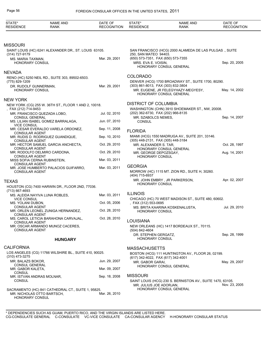| STATE*<br><b>RESIDENCE</b>                                       | <b>NAME AND</b><br>RANK                                                          | DATE OF<br><b>RECOGNITION</b> | STATE*<br><b>RESIDENCE</b>                                | <b>NAME AND</b><br><b>RANK</b>                                                         | DATE OF<br><b>RECOGNITION</b> |
|------------------------------------------------------------------|----------------------------------------------------------------------------------|-------------------------------|-----------------------------------------------------------|----------------------------------------------------------------------------------------|-------------------------------|
|                                                                  |                                                                                  |                               |                                                           |                                                                                        |                               |
| Missouri                                                         |                                                                                  |                               |                                                           |                                                                                        |                               |
| (314) 727-9179                                                   | SAINT LOUIS (HC) 6241 ALEXANDER DR., ST. LOUIS 63105.                            |                               | 250, SAN MATEO 94403.                                     | SAN FRANCISCO (HCG) 2000 ALAMEDA DE LAS PULGAS., SUITE                                 |                               |
| MS. MARIA TAXMAN,<br>HONORARY CONSUL                             |                                                                                  | Mar. 29, 2001                 | (650) 573-7351, FAX (650) 573-7355<br>MRS. EVA E. VOISIN, | HONORARY CONSUL GENERAL                                                                | Sep. 20, 2005                 |
| NEVADA                                                           |                                                                                  |                               |                                                           |                                                                                        |                               |
| (775) 829-1209                                                   | RENO (HC) 5250 NEIL RD., SUITE 303, 89502-6503.                                  |                               | <b>COLORADO</b>                                           | DENVER (HCG) 1700 BROADWAY ST., SUITE 1700, 80290.                                     |                               |
| DR. RUDOLF GUNNERMAN,<br><b>HONORARY CONSUL</b>                  |                                                                                  | Mar. 29, 2001                 | (303) 861-8013, FAX (303) 832-3804                        | MR. EUGENE, JR FELEGYHAZY-MEGYESY,<br>HONORARY CONSUL GENERAL                          | May. 14, 2002                 |
| NEW YORK                                                         |                                                                                  |                               |                                                           |                                                                                        |                               |
|                                                                  | NEW YORK (CG) 255 W. 36TH ST., FLOOR 1 AND 2, 10018.                             |                               | <b>DISTRICT OF COLUMBIA</b>                               |                                                                                        |                               |
| FAX (212) 714-9453<br><b>CONSUL GENERAL</b>                      | MR. FRANCISCO QUEZADA LOBO,                                                      | Jul. 02, 2010                 | (202) 362-6730, FAX (202) 966-8135<br>MR. SZABOLCS NEMES, | WASHINGTON (CHN) 3910 SHOEMAKER ST., NW, 20008.                                        | Sep. 14, 2007                 |
| <b>VICE CONSUL</b>                                               | MS. LILIAN ISABEL GOMEZ BARRALAGA,                                               | Jun. 07, 2010                 | <b>CONSUL</b>                                             |                                                                                        |                               |
| <b>CONSULAR AGENT</b>                                            | MR. CESAR EVERALDO VARELA ORDONEZ,                                               | Sep. 11, 2008                 | <b>FLORIDA</b>                                            |                                                                                        |                               |
| <b>CONSULAR AGENT</b>                                            | MR. RUDIS D. RODRIGUEZ GUANDIQUE,                                                | Sep. 10, 2010                 | (305) 448-2131, FAX (305) 448-3184                        | MIAMI (HCG) 1550 MADRUGA AV., SUITE 201, 33146.                                        |                               |
| CONSULAR AGENT                                                   | MR. HECTOR SAMUEL GARCIA ANCHECTA,                                               | Oct. 29, 2010                 | MR. ALEXANDER S. TAR.                                     | HONORARY CONSUL GENERAL                                                                | Oct. 28, 1997                 |
| <b>CONSULAR AGENT</b>                                            | MR. RODOLFO DELMIRO CARDONA,                                                     | Oct. 29, 2010                 | MR. GEORGE DEPOZSGAY,<br>HONORARY CONSUL                  |                                                                                        | Aug. 14, 2001                 |
| <b>CONSULAR AGENT</b>                                            | MISS SOFIA CERNA RUBINSTEIN,                                                     | Mar. 03, 2011                 |                                                           |                                                                                        |                               |
| <b>CONSULAR AGENT</b>                                            | MR. JOSE HUMBERTO PALACIOS GUIFARRO,                                             | Mar. 03, 2011                 | <b>GEORGIA</b><br>(404) 715-6937                          | MORROW (HC) 1115 MT. ZION RD., SUITE H, 30260.                                         |                               |
| <b>TEXAS</b>                                                     |                                                                                  |                               |                                                           | MR. JOHN EMBRY, JR PARKERSON,                                                          | Apr. 02, 2007                 |
| $(713)$ 667-4693                                                 | HOUSTON (CG) 7400 HARWIN DR., FLOOR 2ND, 77036.                                  |                               | HONORARY CONSUL                                           |                                                                                        |                               |
|                                                                  | MS. ALEIDA NAYIVA LUNA ROBLES,                                                   | Mar. 03, 2011                 | <b>ILLINOIS</b>                                           |                                                                                        |                               |
| <b>VICE CONSUL</b><br>MS. YOLANI DUBON,<br><b>CONSULAR AGENT</b> |                                                                                  | Oct. 05, 2006                 | , FAX (312) 553-0695                                      | CHICAGO (HC) 70 WEST MADISON ST., SUITE 480, 60602.<br>MS. BRITA KAARINA KOSKENALUSTA, | Jul. 29, 2010                 |
| <b>CONSULAR AGENT</b>                                            | MR. ORLEN LEONEL ZUNIGA HERNANDEZ,                                               | Oct. 28, 2010                 | <b>HONORARY CONSUL</b>                                    |                                                                                        |                               |
| <b>CONSULAR AGENT</b>                                            | MS. CAROL LETICIA BARAHONA CARVAJAL,                                             | Oct. 28, 2010                 | <b>LOUISIANA</b>                                          |                                                                                        |                               |
| <b>CONSULAR AGENT</b>                                            | MR. OSCAR ARMANDO MUNOZ CACERES,                                                 |                               | (504) 842-4604                                            | NEW ORLEANS (HC) 1417 BORDEAUX ST., 70115.                                             |                               |
|                                                                  | <b>HUNGARY</b>                                                                   |                               | DR. STEPHEN GERGATZ,<br><b>HONORARY CONSUL</b>            |                                                                                        | Sep. 28, 1999                 |
| <b>CALIFORNIA</b>                                                |                                                                                  |                               | <b>MASSACHUSETTS</b>                                      |                                                                                        |                               |
| (310) 473-3275                                                   | LOS ANGELES (CG) 11766 WILSHIRE BL., SUITE 410, 90025.                           |                               | (617) 342-4022, FAX (617) 342-4001                        | BOSTON (HCG) 111 HUNTINGTON AV., FLOOR 26, 02199.                                      |                               |
| MR. BALAZS BOKOR,<br><b>CONSUL GENERAL</b>                       |                                                                                  | Jun. 29, 2007                 | MR. GABOR GARAI,                                          | HONORARY CONSUL GENERAL                                                                | May. 29, 2007                 |
| MR. GABOR KALETA,<br>CONSUL                                      |                                                                                  | Mar. 09, 2007                 |                                                           |                                                                                        |                               |
| MR. ISTVAN ANDRAS MOLNAR,<br><b>CONSUL</b>                       |                                                                                  | Sep. 18, 2008                 | <b>MISSOURI</b><br>MR. JULIUS JOE ADORJAN,                | SAINT LOUIS (HCG) 230 S. BERNISTON AV., SUITE 1470, 63105.                             | Nov. 23, 2005                 |
| HONORARY CONSUL                                                  | SACRAMENTO (HC) 841 CATHEDRAL CT., SUITE 1, 95825.<br>MR. NICHOLAS OTTO BARTSCH. | Mar. 26, 2010                 |                                                           | HONORARY CONSUL GENERAL                                                                |                               |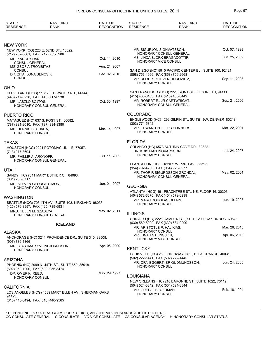| STATE*<br><b>RESIDENCE</b>                                                     | <b>NAME AND</b><br><b>RANK</b>                        | DATE OF<br><b>RECOGNITION</b> | STATE*<br><b>RESIDENCE</b>                                       | <b>NAME AND</b><br><b>RANK</b>                            | DATE OF<br><b>RECOGNITION</b> |
|--------------------------------------------------------------------------------|-------------------------------------------------------|-------------------------------|------------------------------------------------------------------|-----------------------------------------------------------|-------------------------------|
|                                                                                |                                                       |                               |                                                                  |                                                           |                               |
| NEW YORK                                                                       |                                                       |                               |                                                                  |                                                           |                               |
|                                                                                | NEW YORK (CG) 223 E. 52ND ST., 10022.                 |                               | MR. SIGURJON SIGHVATSSON,                                        |                                                           | Oct. 07, 1998                 |
| (212) 752-0661, FAX (212) 755-5986<br>MR. KAROLY DAN,<br><b>CONSUL GENERAL</b> |                                                       | Oct. 14, 2010                 | HONORARY VICE CONSUL                                             | HONORARY CONSUL GENERAL<br>MS. LINDA BJORK BRAGADOTTIR,   | Jun. 25, 2009                 |
| MS. ZSOFIA TROMBITAS,                                                          |                                                       | Aug. 21, 2007                 |                                                                  |                                                           |                               |
| <b>CONSUL</b><br>DR. ZITA ILONA BENCSIK,                                       |                                                       | Dec. 02, 2010                 | (858) 756-1666, FAX (858) 756-2668                               | SAN DIEGO (HC) 5910 PACIFIC CENTER BL., SUITE 100, 92121. |                               |
| <b>CONSUL</b>                                                                  |                                                       |                               | <b>HONORARY CONSUL</b>                                           | MR. ROBERT STEVEN HOROWITZ,                               | Sep. 11, 2003                 |
| OHIO                                                                           |                                                       |                               |                                                                  |                                                           |                               |
|                                                                                | CLEVELAND (HCG) 11312 FITZWATER RD., 44144.           |                               | (415) 433-3103, FAX (415) 433-0449                               | SAN FRANCISCO (HCG) 222 FRONT ST., FLOOR 5TH, 94111.      |                               |
| (440) 717-0238, FAX (440) 717-0238<br>MR. LASZLO BOJTOS.                       | HONORARY CONSUL GENERAL                               | Oct. 30, 1997                 |                                                                  | MR. ROBERT E., JR CARTWRIGHT,<br>HONORARY CONSUL GENERAL  | Sep. 21, 2006                 |
| PUERTO RICO                                                                    |                                                       |                               | <b>COLORADO</b>                                                  |                                                           |                               |
|                                                                                | MAYAGUEZ (HC) 637 S. POST ST., 00682.                 |                               |                                                                  | ENGLEWOOD (HC) 1299 GILPIN ST., SUITE 19W, DENVER 80218.  |                               |
| (787) 831-2010, FAX (787) 834-8380                                             |                                                       |                               | (303) 771-5842                                                   |                                                           | Mar. 22, 2001                 |
| MR. DENNIS BECHARA.<br><b>HONORARY CONSUL</b>                                  |                                                       | Mar. 14, 1997                 | HONORARY CONSUL                                                  | MR. EDWARD PHILLIPS CONNORS,                              |                               |
| TEXAS                                                                          |                                                       |                               | <b>FLORIDA</b>                                                   |                                                           |                               |
|                                                                                | HOUSTON (HCG) 2221 POTOMAC UN., B, 77057.             |                               |                                                                  | ORLANDO (HC) 6573 AUTUMN COVE DR., 32822.                 |                               |
| (713) 977-8604<br>MR. PHILLIP A. ARONOFF,                                      |                                                       | Jul. 11, 2005                 | DR. KRISTJAN INGVARSSON,<br><b>HONORARY CONSUL</b>               |                                                           | Jul. 24, 2007                 |
|                                                                                | HONORARY CONSUL GENERAL                               |                               |                                                                  |                                                           |                               |
| UTAH                                                                           |                                                       |                               | (954) 792-4750, FAX (954) 920-6977                               | PLANTATION (HCG) 1820 S.W. 73RD AV., 33317.               |                               |
|                                                                                | SANDY (HC) 7641 MARY ESTHER CI., 84093.               |                               |                                                                  | MR. THORIR SIGURDSSON GRONDAL,                            | May. 02, 2001                 |
| (801) 733-6717                                                                 |                                                       |                               |                                                                  | HONORARY CONSUL GENERAL                                   |                               |
| MR. STEVEN GEORGE SIMON.<br>HONORARY CONSUL                                    |                                                       | Jun. 01, 2007                 | <b>GEORGIA</b>                                                   |                                                           |                               |
|                                                                                |                                                       |                               |                                                                  | ATLANTA (HCG) 191 PEACHTREE ST., NE, FLOOR 16, 30303.     |                               |
| WASHINGTON                                                                     |                                                       |                               | (404) 572-6670, FAX (404) 572-6999<br>MR. MARC DOUGLAS GLENN,    |                                                           | Jun. 19, 2008                 |
| (425) 576-8997, FAX (425) 739-6931                                             | SEATTLE (HCG) 703 4TH AV., SUITE 103, KIRKLAND 98033. |                               | HONORARY CONSUL                                                  |                                                           |                               |
| MRS. HELEN M. SZABLYA,                                                         | HONORARY CONSUL GENERAL                               | May. 02, 2011                 | <b>ILLINOIS</b>                                                  |                                                           |                               |
|                                                                                |                                                       |                               |                                                                  | CHICAGO (HC) 2221 CAMDEN CT., SUITE 200, OAK BROOK 60523. |                               |
|                                                                                | <b>ICELAND</b>                                        |                               | (630) 560-8090, FAX (630) 684-0290<br>MR. ARISTOTLE P. HALIKIAS, |                                                           | Mar. 26, 2010                 |
| ALASKA                                                                         |                                                       |                               | <b>HONORARY CONSUL</b>                                           |                                                           |                               |
| (907) 786-1366                                                                 | ANCHORAGE (HC) 3211 PROVIDENCE DR., SUITE 310, 99508. |                               | MR. EINAR STEINSSON,<br>HONORARY VICE CONSUL                     |                                                           | Apr. 06, 2010                 |
| HONORARY CONSUL                                                                | MR. BJARTMAR SVEINBJORNSSON,                          | Apr. 05, 2000                 | <b>KENTUCKY</b>                                                  |                                                           |                               |
|                                                                                |                                                       |                               |                                                                  | LOUISVILLE (HC) 2600 HIGHWAY 146 ., E, LA GRANGE 40031.   |                               |
| ARIZONA                                                                        |                                                       |                               | (502) 222-1441, FAX (502) 222-1445                               | MR. ORN EGGERT, SR GUDMUNDSSON,                           | Jun. 24, 2005                 |
| (602) 952-1200, FAX (602) 956-8474                                             | PHOENIX (HC) 2999 N. 44TH ST., SUITE 650, 85018.      |                               | HONORARY CONSUL                                                  |                                                           |                               |
| DR. OMER K. REED,<br><b>HONORARY CONSUL</b>                                    |                                                       | May. 29, 1997                 | <b>LOUISIANA</b>                                                 |                                                           |                               |
|                                                                                |                                                       |                               |                                                                  | NEW ORLEANS (HC) 210 BARONNE ST., SUITE 1022, 70112.      |                               |
| CALIFORNIA                                                                     |                                                       |                               | (504) 524-3342, FAX (504) 524-3344<br>MR. GREG J. BEUERMAN,      |                                                           | Feb. 16, 1994                 |
| 91423.                                                                         | LOS ANGELES (HCG) 4539 MARY ELLEN AV., SHERMAN OAKS   |                               | <b>HONORARY CONSUL</b>                                           |                                                           |                               |
| (310) 440-3494, FAX (310) 440-9565                                             |                                                       |                               |                                                                  |                                                           |                               |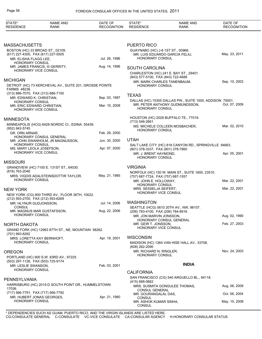| STATE*<br><b>RESIDENCE</b>                                     | <b>NAME AND</b><br><b>RANK</b>                          | DATE OF<br><b>RECOGNITION</b> | STATE*<br><b>RESIDENCE</b>                            | <b>NAME AND</b><br><b>RANK</b>                                                             | DATE OF<br><b>RECOGNITION</b> |
|----------------------------------------------------------------|---------------------------------------------------------|-------------------------------|-------------------------------------------------------|--------------------------------------------------------------------------------------------|-------------------------------|
|                                                                |                                                         |                               |                                                       |                                                                                            |                               |
| <b>MASSACHUSETTS</b>                                           |                                                         |                               | <b>PUERTO RICO</b>                                    |                                                                                            |                               |
| BOSTON (HC) 33 BROAD ST., 02109.                               |                                                         |                               | GUAYNABO (HC) J-8 1ST ST, 00968.                      |                                                                                            | May. 23, 2011                 |
| (617) 227-4300, FAX (617) 227-5505<br>MR. ELISHA FLAGG LEE,    |                                                         | Jul. 26, 1996                 | HONORARY CONSUL                                       | MR. LUIS EDUARDO GARCIA FELIU,                                                             |                               |
| <b>HONORARY CONSUL</b>                                         | MR. JAMES FRANCIS, III GERRITY,                         | Aug. 14, 1996                 |                                                       |                                                                                            |                               |
| HONORARY VICE CONSUL                                           |                                                         |                               | <b>SOUTH CAROLINA</b>                                 | CHARLESTON (HC) 241 E. BAY ST., 29401.                                                     |                               |
|                                                                |                                                         |                               | (843) 577-5100, FAX (843) 722-4688                    |                                                                                            |                               |
| <b>MICHIGAN</b>                                                | DETROIT (HC) 73 KERCHEVAL AV., SUITE 201, GROSSE POINTE |                               | MR. MARK CHARLES TANENBAUM,<br><b>HONORARY CONSUL</b> |                                                                                            | Sep. 10, 2003                 |
| <b>FARMS 48236.</b>                                            |                                                         |                               |                                                       |                                                                                            |                               |
| (313) 886-7070, FAX (313) 886-7150<br>MR. EDWARD K. CHRISTIAN, |                                                         | Sep. 03, 1997                 | <b>TEXAS</b>                                          |                                                                                            |                               |
| HONORARY CONSUL                                                |                                                         | Mar. 10, 2008                 |                                                       | DALLAS (HC) 15305 DALLAS PW., SUITE 1000, ADDISON 75001.<br>MR. PETER ANTHONY GUDMUNDSSON, | Oct. 07, 2009                 |
| MR. ERIC EDWARD CHRISTIAN,<br><b>HONORARY VICE CONSUL</b>      |                                                         |                               | HONORARY CONSUL                                       |                                                                                            |                               |
| <b>MINNESOTA</b>                                               |                                                         |                               |                                                       | HOUSTON (HC) 2028 BUFFALO TE., 77019.                                                      |                               |
|                                                                | MINNEAPOLIS (HCG) 6428 NORDIC CI., EDINA 55439.         |                               | (713) 546-2661                                        | MS. MICHELE COLLEEN MOSBACHER,                                                             | Mar. 02, 2010                 |
| (952) 942-5745<br>DR. ORN ARNAR.                               |                                                         | Feb. 29, 2000                 | HONORARY CONSUL                                       |                                                                                            |                               |
|                                                                | HONORARY CONSUL GENERAL                                 | Jun. 30, 2000                 | <b>UTAH</b>                                           |                                                                                            |                               |
| <b>HONORARY CONSUL</b>                                         | MR. JOHN SWANHOLM, JR MAGNUSSON,                        |                               |                                                       | SALT LAKE CITY (HC) 818 CANYON RD., SPRINGVILLE 84663.                                     |                               |
| MS. MARY LEOLA JOSEFSON,<br>HONORARY VICE CONSUL               |                                                         | Apr. 07, 2000                 | (801) 378-3337, FAX (801) 378-7860                    |                                                                                            | Apr. 05, 2001                 |
|                                                                |                                                         |                               | MR. J. BRENT HAYMOND,<br><b>HONORARY CONSUL</b>       |                                                                                            |                               |
| <b>MISSOURI</b>                                                |                                                         |                               |                                                       |                                                                                            |                               |
| (816) 763-2046                                                 | GRANDVIEW (HC) 7100 E. 131ST ST., 64030.                |                               | <b>VIRGINIA</b>                                       | NORFOLK (HC) 150 W. MAIN ST., SUITE 1600, 23510.                                           |                               |
|                                                                | MRS. VIGDIS ADALSTEINSDOTTIR TAYLOR,                    | May. 21, 1985                 | (757) 687-7724, FAX (757) 687-1557                    |                                                                                            |                               |
| <b>HONORARY CONSUL</b>                                         |                                                         |                               | MR. JOHN E. HOLLOWAY,<br><b>HONORARY CONSUL</b>       |                                                                                            | Mar. 22, 2001                 |
| <b>NEW YORK</b>                                                |                                                         |                               | MRS. SESSELJA SEIFERT.                                |                                                                                            | Mar. 22, 2001                 |
| (212) 593-2700, FAX (212) 593-6269                             | NEW YORK (CG) 800 THIRD AV., FLOOR 36TH, 10022.         |                               | <b>HONORARY VICE CONSUL</b>                           |                                                                                            |                               |
| MR. HLYNUR GUDJONSSON,                                         |                                                         | Jul. 14, 2006                 | <b>WASHINGTON</b>                                     |                                                                                            |                               |
| <b>CONSUL</b>                                                  | MR. MAGNUS MAR GUSTAFSSON,                              | Aug. 22, 2006                 | (206) 783-4100, FAX (206) 784-8916                    | SEATTLE (HCG) 5610 20TH AV., NW, 98107.                                                    |                               |
| <b>HONORARY CONSUL</b>                                         |                                                         |                               | MR. JON MARVIN JONSSON,                               |                                                                                            | Aug. 02, 1990                 |
|                                                                |                                                         |                               | MR. GEIR T. JONSSON,                                  | <b>HONORARY CONSUL GENERAL</b>                                                             | Feb. 27, 2003                 |
| NORTH DAKOTA                                                   | GRAND FORK (HC) 12963 87TH ST., NE, MOUNTAIN 58262.     |                               | HONORARY VICE CONSUL                                  |                                                                                            |                               |
| (701) 993-8282                                                 |                                                         |                               |                                                       |                                                                                            |                               |
| MRS. LORETTA KAY BERNHOFT,<br><b>HONORARY CONSUL</b>           |                                                         | Apr. 19, 2001                 | <b>WISCONSIN</b>                                      | MADISON (HC) 1364 VAN HISE HALL AV., 53706.                                                |                               |
|                                                                |                                                         |                               | (608) 262-2090                                        |                                                                                            |                               |
| <b>OREGON</b>                                                  |                                                         |                               | MR. RICHARD N. RINGLER,<br>HONORARY CONSUL            |                                                                                            | Nov. 24, 2003                 |
| (503) 297-1126, FAX (503) 725-9174                             | PORTLAND (HC) 900 S.W. 83RD AV., 97225.                 |                               |                                                       |                                                                                            |                               |
| MR. LESLIE SWANSON,                                            |                                                         | Feb. 03, 2001                 |                                                       | <b>INDIA</b>                                                                               |                               |
| <b>HONORARY CONSUL</b>                                         |                                                         |                               | <b>CALIFORNIA</b>                                     |                                                                                            |                               |
| PENNSYLVANIA                                                   |                                                         |                               | $(415)$ 668-0662                                      | SAN FRANCISCO (CG) 540 ARGUELLO BL., 94118.                                                |                               |
| 17036.                                                         | HARRISBURG (HC) 2015-D SOUTH POINT DR., HUMMELSTOWN     |                               |                                                       | MRS. SUSMITA GONGULEE THOMAS,                                                              | Aug. 06, 2009                 |
| (717) 566-7791, FAX (717) 566-7792                             |                                                         |                               | <b>CONSUL GENERAL</b><br>MR. GOURANGALAL DAS,         |                                                                                            | Oct. 06, 2004                 |
| MR. HUBERT JONAS GEORGES,<br>HONORARY CONSUL                   |                                                         | Apr. 21, 1980                 | CONSUL                                                |                                                                                            |                               |
|                                                                |                                                         |                               | MR. ASHOK KUMAR SINHA,<br>CONSUL                      |                                                                                            | May. 15, 2008                 |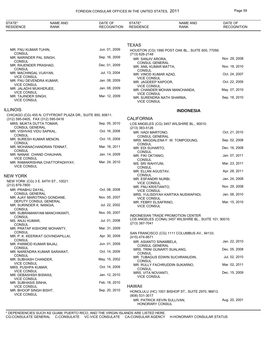| STATE*<br><b>RESIDENCE</b>                                         | <b>NAME AND</b><br><b>RANK</b>                             | DATE OF<br><b>RECOGNITION</b> | STATE*<br><b>RESIDENCE</b>                                   | <b>NAME AND</b><br>RANK                                 | DATE OF<br><b>RECOGNITION</b> |
|--------------------------------------------------------------------|------------------------------------------------------------|-------------------------------|--------------------------------------------------------------|---------------------------------------------------------|-------------------------------|
|                                                                    |                                                            |                               |                                                              |                                                         |                               |
|                                                                    |                                                            |                               | <b>TEXAS</b>                                                 |                                                         |                               |
| MR. FNU KUMAR TUHIN,<br><b>CONSUL</b>                              |                                                            | Jun. 01, 2009                 | (713) 626-2148                                               | HOUSTON (CG) 1990 POST OAK BL., SUITE 600, 77056.       |                               |
| MR. NARINDER PAL SINGH,<br><b>CONSUL</b>                           |                                                            | Sep. 16, 2009                 | MR. SANJIV ARORA,                                            |                                                         | Nov. 29, 2008                 |
| MR. RAJENDER PRASHAD,<br><b>CONSUL</b>                             |                                                            | Dec. 01, 2009                 | <b>CONSUL GENERAL</b><br>MR. ANIL KUMAR MATTA,               |                                                         | Nov. 18, 2010                 |
| MR. MACHINGAL VIJAYAN,<br><b>VICE CONSUL</b>                       |                                                            | Jul. 13, 2004                 | <b>CONSUL</b><br>MR. VINOD KUMAR AZAD,<br><b>VICE CONSUL</b> |                                                         | Oct. 24, 2007                 |
| MR. FNU DEVENDRA KUMAR,                                            |                                                            | Jan. 08, 2009                 | MR. JAGDEEP KAPOOR,                                          |                                                         | Oct. 22, 2009                 |
| <b>VICE CONSUL</b><br>MR. JALADHI MUKHERJEE,<br><b>VICE CONSUL</b> |                                                            | Jan. 08, 2009                 | <b>VICE CONSUL</b>                                           | MR. CHANDER MOHAN MANCHANDA,                            | May. 07, 2010                 |
| MR. TAJINDER SINGH,<br><b>VICE CONSUL</b>                          |                                                            | Mar. 12, 2009                 | <b>VICE CONSUL</b><br><b>VICE CONSUL</b>                     | MR. SURENDRA NATH SHARMA,                               | Sep. 18, 2010                 |
| illinois                                                           |                                                            |                               |                                                              | <b>INDONESIA</b>                                        |                               |
| (312) 595-0405, FAX (312) 595-0416                                 | CHICAGO (CG) 455 N. CITYFRONT PLAZA DR., SUITE 850, 60611. |                               | <b>CALIFORNIA</b>                                            |                                                         |                               |
| MRS. MUKTA DUTTA TOMAR,<br><b>CONSUL GENERAL</b>                   |                                                            | Sep. 05, 2010                 | (213) 383-5126                                               | LOS ANGELES (CG) 3457 WILSHIRE BL., 90010.              |                               |
| MR. VISHVAS VIDU SAPKAL,<br><b>CONSUL</b>                          |                                                            | Oct. 16, 2008                 | MR. HADI MARTONO,<br><b>CONSUL GENERAL</b>                   |                                                         | Oct. 21, 2010                 |
| MR. SURESH KUMAR MENON,<br><b>CONSUL</b>                           |                                                            | Oct. 15, 2009                 | <b>CONSUL</b>                                                | MRS. MAGDALENA F. W. TOMPODUNG,                         | Sep. 02, 2008                 |
| <b>CONSUL</b>                                                      | MR. MOHANACHANDRAN TENNAT,                                 | Mar. 16, 2011                 | MR. EDI SUHARTO,<br><b>CONSUL</b>                            |                                                         | Dec. 16, 2008                 |
| MR. NANAK CHAND CHAUHAN,<br><b>VICE CONSUL</b>                     |                                                            | Jan. 14, 2009                 | MR. FIKI OKTANIO,<br><b>CONSUL</b>                           |                                                         | Jan. 07, 2011                 |
| <b>VICE CONSUL</b>                                                 | MR. RAMAKRISHNA CHATTOPADHYAY,                             | Mar. 24, 2010                 | MS. SRI WAHYUNI,<br><b>CONSUL</b>                            |                                                         | Mar. 23, 2011                 |
| NEW YORK                                                           |                                                            |                               | MR. ELLAN AGUSTAV,<br><b>CONSUL</b>                          |                                                         | Apr. 28, 2011                 |
|                                                                    | NEW YORK (CG) 3 E. 64TH ST., 10021.                        |                               | MR. ESFANDRI NURBI,<br><b>VICE CONSUL</b>                    |                                                         | Jan. 24, 2008                 |
| (212) 879-7800<br>MR. PRABHU DAYAL,                                |                                                            | Oct. 08, 2008                 | MR. FNU KRISTIANTO,                                          |                                                         | Nov. 29, 2008                 |
| <b>CONSUL GENERAL</b>                                              |                                                            |                               | <b>VICE CONSUL</b>                                           | MRS. YULISDIYAH KARTIKA NUSWAPADI,                      | Jan. 06, 2010                 |
|                                                                    | MR. AJAY MAROTRAO GONDANE,                                 | Nov. 05, 2007                 | <b>VICE CONSUL</b>                                           |                                                         |                               |
| MR. SURINDER K. NANGIA,<br><b>CONSUL</b>                           | DEPUTY CONSUL GENERAL                                      | Jul. 22, 2002                 | MR. FEBRY ELSAFRINO,<br><b>VICE CONSUL</b>                   |                                                         | Mar. 15, 2010                 |
| <b>CONSUL</b>                                                      | MR. SUBRAMANYAM MANCHIKANTI,                               | Nov. 05, 2007                 |                                                              | INDONESIAN TRADE PROMOTION CENTER                       |                               |
| MS. ANJU KUMAR,<br><b>CONSUL</b>                                   |                                                            | Jul. 01, 2008                 | (213) 387-7041                                               | LOS ANGELES (CONA) 3457 WILSHIRE BL., SUITE 101, 90010. |                               |
| <b>CONSUL</b>                                                      | MR. PRATAP KISHORE MOHANTY,                                | Mar. 31, 2009                 |                                                              | SAN FRANCISCO (CG) 1111 COLUMBUS AV., 94133.            |                               |
| <b>CONSUL</b>                                                      | MR. P. K. KEERIKAT GOVINDAPILLAI,                          | Apr. 30, 2009                 | (415) 474-9571                                               |                                                         |                               |
| MR. PARMOD KUMAR BAJAJ,<br><b>CONSUL</b>                           |                                                            | Jun. 01, 2009                 | MR. ASIANTO SINAMBELA,<br>CONSUL GENERAL                     |                                                         | Jan. 22, 2010                 |
| <b>CONSUL</b>                                                      | MR. NARENDRA KUMAR SARAWAT,                                | Oct. 14, 2009                 | MRS. TRINI GUNARTI SUALANG,<br><b>CONSUL</b>                 |                                                         | Dec. 05, 2008                 |
| MR. SUBHASH CHANDER,<br><b>VICE CONSUL</b>                         |                                                            | May. 15, 2002                 | CONSUL                                                       | MR. TUBAGUS EDWIN SUCHRANUDIN,                          | Jul. 02, 2010                 |
| MRS. PUSHPA KUMAR,<br><b>VICE CONSUL</b>                           |                                                            | Oct. 14, 2009                 | CONSUL                                                       | MR. RULLY FACHRUDDIN SUKARNO,                           | Mar. 02, 2011                 |
| MR. DEBASHISH BISWAS,<br><b>VICE CONSUL</b>                        |                                                            | Jan. 12, 2010                 | MRS. VITA NOVIANTI,<br><b>VICE CONSUL</b>                    |                                                         | Dec. 15, 2009                 |
| MR. SUBHASIS SINHA,<br><b>VICE CONSUL</b>                          |                                                            | Feb. 18, 2010                 | <b>HAWAII</b>                                                |                                                         |                               |
| MR. BHOOP SINGH BISHT,<br><b>VICE CONSUL</b>                       |                                                            | Sep. 20, 2010                 | (808) 531-3017                                               | HONOLULU (HC) 1001 BISHOP ST., SUITE 2970, 96813.       |                               |
|                                                                    |                                                            |                               | MR. PATRICK KEVIN SULLIVAN,<br>HONORARY CONSUL               |                                                         | Aug. 20, 2001                 |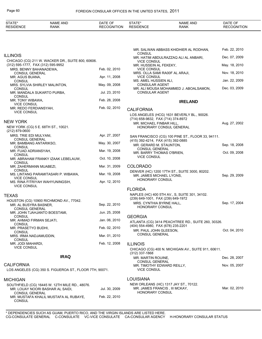| STATE*<br><b>RESIDENCE</b>                      | <b>NAME AND</b><br><b>RANK</b>                                                     | DATE OF<br><b>RECOGNITION</b> | STATE*<br><b>RESIDENCE</b>                                    | <b>NAME AND</b><br><b>RANK</b>                      | DATE OF<br><b>RECOGNITION</b> |
|-------------------------------------------------|------------------------------------------------------------------------------------|-------------------------------|---------------------------------------------------------------|-----------------------------------------------------|-------------------------------|
|                                                 |                                                                                    |                               |                                                               |                                                     |                               |
|                                                 |                                                                                    |                               |                                                               | MR. SALWAN ABBASS KHIDHIER AL RODHAN,               | Feb. 22, 2010                 |
| <b>ILLINOIS</b>                                 |                                                                                    |                               | CONSUL                                                        | MR. HATIM ABDULRAZZAQ ALI AL ANBARI,                | Dec. 07, 2009                 |
| (312) 595-1777, FAX (312) 595-9952              | CHICAGO (CG) 211 W. WACKER DR., SUITE 800, 60606.                                  |                               | <b>VICE CONSUL</b><br>MR. HUSSEIN AL FEKEKY,                  |                                                     | May. 18, 2010                 |
| MRS. BENNY BAHANADEWA,                          |                                                                                    | Feb. 02, 2010                 | <b>VICE CONSUL</b>                                            |                                                     |                               |
| <b>CONSUL GENERAL</b><br>MR. AGUS BUANA,        |                                                                                    | Apr. 11, 2008                 | MRS. OLLA SAMI RA00F AL ARAJI,<br><b>VICE CONSUL</b>          |                                                     | Nov. 18, 2010                 |
| <b>CONSUL</b>                                   |                                                                                    | May. 09, 2008                 | MS. AMEL HUSSIEN ALI,<br><b>CONSULAR AGENT</b>                |                                                     | Jan. 22, 2009                 |
| CONSUL                                          | MRS. SYLVIA SHIRLEY MALINTON,                                                      |                               |                                                               | MR. ALI MOUSA MOHAMMED J. ABOALSAMON,               | Dec. 03, 2009                 |
| CONSUL                                          | MR. MANDALA SUKARTO PURBA,                                                         | Jul. 23, 2010                 | <b>CONSULAR AGENT</b>                                         |                                                     |                               |
| MR. TONY WIBAWA,                                |                                                                                    | Feb. 28, 2008                 |                                                               | <b>IRELAND</b>                                      |                               |
| <b>VICE CONSUL</b><br>MR. REDO FERDIANSYAH,     |                                                                                    | Feb. 02, 2010                 | <b>CALIFORNIA</b>                                             |                                                     |                               |
| <b>VICE CONSUL</b>                              |                                                                                    |                               |                                                               | LOS ANGELES (HCG) 1631 BEVERLY BL., 90026.          |                               |
| <b>NEW YORK</b>                                 |                                                                                    |                               | (714) 658-9832, FAX (714) 374-8972                            |                                                     |                               |
|                                                 | NEW YORK (CG) 5 E. 68TH ST., 10021.                                                |                               | MR. MICHAEL FINBAR HILL,                                      | HONORARY CONSUL GENERAL                             | Aug. 27, 2002                 |
| $(212)$ 879-0600                                |                                                                                    |                               |                                                               |                                                     |                               |
| MRS. TRIE EDI MULYANI,<br><b>CONSUL GENERAL</b> |                                                                                    | Apr. 27, 2007                 |                                                               | SAN FRANCISCO (CG) 100 PINE ST., FLOOR 33, 94111.   |                               |
| MR. BAMBANG ANTARIKSO,                          |                                                                                    | May. 30, 2007                 | (415) 392-4214, FAX (415) 392-0885<br>MR. GERARD M. STAUNTON, |                                                     | Sep. 18, 2008                 |
| CONSUL<br>MR. FUAD ADRIANSYAH,                  |                                                                                    | Mar. 19, 2008                 | <b>CONSUL GENERAL</b>                                         |                                                     | Oct. 09, 2008                 |
| CONSUL                                          | MR. ABRAHAM FRANKY IZAAK LEBELAUW,                                                 | Oct. 10, 2008                 | MR. BARRY THOMAS O'BRIEN,<br><b>VICE CONSUL</b>               |                                                     |                               |
| CONSUL                                          |                                                                                    |                               |                                                               |                                                     |                               |
| MR. ZAHERMANN MUABEZI,<br>CONSUL                |                                                                                    | Mar. 31, 2009                 | <b>COLORADO</b>                                               |                                                     |                               |
|                                                 | MS. LINTANG PARAMITASARI P. WIBAWA,                                                | Mar. 19, 2008                 | MR. JAMES MICHAEL LYONS,                                      | DENVER (HC) 1200 17TH ST., SUITE 3000, 80202.       | Sep. 29, 2009                 |
| <b>VICE CONSUL</b>                              | MS. RINA FITRIYAH WAHYUNINGSIH,                                                    | Apr. 12, 2010                 | HONORARY CONSUL                                               |                                                     |                               |
| <b>VICE CONSUL</b>                              |                                                                                    |                               | <b>FLORIDA</b>                                                |                                                     |                               |
| <b>TEXAS</b>                                    |                                                                                    |                               |                                                               | NAPLES (HC) 400 5TH AV., S, SUITE 301, 34102.       |                               |
|                                                 | HOUSTON (CG) 10900 RICHMOND AV., 77042.                                            |                               | (239) 649-1001, FAX (239) 649-1972                            |                                                     |                               |
| MR. AL BUSYRA BASNER,                           |                                                                                    | Sep. 22, 2010                 | MRS. CYNTHIA BYRNE HALL,<br>HONORARY CONSUL                   |                                                     | Sep. 17, 2004                 |
| CONSUL GENERAL                                  | MR. JOHN TJAHJANTO BOESTAMI,                                                       | Jun. 25, 2008                 |                                                               |                                                     |                               |
| CONSUL<br>MR. AHMAD FIRMAN SEJATI,              |                                                                                    | Jan. 06, 2010                 | <b>GEORGIA</b>                                                |                                                     |                               |
| CONSUL                                          |                                                                                    |                               | (404) 554-4980, FAX (678) 235-2201                            | ATLANTA (CG) 3414 PEACHTREE RD., SUITE 260, 30326.  |                               |
| MR. PRASETYO BUDHI,<br><b>CONSUL</b>            |                                                                                    | Feb. 02, 2010                 | MR. PAUL JOHN GLEESON,                                        |                                                     | Oct. 04, 2010                 |
| MRS. IRMA NADJAMUDDIN,                          |                                                                                    | Mar. 01, 2010                 | <b>CONSUL GENERAL</b>                                         |                                                     |                               |
| <b>CONSUL</b><br>MR. JODI MAHARDI,              |                                                                                    | Feb. 12, 2008                 | <b>ILLINOIS</b>                                               |                                                     |                               |
| <b>VICE CONSUL</b>                              |                                                                                    |                               |                                                               | CHICAGO (CG) 400 N. MICHIGAN AV., SUITE 911, 60611. |                               |
|                                                 | <b>IRAQ</b>                                                                        |                               | (312) 337-1868                                                |                                                     | Dec. 28, 2007                 |
|                                                 |                                                                                    |                               | MR. MARTIN ROUINE,<br><b>CONSUL GENERAL</b>                   |                                                     |                               |
| <b>CALIFORNIA</b>                               | LOS ANGELES (CG) 350 S. FIGUEROA ST., FLOOR 7TH, 90071.                            |                               | MR. TIMOTHY EDWARD REILLY,<br><b>VICE CONSUL</b>              |                                                     | Nov. 05, 2007                 |
|                                                 |                                                                                    |                               |                                                               |                                                     |                               |
| <b>MICHIGAN</b>                                 |                                                                                    |                               | LOUISIANA                                                     |                                                     |                               |
| CONSUL GENERAL                                  | SOUTHFIELD (CG) 16445 W. 12TH MILE RD., 48076.<br>MR. LOUAY NOORI BASHAR AL SAIDI, | Jul. 30, 2009                 | MR. JAMES FRANCIS, III MCKAY,<br>HONORARY CONSUL              | NEW ORLEANS (HC) 1317 JAY ST., 70122.               | Mar. 02, 2010                 |

Feb. 22, 2010

MR. MUSTAFA KHALIL MUSTAFA AL RUBAYE,

CONSUL GENERAL

CONSUL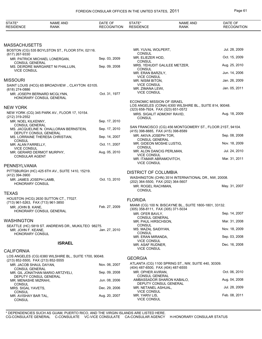| MASSACHUSETTS                                                                                                                                                                       |               |
|-------------------------------------------------------------------------------------------------------------------------------------------------------------------------------------|---------------|
| MR. YUVAL WOLPERT,<br>BOSTON (CG) 535 BOYLSTON ST., FLOOR 5TH, 02116.<br><b>CONSUL</b>                                                                                              | Jul. 28, 2009 |
| (617) 267-9330<br>MR. ELIEZER HOD,<br>Sep. 03, 2009<br>MR. PATRICK MICHAEL LONERGAN,<br><b>CONSUL</b>                                                                               | Oct. 15, 2009 |
| <b>CONSUL GENERAL</b><br>MRS. YEHUDIT GALILEE METZER,<br>Sep. 09, 2008<br>MS. DEIRDRE MARGARET NI FHALLUIN,<br><b>CONSUL</b>                                                        | Aug. 25, 2010 |
| <b>VICE CONSUL</b><br>MR. ERAN BARZILY,<br><b>VICE CONSUL</b>                                                                                                                       | Jun. 14, 2006 |
| Missouri<br>MR. NISIM BITON,                                                                                                                                                        | Jan. 26, 2009 |
| <b>VICE CONSUL</b><br>SAINT LOUIS (HCG) 65 BROADVIEW., CLAYTON 63105.<br>MR. ZIMANA LEWI,<br>$(618)$ 274-0886                                                                       | Jan. 05, 2011 |
| <b>VICE CONSUL</b><br>Oct. 31, 1977<br>MR. JOSEPH BERNARD MCGLYNN,<br>HONORARY CONSUL GENERAL                                                                                       |               |
| ECONOMIC MISSION OF ISRAEL<br>LOS ANGELES (CONA) 6300 WILSHIRE BL., SUITE 814, 90048.                                                                                               |               |
| NEW YORK<br>(323) 658-7924, FAX (323) 651-0572<br>NEW YORK (CG) 345 PARK AV., FLOOR 17, 10154.                                                                                      |               |
| MRS. SIGALIT ADMONY RAVID,<br>(212) 319-2552<br><b>CONSUL</b>                                                                                                                       | Aug. 18, 2009 |
| Sep. 17, 2010<br>MR. NOEL KILKENNY,<br><b>CONSUL GENERAL</b>                                                                                                                        |               |
| SAN FRANCISCO (CG) 456 MONTGOMERY ST., FLOOR 21ST, 94104.<br>Sep. 17, 2010<br>MS. JACQUELINE N. OHALLORAN BERNSTEIN,<br>(415) 398-8885, FAX (415) 398-8589<br>DEPUTY CONSUL GENERAL |               |
| MR. AKIVA JOSEPH TOR,<br>Sep. 14, 2007<br>MS. LORRAINE THERESA CHRISTIAN,<br><b>CONSUL GENERAL</b><br><b>CONSUL</b>                                                                 | Sep. 08, 2008 |
| MR. GIDEON MOSHE LUSTIG,<br>Oct. 11, 2007<br>MR. ALAN FARRELLY,<br><b>CONSUL</b><br><b>VICE CONSUL</b>                                                                              | Nov. 18, 2009 |
| MR. ALON DANCIG PERLMAN,<br>Aug. 05, 2010<br>MR. GERARD DERMOT MURPHY,<br><b>VICE CONSUL</b><br><b>CONSULAR AGENT</b>                                                               | Jul. 24, 2010 |
| MR. ITAMAR ABRAMOVITCH,<br><b>VICE CONSUL</b>                                                                                                                                       | Mar. 31, 2011 |
| PENNSYLVANIA<br>PITTSBURGH (HC) 425 6TH AV., SUITE 1410, 15219.                                                                                                                     |               |
| <b>DISTRICT OF COLUMBIA</b><br>(412) 394-3900                                                                                                                                       |               |
| WASHINGTON (CHN) 3514 INTERNATIONAL DR., NW, 20008.<br>Oct. 13, 2010<br>MR. JAMES JOSEPH LAMB,<br>(202) 364-5500, FAX (202) 364-5607<br><b>HONORARY CONSUL</b>                      |               |
| MR. ROGEL RACHMAN,<br><b>CONSUL</b>                                                                                                                                                 | May. 31, 2007 |
| TEXAS                                                                                                                                                                               |               |
| HOUSTON (HCG) 2630 SUTTON CT., 77027.<br><b>FLORIDA</b><br>(713) 961-5263, FAX (713) 961-3850                                                                                       |               |
| MIAMI (CG) 100 N. BISCAYNE BL., SUITE 1800-1801, 33132.<br>Feb. 27, 2009<br>MR. JOHN B. KANE,<br>(305) 358-8111, FAX (305) 371-5034                                                 |               |
| HONORARY CONSUL GENERAL<br>MR. OFER BAVLY,                                                                                                                                          | Sep. 14, 2007 |
| <b>CONSUL GENERAL</b><br>WASHINGTON<br>MR. PAUL HIRSCHSON,                                                                                                                          | Mar. 31, 2008 |
| <b>CONSUL</b><br>SEATTLE (HC) 5819 ST. ANDREWS DR., MUKILTEO 98275.<br>MS. MAZAL SAIDIYAN,<br>Jan. 27, 2010<br>MR. JOHN F. KEANE,                                                   | Nov. 18, 2009 |
| <b>CONSUL</b><br>HONORARY CONSUL<br>MR. ERAN MIRANDA,                                                                                                                               | Sep. 03, 2008 |
| <b>VICE CONSUL</b><br><b>ISRAEL</b><br>MR. ASAF RUDNER,                                                                                                                             | Dec. 16, 2008 |
| <b>VICE CONSUL</b><br><b>CALIFORNIA</b>                                                                                                                                             |               |
| LOS ANGELES (CG) 6380 WILSHIRE BL., SUITE 1700, 90048.<br><b>GEORGIA</b>                                                                                                            |               |
| (213) 852-5500, FAX (213) 852-5555<br>ATLANTA (CG) 1100 SPRING ST., NW, SUITE 440, 30309.<br>Nov. 06, 2007<br>MR. JACOB SHAUL DAYAN,                                                |               |
| (404) 487-6500, FAX (404) 487-6555<br><b>CONSUL GENERAL</b><br>MR. OPHER AVIRAN,<br>Sep. 09, 2008<br>MR. GIL JONATHAN MARIO ARTZYELI,                                               | Oct. 06, 2010 |
| <b>CONSUL GENERAL</b><br>DEPUTY CONSUL GENERAL<br>AMBASSADOR SHARON KABALO,<br>Jun. 08, 2006<br>MR. MENASHE MIZRAHI,                                                                | Aug. 04, 2008 |
| DEPUTY CONSUL GENERAL<br><b>CONSUL</b><br>MR. NETANEL ASHUAL,<br>Dec. 29, 2006<br>MRS. SIGAL YAVETS,                                                                                | Jul. 28, 2009 |
| <b>VICE CONSUL</b><br><b>CONSUL</b><br>MR. YARIV LIS,<br>MR. AVISHAY BAR TAL,<br>Aug. 20, 2007<br><b>VICE CONSUL</b><br><b>CONSUL</b>                                               | Feb. 08, 2011 |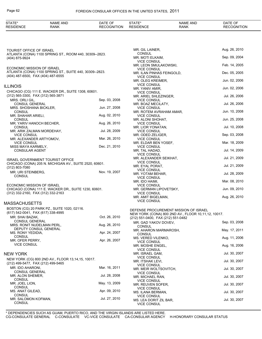| <b>STATE</b><br><b>RESID</b><br>ENCE | <b>ANL</b><br><b>NAME</b><br><b>RANK</b> | OF<br>DATE<br>oг<br>fion | $\mathbf{v}$<br>SIDF<br>- ⊷<br>-NGE | <b>AND</b><br><b>NAME</b><br>RANK | $\sim$ $\sim$<br>''<br>,,<br>ັ<br>∍<br>. ION |
|--------------------------------------|------------------------------------------|--------------------------|-------------------------------------|-----------------------------------|----------------------------------------------|
|                                      |                                          |                          |                                     |                                   |                                              |

TOURIST OFFICE OF ISRAEL ATLANTA (CONA) 1100 SPRING ST., ROOM 440, 30309--2823. (404) 875-9924

ECONOMIC MISSION OF ISRAEL ATLANTA (CONA) 1100 SPRING ST., SUITE 440, 30309--2823. (404) 487-6500 , FAX (404) 487-6555

#### ILLINOIS

| CHICAGO (CG) 111 E. WACKER DR., SUITE 1308, 60601.                                                           |               |
|--------------------------------------------------------------------------------------------------------------|---------------|
| (312) 565-3300, FAX (312) 565-3871                                                                           |               |
| MRS. ORLI GIL.<br><b>CONSUL GENERAL</b>                                                                      | Sep. 03, 2008 |
| MRS. SHOSHANA BICKLER,<br>CONSUL                                                                             | Jun. 27, 2008 |
| MR. SHAHAR ARIELI,<br>CONSUL                                                                                 | Aug. 02, 2010 |
| MR. YARIV HANOCH BECHER,<br>CONSUL                                                                           | Aug. 26, 2010 |
| MR. ARIK ZALMAN MORDEHAY,<br><b>VICE CONSUL</b>                                                              | Jul. 28, 2009 |
| MR. ALEXANDER ARTYOMOV,<br><b>VICE CONSUL</b>                                                                | Mar. 26, 2010 |
| MISS MAYA KARMELY,<br><b>CONSULAR AGENT</b>                                                                  | Dec. 21, 2010 |
| ISRAEL GOVERNMENT TOURIST OFFICE<br>CHICAGO (CONA) 205 N. MICHIGAN AV., SUITE 2520, 60601.<br>(312) 803-7080 |               |
| MR. URI STEINBERG.<br>CONSUL                                                                                 | Nov. 19, 2007 |

ECONOMIC MISSION OF ISRAEL CHICAGO (CONA) 111 E. WACKER DR., SUITE 1230, 60601. (312) 332-2160 , FAX (312) 332-2163

#### MASSACHUSETTS

| BOSTON (CG) 20 PARK PZ., SUITE 1020, 02116. |               |
|---------------------------------------------|---------------|
| (617) 542-0041, FAX (617) 338-4995          |               |
| MR. SHAI BAZAK,                             | Oct. 26, 2010 |
| <b>CONSUL GENERAL</b>                       |               |
| MRS. RONIT NUDELMAN PERL,                   | Aug. 26, 2010 |
| <b>DEPUTY CONSUL GENERAL</b>                |               |
| MS. RONY YEDIDIA.                           | Apr. 24, 2007 |
| <b>CONSUL</b>                               |               |
| MR. OFER PERRY.                             | Apr. 26, 2007 |
| <b>VICE CONSUL</b>                          |               |

#### NEW YORK

| NEW YORK (CG) 800 2ND AV., FLOOR 13,14,15, 10017. |               |
|---------------------------------------------------|---------------|
| (212) 499-5477, FAX (212) 499-5465                |               |
| MR. IDO AHARONI.                                  | Mar. 16, 2011 |
| <b>CONSUL GENERAL</b>                             |               |
| MR. ALON SHEMER.                                  | Jul. 28. 2008 |
| <b>CONSUL</b>                                     |               |
| MR. JOEL LION.                                    | May. 13, 2009 |
| CONSUL                                            |               |
| MS. ANAT GILEAD,                                  | Apr. 09, 2010 |
| CONSUL                                            |               |
| MR. SALOMON KOFMAN.                               | Jul. 27, 2010 |
| CONSUL                                            |               |

| MR. GIL LAINER,                                                       | Aug. 26, 2010 |
|-----------------------------------------------------------------------|---------------|
| <b>CONSUL</b><br>MR. MOTI ELKAIM,<br><b>VICE CONSUL</b>               | Sep. 09, 2004 |
| MR. LEON SMULAKOWSKI,                                                 | Feb. 14, 2005 |
| <b>VICE CONSUL</b><br>MR. ILAN PINHAS FEINGOLD,<br><b>VICE CONSUL</b> | Dec. 05, 2005 |
| MR. OLEG KREIMER,<br><b>VICE CONSUL</b>                               | Jun. 02, 2006 |
| MR. YANIV AMIR,<br><b>VICE CONSUL</b>                                 | Jun. 02, 2006 |
| MR. ARIEL SHLEZINGER,<br><b>VICE CONSUL</b>                           | Jul. 26, 2006 |
| MR. BOAZ MECILATY,<br><b>VICE CONSUL</b>                              | Jul. 26, 2006 |
| MR. ROTEM AVRAHAM AMAR,<br><b>VICE CONSUL</b>                         | Jun. 10, 2008 |
| MR. ALONI SHOHAT,<br><b>VICE CONSUL</b>                               | Jun. 25, 2008 |
| MR. LIOR YONATAN,<br><b>VICE CONSUL</b>                               | Jul. 10, 2008 |
| MR. ODED ZELIGER.<br><b>VICE CONSUL</b>                               | Sep. 03, 2008 |
| MR. ELDAR BEN YOSEF,<br><b>VICE CONSUL</b>                            | Mar. 18, 2009 |
| MR. TAL HADAD,<br><b>VICE CONSUL</b>                                  | Jul. 14, 2009 |
| MR. ALEXANDER SEIKHAT,<br><b>VICE CONSUL</b>                          | Jul. 21, 2009 |
| MR. EYAL PORAT,<br><b>VICE CONSUL</b>                                 | Jul. 21, 2009 |
| MR. YOTAM BEHAR,<br><b>VICE CONSUL</b>                                | Jul. 28, 2009 |
| MR. IDO HAIMI,<br><b>VICE CONSUL</b>                                  | Mar. 08, 2010 |
| MR. GERMAN LIPOVETSKY,<br><b>VICE CONSUL</b>                          | Jun. 09, 2010 |
| MR. AMIT BIGELMAN,<br><b>VICE CONSUL</b>                              | Aug. 26, 2010 |

#### DEFENSE PROCUREMENT MISSION OF ISRAEL

NEW YORK (CONA) 800 2ND AV., FLOOR 10,11,12, 10017.

| (212) 551-0400, FAX (212) 551-0482 |               |
|------------------------------------|---------------|
| MR. GAD YAKOV DOVEV,               | Sep. 03, 2008 |
| CONSUL                             |               |
| MR. AHARON MARMAROSH,              | May. 17, 2011 |
| CONSUL                             |               |
| MS. VERED VILENKO.                 | Aug. 11, 2006 |
| <b>VICE CONSUL</b>                 |               |
| MR. MOSHE ENGEL.                   | Aug. 16, 2006 |
| <b>VICE CONSUL</b>                 |               |
| MR. ISRAEL GAM,                    | Jul. 30, 2007 |
| <b>VICE CONSUL</b>                 |               |
| MR. ITSHAK LEVI.                   | Jul. 30, 2007 |
| <b>VICE CONSUL</b>                 |               |
| MR. MEIR WOLTSOVITCH,              | Jul. 30, 2007 |
| <b>VICE CONSUL</b>                 |               |
| MR. MICHAEL RAN,                   | Jul. 30, 2007 |
| <b>VICE CONSUL</b>                 |               |
| MR. REUVEN SOFER,                  | Jul. 30, 2007 |
| <b>VICE CONSUL</b>                 |               |
| MS. ILANA BERMAN,                  | Jul. 30, 2007 |
| <b>VICE CONSUL</b>                 |               |
| MS. LEA DORIT ZIL BAR,             | Jul. 30, 2007 |
| <b>VICE CONSUL</b>                 |               |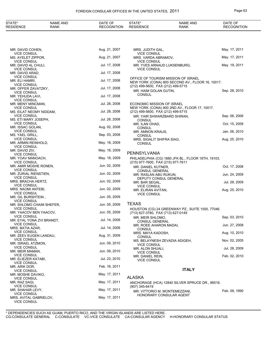## FOREIGN CONSULAR OFFICES IN THE UNITED STATES, 2011 **Page 63**

| STATE*<br><b>RESIDENCE</b>                                      | <b>NAME AND</b><br><b>RANK</b> | DATE OF<br><b>RECOGNITION</b> | STATE*<br><b>RESIDENCE</b>                                        | <b>NAME AND</b><br><b>RANK</b>                                                          | DATE OF<br><b>RECOGNITION</b> |
|-----------------------------------------------------------------|--------------------------------|-------------------------------|-------------------------------------------------------------------|-----------------------------------------------------------------------------------------|-------------------------------|
|                                                                 |                                |                               |                                                                   |                                                                                         |                               |
| MR. DAVID COHEN,                                                |                                | Aug. 21, 2007                 | MRS. JUDITH GAL,                                                  |                                                                                         | May. 17, 2011                 |
| <b>VICE CONSUL</b><br>MS. AYELET ZIPPOR,                        |                                | Aug. 21, 2007                 | <b>VICE CONSUL</b><br>MRS. VARDA ABRAMOV,                         |                                                                                         | May. 17, 2011                 |
| <b>VICE CONSUL</b><br>MR. DAVID AL CHULI,                       |                                | Jul. 17, 2008                 | <b>VICE CONSUL</b><br><b>VICE CONSUL</b>                          | MR. YVES ARNAUD LUKSENBURG,                                                             | May. 19, 2011                 |
| <b>VICE CONSUL</b><br>MR. DAVID ARAD,                           |                                | Jul. 17, 2008                 |                                                                   |                                                                                         |                               |
| <b>VICE CONSUL</b><br>MR. ELI HAMRI,<br><b>VICE CONSUL</b>      |                                | Jul. 17, 2008                 |                                                                   | OFFICE OF TOURISM MISSION OF ISRAEL<br>NEW YORK (CONA) 800 SECOND AV., FLOOR 16, 10017. |                               |
| MR. OFFER ZAVATZKY,<br><b>VICE CONSUL</b>                       |                                | Jul. 17, 2008                 | (212) 499-5600, FAX (212) 499-5715<br>MR. HAIM GOLAN GUTIN,       |                                                                                         | Sep. 28, 2010                 |
| MR. YEHUDA LAVI,<br><b>VICE CONSUL</b>                          |                                | Jul. 17, 2008                 | <b>CONSUL</b>                                                     |                                                                                         |                               |
| MR. MENY MINCMAN,<br><b>VICE CONSUL</b>                         |                                | Jul. 28, 2008                 | ECONOMIC MISSION OF ISRAEL                                        | NEW YORK (CONA) 800 2ND AV., FLOOR 17, 10017.                                           |                               |
| MS. EILAT NEOMY NIDDAM,<br><b>VICE CONSUL</b>                   |                                | Jul. 28, 2008                 | (212) 499-5600, FAX (212) 499-5715<br>MR. YAIR SHWARZBARD SHIRAN, |                                                                                         | Sep. 06, 2006                 |
| MS. ETI MARY JOSEPH,<br><b>VICE CONSUL</b>                      |                                | Jul. 28, 2008                 | <b>CONSUL</b><br>MR. ILAN OHAD,                                   |                                                                                         | Oct. 15, 2009                 |
| MR. ISSAC GOLAN,<br><b>VICE CONSUL</b>                          |                                | Aug. 02, 2008                 | <b>CONSUL</b>                                                     |                                                                                         |                               |
| MS. YAEL GRILL,                                                 |                                | Sep. 03, 2008                 | MR. AMNON KRAUS,<br><b>CONSUL</b>                                 |                                                                                         | Jan. 06, 2010                 |
| <b>VICE CONSUL</b><br>MR. ARMIN REINHOLD,<br><b>VICE CONSUL</b> |                                | May. 18, 2009                 | MRS. SIGALIT SHIFRA SIAG,<br><b>CONSUL</b>                        |                                                                                         | Aug. 25, 2010                 |
| MR. DAVID ZIV,<br><b>VICE CONSUL</b>                            |                                | May. 18, 2009                 | PENNSYLVANIA                                                      |                                                                                         |                               |
| MR. YOAV MANOACH,<br><b>VICE CONSUL</b>                         |                                | May. 18, 2009                 | (215) 977-7600, FAX (215) 977-7611                                | PHILADELPHIA (CG) 1880 JFK BL., FLOOR 18TH, 19103.                                      |                               |
| MR. AMIR MOSHE RONEN,<br><b>VICE CONSUL</b>                     |                                | Jun. 02, 2009                 | MR. DANIEL KUTNER,                                                |                                                                                         | Oct. 17, 2008                 |
| MR. ZURIAL RIENSTIEN,<br><b>VICE CONSUL</b>                     |                                | Jun. 02, 2009                 | <b>CONSUL GENERAL</b><br>MR. RASLAN ABU RUKUN,                    |                                                                                         | Jun. 24, 2009                 |
| MRS. BRACHA HERTZ,<br><b>VICE CONSUL</b>                        |                                | Jun. 02, 2009                 | DEPUTY CONSUL GENERAL<br>MR. BAR SEGAL,                           |                                                                                         | Jul. 28, 2009                 |
| MRS. NAOMI ANTEBI,<br><b>VICE CONSUL</b>                        |                                | Jun. 02, 2009                 | <b>VICE CONSUL</b><br>MR. ELIRAN AVITAN,                          |                                                                                         | Aug. 25, 2010                 |
| MR. GIL BURSHTEIN,<br><b>VICE CONSUL</b>                        |                                | Jun. 05, 2009                 | <b>VICE CONSUL</b>                                                |                                                                                         |                               |
| MR. SHLOMO CHAIM SHEFER,                                        |                                | Jun. 05, 2009                 | <b>TEXAS</b>                                                      |                                                                                         |                               |
| <b>VICE CONSUL</b><br>MR. YAACOV BEN YAACOV,                    |                                | Jun. 05, 2009                 | (713) 627-3780, FAX (713) 627-0149                                | HOUSTON (CG) 24 GREENWAY PZ., SUITE 1500, 77046.                                        |                               |
| <b>VICE CONSUL</b><br>MR. EYAL YONA ZVI BRANDT,                 |                                | Jul. 14, 2009                 | MR. MEIR SHLOMO,<br><b>CONSUL GENERAL</b>                         |                                                                                         | Sep. 03, 2010                 |
| <b>VICE CONSUL</b><br>MRS. BATIA AZAR,                          |                                | Jul. 14, 2009                 | MR. ROEE AHARON MADAI,<br><b>CONSUL</b>                           |                                                                                         | Jun. 27, 2008                 |
| <b>VICE CONSUL</b><br>MR. ZEEV EUGEN LANDAU,                    |                                | Aug. 31, 2009                 | MRS. MAYA KADOSH,<br>CONSUL                                       |                                                                                         | Aug. 10, 2010                 |
| <b>VICE CONSUL</b><br>MR. ISRAEL ATZMON,                        |                                | Jun. 09, 2010                 | <b>VICE CONSUL</b>                                                | MS. BELAYNESH ZEVADIA ADIGEH,                                                           | Nov. 02, 2005                 |
| <b>VICE CONSUL</b><br>MR. MEIR MAMAN,                           |                                | Jun. 09, 2010                 | MR. ALON SHUALI,<br><b>VICE CONSUL</b>                            |                                                                                         | Jul. 28, 2009                 |
| <b>VICE CONSUL</b><br>MR. ELIEZER KATABI,                       |                                | Jul. 23, 2010                 | MR. DANIEL REIN,<br><b>VICE CONSUL</b>                            |                                                                                         | Feb. 02, 2010                 |
| <b>VICE CONSUL</b><br>MR. ARIK DOR,                             |                                | Feb. 16, 2011                 |                                                                   |                                                                                         |                               |
| <b>VICE CONSUL</b><br>MR. MOSHE DAVIKO,                         |                                | May. 17, 2011                 |                                                                   | <b>ITALY</b>                                                                            |                               |
| <b>VICE CONSUL</b><br>MR. RAZ SAGI,                             |                                | May. 17, 2011                 | <b>ALASKA</b>                                                     | ANCHORAGE (HCA) 12840 SILVER SPRUCE DR., 99516.                                         |                               |
| <b>VICE CONSUL</b><br>MR. SHAHAR LEVY,                          |                                | May. 17, 2011                 | (907) 345-6419                                                    | MR. VITTORIO M. MONTEMEZZANI,                                                           | Feb. 09, 1990                 |
| <b>VICE CONSUL</b><br>MRS. AVITAL GABRIELOV,                    |                                | May. 17, 2011                 |                                                                   | HONORARY CONSULAR AGENT                                                                 |                               |

VICE CONSUL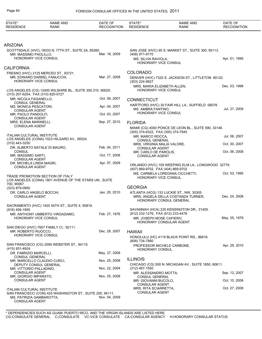| STATE*<br><b>RESIDENCE</b>                        | <b>NAME AND</b><br><b>RANK</b>                                      | DATE OF<br><b>RECOGNITION</b> | STATE*<br><b>RESIDENCE</b>                           | <b>NAME AND</b><br><b>RANK</b>                                                 | DATE OF<br><b>RECOGNITION</b> |
|---------------------------------------------------|---------------------------------------------------------------------|-------------------------------|------------------------------------------------------|--------------------------------------------------------------------------------|-------------------------------|
|                                                   |                                                                     |                               |                                                      |                                                                                |                               |
| ARIZONA                                           |                                                                     |                               |                                                      |                                                                                |                               |
|                                                   | SCOTTSDALE (HVC) 16033 N. 77TH ST., SUITE 2A, 85260.                |                               |                                                      | SAN JOSE (HVC) 95 S. MARKET ST., SUITE 300, 95113.                             |                               |
| MR. MASSIMO PAOLILLO,<br>HONORARY VICE CONSUL     |                                                                     | Mar. 18, 2009                 | (408) 971-9170<br>MS. SILVIA RAVIOLA,                |                                                                                | Apr. 01, 1995                 |
|                                                   |                                                                     |                               | HONORARY VICE CONSUL                                 |                                                                                |                               |
| CALIFORNIA                                        |                                                                     |                               | <b>COLORADO</b>                                      |                                                                                |                               |
|                                                   | FRESNO (HVC) 2125 MERCED ST., 93721.<br>MR. EDWARD DARREL FANUCCHI, | Mar. 27, 2008                 |                                                      | DENVER (HVC) 7325 S. JACKSON ST., LITTLETON 80122.                             |                               |
| HONORARY VICE CONSUL                              |                                                                     |                               | (303) 224-9927                                       |                                                                                |                               |
| (310) 207-6254, FAX (310) 820-0727                | LOS ANGELES (CG) 12400 WILSHIRE BL., SUITE 300,310, 90025.          |                               | MRS. MARIA ELIZABETH ALLEN,<br>HONORARY VICE CONSUL  |                                                                                | Dec. 03, 1998                 |
| MR. NICOLA FAGANELLO,                             |                                                                     | Oct. 09, 2007                 | <b>CONNECTICUT</b>                                   |                                                                                |                               |
| <b>CONSUL GENERAL</b><br>MS. MONICA PESCATORI,    |                                                                     | Apr. 04, 2007                 |                                                      | HARTFORD (HVC) 30 FAIR HILL LA., SUFFIELD 06078.                               |                               |
| <b>CONSULAR AGENT</b>                             |                                                                     | Oct. 03, 2007                 | MS. AMBRA FANTINO.<br>HONORARY VICE CONSUL           |                                                                                | Jul. 27, 2009                 |
| MR. PAOLO PANDOLFI,<br><b>CONSULAR AGENT</b>      |                                                                     |                               |                                                      |                                                                                |                               |
| MRS. ELENA MARINELLI,<br><b>CONSULAR AGENT</b>    |                                                                     | Sep. 27, 2010                 | <b>FLORIDA</b>                                       |                                                                                |                               |
|                                                   |                                                                     |                               | (305) 374-6322, FAX (305) 374-7945                   | MIAMI (CG) 4000 PONCE DE LEON BL., SUITE 590, 33146.                           |                               |
| <b>ITALIAN CULTURAL INSTITUTE</b>                 | LOS ANGELES (CONA) 1023 HILGARD AV., 90024.                         |                               | MR. MARCO ROCCA.                                     |                                                                                | Jul. 06, 2007                 |
| $(310)$ 443-3250                                  |                                                                     |                               | <b>CONSUL GENERAL</b><br>MRS. VIRGINIA MALIA VALORE, |                                                                                | Oct. 30, 2007                 |
| <b>CONSUL</b>                                     | DR. ALBERTO NATALE DI MAURO,                                        | Feb. 04, 2011                 | <b>CONSULAR AGENT</b><br>MR. CARLO DE PAROLIS,       |                                                                                | Oct. 06, 2008                 |
| MR. MASSIMO SARTI,                                |                                                                     | Oct. 17, 2008                 | <b>CONSULAR AGENT</b>                                |                                                                                |                               |
| <b>CONSULAR AGENT</b><br>DR. MICHELA LINDA MAGRI, |                                                                     | Apr. 07, 2009                 |                                                      |                                                                                |                               |
| <b>CONSULAR AGENT</b>                             |                                                                     |                               | (407) 869-9702, FAX (404) 869-9702                   | ORLANDO (HVC) 109 WEEPING ELM LA., LONGWOOD 32779.                             |                               |
|                                                   | TRADE PROMOTION SECTION OF ITALY                                    |                               | HONORARY VICE CONSUL                                 | MS. CARMELA LOREDANA CICCHETTI,                                                | Oct. 03, 1995                 |
|                                                   | LOS ANGELES (CONA) 1801 AVENUE OF THE STARS UN., SUITE              |                               |                                                      |                                                                                |                               |
| 700, 90067.<br>(323) 879-0950                     |                                                                     |                               | <b>GEORGIA</b>                                       |                                                                                |                               |
| DR. CARLO ANGELO BOCCHI,<br><b>CONSULAR AGENT</b> |                                                                     | Jan. 20, 2010                 |                                                      | ATLANTA (HCG) 133 LUCKIE ST., NW, 30305.<br>MRS. ANGELA DELLA COSTANZA TURNER, | Dec. 24, 2008                 |
|                                                   |                                                                     |                               |                                                      | HONORARY CONSUL GENERAL                                                        |                               |
| $(916)$ 456-1950                                  | SACRAMENTO (HVC) 1420 54TH ST., SUITE 4, 95819.                     |                               |                                                      | SAVANNAH (HCA) 235 KENSINGTON DR., 31405.                                      |                               |
|                                                   | MR. ANTHONY UMBERTO VIRGADAMO,                                      | Feb. 27, 1976                 | (912) 232-1276, FAX (912) 233-4478                   |                                                                                |                               |
| <b>HONORARY VICE CONSUL</b>                       |                                                                     |                               | MR. JOSEPH MOSE CAFIERO,                             | <b>HONORARY CONSULAR AGENT</b>                                                 | May. 05, 1976                 |
|                                                   | SAN DIEGO (HVC) 7607 FAMILY CI., 92111.                             |                               |                                                      |                                                                                |                               |
| MR. ROBERTO RUOCCO,<br>HONORARY VICE CONSUL       |                                                                     | Dec. 28, 2007                 | <b>HAWAII</b>                                        |                                                                                |                               |
|                                                   |                                                                     |                               | (808) 734-7880                                       | HONOLULU (HC) 4119 BLACK POINT RD., 96816.                                     |                               |
| (415) 931-4924                                    | SAN FRANCISCO (CG) 2590 WEBSTER ST., 94115.                         |                               |                                                      | PROFESSOR MICHELE CARBONE,                                                     | Apr. 29, 2010                 |
| DR. FABRIZIO MARCELLI,                            |                                                                     | May. 27, 2008                 | <b>HONORARY CONSUL</b>                               |                                                                                |                               |
| CONSUL GENERAL                                    | MR. MARCELLO CLAUDIO CURCI,                                         | Nov. 25, 2008                 | <b>ILLINOIS</b>                                      |                                                                                |                               |
|                                                   | DEPUTY CONSUL GENERAL                                               |                               |                                                      | CHICAGO (CG) 500 N. MICHIGAN AV., SUITE 1850, 60611.                           |                               |
| MR. VITTORIO PALLADINO,<br><b>CONSULAR AGENT</b>  |                                                                     | Nov. 22, 2004                 | $(312)$ 467-1550<br>MR. ALESSANDRO MOTTA,            |                                                                                | Sep. 12, 2007                 |
| MR. GIORGIO IMPARATO,<br><b>CONSULAR AGENT</b>    |                                                                     | Nov. 25, 2008                 | CONSUL GENERAL                                       |                                                                                | Oct. 10, 2006                 |
|                                                   |                                                                     |                               | MR. GIOVANNI BUCOLO,<br>CONSULAR AGENT               |                                                                                |                               |
| <b>ITALIAN CULTURAL INSTITUTE</b>                 | SAN FRANCISCO (CON) 425 WASHINGTON ST., SUITE 200, 94111.           |                               | MRS. RITA SCIARRETTA,<br><b>CONSULAR AGENT</b>       |                                                                                | Oct. 27, 2008                 |
| MS. PATRIZIA GAMBAROTTA,<br><b>CONSULAR AGENT</b> |                                                                     | Nov. 04, 2009                 |                                                      |                                                                                |                               |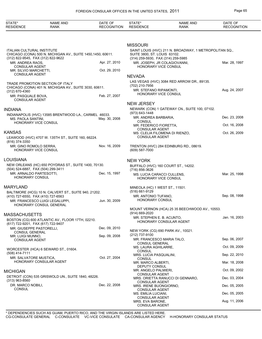| STATE*<br><b>RESIDENCE</b>                             | <b>NAME AND</b><br><b>RANK</b>                               | DATE OF<br><b>RECOGNITION</b> | STATE*<br><b>RESIDENCE</b>                                         | <b>NAME AND</b><br><b>RANK</b>                         | DATE OF<br><b>RECOGNITION</b> |
|--------------------------------------------------------|--------------------------------------------------------------|-------------------------------|--------------------------------------------------------------------|--------------------------------------------------------|-------------------------------|
|                                                        |                                                              |                               |                                                                    |                                                        |                               |
| <b>ITALIAN CULTURAL INSTITUTE</b>                      | CHICAGO (CONA) 500 N. MICHIGAN AV., SUITE 1450, 1450, 60611. |                               | <b>MISSOURI</b><br>SUITE 3800, ST. LOUIS 63102.                    | SAINT LOUIS (HVC) 211 N. BROADWAY, 1 METROPOLITAN SQ., |                               |
| (312) 822-9545, FAX (312) 822-9622<br>MR. ANDREA RAOS. |                                                              | Apr. 27, 2010                 | (314) 259-5930, FAX (314) 259-5985<br>MR. JOSEPH, JR COLAGIOVANNI, |                                                        | Mar. 28, 1997                 |
| <b>CONSULAR AGENT</b>                                  |                                                              |                               | HONORARY VICE CONSUL                                               |                                                        |                               |
| MR. SILVIO MARCHETTI,<br><b>CONSULAR AGENT</b>         |                                                              | Oct. 29, 2010                 |                                                                    |                                                        |                               |
|                                                        |                                                              |                               | <b>NEVADA</b>                                                      |                                                        |                               |
|                                                        | TRADE PROMOTION SECTION OF ITALY                             |                               | (702) 210-7956                                                     | LAS VEGAS (HVC) 3084 RED ARROW DR., 89135.             |                               |
| (312) 670-4360                                         | CHICAGO (CONA) 401 N. MICHIGAN AV., SUITE 3030, 60611.       |                               | MR. STEFANO RIPAMONTI,                                             |                                                        | Aug. 24, 2007                 |
| MR. PASQUALE BOVA,                                     |                                                              | Feb. 27, 2007                 | HONORARY VICE CONSUL                                               |                                                        |                               |
| <b>CONSULAR AGENT</b>                                  |                                                              |                               | <b>NEW JERSEY</b>                                                  |                                                        |                               |
| <b>INDIANA</b>                                         |                                                              |                               |                                                                    | NEWARK (CON) 1 GATEWAY CN., SUITE 100, 07102.          |                               |
|                                                        | INDIANAPOLIS (HVC) 13585 BRENTWOOD LA., CARMEL 46033.        |                               | $(973) 643 - 1448$                                                 |                                                        |                               |
| MS. PAOLA SANTINI,                                     |                                                              | May. 30, 2008                 | MR. ANDREA BARBARIA,<br><b>CONSUL</b>                              |                                                        | Dec. 23, 2008                 |
| HONORARY VICE CONSUL                                   |                                                              |                               | MR. FEDERICO FIORETTA,                                             |                                                        | Oct. 16, 2008                 |
| KANSAS                                                 |                                                              |                               | <b>CONSULAR AGENT</b><br>MS. CLELIA FILOMENA DI RIENZO,            |                                                        | Oct. 26, 2009                 |
| (816) 374-3350                                         | LEAWOOD (HVC) 4707 W. 135TH ST., SUITE 160, 66224.           |                               | <b>CONSULAR AGENT</b>                                              |                                                        |                               |
| MR. GINO ROMOLO SERRA,<br>HONORARY VICE CONSUL         |                                                              | Nov. 16, 2009                 | $(609) 587 - 7000$                                                 | TRENTON (HVC) 284 EDINBURG RD., 08619.                 |                               |
| LOUISIANA                                              |                                                              |                               | <b>NEW YORK</b>                                                    |                                                        |                               |
|                                                        | NEW ORLEANS (HC) 650 POYDRAS ST., SUITE 1400, 70130.         |                               | BUFFALO (HVC) 160 COURT ST., 14202.                                |                                                        |                               |
| (504) 524-6887, FAX (504) 299-3411                     |                                                              |                               | (716) 856-3626                                                     |                                                        |                               |
| MR. ARNALDO PARTESOTTI,<br>HONORARY CONSUL             |                                                              | Dec. 15, 1997                 | MS. LUCIA CARACCI CULLENS.<br>HONORARY VICE CONSUL                 |                                                        | Mar. 25, 1998                 |
| MARYLAND                                               |                                                              |                               | MINEOLA (HC) 1 WEST ST., 11501.                                    |                                                        |                               |
|                                                        | BALTIMORE (HCG) 10 N. CALVERT ST., SUITE 940, 21202.         |                               | (516) 661-9129                                                     |                                                        | Sep. 08, 1998                 |
| (410) 727-6550, FAX (410) 727-6563                     | MR. FRANCESCO LUIGI LEGALUPPI.                               | Jun. 30, 2009                 | MR. ANTONIO TUFANO,<br><b>HONORARY CONSUL</b>                      |                                                        |                               |
|                                                        | <b>HONORARY CONSUL GENERAL</b>                               |                               |                                                                    |                                                        |                               |
|                                                        |                                                              |                               | $(914) 669 - 2020$                                                 | MOUNT VERNON (HCA) 25 35 BEECHWOOD AV., 10553.         |                               |
| MASSACHUSETTS                                          |                                                              |                               | MR. STEPHEN E. B. ACUNTO,                                          |                                                        | Jan. 16, 2003                 |
| (617) 722-9201, FAX (617) 722-9407                     | BOSTON (CG) 600 ATLANTIC AV., FLOOR 17TH, 02210.             |                               |                                                                    | HONORARY CONSULAR AGENT                                |                               |
| MR. GIUSEPPE PASTORELLI,                               |                                                              | Dec. 09, 2010                 | NEW YORK (CG) 690 PARK AV., 10021.                                 |                                                        |                               |
| <b>CONSUL GENERAL</b><br>MR. LUIGI MUNNO,              |                                                              | Sep. 09, 2008                 | (212) 737-9100                                                     |                                                        |                               |
| <b>CONSULAR AGENT</b>                                  |                                                              |                               | MR. FRANCESCO MARIA TALO,<br><b>CONSUL GENERAL</b>                 |                                                        | Sep. 06, 2007                 |
|                                                        | WORCESTER (HCA) 6 SEWARD ST., 01604.                         |                               | MS. LAURA AGHILARRE,                                               |                                                        | Oct. 09, 2009                 |
| (508) 414-7111                                         |                                                              |                               | <b>CONSUL</b><br>MRS. LUCIA PASQUALINI,                            |                                                        | Sep. 22, 2010                 |
| MR. SALVATORE MUSTICA,                                 |                                                              | Oct. 27, 2004                 | <b>CONSUL</b>                                                      |                                                        |                               |
|                                                        | HONORARY CONSULAR AGENT                                      |                               | MR. MARCO ALBERTI,<br>DEPUTY CONSUL                                |                                                        | Mar. 18, 2008                 |
| MICHIGAN                                               |                                                              |                               | MR. ANGELO PALMIERI,                                               |                                                        | Oct. 09, 2002                 |
|                                                        | DETROIT (CON) 535 GRISWOLD UN., SUITE 1840, 48226.           |                               | <b>CONSULAR AGENT</b>                                              | MRS. ORIETTA RANUCCI DI GENNARO,                       | Dec. 03, 2004                 |
| $(313)$ 963-8560<br>DR. MARCO NOBILI,                  |                                                              | Dec. 22, 2008                 | <b>CONSULAR AGENT</b>                                              |                                                        |                               |
| <b>CONSUL</b>                                          |                                                              |                               | MRS. IRENE BUONGIORNO,<br><b>CONSULAR AGENT</b>                    |                                                        | Dec. 05, 2005                 |
|                                                        |                                                              |                               | MS. EMILIA LUCIANI,                                                |                                                        | Dec. 05, 2005                 |
|                                                        |                                                              |                               | <b>CONSULAR AGENT</b><br>MRS. EVA BARONE,<br><b>CONSULAR AGENT</b> |                                                        | Aug. 11, 2006                 |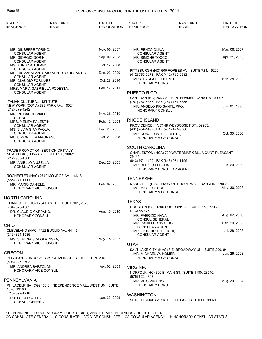| STATE*<br><b>RESIDENCE</b>                                               | <b>NAME AND</b><br><b>RANK</b>                             | DATE OF<br><b>RECOGNITION</b> | STATE*<br><b>RESIDENCE</b>                                       | <b>NAME AND</b><br><b>RANK</b>                                                           | DATE OF<br><b>RECOGNITION</b> |
|--------------------------------------------------------------------------|------------------------------------------------------------|-------------------------------|------------------------------------------------------------------|------------------------------------------------------------------------------------------|-------------------------------|
|                                                                          |                                                            |                               |                                                                  |                                                                                          |                               |
| MR. GIUSEPPE TORINO,                                                     |                                                            | Nov. 06, 2007                 | MR. RENZO OLIVA,                                                 |                                                                                          | Mar. 06, 2007                 |
| <b>CONSULAR AGENT</b><br>MR. GIORGIO GORINI,                             |                                                            | Sep. 09, 2008                 | <b>CONSULAR AGENT</b><br>MR. SIMONE TOCCO.                       |                                                                                          | Apr. 21, 2010                 |
| <b>CONSULAR AGENT</b><br>MS. ADRIANA TUFANO,                             |                                                            | Oct. 17, 2008                 | <b>CONSULAR AGENT</b>                                            |                                                                                          |                               |
| <b>CONSULAR AGENT</b>                                                    | MR. GIOVANNI ANTONIO ALBERTO DESANTIS,                     | Dec. 02, 2009                 | (412) 765-0273, FAX (412) 765-0582                               | PITTSBURGH (HC) 600 FORBES AV., SUITE 728, 15222.                                        |                               |
| <b>CONSULAR AGENT</b><br>MR. CLAUDIO FORLIVESI,                          |                                                            | Oct. 27, 2010                 | MRS. CARLA E. LUCENTE,<br><b>HONORARY CONSUL</b>                 |                                                                                          | Feb. 28, 2000                 |
| <b>CONSULAR AGENT</b>                                                    | MRS. MARIA GABRIELLA PODESTA,                              | Feb. 17, 2011                 |                                                                  |                                                                                          |                               |
| <b>CONSULAR AGENT</b>                                                    |                                                            |                               | PUERTO RICO                                                      | SAN JUAN (HC) 266 CALLE INTERAMERICANA UN., 00927.                                       |                               |
| <b>ITALIAN CULTURAL INSTITUTE</b>                                        | NEW YORK (CONA) 686 PARK AV., 10021.                       |                               | (787) 767-5855, FAX (787) 767-5855<br>MR. ANGELO PIO SANFILIPPO, |                                                                                          | Jun. 01, 1993                 |
| (212) 879-4242<br>MR. RICCARDO VIALE,                                    |                                                            | Nov. 26, 2010                 | HONORARY CONSUL                                                  |                                                                                          |                               |
| CONSUL<br>MRS. MELITA PALESTINI,                                         |                                                            | Feb. 12, 2003                 | RHODE ISLAND                                                     |                                                                                          |                               |
| <b>CONSULAR AGENT</b><br>MS. SILVIA GIAMPAOLA,                           |                                                            | Dec. 20, 2005                 | (401) 454-1492, FAX (401) 421-9080                               | PROVIDENCE (HVC) 49 WEYBOSSET ST., 02903.                                                |                               |
| <b>CONSULAR AGENT</b><br>MS. SIMONETTA MAGNANI,<br><b>CONSULAR AGENT</b> |                                                            | Oct. 29, 2008                 | MR. RONALD W. DEL SESTO,                                         | <b>HONORARY VICE CONSUL</b>                                                              | Oct. 30, 2000                 |
|                                                                          | TRADE PROMOTION SECTION OF ITALY                           |                               | <b>SOUTH CAROLINA</b>                                            |                                                                                          |                               |
| (212) 980-1500                                                           | NEW YORK (CONA) 33 E. 67TH ST., 10021.                     |                               | 29464.                                                           | CHARLESTON (HCA) 700 WATERMARK BL., MOUNT PLEASANT                                       |                               |
| MR. ANIELLO MUSELLA,<br><b>CONSULAR AGENT</b>                            |                                                            | Dec. 20, 2005                 | (843) 971-4100, FAX (843) 971-1155<br>MR. SERGIO FEDELINI,       | HONORARY CONSULAR AGENT                                                                  | Jun. 20, 2000                 |
| (585) 271-1111                                                           | ROCHESTER (HVC) 2740 MONROE AV., 14618.                    |                               | <b>TENNESSEE</b>                                                 |                                                                                          |                               |
| MR. MARIO DANIELE,<br>HONORARY VICE CONSUL                               |                                                            | Feb. 07, 2005                 | MS. MICOL CECCHI,                                                | NASHVILLE (HVC) 113 WYNTHROPE WA., FRANKLIN 37067.<br>HONORARY VICE CONSUL               | May. 30, 2008                 |
| NORTH CAROLINA                                                           |                                                            |                               |                                                                  |                                                                                          |                               |
| (704) 373-1505                                                           | CHARLOTTE (HC) 1704 EAST BL., SUITE 101, 28203.            |                               | <b>TEXAS</b>                                                     | HOUSTON (CG) 1300 POST OAK BL., SUITE 775, 77056.                                        |                               |
| DR. CLAUDIO CARPANO,<br>HONORARY CONSUL                                  |                                                            |                               | Aug. 10, 2010 (713) 850-7520<br>MR. FABRIZIO NAVA,               |                                                                                          | Aug. 02, 2010                 |
| OHIO                                                                     |                                                            |                               | <b>CONSUL GENERAL</b><br>MR. DANIELE ANSALDO,                    |                                                                                          | Feb. 20, 2008                 |
|                                                                          | CLEVELAND (HVC) 1422 EUCLID AV., 44115.                    |                               | <b>CONSULAR AGENT</b><br>MR. GIORGIO TEDESCHI,                   |                                                                                          | Jul. 28, 2008                 |
| (216) 861-1585<br>MS. SERENA SCAIOLA ZISKA,                              |                                                            | May. 18, 2007                 | <b>CONSULAR AGENT</b>                                            |                                                                                          |                               |
| <b>HONORARY VICE CONSUL</b>                                              |                                                            |                               | <b>UTAH</b>                                                      |                                                                                          |                               |
| OREGON<br>(503) 225-0702                                                 | PORTLAND (HVC) 121 S.W. SALMON ST., SUITE 1030, 97204.     |                               | MR. MICHAEL W. HOMER,                                            | SALT LAKE CITY (HVC) 8 E. BROADWAY UN., SUITE 200, 84111.<br><b>HONORARY VICE CONSUL</b> | Jun. 26, 2008                 |
| MR. ANDREA BARTOLONI,<br>HONORARY VICE CONSUL                            |                                                            | Apr. 02, 2003                 | <b>VIRGINIA</b>                                                  | NORFOLK (HC) 300 E. MAIN ST., SUITE 1180, 23510.                                         |                               |
| PENNSYLVANIA                                                             |                                                            |                               | (575) 622-4898<br>MR. VITO PIRAINO,                              |                                                                                          | Aug. 29, 1994                 |
| 1026, 19106.                                                             | PHILADELPHIA (CG) 150 S. INDEPENDENCE MALL WEST UN., SUITE |                               | <b>HONORARY CONSUL</b>                                           |                                                                                          |                               |
| (215) 592-1218<br>DR. LUIGI SCOTTO,                                      |                                                            | Jan. 23, 2009                 | <b>WASHINGTON</b>                                                |                                                                                          |                               |
| CONSUL GENERAL                                                           |                                                            |                               |                                                                  | SEATTLE (HVC) 23718 S.E. 7TH AV., BOTHELL 98021.                                         |                               |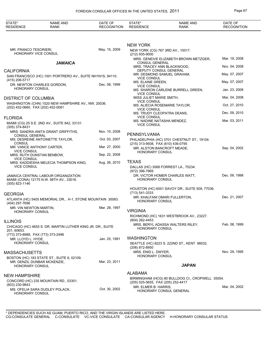| STATE*<br><b>RESIDENCE</b>                        | <b>NAME AND</b><br><b>RANK</b>                                                  | DATE OF<br><b>RECOGNITION</b> | STATE*<br><b>RESIDENCE</b>                                       | <b>NAME AND</b><br><b>RANK</b>                   | DATE OF<br><b>RECOGNITION</b> |
|---------------------------------------------------|---------------------------------------------------------------------------------|-------------------------------|------------------------------------------------------------------|--------------------------------------------------|-------------------------------|
|                                                   |                                                                                 |                               |                                                                  |                                                  |                               |
|                                                   |                                                                                 |                               | <b>NEW YORK</b>                                                  |                                                  |                               |
| MR. FRANCO TESORIERI,<br>HONORARY VICE CONSUL     |                                                                                 | May. 15, 2009                 | NEW YORK (CG) 767 3RD AV., 10017.<br>(212) 935-9000              |                                                  |                               |
|                                                   | <b>JAMAICA</b>                                                                  |                               | <b>CONSUL GENERAL</b>                                            | MRS. GENEIVE ELIZABETH BROWN METZGER,            | Mar. 19, 2008                 |
| <b>CALIFORNIA</b>                                 |                                                                                 |                               | MRS. TRACEY ANN BLACKWOOD,<br>DEPUTY CONSUL GENERAL              |                                                  | Nov. 04, 2008                 |
|                                                   | SAN FRANCISCO (HC) 1001 PORTRERO AV., SUITE NH1N1S, 94110.                      |                               | <b>VICE CONSUL</b>                                               | MR. DESMOND SAMUEL GRAHAM,                       | May. 07, 2007                 |
| (415) 206-5717                                    | DR. NEWTON CHARLES GORDON,                                                      | Dec. 08, 1999                 | MS. ELAINE GREEN,                                                |                                                  | May. 07, 2007                 |
| HONORARY CONSUL                                   |                                                                                 |                               | <b>VICE CONSUL</b>                                               | MS. SHARON CARLENE BURRELL GREEN,                | Jan. 23, 2008                 |
| DISTRICT OF COLUMBIA                              |                                                                                 |                               | <b>VICE CONSUL</b><br>MISS JULIET MARIE SMITH,                   |                                                  | Mar. 04, 2008                 |
| (202) 452-0660, FAX (202) 452-0081                | WASHINGTON (CHN) 1520 NEW HAMPSHIRE AV., NW, 20036.                             |                               | <b>VICE CONSUL</b>                                               | MS. ALIECIA ROSEMARIE TAYLOR,                    | Oct. 27, 2010                 |
|                                                   |                                                                                 |                               | <b>VICE CONSUL</b><br>MS. TRUDY CLEOPATRA DEANS,                 |                                                  | Dec. 09, 2010                 |
| <b>FLORIDA</b>                                    |                                                                                 |                               | <b>VICE CONSUL</b><br>MS. NADINE NATASHA MENDEZ,                 |                                                  | Mar. 03, 2011                 |
| (305) 374-8431                                    | MIAMI (CG) 25 S.E. 2ND AV., SUITE 842, 33131.                                   |                               | <b>VICE CONSUL</b>                                               |                                                  |                               |
| <b>CONSUL GENERAL</b>                             | MRS. SANDRA ANITA GRANT GRIFFITHS,                                              | Nov. 10, 2008                 | PENNSYLVANIA                                                     |                                                  |                               |
| <b>CONSUL</b>                                     | MS. DESREINE ANTOINETTE TAYLOR,                                                 | Oct. 03, 2007                 |                                                                  | PHILADELPHIA (HC) 3701 CHESTNUT ST., 19104.      |                               |
| MR. VANCE ANTHONY CARTER,                         |                                                                                 | Mar. 27, 2000                 | (215) 313-9508, FAX (610) 436-0795<br>MR. ALSTON BANCROFT MEADE, |                                                  | Sep. 04, 2002                 |
| <b>VICE CONSUL</b>                                | MRS. RUTH DUNSTAN BENBOW,                                                       | Sep. 22, 2008                 | <b>HONORARY CONSUL</b>                                           |                                                  |                               |
| <b>VICE CONSUL</b>                                | MRS. KADDIESHA MELECIA THOMPSON KING,                                           | Aug. 26, 2010                 | <b>TEXAS</b>                                                     |                                                  |                               |
| <b>VICE CONSUL</b>                                |                                                                                 |                               | (972) 396-7969                                                   | DALLAS (HC) 3068 FORREST LA., 75234.             |                               |
| (305) 823-1146                                    | JAMAICA CENTRAL LABOUR ORGANIZATION<br>MIAMI (CONA) 12175 N.W. 98TH AV., 33016. |                               | <b>HONORARY CONSUL</b>                                           | DR. VICTOR HOMER CHARLES WATT,                   | Dec. 09, 1998                 |
|                                                   |                                                                                 |                               |                                                                  | HOUSTON (HC) 6001 SAVOY DR., SUITE 509, 77036.   |                               |
| GEORGIA                                           | ATLANTA (HC) 5405 MEMORIAL DR., H-1, STONE MOUNTAIN 30083.                      |                               | $(713) 541 - 3333$                                               | MR. KHALFANI OMARI FULLERTON,                    | Dec. 21, 2007                 |
| (404) 297-7696                                    |                                                                                 |                               | <b>HONORARY CONSUL</b>                                           |                                                  |                               |
| MR. VIN NEWTON MARTIN,<br><b>HONORARY CONSUL</b>  |                                                                                 | Mar. 28, 1997                 | <b>VIRGINIA</b>                                                  |                                                  |                               |
|                                                   |                                                                                 |                               | (804) 262-4453                                                   | RICHMOND (HC) 1631 WESTBROOK AV., 23227.         |                               |
| <b>ILLINOIS</b>                                   | CHICAGO (HC) 4655 S. DR. MARTIN LUTHER KING JR. DR., SUITE                      |                               |                                                                  | MRS. BERYL ADASSA WALTERS RILEY,                 | Feb. 08, 1999                 |
| 201, 60653.<br>(773) 373-8988, FAX (773) 373-2496 |                                                                                 |                               | HONORARY CONSUL                                                  |                                                  |                               |
| MR. LLOYD L. HYDE,                                |                                                                                 | Jan. 25, 1991                 | <b>WASHINGTON</b>                                                |                                                  |                               |
| <b>HONORARY CONSUL</b>                            |                                                                                 |                               | (206) 872-8950                                                   | SEATTLE (HC) 8223 S. 222ND ST., KENT 98032.      |                               |
| MASSACHUSETTS                                     |                                                                                 |                               | MRS. ENID L. DWYER,<br>HONORARY CONSUL                           |                                                  | Nov. 29, 1995                 |
| <b>HONORARY CONSUL</b>                            | BOSTON (HC) 183 STATE ST., SUITE 6, 02109.<br>MR. DENZIL DUNBAR MCKENZIE,       | Mar. 23, 2011                 |                                                                  | <b>JAPAN</b>                                     |                               |
|                                                   |                                                                                 |                               | <b>ALABAMA</b>                                                   |                                                  |                               |
| <b>NEW HAMPSHIRE</b>                              | CONCORD (HC) 235 MOUNTAIN RD., 03301.                                           |                               |                                                                  | BIRMINGHAM (HCG) 80 BULLDOG CI., CROPWELL 35054. |                               |
| (603) 230-9843                                    |                                                                                 |                               | (205) 525-5655, FAX (205) 252-4417<br>MR. ELMER B. HARRIS,       |                                                  | Mar. 04, 2002                 |
| <b>HONORARY CONSUL</b>                            | MS. OFELIA SARA DUDLEY POLACK,                                                  | Oct. 30, 2002                 |                                                                  | HONORARY CONSUL GENERAL                          |                               |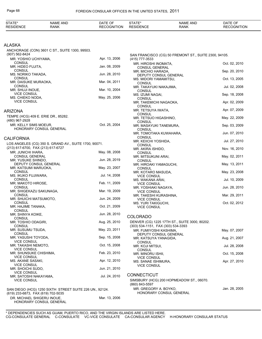| <b>STATE</b>     | AND<br>NAML | $\sim$ $\sim$<br>DATE<br>⊩ن | 0 T A T L<br>$  -$ | AND<br>NAME | DATE $\cap^-$      |
|------------------|-------------|-----------------------------|--------------------|-------------|--------------------|
| <b>RESIDENCE</b> | RANK        | ີ OGNITION<br>מאכ<br>. .    | <b>RESIDENCE</b>   | RANK        | <b>RECOGNITION</b> |

# ALASKA

| ALAJNA                                                           |               |                                                                                     |               |
|------------------------------------------------------------------|---------------|-------------------------------------------------------------------------------------|---------------|
| ANCHORAGE (CON) 3601 C ST., SUITE 1300, 99503.<br>(907) 562-8424 |               | SAN FRANCISCO (CG) 50 FREMONT ST., SUITE 2300, 94105.                               |               |
| MR. YOSHIO UCHIYAMA,                                             | Apr. 13, 2006 | (415) 777-3533                                                                      |               |
| <b>CONSUL</b>                                                    | Jan. 08, 2009 | MR. HIROSHI INOMATA,                                                                | Oct. 02, 2010 |
| MR. HIDEO FUJITA,<br><b>CONSUL</b>                               |               | CONSUL GENERAL<br>MR. MICHIO HARADA,                                                | Sep. 20, 2010 |
| MS. NORIKO TAKADA.                                               | Jun. 28, 2010 | DEPUTY CONSUL GENERAL                                                               |               |
| <b>CONSUL</b>                                                    |               | MS. MIDORI YAMAMITSU,                                                               | Oct. 13, 2005 |
| MR. DAISUKE MURAOKA,<br><b>CONSUL</b>                            | Mar. 04, 2011 | <b>CONSUL</b>                                                                       |               |
| MR. SHUJI INOUE,                                                 | Mar. 10, 2004 | MR. TAKAYUKI NAKAJIMA,<br><b>CONSUL</b>                                             | Jul. 02, 2008 |
| <b>VICE CONSUL</b>                                               |               | MS. IZUMI NAGAI,                                                                    | Sep. 18, 2008 |
| MS. CHIEKO NODA,<br><b>VICE CONSUL</b>                           | May. 25, 2006 | <b>CONSUL</b>                                                                       | Apr. 02, 2009 |
|                                                                  |               | MR. TAKEMICHI NAGAOKA,<br><b>CONSUL</b>                                             |               |
| ARIZONA                                                          |               | MR. TETSUYA IWATA,                                                                  | Apr. 07, 2009 |
| TEMPE (HCG) 409 E. ERIE DR., 85282.                              |               | <b>CONSUL</b><br>MR. TETSUO HIGASHINO,                                              | May. 22, 2009 |
| (480) 967-2928                                                   |               | <b>CONSUL</b>                                                                       |               |
| MR. KELLY SIMS MOEUR,                                            | Oct. 25, 2004 | MR. MASAYUKI TANEMURA,                                                              | Sep. 03, 2009 |
| HONORARY CONSUL GENERAL                                          |               | <b>CONSUL</b><br>MR. TOMOTAKA KUWAHARA,                                             | Jun. 07, 2010 |
| CALIFORNIA                                                       |               | <b>CONSUL</b>                                                                       |               |
| LOS ANGELES (CG) 350 S. GRAND AV., SUITE 1700, 90071.            |               | MR. KEIICHI YOSHIDA,                                                                | Jul. 27, 2010 |
| (213) 617-6700, FAX (213) 617-6727                               |               | <b>CONSUL</b><br>MR. AKIRA ISHIDO,                                                  | Nov. 16, 2010 |
| MR. JUNICHI IHARA,                                               | May. 08, 2008 | <b>CONSUL</b>                                                                       |               |
| <b>CONSUL GENERAL</b>                                            |               | MR. MITSUKUNI ARAI,                                                                 | May. 02, 2011 |
| MR. YUSUKE SHINDO,<br>DEPUTY CONSUL GENERAL                      | Jun. 28, 2019 | <b>CONSUL</b><br>MR. HIROAKI YAMAGUCHI,                                             | May. 13, 2011 |
| MR. KATSUMI MARUOKA,                                             | May. 23, 2007 | <b>CONSUL</b>                                                                       |               |
| <b>CONSUL</b>                                                    |               | MR. KOTARO MASUDA,                                                                  | May. 23, 2008 |
| MS. IKUKO FUJIWARA,<br>CONSUL                                    | Jul. 14, 2008 | <b>VICE CONSUL</b><br>MS. WAKANA ARAI,                                              | Jul. 10, 2009 |
| MR. MAKOTO HIROSE,                                               | Feb. 11, 2009 | <b>VICE CONSUL</b>                                                                  |               |
| <b>CONSUL</b>                                                    |               | MR. YOSHIAKI NAGAYA,                                                                | Jun. 28, 2010 |
| MR. SHIGEKAZU SAKUNAGA,<br><b>CONSUL</b>                         | Mar. 19, 2009 | <b>VICE CONSUL</b><br>MR. TAKESHI KURASHINA,                                        | Mar. 29, 2011 |
| MR. SHUICHI MATSUMOTO,                                           | Jun. 24, 2009 | <b>VICE CONSUL</b>                                                                  |               |
| <b>CONSUL</b>                                                    | Oct. 21, 2009 | MS. YURI TAKIGUCHI,                                                                 | Oct. 02, 2012 |
| MR. HAJIME TANAKA,<br><b>CONSUL</b>                              |               | <b>VICE CONSUL</b>                                                                  |               |
| MR. SHINYA KOIKE,                                                | Jun. 28, 2010 | <b>COLORADO</b>                                                                     |               |
| <b>CONSUL</b>                                                    |               |                                                                                     |               |
| MR. TOSHIO ODAGIRI,<br><b>CONSUL</b>                             | Aug. 25, 2010 | DENVER (CG) 1225 17TH ST., SUITE 3000, 80202.<br>(303) 534-1151, FAX (303) 534-3393 |               |
| MR. SUSUMU TSUDA.                                                | May. 23, 2011 | MR. FUMIYOSHI KASHIMA,                                                              | May. 07, 2007 |
| <b>CONSUL</b><br>MR. YASUSHI TOYODA,                             | Sep. 15, 2008 | DEPUTY CONSUL GENERAL                                                               |               |
| <b>VICE CONSUL</b>                                               |               | MR. KATSUYA YANAGIDA,<br><b>CONSUL</b>                                              | Aug. 21, 2007 |
| MR. TAKASHI NEMOTO,                                              | Oct. 15, 2008 | MR. KOJI MITSUI,                                                                    | Jul. 28, 2008 |
| <b>VICE CONSUL</b><br>MR. SHUNSUKE CHISHIMA,                     | Feb. 23, 2010 | <b>CONSUL</b>                                                                       | Oct. 15, 2008 |
| <b>VICE CONSUL</b>                                               |               | MR. MINORU ISHII,<br><b>VICE CONSUL</b>                                             |               |
| MS. AKANE SASAKI,                                                | Apr. 12, 2010 | MS. SANAE ISHIMURA,                                                                 | Apr. 27, 2010 |
| <b>VICE CONSUL</b><br>MR. SHOICHI SUDO,                          | Jun. 21, 2010 | <b>VICE CONSUL</b>                                                                  |               |
| <b>VICE CONSUL</b>                                               |               |                                                                                     |               |
| MR. SATOSHI NAKAYAMA,                                            | Jul. 24, 2010 | <b>CONNECTICUT</b>                                                                  |               |
| <b>VICE CONSUL</b>                                               |               | SIMSBURY (HCG) 200 HOPMEADOW ST., 06070.<br>(860) 843-5597                          |               |
| SAN DIEGO (HCG) 1250 SIXTH STREET SUITE 226 UN., 92124.          |               | MR. GREGORY A. BOYKO,                                                               | Jan. 28, 2005 |
| (619) 233-6873, FAX (619) 702-5035                               |               | HONORARY CONSUL GENERAL                                                             |               |
| DR. MICHAEL SHIGERU INOUE,<br>HONORARY CONSUL GENERAL            | Mar. 13, 2006 |                                                                                     |               |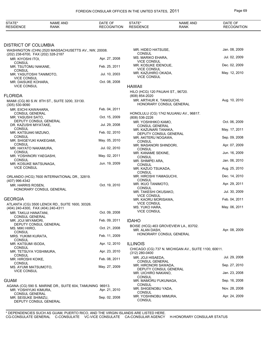| STATE*<br><b>RESIDENCE</b>                                 | <b>NAME AND</b><br><b>RANK</b>                           | DATE OF<br><b>RECOGNITION</b> | STATE*<br><b>RESIDENCE</b>                          | <b>NAME AND</b><br><b>RANK</b>                       | DATE OF<br><b>RECOGNITION</b> |
|------------------------------------------------------------|----------------------------------------------------------|-------------------------------|-----------------------------------------------------|------------------------------------------------------|-------------------------------|
|                                                            |                                                          |                               |                                                     |                                                      |                               |
| <b>DISTRICT OF COLUMBIA</b>                                |                                                          |                               |                                                     |                                                      |                               |
|                                                            | WASHINGTON (CHN) 2520 MASSACHUSETTS AV., NW, 20008.      |                               | MR. HIDEO HATSUSE,                                  |                                                      | Jan. 08, 2009                 |
| (202) 238-6700, FAX (202) 328-2187<br>MR. KIYOSHI ITOI,    |                                                          | Apr. 27, 2008                 | <b>CONSUL</b><br>MS. MARIKO EHARA,                  |                                                      | Jul. 02, 2009                 |
| <b>CONSUL</b>                                              |                                                          |                               | <b>VICE CONSUL</b><br>MR. KOSUKE IDENOUE,           |                                                      | Dec. 02, 2009                 |
| MR. TSUTOMU NAKANE,<br><b>CONSUL</b>                       |                                                          | Feb. 25, 2011                 | <b>VICE CONSUL</b>                                  |                                                      |                               |
| MR. YASUTOSHI TANIMOTO,                                    |                                                          | Jul. 10, 2003                 | MR. KAZUHIRO OKADA,<br><b>VICE CONSUL</b>           |                                                      | May. 12, 2010                 |
| <b>VICE CONSUL</b><br>MR. DAISUKE KOHARA,                  |                                                          | Oct. 08, 2008                 |                                                     |                                                      |                               |
| <b>VICE CONSUL</b>                                         |                                                          |                               | <b>HAWAII</b>                                       |                                                      |                               |
| <b>FLORIDA</b>                                             |                                                          |                               | HILO (HCG) 120 PAUAHI ST., 96720.<br>(808) 854-2020 |                                                      |                               |
|                                                            | MIAMI (CG) 80 S.W. 8TH ST., SUITE 3200, 33130.           |                               | MR. ARTHUR K. TANIGUCHI,                            |                                                      | Aug. 10, 2010                 |
| $(305) 530 - 9090$                                         |                                                          |                               |                                                     | HONORARY CONSUL GENERAL                              |                               |
| MR. EIICHI KAWAHARA,<br>CONSUL GENERAL                     |                                                          | Feb. 04, 2011                 |                                                     | HONOLULU (CG) 1742 NUUANU AV., 96817.                |                               |
| MR. YASUSHI SATO,                                          |                                                          | Oct. 15, 2009                 | (808) 536-2226                                      |                                                      |                               |
| DR. KAZUSHI MIYATAKE,                                      | DEPUTY CONSUL GENERAL                                    | Jul. 29, 2008                 | MR. YOSHIHIKO KAMO,<br><b>CONSUL GENERAL</b>        |                                                      | Oct. 06, 2009                 |
| <b>CONSUL</b>                                              |                                                          |                               | MR. KAZUNARI TANAKA,                                |                                                      | May. 17, 2011                 |
| MR. KATSUAKI MIZUNO,<br><b>CONSUL</b>                      |                                                          | Feb. 02, 2010                 | DEPUTY CONSUL GENERAL<br>MR. AKITERU NOGAWA,        |                                                      | Sep. 09, 2008                 |
| MR. SHIGEYUKI KAKEGAMI,<br><b>CONSUL</b>                   |                                                          | May. 05, 2010                 | <b>CONSUL</b>                                       |                                                      |                               |
| MR. HAYATO NAKAMURA,                                       |                                                          | Jul. 02, 2010                 | MR. MASANORI SHINDORI,<br><b>CONSUL</b>             |                                                      | Apr. 07, 2009                 |
| <b>CONSUL</b><br>MR. YOSHINORI YAEGASHI,                   |                                                          | May. 02, 2011                 | MR. KANAME SEKINE,<br><b>CONSUL</b>                 |                                                      | Jun. 16, 2009                 |
| <b>CONSUL</b>                                              |                                                          | Jun. 19, 2009                 | MR. SHIMPEI ARA,                                    |                                                      | Jan. 06, 2010                 |
| MR. KOSUKE MATSUNAGA,<br><b>VICE CONSUL</b>                |                                                          |                               | <b>CONSUL</b><br>MR. KAZUO TSUKADA,                 |                                                      | Aug. 25, 2010                 |
|                                                            |                                                          |                               | <b>CONSUL</b><br>MR. HIROSHI YAMAGUCHI,             |                                                      | Dec. 14, 2010                 |
| (407) 996-4342                                             | ORLANDO (HCG) 7600 INTERNATIONAL DR., 32819.             |                               | <b>CONSUL</b>                                       |                                                      |                               |
| MR. HARRIS ROSEN,                                          |                                                          | Oct. 19, 2010                 | MR. IKUO TANIMOTO,<br><b>CONSUL</b>                 |                                                      | Apr. 29, 2011                 |
|                                                            | HONORARY CONSUL GENERAL                                  |                               | MR. TAKESHI OKUSAKO,                                |                                                      | Jul. 30, 2009                 |
| <b>GEORGIA</b>                                             |                                                          |                               | <b>VICE CONSUL</b><br>MR. KAORU MORISAWA,           |                                                      | Feb. 04, 2011                 |
|                                                            | ATLANTA (CG) 3500 LENOX RD., SUITE 1600, 30326.          |                               | <b>VICE CONSUL</b>                                  |                                                      |                               |
| (404) 240-4300, FAX (404) 240-4311<br>MR. TAKUJI HANATANI, |                                                          | Oct. 09, 2008                 | MS. YUKO HARA,<br><b>VICE CONSUL</b>                |                                                      | May. 06, 2011                 |
| <b>CONSUL GENERAL</b>                                      |                                                          |                               |                                                     |                                                      |                               |
| MR. JOJI MIYAMORI,                                         | DEPUTY CONSUL GENERAL                                    | Feb. 09, 2011                 | <b>IDAHO</b>                                        |                                                      |                               |
| MS. MIKI HIIRO,                                            |                                                          | Oct. 21, 2008                 | MR. ALAN DASH,                                      | BOISE (HCG) 463 GROVEVIEW LA., 83702.                | Apr. 08, 2009                 |
| <b>CONSUL</b><br>MRS. YUKIMI KURATA,                       |                                                          | Feb. 11, 2009                 |                                                     | HONORARY CONSUL GENERAL                              |                               |
| <b>CONSUL</b><br>MR. KATSUMI ISODA,                        |                                                          | Apr. 12, 2010                 | <b>ILLINOIS</b>                                     |                                                      |                               |
| <b>CONSUL</b>                                              |                                                          |                               |                                                     | CHICAGO (CG) 737 N. MICHIGAN AV., SUITE 1100, 60611. |                               |
| MR. TETSUYA YOSHIMURA,<br><b>CONSUL</b>                    |                                                          | Apr. 23, 2010                 | (312) 280-0400                                      |                                                      |                               |
| MR. HIROSHI KOIKE,                                         |                                                          | Feb. 08, 2011                 | MR. JOJI HISAEDA,<br><b>CONSUL GENERAL</b>          |                                                      | Jul. 29, 2008                 |
| <b>CONSUL</b><br>MS. AYUMI MATSUMOTO,                      |                                                          | May. 27, 2009                 | MR. HIRONORI SAWADA,                                |                                                      | Sep. 27, 2010                 |
| <b>VICE CONSUL</b>                                         |                                                          |                               | DEPUTY CONSUL GENERAL<br>MR. UICHIRO NAKANO,        |                                                      | Jan. 23, 2008                 |
| <b>GUAM</b>                                                |                                                          |                               | <b>CONSUL</b><br>MR. MAMORU FUKUNAGA,               |                                                      | Sep. 16, 2008                 |
|                                                            | AGANA (CG) 590 S. MARINE DR., SUITE 604, TAMUNING 96913. |                               | <b>CONSUL</b>                                       |                                                      |                               |
| MR. YOSHIYUKI KIMURA,                                      |                                                          | Apr. 21, 2010                 | MR. SHIGENOBU YADA,<br>CONSUL                       |                                                      | Nov. 28, 2008                 |
| CONSUL GENERAL<br>MR. SEISUKE SHIMIZU,                     | DEPUTY CONSUL GENERAL                                    | Sep. 02, 2008                 | MR. YOSHINOBU MIMURA,<br><b>CONSUL</b>              |                                                      | Apr. 24, 2009                 |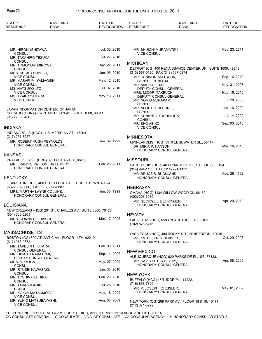| STATE*<br><b>RESIDENCE</b>                                       | NAME AND<br><b>RANK</b>                                                                                   | DATE OF<br><b>RECOGNITION</b> | STATE*<br><b>RESIDENCE</b>                            | <b>NAME AND</b><br><b>RANK</b>                                          | DATE OF<br><b>RECOGNITION</b> |
|------------------------------------------------------------------|-----------------------------------------------------------------------------------------------------------|-------------------------------|-------------------------------------------------------|-------------------------------------------------------------------------|-------------------------------|
|                                                                  |                                                                                                           |                               |                                                       |                                                                         |                               |
| MR. HIROKI ISHIZAWA,                                             |                                                                                                           | Jul. 02, 2010                 | MR. SHUICHI MURAMATSU,                                |                                                                         | May. 23, 2011                 |
| <b>CONSUL</b><br>MR. TAKAHIRO TEZUKA,                            |                                                                                                           | Jul. 27, 2010                 | <b>VICE CONSUL</b>                                    |                                                                         |                               |
| <b>CONSUL</b><br>MR. TOMONORI MINOWA,                            |                                                                                                           | Apr. 22, 2011                 | <b>MICHIGAN</b>                                       |                                                                         |                               |
| <b>CONSUL</b><br>MRS. SHOKO SHIMIZU,                             |                                                                                                           | Jan. 05, 2010                 | (313) 567-0120, FAX (313) 567-0274                    | DETROIT (CG) 400 RENAISSANCE CENTER UN., SUITE 1600, 48243.             |                               |
| <b>VICE CONSUL</b><br>MR. MASAFUMI YAMAGISHI,                    |                                                                                                           | May. 12, 2010                 | MR. KUNINORI MATSUDA,<br><b>CONSUL GENERAL</b>        |                                                                         | Sep. 16, 2010                 |
| <b>VICE CONSUL</b><br>MS. NATSUKO ITO,                           |                                                                                                           | Jul. 02, 2010                 | MR. AKIHIKO FUJII,                                    |                                                                         | May. 31, 2007                 |
| <b>VICE CONSUL</b>                                               |                                                                                                           |                               | MRS. MIDORI TAKEUCHI,                                 | DEPUTY CONSUL GENERAL                                                   | Nov. 18, 2010                 |
| MS. AYAKO YAMADA,<br><b>VICE CONSUL</b>                          |                                                                                                           | May. 13, 2011                 | MR. NORIO MURAKAMI,                                   | DEPUTY CONSUL GENERAL                                                   | Jul. 28, 2008                 |
|                                                                  | JAPAN INFORMATION CENTER OF JAPAN                                                                         |                               | <b>CONSUL</b><br>MR. NOBUTOSHI HORIE,                 |                                                                         | Jun. 16, 2009                 |
|                                                                  | CHICAGO (CONA) 737 N. MICHIGAN AV., SUITE 1000, 60611.                                                    |                               | <b>CONSUL</b><br>MR. KUNIHIKO YOSHIMURA,              |                                                                         | Jul. 14, 2009                 |
| (312) 280-0430                                                   |                                                                                                           |                               | <b>CONSUL</b><br>MR. SHO ABIKO,                       |                                                                         | Sep. 03, 2010                 |
| INDIANA                                                          |                                                                                                           |                               | <b>VICE CONSUL</b>                                    |                                                                         |                               |
| (317) 231-7227                                                   | INDIANAPOLIS (HCG) 11 S. MERIDIAN ST., 46204.                                                             |                               | <b>MINNESOTA</b>                                      |                                                                         |                               |
| MR. ROBERT HUGH REYNOLDS,                                        | HONORARY CONSUL GENERAL                                                                                   | Jun. 09, 1999                 | DR. MIRIA P. HANSON,                                  | MINNEAPOLIS (HCG) 5510 EDGEWATER BL., 55417.<br>HONORARY CONSUL GENERAL | Mar. 16, 2010                 |
| KANSAS                                                           |                                                                                                           |                               |                                                       |                                                                         |                               |
|                                                                  | PRAIRIE VILLAGE (HCG) 8931 CEDAR DR., 66208.<br>MR. FRANCIS PATTON, JR LEMERY,<br>HONORARY CONSUL GENERAL | Feb. 25, 2011                 | <b>MISSOURI</b><br>(314) 994-1133, FAX (314) 994-1133 | SAINT LOUIS (HCG) 46 BRIARCLIFF ST., ST. LOUIS 63124.                   |                               |
| KENTUCKY                                                         |                                                                                                           |                               | MR. BRUCE S. BUCKLAND,                                | HONORARY CONSUL GENERAL                                                 | Aug. 26, 1992                 |
|                                                                  | LEXINGTON (HCG) 400 E. COLLEGE ST., GEORGETOWN 40324.                                                     |                               |                                                       |                                                                         |                               |
| (502) 867-6600, FAX (502) 868-8887<br>MRS. MARTHA LAYNE COLLINS. |                                                                                                           | Jun. 30, 1999                 | <b>NEBRASKA</b>                                       |                                                                         |                               |
|                                                                  | HONORARY CONSUL GENERAL                                                                                   |                               | (402) 393-3089                                        | OMAHA (HCG) 1134 WILLOW WOOD CI., 68152.                                |                               |
| LOUISIANA                                                        |                                                                                                           |                               | MR. GEORGE J. BEHRINGER,                              | HONORARY CONSUL GENERAL                                                 | Apr. 20, 2010                 |
|                                                                  | NEW ORLEANS (HCG) 201 ST. CHARLES AV., SUITE 3600, 70170.                                                 |                               |                                                       |                                                                         |                               |
| $(504) 566 - 5201$<br>MRS. DONNA D. FRAICHE,                     |                                                                                                           | Mar. 17, 2008                 | <b>NEVADA</b>                                         | LAS VEGAS (HCG) 6583 PEACHTREE LA., 89103.                              |                               |
|                                                                  | HONORARY CONSUL GENERAL                                                                                   |                               | (702) 876-6716                                        |                                                                         |                               |
| MASSACHUSETTS                                                    |                                                                                                           |                               |                                                       | LAS VEGAS (HCG) 400 ROCKY RD., HENDERSON 89015.                         |                               |
| (617) 973-9772                                                   | BOSTON (CG) 600 ATLANTIC AV., FLOOR 14TH, 02210.                                                          |                               | MS. KATHLEEN S. BLAKELY,                              | HONORARY CONSUL GENERAL                                                 | Oct. 29, 2008                 |
| MR. TAKESHI HIKIHARA,                                            |                                                                                                           | Feb. 08, 2011                 |                                                       |                                                                         |                               |
| <b>CONSUL GENERAL</b><br>MR. HISASHI NAKATOMI,                   |                                                                                                           | Sep. 14, 2007                 | <b>NEW MEXICO</b>                                     | ALBUQUERQUE (HCG) 629 PARKSIDE PL., SE, 87123.                          |                               |
| MRS. MIKA IGA,                                                   | DEPUTY CONSUL GENERAL                                                                                     | May. 27, 2009                 | MR. DAVIS PETER BEGAY,                                |                                                                         | Apr. 08, 2009                 |
| <b>CONSUL</b><br>MR. RYUSEI KAWASAKI,                            |                                                                                                           | Jan. 05, 2010                 |                                                       | HONORARY CONSUL GENERAL                                                 |                               |
| <b>CONSUL</b><br>MR. TOSHINAGA HIRAI,                            |                                                                                                           | Feb. 23, 2010                 | <b>NEW YORK</b>                                       |                                                                         |                               |
| <b>CONSUL</b><br>MR. TAKASHI AOKI,                               |                                                                                                           | Jul. 28, 2010                 | (716) 868-7899                                        | BUFFALO (HCG) 45 TUDOR PL., 14222.                                      |                               |
| <b>CONSUL</b>                                                    |                                                                                                           |                               | MR. P. JOSEPH KOESSLER,                               | HONORARY CONSUL GENERAL                                                 | May. 01, 2002                 |
| MR. KOICHI MATSUMOTO,<br><b>VICE CONSUL</b>                      |                                                                                                           | May. 18, 2009                 |                                                       |                                                                         |                               |
| MR. YUKIO MATSUBAYASHI,<br><b>VICE CONSUL</b>                    |                                                                                                           | Aug. 06, 2009                 | (212) 371-8222                                        | NEW YORK (CG) 299 PARK AV., FLOOR 18 & 19, 10171.                       |                               |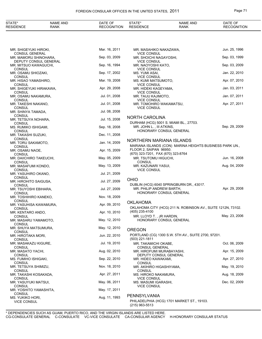## FOREIGN CONSULAR OFFICES IN THE UNITED STATES, 2011 **Page 71**

| STATE*<br><b>RESIDENCE</b>                             | <b>NAME AND</b><br>RANK | DATE OF<br><b>RECOGNITION</b> | STATE*<br><b>RESIDENCE</b>                                          | <b>NAME AND</b><br><b>RANK</b>                                    | DATE OF<br><b>RECOGNITION</b> |
|--------------------------------------------------------|-------------------------|-------------------------------|---------------------------------------------------------------------|-------------------------------------------------------------------|-------------------------------|
|                                                        |                         |                               |                                                                     |                                                                   |                               |
| MR. SHIGEYUKI HIROKI,                                  |                         | Mar. 16, 2011                 | MR. MASAHIKO NAKAZAWA,                                              |                                                                   | Jun. 25, 1996                 |
| <b>CONSUL GENERAL</b><br>MR. MAMORU SHINOHARA,         |                         | Sep. 03, 2009                 | <b>VICE CONSUL</b><br>MR. SHOICHI NAGAYOSHI,                        |                                                                   | Sep. 03, 1999                 |
| DEPUTY CONSUL GENERAL<br>MR. MITSUO KAWAGUCHI,         |                         | Sep. 16, 1994                 | <b>VICE CONSUL</b><br>MR. NAOYOSHI KATO,                            |                                                                   | Sep. 03, 2009                 |
| <b>CONSUL</b><br>MR. OSAMU SHIOZAKI,                   |                         | Sep. 17, 2002                 | <b>VICE CONSUL</b><br>MS. YUMI ASAI,                                |                                                                   | Jan. 22, 2010                 |
| <b>CONSUL</b>                                          |                         |                               | <b>VICE CONSUL</b>                                                  |                                                                   |                               |
| MR. HISAO YAMASHIRO,<br><b>CONSUL</b>                  |                         | Mar. 19, 2008                 | MS. KUMI MATSUMOTO,<br><b>VICE CONSUL</b>                           |                                                                   | Apr. 07, 2010                 |
| MR. SHIGEYUKI HIRAKAWA,<br><b>CONSUL</b>               |                         | Apr. 29, 2008                 | MR. HIDEKI KAGEYAMA,<br><b>VICE CONSUL</b>                          |                                                                   | Jan. 03, 2011                 |
| MR. OSAMU NAKAMURA,                                    |                         | Jul. 01, 2008                 | MR. TAIJU KAJIMOTO,                                                 |                                                                   | Jan. 07, 2011                 |
| CONSUL<br>MR. TAKESHI NAKANO,<br><b>CONSUL</b>         |                         | Jul. 01, 2008                 | <b>VICE CONSUL</b><br>MR. TOMOHIRO WAKAMATSU,<br><b>VICE CONSUL</b> |                                                                   | Apr. 27, 2011                 |
| MR. SHINYA TAMADA.                                     |                         | Jul. 08, 2008                 |                                                                     |                                                                   |                               |
| CONSUL<br>MR. TETSUYA NOHARA,                          |                         | Jul. 15, 2008                 | <b>NORTH CAROLINA</b>                                               |                                                                   |                               |
| <b>CONSUL</b><br>MS. RUMIKO ISHIGAMI,<br><b>CONSUL</b> |                         | Sep. 18, 2008                 | MR. JOHN L., III ATKINS,                                            | DURHAM (HCG) 5001 S. MIAMI BL., 27703.<br>HONORARY CONSUL GENERAL | Sep. 29, 2009                 |
| MR. TAKASHI SUZUKI,                                    |                         | Dec. 11, 2008                 |                                                                     |                                                                   |                               |
| <b>CONSUL</b><br>MR. TORU SAKAMOTO,                    |                         | Jan. 14, 2009                 | NORTHERN MARIANA ISLANDS                                            |                                                                   |                               |
| CONSUL<br>MR. OSAMU NAOE,<br><b>CONSUL</b>             |                         | Apr. 15, 2009                 | FLOOR 2, SAIPAN 96950.<br>(670) 323-7201, FAX (670) 323-8764        | MARIANA ISLANDS (CON) MARINA HEIGHTS BUSINESS PARK UN.,           |                               |
| MR. DAIICHIRO TAKEUCHI,                                |                         | May. 05, 2009                 | MR. TSUTOMU HIGUCHI,                                                |                                                                   | Jun. 16, 2008                 |
| CONSUL<br>MR. MASAFUMI KONDO,<br><b>CONSUL</b>         |                         | May. 13, 2009                 | <b>CONSUL</b><br>MR. KAZUNARI YASUI,<br><b>VICE CONSUL</b>          |                                                                   | Aug. 04, 2009                 |
| MR. YASUHIRO OKANO,                                    |                         | Jul. 21, 2009                 |                                                                     |                                                                   |                               |
| CONSUL<br>MR. HIROHITO SAIGUSA,<br><b>CONSUL</b>       |                         | Jul. 27, 2009                 | <b>OHIO</b>                                                         | DUBLIN (HCG) 6040 SPRINGBURN DR., 43017.                          |                               |
| MR. TSUYOSHI EBIHARA,                                  |                         | Jul. 27, 2009                 | MR. PHILIP ANDREW BARTH.                                            | HONORARY CONSUL GENERAL                                           | Apr. 29, 2008                 |
| <b>CONSUL</b><br>MR. TOSHIHIRO KANEKO,                 |                         | Nov. 18, 2009                 |                                                                     |                                                                   |                               |
| <b>CONSUL</b><br>MR. YASUHISA KAWAMURA,                |                         | Apr. 09, 2010                 | <b>OKLAHOMA</b>                                                     |                                                                   |                               |
| <b>CONSUL</b><br>MR. KENTARO ANDO,                     |                         | Apr. 10, 2010                 | (405) 235-4100                                                      | OKLAHOMA CITY (HCG) 211 N. ROBINSON AV., SUITE 1212N, 73102.      |                               |
| CONSUL                                                 |                         |                               | MR. LLOYD T., JR HARDIN,                                            |                                                                   | May. 23, 2006                 |
| MR. MASARU YAMAMOTO,<br>CONSUL                         |                         | May. 12, 2010                 |                                                                     | HONORARY CONSUL GENERAL                                           |                               |
| MR. SHUYA MATSUMURA,<br>CONSUL                         |                         | May. 12, 2010                 | <b>OREGON</b>                                                       |                                                                   |                               |
| MR. HIROTAKA MORI,<br><b>CONSUL</b>                    |                         | Jun. 22, 2010                 | (503) 221-1811                                                      | PORTLAND (CG) 1300 S.W. 5TH AV., SUITE 2700, 97201.               |                               |
| MR. MASAKAZU KIGURE,                                   |                         | Jul. 19, 2010                 | MR. TAKAMICHI OKABE,                                                |                                                                   | Oct. 06, 2009                 |
| CONSUL<br>MR. MASATO YACHI,                            |                         | Aug. 02, 2010                 | CONSUL GENERAL<br>MR. HIROFUMI MURABAYASHI,                         |                                                                   | Apr. 15, 2009                 |
| <b>CONSUL</b><br>MS. FUMIHO ISHIGAKI,                  |                         | Sep. 22, 2010                 | MR. HIDEO KAWAKAMI,                                                 | DEPUTY CONSUL GENERAL                                             | Apr. 27, 2010                 |
| CONSUL<br>MR. TETSUYA SHIMIZU,                         |                         | Nov. 18, 2010                 | <b>CONSUL</b><br>MR. AKIHIRO HIGASHIYAMA,                           |                                                                   | May. 19, 2010                 |
| <b>CONSUL</b><br>MR. TAKASHI KOSAKADA,                 |                         | Apr. 27, 2011                 | <b>CONSUL</b><br>MS. HIROKO NAKAMURA,                               |                                                                   | Aug. 18, 2009                 |
| CONSUL<br>MR. YASUYUKI MATSUI,                         |                         | May. 06, 2011                 | <b>VICE CONSUL</b><br>MS. MASUMI IGARASHI,                          |                                                                   | Dec. 02, 2009                 |
| <b>CONSUL</b><br>MR. YOSHITO YAMASHITA,                |                         | May. 17, 2011                 | <b>VICE CONSUL</b>                                                  |                                                                   |                               |
| <b>CONSUL</b><br>MS. YUKIKO HORI,                      |                         | Aug. 11, 1993                 | PENNSYLVANIA                                                        |                                                                   |                               |
| <b>VICE CONSUL</b>                                     |                         |                               | (215) 963-5513                                                      | PHILADELPHIA (HCG) 1701 MARKET ST., 19103.                        |                               |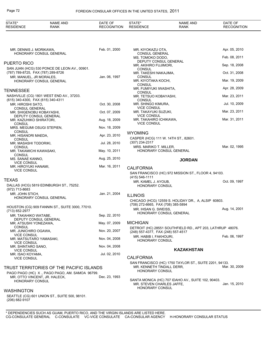# Page 72 FOREIGN CONSULAR OFFICES IN THE UNITED STATES, 2011

| STATE*<br><b>RESIDENCE</b>                        | <b>NAME AND</b><br><b>RANK</b>                                                 | DATE OF<br><b>RECOGNITION</b> | STATE*<br><b>RESIDENCE</b>                                   | <b>NAME AND</b><br><b>RANK</b>                             | DATE OF<br><b>RECOGNITION</b> |
|---------------------------------------------------|--------------------------------------------------------------------------------|-------------------------------|--------------------------------------------------------------|------------------------------------------------------------|-------------------------------|
|                                                   |                                                                                |                               |                                                              |                                                            |                               |
| MR. DENNIS J. MORIKAWA,                           |                                                                                | Feb. 01, 2000                 | MR. KIYOKAZU OTA,                                            |                                                            | Apr. 05, 2010                 |
|                                                   | HONORARY CONSUL GENERAL                                                        |                               | <b>CONSUL GENERAL</b><br>MS. TOMOKO DODO,                    |                                                            | Feb. 08, 2011                 |
| PUERTO RICO                                       |                                                                                |                               | MR. AKIHIRO FUJIMORI,                                        | DEPUTY CONSUL GENERAL                                      | Sep. 18, 2008                 |
| (787) 789-8725, FAX (787) 289-8726                | SAN JUAN (HCG) 530 PONCE DE LEON AV., 00901.                                   |                               | <b>CONSUL</b><br>MR. TAKESHI NAKAJIMA,                       |                                                            | Oct. 31, 2008                 |
| MR. MANUEL, JR MORALES,                           |                                                                                | Jan. 06, 1997                 | <b>CONSUL</b>                                                |                                                            | Mar. 19, 2009                 |
|                                                   | HONORARY CONSUL GENERAL                                                        |                               | MR. KIYOTAKA KOCHI,<br><b>CONSUL</b>                         |                                                            |                               |
| TENNESSEE                                         |                                                                                |                               | MR. FUMIYUKI IWASHITA,<br>CONSUL                             |                                                            | Apr. 28, 2009                 |
| (615) 340-4300, FAX (615) 340-4311                | NASHVILLE (CG) 1801 WEST END AV., 37203.                                       |                               | MR. TETSUO KOBAYASHI,<br>CONSUL                              |                                                            | Mar. 23, 2011                 |
| MR. HIROSHI SATO,                                 |                                                                                | Oct. 30, 2008                 | MR. SHINGO KIMURA,                                           |                                                            | Jul. 10, 2009                 |
| <b>CONSUL GENERAL</b><br>MR. SHIGENOBU KOBAYASHI, |                                                                                | Oct. 07, 2009                 | <b>VICE CONSUL</b><br>MR. TAKAYUKI SUZUKI,                   |                                                            | Mar. 23, 2011                 |
| MR. KAZUHIKO SHIRATORI,                           | DEPUTY CONSUL GENERAL                                                          | Aug. 18, 2009                 | <b>VICE CONSUL</b><br>MR. TAKAHIRO ICHIKAWA,                 |                                                            | Mar. 31, 2011                 |
| <b>CONSUL</b><br>MRS. MEGUMI OSUGI STEPIEN,       |                                                                                | Nov. 18, 2009                 | <b>VICE CONSUL</b>                                           |                                                            |                               |
| <b>CONSUL</b>                                     |                                                                                |                               | <b>WYOMING</b>                                               |                                                            |                               |
| MR. HISANORI MAEDA,<br><b>CONSUL</b>              |                                                                                | Apr. 23, 2010                 |                                                              | CASPER (HCG) 111 W. 14TH ST., 82601.                       |                               |
| MR. MASASHI TODORIKI,<br><b>CONSUL</b>            |                                                                                | Jul. 28, 2010                 | (307) 234-2317<br>MRS. MARIKO T. MILLER,                     |                                                            | Mar. 02, 1995                 |
| MR. TAKAMICHI KAWASAKI,<br><b>CONSUL</b>          |                                                                                | May. 10, 2011                 |                                                              | HONORARY CONSUL GENERAL                                    |                               |
| MS. SANAE KANNO,                                  |                                                                                | Aug. 25, 2010                 |                                                              | <b>JORDAN</b>                                              |                               |
| <b>VICE CONSUL</b><br>MR. HIROYUKI HANAMI,        |                                                                                | Mar. 16, 2011                 | <b>CALIFORNIA</b>                                            |                                                            |                               |
| <b>VICE CONSUL</b>                                |                                                                                |                               |                                                              | SAN FRANCISCO (HC) 972 MISSION ST., FLOOR 4, 94103.        |                               |
| TEXAS                                             |                                                                                |                               | (415) 546-1111<br>MR. KAMEL J. AYOUB,                        |                                                            | Oct. 09, 1997                 |
| (972) 713-8683                                    | DALLAS (HCG) 5819 EDINBURGH ST., 75252.                                        |                               | <b>HONORARY CONSUL</b>                                       |                                                            |                               |
| MR. JOHN STICH,                                   |                                                                                | Jan. 21, 2004                 | <b>ILLINOIS</b>                                              |                                                            |                               |
|                                                   | HONORARY CONSUL GENERAL                                                        |                               |                                                              | CHICAGO (HCG) 12559 S. HOLIDAY DR., A, ALSIP 60803.        |                               |
|                                                   | HOUSTON (CG) 909 FANNIN ST., SUITE 3000, 77010.                                |                               | (708) 272-6665, FAX (708) 385-5894<br>MR. IHSAN G. SWEISS,   |                                                            | Aug. 14, 2001                 |
| (713) 652-2977<br>MR. TAKAHIKO WATABE,            |                                                                                | Sep. 22, 2010                 |                                                              | HONORARY CONSUL GENERAL                                    |                               |
| MR. ATSUSHI YONEZAWA,                             | DEPUTY CONSUL GENERAL                                                          | May. 07, 2009                 | <b>MICHIGAN</b>                                              |                                                            |                               |
| <b>CONSUL</b>                                     |                                                                                |                               |                                                              | DETROIT (HC) 28551 SOUTHFIELD RD., APT 203, LATHRUP 48076. |                               |
| MR. JUNICHIRO OGAWA,<br><b>VICE CONSUL</b>        |                                                                                | Nov. 20, 2007                 | (248) 557-4377, FAX (248) 557-4517<br>MR. HABIB I. FAKHOURI, |                                                            | Feb. 06, 1997                 |
| MR. MATSUTARO YAMASAKI,<br><b>VICE CONSUL</b>     |                                                                                | Nov. 04, 2008                 | <b>HONORARY CONSUL</b>                                       |                                                            |                               |
| MR. SHINTARO SANO,<br><b>VICE CONSUL</b>          |                                                                                | Nov. 04, 2008                 |                                                              | <b>KAZAKHSTAN</b>                                          |                               |
| MR. ISAO KOYAMA,                                  |                                                                                | Jul. 02, 2010                 | <b>CALIFORNIA</b>                                            |                                                            |                               |
| <b>VICE CONSUL</b>                                |                                                                                |                               |                                                              | SAN FRANCISCO (HC) 1750 TAYLOR ST., SUITE 2201, 94133.     |                               |
|                                                   | TRUST TERRITORIES OF THE PACIFIC ISLANDS                                       |                               | MR. KENNETH TINDALL DERR,<br><b>HONORARY CONSUL</b>          |                                                            | Mar. 30, 2009                 |
|                                                   | PAGO PAGO (HC) X, PAGO PAGO, AM. SAMOA 96799.<br>MR. OTTO VINCENT, JR. HALECK, | Dec. 23, 1993                 |                                                              |                                                            |                               |
| <b>HONORARY CONSUL</b>                            |                                                                                |                               | MR. STEVEN CHARLES JAFFE,                                    | SANTA MONICA (HC) 707 IDAHO AV., SUITE 102, 90403.         | Jan. 15, 2010                 |
| WASHINGTON                                        |                                                                                |                               | <b>HONORARY CONSUL</b>                                       |                                                            |                               |
|                                                   | SEATTLE (CG) 601 UNION ST., SUITE 500, 98101.                                  |                               |                                                              |                                                            |                               |
| (206) 682-9107                                    |                                                                                |                               |                                                              |                                                            |                               |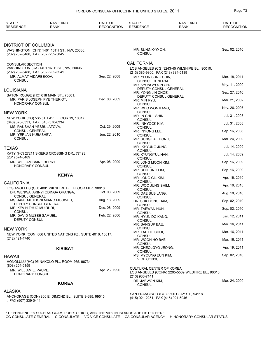| STATE*<br><b>RESIDENCE</b>                                  | <b>NAME AND</b><br>RANK                                   | DATE OF<br><b>RECOGNITION</b> | STATE*<br><b>RESIDENCE</b>                                | <b>NAME AND</b><br><b>RANK</b>                    | DATE OF<br><b>RECOGNITION</b> |
|-------------------------------------------------------------|-----------------------------------------------------------|-------------------------------|-----------------------------------------------------------|---------------------------------------------------|-------------------------------|
|                                                             |                                                           |                               |                                                           |                                                   |                               |
| <b>DISTRICT OF COLUMBIA</b>                                 |                                                           |                               |                                                           |                                                   |                               |
| (202) 232-5488, FAX (202) 232-5845                          | WASHINGTON (CHN) 1401 16TH ST., NW, 20036.                |                               | MR. SUNG KYO OH,<br><b>CONSUL</b>                         |                                                   | Sep. 02, 2010                 |
| <b>CONSULAR SECTION</b>                                     |                                                           |                               | <b>CALIFORNIA</b>                                         |                                                   |                               |
|                                                             | WASHINGTON (CA) 1401 16TH ST., NW, 20036.                 |                               |                                                           | LOS ANGELES (CG) 3243-45 WILSHIRE BL., 90010.     |                               |
| (202) 232-5488, FAX (202) 232-3541<br>MR. ALMAT AIDARBEKOV, |                                                           | Sep. 22, 2008                 | (213) 385-9300, FAX (213) 384-5139<br>MR. YEON SUNG SHIN, |                                                   | Mar. 18, 2011                 |
| <b>CONSUL</b>                                               |                                                           |                               | <b>CONSUL GENERAL</b>                                     |                                                   |                               |
|                                                             |                                                           |                               | MR. KYUNGYOON CHO,<br>DEPUTY CONSUL GENERAL               |                                                   | May. 11, 2009                 |
| <b>LOUISIANA</b>                                            | BATON ROUGE (HC) 618 MAIN ST., 70801.                     |                               | MR. YONG JIN CHOE,                                        |                                                   | Sep. 27, 2010                 |
|                                                             | MR. PARIS JOSEPH PYE THERIOT.                             | Dec. 08, 2009                 | DEPUTY CONSUL GENERAL<br>MR. MIN RYU,                     |                                                   | Mar. 21, 2002                 |
| <b>HONORARY CONSUL</b>                                      |                                                           |                               | <b>CONSUL</b>                                             |                                                   | Nov. 26, 2007                 |
| <b>NEW YORK</b>                                             |                                                           |                               | MR. WHO WON KANG,<br><b>CONSUL</b>                        |                                                   |                               |
|                                                             | NEW YORK (CG) 535 5TH AV., FLOOR 19, 10017.               |                               | MR. IN CHUL SHIN,<br><b>CONSUL</b>                        |                                                   | Jul. 31, 2008                 |
| (646) 370-6331, FAX (646) 370-6334                          |                                                           |                               | MR. INHYOCK KIM,                                          |                                                   | Jul. 31, 2008                 |
| MS. RAUSHAN YESBULATOVA,<br><b>CONSUL GENERAL</b>           |                                                           | Oct. 29, 2009                 | <b>CONSUL</b><br>MR. INYONG LEE,                          |                                                   | Sep. 16, 2008                 |
| MR. YERLAN KUBASHEV,<br><b>CONSUL</b>                       |                                                           | Jun. 22, 2010                 | <b>CONSUL</b>                                             |                                                   | Mar. 24, 2009                 |
|                                                             |                                                           |                               | MR. SUNG LAE HONG,<br><b>CONSUL</b>                       |                                                   |                               |
| <b>TEXAS</b>                                                |                                                           |                               | MR. IKHYUNG JUNG,<br>CONSUL                               |                                                   | Jul. 14, 2009                 |
| (281) 574-8489                                              | KATY (HC) 27211 SKIERS CROSSING DR., 77493.               |                               | MR. KYUNGYUL HAN,                                         |                                                   | Jul. 14, 2009                 |
| MR. WILLIAM BAINE BERRY,                                    |                                                           | Apr. 08, 2009                 | <b>CONSUL</b><br>MR. JONG MOON KIM,                       |                                                   | Sep. 16, 2009                 |
| <b>HONORARY CONSUL</b>                                      |                                                           |                               | <b>CONSUL</b><br>MR. SI HEUNG LIM,                        |                                                   | Sep. 16, 2009                 |
|                                                             | <b>KENYA</b>                                              |                               | <b>CONSUL</b>                                             |                                                   | Apr. 16, 2010                 |
| <b>CALIFORNIA</b>                                           |                                                           |                               | MR. JONG GIL KIM,<br><b>CONSUL</b>                        |                                                   |                               |
|                                                             | LOS ANGELES (CG) 4801 WILSHIRE BL., FLOOR MEZ, 90010.     |                               | MR. WOO JUNG SHIM,<br><b>CONSUL</b>                       |                                                   | Apr. 16, 2010                 |
|                                                             | DR. WENWA AKINYI ODINGA ORANGA,                           | Oct. 08, 2009                 | MR. DAE SUB JANG,                                         |                                                   | Aug. 18, 2010                 |
| <b>CONSUL GENERAL</b>                                       | MS. JANE MUTHONI MIANO MUGWEH,                            | Aug. 13, 2009                 | <b>CONSUL</b><br>DR. SUK DONG HAM,                        |                                                   | Sep. 02, 2010                 |
| DEPUTY CONSUL GENERAL<br>MR. KEVIN THUO MUIRURI,            |                                                           | Dec. 08, 2009                 | <b>CONSUL</b>                                             |                                                   |                               |
| <b>CONSUL</b>                                               |                                                           |                               | MR. TAEWAN HUH,<br><b>CONSUL</b>                          |                                                   | Sep. 02, 2010                 |
| MR. DAVID MUSEE SAMUEL,<br>DEPUTY CONSUL                    |                                                           | Feb. 22, 2006                 | MR. HYUN DO KANG.<br><b>CONSUL</b>                        |                                                   | Jan. 12, 2011                 |
|                                                             |                                                           |                               | MR. SANGUP BAE,                                           |                                                   | Mar. 16, 2011                 |
| <b>NEW YORK</b>                                             |                                                           |                               | <b>CONSUL</b><br>MR. TAE HO CHOI.                         |                                                   | Mar. 16, 2011                 |
| (212) 421-4740                                              | NEW YORK (CON) 866 UNITED NATIONS PZ., SUITE 4016, 10017. |                               | <b>CONSUL</b>                                             |                                                   | Mar. 16, 2011                 |
|                                                             |                                                           |                               | MR. WOON HO BAE,<br><b>CONSUL</b>                         |                                                   |                               |
|                                                             | <b>KIRIBATI</b>                                           |                               | MR. CHEOLGYO JEONG,<br>CONSUL                             |                                                   | Apr. 19, 2011                 |
| HAWAII                                                      |                                                           |                               | MS. MYOUNG EUN KIM,                                       |                                                   | Sep. 02, 2010                 |
|                                                             | HONOLULU (HC) 95 NAKOLO PL., ROOM 265, 96734.             |                               | <b>VICE CONSUL</b>                                        |                                                   |                               |
| (808) 254-5159<br>MR. WILLIAM E. PAUPE,                     |                                                           | Apr. 26, 1990                 | CULTURAL CENTER OF KOREA                                  |                                                   |                               |
| HONORARY CONSUL                                             |                                                           |                               | (213) 936-7141                                            | LOS ANGELES (CONA) 2205-5509 WILSHIRE BL., 90010. |                               |
|                                                             | <b>KOREA</b>                                              |                               | DR. JAEWON KIM,                                           |                                                   | Mar. 24, 2009                 |
|                                                             |                                                           |                               | <b>CONSUL</b>                                             |                                                   |                               |
| <b>ALASKA</b>                                               |                                                           |                               |                                                           | SAN FRANCISCO (CG) 3500 CLAY ST., 94118.          |                               |
| , FAX (907) 339-0411                                        | ANCHORAGE (CON) 800 E. DIMOND BL., SUITE 3-695, 99515.    |                               | (415) 921-2251, FAX (415) 921-5946                        |                                                   |                               |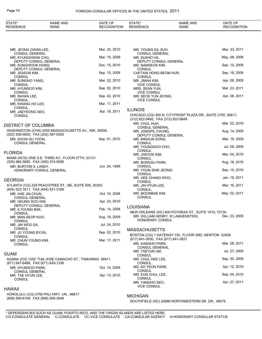| STATE*<br><b>RESIDENCE</b>                  | <b>NAME AND</b><br><b>RANK</b>                        | DATE OF<br><b>RECOGNITION</b> | STATE*<br><b>RESIDENCE</b>                  | <b>NAME AND</b><br><b>RANK</b>                              | DATE OF<br><b>RECOGNITION</b> |
|---------------------------------------------|-------------------------------------------------------|-------------------------------|---------------------------------------------|-------------------------------------------------------------|-------------------------------|
|                                             |                                                       |                               |                                             |                                                             |                               |
| MR. JEONG GWAN LEE,                         |                                                       | Mar. 22, 2010                 | MR. YOUNG KIL SUH,                          |                                                             | Mar. 23, 2011                 |
| <b>CONSUL GENERAL</b><br>MR. KYUNGHWAN CHO, |                                                       | Mar. 19, 2009                 | CONSUL GENERAL<br>MR. SUKHO HA,             |                                                             | May. 08, 2008                 |
| MR. SUNGWOOK HONG,                          | DEPUTY CONSUL GENERAL                                 | Dec. 15, 2010                 | DEPUTY CONSUL GENERAL<br>MR. NAMSEOK KIM,   |                                                             | Sep. 10, 2009                 |
| MR. JEASUN KIM,                             | DEPUTY CONSUL GENERAL                                 | Sep. 15, 2009                 | <b>CONSUL</b><br>CAPTAIN HONG BEOM HUR,     |                                                             | Sep. 16, 2009                 |
| <b>CONSUL</b><br>MR. SUNGHO YANG,           |                                                       | Mar. 22, 2010                 | <b>CONSUL</b><br>MR. JIMAN KIM,             |                                                             | Apr. 08, 2009                 |
| <b>CONSUL</b><br>MR. HYUNSOO KIM,           |                                                       | Sep. 02, 2010                 | <b>VICE CONSUL</b><br>MRS. SEAN YUN,        |                                                             | Mar. 23, 2011                 |
| <b>CONSUL</b><br>MR. INHWA LEE,             |                                                       | Sep. 02, 2010                 | <b>VICE CONSUL</b><br>MR. SEOK YUN JEONG,   |                                                             | Apr. 26, 2011                 |
| <b>CONSUL</b>                               |                                                       |                               | <b>VICE CONSUL</b>                          |                                                             |                               |
| MR. KWANG HO LEE,<br><b>CONSUL</b>          |                                                       | Mar. 17, 2011                 | <b>ILLINOIS</b>                             |                                                             |                               |
| MR. JAEYEONG SEO,<br><b>CONSUL</b>          |                                                       | Apr. 19, 2011                 | (312) 822-9485, FAX (312) 822-9849          | CHICAGO (CG) 455 N. CITYFRONT PLAZA DR., SUITE 2700, 60611. |                               |
| <b>DISTRICT OF COLUMBIA</b>                 |                                                       |                               | MR. CHUL HUH,<br><b>CONSUL GENERAL</b>      |                                                             | Mar. 22, 2010                 |
| (202) 939-5600, FAX (202) 387-0250          | WASHINGTON (CHN) 2450 MASSACHUSETTS AV., NW, 20008.   |                               | MR. JONGPIL CHUNG,<br>DEPUTY CONSUL GENERAL |                                                             | Aug. 14, 2009                 |
| MR. SOON GU YOON,                           |                                                       | Sep. 01, 2010                 | MR. MINHUN SONG,                            |                                                             | Mar. 19, 2009                 |
| <b>CONSUL GENERAL</b>                       |                                                       |                               | <b>CONSUL</b><br>MR. YOUNGSOO CHO,          |                                                             | Jul. 08, 2009                 |
| <b>FLORIDA</b>                              |                                                       |                               | <b>CONSUL</b><br>MR. JIWOOK KIM,            |                                                             | Mar. 04, 2010                 |
| (305) 982-5690, FAX (305) 374-5095          | MIAMI (HCG) ONE S.E. THIRD AV., FLOOR 27TH, 33131.    |                               | <b>CONSUL</b><br>MR. BONGSU PARK,           |                                                             | Aug. 18, 2010                 |
| MR. BURTON A. LANDY,                        | HONORARY CONSUL GENERAL                               | Jun. 24, 1999                 | <b>CONSUL</b><br>MR. YOUN SHIK JEONG,       |                                                             | Sep. 15, 2010                 |
|                                             |                                                       |                               | <b>CONSUL</b><br>MR. HEE CHANG WOO,         |                                                             | Jan. 18, 2011                 |
| <b>GEORGIA</b>                              | ATLANTA (CG) 229 PEACHTREE ST., NE, SUITE 500, 30303. |                               | <b>CONSUL</b><br>MR. JIN HYUN LEE,          |                                                             | Mar. 16, 2011                 |
| (404) 522-1611, FAX (404) 521-3169          |                                                       |                               | CONSUL                                      |                                                             | May. 02, 2011                 |
| MR. HAE JIN CHUN,<br><b>CONSUL GENERAL</b>  |                                                       | Oct. 10, 2008                 | MR. MOONBAE KIM,<br><b>CONSUL</b>           |                                                             |                               |
| MR. HEUNG SOO KIM,                          | DEPUTY CONSUL GENERAL                                 | Apr. 23, 2010                 | LOUISIANA                                   |                                                             |                               |
| MR. ILYOUNG BAE,<br><b>CONSUL</b>           |                                                       | Feb. 14, 2008                 |                                             | NEW ORLEANS (HC) 400 POYDRAS ST., SUITE 1410, 70130.        |                               |
| MR. MAN SEOP KOO,<br><b>CONSUL</b>          |                                                       | Aug. 19, 2009                 | <b>HONORARY CONSUL</b>                      | MR. WILLIAM HENRY, III LANGENSTEIN,                         | Dec. 23, 2009                 |
| MR. JIN WOO SA,<br><b>CONSUL</b>            |                                                       | Jul. 24, 2010                 |                                             |                                                             |                               |
| MR. JU YOUNG BYUN,                          |                                                       | Sep. 02, 2010                 | <b>MASSACHUSETTS</b>                        | BOSTON (CG) 1 GATEWAY CN., FLOOR 2ND, NEWTON 02458.         |                               |
| <b>CONSUL</b><br>MR. CHUN YOUNG KIM,        |                                                       | Mar. 17, 2011                 | (617) 641-2830, FAX (617) 641-2831          |                                                             |                               |
| <b>CONSUL</b>                               |                                                       |                               | MR. KANGHO PARK.<br><b>CONSUL GENERAL</b>   |                                                             | Mar. 28, 2011                 |
| <b>GUAM</b>                                 |                                                       |                               | MR. TAEYUN UM,<br><b>CONSUL</b>             |                                                             | Jul. 27, 2009                 |
| (671) 647-6488, FAX (671) 649-1336          | AGANA (CG) 125C TUN JOSE CAMACHO ST., TAMUNING 96911. |                               | MR. CHUL HEE LEE,<br>CONSUL                 |                                                             | Sep. 30, 2009                 |
| MR. HYUNSOO PARK,<br><b>CONSUL GENERAL</b>  |                                                       | Oct. 15, 2009                 | MS. SO YEON PARK,<br>CONSUL                 |                                                             | Apr. 12, 2010                 |
| MR. TAE HYUN LEE,                           |                                                       | Apr. 13, 2010                 | MR. EUN CHUL LEE,<br><b>CONSUL</b>          |                                                             | Sep. 04, 2010                 |
| <b>CONSUL</b>                               |                                                       |                               | MR. YANGHO SEO,                             |                                                             | Apr. 27, 2011                 |
| <b>HAWAII</b>                               |                                                       |                               | <b>VICE CONSUL</b>                          |                                                             |                               |
| (808) 595-6109, FAX (808) 595-3046          | HONOLULU (CG) 2756 PALI HWY. UN., 96817.              |                               | <b>MICHIGAN</b>                             |                                                             |                               |
|                                             |                                                       |                               |                                             | SOUTHFIELD (HC) 24666 NORTHWESTERN SR. DR., 48075.          |                               |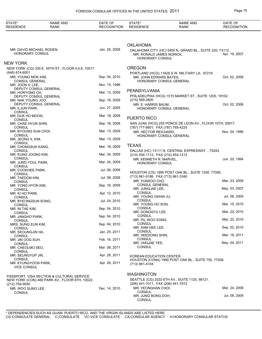| STATE*<br><b>RESIDENCE</b>                                 | <b>NAME AND</b><br><b>RANK</b>                     | DATE OF<br><b>RECOGNITION</b> | STATE*<br><b>RESIDENCE</b>                                 | NAME AND<br><b>RANK</b>                                  | DATE OF<br><b>RECOGNITION</b> |
|------------------------------------------------------------|----------------------------------------------------|-------------------------------|------------------------------------------------------------|----------------------------------------------------------|-------------------------------|
|                                                            |                                                    |                               |                                                            |                                                          |                               |
|                                                            |                                                    |                               | <b>OKLAHOMA</b>                                            |                                                          |                               |
| MR. DAVID MICHAEL RODEN,<br>HONORARY CONSUL                |                                                    | Jan. 29, 2008                 | MR. RONALD JAMES NORICK,<br>HONORARY CONSUL                | OKLAHOMA CITY (HC) 5400 N. GRAND BL., SUITE 220, 73112.  | Apr. 19, 2007                 |
| NEW YORK                                                   |                                                    |                               |                                                            |                                                          |                               |
|                                                            | NEW YORK (CG) 335 E. 45TH ST., FLOOR 4,5,6, 10017. |                               | <b>OREGON</b>                                              |                                                          |                               |
| $(646) 674 - 6001$<br>MR. YOUNG MOK KIM,                   |                                                    | Sep. 04, 2010                 | MR. JOHN EDWARD BATES.                                     | PORTLAND (HCG) 11626 S.W. MILITARY LA., 97219.           | Oct. 02, 2008                 |
| <b>CONSUL GENERAL</b><br>MR. JOON IL LEE,                  |                                                    | Nov. 15, 1996                 |                                                            | HONORARY CONSUL GENERAL                                  |                               |
| DEPUTY CONSUL GENERAL<br>MR. HORYONG OH,                   |                                                    | Mar. 13, 2009                 | PENNSYLVANIA                                               |                                                          |                               |
| DEPUTY CONSUL GENERAL                                      |                                                    |                               |                                                            | PHILADELPHIA (HCG) 1515 MARKET ST., SUITE 1200, 19102.   |                               |
| MR. NAK YOUNG JOO,<br>DEPUTY CONSUL GENERAL                |                                                    | Sep. 16, 2009                 | $(215) 569 - 2800$<br>MR. E. HARRIS BAUM,                  |                                                          | Oct. 02, 2006                 |
| MR. ILJUN PARK,<br><b>CONSUL</b>                           |                                                    | Jun. 27, 2005                 |                                                            | HONORARY CONSUL GENERAL                                  |                               |
| MR. DUK HO MOON,                                           |                                                    | Mar. 18, 2008                 | PUERTO RICO                                                |                                                          |                               |
| <b>CONSUL</b><br>MR. CHAE HYUN SHIN,                       |                                                    | Sep. 18, 2008                 |                                                            | SAN JUAN (HCG) 255 PONCE DE LEON AV., FLOOR 10TH, 00917. |                               |
| <b>CONSUL</b><br>MR. BYOUNG SUN CHOI,                      |                                                    | Mar. 13, 2009                 | (787) 777-8801, FAX (787) 765-4225<br>MR. HECTOR REICHARD, |                                                          | Nov. 04, 1996                 |
| <b>CONSUL</b><br>MR. JEONG IL KIM,                         |                                                    | Mar. 13, 2009                 |                                                            | HONORARY CONSUL GENERAL                                  |                               |
| <b>CONSUL</b><br>MR. CHONGSUK KANG,                        |                                                    | Mar. 18, 2009                 | <b>TEXAS</b>                                               |                                                          |                               |
| <b>CONSUL</b><br>MR. EUNG JOONG KIM,                       |                                                    | Mar. 24, 2009                 | (214) 454-1112, FAX (214) 454-1212                         | DALLAS (HC) 13111 N. CENTRAL EXPRESWAY., 75243.          |                               |
| <b>CONSUL</b><br>MR. JUNG YOUL PARK,                       |                                                    | Mar. 24, 2009                 | MR. KENNETH R. MARVEL,<br><b>HONORARY CONSUL</b>           |                                                          | Jun. 20, 1994                 |
| <b>CONSUL</b><br>MR. COOKHEE PARK,                         |                                                    | Jul. 08, 2009                 |                                                            | HOUSTON (CG) 1990 POST OAK BL., SUITE 1250, 77056.       |                               |
| <b>CONSUL</b><br>MR. TAEDON KIM,                           |                                                    | Jul. 08, 2009                 | (713) 961-0186, FAX (713) 961-3340                         |                                                          | Mar. 23, 2009                 |
| <b>CONSUL</b><br>MR. YONG HYON KIM,                        |                                                    | Sep. 16, 2009                 | MR. YUNSOO CHO.<br><b>CONSUL GENERAL</b>                   |                                                          |                               |
| <b>CONSUL</b><br>MR. KI HO PARK,                           |                                                    | Apr. 12, 2010                 | MR. JUNGJAE LEE,<br><b>CONSUL</b>                          |                                                          | May. 03, 2007                 |
| <b>CONSUL</b><br>MR. BYEONGSUN SONG,                       |                                                    | Jul. 24, 2010                 | MR. YOUNG GWAN JU,<br><b>CONSUL</b>                        |                                                          | Jul. 08, 2009                 |
| <b>CONSUL</b>                                              |                                                    |                               | MR. YOUNG HO SON,                                          |                                                          | Mar. 15, 2010                 |
| MR. IN TAE KIM,<br><b>CONSUL</b>                           |                                                    | Sep. 04, 2010                 | <b>CONSUL</b><br>MR. DONGGYU LEE,                          |                                                          | Mar. 22, 2010                 |
| MR. JANGHO PARK,<br><b>CONSUL</b>                          |                                                    | Sep. 04, 2010                 | <b>CONSUL</b><br>MR. PIL WOO SONG,                         |                                                          | Mar. 22, 2010                 |
| MRS. SUNG EUN KIM,<br><b>CONSUL</b>                        |                                                    | Sep. 04, 2010                 | <b>CONSUL</b><br>MR. SAM HEE LEE,                          |                                                          | Sep. 02, 2010                 |
| MR. SEOUNGJIN HA,<br><b>CONSUL</b>                         |                                                    | Jan. 25, 2011                 | <b>CONSUL</b><br>MR. HEEDONG SHIN,                         |                                                          | Mar. 18, 2011                 |
| MR. JIN OOG SUH,                                           |                                                    | Feb. 16, 2011                 | <b>CONSUL</b><br>MR. UNGJAE YEE,                           |                                                          | May. 04, 2011                 |
| <b>CONSUL</b><br>MR. CHEOLMO SEO.                          |                                                    | Mar. 08, 2011                 | <b>CONSUL</b>                                              |                                                          |                               |
| <b>CONSUL</b><br>MR. SEUNGYUP JIN,                         |                                                    | Apr. 28, 2011                 | KOREAN EDUCATION CENTER                                    |                                                          |                               |
| <b>CONSUL</b><br>MR. KYUNGYOON PARK,<br><b>VICE CONSUL</b> |                                                    | Apr. 26, 2011                 | (713) 961-4104                                             | HOUSTON (CONA) 1990 POST OAK BL., SUITE 750, 77056.      |                               |
|                                                            | PASSPORT, VISA SECTION & CULTURAL SERVICE          |                               | <b>WASHINGTON</b>                                          |                                                          |                               |
| $(212)$ 759-9550                                           | NEW YORK (CON) 460 PARK AV., FLOOR 6TH, 10022.     |                               | (206) 441-1011, FAX (206) 441-7912                         | SEATTLE (CG) 2033 6TH AV., SUITE 1125, 98121.            |                               |
| MR. WOO SUNG LEE,                                          |                                                    | Dec. 14, 2010                 | MR. YEONGHAN CHOI,                                         |                                                          | Mar. 24, 2009                 |
| <b>CONSUL</b>                                              |                                                    |                               | <b>CONSUL</b><br>MR. JUNG BONG DOH,<br><b>CONSUL</b>       |                                                          | Jul. 08, 2009                 |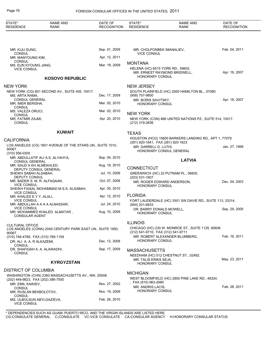| STATE*<br><b>RESIDENCE</b>                                       | <b>NAME AND</b><br><b>RANK</b>                             | DATE OF<br><b>RECOGNITION</b> | STATE*<br><b>RESIDENCE</b>                                  | <b>NAME AND</b><br><b>RANK</b>                            | DATE OF<br><b>RECOGNITION</b> |
|------------------------------------------------------------------|------------------------------------------------------------|-------------------------------|-------------------------------------------------------------|-----------------------------------------------------------|-------------------------------|
|                                                                  |                                                            |                               |                                                             |                                                           |                               |
| MR. KIJU SUNG,<br><b>CONSUL</b>                                  |                                                            | Sep. 01, 2009                 | MR. CHOLPONBEK IMANALIEV,<br><b>VICE CONSUL</b>             |                                                           | Feb. 04, 2011                 |
| MR. MANYOUNG KIM,                                                |                                                            | Apr. 12, 2011                 |                                                             |                                                           |                               |
| <b>CONSUL</b><br>MS. EUN KYOUNG JANG,                            |                                                            | Mar. 19, 2009                 | <b>MONTANA</b>                                              |                                                           |                               |
| <b>VICE CONSUL</b>                                               |                                                            |                               | HELENA (HC) 6515 YORK RD., 59602.<br><b>HONORARY CONSUL</b> | MR. ERNEST RAYMOND BRIDWELL,                              | Apr. 16, 2007                 |
|                                                                  | <b>KOSOVO REPUBLIC</b>                                     |                               |                                                             |                                                           |                               |
| <b>NEW YORK</b>                                                  |                                                            |                               | <b>NEW JERSEY</b>                                           |                                                           |                               |
| MS. ARTA RAMA,                                                   | NEW YORK (CG) 801 SECOND AV., SUITE 405, 10017.            | Dec. 17, 2009                 | $(908)$ 757-9800                                            | SOUTH PLAINFIELD (HC) 2500 HAMILTON BL., 07080.           |                               |
| <b>CONSUL GENERAL</b>                                            |                                                            |                               | MR. BORIS SAVITSKY,                                         |                                                           | Apr. 18, 2007                 |
| MR. IMER BERISHA,<br>CONSUL                                      |                                                            | Mar. 02, 2010                 | HONORARY CONSUL                                             |                                                           |                               |
| MS. VALEZA ORUCI,                                                |                                                            | Mar. 02, 2010                 | <b>NEW YORK</b>                                             |                                                           |                               |
| <b>CONSUL</b><br>MR. FATMIR ZAJMI,                               |                                                            | Apr. 20, 2010                 |                                                             | NEW YORK (CON) 866 UNITED NATIONS PZ., SUITE 514, 10017.  |                               |
| <b>CONSUL</b>                                                    |                                                            |                               | (212) 319-2836                                              |                                                           |                               |
|                                                                  | <b>KUWAIT</b>                                              |                               | <b>TEXAS</b>                                                |                                                           |                               |
|                                                                  |                                                            |                               |                                                             | HOUSTON (HCG) 15600 BARKERS LANDING RD., APT 1, 77079.    |                               |
| <b>CALIFORNIA</b>                                                | LOS ANGELES (CG) 1801 AVENUE OF THE STARS UN., SUITE 1010, |                               | (281) 920-1841, FAX (281) 920-1823                          |                                                           |                               |
| 90067.                                                           |                                                            |                               | MR. DARRELL D. LUTHI,                                       | HONORARY CONSUL GENERAL                                   | Jan. 27, 1999                 |
| $(310) 556 - 0300$                                               |                                                            |                               |                                                             |                                                           |                               |
| <b>CONSUL GENERAL</b>                                            | MR. ABDULLATIF ALI A.S. ALYAHYA,                           | Sep. 04, 2010                 |                                                             | <b>LATVIA</b>                                             |                               |
| MR. SAUD A KH ALMEKHLED,                                         |                                                            | Aug. 18, 2010                 | <b>CONNECTICUT</b>                                          |                                                           |                               |
| SHEIKH SABAH ALSABAH,                                            | DEPUTY CONSUL GENERAL                                      | Jul. 10, 2009                 |                                                             | GREENWICH (HC) 22 PUTNAM PL., 06830.                      |                               |
| DEPUTY CONSUL                                                    |                                                            |                               | $(203)$ 531-1907                                            |                                                           |                               |
| MR. BADER S. M. R. ALFAQAAN,<br><b>VICE CONSUL</b>               |                                                            | Oct. 07, 2008                 | <b>HONORARY CONSUL</b>                                      | MR. ROGER EDWARD ANDERSON,                                | Dec. 04, 2003                 |
|                                                                  | SHEIKH FAISAL MOHAMMAD M.S.S. ALSABAH,                     | Apr. 05, 2010                 |                                                             |                                                           |                               |
| <b>VICE CONSUL</b><br>MR. KHALED E.Y.Y. ALALI,                   |                                                            | Apr. 12, 2010                 | <b>FLORIDA</b>                                              |                                                           |                               |
| <b>VICE CONSUL</b>                                               |                                                            |                               |                                                             | FORT LAUDERDALE (HC) 3501 SW DAVIE RD., SUITE 113, 33314. |                               |
| <b>VICE CONSUL</b>                                               | MR. ABDULLAH A A A A ALNASSAR,                             | Jul. 24, 2010                 | (954) 201-6933<br>DR. BARRY DONALD MOWELL,                  |                                                           | Sep. 29, 2005                 |
| <b>CONSULAR AGENT</b>                                            | MR. MOHAMMED KHALED ALMATAR,                               | Aug. 10, 2009                 | HONORARY CONSUL                                             |                                                           |                               |
|                                                                  |                                                            |                               | <b>ILLINOIS</b>                                             |                                                           |                               |
| <b>CULTURAL OFFICE</b>                                           | LOS ANGELES (CONA) 2049 CENTURY PARK EAST UN., SUITE 1950, |                               |                                                             | CHICAGO (HC) 230 W. MONROE ST., SUITE 1125, 60606.        |                               |
| 90067.                                                           |                                                            |                               | (312) 541-9710, FAX (312) 541-9711                          |                                                           |                               |
| (310) 746-4789, FAX (310) 789-1159                               |                                                            |                               | <b>HONORARY CONSUL</b>                                      | MR. ROBERT ALEXANDER BLUMBERG.                            | Feb. 16, 2011                 |
| DR. ALI A. A. R ALKAZEMI,<br>CONSUL                              |                                                            | Dec. 12, 2008                 |                                                             |                                                           |                               |
| DR. SHAFIQAH A. A. ALAWADHI,                                     |                                                            | Sep. 17, 2009                 | <b>MASSACHUSETTS</b>                                        |                                                           |                               |
| CONSUL                                                           |                                                            |                               |                                                             | NEEDHAM (HC) 512 CHESTNUT ST., 02492.                     |                               |
|                                                                  | <b>KYRGYZSTAN</b>                                          |                               | MR. TALIS ERIKS SEJA,<br><b>HONORARY CONSUL</b>             |                                                           | May. 23, 2011                 |
| <b>DISTRICT OF COLUMBIA</b>                                      |                                                            |                               |                                                             |                                                           |                               |
|                                                                  | WASHINGTON (CHN) 2360 MASSACHUSETTS AV., NW, 20008.        |                               | <b>MICHIGAN</b>                                             |                                                           |                               |
| (202) 449-9823, FAX (202) 386-7550                               |                                                            |                               | , FAX (810) 963-2680                                        | WEST BLOOMFIELD (HC) 2850 PINE LAKE RD., 48324.           |                               |
| MR. EMIL KAIKIEV,<br>CONSUL                                      |                                                            | Nov. 27, 2002                 | MR. ANDRIS LACIS,                                           |                                                           | Feb. 28, 2011                 |
| MR. RUSLAN BEKBOLOTOV,                                           |                                                            | Nov. 19, 2009                 | <b>HONORARY CONSUL</b>                                      |                                                           |                               |
| <b>CONSUL</b><br>MS. ULBOLSUN ABYLGAZIEVA,<br><b>VICE CONSUL</b> |                                                            | Feb. 26, 2010                 |                                                             |                                                           |                               |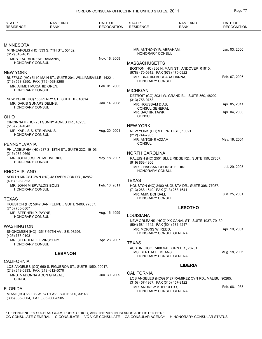| STATE*<br><b>RESIDENCE</b>                                    | <b>NAME AND</b><br><b>RANK</b>                              | DATE OF<br><b>RECOGNITION</b> | STATE*<br><b>RESIDENCE</b>                                 | <b>NAME AND</b><br><b>RANK</b>                        | DATE OF<br><b>RECOGNITION</b> |
|---------------------------------------------------------------|-------------------------------------------------------------|-------------------------------|------------------------------------------------------------|-------------------------------------------------------|-------------------------------|
|                                                               |                                                             |                               |                                                            |                                                       |                               |
| <b>MINNESOTA</b>                                              |                                                             |                               |                                                            |                                                       |                               |
| (612) 840-4615                                                | MINNEAPOLIS (HC) 333 S. 7TH ST., 55402.                     |                               | MR. ANTHONY R. ABRAHAM,<br><b>HONORARY CONSUL</b>          |                                                       | Jan. 03, 2000                 |
| MRS. LAURA IRENE RAMANIS,<br>HONORARY CONSUL                  |                                                             | Nov. 16, 2009                 | <b>MASSACHUSETTS</b>                                       |                                                       |                               |
| <b>NEW YORK</b>                                               |                                                             |                               | (978) 470-0912, FAX (978) 470-0922                         | BOSTON (HC) 366 N. MAIN ST., ANDOVER 01810.           |                               |
|                                                               | BUFFALO (HC) 5110 MAIN ST., SUITE 204, WILLIAMSVILLE 14221. |                               | MR. IBRAHIM BECHARA HANNA,<br><b>HONORARY CONSUL</b>       |                                                       | Feb. 07, 2005                 |
| (716) 568-8290, FAX (716) 568-8290<br>MR. AHMET MUCAHID OREN, |                                                             | Feb. 01, 2005                 |                                                            |                                                       |                               |
| <b>HONORARY CONSUL</b>                                        |                                                             |                               | <b>MICHIGAN</b>                                            |                                                       |                               |
|                                                               | NEW YORK (HC) 155 PERRY ST., SUITE 1B, 10014.               |                               | (313) 758-0753                                             | DETROIT (CG) 3031 W. GRAND BL., SUITE 560, 48202.     |                               |
| MR. DARIS GUNARS DELINS,<br><b>HONORARY CONSUL</b>            |                                                             | Jan. 14, 2008                 | MR. HOUSSAM DIAB,                                          |                                                       | Apr. 05, 2011                 |
| OHIO                                                          |                                                             |                               | <b>CONSUL GENERAL</b><br>MR. BACHIR TAWK,<br><b>CONSUL</b> |                                                       | Apr. 04, 2006                 |
|                                                               | CINCINNATI (HC) 251 SUNNY ACRES DR., 45255.                 |                               |                                                            |                                                       |                               |
| (513) 231-1043                                                |                                                             | Aug. 20, 2001                 | <b>NEW YORK</b>                                            |                                                       |                               |
| MR. KARLIS S. STEINMANIS,<br>HONORARY CONSUL                  |                                                             |                               | (212) 744-7905                                             | NEW YORK (CG) 9 E. 76TH ST., 10021.                   |                               |
| PENNSYLVANIA                                                  |                                                             |                               | MR. ANTOINE AZZAM,<br><b>CONSUL</b>                        |                                                       | May. 19, 2004                 |
|                                                               | PHILADELPHIA (HC) 237 S. 18TH ST., SUITE 22C, 19103.        |                               |                                                            |                                                       |                               |
| (215) 985-9669                                                |                                                             |                               | <b>NORTH CAROLINA</b>                                      |                                                       |                               |
| MR. JOHN JOSEPH MEDVECKIS,<br><b>HONORARY CONSUL</b>          |                                                             | May. 18, 2007                 | (919) 863-4306<br>MR. GHASSAN GEORGE ELDIRI,               | RALEIGH (HC) 2501 BLUE RIDGE RD., SUITE 150, 27607.   | Jul. 29, 2005                 |
| <b>RHODE ISLAND</b>                                           |                                                             |                               | <b>HONORARY CONSUL</b>                                     |                                                       |                               |
| (401) 398-0523                                                | NORTH KINGSTOWN (HC) 48 OVERLOOK DR., 02852.                |                               | <b>TEXAS</b>                                               |                                                       |                               |
| MR. JOHN MIERVALDIS BOLIS,                                    |                                                             | Feb. 10, 2011                 |                                                            | HOUSTON (HC) 2400 AUGUSTA DR., SUITE 308, 77057.      |                               |
| <b>HONORARY CONSUL</b>                                        |                                                             |                               | (713) 268-1640, FAX (713) 268-1641<br>MR. AMIN BOHSALI,    |                                                       | Jun. 25, 2001                 |
| <b>TEXAS</b>                                                  |                                                             |                               | <b>HONORARY CONSUL</b>                                     |                                                       |                               |
| (713) 785-0807                                                | HOUSTON (HC) 5847 SAN FELIPE., SUITE 3400, 77057.           |                               |                                                            | <b>LESOTHO</b>                                        |                               |
| MR. STEPHEN P. PAYNE,                                         |                                                             | Aug. 16, 1999                 | <b>LOUISIANA</b>                                           |                                                       |                               |
| HONORARY CONSUL                                               |                                                             |                               |                                                            | NEW ORLEANS (HCG) XX CANAL ST., SUITE 1937, 70130.    |                               |
| WASHINGTON                                                    |                                                             |                               | (504) 581-1642, FAX (504) 581-4247<br>MR. MORRIS W. REED,  |                                                       | Apr. 10, 2001                 |
| (425) 773-0103                                                | SNOHOMISH (HC) 13517 69TH AV., SE, 98296.                   |                               |                                                            | <b>HONORARY CONSUL GENERAL</b>                        |                               |
| MR. STEPHEN LEE ZIRSCHKY.<br>HONORARY CONSUL                  |                                                             | Apr. 23, 2007                 | <b>TEXAS</b>                                               |                                                       |                               |
|                                                               |                                                             |                               |                                                            | AUSTIN (HCG) 7400 VALBURN DR., 78731.                 |                               |
|                                                               | <b>LEBANON</b>                                              |                               | MS. BERTHA E. MEANS,                                       | HONORARY CONSUL GENERAL                               | Aug. 18, 2006                 |
| <b>CALIFORNIA</b>                                             |                                                             |                               |                                                            |                                                       |                               |
| (213) 243-0933, FAX (213) 612-5070                            | LOS ANGELES (CG) 660 S. FIGUEROA ST., SUITE 1050, 90017.    |                               |                                                            | <b>LIBERIA</b>                                        |                               |
| MRS. MADONNA AOUN GHAZAL,                                     |                                                             | Jun. 30, 2009                 | <b>CALIFORNIA</b>                                          |                                                       |                               |
| CONSUL                                                        |                                                             |                               | (310) 457-1967, FAX (310) 457-9122                         | LOS ANGELES (HCG) 6127 RAMIREZ CYN RD., MALIBU 90265. |                               |
| <b>FLORIDA</b>                                                |                                                             |                               | MR. ANDREW V. IPPOLITO,                                    |                                                       | Feb. 06, 1985                 |
| (305) 665-3004, FAX (305) 666-8905                            | MIAMI (HC) 6600 S.W. 57TH AV., SUITE 200, 33143.            |                               |                                                            | HONORARY CONSUL GENERAL                               |                               |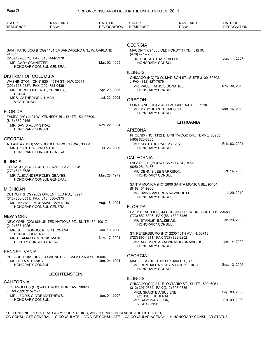| STATE*<br><b>RESIDENCE</b>                                          | <b>NAME AND</b><br><b>RANK</b>                          | DATE OF<br><b>RECOGNITION</b> | STATE*<br><b>RESIDENCE</b>                                    | <b>NAME AND</b><br><b>RANK</b>                                                                                            | DATE OF<br><b>RECOGNITION</b> |
|---------------------------------------------------------------------|---------------------------------------------------------|-------------------------------|---------------------------------------------------------------|---------------------------------------------------------------------------------------------------------------------------|-------------------------------|
|                                                                     |                                                         |                               |                                                               |                                                                                                                           |                               |
|                                                                     | SAN FRANCISCO (HCG) 1101 EMBARCADERO UN., W, OAKLAND    |                               | <b>GEORGIA</b>                                                | MACON (HC) 1338 OLD FORSYTH RD., 31210.                                                                                   |                               |
| 94607.<br>(510) 452-6373, FAX (510) 444-3370<br>MR. GARY SCHNITZER. | HONORARY CONSUL GENERAL                                 | Mar. 02, 1995                 | (478) 471-7788<br>DR. BRUCE STUART ALLEN,<br>HONORARY CONSUL  |                                                                                                                           | Jun. 11, 2007                 |
| <b>DISTRICT OF COLUMBIA</b>                                         |                                                         |                               | <b>ILLINOIS</b>                                               |                                                                                                                           |                               |
|                                                                     | WASHINGTON (CHN) 5201 16TH ST., NW, 20011.              |                               | , FAX (312) 827-7079                                          | CHICAGO (HC) 70 W. MADISON ST., SUITE 3100, 60602.                                                                        |                               |
| (202) 723-0437, FAX (202) 723-0436<br>CONSUL                        | MR. CHRISTOPHER J., SR NIPPY,                           | Apr. 20, 2005                 | HONORARY CONSUL                                               | MR. PAUL FRANCIS DONAHUE,                                                                                                 | Nov. 30, 2010                 |
| MRS. CATHERINE J. NMAH,                                             |                                                         | Jul. 22, 2003                 | <b>OREGON</b>                                                 |                                                                                                                           |                               |
| <b>VICE CONSUL</b><br><b>FLORIDA</b>                                |                                                         |                               | <b>HONORARY CONSUL</b>                                        | PORTLAND (HC) 2846 N.W. FAIRFAX TE., 97210.<br>MS. MARY JEAN THOMPSON,                                                    | Mar. 16, 2010                 |
|                                                                     | TAMPA (HC) 4401 W. KENNEDY BL., SUITE 150, 33609.       |                               |                                                               |                                                                                                                           |                               |
| (813) 639-0155<br>MR. DAVID A., JR STRAZ,                           |                                                         | Nov. 22, 2004                 |                                                               | <b>LITHUANIA</b>                                                                                                          |                               |
| <b>HONORARY CONSUL</b>                                              |                                                         |                               | <b>ARIZONA</b>                                                |                                                                                                                           |                               |
| <b>GEORGIA</b>                                                      |                                                         |                               |                                                               | PHOENIX (HC) 1132 E. DRIFTWOOD DR., TEMPE 85283.                                                                          |                               |
| MRS. CYNTHIA LYNN NASH,                                             | ATLANTA (HCG) 5515 ROCKTON WOOD WA., 30331.             | Jul. 28, 2009                 | (480) 820-6335<br>MR. KESTUTIS PAUL ZYGAS,<br>HONORARY CONSUL |                                                                                                                           | Feb. 03, 2001                 |
|                                                                     | HONORARY CONSUL GENERAL                                 |                               |                                                               |                                                                                                                           |                               |
| <b>ILLINOIS</b>                                                     |                                                         |                               | <b>CALIFORNIA</b>                                             | LAFAYETTE (HC) 674 SKY ITY CI., 94549.                                                                                    |                               |
| (773) 643-8635                                                      | CHICAGO (HCG) 7342 S. BENNETT AV., 60649.               |                               | (925) 284-3156<br>MR. DENNIS LEE GARRISON,                    |                                                                                                                           | Oct. 14, 2005                 |
|                                                                     | MR. ALEXANDER POLEY GBAYEE,<br>HONORARY CONSUL GENERAL  | Mar. 28, 1979                 | HONORARY CONSUL                                               |                                                                                                                           |                               |
| <b>MICHIGAN</b>                                                     |                                                         |                               | (818) 451-9966                                                | SANTA MONICA (HC) 2806 SANTA MONICA BL., 90404.                                                                           |                               |
| (313) 836-6331, FAX (313) 836-6375                                  | DETROIT (HCG) 9602 GREENFIELD RD., 48227.               |                               | <b>HONORARY CONSUL</b>                                        | MS. DAIVA VALERIJA NAVARRETTE,                                                                                            | Jul. 29, 2010                 |
|                                                                     | MR. MICHAEL MOHAMAD BAYDOUN,<br>HONORARY CONSUL GENERAL | Aug. 18, 1994                 | <b>FLORIDA</b>                                                |                                                                                                                           |                               |
|                                                                     |                                                         |                               |                                                               | PALM BEACH (HC) 44 COCONUT ROW UN., SUITE T10, 33480.                                                                     |                               |
| <b>NEW YORK</b><br>(212) 687-1025                                   | NEW YORK (CG) 866 UNITED NATIONS PZ., SUITE 480, 10017. |                               | MR. STANLEY BALZEKAS,<br><b>HONORARY CONSUL</b>               | (773) 582-8396, FAX (561) 832-7456                                                                                        | Jan. 28, 2000                 |
|                                                                     | MR. JEFF GONGOER, SR DOWANA,                            | Jan. 19, 2006                 |                                                               |                                                                                                                           |                               |
| <b>CONSUL GENERAL</b>                                               | MRS. FAMATTA MORRIS MANU,<br>DEPUTY CONSUL GENERAL      | Nov. 17, 2004                 |                                                               | ST. PETERSBURG (HC) 2235 16TH AV., N, 33713.<br>(727) 895-4811, FAX (727) 822-2252<br>MR. ALGIMANTAS ALBINAS KARNAVICIUS, | Jan. 14, 2000                 |
|                                                                     |                                                         |                               | HONORARY CONSUL                                               |                                                                                                                           |                               |
| PENNSYLVANIA                                                        |                                                         |                               | <b>GEORGIA</b>                                                |                                                                                                                           |                               |
| MS. TETA V. BANKS.<br><b>HONORARY CONSUL</b>                        | PHILADELPHIA (HC) 204 GARNET LA., BALA CYNWYD 19004.    | Jan. 04, 1994                 |                                                               | MARIETTA (HC) 1202 LEXHAM DR., 30068.<br>MS. ROMUALDA STASEVICIUS KLICIUS,                                                | Sep. 13, 2006                 |
|                                                                     | <b>LIECHTENSTEIN</b>                                    |                               | <b>HONORARY CONSUL</b>                                        |                                                                                                                           |                               |
|                                                                     |                                                         |                               | <b>ILLINOIS</b>                                               |                                                                                                                           |                               |
| <b>CALIFORNIA</b><br>, FAX (323) 315-7174                           | LOS ANGELES (HC) 400 S. ROSSMORE AV., 90020.            |                               |                                                               | CHICAGO (CG) 211 E. ONTARIO ST., SUITE 1500, 60611.<br>(312) 397-0382, FAX (312) 397-0885                                 |                               |
|                                                                     | MR. LEODIS CLYDE MATTHEWS,                              | Jun. 04, 2007                 | MRS. SKAISTE ANIULIENE,<br><b>CONSUL GENERAL</b>              |                                                                                                                           | Sep. 03, 2008                 |
| <b>HONORARY CONSUL</b>                                              |                                                         |                               | MR. RAMUNAS LODA,<br><b>VICE CONSUL</b>                       |                                                                                                                           | Oct. 09, 2009                 |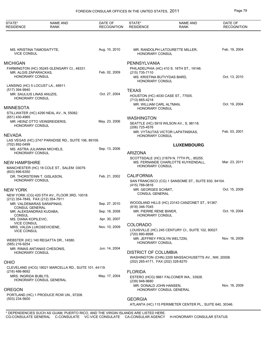| STATE*<br><b>RESIDENCE</b>                                                  | <b>NAME AND</b><br><b>RANK</b>                        | DATE OF<br><b>RECOGNITION</b> | STATE*<br><b>RESIDENCE</b>                         | <b>NAME AND</b><br><b>RANK</b>                                                  | DATE OF<br><b>RECOGNITION</b> |
|-----------------------------------------------------------------------------|-------------------------------------------------------|-------------------------------|----------------------------------------------------|---------------------------------------------------------------------------------|-------------------------------|
|                                                                             |                                                       |                               |                                                    |                                                                                 |                               |
| MS. KRISTINA TAMOSAITYTE,<br><b>VICE CONSUL</b>                             |                                                       | Aug. 10, 2010                 | <b>HONORARY CONSUL</b>                             | MR. RANDOLPH LATOURETTE MILLER,                                                 | Feb. 19, 2004                 |
| MICHIGAN                                                                    |                                                       |                               | PENNSYLVANIA                                       |                                                                                 |                               |
| MR. ALGIS ZAPARACKAS,<br><b>HONORARY CONSUL</b>                             | FARMINGTON (HC) 35245 GLENGARY CI., 48331.            | Feb. 02, 2009                 | (215) 735-7110<br>MS. KRISTINA BUTVYDAS BARD,      | PHILADELPHIA (HC) 410 S. 16TH ST., 19146.                                       | Oct. 13, 2010                 |
| LANSING (HC) 5 LOCUST LA., 48911.                                           |                                                       |                               | <b>HONORARY CONSUL</b>                             |                                                                                 |                               |
| (517) 394-9940<br>MR. SAULIUS LINAS ANUZIS,<br><b>HONORARY CONSUL</b>       |                                                       | Oct. 27, 2004                 | <b>TEXAS</b><br>(713) 665-4218                     | HOUSTON (HC) 4030 CASE ST., 77005.                                              |                               |
| <b>MINNESOTA</b>                                                            |                                                       |                               | MR. WILLIAM CARL ALTMAN,<br><b>HONORARY CONSUL</b> |                                                                                 | Oct. 19, 2004                 |
| (651) 430-4965                                                              | STILLWATER (HC) 4290 NEAL AV., N, 55082.              |                               |                                                    |                                                                                 |                               |
| MR. HEINZ OTTO VEINSREIDERIS,<br><b>HONORARY CONSUL</b>                     |                                                       | May. 23, 2006                 | <b>WASHINGTON</b><br>(206) 725-4576                | SEATTLE (HC) 5919 WILSON AV., S, 98118.                                         |                               |
| NEVADA                                                                      |                                                       |                               | HONORARY CONSUL                                    | MR. VYTAUTAS VICTOR LAPATINSKAS,                                                | Feb. 03, 2001                 |
| (702) 892-0499                                                              | LAS VEGAS (HC) 2747 PARADISE RD., SUITE 106, 89109.   |                               |                                                    | <b>LUXEMBOURG</b>                                                               |                               |
| MS. ASTRA JULIANNA MICHELS,<br><b>HONORARY CONSUL</b>                       |                                                       | Sep. 13, 2006                 | <b>ARIZONA</b>                                     |                                                                                 |                               |
| <b>NEW HAMPSHIRE</b>                                                        | MANCHESTER (HC) 18 COLE ST., SALEM 03079.             |                               | <b>HONORARY CONSUL</b>                             | SCOTTSDALE (HC) 21679 N. 77TH PL., 85255.<br>MS. FERNANDE CHARLOTTE KUYKENDALL, | Mar. 23, 2011                 |
| $(603) 896 - 6350$<br>DR. THORSTEINN T. GISLASON,<br><b>HONORARY CONSUL</b> |                                                       | Feb. 21, 2002                 | <b>CALIFORNIA</b>                                  | SAN FRANCISCO (CG) 1 SANSOME ST., SUITE 830, 94104.                             |                               |
| NEW YORK                                                                    |                                                       |                               | (415) 788-0816<br>MR. GEORGES SCHMIT,              |                                                                                 | Oct. 15, 2009                 |
| (212) 354-7849, FAX (212) 354-7911                                          | NEW YORK (CG) 420 5TH AV., FLOOR 3RD, 10018.          |                               | <b>CONSUL GENERAL</b>                              |                                                                                 |                               |
| MR. VALDEMARAS SARAPINAS,                                                   |                                                       | Sep. 27, 2010                 | (818) 346-7045                                     | WOODLAND HILLS (HC) 23143 CANZONET ST., 91367.                                  |                               |
| <b>CONSUL GENERAL</b><br>MR. ALEKSANDRAS KUDABA,<br><b>CONSUL</b>           |                                                       | Sep. 18, 2008                 | MR. PIERRE RENE BIWER,<br>HONORARY CONSUL          |                                                                                 | Oct. 19, 2004                 |
| MS. DIANA KOPILEVIC,<br><b>VICE CONSUL</b>                                  |                                                       | Apr. 30, 2007                 |                                                    |                                                                                 |                               |
| MRS. VALDA LUKOSEVICIENE,<br><b>VICE CONSUL</b>                             |                                                       | Nov. 10, 2009                 | <b>COLORADO</b><br>(720) 890-8998                  | LOUISVILLE (HC) 245 CENTURY CI., SUITE 102, 80027.                              |                               |
| (585) 216-9254                                                              | WEBSTER (HC) 140 REGATTA DR., 14580.                  |                               | MR. JEFFREY FROLYN WELTZIN,<br>HONORARY CONSUL     |                                                                                 | Nov. 16, 2009                 |
| MR. RIMAS ANTANAS CHESONIS,<br><b>HONORARY CONSUL</b>                       |                                                       | Jun. 14, 2004                 | <b>DISTRICT OF COLUMBIA</b>                        | WASHINGTON (CHN) 2200 MASSACHUSETTS AV., NW, 20008.                             |                               |
| OHIO                                                                        | CLEVELAND (HCG) 18021 MARCELLA RD., SUITE 101, 44119. |                               | (202) 265-4171, FAX (202) 328-8270                 |                                                                                 |                               |
| (216) 486-8692                                                              |                                                       |                               | <b>FLORIDA</b>                                     |                                                                                 |                               |
| MRS. INGRIDA BUBLYS,                                                        | HONORARY CONSUL GENERAL                               | May. 17, 2004                 | (239) 948-9680                                     | ESTERO (HCG) 9661 FALCONER WA., 33928.                                          |                               |
| OREGON                                                                      |                                                       |                               | MR. DONALD JOHN HANSEN,                            | HONORARY CONSUL GENERAL                                                         | Nov. 16, 2009                 |
| (503) 234-5600                                                              | PORTLAND (HC) 1 PRODUCE ROW UN., 97208.               |                               | <b>GEORGIA</b>                                     | ATLANTA (HC) 115 PERIMETER CENTER PL., SUITE 640, 30346.                        |                               |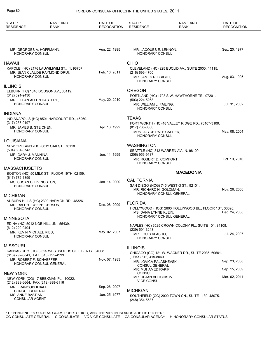| STATE*<br><b>RESIDENCE</b>                         | <b>NAME AND</b><br><b>RANK</b>                                                | DATE OF<br><b>RECOGNITION</b> | STATE*<br><b>RESIDENCE</b>                                       | <b>NAME AND</b><br><b>RANK</b>                                    | DATE OF<br><b>RECOGNITION</b> |
|----------------------------------------------------|-------------------------------------------------------------------------------|-------------------------------|------------------------------------------------------------------|-------------------------------------------------------------------|-------------------------------|
|                                                    |                                                                               |                               |                                                                  |                                                                   |                               |
| MR. GEORGES A. HOFFMANN,<br><b>HONORARY CONSUL</b> |                                                                               | Aug. 22, 1995                 | MR. JACQUES E. LENNON,<br>HONORARY CONSUL                        |                                                                   | Sep. 20, 1977                 |
| <b>HAWAII</b>                                      |                                                                               |                               | <b>OHIO</b>                                                      |                                                                   |                               |
| <b>HONORARY CONSUL</b>                             | KAPOLEI (HC) 2176 LAUWILIWILI ST., 1, 96707.<br>MR. JEAN CLAUDE RAYMOND DRUI, | Feb. 16, 2011                 | (216) 696-4700<br>MR. JAMES R. BRIGHT,<br><b>HONORARY CONSUL</b> | CLEVELAND (HC) 925 EUCLID AV., SUITE 2000, 44115.                 | Aug. 03, 1995                 |
| <b>ILLINOIS</b>                                    |                                                                               |                               |                                                                  |                                                                   |                               |
| (312) 391-9430                                     | ELBURN (HC) 1340 DODSON AV., 60119.                                           |                               | <b>OREGON</b>                                                    | PORTLAND (HC) 1708 S.W. HAWTHORNE TE., 97201.                     |                               |
| MR. ETHAN ALLEN HASTERT,                           |                                                                               | May. 20, 2010                 | (503) 224-5268                                                   |                                                                   |                               |
| <b>HONORARY CONSUL</b>                             |                                                                               |                               | MR. WILLIAM L. FAILING,<br>HONORARY CONSUL                       |                                                                   | Jul. 31, 2002                 |
| <b>INDIANA</b>                                     |                                                                               |                               |                                                                  |                                                                   |                               |
| (317) 257-9197                                     | INDIANAPOLIS (HC) 8501 HARCOURT RD., 46260.                                   |                               | <b>TEXAS</b>                                                     | FORT WORTH (HC) 48 VALLEY RIDGE RD., 76107-3109.                  |                               |
| MR. JAMES B. STEICHEN,                             |                                                                               | Apr. 13, 1992                 | (817) 738-8600                                                   |                                                                   |                               |
| <b>HONORARY CONSUL</b>                             |                                                                               |                               | MRS. JOYCE PATE CAPPER,<br><b>HONORARY CONSUL</b>                |                                                                   | May. 08, 2001                 |
| LOUISIANA                                          |                                                                               |                               |                                                                  |                                                                   |                               |
| (504) 861-3743                                     | NEW ORLEANS (HC) 8012 OAK ST., 70118.                                         |                               | <b>WASHINGTON</b>                                                | SEATTLE (HC) 812 WARREN AV., N, 98109.                            |                               |
| MR. GARY J. MANNINA,<br><b>HONORARY CONSUL</b>     |                                                                               | Jun. 11, 1999                 | (206) 956-9137<br>MR. ROBERT D. COMFORT.<br>HONORARY CONSUL      |                                                                   | Oct. 19, 2010                 |
| <b>MASSACHUSETTS</b>                               |                                                                               |                               |                                                                  |                                                                   |                               |
| (617) 772-1399                                     | BOSTON (HC) 50 MILK ST., FLOOR 19TH, 02109.                                   |                               |                                                                  | <b>MACEDONIA</b>                                                  |                               |
| MS. SUSAN C. LIVINGSTON,                           |                                                                               | Jan. 14, 2000                 | <b>CALIFORNIA</b>                                                |                                                                   |                               |
| <b>HONORARY CONSUL</b>                             |                                                                               |                               | MR. RICHARD H. GOLDMAN,                                          | SAN DIEGO (HCG) 745 WEST G ST., 92101.<br>HONORARY CONSUL GENERAL | Nov. 26, 2008                 |
| <b>MICHIGAN</b>                                    | AUBURN HILLS (HC) 2300 HARMON RD., 48326.                                     |                               |                                                                  |                                                                   |                               |
| MR. RALPH JOSEPH GERSON,<br>HONORARY CONSUL        |                                                                               | Dec. 08, 2009                 | <b>FLORIDA</b>                                                   | HOLLYWOOD (HCG) 2600 HOLLYWOOD BL., FLOOR 1ST, 33020.             |                               |
| <b>MINNESOTA</b>                                   |                                                                               |                               | MS. DANA LYNNE KLEIN,                                            | HONORARY CONSUL GENERAL                                           | Dec. 24, 2008                 |
|                                                    | EDINA (HC) 5012 NOB HILL UN., 55439.                                          |                               |                                                                  | NAPLES (HC) 6525 CROWN COLONY PL., SUITE 101, 34108.              |                               |
| (612) 220-0404<br>MR. KEVIN MICHAEL RIES,          |                                                                               | May. 02, 2007                 | (239) 591-3248                                                   |                                                                   |                               |
| <b>HONORARY CONSUL</b>                             |                                                                               |                               | MR. LOUIS VLASHO.<br><b>HONORARY CONSUL</b>                      |                                                                   | Jul. 24, 2007                 |
| <b>MISSOURI</b>                                    |                                                                               |                               | <b>ILLINOIS</b>                                                  |                                                                   |                               |
| (816) 792-0841, FAX (816) 792-4999                 | KANSAS CITY (HCG) 325 WESTWOODS CI., LIBERTY 64068.                           |                               |                                                                  | CHICAGO (CG) 121 W. WACKER DR., SUITE 2036, 60601.                |                               |
| MR. ROBERT F. SCHAEFFER,                           |                                                                               | Nov. 07, 1983                 | , FAX (312) 419-8040<br>MR. JOVICA PALASHEVSKI,                  |                                                                   | Sep. 23, 2008                 |
|                                                    | HONORARY CONSUL GENERAL                                                       |                               | <b>CONSUL GENERAL</b>                                            |                                                                   |                               |
| <b>NEW YORK</b>                                    |                                                                               |                               | MR. MUHAMED RAKIPI,<br><b>CONSUL</b>                             |                                                                   | Sep. 15, 2009                 |
| (212) 888-6664, FAX (212) 888-6116                 | NEW YORK (CG) 17 BEEKMAN PL., 10022.                                          |                               | MR. DEJAN VELICHKOV,<br><b>VICE CONSUL</b>                       |                                                                   | Mar. 02, 2011                 |
| MR. FRANCOIS KNAFF,                                |                                                                               | Sep. 26, 2007                 |                                                                  |                                                                   |                               |
| <b>CONSUL GENERAL</b><br>MS. ANNE BASTIAN,         |                                                                               | Jan. 25, 1977                 | <b>MICHIGAN</b>                                                  | SOUTHFIELD (CG) 2000 TOWN CN., SUITE 1130, 48075.                 |                               |
| <b>CONSULAR AGENT</b>                              |                                                                               |                               | (248) 354-5537                                                   |                                                                   |                               |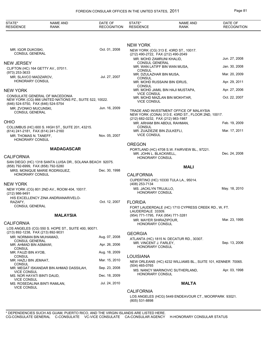| STATE*<br><b>RESIDENCE</b>                             | <b>NAME AND</b><br><b>RANK</b>                                                            | DATE OF<br><b>RECOGNITION</b> | STATE*<br><b>RESIDENCE</b>                                     | <b>NAME AND</b><br><b>RANK</b>                                                                | DATE OF<br><b>RECOGNITION</b> |
|--------------------------------------------------------|-------------------------------------------------------------------------------------------|-------------------------------|----------------------------------------------------------------|-----------------------------------------------------------------------------------------------|-------------------------------|
|                                                        |                                                                                           |                               |                                                                |                                                                                               |                               |
|                                                        |                                                                                           |                               | <b>NEW YORK</b>                                                |                                                                                               |                               |
| MR. IGOR DUKOSKI,<br><b>CONSUL GENERAL</b>             |                                                                                           | Oct. 01, 2008                 |                                                                | NEW YORK (CG) 313 E. 43RD ST., 10017.                                                         |                               |
|                                                        |                                                                                           |                               | (212) 490-2722, FAX (212) 490-2049<br>MR. MOHD ZAMRUNI KHALID, |                                                                                               | Jun. 27, 2008                 |
| <b>NEW JERSEY</b>                                      |                                                                                           |                               | <b>CONSUL GENERAL</b>                                          | MR. WAN LATIFF BIN WAN MUSA.                                                                  | Jan. 30, 2008                 |
| CLIFTON (HC) 164 GETTY AV., 07011.<br>$(973)$ 253-3633 |                                                                                           |                               | <b>CONSUL</b>                                                  |                                                                                               |                               |
| MR. SLAVCO MADZAROV,                                   |                                                                                           | Jul. 27, 2007                 | MR. DZULAZHAR BIN MUSA,<br><b>CONSUL</b>                       |                                                                                               | Mar. 20, 2009                 |
| HONORARY CONSUL                                        |                                                                                           |                               | <b>CONSUL</b>                                                  | MR. MOHD RUSSAINI BIN IDRUS,                                                                  | Apr. 29, 2011                 |
| <b>NEW YORK</b>                                        |                                                                                           |                               |                                                                | MR. MOHD JAMIL BIN HAJI MUSTAPA,                                                              | Apr. 27, 2006                 |
| (646) 524-5750, FAX (646) 524-5754                     | CONSULATE GENERAL OF MACEDONIA<br>NEW YORK (CG) 866 UNITED NATIONS PZ., SUITE 522, 10022. |                               | <b>VICE CONSUL</b><br><b>VICE CONSUL</b>                       | MR. MOHD MAZLAN BIN MOKHTAR,                                                                  | Oct. 22, 2007                 |
| MR. ZVONKO MUCUNSKI,<br><b>CONSUL GENERAL</b>          |                                                                                           | Jun. 16, 2009                 | (212) 682-0232, FAX (212) 983-1987                             | TRADE AND INVESTMENT OFFICE OF MALAYSIA<br>NEW YORK (CONA) 313 E. 43RD ST., FLOOR 2ND, 10017. |                               |
| <b>OHIO</b>                                            |                                                                                           |                               |                                                                | MR. ARHAM BIN ABDUL RAHMAN,                                                                   | Feb. 19, 2009                 |
| (614) 241-2181, FAX (614) 241-2160                     | COLUMBUS (HC) 600 S. HIGH ST., SUITE 201, 43215.                                          |                               | <b>CONSUL</b><br>MR. ZUAZIEZIE BIN ZULKEFLI,                   |                                                                                               | Mar. 17, 2011                 |
| MR. THOMAS N. TANEFF,                                  |                                                                                           | Nov. 05, 2007                 | <b>VICE CONSUL</b>                                             |                                                                                               |                               |
| <b>HONORARY CONSUL</b>                                 |                                                                                           |                               | <b>OREGON</b>                                                  |                                                                                               |                               |
| <b>CALIFORNIA</b>                                      | <b>MADAGASCAR</b>                                                                         |                               | MR. JOHN L. BLACKWELL,<br><b>HONORARY CONSUL</b>               | PORTLAND (HC) 4708 S.W. FAIRVIEW BL., 97221.                                                  | Dec. 24, 2008                 |
| (858) 792-6999, FAX (858) 792-5280                     | SAN DIEGO (HC) 1318 SANTA LUISA DR., SOLANA BEACH 92075.                                  |                               |                                                                |                                                                                               |                               |
|                                                        | MRS. MONIQUE MARIE RODRIGUEZ,                                                             | Dec. 30, 1998                 |                                                                | <b>MALI</b>                                                                                   |                               |
| HONORARY CONSUL                                        |                                                                                           |                               | <b>CALIFORNIA</b>                                              |                                                                                               |                               |
| <b>NEW YORK</b>                                        |                                                                                           |                               | (408) 253-7134                                                 | CUPERTINO (HC) 10330 TULA LA., 95014.                                                         |                               |
|                                                        | NEW YORK (CG) 801 2ND AV., ROOM 404, 10017.                                               |                               | MS. JACKLYN TRUJILLO,<br>HONORARY CONSUL                       |                                                                                               | May. 18, 2010                 |
| (212) 986-9491                                         | HIS EXCELLENCY ZINA ANDRIANARIVELO-                                                       |                               |                                                                |                                                                                               |                               |
| RAZAFY,<br><b>CONSUL GENERAL</b>                       |                                                                                           | Oct. 12, 2007                 | <b>FLORIDA</b>                                                 |                                                                                               |                               |
|                                                        |                                                                                           |                               | LAUDERDALE 33309.                                              | FORT LAUDERDALE (HC) 1710 CYPRESS CREEK RD., W, FT.                                           |                               |
|                                                        | <b>MALAYSIA</b>                                                                           |                               | (954) 771-1795, FAX (954) 771-3281                             |                                                                                               |                               |
| <b>CALIFORNIA</b>                                      |                                                                                           |                               | MR. MAYER SHIRAZIPOUR,<br><b>HONORARY CONSUL</b>               |                                                                                               | Mar. 23, 1995                 |
| (213) 892-1238, FAX (213) 892-9031                     | LOS ANGELES (CG) 550 S. HOPE ST., SUITE 400, 90071.                                       |                               |                                                                |                                                                                               |                               |
| MR. NORMAN BIN MUHAMAD,                                |                                                                                           | Aug. 07, 2008                 | <b>GEORGIA</b>                                                 | ATLANTA (HC) 1815 N. DECATUR RD., 30307.                                                      |                               |
| <b>CONSUL GENERAL</b><br>MR. AHMAD BIN ASMAWI,         |                                                                                           | Apr. 26, 2006                 | MR. VINCENT J. FARLEY,                                         |                                                                                               | Sep. 13, 2006                 |
| CONSUL                                                 |                                                                                           | Aug. 18, 2009                 | <b>HONORARY CONSUL</b>                                         |                                                                                               |                               |
| MR. FAUZI BIN AYOB,<br><b>CONSUL</b>                   |                                                                                           |                               | LOUISIANA                                                      |                                                                                               |                               |
| MR. HAZLI BIN JEMAAT,<br>CONSUL                        |                                                                                           | Mar. 15, 2010                 |                                                                | NEW ORLEANS (HC) 4232 WILLIAMS BL., SUITE 101, KENNER 70065.                                  |                               |
| <b>VICE CONSUL</b>                                     | MR. MEGAT ISKANDAR BIN AHMAD DASSILAH,                                                    | Sep. 23, 2008                 | (504) 465-0765                                                 | MS. NANCY MARINOVIC SUTHERLAND,                                                               | Apr. 03, 1998                 |
| MS. NOR HAYATI BINTI DAUD,<br><b>VICE CONSUL</b>       |                                                                                           | Dec. 18, 2009                 | <b>HONORARY CONSUL</b>                                         |                                                                                               |                               |
| <b>VICE CONSUL</b>                                     | MS. ROSEDALINA BINTI RAMLAN,                                                              | Jul. 24, 2010                 |                                                                | <b>MALTA</b>                                                                                  |                               |
|                                                        |                                                                                           |                               | <b>CALIFORNIA</b>                                              |                                                                                               |                               |

LOS ANGELES (HCG) 5449 ENDEAVOUR CT., MOORPARK 93021. (805) 531-8898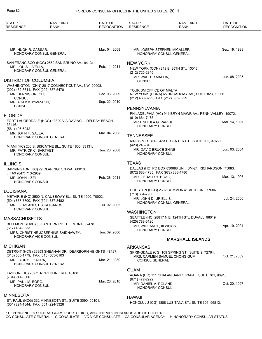| STATE*<br><b>RESIDENCE</b>                        | <b>NAME AND</b><br><b>RANK</b>                           | DATE OF<br><b>RECOGNITION</b> | STATE*<br><b>RESIDENCE</b>                           | <b>NAME AND</b><br><b>RANK</b>                          | DATE OF<br><b>RECOGNITION</b> |
|---------------------------------------------------|----------------------------------------------------------|-------------------------------|------------------------------------------------------|---------------------------------------------------------|-------------------------------|
|                                                   |                                                          |                               |                                                      |                                                         |                               |
| MR. HUGH R. CASSAR,                               | HONORARY CONSUL GENERAL                                  | Mar. 04, 2008                 |                                                      | MR. JOSEPH STEPHEN MICALLEF,<br>HONORARY CONSUL GENERAL | Sep. 19, 1988                 |
|                                                   | SAN FRANCISCO (HCG) 2562 SAN BRUNO AV., 94134.           |                               | <b>NEW YORK</b>                                      |                                                         |                               |
| MR. LOUIS J. VELLA,                               | HONORARY CONSUL GENERAL                                  | Feb. 11, 2011                 | (212) 725-2345                                       | NEW YORK (CON) 249 E. 35TH ST., 10016.                  |                               |
| <b>DISTRICT OF COLUMBIA</b>                       |                                                          |                               | MR. WALTER MALLIA,<br><b>CONSUL</b>                  |                                                         | Jun. 08, 2005                 |
| (202) 462-3611, FAX (202) 387-5470                | WASHINGTON (CHN) 2017 CONNECTICUT AV., NW, 20008.        |                               |                                                      |                                                         |                               |
| MR. DENNIS GRECH,                                 |                                                          | Dec. 03, 2009                 | TOURISM OFFICE OF MALTA                              | NEW YORK (CONA) 65 BROADWAY AV., SUITE 823, 10006.      |                               |
| <b>CONSUL</b><br>MR. ADAM KUYMIZAKIS,             |                                                          | Sep. 22, 2010                 | (212) 430-3799, FAX (212) 695-8229                   |                                                         |                               |
| <b>CONSUL</b>                                     |                                                          |                               | PENNSYLVANIA                                         |                                                         |                               |
| <b>FLORIDA</b>                                    |                                                          |                               | $(610) 664 - 7475$                                   | PHILADELPHIA (HC) 941 BRYN MAWR AV., PENN VALLEY 19072. |                               |
| 33446.<br>(561) 496-6942                          | FORT LAUDERDALE (HCG) 13829 VIA DAVINCI., DELRAY BEACH   |                               | MRS. SHEILA G. PARISH,<br>HONORARY CONSUL            |                                                         | Mar. 14, 1997                 |
| MR. JOHN F. GALEA,                                | HONORARY CONSUL GENERAL                                  | Mar. 04, 2008                 | <b>TENNESSEE</b>                                     |                                                         |                               |
|                                                   |                                                          |                               | (423) 246-8433                                       | KINGSPORT (HC) 433 E. CENTER ST., SUITE 202, 37660.     |                               |
| MR. PATRICK C. BARTHET,<br><b>HONORARY CONSUL</b> | MIAMI (HC) 200 S. BISCAYNE BL., SUITE 1800, 33131.       | Jun. 26, 2008                 | MR. DAVID BRUCE SHINE,<br><b>HONORARY CONSUL</b>     |                                                         | Jun. 03, 2004                 |
| <b>ILLINOIS</b>                                   |                                                          |                               | <b>TEXAS</b>                                         |                                                         |                               |
| , FAX (847) 713-2989                              | BARRINGTON (HC) 22 CLARINGTON WA., 60010.                |                               | (972) 883-4785, FAX (972) 883-4780                   | DALLAS (HC) PO BOX 830688 UN., SM-24, RICHARDSON 75083. |                               |
| MR. JOHN J ZEI,<br><b>HONORARY CONSUL</b>         |                                                          | Feb. 28, 2011                 | MR. GERALD H. HOAG.<br><b>HONORARY CONSUL</b>        |                                                         | Mar. 13, 1997                 |
| LOUISIANA                                         |                                                          |                               |                                                      | HOUSTON (HCG) 2602 COMMONWEALTH UN., 77006.             |                               |
| (504) 837-7700, FAX (504) 837-8482                | METAIRIE (HC) 3500 N. CAUSEWAY BL., SUITE 1500, 70002.   |                               | (713) 654-7900<br>MR. JOHN D., JR ELLIS,             |                                                         | Jul. 24, 2000                 |
| MR. ELIAS ANESTIS KATSAROS,                       |                                                          | Jul. 02, 2002                 |                                                      | HONORARY CONSUL GENERAL                                 |                               |
| <b>HONORARY CONSUL</b>                            |                                                          |                               | <b>WASHINGTON</b>                                    |                                                         |                               |
| <b>MASSACHUSETTS</b>                              |                                                          |                               | (425) 788-3120                                       | SEATTLE (HC) 28817 N.E. 124TH ST., DUVALL 98019.        |                               |
| (617) 484-3333                                    | BELLMONT (HVC) 56 LANTERN RD., BELMONT 02478.            |                               | MR. WILLIAM H., III WEISS,<br><b>HONORARY CONSUL</b> |                                                         | Apr. 19, 2001                 |
| HONORARY VICE CONSUL                              | MRS. CHRISTINE JOSEPHINE SAIDNAWEY,                      | Jun. 09, 2006                 |                                                      | <b>MARSHALL ISLANDS</b>                                 |                               |
| <b>MICHIGAN</b>                                   |                                                          |                               | <b>ARKANSAS</b>                                      |                                                         |                               |
| (313) 563-1779, FAX (313) 565-0103                | DETROIT (HCG) 26953 SHEAHAN DR., DEARBORN HEIGHTS 48127. |                               |                                                      | SPRINGDALE (CG) 109 SPRING ST., SUITE 9, 72764.         |                               |
| MR. LARRY J. ZAHRA,                               | <b>HONORARY CONSUL GENERAL</b>                           | Mar. 21, 1989                 | <b>CONSUL GENERAL</b>                                | MRS. CARMEN SAMUEL CHONG GUM,                           | Oct. 21, 2009                 |
|                                                   | TAYLOR (HC) 26975 NORTHLINE RD., 48180.                  |                               | <b>GUAM</b>                                          |                                                         |                               |
| (734) 941-6300                                    |                                                          |                               | (671) 472-2922                                       | AGANA (HC) 111 CHALAN SANTO PAPA., SUITE 701, 96910.    |                               |
| MR. PAUL M. BORG,<br><b>HONORARY CONSUL</b>       |                                                          | Mar. 23, 2010                 | MR. DANIEL A. ROLAND,<br><b>HONORARY CONSUL</b>      |                                                         | Oct. 20, 1997                 |
| <b>MINNESOTA</b>                                  |                                                          |                               | HAWAII                                               |                                                         |                               |
| (651) 224-1844, FAX (651) 224-3328                | ST. PAUL (HCG) 332 MINNESOTA ST., SUITE 3090, 55101.     |                               |                                                      | HONOLULU (CG) 1888 LUSITANA ST., SUITE 301, 96813.      |                               |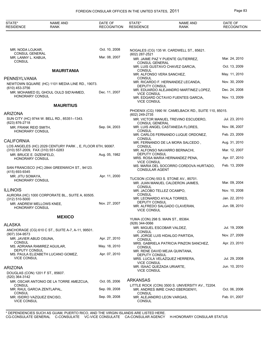| STATE*<br><b>RESIDENCE</b>                                 | <b>NAME AND</b><br><b>RANK</b>                            | DATE OF<br><b>RECOGNITION</b> | STATE*<br><b>RESIDENCE</b>                       | <b>NAME AND</b><br><b>RANK</b>                                                      | DATE OF<br><b>RECOGNITION</b> |
|------------------------------------------------------------|-----------------------------------------------------------|-------------------------------|--------------------------------------------------|-------------------------------------------------------------------------------------|-------------------------------|
|                                                            |                                                           |                               |                                                  |                                                                                     |                               |
| MR. NODA LOJKAR,<br>CONSUL GENERAL                         |                                                           | Oct. 10, 2008                 | (602) 287-2521                                   | NOGALES (CG) 135 W. CARDWELL ST., 85621.                                            |                               |
| MR. LANNY L. KABUA,<br><b>CONSUL</b>                       |                                                           | Mar. 08, 2007                 |                                                  | MR. JAIME PAZ Y PUENTE GUTIERREZ,                                                   | Mar. 24, 2010                 |
|                                                            |                                                           |                               | <b>CONSUL GENERAL</b>                            | MR. LUIS GUSTAVO CHAVEZ GARCIA.                                                     | Oct. 13, 2009                 |
|                                                            | <b>MAURITANIA</b>                                         |                               | <b>CONSUL</b><br>MR. ALFONSO VERA SANCHEZ,       |                                                                                     | May. 11, 2010                 |
| PENNSYLVANIA                                               | NEWTOWN SQUARE (HC) 1101 MEDIA LINE RD., 19073.           |                               | <b>CONSUL</b>                                    | MR. RICARDO F. HERNANDEZ LECANDA,                                                   | Nov. 30, 2009                 |
| (610) 453-3756                                             |                                                           |                               | DEPUTY CONSUL                                    | MR. EDUARDO ALEJANDRO MARTINEZ LOPEZ,                                               | Dec. 24, 2008                 |
| HONORARY CONSUL                                            | MR. MOHAMED EL GHOUL OULD SID'AHMED,                      | Dec. 11, 2007                 | <b>VICE CONSUL</b>                               | MR. EDGARD OCTAVIO FUENTES GARCIA,                                                  | Nov. 13, 2009                 |
|                                                            | <b>MAURITIUS</b>                                          |                               | <b>VICE CONSUL</b>                               |                                                                                     |                               |
| <b>ARIZONA</b>                                             |                                                           |                               | (602) 249-2735                                   | PHOENIX (CG) 1990 W. CAMELBACK RD., SUITE 110, 85015.                               |                               |
|                                                            | SUN CITY (HC) 9744 W. BELL RD., 85351--1343.              |                               |                                                  | MR. VICTOR MANUEL TREVINO ESCUDERO,                                                 | Jul. 23, 2010                 |
| (623) 876-2718<br>MR. FRANK REID SMITH,                    |                                                           | Sep. 04, 2003                 | <b>CONSUL GENERAL</b>                            | MR. LUIS ANGEL CASTANEDA FLORES,                                                    | Nov. 06, 2007                 |
| HONORARY CONSUL                                            |                                                           |                               | <b>CONSUL</b>                                    | MR. CARLOS FERNANDO LUQUE ORDONEZ,                                                  | Feb. 23, 2009                 |
| <b>CALIFORNIA</b>                                          |                                                           |                               | <b>CONSUL</b>                                    | MR. FERNANDO DE LA MORA SALCEDO,                                                    | Aug. 31, 2010                 |
| (310) 557-2009, FAX (310) 551-0283                         | LOS ANGELES (HC) 2029 CENTURY PARK., E, FLOOR 6TH, 90067. |                               | <b>CONSUL</b>                                    | MR. ALFONSO NAVARRO BERNACHI,                                                       | Mar. 12, 2007                 |
| MR. BRUCE E. DIZENFELD,<br>HONORARY CONSUL                 |                                                           | Aug. 05, 1982                 | DEPUTY CONSUL                                    | MRS. ROSA MARIA HERNANDEZ PENA,                                                     | Apr. 07, 2010                 |
|                                                            | SAN FRANCISCO (HC) 2844 GREENWICH ST., 94123.             |                               | <b>VICE CONSUL</b><br><b>CONSULAR AGENT</b>      | MS. MARIA DEL SOCORRO CORDOVA HURTADO,                                              | Feb. 13, 2009                 |
| (415) 693-9345<br>MR. JITU SOMAYA,                         |                                                           | Apr. 11, 2000                 |                                                  |                                                                                     |                               |
| HONORARY CONSUL                                            |                                                           |                               |                                                  | TUCSON (CON) 553 S. STONE AV., 85701.<br>MR. JUAN MANUEL CALDERON JAIMES,           | Mar. 09, 2004                 |
| <b>ILLINOIS</b>                                            |                                                           |                               | <b>CONSUL</b><br>MR. JACOBO TELLEZ OCAMPO,       |                                                                                     | Nov. 10, 2008                 |
| $(312) 510 - 5000$                                         | AURORA (HC) 1000 CORPORATE BL., SUITE A, 60505.           |                               | <b>CONSUL</b>                                    | MR. LEONARDO AYALA TORRES,                                                          | Jan. 22, 2010                 |
| MR. ANDREW MELLOWS KNEE,<br>HONORARY CONSUL                |                                                           | Nov. 27, 2007                 | <b>DEPUTY CONSUL</b><br><b>VICE CONSUL</b>       | MR. ALFREDO SALGADO CLAVERAN,                                                       | Jun. 08, 2010                 |
|                                                            | <b>MEXICO</b>                                             |                               |                                                  |                                                                                     |                               |
| <b>ALASKA</b>                                              |                                                           |                               | (928) 344-0066                                   | YUMA (CON) 298 S. MAIN ST., 85364.                                                  |                               |
|                                                            | ANCHORAGE (CG) 610 C ST., SUITE A-7, A-11, 99501.         |                               | CONSUL                                           | MR. MIGUEL ESCOBAR VALDEZ,                                                          | Jul. 19, 2006                 |
| (907) 334-9573<br>MR. JAVIER ABUD OSUNA,                   |                                                           | Apr. 27, 2010                 | <b>CONSUL</b>                                    | MR. JORGE LUIS HIDALGO PARTIDA,                                                     | Nov. 27, 2009                 |
| <b>CONSUL</b>                                              | MS. ADRIANA RAMIREZ AGUILAR,                              | May. 18, 2010                 | <b>CONSUL</b>                                    | MRS. GABRIELA PATRICIA PINZON SANCHEZ,                                              | Apr. 23, 2010                 |
| DEPUTY CONSUL                                              | MS. PAULA ELIZABETH LUCANO GOMEZ.                         | Apr. 07, 2010                 | <b>DEPUTY CONSUL</b>                             | MR. RENE DAVID MEJIA QUINTANA,                                                      |                               |
| <b>VICE CONSUL</b>                                         |                                                           |                               |                                                  | MRS. LUCILA VELAZQUEZ HERRERA,                                                      | Jul. 29, 2008                 |
| <b>ARIZONA</b>                                             |                                                           |                               | <b>VICE CONSUL</b><br>MR. ISAAC QUEZADA URIARTE, |                                                                                     | Jun. 10, 2010                 |
| DOUGLAS (CON) 1201 F ST., 85607.<br>(520) 364-3142         |                                                           |                               | <b>VICE CONSUL</b>                               |                                                                                     |                               |
|                                                            | MR. OSCAR ANTONIO DE LA TORRE AMEZCUA,                    | Oct. 05, 2006                 | <b>ARKANSAS</b>                                  |                                                                                     |                               |
| CONSUL<br>MR. RAUL GARCIA ZENTLAPAL,                       |                                                           | Sep. 09, 2008                 |                                                  | LITTLE ROCK (CON) 3500 S. UNIVERSITY AV., 72204.<br>MR. ANDRES IMRE CHAO EBERGENYI, | Oct. 06, 2006                 |
| CONSUL<br>MR. ISIDRO VAZQUEZ ENCISO,<br><b>VICE CONSUL</b> |                                                           | Sep. 09, 2008                 | <b>CONSUL</b><br><b>CONSUL</b>                   | MR. ALEJANDRO LEON VARGAS,                                                          | Feb. 01, 2007                 |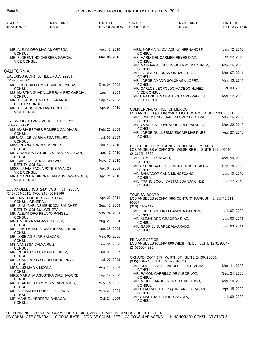| STATE*<br><b>RESIDENCE</b>                                       | <b>NAME AND</b><br>RANK                  | DATE OF<br><b>RECOGNITION</b> | STATE*<br><b>RESIDENCE</b>            | <b>NAME AND</b><br>RANK                                                                           | DATE OF<br><b>RECOGNITION</b> |
|------------------------------------------------------------------|------------------------------------------|-------------------------------|---------------------------------------|---------------------------------------------------------------------------------------------------|-------------------------------|
|                                                                  |                                          |                               |                                       |                                                                                                   |                               |
|                                                                  | MR. ALEJANDRO MACIAS ORTEGA,             | Apr. 13, 2010                 |                                       | MRS. NORMA ALICIA ACUNA HERNANDEZ,                                                                | Jan. 12, 2010                 |
| <b>CONSUL</b>                                                    | MR. FLORENTINO CABRERA GARCIA,           | Mar. 05, 2010                 | <b>CONSUL</b>                         | MS. MARIA DEL CARMEN REYES DIAZ,                                                                  | Jan. 12, 2010                 |
| <b>VICE CONSUL</b>                                               |                                          |                               | <b>CONSUL</b>                         | MR. MARGARITO JESUS OCAMPO MARTINEZ,                                                              | Nov. 26, 2010                 |
| CALIFORNIA                                                       |                                          |                               | <b>CONSUL</b>                         | MR. GASPAR HERNAN OROZCO RIOS,                                                                    | Mar. 07, 2011                 |
| (619) 357-3863                                                   | CALEXICO (CON) 408 HEBER AV., 92231.     |                               | <b>CONSUL</b>                         | MR. JORGE AMADO SOLCHAGA LOPEZ,                                                                   | May. 13, 2011                 |
|                                                                  | MR. LUIS GUILLERMO ROMERO PARRA,         | Dec. 04, 2002                 | <b>CONSUL</b>                         |                                                                                                   |                               |
| <b>CONSUL</b>                                                    | MS. MARTHA GUADALUPE RAMIREZ GARCIA,     | Jan. 14, 2009                 | <b>VICE CONSUL</b>                    | MR. CARLOS LEOPOLDO MACEDO NUNEZ,                                                                 | Oct. 03, 2003                 |
| <b>CONSUL</b>                                                    | MR. ALFREDO SEVILLA FERNANDEZ,           | Sep. 12, 2008                 | <b>VICE CONSUL</b>                    | MRS. PATRICIA MARIA T. OCAMPO PADILLA,                                                            | Mar. 22, 2010                 |
| DEPUTY CONSUL                                                    | MR. ALFREDO MONTANO CORTES,              | Apr. 01, 2010                 | COMMERCIAL OFFICE OF MEXICO           |                                                                                                   |                               |
| <b>VICE CONSUL</b>                                               |                                          |                               |                                       | LOS ANGELES (CONA) 350 S. FIGUEROA ST., SUITE 296, 90071.<br>MR. JOSE MARIO JUAREZ LOPEZ DE NAVA, | May. 26, 2009                 |
| (209) 233-4219                                                   | FRESNO (CON) 2409 MERCED ST., 93721.     |                               | <b>CONSUL</b>                         | MISS MARIA A. GRANADOS TRESPALACIOS.                                                              | Mar. 22, 2010                 |
| <b>CONSUL</b>                                                    | MS. MARIA ESTHER ROMERO ZALDIVAR,        | Feb. 28, 2008                 | <b>CONSUL</b>                         | MR. JORGE GUILLERMO ESCAIP MARTINEZ,                                                              | Apr. 27, 2010                 |
| CONSUL                                                           | MRS. DULCE MARIA VEGA TELLEZ,            | Jul. 06, 2009                 | <b>CONSUL</b>                         |                                                                                                   |                               |
| MISS REYNA TORRES MENDIVIL,<br><b>CONSUL</b>                     |                                          | Jan. 13, 2010                 |                                       | OFFICE OF THE ATTORNEY GENERAL OF MEXICO                                                          |                               |
|                                                                  | MRS. SANDRA PATRICIA MENDOZA DURAN,      | Jun. 17, 2010                 | (213) 351-6820                        | LOS ANGELES (CONA) 3701 WILSHIRE BL., SUITE 1111, 90010.                                          |                               |
| <b>CONSUL</b><br>MR. CARLOS GARCIA DELGADO,                      |                                          | Nov. 17, 2010                 | MR. JAIME ORTIZ AUB,<br><b>CONSUL</b> |                                                                                                   | Mar. 19, 2009                 |
| DEPUTY CONSUL                                                    | MISS LLUVIA PAOLA PONCE AVALOS,          | Apr. 04, 2008                 | <b>CONSUL</b>                         | MRS. SPINOSA DE LOS MONTEROS DE ANDA,                                                             | Sep. 15, 2009                 |
| <b>VICE CONSUL</b>                                               | MRS. CARMEN DINORAH MARTIN RAYO SOLIS,   | Apr. 21, 2010                 | <b>CONSUL</b>                         | MR. SALVADOR CANO MUNOZCANO,                                                                      | Jan. 13, 2010                 |
| <b>VICE CONSUL</b>                                               |                                          |                               | <b>CONSUL</b>                         | MR. FRANCISCO J. CASTANEDA SANCHEZ,                                                               | Jun. 17, 2010                 |
|                                                                  | LOS ANGELES (CG) 2401 W. 6TH ST., 90057. |                               |                                       |                                                                                                   |                               |
| (213) 351-6815, FAX (213) 389-9186<br>MR. DAVID FIGUEROA ORTEGA, |                                          | Apr. 20, 2011                 | <b>TOURISM BOARD</b>                  | LOS ANGELES (CONA) 1880 CENTURY PARK UN., E, SUITE 511,                                           |                               |
| <b>CONSUL GENERAL</b>                                            | MR. JUAN CARLOS MENDOZA SANCHEZ,         | Sep. 12, 2008                 | 90067.<br>(310) 282-9112              |                                                                                                   |                               |
| DEPUTY CONSUL GENERAL                                            | MR. ALEJANDRO PELAYO RANGEL,             | May. 24, 2001                 |                                       | MR. JORGE ANTONIO GAMBOA PATRON,                                                                  | Jul. 07, 2005                 |
| <b>CONSUL</b><br>MRS. MIREYA MAGANA GALVEZ,                      |                                          | Aug. 20, 2004                 | <b>CONSUL</b>                         | MR. ALEJANDRO GRAGEDA DIAZ,                                                                       | Jan. 03, 2011                 |
| <b>CONSUL</b>                                                    |                                          |                               | <b>CONSUL</b>                         | MR. GABRIEL JUAREZ ALVARADO,                                                                      | Jan. 03, 2011                 |
| <b>CONSUL</b>                                                    | MR. LUIS ENRIQUE CASTRESANA RUBIO,       | Jun. 28, 2005                 | CONSUL                                |                                                                                                   |                               |
| MR. JOSE AGUILAR SALAZAR,<br>CONSUL                              |                                          | May. 05, 2006                 | <b>FINANCE OFFICE</b>                 |                                                                                                   |                               |
| MS. VANESSA CALVA RUIZ,<br>CONSUL                                |                                          | Jun. 01, 2006                 | (213) 538-1290                        | LOS ANGELES (CONA) 600 WILSHIRE BL., SUITE 1210, 90017.                                           |                               |
| <b>CONSUL</b>                                                    | MR. ROBERTO LUJAN GUTIERREZ,             | Jun. 06, 2007                 |                                       |                                                                                                   |                               |
|                                                                  | MR. JUAN ANTONIO GUERRERO PICAZO,        | Jul. 07, 2008                 | (805) 984-2162, FAX (805) 984-8738    | OXNARD (CON) 3151 W. 5TH ST., SUITE E-100, 93030.                                                 |                               |
| CONSUL<br>MRS. LUZ MARIA LICONA,                                 |                                          | Aug. 12, 2008                 | <b>CONSUL</b>                         | MR. ROGELIO ALEJANDRO FLORES MEJIA,                                                               | Mar. 11, 2008                 |
| <b>CONSUL</b>                                                    | MRS. MARIANA AGUSTINA DIAZ NAGORE,       | Sep. 12, 2008                 | <b>CONSUL</b>                         | MR. RAMON CARRILLO DE ALBORNOZ,                                                                   | Sep. 24, 2008                 |
| CONSUL                                                           | MR. ATANACIO CAMPOS MIRAMONTES,          | May. 18, 2009                 | CONSUL                                | MR. MIGUEL ANGEL PERALTA VELASCO,                                                                 | Mar. 20, 2009                 |
| CONSUL                                                           | MR. ALEJANDRO ORBEZO ELIZAGA,            | May. 21, 2009                 |                                       | MRS. LAURA ESTHER QUINTANILLA CASAS,                                                              | Apr. 15, 2009                 |
| CONSUL<br><b>CONSUL</b>                                          | MR. MANUEL HERRERA RABAGO,               | Oct. 21, 2009                 | CONSUL<br><b>CONSUL</b>               | MRS. MARTHA TEISSIER ZAVALA,                                                                      | Jul. 02, 2009                 |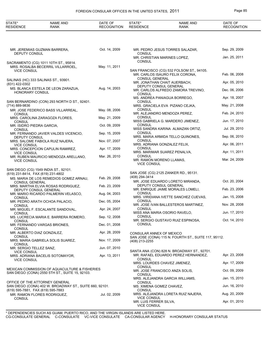## FOREIGN CONSULAR OFFICES IN THE UNITED STATES, 2011 **Page 85**

| STATE*<br><b>RESIDENCE</b>                  | NAME AND<br><b>RANK</b>                                                                          | DATE OF<br><b>RECOGNITION</b> | STATE*<br><b>RESIDENCE</b>                     | <b>NAME AND</b><br>RANK                                                      | DATE OF<br><b>RECOGNITION</b> |
|---------------------------------------------|--------------------------------------------------------------------------------------------------|-------------------------------|------------------------------------------------|------------------------------------------------------------------------------|-------------------------------|
|                                             |                                                                                                  |                               |                                                |                                                                              |                               |
| DEPUTY CONSUL                               | MR. JEREMIAS GUZMAN BARRERA,                                                                     | Oct. 14, 2009                 | <b>CONSUL</b>                                  | MR. PEDRO JESUS TORRES SALAZAR,                                              | Sep. 29, 2009                 |
|                                             |                                                                                                  |                               |                                                | MR. CHRISTIAN MARINES LOPEZ,                                                 | Jan. 25, 2011                 |
|                                             | SACRAMENTO (CG) 1011 10TH ST., 95814.<br>MRS. ROSALBA BECERRIL VILLARROEL,                       | May. 11, 2011                 | <b>CONSUL</b>                                  |                                                                              |                               |
| <b>VICE CONSUL</b>                          |                                                                                                  |                               | <b>CONSUL GENERAL</b>                          | SAN FRANCISCO (CG) 532 FOLSOM ST., 94105.<br>MR. CARLOS ISAURO FELIX CORONA, | Feb. 06, 2008                 |
| (831) 422-0302                              | SALINAS (HC) 333 SALINAS ST., 93901.                                                             |                               |                                                | MR. JONATHAN CHAIT AUERBACH,                                                 | Apr. 05, 2010                 |
| HONORARY CONSUL                             | MS. BLANCA ESTELA DE LEON ZARAZUA,                                                               | Aug. 14, 2003                 | <b>CONSUL</b>                                  | DEPUTY CONSUL GENERAL<br>MR. CARLOS ALFREDO ZAMORA TREVINO,                  | Dec. 06, 2006                 |
|                                             | SAN BERNARDINO (CON) 293 NORTH D ST., 92401.                                                     |                               | <b>CONSUL</b>                                  | MS. ANDREA PANIAGUA BORREGO,                                                 | Apr. 18, 2007                 |
| (714) 889-9836                              |                                                                                                  |                               |                                                | MRS. GRACIELA EVA PIZANO CEJKA,                                              | May. 21, 2008                 |
| <b>CONSUL</b>                               | MR. JOSE FEDERICO BASS VILLARREAL,                                                               | May. 08, 2006                 | <b>CONSUL</b>                                  | MR. ALEJANDRO MENDOZA PEREZ,                                                 | Feb. 24, 2010                 |
| <b>CONSUL</b>                               | MRS. CAROLINA ZARAGOZA FLORES,                                                                   | May. 21, 2009                 | <b>CONSUL</b>                                  | MISS GABRIELA G. MARDERO JIMENEZ,                                            | Jun. 17, 2010                 |
| MR. ISIDRO PIEDRA GARCIA,<br><b>CONSUL</b>  |                                                                                                  | Oct. 09, 2009                 | CONSUL                                         | MISS SANDRA KARINA ALMAZAN ORTIZ,                                            | Jul. 29, 2010                 |
|                                             | MR. FERNANDO JAVIER VALDES VICENCIO,                                                             | Sep. 15, 2009                 | <b>CONSUL</b>                                  | MRS. MARIA ARMIDA TELLO QUINONES,                                            | Sep. 06, 2010                 |
| DEPUTY CONSUL                               | MRS. SALOME FABIOLA RUIZ NAJERA,                                                                 | Nov. 07, 2007                 | CONSUL                                         |                                                                              |                               |
| <b>VICE CONSUL</b>                          | MRS. CONCEPCION CAPULIN RAMIREZ,                                                                 | Apr. 17, 2009                 | <b>CONSUL</b>                                  | MRS. ADRIANA GONZALEZ FELIX,                                                 | Apr. 06, 2011                 |
| <b>VICE CONSUL</b>                          | MR. RUBEN MAURICIO MENDOZA ARELLANO,                                                             | Mar. 26, 2010                 | <b>CONSUL</b>                                  | MRS. MARIMAR SUAREZ PENALVA,                                                 | Apr. 11, 2011                 |
| <b>VICE CONSUL</b>                          |                                                                                                  |                               | MR. RAMON MORENO LLAMAS,<br><b>VICE CONSUL</b> |                                                                              | Mar. 24, 2009                 |
|                                             | SAN DIEGO (CG) 1549 INDIA ST., 92101.                                                            |                               |                                                |                                                                              |                               |
| (619) 231-8414, FAX (619) 231-4802          | MS. MARIA DE LOS REMEDIOS GOMEZ ARNAU,                                                           | Feb. 29, 2008                 | (408) 294-3414                                 | SAN JOSE (CG) 2125 ZANKER RD., 95131.                                        |                               |
| <b>CONSUL GENERAL</b>                       | MRS. MARTHA ELVIA ROSAS RODRIGUEZ.                                                               | Feb. 23, 2009                 |                                                | MR. JOSE EDUARDO LORETO MIRANDA,<br>DEPUTY CONSUL GENERAL                    | Oct. 20, 2004                 |
|                                             | DEPUTY CONSUL GENERAL                                                                            |                               | <b>CONSUL</b>                                  | MR. ENRIQUE JAIME MORALES LOMELI,                                            | Feb. 23, 2006                 |
| <b>CONSUL</b>                               | MR. MARIO RICARDO PALMERIN VELASCO,                                                              | Aug. 04, 2003                 |                                                | MRS. VIRIDIANA IVETTE SANCHEZ CUEVAS,                                        | Jan. 15, 2008                 |
| <b>CONSUL</b>                               | MR. PEDRO ARATH OCHOA PALACIO,                                                                   | Dec. 05, 2004                 | <b>CONSUL</b>                                  | MR. JOSE IVAN BALLESTEROS MARTINEZ,                                          | Nov. 28, 2008                 |
| <b>CONSUL</b>                               | MR. MIGUEL F. ESCALANTE SANDOVAL,                                                                | Apr. 24, 2007                 | <b>CONSUL</b>                                  | MISS ANA MARIA OSORIO RAVELO,                                                | Jun. 17, 2010                 |
| <b>CONSUL</b>                               | MS. LUCRECIA MARIA E. BARRERA ROMERO,                                                            | Sep. 12, 2008                 | <b>CONSUL</b>                                  | MR. SERGIO GUSTAVO RUIZ ESPINOSA,                                            | Oct. 14, 2010                 |
|                                             | MR. FERNANDO VARGAS BRIONES,                                                                     | Dec. 01, 2008                 | <b>CONSUL</b>                                  |                                                                              |                               |
| <b>CONSUL</b><br>MR. ALBERTO DIAZ GONZALEZ, |                                                                                                  | Apr. 28, 2009                 | CONSULAR ANNEX OF MEXICO                       |                                                                              |                               |
| <b>CONSUL</b><br><b>CONSUL</b>              | MRS. MARIA GABRIELA SOLIS SUAREZ,                                                                | Nov. 17, 2009                 | (408) 213-2255                                 | SAN JOSE (CONA) 115 N. FOURTH ST., SUITE 117, 95112.                         |                               |
| MR. SERGIO TELLEZ SANZ,                     |                                                                                                  | Jun. 07, 2010                 |                                                | SANTA ANA (CON) 828 N. BROADWAY ST., 92701.                                  |                               |
| <b>VICE CONSUL</b><br><b>VICE CONSUL</b>    | MRS. ADRIANA BACELIS SOTOMAYOR,                                                                  | Apr. 13, 2011                 | CONSUL                                         | MR. RAFAEL EDUARDO PEREZ HERNANDEZ,                                          | Apr. 23, 2008                 |
|                                             |                                                                                                  |                               | CONSUL                                         | MRS. LOURDES CHAVEZ JIMENEZ,                                                 | Apr. 17, 2009                 |
|                                             | MEXICAN COMMISSION OF AQUACULTURE & FISHERIES<br>SAN DIEGO (CONA) 2550 5TH ST., SUITE 15, 92103. |                               | CONSUL                                         | MR. JOSE FRANCISCO ANZA SOLIS,                                               | Oct. 09, 2009                 |
|                                             | OFFICE OF THE ATTORNEY GENERAL                                                                   |                               | CONSUL                                         | MRS. ALEJANDRA GARCIA WILLIAMS,                                              | Jan. 15, 2010                 |
| (619) 595-7881, FAX (619) 595-7883          | SAN DIEGO (CONA) 402 W. BROADWAY ST., SUITE 660, 92101.                                          |                               | MS. XIMENA GOMEZ CHAVEZ,<br>CONSUL             |                                                                              | Jun. 16, 2010                 |
|                                             | MR. RAMON FLORES RODRIGUEZ,                                                                      | Jul. 02, 2009                 | VICE CONSUL                                    | MRS. ALEJANDRA LORETA RUIZ NAJERA,                                           | Aug. 20, 2009                 |
| <b>CONSUL</b>                               |                                                                                                  |                               | MR. LUIS FERRER SILVA,<br><b>VICE CONSUL</b>   |                                                                              | Apr. 01, 2010                 |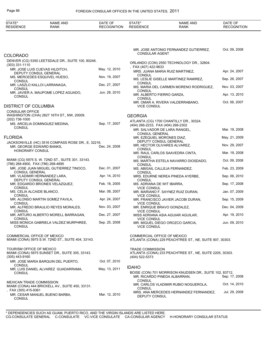| STATE*<br><b>RESIDENCE</b>                  | NAME AND<br><b>RANK</b>                                 | DATE OF<br><b>RECOGNITION</b> | STATE*<br><b>RESIDENCE</b>                                  | <b>NAME AND</b><br><b>RANK</b>                                                          | DATE OF<br><b>RECOGNITION</b>  |
|---------------------------------------------|---------------------------------------------------------|-------------------------------|-------------------------------------------------------------|-----------------------------------------------------------------------------------------|--------------------------------|
|                                             |                                                         |                               |                                                             |                                                                                         |                                |
| COLORADO                                    |                                                         |                               | <b>CONSULAR AGENT</b>                                       | MR. JOSE ANTONIO FERNANDEZ GUTIERREZ,                                                   | Oct. 09. 2008                  |
| $(303)$ 331-1110                            | DENVER (CG) 5350 LEETSDALE DR., SUITE 100, 80246.       |                               |                                                             | ORLANDO (CON) 2550 TECHNOLOGY DR., 32804.                                               |                                |
| DEPUTY CONSUL GENERAL                       | MR. JOSE LUIS CUEVAS HILDITCH,                          | May. 12, 2010                 | , FAX (407) 422-9633                                        | MRS. JUANA MARIA RUIZ MARTINEZ,                                                         | Apr. 24, 2007                  |
| <b>CONSUL</b>                               | MS. MERCEDES ESQUIVEL HUESO,                            | Nov. 19, 2007                 | CONSUL                                                      | MS. LESLIE GISELLE MARTINEZ RAMIREZ,                                                    | Sep. 26, 2007                  |
| <b>CONSUL</b>                               | MR. LASZLO KALLOI LARRANAGA,                            | Dec. 27, 2007                 | <b>CONSUL</b>                                               | MS. MARIA DEL CARMEN MORENO RODRIGUEZ,                                                  | Nov. 03, 2007                  |
| <b>CONSUL</b>                               | MR. JAVIER A. MAUPOME LOPEZ AGUADO,                     | Jun. 28, 2010                 | <b>CONSUL</b><br>MR. ALBERTO FIERRO GARZA,<br><b>CONSUL</b> |                                                                                         | Apr. 13, 2010                  |
| DISTRICT OF COLUMBIA                        |                                                         |                               | <b>VICE CONSUL</b>                                          | MR. OMAR A. RIVERA VALDERRABANO,                                                        | Oct. 06, 2007                  |
| <b>CONSULAR OFFICE</b>                      |                                                         |                               |                                                             |                                                                                         |                                |
| (202) 736-1000                              | WASHINGTON (CHA) 2827 16TH ST., NW, 20009.              |                               | <b>GEORGIA</b>                                              |                                                                                         |                                |
| <b>CONSUL</b>                               | MS. ARCELIA DOMINGUEZ MEDINA,                           | Sep. 17, 2007                 | (404) 266-2233, FAX (404) 266-2302                          | ATLANTA (CG) 1700 CHANTILLY DR., 30324.                                                 |                                |
|                                             |                                                         |                               | <b>CONSUL GENERAL</b>                                       | MR. SALVADOR DE LARA RANGEL.                                                            | Mar. 19, 2008<br>May. 21, 2009 |
| FLORIDA                                     | JACKSONVILLE (HC) 3516 COMPASS ROSE DR., E, 32216.      |                               | MR. EZEQUIEL MORONES DIAZ,                                  | DEPUTY CONSUL GENERAL<br>MR. HECTOR OLIVARES ALVAREZ,                                   | Nov. 29, 2007                  |
| MR. GEORGE EDWARD BANKS.<br>HONORARY CONSUL |                                                         | Dec. 24, 2008                 | <b>CONSUL</b>                                               | MR. RAUL CARLOS SAAVEDRA CINTA,                                                         | Mar. 19, 2008                  |
|                                             | MIAMI (CG) 5975 S. W. 72ND ST., SUITE 301, 33143.       |                               | <b>CONSUL</b>                                               | MS. MARTHA ESTELA NAVARRO DIOSDADO,                                                     | Oct. 09, 2008                  |
| (786) 268-4900, FAX (786) 268-4895          | MR. JOSE JUAN MIGUEL GUTIERREZ TINOCO,                  | Dec. 01, 2007                 | <b>CONSUL</b>                                               | MS. ABIGAIL CALLEJA FERNANDEZ,                                                          | Feb. 23, 2009                  |
| <b>CONSUL GENERAL</b>                       | MR. VLADIMIR HERNANDEZ LARA,                            | Apr. 14, 2010                 | <b>CONSUL</b>                                               | MRS. EDURNE NEREA PINEDA AYERBE,                                                        | Sep. 06, 2010                  |
|                                             | DEPUTY CONSUL GENERAL<br>MR. EDGARDO BRIONES VELAZQUEZ, | Feb. 18, 2005                 | <b>CONSUL</b><br>MS. ADRIANA DE WIT IBARRA,                 |                                                                                         | Sep. 17, 2008                  |
| CONSUL<br>MS. CELIA ALCAIDE BLANCO,         |                                                         | Mar. 08, 2007                 | <b>VICE CONSUL</b>                                          | MR. MARIANO F. SAYNEZ RUIZ DURAN,                                                       | Jan. 07, 2009                  |
| <b>CONSUL</b>                               | MR. ALONSO MARTIN GOMEZ FAVILA,                         | Apr. 24, 2007                 | <b>VICE CONSUL</b>                                          | MR. FRANCISCO JAVIER JACOBI DURAN,                                                      | Sep. 15, 2009                  |
| CONSUL                                      | MR. ALFREDO BRAULIO REYES MORALES,                      | Nov. 03, 2007                 | <b>VICE CONSUL</b>                                          | MR. ENRIQUE BRAVO GONZALEZ,                                                             | Dec. 04, 2009                  |
| <b>CONSUL</b>                               | MR. ARTURO ALBERTO MORELL BARRAGAN,                     | Dec. 27, 2007                 | <b>VICE CONSUL</b>                                          | MISS ADRIANA ASIA AGUIAR AGUILAR,                                                       | Apr. 19, 2010                  |
| <b>CONSUL</b><br><b>CONSUL</b>              | MISS MONICA GABRIELA VALDEZ MURPHREE,                   | Sep. 25, 2008                 | <b>VICE CONSUL</b><br><b>VICE CONSUL</b>                    | MR. MIGUEL DIEGO OROZCO GARCIA,                                                         | Jun. 09, 2010                  |
| COMMERCIAL OFFICE OF MEXICO                 | MIAMI (CONA) 5975 S.W. 72ND ST., SUITE 404, 33143.      |                               | COMMERCIAL OFFICE OF MEXICO                                 | ATLANTA (CONA) 229 PEACHTREE ST., NE, SUITE 907, 30303.                                 |                                |
| TOURISM OFFICE OF MEXICO<br>(305) 443-9160  | MIAMI (CONA) 5975 SUNSET DR., SUITE 305, 33143.         |                               | <b>TRADE COMMISSION</b><br>(404) 522-5373                   | ATLANTA (CONA) 233 PEACHTREE ST., NE, SUITE 2205, 30303.                                |                                |
| <b>CONSUL</b>                               | MR. JOSE MARIA BARQUIN DEL PUERTO.                      | Oct. 07, 2010                 |                                                             |                                                                                         |                                |
| <b>CONSUL</b>                               | MR. LUIS DANIEL ALVAREZ GUADARRAMA,                     | May. 13, 2011                 | <b>IDAHO</b>                                                | BOISE (CON) 701 MORRISON KNUDSEN DR., SUITE 102, 83712.<br>MR. RICARDO PINEDA ALBARRAN, | Sep. 17, 2008                  |
| MEXICAN TRADE COMMISSION                    | MIAMI (CONA) 444 BRICKELL AV., SUITE 450, 33131.        |                               | <b>CONSUL</b><br><b>CONSUL</b>                              | MR. CARLOS VLADIMIR RUBIO NOGUEROLA,                                                    | Oct. 14, 2010                  |
| , FAX (305) 415-9361<br><b>CONSUL</b>       | MR. CESAR MANUEL BUENO BARBA,                           | Mar. 12, 2010                 | DEPUTY CONSUL                                               | MRS. ANA MERCEDES HERNANDEZ FERNANDEZ,                                                  | Jul. 29, 2008                  |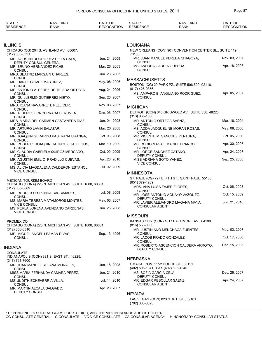| STATE*<br><b>RESIDENCE</b>                  | NAME AND<br><b>RANK</b>                                    | DATE OF<br><b>RECOGNITION</b> | STATE*<br><b>RESIDENCE</b>                                               | <b>NAME AND</b><br><b>RANK</b>                          | DATE OF<br><b>RECOGNITION</b> |
|---------------------------------------------|------------------------------------------------------------|-------------------------------|--------------------------------------------------------------------------|---------------------------------------------------------|-------------------------------|
|                                             |                                                            |                               |                                                                          |                                                         |                               |
| illinois                                    |                                                            |                               | <b>LOUISIANA</b>                                                         |                                                         |                               |
|                                             | CHICAGO (CG) 204 S. ASHLAND AV., 60607.                    |                               |                                                                          | NEW ORLEANS (CON) 901 CONVENTION CENTER BL., SUITE 119, |                               |
| $(312)$ 833-6331                            | MR. AGUSTIN RODRIGUEZ DE LA GALA,                          | Jun. 24, 2009                 | 70130.                                                                   | MR. JUAN MANUEL PEREDA CHAGOYA,                         | Nov. 03, 2007                 |
|                                             | <b>DEPUTY CONSUL GENERAL</b><br>MR. BRUNO HERNANDEZ PICHE, | Mar. 26, 2003                 | CONSUL<br>MS. ANDREA GARCIA GUERRA,                                      |                                                         | Apr. 18, 2008                 |
| <b>CONSUL</b>                               | MRS. BEATRIZ MARGAIN CHARLES,                              | Jun. 23, 2003                 | <b>CONSUL</b>                                                            |                                                         |                               |
| <b>CONSUL</b><br>MR. DANTE GOMEZ MARTINEZ,  |                                                            | May. 08, 2006                 | <b>MASSACHUSETTS</b>                                                     |                                                         |                               |
| <b>CONSUL</b>                               | MR. ANTONIO A. PEREZ DE TEJADA ORTEGA,                     | Aug. 24, 2006                 | (617) 426-0356                                                           | BOSTON (CG) 20 PARK PZ., SUITE 506,500, 02116.          |                               |
| <b>CONSUL</b>                               | MR. GUILLERMO GUTIERREZ NIETO,                             | Sep. 26, 2007                 | CONSUL                                                                   | MS. AMPARO E. ANGUIANO RODRIGUEZ,                       | Apr. 05, 2007                 |
| <b>CONSUL</b>                               | MRS. IOANA NAVARRETE PELLICER,                             | Nov. 03, 2007                 | <b>MICHIGAN</b>                                                          |                                                         |                               |
| <b>CONSUL</b>                               | MR. ALBERTO FONCERRADA BERUMEN,                            | Dec. 06, 2007                 |                                                                          | DETROIT (CON) 645 GRISWOLD AV., SUITE 830, 48226.       |                               |
| <b>CONSUL</b>                               | MRS. MARIA DEL CARMEN CASTANEDA DIAZ,                      | Jan. 04, 2008                 | $(313)$ 965-1868<br>MR. ANTONIO ORTEGA SAENZ.                            |                                                         | Mar. 18, 2004                 |
| <b>CONSUL</b><br>MR. ARTURO LAVIN SALAZAR,  |                                                            | Mar. 26, 2008                 | <b>CONSUL</b>                                                            | MS. ADDA JACQUELINE MORAN ROSAS,                        | May. 08, 2006                 |
| <b>CONSUL</b>                               | MR. JOAQUIN GERARDO PASTRANA URANGA,                       | Oct. 06, 2008                 | <b>CONSUL</b>                                                            | MR. VICENTE M. SANCHEZ VENTURA,                         | Oct. 05, 2006                 |
| <b>CONSUL</b>                               | MR. ROBERTO JOAQUIN GALINDEZ GALLEGOS,                     | Mar. 19, 2009                 | <b>CONSUL</b>                                                            | MS. ROCIO MAGALI MACIEL FRANCO,                         | Apr. 30, 2007                 |
| <b>CONSUL</b>                               | MS. CLAUDIA GABRIELA QUIROZ MERCADO,                       | Oct. 09, 2009                 | <b>CONSUL</b><br>MR. JORGE SANCHEZ CATANO,                               |                                                         | Apr. 24, 2007                 |
| <b>CONSUL</b>                               | MR. AGUSTIN EMILIO PRADILLO CUEVAS,                        | Apr. 28, 2010                 | DEPUTY CONSUL<br>MISS ADRIANA SOTO YANEZ,                                |                                                         | Sep. 25, 2008                 |
| <b>CONSUL</b>                               | MS. ALICIA MAGDALENA CALDERON ESTANOL,                     | Jul. 02, 2009                 | <b>VICE CONSUL</b>                                                       |                                                         |                               |
| <b>VICE CONSUL</b>                          |                                                            |                               | <b>MINNESOTA</b>                                                         |                                                         |                               |
| <b>MEXICAN TOURISM BOARD</b>                |                                                            |                               |                                                                          | ST. PAUL (CG) 797 E. 7TH ST., SAINT PAUL 55106.         |                               |
| $(312) 606 - 0069$                          | CHICAGO (CONA) 225 N. MICHIGAN AV., SUITE 1800, 60601.     |                               | (651) 379-4209<br>MRS. ANA LUISA FAJER FLORES,                           |                                                         | Oct. 06, 2008                 |
| <b>CONSUL</b>                               | MR. RODRIGO ESPONDA CASCAJARES,                            | Jul. 08, 2008                 | <b>CONSUL</b>                                                            | MR. JOSE ANTONIO AGUAYO VAZQUEZ,                        | Oct. 15, 2009                 |
|                                             | MS. MARIA TERESA MATAMOROS MONTES,                         | May. 03, 2007                 | DEPUTY CONSUL                                                            | MR. JAVIER ALEJANDRO MAGAÑA MAYA,                       | Jun. 21, 2010                 |
| <b>VICE CONSUL</b>                          | MS. PERLA LORENA AVENDANO CARDENAS,                        | Jun. 25, 2008                 | <b>CONSULAR AGENT</b>                                                    |                                                         |                               |
| <b>VICE CONSUL</b>                          |                                                            |                               | <b>MISSOURI</b>                                                          |                                                         |                               |
| <b>PROMEXICO</b>                            | CHICAGO (CONA) 225 N. MICHIGAN AV., SUITE 1800, 60601.     |                               | $(816)$ 556-0800                                                         | KANSAS CITY (CON) 1617 BALTIMORE AV., 64108.            |                               |
| $(312) 856 - 0316$                          |                                                            |                               |                                                                          | MR. JUSTINIANO MENCHACA FUENTES,                        | May. 03, 2007                 |
| <b>CONSUL</b>                               | MR. MIGUEL ANGEL LEAMAN RIVAS,                             | Sep. 13, 1996                 | CONSUL<br>MR. JACOB PRADO GONZALEZ,                                      |                                                         | Oct. 17, 2008                 |
| INDIANA                                     |                                                            |                               | CONSUL                                                                   | MR. ROBERTO ASCENCION CALDERA ARROYO,                   | Dec. 15, 2008                 |
| <b>CONSULATE</b>                            |                                                            |                               | DEPUTY CONSUL                                                            |                                                         |                               |
| (317) 761-7600                              | INDIANAPOLIS (CON) 331 S. EAST ST., 46225.                 |                               | <b>NEBRASKA</b>                                                          |                                                         |                               |
|                                             | MR. JUAN MANUEL SOLANA MORALES,                            | Jun. 18, 2008                 | OMAHA (CON) 3552 DODGE ST., 68131.<br>(402) 595-1841, FAX (402) 595-1845 |                                                         |                               |
| CONSUL                                      | MISS MARIA FERNANDA CAMARA PEREZ,                          | Jun. 21, 2010                 | MS. SOFIA GARCIA CEJA,                                                   |                                                         | Dec. 26, 2007                 |
| CONSUL<br>MS. JUDITH ECHEVERRIA VILLA,      |                                                            | Jul. 14, 2010                 | DEPUTY CONSUL<br>MR. EDGAR REBOLLAR SAENZ,                               |                                                         | Apr. 24, 2007                 |
| <b>CONSUL</b><br>MR. MARTIN ALCALA SALGADO, |                                                            | Apr. 23, 2007                 | <b>CONSULAR AGENT</b>                                                    |                                                         |                               |
| DEPUTY CONSUL                               |                                                            |                               | <b>NEVADA</b>                                                            |                                                         |                               |
|                                             |                                                            |                               |                                                                          | LAS VEGAS (CON) 823 S. 6TH ST., 89101.                  |                               |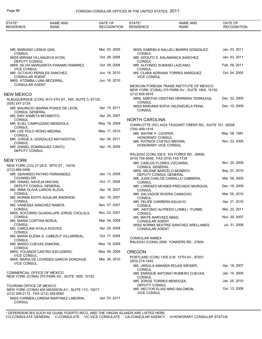| STATE*<br><b>RESIDENCE</b>                           | <b>NAME AND</b><br><b>RANK</b>                         | DATE OF<br><b>RECOGNITION</b> | STATE*<br><b>RESIDENCE</b>                          | <b>NAME AND</b><br><b>RANK</b>                                                                | DATE OF<br><b>RECOGNITION</b> |
|------------------------------------------------------|--------------------------------------------------------|-------------------------------|-----------------------------------------------------|-----------------------------------------------------------------------------------------------|-------------------------------|
|                                                      |                                                        |                               |                                                     |                                                                                               |                               |
| MR. MARIANO LEMUS GAS,<br><b>CONSUL</b>              |                                                        | Mar. 03, 2005                 | <b>CONSUL</b>                                       | MISS GABRIELA NALLELI IBARRA GONZALEZ,                                                        | Jan. 03, 2011                 |
| DEPUTY CONSUL                                        | MISS MIRIAM VILLANUEVA AYON,                           | Oct. 29, 2008                 | <b>CONSUL</b>                                       | MR. ADOLFO S. SALAMANCA SANCHEZ,                                                              | Jan. 03, 2011                 |
|                                                      | MRS. SILVIA MARGARITA PARAMO RAMIREZ,                  | Oct. 29, 2008                 |                                                     | MR. ALFONSO SUMANO LAZCANO,                                                                   | Feb. 09, 2011                 |
| <b>VICE CONSUL</b>                                   | MR. OCTAVIO PERALES SANCHEZ,                           | Jun. 16, 2010                 | <b>CONSUL</b>                                       | MS. CLARA ADRIANA TORRES MARQUEZ,                                                             | Oct. 04, 2005                 |
| <b>CONSULAR AGENT</b><br>MRS. ATZIMBA LUNA BECERRIL, |                                                        | Jun. 16, 2010                 | <b>VICE CONSUL</b>                                  |                                                                                               |                               |
| <b>CONSULAR AGENT</b>                                |                                                        |                               |                                                     | MEXICAN FOREIGN TRADE INSTITUTE OF MEXICO<br>NEW YORK (CONA) 375 PARK AV., SUITE 1905, 10152. |                               |
| NEW MEXICO                                           |                                                        |                               | (212) 826-2916                                      |                                                                                               |                               |
| (505) 247-2139                                       | ALBUQUERQUE (CON) 1610 4TH ST., NW, SUITE 0, 87102.    |                               | <b>CONSUL</b>                                       | MRS. MARTHA CRISTINA HERRERA TERRAZAS,                                                        | Dec. 02, 2009                 |
| CONSUL GENERAL                                       | MR. MAURICIO IBARRA PONCE DE LEON,                     | Apr. 15, 2011                 | <b>CONSUL</b>                                       | MISS MARIANA SOFIA VALENZUELA PENA,                                                           | Dec. 10, 2009                 |
| MS. EMY KAMETA MIYAMOTO,                             |                                                        | Apr. 24, 2007                 |                                                     |                                                                                               |                               |
| <b>CONSUL</b>                                        | MR. ELIEL CAMPUZANO MENDIOLA,                          | May. 18, 2009                 | <b>NORTH CAROLINA</b>                               |                                                                                               |                               |
| <b>CONSUL</b>                                        |                                                        |                               | (704) 409-1416                                      | CHARLOTTE (HC) 4424 TAGGART CREEK RD., SUITE 101, 28208.                                      |                               |
| MR. LEE POLO WONG MEDINA,<br><b>CONSUL</b>           |                                                        | May. 17, 2010                 | MR. WAYNE P. COOPER,                                |                                                                                               | May. 08, 1981                 |
| <b>CONSUL</b>                                        | MR. JORGE A. GONZALEZ MAYAGOITIA,                      | Apr. 04, 2011                 | <b>HONORARY CONSUL</b><br>MR. PATRICK CVETKO BROWN, |                                                                                               | Nov. 23, 2005                 |
| DEPUTY CONSUL                                        | MR. DANIEL DOMINGUEZ CANTU,                            | Apr. 15, 2009                 | HONORARY VICE CONSUL                                |                                                                                               |                               |
|                                                      |                                                        |                               |                                                     | RALEIGH (CON) 336 E. SIX FORKS RD., 29609.                                                    |                               |
| <b>NEW YORK</b>                                      |                                                        |                               | (919) 754-0046, FAX (919) 745-1729                  |                                                                                               |                               |
|                                                      | NEW YORK (CG) 27-29 E. 39TH ST., 10016.                |                               | MR. CARLOS FLORES VIZCARRA,<br>CONSUL GENERAL       |                                                                                               | Nov. 20, 2009                 |
| (212) 689-0456                                       | MR. GERARDO PATINO FERNANDEZ,                          | Jan. 13, 2009                 |                                                     | MRS. SELENE BARCELO MONROY,                                                                   | Sep. 01, 2010                 |
| COUNSELOR                                            |                                                        |                               | DEPUTY CONSUL GENERAL                               | MR. JUAN CARLOS CARRILLO CABRERA,                                                             | Mar. 08, 2005                 |
| MR. ISMAEL NAVEJA MACIAS,                            |                                                        | Oct. 17, 2008                 | <b>CONSUL</b>                                       |                                                                                               |                               |
|                                                      | DEPUTY CONSUL GENERAL<br>MS. IRMA OLIVIA LARIOS ALZUA, | Apr. 18, 2007                 | <b>CONSUL</b>                                       | MR. LORENZO MOISES PRECIADO MURGUIA,                                                          | Dec. 18, 2008                 |
| <b>CONSUL</b>                                        | MS. NORMA EDITH AGUILAR ANDRADE,                       | Apr. 19, 2007                 |                                                     | MR. SALVADOR RIVERA CAMACHO,                                                                  | Mar. 05, 2010                 |
| <b>CONSUL</b>                                        |                                                        |                               | <b>CONSUL</b><br>MR. FELIPE CARRERA AGUAYO,         |                                                                                               | Apr. 21, 2010                 |
| <b>CONSUL</b>                                        | MS. VANESSA SANCHEZ RAMOS,                             | Nov. 07, 2007                 | <b>CONSUL</b>                                       | MR. ANTONIO ALFREDO LOMELI ITURBE,                                                            | Mar. 22, 2011                 |
|                                                      | MRS. SOCORRO GUADALUPE JORGE CHOLULA,                  | Nov. 23, 2007                 | <b>CONSUL</b>                                       |                                                                                               |                               |
| <b>CONSUL</b><br>MS. MARIA CORTINA BORJA,            |                                                        | Mar. 04, 2008                 | MS. MAITE NARVAEZ ABAD,<br><b>CONSULAR AGENT</b>    |                                                                                               | Nov. 20, 2007                 |
| <b>CONSUL</b><br>MS. CAROLINA AYALA ACEVES,          |                                                        | Apr. 29, 2008                 |                                                     | MISS NORMA BEATRIZ SANCHEZ ARELLANES,                                                         | Jul. 31, 2008                 |
| <b>CONSUL</b>                                        |                                                        |                               | <b>CONSULAR AGENT</b>                               |                                                                                               |                               |
| <b>CONSUL</b>                                        | MS. MARIA ELENA G. CABEZUT VILLARREAL,                 | Oct. 17, 2008                 | <b>CONSULAR ANNEX</b>                               |                                                                                               |                               |
| MR. MARIO CUEVAS ZAMORA,<br><b>CONSUL</b>            |                                                        | May. 19, 2009                 |                                                     | RALEIGH (CONA) 2000 YONKERS RD., 27604.                                                       |                               |
| <b>VICE CONSUL</b>                                   | MRS. YOLANDA CASTRO ESCUDERO,                          | May. 08, 2006                 | <b>OREGON</b>                                       |                                                                                               |                               |
|                                                      | MRS. MARIA DE LOURDES GARCIA DONOHUE,                  | Mar. 26, 2010                 | (503) 274-1442                                      | PORTLAND (CON) 1305 S.W. 12TH AV., 97201.                                                     |                               |
| <b>VICE CONSUL</b>                                   |                                                        |                               |                                                     | MS. URSULA AMANDA ROJAS WEISER,                                                               | Apr. 18, 2007                 |
| COMMERCIAL OFFICE OF MEXICO                          |                                                        |                               | <b>CONSUL</b>                                       | MR. ENRIQUE ANTONIO ROMERO CUEVAS,                                                            | Jan. 14, 2009                 |
|                                                      | NEW YORK (CONA) 375 PARK AV., SUITE 1905, 10152.       |                               | <b>CONSUL</b><br>MR. JORGE TORRES MENDOZA,          |                                                                                               | Jan. 25, 2010                 |
| TOURISM OFFICE OF MEXICO                             | NEW YORK (CONA) 400 MADISON AV., SUITE 11C, 10017.     |                               | DEPUTY CONSUL                                       | MR. HECTOR ELIAS NINO SALOMON,                                                                | Oct. 13, 2009                 |
| (212) 308-2110, FAX (212) 308-9060                   |                                                        |                               | <b>VICE CONSUL</b>                                  |                                                                                               |                               |
| <b>CONSUL</b>                                        | MISS CARMEN LORENA MARTINEZ LABORIN,                   | Jan. 03, 2011                 |                                                     |                                                                                               |                               |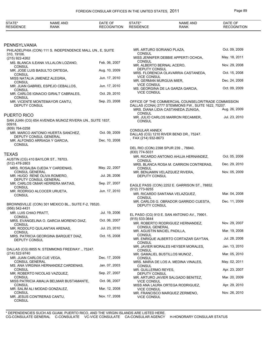| STATE*<br><b>RESIDENCE</b>                         | NAME AND<br>RANK                                           | DATE OF<br><b>RECOGNITION</b> | STATE*<br><b>RESIDENCE</b>                           | <b>NAME AND</b><br><b>RANK</b>                                                            | DATE OF<br><b>RECOGNITION</b> |
|----------------------------------------------------|------------------------------------------------------------|-------------------------------|------------------------------------------------------|-------------------------------------------------------------------------------------------|-------------------------------|
|                                                    |                                                            |                               |                                                      |                                                                                           |                               |
| PENNSYLVANIA                                       |                                                            |                               |                                                      |                                                                                           |                               |
|                                                    | PHILADELPHIA (CON) 111 S. INDEPENDENCE MALL UN., E, SUITE  |                               | MR. ARTURO SORIANO PLAZA,<br><b>CONSUL</b>           |                                                                                           | Oct. 09, 2009                 |
| 310, 19106.<br>(215) 922-4262                      |                                                            |                               |                                                      | MISS JENNIFER DEBBIE APPERTI OCHOA,                                                       | May. 18, 2011                 |
| <b>CONSUL</b>                                      | MS. BLANCA ILEANA VILLALON LOZANO,                         | Feb. 06, 2007                 | <b>CONSUL</b><br>MR. ALBERTO BERNAL ACERO,           |                                                                                           | Nov. 29, 2008                 |
| <b>CONSUL</b>                                      | MR. JOSE LUIS BASULTO ORTEGA,                              | Aug. 10, 2009                 | DEPUTY CONSUL<br><b>VICE CONSUL</b>                  | MRS. FLORENCIA OLAVARRIA CASTANEDA,                                                       | Oct. 15, 2008                 |
| CONSUL                                             | MISS NATALIA JIMENEZ ALEGRIA,                              | Jun. 17, 2010                 | MR. GERMAN MURGUIA MIER,                             |                                                                                           | Dec. 24, 2008                 |
| <b>CONSUL</b>                                      | MR. JUAN GABRIEL ESPEJO CEBALLOS,                          | Jun. 17, 2010                 | <b>VICE CONSUL</b>                                   | MS. GEORGINA DE LA GARZA GARCIA,                                                          | Oct. 09, 2009                 |
| <b>CONSUL</b>                                      | MR. CARLOS IGNACIO GIRALT CABRALES,                        | Oct. 29, 2010                 | <b>VICE CONSUL</b>                                   |                                                                                           |                               |
|                                                    | MR. VICENTE MONTEMAYOR CANTU,                              | Sep. 23, 2008                 |                                                      | OFFICE OF THE COMMERCIAL COUNSELOR/TRADE COMMISSION                                       |                               |
| DEPUTY CONSUL                                      |                                                            |                               | <b>CONSUL</b>                                        | DALLAS (CONA) 2777 STEMMONS FW., SUITE 1622, 75207.<br>MRS. DIANA LIDIA CASTANEDA ZUNIGA, | Aug. 26, 2009                 |
| PUERTO RICO                                        |                                                            |                               |                                                      | MR. JULIO CARLOS MARRON RECAMIER,                                                         | Jul. 23, 2010                 |
| 00918.                                             | SAN JUAN (CG) 654 AVENIDA MUNOZ RIVERA UN., SUITE 1837,    |                               | <b>CONSUL</b>                                        |                                                                                           |                               |
| (809) 764-0258                                     |                                                            |                               | <b>CONSULAR ANNEX</b>                                |                                                                                           |                               |
|                                                    | MR. MARCO ANTONIO HUERTA SANCHEZ,<br>DEPUTY CONSUL GENERAL | Oct. 09, 2009                 | FAX (214) 932-8673                                   | DALLAS (CG) 1210 RIVER BEND DR., 75247.                                                   |                               |
| <b>CONSUL</b>                                      | MR. ALFONSO ARRIAGA Y GARCIA,                              | Dec. 10, 2008                 |                                                      |                                                                                           |                               |
|                                                    |                                                            |                               | (830) 774-5031                                       | DEL RIO (CON) 2398 SPUR 239 ., 78840.                                                     |                               |
| TEXAS                                              |                                                            |                               |                                                      | MR. RICARDO ANTONIO AHUJA HERNANDEZ,                                                      | Oct. 05, 2006                 |
| $(512)$ 478-2803                                   | AUSTIN (CG) 410 BAYLOR ST., 78703.                         |                               | CONSUL                                               | MRS. BLANCA ROSA M. CARRION CONTRERAS,                                                    | Dec. 29, 2010                 |
| <b>CONSUL GENERAL</b>                              | MRS. ROSALBA OJEDA Y CARDENAS,                             | May. 22, 2007                 | <b>CONSUL</b>                                        | MR. BENJAMIN VELAZQUEZ RIVERA,                                                            | Nov. 05, 2009                 |
|                                                    | MR. HUGO RENE OLIVA ROMERO,<br>DEPUTY CONSUL GENERAL       | Jul. 26, 2006                 | DEPUTY CONSUL                                        |                                                                                           |                               |
| <b>CONSUL</b>                                      | MR. CARLOS OMAR HERRERA MATIAS,                            | Sep. 27, 2007                 |                                                      | EAGLE PASS (CON) 2252 E. GARRISON ST., 78852.                                             |                               |
| <b>CONSUL</b>                                      | MR. RODRIGO ALCOCER URUETA,                                | Jun. 17, 2010                 | (512) 773-9255                                       | MR. RICARDO SANTANA VELAZQUEZ,                                                            | Mar. 04, 2008                 |
|                                                    | BROWNSVILLE (CON) 301 MEXICO BL., SUITE F-2, 78520.        |                               | <b>CONSUL</b><br><b>DEPUTY CONSUL</b>                | MR. CARLOS G. OBRADOR GARRIDO CUESTA.                                                     | Dec. 11, 2009                 |
| (956) 542-4431                                     |                                                            |                               |                                                      |                                                                                           |                               |
| MR. LUIS CHAO PRATT,<br>CONSUL                     |                                                            | Jul. 19, 2006                 | (915) 533-3644                                       | EL PASO (CG) 910 E. SAN ANTONIO AV., 79901.                                               |                               |
| <b>CONSUL</b>                                      | MRS. EVANGELINA O. GARCIA MORENO DIAZ,                     | Oct. 06, 2007                 |                                                      | MR. ROBERTO RODRIGUEZ HERNANDEZ,                                                          | Nov. 29, 2007                 |
| <b>CONSUL</b>                                      | MR. RODOLFO QUILANTAN ARENAS,                              | Jul. 23, 2010                 | <b>CONSUL GENERAL</b><br>MR. AGUSTIN MACIEL PADILLA, |                                                                                           | Mar. 19, 2008                 |
| DEPUTY CONSUL                                      | MRS. PATRICIA GEORGINA BARQUET DIAZ,                       | Oct. 15, 2008                 | <b>CONSUL</b>                                        | MR. ENRIQUE ALBERTO CORTAZAR GAYTAN,                                                      | Jul. 28, 2008                 |
|                                                    | DALLAS (CG) 8855 N. STEMMONS FREEWAY ., 75247.             |                               | CONSUL                                               | MR. JAVIER MORALES HEYSER MORALES,                                                        | Jan. 13, 2010                 |
| (214) 522-9740                                     |                                                            |                               | CONSUL                                               | MR. GAMALIEL BUSTILLOS MUNOZ,                                                             | Mar. 05, 2010                 |
| MR. JUAN CARLOS CUE VEGA,<br><b>CONSUL GENERAL</b> |                                                            | Dec. 17, 2009                 | CONSUL                                               | MRS. MARIA DE LOS A. MEDINA VINALES.                                                      | May. 02, 2011                 |
| <b>CONSUL</b>                                      | MS. ANA VIRGINIA HERNANDEZ CARDENAS,                       | Jan. 07, 2003                 | <b>CONSUL</b><br>MR. GUILLERMO REYES,                |                                                                                           | Apr. 23, 2007                 |
| <b>CONSUL</b>                                      | MR. ROBERTO NICOLAS VAZQUEZ,                               | Sep. 27, 2007                 | DEPUTY CONSUL                                        | MR. ARTURO JAVIER SALGADO BENITEZ,                                                        | Mar. 20, 2009                 |
| <b>CONSUL</b>                                      | MISS PATRICIA AMALIA BELMAR BUSTAMANTE,                    | Oct. 06, 2007                 | <b>VICE CONSUL</b>                                   |                                                                                           | Apr. 29, 2010                 |
|                                                    | MR. SALIM ALI MODAD GONZALEZ,                              | Mar. 12, 2008                 | <b>VICE CONSUL</b>                                   | MISS ANA LAURA ORTEGA RODRIGUEZ,                                                          |                               |
| <b>CONSUL</b><br><b>CONSUL</b>                     | MR. JESUS CONTRERAS CANTU,                                 | Nov. 17, 2008                 | <b>VICE CONSUL</b>                                   | MR. FRANCISCO MARQUEZ ZERMENO,                                                            | Nov. 26, 2010                 |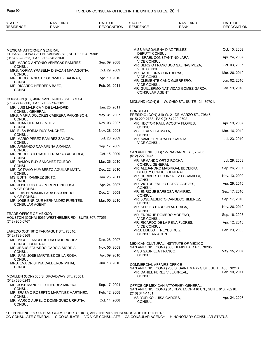| STATE*<br><b>RESIDENCE</b>                 | <b>NAME AND</b><br>RANK                               | DATE OF<br><b>RECOGNITION</b> | STATE*<br><b>RESIDENCE</b>                         | <b>NAME AND</b><br><b>RANK</b>                                                                    | DATE OF<br><b>RECOGNITION</b> |
|--------------------------------------------|-------------------------------------------------------|-------------------------------|----------------------------------------------------|---------------------------------------------------------------------------------------------------|-------------------------------|
|                                            |                                                       |                               |                                                    |                                                                                                   |                               |
| <b>MEXICAN ATTORNEY GENERAL</b>            |                                                       |                               |                                                    | MISS MAGDALENA DIAZ TELLEZ,                                                                       | Oct. 10, 2008                 |
| (915) 532-0323, FAX (915) 545-2160         | EL PASO (CONA) 231 N. KANSAS ST., SUITE 1104, 79901.  |                               | DEPUTY CONSUL                                      | MR. ISRAEL CONSTANTINO LARA,                                                                      | Apr. 24, 2007                 |
|                                            | MR. MARCO ANTONIO VENEGAS RAMIREZ,                    | Sep. 09, 2008                 | <b>VICE CONSUL</b>                                 | MR. SERGIO FRANCISCO SALINAS MEZA,                                                                | Oct. 03, 2007                 |
| <b>CONSUL</b>                              | MRS. NORMA YRASEMA D BAZAN MAYAGOITIA,                | Oct. 29, 2009                 | <b>VICE CONSUL</b><br>MR. RAUL LUNA CONTRERAS,     |                                                                                                   | Mar. 26, 2010                 |
| <b>CONSUL</b>                              | MR. HUGO ERNESTO GONZALEZ SALINAS,                    | Apr. 19, 2010                 | <b>VICE CONSUL</b>                                 | MR. CLEMENTE CANO GUERRERO,                                                                       | Jun. 02, 2010                 |
| <b>CONSUL</b><br>MR. RICARDO HERRERA BAEZ, |                                                       | Feb. 03, 2011                 | <b>VICE CONSUL</b>                                 |                                                                                                   |                               |
| <b>CONSUL</b>                              |                                                       |                               | <b>CONSULAR AGENT</b>                              | MR. GUILLERMO NATIVIDAD GOMEZ GARZA,                                                              | Jan. 13, 2010                 |
| (713) 271-6800, FAX (713) 271-3201         | HOUSTON (CG) 4507 SAN JACINTO ST., 77004.             |                               |                                                    | MIDLAND (CON) 511 W. OHIO ST., SUITE 121, 79701.                                                  |                               |
| <b>CONSUL GENERAL</b>                      | MR. LUIS MALPICA Y DE LAMADRID,                       | Jan. 25, 2011                 | CONSULATE                                          |                                                                                                   |                               |
| <b>CONSUL</b>                              | MRS. MARIA DOLORES CABRERA PARKINSON,                 | May. 31, 2007                 |                                                    | PRESIDIO (CON) 319 W. 21 DE MARZO ST., 79845.<br>(915) 229-2788, FAX (915) 229-2792               |                               |
| MR. JUAN CERDA BENITEZ,                    |                                                       | Nov. 03, 2007                 |                                                    | MR. HECTOR RAUL ACOSTA FLORES.                                                                    | Apr. 19, 2007                 |
| <b>CONSUL</b>                              | MS. ELSA BORJA RUY SANCHEZ,                           | Nov. 28, 2008                 | <b>CONSUL</b><br>MS. ELSA VILLA MATA,              |                                                                                                   | Mar. 16, 2010                 |
| <b>CONSUL</b>                              | MR. MARIO PEREZ RAMIREZ ZAMORA,                       | Jul. 28, 2009                 | <b>CONSUL</b>                                      | MR. SAMUEL MORALES GARCIA,                                                                        | Jul. 23, 2010                 |
| CONSUL                                     | MR. ARMANDO CAMARENA ARANDA,                          | Sep. 17, 2009                 | <b>VICE CONSUL</b>                                 |                                                                                                   |                               |
| CONSUL                                     | MR. NORBERTO SAUL TERRAZAS ARREOLA,                   | Oct. 15, 2009                 | (512) 227-9145                                     | SAN ANTONIO (CG) 127 NAVARRO ST., 78205.                                                          |                               |
| CONSUL                                     | MR. RAMON RUY SANCHEZ TOLEDO,                         | Mar. 26, 2010                 |                                                    | MR. ARMANDO ORTIZ ROCHA,                                                                          | Jul. 29, 2008                 |
| CONSUL                                     | MR. OCTAVIO HUMBERTO AGUILAR MATA,                    | Dec. 22, 2010                 | <b>CONSUL GENERAL</b>                              | MR. ALEJANDRO MADRIGAL BECERRA,                                                                   | Sep. 26, 2007                 |
| CONSUL<br>MS. EDITH RAMIREZ BRITO,         |                                                       | Jan. 25, 2011                 |                                                    | DEPUTY CONSUL GENERAL<br>MR. HERIBERTO GONZALEZ ESCAMILLA,                                        | Nov. 13, 2009                 |
| <b>CONSUL</b>                              | MR. JOSE LUIS DIAZ MIRON HINOJOSA,                    | Apr. 24, 2007                 | <b>CONSUL</b>                                      | MR. VICTOR EMILIO CORZO ACEVES,                                                                   | Apr. 29, 2010                 |
| <b>VICE CONSUL</b>                         | MR. LUIS BENJAMIN LARA ESCOBEDO,                      | Dec. 24, 2008                 | <b>CONSUL</b>                                      | MR. ENRIQUE BARBOSA RAMIREZ,                                                                      | Sep. 17, 2010                 |
| <b>VICE CONSUL</b>                         | MR. JOSE ENRIQUE HERNANDEZ FUENTES,                   | Mar. 05, 2010                 | <b>CONSUL</b>                                      | MR. JOSE ALBERTO CANSECO JIMENEZ,                                                                 | Sep. 17, 2010                 |
| <b>CONSULAR AGENT</b>                      |                                                       |                               | <b>CONSUL</b>                                      | MR. KEPLER BARRON ARTEAGA,                                                                        | Nov. 26, 2010                 |
| TRADE OFFICE OF MEXICO                     |                                                       |                               | <b>CONSUL</b>                                      | MR. ENRIQUE ROMERO MORENO,                                                                        | Sep. 16, 2008                 |
| (713) 965-0767                             | HOUSTON (CONA) 5065 WESTHEIMER RD., SUITE 707, 77056. |                               | <b>VICE CONSUL</b>                                 | MR. RICARDO DE LA PENA FLORES.                                                                    | Apr. 12, 2010                 |
|                                            |                                                       |                               | <b>VICE CONSUL</b>                                 |                                                                                                   | Feb. 23, 2006                 |
| (512) 723-6369                             | LAREDO (CG) 1612 FARRAGUT ST., 78040.                 |                               | MRS. LISELOTT REYES RUIZ,<br><b>CONSULAR AGENT</b> |                                                                                                   |                               |
| <b>CONSUL GENERAL</b>                      | MR. MIGUEL ANGEL ISIDRO RODRIGUEZ,                    | Dec. 28, 2007                 |                                                    | MEXICAN CULTURAL INSTITUTE OF MEXICO                                                              |                               |
|                                            | MR. JESUS EDUARDO GARCIA SIORDIA,                     | Nov. 05, 2009                 | MISS GABRIELA FRANCO.                              | SAN ANTONIO (CONA) 600 HEMIS FAIR PZ., 78205.                                                     | May. 15, 2007                 |
| <b>CONSUL</b>                              | MR. JUAN JOSE MARTINEZ DE LA ROSA,                    | Apr. 09, 2010                 | <b>CONSUL</b>                                      |                                                                                                   |                               |
| <b>CONSUL</b><br><b>CONSUL</b>             | MRS. EVA CRISTINA CALDERON MIHAI,                     | Jun. 18, 2010                 | <b>COMMERCIAL AFFAIRS OFFICE</b>                   | SAN ANTONIO (CONA) 203 S. SAINT MARY'S ST., SUITE 450, 78213.                                     |                               |
| (512) 686-0243                             | MCALLEN (CON) 600 S. BROADWAY ST., 78501.             |                               | <b>CONSUL</b>                                      | MR. DANIEL PEREZ VILLARREAL,                                                                      | Feb. 10, 2011                 |
| CONSUL                                     | MR. JOSE MANUEL GUTIERREZ MINERA,                     | Sep. 17, 2001                 |                                                    | OFFICE OF MEXICAN ATTORNEY GENERAL<br>SAN ANTONIO (CONA) 613 N.W. LOOP 410 UN., SUITE 610, 78216. |                               |
|                                            | MR. ERASMO ROBERTO MARTINEZ MARTINEZ,                 | Feb. 12, 2008                 | (210) 344-1131                                     |                                                                                                   |                               |
| CONSUL<br><b>CONSUL</b>                    | MR. MARCO AURELIO DOMINGUEZ URRUTIA,                  | Oct. 14, 2008                 | MS. YURIKO LUISA GARCES,<br><b>CONSUL</b>          |                                                                                                   | Apr. 24, 2007                 |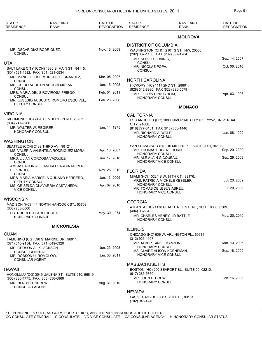| <b>MOLDOVA</b><br><b>DISTRICT OF COLUMBIA</b><br>Nov. 13, 2009<br>MR. OSCAR DIAZ RODRIGUEZ,<br>WASHINGTON (CHN) 2101 S ST., NW, 20008.<br><b>CONSUL</b><br>(202) 667-1130, FAX (202) 667-1204<br>Sep. 14, 2007<br>MR. SERGIU ODAINIC.<br>CONSUL<br><b>UTAH</b><br>Oct. 06, 2010<br>MR. NICOLAE POPA,<br>SALT LAKE CITY (CON) 1380 S. MAIN ST., 84115.<br><b>CONSUL</b><br>(801) 521-4582, FAX (801) 521-0534<br>MR. MANUEL JOSE MORODO FERNANDEZ.<br>Mar. 08, 2007<br><b>NORTH CAROLINA</b><br><b>CONSUL</b><br>Jan. 15, 2008<br>MR. GUIDO AGUSTIN AROCHI MILLAN,<br>HICKORY (HC) 1117 2ND ST., 28601.<br>CONSUL<br>(828) 312-8980, FAX (828) 396-5579<br>Feb. 01, 2011<br>MRS. MARIA DEL S ROVIROSA PRIEGO,<br>Apr. 03, 1998<br>MR. FLORIN PINDIC BLAJ,<br>CONSUL<br>HONORARY CONSUL<br>Feb. 23, 2006<br>MR. EUSEBIO AUGUSTO ROMERO ESQUIVEL,<br>DEPUTY CONSUL<br><b>MONACO</b><br>VIRGINIA<br><b>CALIFORNIA</b><br>RICHMOND (HC) 2420 PEMBERTON RD., 23233.<br>LOS ANGELES (HC) 100 UNIVERSAL CITY PZ., 2252, UNIVERSAL<br>(804) 747-9200<br>CITY 91608.<br>Jan. 14, 1975<br>MR. WALTER W. REGIRER,<br>(818) 777-3131, FAX (818) 866-1446<br><b>HONORARY CONSUL</b><br>Jan. 08, 1999<br>MR. RICHARD A. WOLF,<br>HONORARY CONSUL<br>WASHINGTON<br>SAN FRANCISCO (HC) 10 MILLER PL., SUITE 2001, 94108.<br>SEATTLE (CON) 2132 THIRD AV., 98121.<br>Sep. 29, 2009<br>MR. THOMAS EUGENE HORN,<br>Apr. 18, 2007<br>MS. VALERIA VALENTINA RODRIGUEZ MORA,<br><b>HONORARY CONSUL</b><br>CONSUL<br>Sep. 29, 2009<br>MR. ALE ALAIN GICQUEAU,<br>Jun. 17, 2010<br>MRS. LILIAN CORDOBA VAZQUEZ,<br>HONORARY VICE CONSUL<br>CONSUL | DATE OF<br><b>RECOGNITION</b> |
|--------------------------------------------------------------------------------------------------------------------------------------------------------------------------------------------------------------------------------------------------------------------------------------------------------------------------------------------------------------------------------------------------------------------------------------------------------------------------------------------------------------------------------------------------------------------------------------------------------------------------------------------------------------------------------------------------------------------------------------------------------------------------------------------------------------------------------------------------------------------------------------------------------------------------------------------------------------------------------------------------------------------------------------------------------------------------------------------------------------------------------------------------------------------------------------------------------------------------------------------------------------------------------------------------------------------------------------------------------------------------------------------------------------------------------------------------------------------------------------------------------------------------------------------------------------------------------------------------------------------------|-------------------------------|
|                                                                                                                                                                                                                                                                                                                                                                                                                                                                                                                                                                                                                                                                                                                                                                                                                                                                                                                                                                                                                                                                                                                                                                                                                                                                                                                                                                                                                                                                                                                                                                                                                          |                               |
|                                                                                                                                                                                                                                                                                                                                                                                                                                                                                                                                                                                                                                                                                                                                                                                                                                                                                                                                                                                                                                                                                                                                                                                                                                                                                                                                                                                                                                                                                                                                                                                                                          |                               |
|                                                                                                                                                                                                                                                                                                                                                                                                                                                                                                                                                                                                                                                                                                                                                                                                                                                                                                                                                                                                                                                                                                                                                                                                                                                                                                                                                                                                                                                                                                                                                                                                                          |                               |
|                                                                                                                                                                                                                                                                                                                                                                                                                                                                                                                                                                                                                                                                                                                                                                                                                                                                                                                                                                                                                                                                                                                                                                                                                                                                                                                                                                                                                                                                                                                                                                                                                          |                               |
|                                                                                                                                                                                                                                                                                                                                                                                                                                                                                                                                                                                                                                                                                                                                                                                                                                                                                                                                                                                                                                                                                                                                                                                                                                                                                                                                                                                                                                                                                                                                                                                                                          |                               |
|                                                                                                                                                                                                                                                                                                                                                                                                                                                                                                                                                                                                                                                                                                                                                                                                                                                                                                                                                                                                                                                                                                                                                                                                                                                                                                                                                                                                                                                                                                                                                                                                                          |                               |
|                                                                                                                                                                                                                                                                                                                                                                                                                                                                                                                                                                                                                                                                                                                                                                                                                                                                                                                                                                                                                                                                                                                                                                                                                                                                                                                                                                                                                                                                                                                                                                                                                          |                               |
|                                                                                                                                                                                                                                                                                                                                                                                                                                                                                                                                                                                                                                                                                                                                                                                                                                                                                                                                                                                                                                                                                                                                                                                                                                                                                                                                                                                                                                                                                                                                                                                                                          |                               |
|                                                                                                                                                                                                                                                                                                                                                                                                                                                                                                                                                                                                                                                                                                                                                                                                                                                                                                                                                                                                                                                                                                                                                                                                                                                                                                                                                                                                                                                                                                                                                                                                                          |                               |
|                                                                                                                                                                                                                                                                                                                                                                                                                                                                                                                                                                                                                                                                                                                                                                                                                                                                                                                                                                                                                                                                                                                                                                                                                                                                                                                                                                                                                                                                                                                                                                                                                          |                               |
|                                                                                                                                                                                                                                                                                                                                                                                                                                                                                                                                                                                                                                                                                                                                                                                                                                                                                                                                                                                                                                                                                                                                                                                                                                                                                                                                                                                                                                                                                                                                                                                                                          |                               |
|                                                                                                                                                                                                                                                                                                                                                                                                                                                                                                                                                                                                                                                                                                                                                                                                                                                                                                                                                                                                                                                                                                                                                                                                                                                                                                                                                                                                                                                                                                                                                                                                                          |                               |
|                                                                                                                                                                                                                                                                                                                                                                                                                                                                                                                                                                                                                                                                                                                                                                                                                                                                                                                                                                                                                                                                                                                                                                                                                                                                                                                                                                                                                                                                                                                                                                                                                          |                               |
|                                                                                                                                                                                                                                                                                                                                                                                                                                                                                                                                                                                                                                                                                                                                                                                                                                                                                                                                                                                                                                                                                                                                                                                                                                                                                                                                                                                                                                                                                                                                                                                                                          |                               |
|                                                                                                                                                                                                                                                                                                                                                                                                                                                                                                                                                                                                                                                                                                                                                                                                                                                                                                                                                                                                                                                                                                                                                                                                                                                                                                                                                                                                                                                                                                                                                                                                                          |                               |
| AMBASSADOR ALEJANDRO GARCIA MORENO<br>Nov. 26, 2010<br>ELIZONDO,<br><b>FLORIDA</b><br><b>CONSUL</b>                                                                                                                                                                                                                                                                                                                                                                                                                                                                                                                                                                                                                                                                                                                                                                                                                                                                                                                                                                                                                                                                                                                                                                                                                                                                                                                                                                                                                                                                                                                      |                               |
| MIAMI (HC) 10224 S.W. 87TH CT., 33176.<br>Jan. 13, 2009<br>MRS. MARIA MARISELA QUIJANO HERRERO,<br>Jul. 20, 2009<br>MRS. PATRICIA MICHELE KESSLER.                                                                                                                                                                                                                                                                                                                                                                                                                                                                                                                                                                                                                                                                                                                                                                                                                                                                                                                                                                                                                                                                                                                                                                                                                                                                                                                                                                                                                                                                       |                               |
| DEPUTY CONSUL<br><b>HONORARY CONSUL</b><br>Apr. 07, 2010<br>MS. GRISELDA OLAVARRIA CASTANEDA,<br>Jul. 20, 2009<br>MR. TOMAS DE JESUS ABREU,<br><b>VICE CONSUL</b><br><b>HONORARY VICE CONSUL</b>                                                                                                                                                                                                                                                                                                                                                                                                                                                                                                                                                                                                                                                                                                                                                                                                                                                                                                                                                                                                                                                                                                                                                                                                                                                                                                                                                                                                                         |                               |
| WISCONSIN                                                                                                                                                                                                                                                                                                                                                                                                                                                                                                                                                                                                                                                                                                                                                                                                                                                                                                                                                                                                                                                                                                                                                                                                                                                                                                                                                                                                                                                                                                                                                                                                                |                               |
| <b>GEORGIA</b><br>MADISON (HC) 141 NORTH HANCOCK ST., 53703.<br>ATLANTA (HC) 1170 PEACHTREE ST., NE, SUITE 800, 30309.<br>$(608)$ 283-6000<br>(404) 962-6465                                                                                                                                                                                                                                                                                                                                                                                                                                                                                                                                                                                                                                                                                                                                                                                                                                                                                                                                                                                                                                                                                                                                                                                                                                                                                                                                                                                                                                                             |                               |
| May. 30, 1974<br>DR. RUDOLPH CARO HECHT,<br>May. 20, 2010<br>MR. CHARLES HENRY, JR BATTLE,<br><b>HONORARY CONSUL</b><br>HONORARY CONSUL                                                                                                                                                                                                                                                                                                                                                                                                                                                                                                                                                                                                                                                                                                                                                                                                                                                                                                                                                                                                                                                                                                                                                                                                                                                                                                                                                                                                                                                                                  |                               |
| <b>MICRONESIA</b>                                                                                                                                                                                                                                                                                                                                                                                                                                                                                                                                                                                                                                                                                                                                                                                                                                                                                                                                                                                                                                                                                                                                                                                                                                                                                                                                                                                                                                                                                                                                                                                                        |                               |
| <b>ILLINOIS</b><br><b>GUAM</b><br>CHICAGO (HC) 606 W. ARLINGTON PL., 60614.<br>(312) 925-4107                                                                                                                                                                                                                                                                                                                                                                                                                                                                                                                                                                                                                                                                                                                                                                                                                                                                                                                                                                                                                                                                                                                                                                                                                                                                                                                                                                                                                                                                                                                            |                               |
| TAMUNING (CG) 590 S. MARINE DR., 96911.<br>Mar. 13, 2006<br>MR. ALBERT ANGE MANZONE,<br>(671) 646-9154, FAX (671) 649-6320                                                                                                                                                                                                                                                                                                                                                                                                                                                                                                                                                                                                                                                                                                                                                                                                                                                                                                                                                                                                                                                                                                                                                                                                                                                                                                                                                                                                                                                                                               |                               |
| <b>HONORARY CONSUL</b><br>Jun. 23, 2008<br>MR. GERSON ALIK JACKSON,<br>Sep. 18, 2009<br>MS. CLAIRE ALISON KOENEMAN,<br>CONSUL GENERAL<br>HONORARY VICE CONSUL<br>Jan. 03, 2011                                                                                                                                                                                                                                                                                                                                                                                                                                                                                                                                                                                                                                                                                                                                                                                                                                                                                                                                                                                                                                                                                                                                                                                                                                                                                                                                                                                                                                           |                               |
| MR. ROBSON U. ROMOLOW,<br><b>CONSULAR AGENT</b>                                                                                                                                                                                                                                                                                                                                                                                                                                                                                                                                                                                                                                                                                                                                                                                                                                                                                                                                                                                                                                                                                                                                                                                                                                                                                                                                                                                                                                                                                                                                                                          |                               |
| <b>MASSACHUSETTS</b>                                                                                                                                                                                                                                                                                                                                                                                                                                                                                                                                                                                                                                                                                                                                                                                                                                                                                                                                                                                                                                                                                                                                                                                                                                                                                                                                                                                                                                                                                                                                                                                                     |                               |
| HAWAII<br>BOSTON (HC) 200 SEAPORT BL., SUITE 50, 02210.<br>(617) 385-5360<br>HONOLULU (CG) 3049 UALENA ST., SUITE 910, 96819.                                                                                                                                                                                                                                                                                                                                                                                                                                                                                                                                                                                                                                                                                                                                                                                                                                                                                                                                                                                                                                                                                                                                                                                                                                                                                                                                                                                                                                                                                            |                               |
| Jan. 16, 2003<br>MR. JOHN E. DREW,<br>(808) 836-4775, FAX (808) 836-6869<br>HONORARY CONSUL<br>Aug. 31, 2010<br>MR. HENRY H. SHREW,                                                                                                                                                                                                                                                                                                                                                                                                                                                                                                                                                                                                                                                                                                                                                                                                                                                                                                                                                                                                                                                                                                                                                                                                                                                                                                                                                                                                                                                                                      |                               |
| <b>CONSULAR AGENT</b><br><b>NEVADA</b>                                                                                                                                                                                                                                                                                                                                                                                                                                                                                                                                                                                                                                                                                                                                                                                                                                                                                                                                                                                                                                                                                                                                                                                                                                                                                                                                                                                                                                                                                                                                                                                   |                               |
| LAS VEGAS (HC) 500 S. 8TH ST., 89101.<br>(702) 948-4240                                                                                                                                                                                                                                                                                                                                                                                                                                                                                                                                                                                                                                                                                                                                                                                                                                                                                                                                                                                                                                                                                                                                                                                                                                                                                                                                                                                                                                                                                                                                                                  |                               |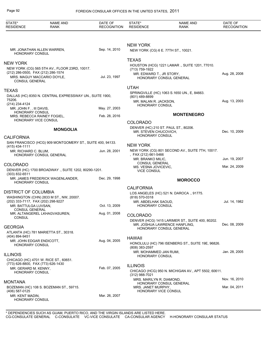| STATE*<br><b>RESIDENCE</b>                                              | <b>NAME AND</b><br><b>RANK</b>                                                                                    | DATE OF<br><b>RECOGNITION</b> | STATE*<br><b>RESIDENCE</b>                                                              | <b>NAME AND</b><br>RANK                                                           | DATE OF<br><b>RECOGNITION</b> |
|-------------------------------------------------------------------------|-------------------------------------------------------------------------------------------------------------------|-------------------------------|-----------------------------------------------------------------------------------------|-----------------------------------------------------------------------------------|-------------------------------|
|                                                                         |                                                                                                                   |                               |                                                                                         |                                                                                   |                               |
| <b>HONORARY CONSUL</b>                                                  | MR. JONATHAN ALLEN WARREN,                                                                                        | Sep. 14, 2010                 | <b>NEW YORK</b><br>NEW YORK (CG) 6 E. 77TH ST., 10021.                                  |                                                                                   |                               |
|                                                                         |                                                                                                                   |                               | <b>TEXAS</b>                                                                            |                                                                                   |                               |
| <b>NEW YORK</b>                                                         |                                                                                                                   |                               |                                                                                         | HOUSTON (HCG) 1221 LAMAR., SUITE 1201, 77010.                                     |                               |
| <b>CONSUL GENERAL</b>                                                   | NEW YORK (CG) 565 5TH AV., FLOOR 23RD, 10017.<br>(212) 286-0500, FAX (212) 286-1574<br>MRS. MAGUY MACCARIO DOYLE, | Jul. 23, 1997                 | (713) 759-1922<br>MR. EDWARD T., JR STORY,                                              | HONORARY CONSUL GENERAL                                                           | Aug. 28, 2008                 |
|                                                                         |                                                                                                                   |                               | <b>UTAH</b>                                                                             |                                                                                   |                               |
| <b>TEXAS</b>                                                            |                                                                                                                   |                               |                                                                                         | SPRINGVILLE (HC) 1063 S.1650 UN., E, 84663.                                       |                               |
| 75206.<br>(214) 234-4124                                                | DALLAS (HC) 8350 N. CENTRAL EXPRESSWAY UN., SUITE 1900,                                                           |                               | (801) 489-8899<br>MR. MALAN R. JACKSON,                                                 |                                                                                   | Aug. 13, 2003                 |
| MR. JOHN F., III DAVIS,                                                 |                                                                                                                   | May. 27, 2003                 | HONORARY CONSUL                                                                         |                                                                                   |                               |
| <b>HONORARY CONSUL</b>                                                  | MRS. REBECCA RAINEY FOGIEL,                                                                                       | Feb. 28, 2016                 |                                                                                         | <b>MONTENEGRO</b>                                                                 |                               |
|                                                                         | HONORARY VICE CONSUL                                                                                              |                               | <b>COLORADO</b>                                                                         |                                                                                   |                               |
| <b>MONGOLIA</b>                                                         |                                                                                                                   |                               | DENVER (HC) 210 ST. PAUL ST., 80206.<br>MR. STEVEN CHUCOVICH,<br><b>HONORARY CONSUL</b> |                                                                                   | Dec. 10, 2009                 |
| <b>CALIFORNIA</b>                                                       | SAN FRANCISCO (HCG) 909 MONTGOMERY ST., SUITE 400, 94133.                                                         |                               |                                                                                         |                                                                                   |                               |
| $(415)$ 434-1111                                                        |                                                                                                                   |                               | <b>NEW YORK</b>                                                                         |                                                                                   |                               |
| MR. RICHARD C. BLUM,                                                    | HONORARY CONSUL GENERAL                                                                                           | Jun. 28, 2001                 | , FAX (212) 661-5466<br>MR. BRANKO MILIC.                                               | NEW YORK (CG) 801 SECOND AV., SUITE 7TH, 10017.                                   | Jun. 19, 2007                 |
| <b>COLORADO</b><br>DENVER (HC) 1700 BROADWAY ., SUITE 1202, 80290-1201. |                                                                                                                   |                               | <b>CONSUL GENERAL</b><br>MS. VESNA JOVICEVIC,<br><b>VICE CONSUL</b>                     |                                                                                   | Mar. 24, 2009                 |
| (303) 832-6511                                                          | MR. JAMES FREDERICK WAGENLANDER,                                                                                  | Dec. 29, 1998                 |                                                                                         |                                                                                   |                               |
| HONORARY CONSUL                                                         |                                                                                                                   |                               |                                                                                         | <b>MOROCCO</b>                                                                    |                               |
|                                                                         |                                                                                                                   |                               | <b>CALIFORNIA</b>                                                                       |                                                                                   |                               |
| <b>DISTRICT OF COLUMBIA</b>                                             | WASHINGTON (CHN) 2833 M ST., NW, 20007.                                                                           |                               | (818) 570-0318                                                                          | LOS ANGELES (HC) 521 N. DAROCA., 91775.                                           |                               |
| MR. BATTULGA LUVSAN,<br><b>CONSUL GENERAL</b>                           | (202) 333-7117, FAX (202) 298-9227                                                                                | Oct. 13, 2009                 | MR. ABDELHAK SAOUD,<br>HONORARY CONSUL                                                  |                                                                                   | Jul. 14, 1982                 |
| <b>CONSUL</b>                                                           | MR. ALTANGEREL LKHAGVASUREN,                                                                                      | Aug. 01, 2008                 | <b>COLORADO</b>                                                                         |                                                                                   |                               |
|                                                                         |                                                                                                                   |                               |                                                                                         | DENVER (HCG) 1415 LARIMER ST., SUITE 400, 80202.<br>MR. JOSHUA LAWRENCE HANFLING, | Dec. 08, 2009                 |
| <b>GEORGIA</b><br>(404) 894-9451                                        | ATLANTA (HC) 781 MARIETTA ST., 30318.                                                                             |                               |                                                                                         | HONORARY CONSUL GENERAL                                                           |                               |
| HONORARY CONSUL                                                         | MR. JOHN EDGAR ENDICOTT.                                                                                          | Aug. 04, 2005                 | <b>HAWAII</b>                                                                           | HONOLULU (HC) 796 ISENBERG ST., SUITE 19E, 96826.                                 |                               |
|                                                                         |                                                                                                                   |                               | $(808)$ 383-2597<br>MR. MOHAMMED JAN RUMI,                                              |                                                                                   | Jan. 28, 2005                 |
| <b>ILLINOIS</b>                                                         | CHICAGO (HC) 4701 W. RICE ST., 60651.                                                                             |                               | HONORARY CONSUL                                                                         |                                                                                   |                               |
|                                                                         | (773) 626-8800, FAX (773) 626-1430                                                                                |                               | <b>ILLINOIS</b>                                                                         |                                                                                   |                               |
| MR. GERARD M. KENNY,<br><b>HONORARY CONSUL</b>                          |                                                                                                                   | Feb. 07, 2005                 | (312) 988-7021                                                                          | CHICAGO (HCG) 950 N. MICHIGAN AV., APT 5502, 60611.                               |                               |
| <b>MONTANA</b>                                                          |                                                                                                                   |                               | MRS. MARILYN R. DIAMOND,                                                                |                                                                                   | Nov. 16, 2010                 |
| (406) 587-0125                                                          | BOZEMAN (HC) 108 S. BOZEMAN ST., 59715.                                                                           |                               | MRS. JANET MURPHY,<br>HONORARY VICE CONSUL                                              | HONORARY CONSUL GENERAL                                                           | Mar. 04, 2011                 |
| MR. KENT MADIN,<br>HONORARY CONSUL                                      |                                                                                                                   | Mar. 26, 2007                 |                                                                                         |                                                                                   |                               |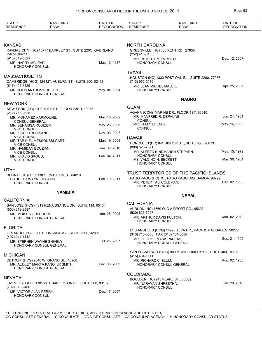| STATE*<br><b>RESIDENCE</b>                                                               | <b>NAME AND</b><br><b>RANK</b>                                                                         | DATE OF<br><b>RECOGNITION</b>  | STATE*<br><b>RESIDENCE</b>                                                            | <b>NAME AND</b><br><b>RANK</b>                             | DATE OF<br><b>RECOGNITION</b> |  |  |
|------------------------------------------------------------------------------------------|--------------------------------------------------------------------------------------------------------|--------------------------------|---------------------------------------------------------------------------------------|------------------------------------------------------------|-------------------------------|--|--|
|                                                                                          |                                                                                                        |                                |                                                                                       |                                                            |                               |  |  |
| <b>KANSAS</b><br>KANSAS CITY (HC) 10777 BARKLEY ST., SUITE 220C, OVERLAND<br>PARK 66211. |                                                                                                        |                                | <b>NORTH CAROLINA</b><br>GREENVILLE (HC) 503 KENT RD., 27858.<br>(252) 413-8155       |                                                            |                               |  |  |
| (913) 649-8021<br>MR. HARRY MCLEAR,<br><b>HONORARY CONSUL</b>                            |                                                                                                        | Mar. 13, 1987                  | MR. PETER J. M. ROMARY,<br>HONORARY CONSUL                                            |                                                            | Dec. 12, 2007                 |  |  |
| <b>MASSACHUSETTS</b>                                                                     |                                                                                                        |                                | <b>TEXAS</b>                                                                          | HOUSTON (HC) 1330 POST OAK BL., SUITE 2200, 77056.         |                               |  |  |
| (617) 495-6325<br>MR. JOHN ANTHONY QUELCH,                                               | CAMBRIDGE (HCG) 124 MT. AUBURN ST., SUITE 200, 02138.                                                  | May. 04, 2004                  | (713) 965-5119<br>MR. JEAN MICHEL MALEK,<br><b>HONORARY CONSUL</b>                    |                                                            | Apr. 25, 2007                 |  |  |
|                                                                                          | HONORARY CONSUL GENERAL                                                                                |                                | <b>NAURU</b>                                                                          |                                                            |                               |  |  |
| <b>NEW YORK</b>                                                                          | NEW YORK (CG) 10 E. 40TH ST., FLOOR 23RD, 10016.                                                       |                                | <b>GUAM</b>                                                                           |                                                            |                               |  |  |
| (212) 758-2625<br>MR. MOHAMED KARMOUNE,                                                  |                                                                                                        | Mar. 18, 2009                  | MR. MANFRED R. DEPAUNE,                                                               | AGANA (CON) MARINE DR., FLOOR 1ST, 96910.                  | Jun. 24, 1981                 |  |  |
| <b>CONSUL GENERAL</b><br>MR. BENAISSA ROUIZEM,<br><b>VICE CONSUL</b>                     |                                                                                                        | May. 23, 2006                  | <b>CONSUL</b><br>MR. KELLY D. EMIU,<br><b>CONSUL</b>                                  |                                                            | May. 16, 1983                 |  |  |
| MR. KHALID BOUZIANE,<br><b>VICE CONSUL</b>                                               |                                                                                                        | Nov. 03, 2007                  | <b>HAWAII</b>                                                                         |                                                            |                               |  |  |
| <b>VICE CONSUL</b>                                                                       | MR. TARIK EL MESSOUSSI GARTI,                                                                          | Mar. 19, 2008                  | (808) 523-7821                                                                        | HONOLULU (HC) 841 BISHOP ST., SUITE 506, 96813.            |                               |  |  |
| MR. HAMIDAN BOUZIANI,<br><b>VICE CONSUL</b><br>MR. KHALID SAOUD,                         |                                                                                                        | Jan. 08, 2010<br>Feb. 04, 2011 | <b>HONORARY CONSUL</b>                                                                | MR. ALFRED HINDMARSH STEPHEN,                              | May. 15, 1972                 |  |  |
| <b>VICE CONSUL</b>                                                                       |                                                                                                        |                                | MS. VALCINO H. BECKETT,<br><b>HONORARY CONSUL</b>                                     |                                                            | Mar. 30, 1981                 |  |  |
| <b>UTAH</b>                                                                              |                                                                                                        |                                |                                                                                       | TRUST TERRITORIES OF THE PACIFIC ISLANDS                   |                               |  |  |
| DR. KEITH WAYNE MARTIN,<br><b>HONORARY CONSUL</b>                                        | BOUNTIFUL (HC) 2130 S. 750TH UN., E, 84010.                                                            | Feb. 10, 2011                  | MR. PETER TALI COLEMAN,<br>HONORARY CONSUL                                            | PAGO PAGO (HC) X., PAGO PAGO, AM. SAMOA 96799.             | Dec. 02, 1985                 |  |  |
|                                                                                          | <b>NAMIBIA</b>                                                                                         |                                |                                                                                       | <b>NEPAL</b>                                               |                               |  |  |
| <b>CALIFORNIA</b>                                                                        | SAN JOSE (HCG) 4319 RENAISSANCE DR., SUITE 114, 95134.                                                 |                                | <b>CALIFORNIA</b>                                                                     | AUBURN (HC) 1660 OLD AIRPORT RD., 95602.                   |                               |  |  |
| (650) 619-2887<br>MR. MOISES GUERRERO,                                                   | HONORARY CONSUL GENERAL                                                                                | Jun. 26, 2008                  | (530) 823-6927<br>MR. ARTHUR DAVIS FULTON,<br><b>HONORARY CONSUL</b>                  |                                                            | Mar. 02, 2010                 |  |  |
| <b>FLORIDA</b>                                                                           |                                                                                                        |                                |                                                                                       | LOS ANGELES (HCG) 14920 ALVA DR., PACIFIC PALISADES 90272. |                               |  |  |
| (407) 244-1112                                                                           | ORLANDO (HCG) 200 S. ORANGE AV., SUITE 2600, 32801.<br>MR. STEPHEN WAYNE SNIVELY,                      | Jul. 25, 2007                  | (310) 710-5500, FAX (310) 454-5688<br>MR. GEORGE MARK PAPPAS,                         |                                                            | Sep. 21, 1992                 |  |  |
|                                                                                          | HONORARY CONSUL GENERAL                                                                                |                                |                                                                                       | HONORARY CONSUL GENERAL                                    |                               |  |  |
| <b>MICHIGAN</b>                                                                          |                                                                                                        |                                | $(415)$ 434-1111                                                                      | SAN FRANCISCO (HCG) 909 MONTGOMERY ST., SUITE 400, 94133.  |                               |  |  |
|                                                                                          | DETROIT (HCG) 2648 W. GRAND BL., 48208.<br>MR. AUDLEY MARTA KANO, JR SMITH,<br>HONORARY CONSUL GENERAL | Dec. 08, 2009                  | MR. RICHARD C. BLUM,                                                                  | HONORARY CONSUL GENERAL                                    | Aug. 02, 1983                 |  |  |
| <b>NEVADA</b>                                                                            |                                                                                                        |                                | <b>COLORADO</b>                                                                       |                                                            |                               |  |  |
| (702) 870-2400                                                                           | LAS VEGAS (HC) 1701 W. CHARLESTON BL., SUITE 200, 89102.                                               |                                | BOULDER (HC) 948 PEARL ST., 80302.<br>MR. NARAYAN SHRESTHA,<br><b>HONORARY CONSUL</b> |                                                            | Jan. 20, 2010                 |  |  |
| MR. VICTOR ALAN PERRY,<br><b>HONORARY CONSUL</b>                                         |                                                                                                        | Dec. 17, 2007                  |                                                                                       |                                                            |                               |  |  |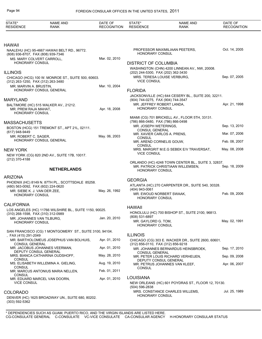| STATE*<br><b>RESIDENCE</b>                         | <b>NAME AND</b><br><b>RANK</b>                           | DATE OF<br><b>RECOGNITION</b> | STATE*<br><b>RESIDENCE</b>                                 | <b>NAME AND</b><br>RANK                                                                 | DATE OF<br><b>RECOGNITION</b> |
|----------------------------------------------------|----------------------------------------------------------|-------------------------------|------------------------------------------------------------|-----------------------------------------------------------------------------------------|-------------------------------|
|                                                    |                                                          |                               |                                                            |                                                                                         |                               |
| <b>HAWAII</b>                                      |                                                          |                               |                                                            |                                                                                         | Oct. 14, 2005                 |
| (808) 936-8707, FAX (808) 939-7346                 | NAALEHU (HC) 95-4667 HAWAII BELT RD., 96772.             |                               | <b>HONORARY CONSUL</b>                                     | PROFESSOR MAXIMILIAAN PEETERS,                                                          |                               |
|                                                    | MS. MARY COLVERT CARROLL,                                | Mar. 02, 2010                 |                                                            |                                                                                         |                               |
| <b>HONORARY CONSUL</b>                             |                                                          |                               | <b>DISTRICT OF COLUMBIA</b>                                |                                                                                         |                               |
|                                                    |                                                          |                               |                                                            | WASHINGTON (CHN) 4200 LINNEAN AV., NW, 20008.                                           |                               |
| <b>ILLINOIS</b>                                    |                                                          |                               | (202) 244-5300, FAX (202) 362-3430                         | MRS. TERESA LOUISE VERBURG,                                                             | Sep. 07, 2005                 |
| (312) 263-1250, FAX (312) 263-3480                 | CHICAGO (HCG) 100 W. MONROE ST., SUITE 500, 60603.       |                               | <b>VICE CONSUL</b>                                         |                                                                                         |                               |
| MR. MARVIN A. BRUSTIN,                             |                                                          | Mar. 10, 2004                 |                                                            |                                                                                         |                               |
|                                                    | HONORARY CONSUL GENERAL                                  |                               | <b>FLORIDA</b>                                             |                                                                                         |                               |
|                                                    |                                                          |                               |                                                            | JACKSONVILLE (HC) 644 CESERY BL., SUITE 200, 32211.                                     |                               |
| <b>MARYLAND</b>                                    |                                                          |                               | (904) 744-0275, FAX (904) 744-3547                         |                                                                                         | Apr. 21, 1998                 |
| MR. PREM RAJA MAHAT,<br><b>HONORARY CONSUL</b>     | BALTIMORE (HC) 515 WALKER AV., 21212.                    | Apr. 18, 2008                 | MR. JEFFREY ROBERT LANDA,<br><b>HONORARY CONSUL</b>        |                                                                                         |                               |
|                                                    |                                                          |                               |                                                            | MIAMI (CG) 701 BRICKELL AV., FLOOR 5TH, 33131.                                          |                               |
| <b>MASSACHUSETTS</b>                               |                                                          |                               | (786) 866-0480, FAX (786) 866-0498                         |                                                                                         |                               |
|                                                    | BOSTON (HCG) 151 TREMONT ST., APT 21L, 02111.            |                               | MR. JOSEPH WETERINGS.<br><b>CONSUL GENERAL</b>             |                                                                                         | Sep. 13, 2010                 |
| (617) 948-9449                                     |                                                          |                               | MR. XAVIER CARLOS A. PRENS.                                |                                                                                         | Mar. 07, 2006                 |
| MR. ROBERT C. SAGER,                               | HONORARY CONSUL GENERAL                                  | May. 06, 2003                 | <b>CONSUL</b><br>MR. AREND CORNELIS GOUW,<br><b>CONSUL</b> |                                                                                         | Feb. 08, 2007                 |
| <b>NEW YORK</b>                                    |                                                          |                               |                                                            | MRS. MARGRIT M.E.G SEBEK E/V TRAVERSAT,                                                 | May. 08, 2008                 |
| (212) 370-4188                                     | NEW YORK (CG) 820 2ND AV., SUITE 17B, 10017.             |                               | <b>VICE CONSUL</b>                                         |                                                                                         |                               |
|                                                    | <b>NETHERLANDS</b>                                       |                               | HONORARY CONSUL                                            | ORLANDO (HC) 4248 TOWN CENTER BL., SUITE 3, 32837.<br>MR. PATRICK CHRISTIAAN WILLEMSEN, | Sep. 18, 2009                 |
| <b>ARIZONA</b>                                     |                                                          |                               |                                                            |                                                                                         |                               |
|                                                    | PHOENIX (HC) 8149 N. 87TH PL., SCOTTSDALE 85258.         |                               | <b>GEORGIA</b>                                             |                                                                                         |                               |
| (480) 563-0092, FAX (602) 224-0620                 |                                                          |                               | (404) 943-0061                                             | ATLANTA (HC) 270 CARPENTER DR., SUITE 540, 30328.                                       |                               |
| MR. SIEBE K. J. VAN DER ZEE.<br>HONORARY CONSUL    |                                                          | May. 26, 1992                 | MR. EWOUD NORBERT SWAAK,                                   |                                                                                         | Feb. 09, 2006                 |
|                                                    |                                                          |                               | HONORARY CONSUL                                            |                                                                                         |                               |
| <b>CALIFORNIA</b>                                  |                                                          |                               |                                                            |                                                                                         |                               |
|                                                    | LOS ANGELES (HC) 11766 WILSHIRE BL., SUITE 1150, 90025.  |                               | <b>HAWAII</b>                                              |                                                                                         |                               |
| (310) 268-1598, FAX (310) 312-0989                 |                                                          |                               | (808) 531-6897                                             | HONOLULU (HC) 700 BISHOP ST., SUITE 2100, 96813.                                        |                               |
| MR. JOHANNES VAN TILBURG,<br>HONORARY CONSUL       |                                                          | Jan. 20, 2010                 | MR. GAYLORD G. TOM,                                        |                                                                                         | May. 02, 1991                 |
|                                                    |                                                          |                               | <b>HONORARY CONSUL</b>                                     |                                                                                         |                               |
|                                                    | SAN FRANCISCO (CG) 1 MONTGOMERY ST., SUITE 3100, 94104.  |                               |                                                            |                                                                                         |                               |
| , FAX (415) 291-2049                               |                                                          |                               | <b>ILLINOIS</b>                                            |                                                                                         |                               |
| <b>CONSUL GENERAL</b>                              | MR. BARTHOLOMEUS JOSEPHUS VAN BOLHUIS,                   | Apr. 01, 2010                 | (312) 856-0110, FAX (312) 856-9218                         | CHICAGO (CG) 303 E. WACKER DR., SUITE 2600, 60601.                                      |                               |
|                                                    | MR. JACOBUS JOHANNES VEERMAN,                            | Apr. 01, 2010                 |                                                            | MR. JOHANNES BERNARDUS HEINSBROEK,                                                      | Sep. 17, 2010                 |
|                                                    | DEPUTY CONSUL GENERAL<br>MRS. BIANCA CATHARINA OUDSHOFF, | May. 28, 2010                 | CONSUL GENERAL                                             |                                                                                         |                               |
| <b>CONSUL</b>                                      |                                                          |                               |                                                            | MR. PETER LOUIS RICHARD VERHEIJEN,<br>DEPUTY CONSUL GENERAL                             | Sep. 09, 2008                 |
|                                                    | MS. ELISABETH WILLEMINA A. GIELING,                      | Aug. 19, 2010                 |                                                            | MR. PETRUS JOHANNES VAN KLEEF,                                                          | Apr. 06, 2007                 |
| <b>CONSUL</b>                                      | MR. MARCUS ANTONIUS MARIA NELLEN,                        | Feb. 01, 2011                 | <b>CONSUL</b>                                              |                                                                                         |                               |
| <b>CONSUL</b>                                      |                                                          |                               | <b>LOUISIANA</b>                                           |                                                                                         |                               |
| MR. EDUARD MARCEL VAN DOORN,<br><b>VICE CONSUL</b> |                                                          | Apr. 01, 2010                 |                                                            | NEW ORLEANS (HC) 601 POYDRAS ST., FLOOR 12, 70130.                                      |                               |
|                                                    |                                                          |                               | (504) 596-2838                                             |                                                                                         |                               |
| <b>COLORADO</b>                                    |                                                          |                               |                                                            | MRS. CONSTANCE CHARLES WILLEMS,                                                         | Jul. 25, 1989                 |
| $(303) 592 - 5362$                                 | DENVER (HC) 1625 BROADWAY UN., SUITE 680, 80202.         |                               | <b>HONORARY CONSUL</b>                                     |                                                                                         |                               |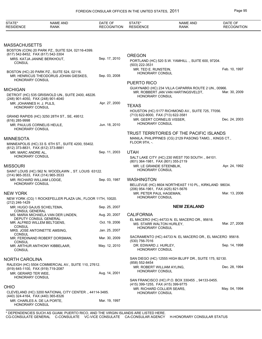| STATE*<br><b>RESIDENCE</b>                             | <b>NAME AND</b><br><b>RANK</b>                                                            | DATE OF<br><b>RECOGNITION</b> | STATE*<br><b>RESIDENCE</b>                                    | <b>NAME AND</b><br><b>RANK</b>                           | DATE OF<br><b>RECOGNITION</b> |
|--------------------------------------------------------|-------------------------------------------------------------------------------------------|-------------------------------|---------------------------------------------------------------|----------------------------------------------------------|-------------------------------|
|                                                        |                                                                                           |                               |                                                               |                                                          |                               |
| <b>MASSACHUSETTS</b>                                   |                                                                                           |                               |                                                               |                                                          |                               |
|                                                        | BOSTON (CON) 20 PARK PZ., SUITE 524, 02116-4399.<br>(617) 542-8452, FAX (617) 542-3304    |                               |                                                               |                                                          |                               |
|                                                        | MRS. KATJA JANINE BERKHOUT,                                                               | Sep. 17, 2010                 | <b>OREGON</b>                                                 | PORTLAND (HC) 520 S.W. YAMHILL., SUITE 600, 97204.       |                               |
| <b>CONSUL</b>                                          |                                                                                           |                               | (503) 222-3531                                                |                                                          |                               |
|                                                        | BOSTON (HC) 20 PARK PZ., SUITE 524, 02116.                                                |                               | MR. TED E. RUNSTEIN,                                          |                                                          | Feb. 10, 1997                 |
|                                                        | MR. HENRICUS THEODORUS JOHAN GIESKES,                                                     | Sep. 03, 2008                 | <b>HONORARY CONSUL</b>                                        |                                                          |                               |
| HONORARY CONSUL                                        |                                                                                           |                               | <b>PUERTO RICO</b>                                            |                                                          |                               |
| <b>MICHIGAN</b>                                        |                                                                                           |                               |                                                               | GUAYNABO (HC) 234 VILLA CAPARRA ROUTE 2 UN., 00966.      |                               |
|                                                        | DETROIT (HC) 535 GRISWOLD UN., SUITE 2400, 48226.                                         |                               |                                                               | MR. ROBBERT JAN VAN HARTINGSVELDT,                       | Mar. 30, 2009                 |
|                                                        | (248) 901-4050, FAX (248) 901-4040                                                        |                               | <b>HONORARY CONSUL</b>                                        |                                                          |                               |
| MR. JOHANNES H. J. PIJLS,<br><b>HONORARY CONSUL</b>    |                                                                                           | Apr. 27, 2000                 | <b>TEXAS</b>                                                  |                                                          |                               |
|                                                        |                                                                                           |                               |                                                               | HOUSTON (HC) 5177 RICHMOND AV., SUITE 725, 77056.        |                               |
|                                                        | GRAND RAPIDS (HC) 3250 28TH ST., SE, 49512.                                               |                               | (713) 622-8000, FAX (713) 622-3581                            |                                                          |                               |
| $(616)$ 285-9998                                       |                                                                                           | Jun. 18, 2010                 | MR. GEERT CORNELIS VISSER,<br><b>HONORARY CONSUL</b>          |                                                          | Dec. 24, 2003                 |
| <b>HONORARY CONSUL</b>                                 | MR. PAULUS CORNELIS HEULE,                                                                |                               |                                                               |                                                          |                               |
|                                                        |                                                                                           |                               |                                                               | TRUST TERRITORIES OF THE PACIFIC ISLANDS                 |                               |
| <b>MINNESOTA</b>                                       |                                                                                           |                               |                                                               | MANILA, PHILIPPINES (CG) 2129 PASONG TAMO, , KINGS CT.,  |                               |
|                                                        | MINNEAPOLIS (HC) 33 S. 6TH ST., SUITE 4200, 55402.                                        |                               | FLOOR 9TH, -.                                                 |                                                          |                               |
| MR. MARC ANDRE AL,                                     | (612) 373-8831, FAX (612) 373-8881                                                        | Sep. 11, 2003                 | <b>UTAH</b>                                                   |                                                          |                               |
| HONORARY CONSUL                                        |                                                                                           |                               |                                                               | SALT LAKE CITY (HC) 230 WEST 700 SOUTH ., 84101.         |                               |
|                                                        |                                                                                           |                               | (801) 364-1981, FAX (801) 355-2119                            |                                                          |                               |
| <b>MISSOURI</b>                                        |                                                                                           |                               | MR. LE GRANDE STEENBLIK,<br><b>HONORARY CONSUL</b>            |                                                          | Apr. 24, 1992                 |
|                                                        | SAINT LOUIS (HC) 562 N. WOODLAWN., ST. LOUIS 63122.<br>(314) 965-3533, FAX (314) 965-3533 |                               |                                                               |                                                          |                               |
|                                                        | MR. RICHARD WILLIAM LODGE,                                                                | Sep. 03, 1987                 | <b>WASHINGTON</b>                                             |                                                          |                               |
| <b>HONORARY CONSUL</b>                                 |                                                                                           |                               |                                                               | BELLEVUE (HC) 8604 NORTHEAST 110 PL., KIRKLAND 98034.    |                               |
| <b>NEW YORK</b>                                        |                                                                                           |                               | (206) 954-1961, FAX (425) 821-5676<br>MR. PETER PAUL HAGEMAN. |                                                          | Mar. 13, 2006                 |
|                                                        | NEW YORK (CG) 1 ROCKEFELLER PLAZA UN., FLOOR 11TH, 10020.                                 |                               | <b>HONORARY CONSUL</b>                                        |                                                          |                               |
| (212) 246-1429                                         |                                                                                           |                               |                                                               |                                                          |                               |
| CONSUL GENERAL                                         | MR. HUGO GAJUS SCHELTEMA,                                                                 | Sep. 25, 2007                 |                                                               | <b>NEW ZEALAND</b>                                       |                               |
|                                                        | MS. MARIA MICHAELA VAN DER LINDEN,                                                        | Aug. 20, 2007                 | <b>CALIFORNIA</b>                                             |                                                          |                               |
|                                                        | DEPUTY CONSUL GENERAL<br>MR. ALFRED WILLEM BELTGENS,                                      | Oct. 19, 2006                 | MS. STARR WALTON HURLEY,                                      | EL MACERO (HC) 44733 N. EL MACERO DR., 95618.            | Mar. 27, 2008                 |
| <b>CONSUL</b>                                          |                                                                                           |                               | <b>HONORARY CONSUL</b>                                        |                                                          |                               |
| CONSUL                                                 | MRS. JOSE ANTOINETTE AMSING,                                                              | Jan. 25, 2007                 |                                                               |                                                          |                               |
|                                                        | MR. FERDINAND ROBERT DORSMAN,                                                             | Mar. 30, 2009                 | (530) 756-7016                                                | SACRAMENTO (HC) 44733 N. EL MACERO DR., EL MACERO 95618. |                               |
| <b>CONSUL</b>                                          | MR. ARTHUR ANTHONY KIBBELAAR,                                                             | May. 12, 2010                 | DR. EDWARD J. HURLEY,                                         |                                                          | Sep. 14, 1998                 |
| <b>CONSUL</b>                                          |                                                                                           |                               | <b>HONORARY CONSUL</b>                                        |                                                          |                               |
|                                                        |                                                                                           |                               |                                                               | SAN DIEGO (HC) 12555 HIGH BLUFF DR., SUITE 175, 92130.   |                               |
| <b>NORTH CAROLINA</b>                                  | RALEIGH (HC) 5504 COMMERCIAL AV., SUITE 110, 27612.                                       |                               | (858) 552-8454                                                |                                                          |                               |
|                                                        | (919) 645-1100, FAX (919) 719-2087                                                        |                               | MR. ROBERT WILLIAM AYLING,                                    |                                                          | Dec. 28, 1994                 |
| MR. GERARD TER WEE,                                    |                                                                                           | Aug. 14, 2001                 | HONORARY CONSUL                                               |                                                          |                               |
| HONORARY CONSUL                                        |                                                                                           |                               |                                                               | SAN FRANCISCO (HC) P.O. BOX 330455., 94133-0455.         |                               |
| <b>OHIO</b>                                            |                                                                                           |                               | (415) 399-1255, FAX (415) 399-9775                            |                                                          |                               |
| CLEVELAND (HC) 3200 NATIONAL CITY CENTER., 44114-3485. |                                                                                           |                               | MR. RICHARD COLLIER SEARS,<br>HONORARY CONSUL                 |                                                          | May. 04, 1994                 |
|                                                        | (440) 324-4164, FAX (440) 365-8326                                                        |                               |                                                               |                                                          |                               |
| <b>HONORARY CONSUL</b>                                 | MR. CHARLES A. DE LA PORTE,                                                               | Mar. 19, 1997                 |                                                               |                                                          |                               |
|                                                        |                                                                                           |                               |                                                               |                                                          |                               |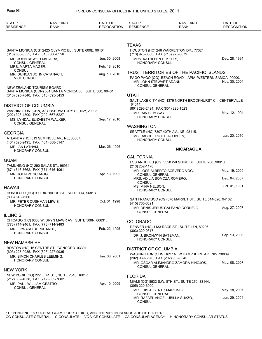| STATE*<br><b>RESIDENCE</b>                                                   | <b>NAME AND</b><br><b>RANK</b>                                                  | DATE OF<br><b>RECOGNITION</b> | STATE*<br><b>RESIDENCE</b>                                                            | <b>NAME AND</b><br><b>RANK</b>                                                                      | DATE OF<br><b>RECOGNITION</b>  |
|------------------------------------------------------------------------------|---------------------------------------------------------------------------------|-------------------------------|---------------------------------------------------------------------------------------|-----------------------------------------------------------------------------------------------------|--------------------------------|
|                                                                              |                                                                                 |                               |                                                                                       |                                                                                                     |                                |
| (310) 566-6555, FAX (310) 566-6556                                           | SANTA MONICA (CG) 2425 OLYMPIC BL., SUITE 600E, 90404.                          |                               | <b>TEXAS</b><br>(713) 973-8680, FAX (713) 973-6679                                    | HOUSTON (HC) 246 WARRENTON DR., 77024.                                                              |                                |
| MR. JOHN REWETI MATAIRA,<br><b>CONSUL GENERAL</b>                            |                                                                                 | Jun. 30, 2008                 | MRS. KATHLEEN D. KELLY,<br><b>HONORARY CONSUL</b>                                     |                                                                                                     | Dec. 28, 1994                  |
| MRS. MARTA MAGER.<br>CONSUL                                                  |                                                                                 | Feb. 18, 2010                 |                                                                                       |                                                                                                     |                                |
| <b>VICE CONSUL</b>                                                           | MR. DUNCAN JOHN CATANACH,                                                       | Aug. 10, 2010                 | MR. JOHN STEWART ADANK,<br><b>CONSUL GENERAL</b>                                      | TRUST TERRITORIES OF THE PACIFIC ISLANDS<br>PAGO PAGO (CG) BEACH ROAD ., APIA, WESTERN SAMOA 00000. | Nov. 30, 2004                  |
| NEW ZEALAND TOURISM BOARD<br>(310) 395-7840, FAX (310) 395-5453              | SANTA MONICA (CON) 501 SANTA MONICA BL., SUITE 300, 90401.                      |                               | <b>UTAH</b>                                                                           |                                                                                                     |                                |
|                                                                              |                                                                                 |                               |                                                                                       | SALT LAKE CITY (HC) 1379 NORTH BROOKHURST CI., CENTERVILLE                                          |                                |
| <b>DISTRICT OF COLUMBIA</b><br>(202) 328-4800, FAX (202) 667-5227            | WASHINGTON (CHN) 37 OBSERVATORY CI., NW, 20008.<br>MS. LYNDAL ELIZABETH WALKER, | Sep. 17, 2010                 | 84014.<br>(801) 296-2494, FAX (801) 296-1523<br>MR. IAIN B. MCKAY,<br>HONORARY CONSUL |                                                                                                     | May. 12, 1994                  |
| <b>CONSUL GENERAL</b>                                                        |                                                                                 |                               | <b>WASHINGTON</b>                                                                     |                                                                                                     |                                |
| <b>GEORGIA</b><br>(404) 525-2495, FAX (404) 888-5147                         | ATLANTA (HC) 513 SEMINOLE AV., NE, 30307.                                       |                               | MS. RACHEL RUTH JACOBSEN,<br>HONORARY CONSUL                                          | SEATTLE (HC) 7307 40TH AV., NE, 98115.                                                              | Jan. 20, 2010                  |
| MR. IAN LATHAM,<br>HONORARY CONSUL                                           |                                                                                 | Mar. 26, 1996                 |                                                                                       | <b>NICARAGUA</b>                                                                                    |                                |
|                                                                              |                                                                                 |                               | <b>CALIFORNIA</b>                                                                     |                                                                                                     |                                |
| <b>GUAM</b>                                                                  | TAMUNING (HC) 290 SALAS ST., 96931.                                             |                               | (213) 252-1170                                                                        | LOS ANGELES (CG) 3550 WILSHIRE BL., SUITE 200, 90010.                                               |                                |
| (671) 646-7662, FAX (671) 646-1061<br>MR. JOHN W. SCRAGG,<br>HONORARY CONSUL |                                                                                 | Apr. 13, 1992                 | <b>CONSUL GENERAL</b>                                                                 | MR. JOSE ALBERTO ACEVEDO VOGL,                                                                      | May. 19, 2009                  |
|                                                                              |                                                                                 |                               | MRS. ADILIA SOMOZA ROMERO,<br><b>CONSUL</b><br>MS. MINA NELSON,                       |                                                                                                     | Dec. 04, 2007<br>Oct. 01, 1991 |
| <b>HAWAII</b>                                                                | HONOLULU (HC) 900 RICHARDS ST., SUITE 414, 96813.                               |                               | <b>HONORARY CONSUL</b>                                                                |                                                                                                     |                                |
| (808) 543-7900<br>MR. PETER CUSHMAN LEWIS,                                   |                                                                                 | Oct. 01, 1998                 | (415) 765-6821                                                                        | SAN FRANCISCO (CG) 870 MARKET ST., SUITE 514-520, 94102.                                            |                                |
| <b>HONORARY CONSUL</b>                                                       |                                                                                 |                               | <b>CONSUL GENERAL</b>                                                                 | MR. DENIS JESUS GALEANO CORNEJO,                                                                    | Aug. 27, 2007                  |
| <b>ILLINOIS</b>                                                              | CHICAGO (HC) 8600 W. BRYN MAWR AV., SUITE 500N, 60631.                          |                               |                                                                                       |                                                                                                     |                                |
| (773) 714-9461, FAX (773) 714-9483                                           |                                                                                 | Feb. 22, 1995                 | <b>COLORADO</b>                                                                       | DENVER (HC) 1133 RACE ST., SUITE 17N, 80206.                                                        |                                |
| MR. EDWARD BURKHARDT,<br><b>HONORARY CONSUL</b>                              |                                                                                 |                               | $(303)$ 320-0317<br>DR. J. BRONWYN BATEMAN,                                           |                                                                                                     | Sep. 13, 2006                  |
| <b>NEW HAMPSHIRE</b>                                                         |                                                                                 |                               | HONORARY CONSUL                                                                       |                                                                                                     |                                |
| (603) 227-9935, FAX (603) 227-9935                                           | BOSTON (HC) 16 CENTRE ST., CONCORD 03301.                                       |                               | <b>DISTRICT OF COLUMBIA</b>                                                           | WASHINGTON (CHN) 1627 NEW HAMPSHIRE AV., NW, 20009.                                                 |                                |
| HONORARY CONSUL                                                              | MR. SIMON CHARLES LEEMING.                                                      | Jan. 08, 2001                 | (202) 939-6570, FAX (202) 939-6545<br><b>CONSUL GENERAL</b>                           | MR. OSCAR ALEJANDRO ZAMORA HINOJOS,                                                                 | May. 08, 2007                  |
| <b>NEW YORK</b>                                                              |                                                                                 |                               |                                                                                       |                                                                                                     |                                |
| (212) 832-4038, FAX (212) 832-7602<br>MR. PAUL WILLIAM GESTRO,               | NEW YORK (CG) 222 E. 41 ST., SUITE 2510, 10017.                                 | Apr. 10, 2009                 | <b>FLORIDA</b>                                                                        | MIAMI (CG) 8532 S.W. 8TH ST., SUITE 270, 33144.                                                     |                                |
| <b>CONSUL GENERAL</b>                                                        |                                                                                 |                               | $(305)$ 220-6900<br>MR. LUIS ALBERTO MARTINEZ,                                        |                                                                                                     | May. 18, 2007                  |
|                                                                              |                                                                                 |                               | <b>CONSUL GENERAL</b><br><b>CONSUL</b>                                                | MR. RAFAEL ANGEL UBILLA SUAZO,                                                                      | Jun. 29, 2004                  |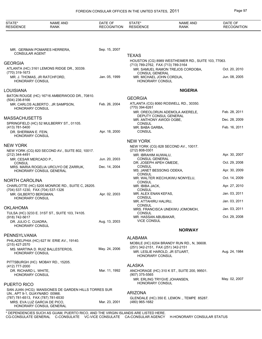| STATE*<br><b>RESIDENCE</b>                                       | <b>NAME AND</b><br><b>RANK</b>                                                      | DATE OF<br><b>RECOGNITION</b> | STATE*<br><b>RESIDENCE</b>                                   | <b>NAME AND</b><br><b>RANK</b>                      | DATE OF<br><b>RECOGNITION</b> |
|------------------------------------------------------------------|-------------------------------------------------------------------------------------|-------------------------------|--------------------------------------------------------------|-----------------------------------------------------|-------------------------------|
|                                                                  |                                                                                     |                               |                                                              |                                                     |                               |
| <b>CONSULAR AGENT</b>                                            | MR. GERMAN POMARES HERRERA,                                                         | Sep. 15, 2007                 | <b>TEXAS</b>                                                 |                                                     |                               |
| GEORGIA                                                          |                                                                                     |                               |                                                              | HOUSTON (CG) 8989 WESTHEIMER RD., SUITE 103, 77063. |                               |
| (770) 319-1673                                                   | ATLANTA (HC) 3161 LEMONS RIDGE DR., 30339.                                          |                               | (713) 789-2762, FAX (713) 789-3164<br><b>CONSUL GENERAL</b>  | MR. SAMUEL RAMON TREJOS CORDOBA,                    | Oct. 20, 2010                 |
| HONORARY CONSUL                                                  | MR. J. THOMAS, JR RATCHFORD,                                                        | Jan. 05, 1999                 | MR. MICHAEL JOHN CORDUA,<br>HONORARY CONSUL                  |                                                     | Jun. 08, 2005                 |
| LOUISIANA                                                        |                                                                                     |                               |                                                              | <b>NIGERIA</b>                                      |                               |
|                                                                  | BATON ROUGE (HC) 16716 AMBERWOOD DR., 70810.                                        |                               |                                                              |                                                     |                               |
| (504) 236-8166                                                   |                                                                                     |                               | <b>GEORGIA</b>                                               | ATLANTA (CG) 8060 ROSWELL RD., 30350.               |                               |
| HONORARY CONSUL                                                  | MR. CARLOS ALBERTO, JR SAMPSON,                                                     | Feb. 26, 2004                 | (770) 394-6261                                               |                                                     |                               |
|                                                                  |                                                                                     |                               |                                                              | MR. OREOLORUN ADEMOLA AKERELE,                      | Feb. 28, 2011                 |
| <b>MASSACHUSETTS</b>                                             |                                                                                     |                               | DEPUTY CONSUL GENERAL<br>MR. ANTHONY AWODI OGBE,             |                                                     | Dec. 28, 2009                 |
|                                                                  | SPRINGFIELD (HC) 52 MULBERRY ST., 01105.                                            |                               | <b>CONSUL</b>                                                |                                                     |                               |
| (413) 781-5400<br>DR. SHERMAN E. FEIN.<br><b>HONORARY CONSUL</b> |                                                                                     | Apr. 18, 2000                 | MR. BABA GARBA,<br><b>CONSUL</b>                             |                                                     | Feb. 16, 2011                 |
|                                                                  |                                                                                     |                               | <b>NEW YORK</b>                                              |                                                     |                               |
| NEW YORK                                                         |                                                                                     |                               |                                                              | NEW YORK (CG) 828 SECOND AV., 10017.                |                               |
|                                                                  | NEW YORK (CG) 820 SECOND AV., SUITE 802, 10017.                                     |                               | (212) 808-0301                                               |                                                     |                               |
| (212) 344-4491<br>MR. CESAR MERCADO P.,                          |                                                                                     | Jun. 20, 2003                 | MR. IBRAHIM AUWALU,<br><b>CONSUL GENERAL</b>                 |                                                     | Apr. 30, 2007                 |
| <b>CONSUL</b>                                                    |                                                                                     |                               | DR. JOSEPH APEH OMEDE,                                       |                                                     | Oct. 29, 2008                 |
|                                                                  | MRS. MARIA ROGELIA URCUYO DE ZARRUK,<br>HONORARY CONSUL GENERAL                     | Dec. 14, 2004                 | <b>CONSUL</b><br>MS. JANET BESSONG ODEKA,<br><b>CONSUL</b>   |                                                     | Apr. 30, 2009                 |
| NORTH CAROLINA                                                   |                                                                                     |                               |                                                              | MR. WALTER IKECHUKWU NONYELU,                       | Oct. 14, 2009                 |
|                                                                  | CHARLOTTE (HC) 5205 MONROE RD., SUITE C, 28205.                                     |                               | <b>CONSUL</b><br>MR. IBIBA JACK,                             |                                                     | Apr. 27, 2010                 |
| (704) 537-1230, FAX (704) 537-1326<br>MR. GILBERTO BERGMAN,      |                                                                                     | Apr. 02, 2003                 | CONSUL<br>MR. ALEX ENAN KEFAS,                               |                                                     | Jan. 03, 2011                 |
| <b>HONORARY CONSUL</b>                                           |                                                                                     |                               | <b>CONSUL</b>                                                |                                                     |                               |
|                                                                  |                                                                                     |                               | MR. ATTAHIRU HALIRU,<br><b>CONSUL</b>                        |                                                     | Jan. 03, 2011                 |
| OKLAHOMA                                                         | TULSA (HC) 3233 E. 31ST ST., SUITE 103, 74105.                                      |                               | <b>CONSUL</b>                                                | MRS. FRANCISCA UNEKWU JOMOMOH,                      | Jan. 03, 2011                 |
| (918) 742-5617                                                   |                                                                                     |                               | MR. HASSAN ABUBAKAR,<br><b>VICE CONSUL</b>                   |                                                     | Oct. 29, 2008                 |
| DR. JULIO C. CUADRA,<br><b>HONORARY CONSUL</b>                   |                                                                                     | Aug. 13, 2003                 |                                                              |                                                     |                               |
|                                                                  |                                                                                     |                               |                                                              | <b>NORWAY</b>                                       |                               |
| PENNSYLVANIA                                                     | PHILADELPHIA (HC) 627 W. ERIE AV., 19140.                                           |                               | ALABAMA                                                      |                                                     |                               |
| $(215)$ 427-2570                                                 |                                                                                     |                               |                                                              | MOBILE (HC) 6204 BRANDY RUN RD., N, 36608.          |                               |
| HONORARY CONSUL                                                  | MS. MARTINA D. RUIZ BALLESTEROS,                                                    | May. 24, 2006                 | (251) 342-2151, FAX (251) 342-2151<br><b>HONORARY CONSUL</b> | MR. LESLIE HAROLD, JR STUART,                       | Aug. 24, 1984                 |
|                                                                  | PITTSBURGH (HC) MOBAY RD., 15205.                                                   |                               |                                                              |                                                     |                               |
| (412) 777-2000                                                   |                                                                                     |                               | <b>ALASKA</b>                                                |                                                     |                               |
| DR. RICHARD L. WHITE,<br><b>HONORARY CONSUL</b>                  |                                                                                     | Mar. 11, 1992                 | $(907)$ 375-5565                                             | ANCHORAGE (HC) 310 K ST., SUITE 200, 99501.         |                               |
| PUERTO RICO                                                      |                                                                                     |                               | <b>HONORARY CONSUL</b>                                       | MR. ERLING TRYGVE JOHANSEN,                         | May. 02, 2007                 |
|                                                                  | SAN JUAN (HCG) MANSIONES DE GARDEN HILLS TORRES SUR                                 |                               |                                                              |                                                     |                               |
| UN., APT 9-1, GUAYNABO 00966.                                    |                                                                                     |                               | <b>ARIZONA</b>                                               |                                                     |                               |
| (787) 781-6513, FAX (787) 781-6530                               | MRS. EVA LUZ GARCIA DE PICO,<br>HONORARY CONSUL GENERAL                             | Mar. 23, 2001                 | (480) 965-1682                                               | GLENDALE (HC) 350 E. LEMON., TEMPE 85287.           |                               |
|                                                                  | $*$ DEDENIDENCIES SHCH AS CHAM, DHERTO RICO, AND THE VIRCIN ISLANDS ARE HISTED HERE |                               |                                                              |                                                     |                               |

\* DEPENDENCIES SUCH AS GUAM, PUERTO RICO, AND THE VIRGIN ISLANDS ARE LISTED HERE. CG-CONSULATE GENERAL C-CONSULATE VC-VICE CONSULATE CA-CONSULAR AGENCY H-HONORARY CONSULAR STATUS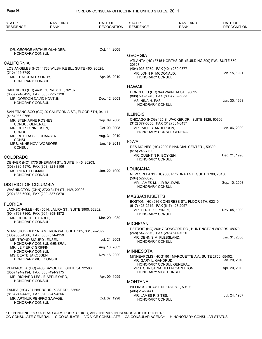| STATE*<br><b>RESIDENCE</b>                                                         | <b>NAME AND</b><br><b>RANK</b>                           | DATE OF<br><b>RECOGNITION</b> | STATE*<br><b>RESIDENCE</b>                                  | <b>NAME AND</b><br><b>RANK</b>                                                    | DATE OF<br><b>RECOGNITION</b> |
|------------------------------------------------------------------------------------|----------------------------------------------------------|-------------------------------|-------------------------------------------------------------|-----------------------------------------------------------------------------------|-------------------------------|
|                                                                                    |                                                          |                               |                                                             |                                                                                   |                               |
| DR. GEORGE ARTHUR OLANDER,<br><b>HONORARY CONSUL</b>                               |                                                          | Oct. 14, 2005                 |                                                             |                                                                                   |                               |
|                                                                                    |                                                          |                               | <b>GEORGIA</b>                                              | ATLANTA (HC) 3715 NORTHSIDE (BUILDING 300) PW., SUITE 650,                        |                               |
| <b>CALIFORNIA</b>                                                                  |                                                          |                               | 30327.                                                      |                                                                                   |                               |
| (310) 444-7750                                                                     | LOS ANGELES (HC) 11766 WILSHIRE BL., SUITE 460, 90025.   |                               | (404) 923-5079, FAX (404) 239-0877<br>MR. JOHN R. MCDONALD, |                                                                                   | Jan. 15, 1991                 |
| MR. H. MICHAEL SOROY,<br><b>HONORARY CONSUL</b>                                    |                                                          | Apr. 06, 2010                 | <b>HONORARY CONSUL</b>                                      |                                                                                   |                               |
|                                                                                    | SAN DIEGO (HC) 4491 OSPREY ST., 92107.                   |                               | <b>HAWAII</b>                                               |                                                                                   |                               |
| (858) 274-3422, FAX (858) 793-7120                                                 |                                                          |                               | (808) 593-1240, FAX (808) 732-5853                          | HONOLULU (HC) 949 WAINIHA ST., 96825.                                             |                               |
| MR. GORDON DAVID KOVTUN,<br><b>HONORARY CONSUL</b>                                 |                                                          | Dec. 12, 2003                 | MS. NINA H. FASI,<br><b>HONORARY CONSUL</b>                 |                                                                                   | Jan. 30, 1998                 |
|                                                                                    | SAN FRANCISCO (CG) 20 CALIFORNIA ST., FLOOR 6TH, 94111.  |                               | <b>ILLINOIS</b>                                             |                                                                                   |                               |
| (415) 986-0766<br>MR. STEN ARNE ROSNES.                                            |                                                          | Sep. 09, 2008                 |                                                             | CHICAGO (HCG) 125 S. WACKER DR., SUITE 1825, 60606.                               |                               |
| <b>CONSUL GENERAL</b>                                                              |                                                          |                               | (312) 377-5050, FAX (312) 834-0437                          |                                                                                   |                               |
| MR. GEIR TONNESSEN,<br><b>CONSUL</b>                                               |                                                          | Oct. 09, 2008                 | MR. PAUL S. ANDERSON,                                       | HONORARY CONSUL GENERAL                                                           | Jan. 06, 2000                 |
| MR. ROY LASSE JOHANSEN,                                                            |                                                          | Aug. 31, 2010                 |                                                             |                                                                                   |                               |
| <b>CONSUL</b><br>MRS. ANNE HOVI WORSOEE,<br><b>CONSUL</b>                          |                                                          | Jan. 19, 2011                 | <b>IOWA</b><br>(515) 243-7100                               | DES MOINES (HC) 2000 FINANCIAL CENTER., 50309.                                    |                               |
| COLORADO                                                                           |                                                          |                               | MR. QUENTIN R. BOYKEN,<br><b>HONORARY CONSUL</b>            |                                                                                   | Dec. 21, 1990                 |
| (303) 830-1970, FAX (303) 321-8106                                                 | DENVER (HC) 1775 SHERMAN ST., SUITE 1445, 80203.         |                               |                                                             |                                                                                   |                               |
| MS. RITA I. EHRMAN,                                                                |                                                          | Jan. 22, 1990                 | <b>LOUISIANA</b>                                            |                                                                                   |                               |
| <b>HONORARY CONSUL</b>                                                             |                                                          |                               | (504) 522-3526                                              | NEW ORLEANS (HC) 650 POYDRAS ST., SUITE 1700, 70130.                              |                               |
| DISTRICT OF COLUMBIA                                                               |                                                          |                               | MR. JAMES M., JR BALDWIN,                                   |                                                                                   | Sep. 10, 2003                 |
|                                                                                    | WASHINGTON (CHN) 2720 34TH ST., NW, 20008.               |                               | <b>HONORARY CONSUL</b>                                      |                                                                                   |                               |
| (202) 333-6000, FAX (202) 337-0870                                                 |                                                          |                               | <b>MASSACHUSETTS</b>                                        |                                                                                   |                               |
| <b>FLORIDA</b>                                                                     |                                                          |                               |                                                             | BOSTON (HC) 286 CONGRESS ST., FLOOR 6TH, 02210.                                   |                               |
|                                                                                    | JACKSONVILLE (HC) 50 N. LAURA ST., SUITE 3900, 32202.    |                               | (617) 423-2515, FAX (617) 423-2057<br>MR. TERJE KORSNES.    |                                                                                   | Nov. 05, 1990                 |
| (904) 798-7360, FAX (904) 358-1872                                                 |                                                          |                               | HONORARY CONSUL                                             |                                                                                   |                               |
| MR. GEORGE D. GABEL,<br>HONORARY CONSUL                                            |                                                          | Mar. 29, 1989                 |                                                             |                                                                                   |                               |
|                                                                                    |                                                          |                               | <b>MICHIGAN</b>                                             | DETROIT (HC) 26017 CONCORD RD., HUNTINGTON WOODS 48070.                           |                               |
|                                                                                    | MIAMI (HCG) 1007 N. AMERICA WA., SUITE 305, 33132--2092. |                               | (248) 547-6379, FAX (248) 547-7020                          |                                                                                   |                               |
| (305) 358-4386, FAX (305) 374-4359<br>MR. TROND SIGURD JENSEN,                     | HONORARY CONSUL GENERAL                                  | Jul. 21, 2003                 | MR. DENNIS M. FLESSLAND,<br><b>HONORARY CONSUL</b>          |                                                                                   | Jan. 31, 2000                 |
| MR. LEIF ERIC GRIFFIN,                                                             |                                                          | Aug. 13, 2003                 | <b>MINNESOTA</b>                                            |                                                                                   |                               |
| <b>HONORARY CONSUL</b><br>MS. BEATE JAKOBSEN,                                      |                                                          | Nov. 16, 2009                 |                                                             | MINNEAPOLIS (HCG) 901 MARQUETTE AV., SUITE 2750, 55402.                           |                               |
| HONORARY VICE CONSUL                                                               |                                                          |                               | MR. GARY L. GANDRUD,                                        |                                                                                   | Jan. 20, 2010                 |
| (850) 494-2194, FAX (850) 494-9175                                                 | PENSACOLA (HC) 4400 BAYOU BL., SUITE 34, 32503.          |                               |                                                             | HONORARY CONSUL GENERAL<br>MRS. CHRISTINA HELEN CARLETON,<br>HONORARY VICE CONSUL | Apr. 20, 2010                 |
| MR. RICHARD LESLIE APPLEYARD,<br>HONORARY CONSUL                                   |                                                          | Apr. 09, 1999                 | <b>MONTANA</b>                                              |                                                                                   |                               |
|                                                                                    | TAMPA (HC) 701 HARBOUR POST DR., 33602.                  |                               | (406) 252-3441                                              | BILLINGS (HC) 490 N. 31ST ST., 59103.                                             |                               |
| (813) 247-4432, FAX (813) 247-4256<br>MR. ARTHUR RENFRO SAVAGE,<br>HONORARY CONSUL |                                                          | Oct. 07, 1998                 | MR. JAMES P. SITES,<br>HONORARY CONSUL                      |                                                                                   | Jul. 24, 1987                 |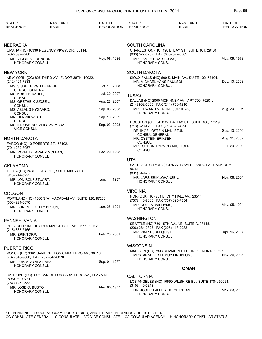| STATE*<br><b>RESIDENCE</b>                                         | <b>NAME AND</b><br><b>RANK</b>                         | DATE OF<br><b>RECOGNITION</b>  | STATE*<br><b>RESIDENCE</b>                                       | <b>NAME AND</b><br><b>RANK</b>                          | DATE OF<br><b>RECOGNITION</b> |
|--------------------------------------------------------------------|--------------------------------------------------------|--------------------------------|------------------------------------------------------------------|---------------------------------------------------------|-------------------------------|
|                                                                    |                                                        |                                |                                                                  |                                                         |                               |
| NEBRASKA                                                           |                                                        |                                | <b>SOUTH CAROLINA</b>                                            |                                                         |                               |
| (402) 397-2200                                                     | OMAHA (HC) 10330 REGENCY PKWY. DR., 68114.             |                                | (803) 577-5782, FAX (803) 577-3589                               | CHARLESTON (HC) 198 E. BAY ST., SUITE 101, 29401.       |                               |
| MR. VIRGIL K. JOHNSON,<br><b>HONORARY CONSUL</b>                   |                                                        | May. 06, 1986                  | MR. JAMES DOAR LUCAS,<br><b>HONORARY CONSUL</b>                  |                                                         | May. 09, 1978                 |
| NEW YORK                                                           |                                                        |                                | <b>SOUTH DAKOTA</b>                                              |                                                         |                               |
| (212) 421-7333                                                     | NEW YORK (CG) 825 THIRD AV., FLOOR 38TH, 10022.        |                                | MR. MICHAEL HANS PAULSON,<br><b>HONORARY CONSUL</b>              | SIOUX FALLS (HC) 600 S. MAIN AV., SUITE 102, 57104.     | Dec. 10, 2008                 |
| MS. SISSEL BIRGITTE BREIE,<br>CONSUL GENERAL<br>MS. KRISTIN DAHLE, |                                                        | Oct. 16, 2008<br>Jul. 30, 2007 |                                                                  |                                                         |                               |
| <b>CONSUL</b>                                                      |                                                        |                                | <b>TEXAS</b>                                                     |                                                         |                               |
| MS. GRETHE KNUDSEN,<br><b>CONSUL</b>                               |                                                        | Aug. 28, 2007                  | (214) 932-6830, FAX (214) 750-4210                               | DALLAS (HC) 2000 MCKINNEY AV., APT 700, 75201.          |                               |
| MS. ASLAUG NYGAARD,<br><b>CONSUL</b>                               |                                                        | Sep. 03, 2008<br>Sep. 10, 2009 | HONORARY CONSUL                                                  | MR. EDWARD MERLIN FJORDBAK,                             | Aug. 20, 1996                 |
| MR. HENRIK WIDTH,<br><b>CONSUL</b>                                 | MS. INGUNN SOLVEIG KVAMSDAL,                           | Sep. 03, 2008                  |                                                                  | HOUSTON (CG) 3410 W. DALLAS ST., SUITE 100, 77019.      |                               |
| <b>VICE CONSUL</b>                                                 |                                                        |                                | (713) 620-4200, FAX (713) 620-4290<br>DR. INGE JOSTEIN MYKLETUN, |                                                         | Sep. 13, 2010                 |
| NORTH DAKOTA                                                       |                                                        |                                | <b>CONSUL GENERAL</b><br>MR. OYSTEIN ERIKSEN,                    |                                                         | Aug. 21, 2007                 |
| FARGO (HC) 10 ROBERTS ST., 58102.<br>(701) 232-8957                |                                                        |                                | <b>CONSUL</b><br><b>CONSUL</b>                                   | MR. BJOERN TORMOD AKSELSEN,                             | Jul. 29, 2009                 |
| MR. RONALD HARVEY MCLEAN,<br><b>HONORARY CONSUL</b>                |                                                        | Dec. 29, 1998                  |                                                                  |                                                         |                               |
|                                                                    |                                                        |                                | <b>UTAH</b>                                                      |                                                         |                               |
| OKLAHOMA                                                           |                                                        |                                | 84098.                                                           | SALT LAKE CITY (HC) 2475 W. LOWER LANDO LA., PARK CITY  |                               |
|                                                                    | TULSA (HC) 2431 E. 61ST ST., SUITE 600, 74136.         |                                | (801) 649-7680                                                   |                                                         |                               |
| (918) 744-5222<br>MR. JON ROLF STUART,<br>HONORARY CONSUL          |                                                        | Jun. 14, 1987                  | MR. LARS ERIK JOHANSEN,<br><b>HONORARY CONSUL</b>                |                                                         | Nov. 08, 2004                 |
| OREGON                                                             |                                                        |                                | <b>VIRGINIA</b>                                                  |                                                         |                               |
| (503) 221-0870                                                     | PORTLAND (HC) 4380 S.W. MACADAM AV., SUITE 120, 97238. |                                | (757) 446-7300, FAX (757) 625-7854                               | NORFOLK (HC) 201 E. CITY HALL AV., 23514.               |                               |
| MR. LORENTZ KELLY BRUUN,<br><b>HONORARY CONSUL</b>                 |                                                        | Jun. 25, 1991                  | MR. ROLF A. WILLIAMS,<br><b>HONORARY CONSUL</b>                  |                                                         | May. 05, 1994                 |
|                                                                    |                                                        |                                | <b>WASHINGTON</b>                                                |                                                         |                               |
| PENNSYLVANIA                                                       | PHILADELPHIA (HC) 1760 MARKET ST., APT 1111, 19103.    |                                | (206) 284-2323, FAX (206) 448-2033                               | SEATTLE (HC) 7301 5TH AV., NE, SUITE A, 98115.          |                               |
| $(215)$ 665-8166<br>MR. ERIK TORP,                                 |                                                        | Feb. 20, 2001                  | MR. KIM NESSELQUIST,<br><b>HONORARY CONSUL</b>                   |                                                         | Apr. 16, 2007                 |
| HONORARY CONSUL                                                    |                                                        |                                | <b>WISCONSIN</b>                                                 |                                                         |                               |
| PUERTO RICO                                                        |                                                        |                                |                                                                  | MADISON (HC) 7898 SUMMERFIELD DR., VERONA 53593.        |                               |
| (787) 848-9000, FAX (787) 848-0070                                 | PONCE (HC) 3091 SANT. DEL LOS CABALLERO AV., 00716.    |                                | <b>HONORARY CONSUL</b>                                           | MRS. ANNE VESLEMOY LINDBLOM,                            | Nov. 26, 2008                 |
| MR. LUIS A. AYALA-PARSI,<br>HONORARY CONSUL                        |                                                        | Sep. 01, 1977                  |                                                                  | <b>OMAN</b>                                             |                               |
|                                                                    | SAN JUAN (HC) 3091 SAN.DE LOS CABALLERO AV., PLAYA DE  |                                |                                                                  |                                                         |                               |
| PONCE 00731.<br>(787) 725-2532                                     |                                                        |                                | <b>CALIFORNIA</b>                                                | LOS ANGELES (HC) 10590 WILSHIRE BL., SUITE 1704, 90024. |                               |
| MR. JOSE O. BUSTO,                                                 |                                                        | Mar. 08, 1977                  | (310) 446-0249                                                   |                                                         |                               |
| HONORARY CONSUL                                                    |                                                        |                                | <b>HONORARY CONSUL</b>                                           | DR. JOSEPH ALBERT KECHICHIAN,                           | May. 23, 2006                 |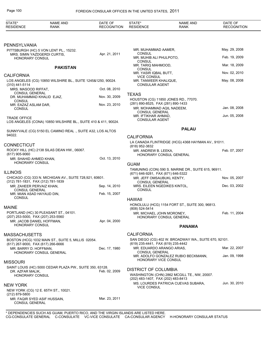| May. 29, 2008<br>Feb. 19, 2009<br>Mar. 18, 2009<br>Nov. 02, 2010<br>May. 08, 2008 |
|-----------------------------------------------------------------------------------|
|                                                                                   |
|                                                                                   |
|                                                                                   |
|                                                                                   |
|                                                                                   |
|                                                                                   |
|                                                                                   |
|                                                                                   |
|                                                                                   |
|                                                                                   |
| Jan. 08, 2008                                                                     |
| Jun. 05, 2008                                                                     |
|                                                                                   |
|                                                                                   |
| LA CANADA FLINTRIDGE (HCG) 4368 HAYMAN AV., 91011.                                |
| Feb. 07, 2007                                                                     |
|                                                                                   |
|                                                                                   |
| TAMUNING (CON) 590 S. MARINE DR., SUITE 615, 96911.                               |
| Nov. 05, 2007                                                                     |
| Dec. 03, 2002                                                                     |
|                                                                                   |
|                                                                                   |
|                                                                                   |
| Feb. 11, 2004                                                                     |
|                                                                                   |
|                                                                                   |
|                                                                                   |
| SAN DIEGO (CG) 402 W. BROADWAY WA., SUITE 670, 92101.                             |
| Mar. 22, 2007                                                                     |
| Jan. 09, 1998                                                                     |
|                                                                                   |
|                                                                                   |
|                                                                                   |
| Jun. 30, 2010                                                                     |
|                                                                                   |
|                                                                                   |
|                                                                                   |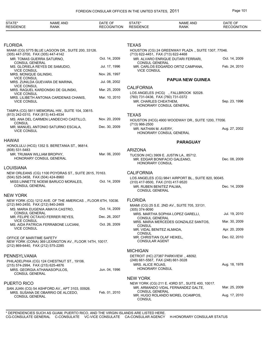| STATE*<br><b>RESIDENCE</b>                                      | <b>NAME AND</b><br>RANK                                                             | DATE OF<br><b>RECOGNITION</b> | STATE*<br><b>RESIDENCE</b>                                                              | <b>NAME AND</b><br><b>RANK</b>                                                         | DATE OF<br><b>RECOGNITION</b> |
|-----------------------------------------------------------------|-------------------------------------------------------------------------------------|-------------------------------|-----------------------------------------------------------------------------------------|----------------------------------------------------------------------------------------|-------------------------------|
|                                                                 |                                                                                     |                               |                                                                                         |                                                                                        |                               |
| FLORIDA                                                         |                                                                                     |                               | <b>TEXAS</b>                                                                            |                                                                                        |                               |
| (305) 447-3700, FAX (305) 447-4142                              | MIAMI (CG) 5775 BLUE LAGOON DR., SUITE 200, 33126.                                  |                               | (713) 622-4451, FAX (713) 622-4468                                                      | HOUSTON (CG) 24 GREENWAY PLAZA., SUITE 1307, 77046.                                    |                               |
| MR. TOMAS GUERRA SATURNO,<br><b>CONSUL GENERAL</b>              |                                                                                     | Oct. 14, 2009                 | <b>CONSUL GENERAL</b>                                                                   | MR. ALVARO ENRIQUE DUTARI FERRARI,                                                     | Oct. 14, 2009                 |
| <b>VICE CONSUL</b>                                              | MS. GLORIELA REYES DE SAMUDIO,                                                      | Jul. 17, 1996                 | <b>VICE CONSUL</b>                                                                      | MR. CARLOS EDGARDO ORTIZ CAMPANA,                                                      | Feb. 24, 2010                 |
| MRS. MONIQUE GILINSKI,<br><b>VICE CONSUL</b>                    |                                                                                     | Nov. 26, 1997                 |                                                                                         | <b>PAPUA NEW GUINEA</b>                                                                |                               |
| <b>VICE CONSUL</b>                                              | MRS. ZUNILDA GUEVARA DE MARINA,                                                     | Jul. 08, 2002                 |                                                                                         |                                                                                        |                               |
| <b>VICE CONSUL</b>                                              | MRS. RAQUEL KARDONSKI DE GILINSKI,                                                  | Mar. 25, 2009                 | <b>CALIFORNIA</b>                                                                       | LOS ANGELES (HCG) ., FALLBROOK 92028.                                                  |                               |
| <b>VICE CONSUL</b>                                              | MRS. LILIBETH ANTONIA CARDENAS CHANIS,                                              | Mar. 10, 2010                 | (760) 731-0436, FAX (760) 731-0372<br>MR. CHARLES CHEATHEM,                             | <b>HONORARY CONSUL GENERAL</b>                                                         | Sep. 23, 1996                 |
| (813) 242-0310, FAX (813) 443-4534                              | TAMPA (CG) 5811 MEMORIAL HW., SUITE 104, 33615.                                     |                               | <b>TEXAS</b>                                                                            |                                                                                        |                               |
| CONSUL                                                          | MS. ANA DEL CARMEN LANDECHO CASTILLO,                                               | Nov. 20, 2009                 |                                                                                         | HOUSTON (HCG) 4900 WOODWAY DR., SUITE 1200, 77056.                                     |                               |
| <b>VICE CONSUL</b>                                              | MR. MANUEL ANTONIO SATURNO ESCALA,                                                  | Dec. 30, 2009                 | (713) 966-2500<br>MR. NATHAN M. AVERY,                                                  | HONORARY CONSUL GENERAL                                                                | Aug. 27, 2002                 |
| HAWAII                                                          |                                                                                     |                               |                                                                                         | <b>PARAGUAY</b>                                                                        |                               |
| (808) 531-5483                                                  | HONOLULU (HCG) 1352 S. BERETANIA ST., 96814.                                        |                               | <b>ARIZONA</b>                                                                          |                                                                                        |                               |
| MR. TRUMAN WILLIAM BROPHY,                                      | <b>HONORARY CONSUL GENERAL</b>                                                      | Mar. 06, 2000                 | HONORARY CONSUL                                                                         | TUCSON (HC) 3909 E. JUSTIN LA., 85712.<br>MR. EDGAR BONIFACIO GALEANO,                 | Dec. 08, 2009                 |
| LOUISIANA                                                       |                                                                                     |                               |                                                                                         |                                                                                        |                               |
| (504) 525-3458, FAX (504) 424-8960                              | NEW ORLEANS (CG) 1100 POYDRAS ST., SUITE 2615, 70163.                               |                               | <b>CALIFORNIA</b>                                                                       | LOS ANGELES (CG) 9841 AIRPORT BL., SUITE 820, 90045.                                   |                               |
| <b>CONSUL GENERAL</b>                                           | MISS LINNETTE NOEMI BARUCO MORALES,                                                 | Oct. 14, 2009                 | (310) 417-9500, FAX (310) 417-9520<br>MR. RUBEN BENITEZ PALMA.<br><b>CONSUL GENERAL</b> |                                                                                        | Dec. 14, 2009                 |
| NEW YORK                                                        |                                                                                     |                               |                                                                                         |                                                                                        |                               |
|                                                                 | NEW YORK (CG) 1212 AVE. OF THE AMERICAS., FLOOR 6TH, 10036.                         |                               | <b>FLORIDA</b>                                                                          |                                                                                        |                               |
| (212) 840-2450, FAX (212) 840-2469                              | MS. MARIA EUGENIA AMAYA CASTRO,                                                     | Oct. 14, 2009                 | (305) 374-9090                                                                          | MIAMI (CG) 25 S.E. 2ND AV., SUITE 705, 33131.                                          |                               |
| <b>CONSUL GENERAL</b>                                           | MR. FELIPE OCTAVIO FERRER REYES,                                                    | Dec. 26, 2007                 | <b>CONSUL GENERAL</b>                                                                   | MRS. MARTHA SOPHIA LOPEZ GARELLI,                                                      | Jul. 19, 2010                 |
| <b>VICE CONSUL</b>                                              | MS. AIDA PATRICIA FERRABONE LUCIANI,                                                | Oct. 26, 2009                 | <b>CONSUL</b>                                                                           | MRS. MARIA MERCEDES GONZALEZ SANTOS,                                                   | Mar. 30, 2009                 |
| <b>VICE CONSUL</b>                                              |                                                                                     |                               | MR. VIDAL BENITEZ ALMADA,<br>CONSUL                                                     |                                                                                        | Apr. 20, 2009                 |
| OFFICE OF MARITIME SAFETY<br>(212) 869-6440, FAX (212) 575-2285 | NEW YORK (CONA) 369 LEXINGTON AV., FLOOR 14TH, 10017.                               |                               | MR. CHRISTIAN OLAF HEIKEL,<br><b>CONSULAR AGENT</b>                                     |                                                                                        | Dec. 02, 2010                 |
|                                                                 |                                                                                     |                               | <b>MICHIGAN</b>                                                                         |                                                                                        |                               |
| PENNSYLVANIA                                                    |                                                                                     |                               |                                                                                         | DETROIT (HC) 27387 PARKVIEW ., 48092.                                                  |                               |
| (215) 574-2994, FAX (215) 625-4876                              | PHILADELPHIA (CG) 124 CHESTNUT ST., 19106.<br>MRS. GEORGIA ATHANASOPULOS.           | Jun. 04, 1996                 | (248) 661-5567, FAX (248) 661-3028<br>MRS. ALICE ROJAS,<br><b>HONORARY CONSUL</b>       |                                                                                        | Aug. 18, 1978                 |
| <b>CONSUL GENERAL</b>                                           |                                                                                     |                               | <b>NEW YORK</b>                                                                         |                                                                                        |                               |
| PUERTO RICO                                                     |                                                                                     |                               |                                                                                         | NEW YORK (CG) 211 E. 43RD ST., SUITE 400, 10017.<br>MR. ARMANDO VIDAL FERNANDEZ GALTE, | Mar. 25, 2009                 |
| <b>CONSUL GENERAL</b>                                           | SAN JUAN (CG) 54 ASHFORD AV., APT 3103, 00926.<br>MRS. SUSANA DE OBARRIO DE ALCEDO, | Feb. 01, 2010                 | <b>CONSUL GENERAL</b><br><b>CONSUL</b>                                                  | MR. HUGO ROLANDO MOREL OCAMPOS,                                                        | Aug. 17, 2010                 |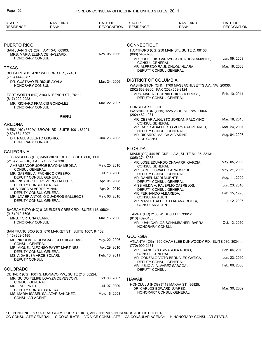| STATE*<br><b>RESIDENCE</b>                         | <b>NAME AND</b><br><b>RANK</b>                                                          | DATE OF<br><b>RECOGNITION</b> | STATE*<br><b>RESIDENCE</b>                                        | <b>NAME AND</b><br>RANK                                    | DATE OF<br><b>RECOGNITION</b> |
|----------------------------------------------------|-----------------------------------------------------------------------------------------|-------------------------------|-------------------------------------------------------------------|------------------------------------------------------------|-------------------------------|
|                                                    |                                                                                         |                               |                                                                   |                                                            |                               |
| PUERTO RICO                                        |                                                                                         |                               | <b>CONNECTICUT</b>                                                |                                                            |                               |
|                                                    | SAN JUAN (HC) 267 ., APT 5-C, 00903.<br>MRS. MARIA ELENA DE HASZARD,                    | Nov. 05, 1966                 | (860) 548-0266                                                    | HARTFORD (CG) 250 MAIN ST., SUITE D, 06106.                |                               |
| HONORARY CONSUL                                    |                                                                                         |                               | <b>CONSUL GENERAL</b>                                             | MR. JOSE LUIS GARAYCOCHEA BUSTAMANTE,                      | Jan. 09, 2008                 |
| <b>TEXAS</b>                                       |                                                                                         |                               | DEPUTY CONSUL GENERAL                                             | MR. ALFREDO RAUL CHUQUIHUARA,                              | Mar. 19, 2008                 |
| (713) 444-9887                                     | BELLAIRE (HC) 4707 WELFORD DR., 77401.                                                  |                               |                                                                   |                                                            |                               |
| <b>HONORARY CONSUL</b>                             | DR. GUSTAVO ENRIQUE AYALA,                                                              | Mar. 24, 2006                 | <b>DISTRICT OF COLUMBIA</b><br>(202) 833-9860, FAX (202) 659-8124 | WASHINGTON (CHN) 1700 MASSACHUSETTS AV., NW, 20036.        |                               |
| (817) 222-2223                                     | FORT WORTH (HC) 3103 N. BEACH ST., 76111.                                               |                               | DEPUTY CONSUL GENERAL                                             | MRS. MARIA EUGENIA CHIOZZA BRUCE,                          | Feb. 10, 2011                 |
| HONORARY CONSUL                                    | MR. RICHARD FRANCIS GONZALEZ,                                                           | Mar. 22, 2007                 | <b>CONSULAR OFFICE</b>                                            | WASHINGTON (CHA) 1225 23RD ST., NW, 20037.                 |                               |
|                                                    | <b>PERU</b>                                                                             |                               | (202) 462-1081                                                    | MR. CESAR AUGUSTO JORDAN PALOMINO,                         | Mar. 18, 2010                 |
| <b>ARIZONA</b>                                     |                                                                                         |                               | <b>CONSUL GENERAL</b>                                             | MR. DAVID ADALBERTO VERGARA PILARES,                       | Mar. 24, 2007                 |
| (480) 834-3907                                     | MESA (HC) 560 W. BROWN RD., SUITE 4001, 85201.                                          |                               | DEPUTY CONSUL GENERAL<br>MR. RICARDO MALCA ALVARINO,              |                                                            | Aug. 04, 2007                 |
| DR. RAUL ALBERTO OSORIO,<br><b>HONORARY CONSUL</b> |                                                                                         | Jun. 26, 2003                 | <b>VICE CONSUL</b>                                                |                                                            |                               |
| <b>CALIFORNIA</b>                                  |                                                                                         |                               | <b>FLORIDA</b>                                                    |                                                            |                               |
|                                                    | LOS ANGELES (CG) 3450 WILSHIRE BL., SUITE 800, 90010.                                   |                               | (305) 374-8935                                                    | MIAMI (CG) 444 BRICKELL AV., SUITE M-135, 33131.           |                               |
| (213) 252-5910, FAX (213) 252-8130                 | AMBASSADOR JORGE BAYONA MEDINA,                                                         | May. 25, 2010                 | <b>CONSUL GENERAL</b>                                             | MR. JOSE EDUARDO CHAVARRI GARCIA,                          | May. 05, 2008                 |
| <b>CONSUL GENERAL</b>                              | MR. GABRIEL A. PACHECO CRESPO,                                                          | Jul. 18, 2006                 | DEPUTY CONSUL GENERAL                                             | MR. JAIME OSWALDO ARROSPIDE,                               | May. 21, 2008                 |
|                                                    | DEPUTY CONSUL GENERAL<br>MR. RICARDO ELI ROMERO TALLEDO,                                | Apr. 01, 2008                 | MR. DANIEL MORI MUENTE,<br>DEPUTY CONSUL GENERAL                  |                                                            | Aug. 11, 2009                 |
| MRS. IRIS VALVERDE MINAN,                          | DEPUTY CONSUL GENERAL                                                                   | Apr. 01, 2010                 | DEPUTY CONSUL GENERAL                                             | MISS HILDA V. PALERMO CABREJOS,                            | Jun. 23, 2010                 |
|                                                    | DEPUTY CONSUL GENERAL<br>MR. JAVIER ANTONIO CUADROS GALLEGOS,                           | May. 06, 2010                 | MR. FERNANDO ALBAREDA,                                            |                                                            | Feb. 15, 1996                 |
|                                                    | DEPUTY CONSUL GENERAL                                                                   |                               | <b>CONSULAR AGENT</b><br><b>CONSULAR AGENT</b>                    | MR. MANUEL ALBERTO ARANA ROTTA,                            | Jul. 12, 2007                 |
| $(916)$ 919-7605                                   | SACRAMENTO (HC) 8135 ELDER CREEK RD., SUITE 115, 95824.                                 |                               |                                                                   |                                                            |                               |
| MRS. FORTUNA CLARK,                                |                                                                                         | Mar. 16, 2006                 | TAMPA (HC) 2106 W. BUSH BL., 33612.<br>(813) 489-3185             |                                                            |                               |
| <b>HONORARY CONSUL</b>                             |                                                                                         |                               | <b>HONORARY CONSUL</b>                                            | MR. JUAN CARLOS SCHAMBAHER IBARRA,                         | Oct. 13, 2010                 |
|                                                    | SAN FRANCISCO (CG) 870 MARKET ST., SUITE 1067, 94102.                                   |                               |                                                                   |                                                            |                               |
| (415) 362-5185                                     | MR. NICOLAS A. RONCAGLIOLO HIGUERAS,                                                    | May. 22, 2006                 | <b>GEORGIA</b>                                                    | ATLANTA (CG) 4360 CHAMBLEE DUNWOODY RD., SUITE 580, 30341. |                               |
| <b>CONSUL GENERAL</b>                              | MR. MIGUEL ALFONSO PAYET MARTINEZ,                                                      | Apr. 29, 2010                 | (770) 900-2131                                                    |                                                            |                               |
| MS. AIDA ELSA ARCE SOLARI,                         | DEPUTY CONSUL GENERAL                                                                   | Feb. 10, 2011                 | <b>CONSUL GENERAL</b>                                             | MR. FRANCISCO RIVAROLA RUBIO,                              | Feb. 04, 2010                 |
| DEPUTY CONSUL                                      |                                                                                         |                               | DEPUTY CONSUL GENERAL                                             | MR. GONZALO VOTO BERNALES GATICA,                          | Jun. 23, 2010                 |
| <b>COLORADO</b>                                    |                                                                                         |                               | <b>DEPUTY CONSUL</b>                                              | MR. JULIO A. ALVAREZ SABOGAL,                              | Feb. 06, 2006                 |
|                                                    | DENVER (CG) 1001 S. MONACO PW., SUITE 210, 80224.<br>MR. GUIDO FELIPE LOAYZA DEVESCOVI, | Oct. 06, 2007                 | <b>HAWAII</b>                                                     |                                                            |                               |
| <b>CONSUL GENERAL</b><br>MR. ENRI PRIETO,          |                                                                                         | Jul. 07, 2009                 | DR. CARLOS EDWARD JUAREZ,                                         | HONOLULU (HCG) 7413 MAKAA ST., 96825.                      | Mar. 30, 2009                 |
| <b>CONSULAR AGENT</b>                              | DEPUTY CONSUL GENERAL<br>MS. MARIA ISABEL SALAZAR SANCHEZ,                              | May. 16, 2003                 |                                                                   | HONORARY CONSUL GENERAL                                    |                               |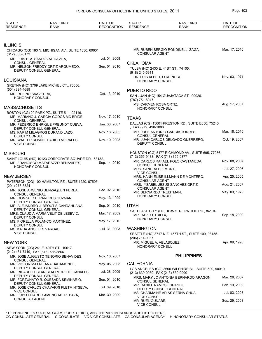STATE\*

NAME AND

DATE OF

STATE\*

NAME AND

| <b>RESIDENCE</b>                        | <b>RANK</b>                                                                               | <b>RECOGNITION</b> | <b>RESIDENCE</b>                                                         | <b>RANK</b>                                           | <b>RECOGNITION</b> |
|-----------------------------------------|-------------------------------------------------------------------------------------------|--------------------|--------------------------------------------------------------------------|-------------------------------------------------------|--------------------|
|                                         |                                                                                           |                    |                                                                          |                                                       |                    |
| <b>ILLINOIS</b>                         |                                                                                           |                    |                                                                          |                                                       |                    |
| $(312) 853 - 6173$                      | CHICAGO (CG) 180 N. MICHIGAN AV., SUITE 1830, 60601.                                      |                    | <b>CONSULAR AGENT</b>                                                    | MR. RUBEN SERGIO RONDINELLI ZAGA,                     | Mar. 17, 2010      |
|                                         | MR. LUIS F. A. SANDOVAL DAVILA,                                                           | Jul. 01, 2008      |                                                                          |                                                       |                    |
| <b>CONSUL GENERAL</b>                   | MR. NELSON FREDDY ORTIZ ARGUMEDO,<br>DEPUTY CONSUL GENERAL                                | Sep. 01, 2010      | <b>OKLAHOMA</b><br>TULSA (HC) 2430 E. 41ST ST., 74105.<br>(918) 245-5911 |                                                       |                    |
| LOUISIANA                               |                                                                                           |                    | DR. LUIS ALBERTO REINOSO,<br><b>HONORARY CONSUL</b>                      |                                                       | Nov. 03, 1971      |
|                                         | GRETNA (HC) 3709 LAKE MICHEL CT., 70056.                                                  |                    |                                                                          |                                                       |                    |
| (504) 394-4689                          |                                                                                           |                    | <b>PUERTO RICO</b>                                                       |                                                       |                    |
| MR. RUFINO SAAVEDRA,<br>HONORARY CONSUL |                                                                                           | Oct. 13, 2010      | (787) 751-8947                                                           | SAN JUAN (HC) 154 GUAJATACA ST., 00926.               |                    |
| <b>MASSACHUSETTS</b>                    |                                                                                           |                    | MS. CARMEN ROSA ORTIZ,<br><b>HONORARY CONSUL</b>                         |                                                       | Aug. 17, 2007      |
|                                         | BOSTON (CG) 20 PARK PZ., SUITE 511, 02116.<br>MR. MARIANO J. GARCIA GODOS MC BRIDE,       | Nov. 17, 2010      | <b>TEXAS</b>                                                             |                                                       |                    |
| <b>CONSUL GENERAL</b>                   | MR. FEDERICO ENRIQUE FREUNDT CUEVA,<br>DEPUTY CONSUL GENERAL                              | Jan. 30, 2007      | FAX (972) 498-1086                                                       | DALLAS (CG) 13601 PRESTON RD., SUITE E650, 75240.     |                    |
|                                         | MS. KARIM MILAGROS DURAND LAZO,                                                           | Nov. 16, 2005      | <b>CONSUL GENERAL</b>                                                    | MR. JOSE ANTONIO GARCIA TORRES.                       | Mar. 18, 2010      |
| DEPUTY CONSUL<br><b>VICE CONSUL</b>     | MR. WALTER RONNIE HABICH MORALES,                                                         | Nov. 10, 2008      | DEPUTY CONSUL                                                            | MR. JUAN CARLOS DELGADO GUERRERO,                     | Oct. 19, 2007      |
| <b>MISSOURI</b>                         |                                                                                           |                    |                                                                          | HOUSTON (CG) 5177 RICHMOND AV., SUITE 695, 77056.     |                    |
|                                         | SAINT LOUIS (HC) 10123 CORPORATE SQUARE DR., 63132.<br>MR. FRANCISCO MATARAZZO BENAVIDES. | Sep. 14, 2010      | (713) 355-9438, FAX (713) 355-9377                                       | MR. CARLOS RAFAEL POLO CASTANEDA,                     | Nov. 08, 2007      |
| <b>HONORARY CONSUL</b>                  |                                                                                           |                    | <b>CONSUL GENERAL</b><br>MRS. SANDRA BELMONT,<br><b>VICE CONSUL</b>      |                                                       | Jul. 27, 2006      |
| <b>NEW JERSEY</b>                       |                                                                                           |                    | <b>CONSULAR AGENT</b>                                                    | MRS. HANNIELISE ILLMANN DE MONTERO,                   | Apr. 25, 2005      |
| (201) 278-3324                          | PATERSON (CG) 100 HAMILTON PZ., SUITE 1220, 07505.                                        |                    | <b>CONSULAR AGENT</b>                                                    | MRS. YSABEL JESUS SANCHEZ ORTIZ,                      | Aug. 21, 2007      |
| <b>CONSUL GENERAL</b>                   | MR. JOSE ARSENIO BENZAQUEN PEREA,                                                         | Dec. 02, 2010      | MR. BERNARDO TREISTMAN,<br><b>HONORARY CONSUL</b>                        |                                                       | May. 03, 1979      |
|                                         | MR. GONZALO E. PAREDES GUZMAN,<br>DEPUTY CONSUL GENERAL                                   | May. 13, 1999      |                                                                          |                                                       |                    |
|                                         | MR. ALEJANDRO J. BEOUTIS CANDAHUANA,<br>DEPUTY CONSUL GENERAL                             | Sep. 01, 2010      | <b>UTAH</b>                                                              |                                                       |                    |
| DEPUTY CONSUL                           | MRS. CLAUDIA MARIA VELIT DE LESEVIC,                                                      | Mar. 17, 2009      | MR. DAVID UTRILLA,                                                       | SALT LAKE CITY (HC) 1635 S. REDWOOD RD., 84104.       | Sep. 18, 2009      |
| DEPUTY CONSUL                           | MS. FIORELLA POLANCO MARTINEZ,                                                            | May. 17, 2010      | <b>HONORARY CONSUL</b>                                                   |                                                       |                    |
| MS. KATIA ANGELES VARGAS,               |                                                                                           | Jul. 31, 2003      | <b>WASHINGTON</b>                                                        |                                                       |                    |
| <b>VICE CONSUL</b>                      |                                                                                           |                    | (206) 714-9037                                                           | SEATTLE (HC) 3717 N.E. 157TH ST., SUITE 100, 98155.   |                    |
| <b>NEW YORK</b>                         |                                                                                           |                    | MR. MIGUEL A. VELASQUEZ,<br>HONORARY CONSUL                              |                                                       | Apr. 09, 1998      |
| (212) 481-7419, FAX (646) 735-3866      | NEW YORK (CG) 241 E. 49TH ST., 10017.                                                     |                    |                                                                          |                                                       |                    |
| <b>CONSUL GENERAL</b>                   | MR. JOSE AUGUSTO TENORIO BENAVIDES.                                                       | Nov. 16, 2007      |                                                                          | <b>PHILIPPINES</b>                                    |                    |
|                                         | MR. VICTOR MATALLANA BAHAMONDE,<br>DEPUTY CONSUL GENERAL                                  | May. 06, 2008      | <b>CALIFORNIA</b>                                                        |                                                       |                    |
|                                         | MR. RICARDO ESTANISLAO MOROTE CANALES,<br>DEPUTY CONSUL GENERAL                           | Jul. 28, 2009      | (213) 639-0980, FAX (213) 639-0990                                       | LOS ANGELES (CG) 3600 WILSHIRE BL., SUITE 500, 90010. |                    |
|                                         | MR. FORTUNATO R. QUESADA SEMINARIO,                                                       | Sep. 01, 2010      | <b>CONSUL GENERAL</b>                                                    | MRS. MARY JO ANTONIA BERNARDO ARAGON,                 | Mar. 29, 2007      |
|                                         | DEPUTY CONSUL GENERAL<br>MR. JOSE CARLOS CHAVARRI PLETMINTSEVA,                           | Jul. 09, 2010      | MR. DANIEL RAMOS ESPIRITU,<br>DEPUTY CONSUL GENERAL                      |                                                       | Feb. 19, 2009      |
| <b>VICE CONSUL</b>                      | MR. LUIS EDUARDO AMENGUAL REBAZA,                                                         | Mar. 30, 2009      | <b>VICE CONSUL</b>                                                       | MS. CHARMAINE ARIAS SERNA CHUA,                       | Jul. 03, 2008      |
| <b>CONSULAR AGENT</b>                   |                                                                                           |                    | MR. RUEL GUNABE,                                                         |                                                       | Sep. 29, 2008      |

VICE CONSUL

DATE OF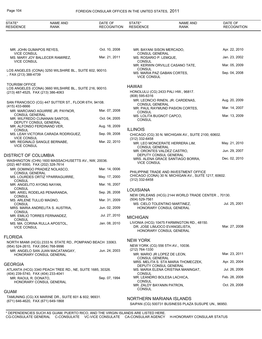# Page 104 FOREIGN CONSULAR OFFICES IN THE UNITED STATES, 2011

| STATE*<br><b>RESIDENCE</b>                                  | <b>NAME AND</b><br><b>RANK</b>                             | DATE OF<br><b>RECOGNITION</b> | STATE*<br><b>RESIDENCE</b>                                             | <b>NAME AND</b><br><b>RANK</b>                                                                         | DATE OF<br><b>RECOGNITION</b> |
|-------------------------------------------------------------|------------------------------------------------------------|-------------------------------|------------------------------------------------------------------------|--------------------------------------------------------------------------------------------------------|-------------------------------|
|                                                             |                                                            |                               |                                                                        |                                                                                                        |                               |
| MR. JOHN GUMAPOS REYES,                                     |                                                            | Oct. 10, 2008                 | MR. BAYANI SISON MERCADO,                                              |                                                                                                        | Apr. 22, 2010                 |
| <b>VICE CONSUL</b>                                          | MS. MARY JOY BALLECER RAMIREZ,                             | Mar. 21, 2011                 | <b>CONSUL GENERAL</b><br>MS. ROSARIO P. LEMQUE,                        |                                                                                                        | Jan. 23, 2002                 |
| <b>VICE CONSUL</b>                                          |                                                            |                               | <b>CONSUL</b>                                                          | MR. KERWIN ORVILLE CASANO TATE,                                                                        | Mar. 05, 2009                 |
| , FAX (213) 388-4739                                        | LOS ANGELES (CONA) 3250 WILSHIRE BL., SUITE 602, 90010.    |                               | <b>CONSUL</b><br><b>VICE CONSUL</b>                                    | MS. MARIA PAZ GABAN CORTES,                                                                            | Sep. 04, 2008                 |
| <b>TOURISM OFFICE</b><br>(213) 487-4525, FAX (213) 386-4063 | LOS ANGELES (CONA) 3660 WILSHIRE BL., SUITE 216, 90010.    |                               | <b>HAWAII</b><br>(808) 595-6316                                        | HONOLULU (CG) 2433 PALI HW., 96817.                                                                    |                               |
|                                                             | SAN FRANCISCO (CG) 447 SUTTER ST., FLOOR 6TH, 94108.       |                               | <b>CONSUL GENERAL</b>                                                  | MR. LEONCIO RINEN, JR. CARDENAS,                                                                       | Aug. 20, 2009                 |
| (415) 433-6666                                              | MR. MARCIANO AGUIRRE JR. PAYNOR,                           | Mar. 07, 2008                 | <b>CONSUL</b>                                                          | MR. PAUL RAYMUND PASION CORTES,                                                                        | Mar. 14, 2007                 |
| <b>CONSUL GENERAL</b>                                       | MR. WILFREDO CUNANAN SANTOS.                               | Oct. 04, 2005                 | MS. LOLITA BUGNOT CAPCO,<br><b>CONSUL</b>                              |                                                                                                        | Mar. 13, 2009                 |
| MR. ALFONSO FERDINAND VER,                                  | DEPUTY CONSUL GENERAL                                      | Aug. 18, 2009                 |                                                                        |                                                                                                        |                               |
| <b>CONSUL</b>                                               | MS. LEAH VICTORIA CARADA RODRIGUEZ,                        | Sep. 09, 2008                 | <b>ILLINOIS</b>                                                        | CHICAGO (CG) 30 N. MICHIGAN AV., SUITE 2100, 60602.                                                    |                               |
| <b>VICE CONSUL</b>                                          | MR. REGINALD SANGLE BERNABE,                               | Mar. 22, 2010                 | (312) 332-6458                                                         | MR. LEO MONCERATE HERRERA LIM,                                                                         | May. 21, 2010                 |
| <b>VICE CONSUL</b>                                          |                                                            |                               | <b>CONSUL GENERAL</b>                                                  | MR. ORONTES VALDEZ CASTRO,                                                                             | Jun. 29, 2007                 |
| <b>DISTRICT OF COLUMBIA</b>                                 |                                                            |                               |                                                                        | DEPUTY CONSUL GENERAL<br>MRS. ALENA GRACE SANTIAGO BORRA,                                              | Dec. 02, 2010                 |
| (202) 467-9300, FAX (202) 328-7614                          | WASHINGTON (CHN) 1600 MASSACHUSETTS AV., NW, 20036.        |                               | <b>VICE CONSUL</b>                                                     |                                                                                                        |                               |
| <b>CONSUL GENERAL</b>                                       | MR. DOMINGO PRADIEZ NOLASCO,                               | Mar. 14, 0006                 |                                                                        | PHILIPPINE TRADE AND INVESTMENT OFFICE                                                                 |                               |
| <b>CONSUL</b>                                               | MS. LOURDES ORTIZ YPARRAGUIRRE,                            | May. 17, 2000                 | (312) 332-6458                                                         | CHICAGO (CONA) 30 N. MICHIGAN AV., SUITE 1217, 60602.                                                  |                               |
| MR. ANGELITO AYONG NAYAN,<br><b>CONSUL</b>                  |                                                            | Mar. 16, 2007                 | <b>LOUISIANA</b>                                                       |                                                                                                        |                               |
| <b>CONSUL</b>                                               | MR. ARIEL RODELAS PENARANDA,                               | Sep. 26, 2008                 |                                                                        | NEW ORLEANS (HCG) 2144 WORLD TRADE CENTER., 70130.                                                     |                               |
| MS. ARLENE TULLID MAGNO,<br><b>CONSUL</b>                   |                                                            | Mar. 31, 2009                 | (504) 529-7561                                                         | MS. CIELO TOLENTINO MARTINEZ,                                                                          | Jul. 25, 2001                 |
| <b>CONSUL</b>                                               | MRS. MARIA ANDRELITA S. AUSTRIA,                           | Jun. 02, 2009                 |                                                                        | <b>HONORARY CONSUL GENERAL</b>                                                                         |                               |
| <b>CONSUL</b>                                               | MR. EMILIO TORRES FERNANDEZ,                               | Jul. 27, 2010                 | <b>MICHIGAN</b>                                                        |                                                                                                        |                               |
| <b>VICE CONSUL</b>                                          | MS. MA. CORINA RULLA APOSTOL,                              | Jan. 08, 2010                 |                                                                        | LIVONIA (HCG) 10475 FARMINGTON RD., 48150.<br>DR. JOSE LIMJOCO EVANGELISTA.<br>HONORARY CONSUL GENERAL | Mar. 27, 2008                 |
| <b>FLORIDA</b>                                              |                                                            |                               | <b>NEW YORK</b>                                                        |                                                                                                        |                               |
| (954) 524-2610, FAX (954) 768-9996                          | NORTH MIAMI (HCG) 2333 N. STATE RD., POMPANO BEACH 33063.  |                               | NEW YORK (CG) 556 5TH AV., 10036.                                      |                                                                                                        |                               |
|                                                             | MR. ANGELO SAN JUAN MACATANGAY,<br>HONORARY CONSUL GENERAL | Jun. 24, 2003                 | (212) 764-1330<br>MR. MARIO JR LOPEZ DE LEON,<br><b>CONSUL GENERAL</b> |                                                                                                        | Mar. 23, 2011                 |
| <b>GEORGIA</b>                                              |                                                            |                               |                                                                        | MRS. MELITA S. STA MARIA THOMECZEK,<br>DEPUTY CONSUL GENERAL                                           | Apr. 20, 2004                 |
|                                                             | ATLANTA (HCG) 3340 PEACH TREE RD., NE, SUITE 1685, 30326.  |                               |                                                                        | MS. MARIA ELENA CRISTINA MANINGAT,                                                                     | Jul. 26, 2006                 |
| (404) 239-5740, FAX (404) 233-4041<br>MR. RAOUL R. DONATO,  |                                                            | Sep. 07, 1994                 | CONSUL                                                                 | MR. LEANDRO BOLESA LACHICA,                                                                            | Feb. 28, 2008                 |
|                                                             | HONORARY CONSUL GENERAL                                    |                               | CONSUL<br>MR. ZALDY BAYANIN PATRON,                                    |                                                                                                        | Oct. 29, 2008                 |
| <b>GUAM</b>                                                 |                                                            |                               | CONSUL                                                                 |                                                                                                        |                               |
| (671) 646-4620, FAX (671) 649-1868                          | TAMUNING (CG) XX MARINE DR., SUITE 601 & 602, 96931.       |                               | NORTHERN MARIANA ISLANDS                                               | SAIPAN (CG) 500731 BUSINESS PLAZA SUSUPE UN., 96950.                                                   |                               |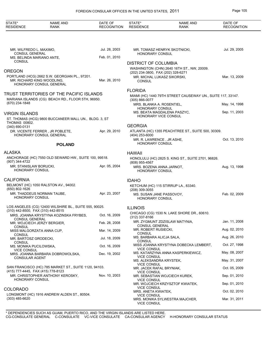| STATE*<br><b>RESIDENCE</b>                       | <b>NAME AND</b><br><b>RANK</b>                                                                | DATE OF<br><b>RECOGNITION</b> | STATE*<br><b>RESIDENCE</b>                          | <b>NAME AND</b><br><b>RANK</b>                              | DATE OF<br><b>RECOGNITION</b> |
|--------------------------------------------------|-----------------------------------------------------------------------------------------------|-------------------------------|-----------------------------------------------------|-------------------------------------------------------------|-------------------------------|
|                                                  |                                                                                               |                               |                                                     |                                                             |                               |
| MR. WILFREDO L. MAXIMO,<br><b>CONSUL GENERAL</b> |                                                                                               | Jul. 28, 2003                 | <b>HONORARY CONSUL</b>                              | MR. TOMASZ HENRYK SKOTNICKI,                                | Jul. 29, 2005                 |
| MS. BELINDA MARIANO ANTE,<br><b>CONSUL</b>       |                                                                                               | Feb. 01, 2010                 |                                                     |                                                             |                               |
|                                                  |                                                                                               |                               | <b>DISTRICT OF COLUMBIA</b>                         |                                                             |                               |
| OREGON                                           |                                                                                               |                               | (202) 234-3800, FAX (202) 328-6271                  | WASHINGTON (CHN) 2640 16TH ST., NW, 20009.                  |                               |
| MR. RICHARD KING WOODLING.                       | PORTLAND (HCG) 2662 S.W. GEORGIAN PL., 97201.<br>HONORARY CONSUL GENERAL                      | Mar. 26, 2010                 | MR. MICHAL LUKASZ SIKORSKI,<br><b>CONSUL</b>        |                                                             | Mar. 13, 2009                 |
|                                                  |                                                                                               |                               | <b>FLORIDA</b>                                      |                                                             |                               |
| (670) 234-1848                                   | TRUST TERRITORIES OF THE PACIFIC ISLANDS<br>MARIANA ISLANDS (CG) BEACH RD., FLOOR 5TH, 96950. |                               | $(305) 866 - 0077$                                  | MIAMI (HC) 1440 79TH STREET CAUSEWAY UN., SUITE 117, 33147. |                               |
|                                                  |                                                                                               |                               | MRS. BLANKA A. ROSENTIEL,<br><b>HONORARY CONSUL</b> |                                                             | May. 14, 1998                 |
| VIRGIN ISLANDS                                   |                                                                                               |                               | MS. BEATA MAGDALENA PASZYC,                         |                                                             | Sep. 11, 2003                 |
|                                                  | ST. THOMAS (HCG) 9800 BUCCANEER MALL UN., BLDG. 3, ST                                         |                               | HONORARY VICE CONSUL                                |                                                             |                               |
| <b>THOMAS 00802.</b><br>(340) 690-0131           |                                                                                               |                               | <b>GEORGIA</b>                                      |                                                             |                               |
|                                                  | DR. VICENTE FERRER, JR POBLETE,<br>HONORARY CONSUL GENERAL                                    | Apr. 29, 2010                 | (404) 253-6000                                      | ATLANTA (HC) 1355 PEACHTREE ST., SUITE 500, 30309.          |                               |
|                                                  | <b>POLAND</b>                                                                                 |                               | MR. R. LAWRENCE, JR ASHE,<br><b>HONORARY CONSUL</b> |                                                             | Oct. 13, 2010                 |
| ALASKA                                           |                                                                                               |                               | <b>HAWAII</b>                                       |                                                             |                               |
| (907) 344-4722                                   | ANCHORAGE (HC) 7550 OLD SEWARD HW., SUITE 100, 99518.                                         |                               | (808) 955-4567                                      | HONOLULU (HC) 2825 S. KING ST., SUITE 2701, 96826.          |                               |
| MR. STANISLAW BORUCKI,<br><b>HONORARY CONSUL</b> |                                                                                               | Apr. 05, 2004                 | MRS. BOZENA ANNA JARNOT,<br><b>HONORARY CONSUL</b>  |                                                             | Aug. 13, 1998                 |
| CALIFORNIA                                       |                                                                                               |                               | <b>IDAHO</b>                                        |                                                             |                               |
|                                                  | BELMONT (HC) 1050 RALSTON AV., 94002.                                                         |                               |                                                     | KETCHUM (HC) 115 STIRRUP LA., 83340.                        |                               |
| (650) 802-1626                                   |                                                                                               |                               | (208) 309-3055                                      |                                                             |                               |
| HONORARY CONSUL                                  | MR. THADDEUS NORMAN TAUBE,                                                                    | Apr. 23, 2007                 | MS. SUSAN JANE PASSOVOY,<br><b>HONORARY CONSUL</b>  |                                                             | Feb. 02, 2009                 |
|                                                  | LOS ANGELES (CG) 12400 WILSHIRE BL., SUITE 555, 90025.                                        |                               | <b>ILLINOIS</b>                                     |                                                             |                               |
| (310) 442-8500, FAX (310) 442-8515               | MRS. JOANNA KRYSTYNA KOZINSKA FRYBES,                                                         | Oct. 16, 2009                 |                                                     | CHICAGO (CG) 1530 N. LAKE SHORE DR., 60610.                 |                               |
| CONSUL GENERAL<br>MR. WOJCIECH JERZY BERGIER,    |                                                                                               | Feb. 28, 2008                 | $(312)$ 337-8166                                    | MR. ZYGMUNT ZDZISLAW MATYNIA,                               | Jan. 11, 2008                 |
| <b>CONSUL</b><br>MISS MALGORZATA ANNA CUP,       |                                                                                               | Mar. 14, 2009                 | <b>CONSUL GENERAL</b><br>MR. ROBERT RUSIECKI,       |                                                             | Aug. 02, 2010                 |
| <b>CONSUL</b><br>MR. BARTOSZ GRODECKI,           |                                                                                               | Jul. 18, 2009                 | <b>CONSUL</b><br>MS. BARBARA ALICJA SALA,           |                                                             | Aug. 26, 2010                 |
| <b>CONSUL</b>                                    |                                                                                               | Oct. 16, 2009                 | <b>CONSUL</b>                                       | MISS JOANNA KRYSTYNA DOBECKA LEMBERT,                       | Oct. 27, 1998                 |
| MS. MONIKA PUCILOWSKA,<br><b>VICE CONSUL</b>     |                                                                                               |                               | <b>VICE CONSUL</b>                                  | MS. KATARZYNA ANNA KASPERKIEWICZ,                           | May. 08, 2007                 |
| <b>CONSULAR AGENT</b>                            | MRS. JOANNA BARBARA DOBROWOLSKA,                                                              | Dec. 19, 2002                 | <b>VICE CONSUL</b><br>MS. ALEKSANDRA KRYSTEK,       |                                                             | May. 31, 2007                 |
|                                                  | SAN FRANCISCO (HC) 785 MARKET ST., SUITE 1120, 94103.                                         |                               | <b>VICE CONSUL</b>                                  |                                                             |                               |
| (415) 777-4445, FAX (415) 778-8123               |                                                                                               |                               | MR. JACEK RAFAL BRYNIAK,<br><b>VICE CONSUL</b>      |                                                             | Oct. 05, 2009                 |
| HONORARY CONSUL                                  | MR. CHRISTOPHER ANTHONY KEROSKY,                                                              | Nov. 10, 2003                 | <b>VICE CONSUL</b>                                  | MR. SEBASTIAN WOJCIECH KUREK,                               | Sep. 01, 2010                 |
|                                                  |                                                                                               |                               | <b>VICE CONSUL</b>                                  | MR. WOJCIECH KRZYSZTOF KWIATEK,                             | Sep. 01, 2010                 |
| COLORADO                                         |                                                                                               |                               | MRS. ANETA KWIATEK,                                 |                                                             | Oct. 02, 2010                 |
| $(303)$ 485-6620                                 | LONGMONT (HC) 1916 ANDREW ALDEN ST., 80504.                                                   |                               | <b>VICE CONSUL</b><br><b>VICE CONSUL</b>            | MRS. MONIKA SYLWESTRA MAJCHER,                              | Mar. 31, 2011                 |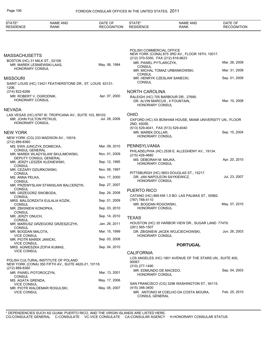| STATE*<br><b>RESIDENCE</b>                                    | <b>NAME AND</b><br><b>RANK</b>                                                              | DATE OF<br><b>RECOGNITION</b> | STATE*<br><b>RESIDENCE</b>                               | <b>NAME AND</b><br>RANK                                   | DATE OF<br><b>RECOGNITION</b> |
|---------------------------------------------------------------|---------------------------------------------------------------------------------------------|-------------------------------|----------------------------------------------------------|-----------------------------------------------------------|-------------------------------|
|                                                               |                                                                                             |                               |                                                          |                                                           |                               |
|                                                               |                                                                                             |                               | POLISH COMMERCIAL OFFICE                                 | NEW YORK (CONA) 675 3RD AV., FLOOR 19TH, 10017.           |                               |
| <b>MASSACHUSETTS</b>                                          |                                                                                             |                               | (212) 370-5300, FAX (212) 818-9623                       |                                                           |                               |
| BOSTON (HC) 31 MILK ST., 02108.<br>MR. MAREK LESNIEWSKI-LAAS. |                                                                                             | May. 06, 1994                 | MR. PAWEL PYTLARCZYK,<br><b>CONSUL</b>                   |                                                           | Mar. 26, 2009                 |
| <b>HONORARY CONSUL</b>                                        |                                                                                             |                               | <b>CONSUL</b>                                            | MR. MICHAL TOMAZ URBANKOWSKI,                             | Mar. 31, 2009                 |
| <b>MISSOURI</b>                                               |                                                                                             |                               | MR. HENRYK CZESLAW SANECKI,                              |                                                           | Sep. 01, 2009                 |
|                                                               | SAINT LOUIS (HC) 13421 FEATHERSTONE DR., ST. LOUIS 63131-                                   |                               | CONSUL                                                   |                                                           |                               |
| 1206.<br>(314) 822-6266                                       |                                                                                             |                               | <b>NORTH CAROLINA</b>                                    |                                                           |                               |
| MR. ROBERT V. OGRODNIK,                                       |                                                                                             | Apr. 07, 2000                 |                                                          | RALEIGH (HC) 705 BARBOUR DR., 27695.                      |                               |
| <b>HONORARY CONSUL</b>                                        |                                                                                             |                               | DR. ALVIN MARCUS, II FOUNTAIN,<br><b>HONORARY CONSUL</b> |                                                           | Mar. 10, 2008                 |
| <b>NEVADA</b>                                                 |                                                                                             |                               |                                                          |                                                           |                               |
| MR. JOHN FULTON PETKUS,<br>HONORARY CONSUL                    | LAS VEGAS (HC) 6787 W. TROPICANA AV., SUITE 103, 89103.                                     | Jul. 28, 2009                 | <b>OHIO</b>                                              | OXFORD (HC) XX BONHAM HOUSE, MIAMI UNIVERSITY UN., FLOOR  |                               |
|                                                               |                                                                                             |                               | 2ND, 45056.<br>(513) 529-4041, FAX (513) 529-4040        |                                                           |                               |
| <b>NEW YORK</b>                                               |                                                                                             |                               | MR. MAREK DOLLAR,                                        |                                                           | Sep. 15, 2004                 |
| (212) 889-8360                                                | NEW YORK (CG) 233 MADISON AV., 10016.                                                       |                               | <b>HONORARY CONSUL</b>                                   |                                                           |                               |
| MS. EWA JUNCZYK ZIOMECKA,                                     |                                                                                             | Mar. 09, 2010                 | PENNSYLVANIA                                             |                                                           |                               |
| <b>CONSUL GENERAL</b>                                         | MR. MAREK WLADYSLAW SKULIMOWSKI,                                                            | Nov. 01, 2009                 | (215) 426-4680                                           | PHILADELPHIA (HC) 2538 E. ALLEGHENY AV., 19134.           |                               |
| <b>CONSUL</b>                                                 | DEPUTY CONSUL GENERAL<br>MR. JERZY LESZEK KLENIEWSKI,                                       | Sep. 12, 1995                 | MS. DEBORAH M. MAJKA,<br><b>HONORARY CONSUL</b>          |                                                           | Apr. 20, 2010                 |
| MR. CEZARY DZIURKOWSKI,                                       |                                                                                             | Nov. 06, 1997                 |                                                          |                                                           |                               |
| <b>CONSUL</b><br>MS. ANNA PELKA,                              |                                                                                             | Nov. 17, 2000                 | DR. JAN NAPOLEON SAYKIEWICZ,                             | PITTSBURGH (HC) 5853 DOUGLAS ST., 15217.                  | Jul. 23, 2007                 |
| <b>CONSUL</b>                                                 |                                                                                             |                               | <b>HONORARY CONSUL</b>                                   |                                                           |                               |
| <b>CONSUL</b>                                                 | MR. PRZEMYSLAW STANISLAW BALCERZYK,                                                         | Sep. 27, 2007                 |                                                          |                                                           |                               |
| MR. GRZEGORZ SWOBODA,                                         |                                                                                             | Sep. 24, 2008                 | <b>PUERTO RICO</b>                                       |                                                           |                               |
| <b>CONSUL</b>                                                 | MRS. MALGORZATA EULALIA KOZIK,                                                              | Sep. 01, 2009                 | (787) 788-4110                                           | CATANO (HC) 869 KM 1.5 BO. LAS PALMAS ST., 00962.         |                               |
| <b>CONSUL</b>                                                 |                                                                                             |                               | MR. BOGDAN ROGOWSKI,                                     |                                                           | May. 07, 2010                 |
| MR. ZBIGNIEW KONOPKA,                                         |                                                                                             | Sep. 03, 2010                 | HONORARY CONSUL                                          |                                                           |                               |
| <b>CONSUL</b><br>MR. JERZY ONUCH.                             |                                                                                             | Sep. 14, 2010                 | <b>TEXAS</b>                                             |                                                           |                               |
| <b>CONSUL</b>                                                 |                                                                                             |                               |                                                          | HOUSTON (HC) 35 HARBOR VIEW DR., SUGAR LAND 77479.        |                               |
| <b>CONSUL</b>                                                 | MR. MARIUSZ GRZEGORZ GRZESZCZYK,                                                            | Jan. 26, 2011                 | $(281)$ 565-1507                                         |                                                           |                               |
| MR. BOGDAN MALOTA,<br><b>VICE CONSUL</b>                      |                                                                                             | Mar. 15, 1999                 | <b>HONORARY CONSUL</b>                                   | DR. ZBIGNIEW JACEK WOJCIECHOWSKI,                         | Jun. 26, 2003                 |
| MR. PIOTR MAREK JANICKI,                                      |                                                                                             | Sep. 03, 2008                 |                                                          |                                                           |                               |
| <b>VICE CONSUL</b>                                            | MRS. AGNIESZKA ZOFIA KUMAS,                                                                 | Sep. 04, 2010                 |                                                          | <b>PORTUGAL</b>                                           |                               |
| <b>VICE CONSUL</b>                                            |                                                                                             |                               | <b>CALIFORNIA</b>                                        |                                                           |                               |
|                                                               |                                                                                             |                               |                                                          | LOS ANGELES (HC) 1801 AVENUE OF THE STARS UN., SUITE 400, |                               |
|                                                               | POLISH CULTURAL INSTITUTE OF POLAND<br>NEW YORK (CONA) 350 FIFTH AV., SUITE 4620-21, 10118. |                               | 90067.                                                   |                                                           |                               |
| (212) 889-8360                                                |                                                                                             |                               | $(310)$ 277-1490<br>MR. EDMUNDO DE MACEDO,               |                                                           | Sep. 04, 2003                 |
| MR. PAWEL POTOROCZYN,<br><b>CONSUL</b>                        |                                                                                             | Mar. 13, 2001                 | <b>HONORARY CONSUL</b>                                   |                                                           |                               |
| MS. AGATA GRENDA,                                             |                                                                                             | May. 17, 2006                 |                                                          |                                                           |                               |
| <b>VICE CONSUL</b>                                            |                                                                                             | May. 05, 2007                 | (415) 346-3400                                           | SAN FRANCISCO (CG) 3298 WASHINGTON ST., 94115.            |                               |
| <b>VICE CONSUL</b>                                            | MR. PIOTR WALDEMAR ROGULSKI,                                                                |                               | <b>CONSUL GENERAL</b>                                    | MR. ANTONIO M COELHO DA COSTA MOURA,                      | Feb. 25, 2010                 |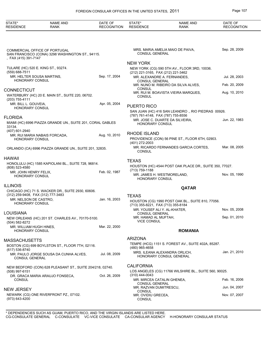| STATE*<br><b>RESIDENCE</b>                        | <b>NAME AND</b><br><b>RANK</b>                                                    | DATE OF<br><b>RECOGNITION</b> | STATE*<br><b>RESIDENCE</b>                            | <b>NAME AND</b><br><b>RANK</b>                          | DATE OF<br><b>RECOGNITION</b> |
|---------------------------------------------------|-----------------------------------------------------------------------------------|-------------------------------|-------------------------------------------------------|---------------------------------------------------------|-------------------------------|
|                                                   |                                                                                   |                               |                                                       |                                                         |                               |
| , FAX (415) 391-7147                              | COMMERCIAL OFFICE OF PORTUGAL<br>SAN FRANCISCO (CONA) 3298 WASHINGTON ST., 94115. |                               | <b>CONSUL GENERAL</b>                                 | MRS. MARIA AMELIA MAIO DE PAIVA,                        | Sep. 28, 2009                 |
|                                                   |                                                                                   |                               | <b>NEW YORK</b>                                       |                                                         |                               |
| TULARE (HC) 520 E. KING ST., 93274.               |                                                                                   |                               |                                                       | NEW YORK (CG) 590 5TH AV., FLOOR 3RD, 10036.            |                               |
| $(559)$ 688-7511<br>MR. HELTER SOUSA MARTINS,     |                                                                                   | Sep. 17, 2004                 | (212) 221-3165, FAX (212) 221-3462                    |                                                         |                               |
| HONORARY CONSUL                                   |                                                                                   |                               | <b>CONSUL GENERAL</b>                                 | MR. ALEXANDRE A. FERNANDES,                             | Jul. 28, 2003                 |
|                                                   |                                                                                   |                               | <b>CONSUL</b>                                         | MR. NUNO M. RIBEIRO DA SILVA ALVES,                     | Feb. 20, 2009                 |
| CONNECTICUT                                       |                                                                                   |                               |                                                       | MR. RUI M. BOAVISTA VIEIRA MARQUES,                     | Aug. 10, 2010                 |
| (203) 755-4111                                    | WATERBURY (HC) 20 E. MAIN ST., SUITE 220, 06702.                                  |                               | <b>CONSUL</b>                                         |                                                         |                               |
| MR. BILL L. GOUVEIA,                              |                                                                                   | Apr. 05, 2004                 | PUERTO RICO                                           |                                                         |                               |
| HONORARY CONSUL                                   |                                                                                   |                               |                                                       | SAN JUAN (HC) 416 SAN LEANDRO., RIO PIEDRAS 00926.      |                               |
| FLORIDA                                           |                                                                                   |                               | (787) 761-4148, FAX (787) 755-8556                    |                                                         |                               |
|                                                   | MIAMI (HC) 6996 PIAZZA GRANDE UN., SUITE 201, CORAL GABLES                        |                               | <b>HONORARY CONSUL</b>                                | MR. JOSE C. DUARTE DA SILVEIRA.                         | Jun. 22, 1983                 |
| 33134.                                            |                                                                                   |                               |                                                       |                                                         |                               |
| (407) 601-2940                                    | MR. RUI MARIA NABAIS FORCADA,                                                     | Aug. 10, 2010                 | <b>RHODE ISLAND</b>                                   |                                                         |                               |
| HONORARY CONSUL                                   |                                                                                   |                               |                                                       | PROVIDENCE (CON) 56 PINE ST., FLOOR 6TH, 02903.         |                               |
|                                                   |                                                                                   |                               | (401) 272-2003                                        | MR. RICARDO FERNANDES GARCIA CORTES,                    | Mar. 08, 2005                 |
|                                                   | ORLANDO (CA) 6996 PIAZZA GRANDE UN., SUITE 201, 32835.                            |                               | <b>CONSUL</b>                                         |                                                         |                               |
| HAWAII                                            |                                                                                   |                               |                                                       |                                                         |                               |
|                                                   | HONOLULU (HC) 1585 KAPIOLANI BL., SUITE 728, 96814.                               |                               | <b>TEXAS</b>                                          |                                                         |                               |
| (808) 523-4580                                    |                                                                                   |                               | (713) 759-1188                                        | HOUSTON (HC) 4544 POST OAK PLACE DR., SUITE 350, 77027. |                               |
| MR. JOHN HENRY FELIX,<br>HONORARY CONSUL          |                                                                                   | Feb. 02, 1987                 |                                                       | MR. JAMES H. WESTMORELAND,                              | Nov. 05, 1990                 |
|                                                   |                                                                                   |                               | <b>HONORARY CONSUL</b>                                |                                                         |                               |
| illinois                                          |                                                                                   |                               |                                                       | QATAR                                                   |                               |
| (312) 259-9408, FAX (312) 777-3483                | CHICAGO (HC) 71 S. WACKER DR., SUITE 2930, 60606.                                 |                               | <b>TEXAS</b>                                          |                                                         |                               |
| MR. NELSON DE CASTRO,                             |                                                                                   | Jan. 16, 2003                 |                                                       | HOUSTON (CG) 1990 POST OAK BL., SUITE 810, 77056.       |                               |
| <b>HONORARY CONSUL</b>                            |                                                                                   |                               | (713) 355-8221, FAX (713) 355-8184                    |                                                         |                               |
| LOUISIANA                                         |                                                                                   |                               | MR. YOUSEF ALI Y. AL-KHATER,<br><b>CONSUL GENERAL</b> |                                                         | Nov. 05, 2008                 |
|                                                   | NEW ORLEANS (HC) 201 ST. CHARLES AV., 70170-5100.                                 |                               | MR. HAMAD AL MUFTAH,                                  |                                                         | Sep. 01, 2010                 |
| (504) 582-8272                                    |                                                                                   |                               | <b>VICE CONSUL</b>                                    |                                                         |                               |
| MR. WILLIAM HUGH HINES,<br><b>HONORARY CONSUL</b> |                                                                                   | Mar. 22, 2000                 |                                                       | <b>ROMANIA</b>                                          |                               |
|                                                   |                                                                                   |                               |                                                       |                                                         |                               |
| MASSACHUSETTS                                     |                                                                                   |                               | <b>ARIZONA</b>                                        |                                                         |                               |
| (617) 536-8740                                    | BOSTON (CG) 699 BOYLSTON ST., FLOOR 7TH, 02116.                                   |                               | (480) 965-4658                                        | TEMPE (HCG) 1151 S. FOREST AV., SUITE 402A, 85287.      |                               |
|                                                   | MR. PAULO JORGE SOUSA DA CUNHA ALVES,                                             | Jul. 08, 2009                 |                                                       | MRS. ILEANA ALEXANDRA ORLICH,                           | Jan. 21, 2010                 |
| CONSUL GENERAL                                    |                                                                                   |                               |                                                       | HONORARY CONSUL GENERAL                                 |                               |
|                                                   | NEW BEDFORD (CON) 628 PLEASANT ST., SUITE 204/218, 02740.                         |                               | <b>CALIFORNIA</b>                                     |                                                         |                               |
| (508) 997-6151                                    |                                                                                   |                               |                                                       | LOS ANGELES (CG) 11766 WILSHIRE BL., SUITE 560, 90025.  |                               |
|                                                   | DR. GRACA MARIA ARAUJO FONSECA,                                                   | Oct. 26, 2009                 | (310) 444-0043                                        |                                                         |                               |
| <b>CONSUL</b>                                     |                                                                                   |                               | MR. MIRCEA CATALIN GHENEA,<br><b>CONSUL GENERAL</b>   |                                                         | Feb. 16, 2006                 |
| <b>NEW JERSEY</b>                                 |                                                                                   |                               | MR. RAZVAN DUMITRESCU,                                |                                                         | Jun. 04, 2007                 |
|                                                   | NEWARK (CG) ONE RIVERFRONT PZ., 07102.                                            |                               | <b>CONSUL</b><br>MR. OVIDIU GRECEA,                   |                                                         | Nov. 07, 2007                 |
| (973) 643-4200                                    |                                                                                   |                               | <b>CONSUL</b>                                         |                                                         |                               |
|                                                   |                                                                                   |                               |                                                       |                                                         |                               |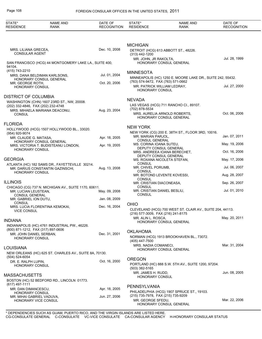| STATE*<br><b>RESIDENCE</b>                    | <b>NAME AND</b><br><b>RANK</b>                                                     | DATE OF<br><b>RECOGNITION</b> | STATE*<br><b>RESIDENCE</b>                   | <b>NAME AND</b><br><b>RANK</b>                             | DATE OF<br><b>RECOGNITION</b> |
|-----------------------------------------------|------------------------------------------------------------------------------------|-------------------------------|----------------------------------------------|------------------------------------------------------------|-------------------------------|
|                                               |                                                                                    |                               |                                              |                                                            |                               |
|                                               |                                                                                    |                               | <b>MICHIGAN</b>                              |                                                            |                               |
| MRS. LILIANA GRECEA,<br><b>CONSULAR AGENT</b> |                                                                                    | Dec. 10, 2008                 | (313) 442-1200                               | DETROIT (HCG) 613 ABBOTT ST., 48226.                       |                               |
| 94104.                                        | SAN FRANCISCO (HCG) 44 MONTGOMERY LAKE LA., SUITE 400,                             |                               | MR. JOHN, JR RAKOLTA,                        | HONORARY CONSUL GENERAL                                    | Jul. 28, 1999                 |
| (415) 743-2210                                |                                                                                    |                               |                                              |                                                            |                               |
|                                               | MRS. DANA BELDIMAN KARLSONS,                                                       | Jul. 01, 2004                 | <b>MINNESOTA</b>                             |                                                            |                               |
|                                               | HONORARY CONSUL GENERAL                                                            | Oct. 20, 2006                 | (763) 574-9472, FAX (763) 571-0662           | MINNEAPOLIS (HC) 1250 E. MOORE LAKE DR., SUITE 242, 55432. |                               |
| MR. GEORGE ROTH,<br><b>HONORARY CONSUL</b>    |                                                                                    |                               | <b>HONORARY CONSUL</b>                       | MR. PATRICK WILLIAM LEDRAY,                                | Jul. 27, 2000                 |
| <b>DISTRICT OF COLUMBIA</b>                   |                                                                                    |                               | <b>NEVADA</b>                                |                                                            |                               |
| (202) 332-4846, FAX (202) 232-4748            | WASHINGTON (CHN) 1607 23RD ST., NW, 20008.                                         |                               |                                              | LAS VEGAS (HCG) 711 RANCHO CI., 89107.                     |                               |
| <b>CONSUL</b>                                 | MRS. MIHAELA MARIANA DEACONU,                                                      | Aug. 23, 2004                 | (702) 878-5534                               | MRS. AURELIA ARNOLD ROBERTS,                               | Oct. 06, 2006                 |
| <b>FLORIDA</b>                                |                                                                                    |                               |                                              | HONORARY CONSUL GENERAL                                    |                               |
|                                               |                                                                                    |                               | <b>NEW YORK</b>                              |                                                            |                               |
| (954) 920-9074                                | HOLLYWOOD (HCG) 1507 HOLLYWOOD BL., 33020.                                         |                               |                                              | NEW YORK (CG) 200 E. 38TH ST., FLOOR 3RD, 10016.           |                               |
| MR. CLAUDE G. MATASA,                         |                                                                                    | Apr. 18, 2005                 | MR. MARIAN PARJOL,<br><b>CONSUL GENERAL</b>  |                                                            | Jan. 07, 2011                 |
|                                               | HONORARY CONSUL GENERAL<br>MRS. VICTORIA T. BUDISTEANU LONDON,                     | Apr. 19, 2005                 | MS. CORINA IOANA SUTEU,                      | DEPUTY CONSUL GENERAL                                      | May. 19, 2006                 |
| HONORARY CONSUL                               |                                                                                    |                               |                                              | MRS. ANDREEA IOANA BERECHET,                               | Oct. 16, 2006                 |
| <b>GEORGIA</b>                                |                                                                                    |                               |                                              | DEPUTY CONSUL GENERAL<br>MS. ROXANA NICOLETA STEFAN,       | May. 17, 2006                 |
|                                               | ATLANTA (HC) 182 SAMS DR., FAYETTEVILLE 30214.<br>MR. DARIUS CONSTANTIN GAZINSCHI, | Aug. 13, 2008                 | <b>CONSUL</b><br>MR. CHIVEL PORUMB,          |                                                            | Jul. 06, 2007                 |
| HONORARY CONSUL                               |                                                                                    |                               | <b>CONSUL</b>                                | MR. BOTOND LEVENTE KOVESSI,                                | Aug. 28, 2007                 |
| <b>ILLINOIS</b>                               |                                                                                    |                               | <b>CONSUL</b><br>MR. CRISTIAN DIACONEASA,    |                                                            | Sep. 26, 2007                 |
|                                               | CHICAGO (CG) 737 N. MICHIGAN AV., SUITE 1170, 60611.                               | May. 09, 2008                 | CONSUL<br>MR. CRISTIAN DANIEL BESLIU,        |                                                            | Jul. 01, 2010                 |
| MR. LUCIAN LEUSTEAN,<br><b>CONSUL GENERAL</b> |                                                                                    |                               | <b>CONSUL</b>                                |                                                            |                               |
| MR. GABRIEL ION DUTU,                         |                                                                                    | Jan. 08, 2009                 |                                              |                                                            |                               |
| <b>CONSUL</b>                                 | MRS. LUCIA FLORENTINA KEMOKAI,                                                     | Dec. 16, 2004                 | <b>OHIO</b>                                  |                                                            |                               |
| <b>VICE CONSUL</b>                            |                                                                                    |                               | (216) 577-3009, FAX (216) 241-8175           | CLEVELAND (HCG) 700 WEST ST. CLAIR AV., SUITE 204, 44113.  |                               |
| <b>INDIANA</b>                                |                                                                                    |                               | MR. ALIN L. ROSCA,                           | HONORARY CONSUL GENERAL                                    | May. 20, 2011                 |
| (800) 871-1212, FAX (317) 897-0606            | INDIANAPOLIS (HC) 4761 INDUSTRIAL PW., 46226.                                      |                               |                                              |                                                            |                               |
| MR. JOHN DANIEL SERBAN,                       |                                                                                    | Dec. 31, 2001                 | <b>OKLAHOMA</b>                              |                                                            |                               |
| <b>HONORARY CONSUL</b>                        |                                                                                    |                               | (405) 447-7500                               | NORMAN (HCG) 1913 BROOKHAVEN BL., 73072.                   |                               |
| LOUISIANA                                     |                                                                                    |                               | MRS. NADIA COMANECI,                         | <b>HONORARY CONSUL GENERAL</b>                             | Mar. 31, 2004                 |
| (504) 524-6054                                | NEW ORLEANS (HC) 625 ST. CHARLES AV., SUITE 8A, 70130.                             |                               |                                              |                                                            |                               |
| DR. E. RALPH LUPIN,                           |                                                                                    | Oct. 16, 2000                 | <b>OREGON</b>                                |                                                            |                               |
| <b>HONORARY CONSUL</b>                        |                                                                                    |                               | (503) 382-5165                               | PORTLAND (HC) 888 S.W. 5TH AV., SUITE 1200, 97204.         |                               |
| <b>MASSACHUSETTS</b>                          |                                                                                    |                               | MR. JAMES H. RUDD,<br><b>HONORARY CONSUL</b> |                                                            | Jun. 08, 2005                 |
|                                               | BOSTON (HC) 52 BEDFORD RD., LINCOLN 01773.                                         |                               |                                              |                                                            |                               |
| (617) 497-1111                                |                                                                                    | Apr. 18, 2005                 | PENNSYLVANIA                                 |                                                            |                               |
| MR. DAN DIMANCESCU,<br><b>HONORARY CONSUL</b> |                                                                                    |                               |                                              | PHILADELPHIA (HCG) 1907 SPRUCE ST., 19103.                 |                               |
| MR. MIHAI GABRIEL VADUVA,                     |                                                                                    | Jun. 27, 2006                 | (215) 735-7978, FAX (215) 735-9209           |                                                            | Mar. 22, 2006                 |
| HONORARY VICE CONSUL                          |                                                                                    |                               | MR. GEORGE SFEDU,                            | HONORARY CONSUL GENERAL                                    |                               |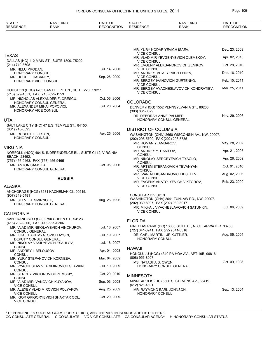| STATE*<br><b>RESIDENCE</b>                   | <b>NAME AND</b><br><b>RANK</b>                              | DATE OF<br><b>RECOGNITION</b> | STATE*<br><b>RESIDENCE</b>                                  | <b>NAME AND</b><br><b>RANK</b>                          | DATE OF<br><b>RECOGNITION</b> |
|----------------------------------------------|-------------------------------------------------------------|-------------------------------|-------------------------------------------------------------|---------------------------------------------------------|-------------------------------|
|                                              |                                                             |                               |                                                             |                                                         |                               |
|                                              |                                                             |                               |                                                             | MR. YURY NODARIYEVICH ISAEV,                            | Dec. 23, 2009                 |
| <b>TEXAS</b>                                 |                                                             |                               | <b>VICE CONSUL</b>                                          | MR. VLADIMIR YEVGENYEVICH OLEMSKOY,                     | Apr. 02, 2010                 |
| (214) 740-8608                               | DALLAS (HC) 112 MAIN ST., SUITE 1800, 75202.                |                               | <b>VICE CONSUL</b>                                          | MR. EVGENY ALEKSANDROVICH ZENIKOV,                      | Oct. 28, 2010                 |
| MR. NELU PRODAN,<br>HONORARY CONSUL          |                                                             | Jul. 14, 2000                 | <b>VICE CONSUL</b>                                          | MR. ANDREY VITALYEVICH LENEV,                           | Dec. 16, 2010                 |
| MR. HUGH E. HACKNEY,<br>HONORARY VICE CONSUL |                                                             | Sep. 26, 2000                 | <b>VICE CONSUL</b>                                          | MR. SERGEY IVANOVICH GURTENKO,                          | Feb. 15, 2011                 |
|                                              |                                                             |                               | <b>VICE CONSUL</b>                                          | MR. SERGEY VYACHESLAVOVICH KONDRATIEV,                  | Mar. 25, 2011                 |
| (713) 629-1551, FAX (713) 629-1553           | HOUSTON (HCG) 4265 SAN FELIPE UN., SUITE 220, 77027.        |                               | <b>VICE CONSUL</b>                                          |                                                         |                               |
|                                              | MR. NICHOLAS ALEXANDER FLORESCU.                            | Oct. 06, 2006                 | <b>COLORADO</b>                                             |                                                         |                               |
|                                              | HONORARY CONSUL GENERAL<br>MR. ALEXANDER MIHAI POPOVICI,    | Jul. 20, 2004                 |                                                             | DENVER (HCG) 1552 PENNSYLVANIA ST., 80203.              |                               |
| HONORARY VICE CONSUL                         |                                                             |                               | (303) 831-0829<br>DR. DEBORAH ANNE PALMIERI,                |                                                         | Nov. 29, 2006                 |
| UTAH                                         |                                                             |                               |                                                             | HONORARY CONSUL GENERAL                                 |                               |
| (801) 240-6095                               | SALT LAKE CITY (HC) 47 E.S. TEMPLE ST., 84150.              |                               | <b>DISTRICT OF COLUMBIA</b>                                 |                                                         |                               |
| MR. ROBERT F. ORTON,                         |                                                             | Apr. 25, 2006                 |                                                             | WASHINGTON (CHN) 2650 WISCONSIN AV., NW, 20007.         |                               |
| <b>HONORARY CONSUL</b>                       |                                                             |                               | (202) 298-5700, FAX (202) 298-5735<br>MR. ROMAN Y. AMBAROV, |                                                         | May. 28, 2002                 |
| VIRGINIA                                     |                                                             |                               | <b>CONSUL</b>                                               |                                                         |                               |
| <b>BEACH 23452.</b>                          | NORFOLK (HCG) 464 S. INDEPENDENCE BL., SUITE C112, VIRGINIA |                               | MR. ANDREY Y. DANILOV,<br>CONSUL                            |                                                         | Apr. 21, 2005                 |
| (757) 456-9463, FAX (757) 456-9465           |                                                             |                               | <b>CONSUL</b>                                               | MR. NIKOLAY SERGEYEVICH TYAGLO,                         | Apr. 28, 2009                 |
| MR. ANTON SAMOILA,                           | HONORARY CONSUL GENERAL                                     | Oct. 06, 2006                 | CONSUL                                                      | MR. ARTEM STEPANOVICH TEVANYAN,                         | Oct. 01, 2010                 |
|                                              |                                                             |                               |                                                             | MR. IVAN ALEKSANDROVICH KISELEV,                        | Aug. 02, 2006                 |
|                                              | <b>RUSSIA</b>                                               |                               | <b>VICE CONSUL</b>                                          | MR. EVGENY ANATOLYEVICH VIKTOROV,                       | Feb. 23, 2009                 |
| ALASKA                                       |                                                             |                               | <b>VICE CONSUL</b>                                          |                                                         |                               |
| (907) 349-5481                               | ANCHORAGE (HCG) 3581 KACHEMAK CI., 99515.                   |                               | <b>CONSULAR DIVISION</b>                                    |                                                         |                               |
| MR. STEVE R. SMIRNOFF,                       | HONORARY CONSUL GENERAL                                     | Aug. 26, 1996                 | (202) 939-8907, FAX (202) 939-8917                          | WASHINGTON (CHA) 2641 TUNLAW RD., NW, 20007.            |                               |
|                                              |                                                             |                               | <b>VICE CONSUL</b>                                          | MR. MIKHAIL VYACHESLAVOVICH SATUNKIN,                   | Jul. 06, 2009                 |
| <b>CALIFORNIA</b>                            |                                                             |                               |                                                             |                                                         |                               |
| (415) 202-9800, FAX (415) 929-0306           | SAN FRANCISCO (CG) 2790 GREEN ST., 94123.                   |                               | <b>FLORIDA</b>                                              |                                                         |                               |
| CONSUL GENERAL                               | MR. VLADIMIR NIKOLAYEVICH VINOKUROV,                        | Jul. 18, 2007                 | (727) 341-3241, FAX (727) 341-3318                          | PINELLAS PARK (HC) 13805 58TH ST., N, CLEARWATER 33760. |                               |
|                                              | MR. KHALIT AKHMYATOVICH AYSIN,                              | Jul. 19, 2007                 | DR. CARL MARTIN, JR KUTTLER,                                |                                                         | Aug. 05, 2004                 |
|                                              | DEPUTY CONSUL GENERAL<br>MR. NIKOLAY VASILYEVICH ESAULOV,   | Jul. 18, 2007                 | HONORARY CONSUL                                             |                                                         |                               |
| <b>CONSUL</b><br>MR. ANDREY I. BELOUSOV,     |                                                             | Apr. 04, 2008                 | <b>HAWAII</b>                                               |                                                         |                               |
| <b>CONSUL</b>                                | MR. YURY STEPANOVICH KORNEEV,                               | Mar. 04, 2009                 | $(808)$ 956-8007                                            | HONOLULU (HCG) 4340 PA HOA AV., APT 19B, 96816.         |                               |
| <b>CONSUL</b>                                |                                                             | Jul. 10, 2009                 | MS. NATASHA B. OWEN,                                        |                                                         | Oct. 09, 1998                 |
| CONSUL                                       | MR. VYACHESLAV VLADIMIROVICH SLAVKIN,                       |                               |                                                             | HONORARY CONSUL GENERAL                                 |                               |
| <b>CONSUL</b>                                | MR. SERGEY VIKTOROVICH ZEMSKIY,                             | Oct. 29, 2010                 | <b>MINNESOTA</b>                                            |                                                         |                               |
| <b>VICE CONSUL</b>                           | MR. VLADIMIR IVANOVICH KUYANOV,                             | Sep. 03, 2008                 | (612) 821-4391                                              | MINNEAPOLIS (HC) 5500 S. STEVENS AV., 55419.            |                               |
|                                              | MR. ALEXEY VLADIMIROVICH POLYAKOV,                          | Aug. 25, 2009                 | MR. RAYMOND EARL JOHNSON,                                   |                                                         | Sep. 13, 2004                 |
| <b>VICE CONSUL</b>                           | MR. IGOR GRIGORYEVICH SHAKTAR OOL,                          | Oct. 29, 2009                 | <b>HONORARY CONSUL</b>                                      |                                                         |                               |

VICE CONSUL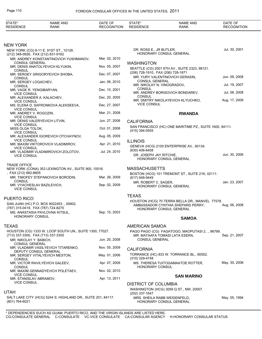| STATE*<br><b>RESIDENCE</b>                   | <b>NAME AND</b><br><b>RANK</b>                                              | DATE OF<br><b>RECOGNITION</b> | STATE*<br><b>RESIDENCE</b>                  | <b>NAME AND</b><br><b>RANK</b>                               | DATE OF<br><b>RECOGNITION</b> |
|----------------------------------------------|-----------------------------------------------------------------------------|-------------------------------|---------------------------------------------|--------------------------------------------------------------|-------------------------------|
|                                              |                                                                             |                               |                                             |                                                              |                               |
| <b>NEW YORK</b>                              |                                                                             |                               |                                             |                                                              |                               |
|                                              | NEW YORK (CG) 9-11 E. 91ST ST., 10128.                                      |                               | DR. ROSS E., JR BUTLER,                     | HONORARY CONSUL GENERAL                                      | Jul. 30, 2001                 |
|                                              | (212) 348-0926, FAX (212) 831-9162<br>MR. ANDREY KONSTANTINOVICH YUSHMANOV, | Mar. 02, 2010                 |                                             |                                                              |                               |
| <b>CONSUL GENERAL</b>                        |                                                                             |                               | <b>WASHINGTON</b>                           |                                                              |                               |
| CONSUL                                       | MR. DENIS ANATOLYEVICH KLYUKIN,                                             | Nov. 05, 2007                 |                                             | SEATTLE (CG) 2001 6TH AV., SUITE 2323, 98121.                |                               |
|                                              | MR. SERGEY GRIGORYEVICH SHOBA,                                              | Dec. 07, 2007                 | (206) 728-1910, FAX (206) 728-1871          | MR. YURY VALENTINOVICH GERASIN,                              | Jun. 09, 2008                 |
| <b>CONSUL</b><br>MR. SERGEY LOGACHEV,        |                                                                             | Jan. 06, 2010                 | <b>CONSUL GENERAL</b>                       |                                                              |                               |
| CONSUL<br>MR. VAGE R. YENGIBARYAN,           |                                                                             | Dec. 10, 2001                 | MR. NIKOLAY N. VINOGRADOV,<br><b>CONSUL</b> |                                                              | Jul. 19, 2007                 |
| <b>VICE CONSUL</b>                           |                                                                             |                               |                                             | MR. ANDREY BORISOVICH BONDAREV,                              | Jul. 08, 2008                 |
| <b>VICE CONSUL</b>                           | MR. ALEXANDER A. KALACHEV,                                                  | Dec. 20, 2005                 | <b>CONSUL</b>                               | MR. DMITRY NIKOLAYEVICH KLYUCHKO,                            | Aug. 17, 2009                 |
|                                              | MS. ELENA D. SAFRONKOVA ALEKSEEVA,                                          | Dec. 27, 2007                 | <b>VICE CONSUL</b>                          |                                                              |                               |
| <b>VICE CONSUL</b><br>MR. ANDREY V. ROGOZIN, |                                                                             | Mar. 21, 2008                 |                                             | <b>RWANDA</b>                                                |                               |
| <b>VICE CONSUL</b>                           |                                                                             |                               |                                             |                                                              |                               |
| <b>VICE CONSUL</b>                           | MR. DENIS VALERYEVICH LITVIN,                                               | Jun. 27, 2008                 | <b>CALIFORNIA</b>                           |                                                              |                               |
| MISS OLGA TOLOK,                             |                                                                             | Oct. 01, 2008                 | (415) 394-5555                              | SAN FRANCISCO (HC) ONE MARITIME PZ., SUITE 1600, 94111.      |                               |
| <b>VICE CONSUL</b>                           | MR. ALEXANDER IGOREVICH OTCHAYNOV,                                          | Aug. 05, 2009                 |                                             |                                                              |                               |
| <b>VICE CONSUL</b>                           | MR. MAXIM VIKTOROVICH VLADIMIROV,                                           | Apr. 21, 2010                 | <b>ILLINOIS</b>                             |                                                              |                               |
| <b>VICE CONSUL</b>                           |                                                                             |                               | (630) 406-6408                              | GENEVA (HCG) 2100 ENTERPRISE AV., 60134.                     |                               |
| <b>VICE CONSUL</b>                           | MR. VLADIMIR VLADIMIROVICH ZOLOTOV,                                         | Jul. 24, 2010                 | DR. JOSEPH JAY RITCHIE,                     |                                                              | Jun. 30, 2006                 |
|                                              |                                                                             |                               |                                             | HONORARY CONSUL GENERAL                                      |                               |
| <b>TRADE OFFICE</b>                          | NEW YORK (CONA) 353 LEXINGTON AV., SUITE 900, 10016.                        |                               | <b>MASSACHUSETTS</b>                        |                                                              |                               |
| FAX (212) 682-8605                           |                                                                             |                               |                                             | BOSTON (HCG) 151 TREMONT ST., SUITE 21K, 02111.              |                               |
|                                              | MR. TIMOFEY STEPANOVICH BORODIN,                                            | Mar. 26, 2009                 | (617) 948-9449                              |                                                              |                               |
| CONSUL                                       | MR. VYACHESLAV BAZILEVICH,                                                  | Sep. 02, 2009                 | MR. ROBERT C. SAGER,                        | HONORARY CONSUL GENERAL                                      | Jan. 23, 2007                 |
| <b>VICE CONSUL</b>                           |                                                                             |                               |                                             |                                                              |                               |
| PUERTO RICO                                  |                                                                             |                               | <b>TEXAS</b>                                |                                                              |                               |
|                                              | SAN JUAN (HC) P.O. BOX 9022453., 00902.                                     |                               |                                             | HOUSTON (HCG) 70 TERRA BELLA DR., MANVEL 77578.              |                               |
|                                              | (787) 315-0419, FAX (787) 724-8270                                          |                               |                                             | AMBASSADOR CYNTHIA SHEPARD PERRY,<br>HONORARY CONSUL GENERAL | Aug. 06, 2008                 |
| <b>HONORARY CONSUL</b>                       | MS. ANASTASIA PAVLOVNA KITSUL,                                              | Sep. 15, 2003                 |                                             |                                                              |                               |
|                                              |                                                                             |                               |                                             | <b>SAMOA</b>                                                 |                               |
| <b>TEXAS</b>                                 |                                                                             |                               | AMERICAN SAMOA                              |                                                              |                               |
|                                              | HOUSTON (CG) 1333 W. LOOP SOUTH UN., SUITE 1300, 77027.                     |                               |                                             | PAGO PAGO (CG) FAGATOGO, MAOPUTASI 2, ., 96799.              |                               |
| MR. NIKOLAY Y. BABICH,                       | (713) 337-3300, FAX (713) 337-3305                                          | Jun. 20, 2008                 | <b>CONSUL GENERAL</b>                       | MR. MATAAFA TOMASI LATA ESERA,                               | Sep. 21, 2007                 |
| <b>CONSUL GENERAL</b>                        |                                                                             |                               |                                             |                                                              |                               |
|                                              | MR. VLADIMIR VASILYEVICH TITARENKO,<br>DEPUTY CONSUL GENERAL                | Nov. 05, 2009                 | <b>CALIFORNIA</b>                           |                                                              |                               |
|                                              | MR. SERGEY VITALYEVICH MESTON,                                              | May. 01, 2006                 | (310) 329-4748                              | TORRANCE (HC) 833 W. TORRANCE BL., 90502.                    |                               |
| CONSUL                                       | MR. VICTOR RAVILYEVICH GALEEV,                                              | Apr. 07, 2009                 |                                             | MS. THERESA TUITOGAMAATOE ROTTER,                            | May. 30, 2006                 |
| <b>CONSUL</b>                                | MR. MAXIM GENNADYEVICH POLETAEV,                                            | Nov. 02, 2010                 | <b>HONORARY CONSUL</b>                      |                                                              |                               |
| <b>VICE CONSUL</b>                           |                                                                             |                               |                                             | <b>SAN MARINO</b>                                            |                               |
| MR. STANISLAV ABRAMOV,<br><b>VICE CONSUL</b> |                                                                             | Apr. 13, 2011                 |                                             |                                                              |                               |
|                                              |                                                                             |                               | DISTRICT OF COLUMBIA                        |                                                              |                               |
| <b>UTAH</b>                                  |                                                                             |                               | (202) 337-1647                              | WASHINGTON (HCG) 3059 Q ST., NW, 20007.                      |                               |
| (801) 764-6021                               | SALT LAKE CITY (HCG) 5244 S. HIGHLAND DR., SUITE 201, 84117.                |                               |                                             | MRS. SHEILA RABB WEIDENFELD,<br>HONORARY CONSUL GENERAL      | May. 05, 1994                 |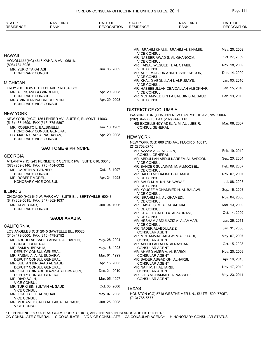| STATE*<br><b>RESIDENCE</b>                                       | <b>NAME AND</b><br><b>RANK</b>                             | DATE OF<br><b>RECOGNITION</b> | STATE*<br><b>RESIDENCE</b>                             | <b>NAME AND</b><br>RANK                              | DATE OF<br><b>RECOGNITION</b> |
|------------------------------------------------------------------|------------------------------------------------------------|-------------------------------|--------------------------------------------------------|------------------------------------------------------|-------------------------------|
|                                                                  |                                                            |                               |                                                        |                                                      |                               |
|                                                                  |                                                            |                               |                                                        | MR. IBRAHIM KHALIL IBRAHIM AL KHAMIS,                | May. 20, 2009                 |
| HAWAII                                                           | HONOLULU (HC) 4615 KAHALA AV., 96816.                      |                               | <b>VICE CONSUL</b><br><b>VICE CONSUL</b>               | MR. NASSER AWAD S. AL GHANOOM,                       | Oct. 27, 2009                 |
| (808) 734-8926<br>MR. YUKIO TAKAHASHI,                           |                                                            | Jun. 05, 2002                 | MR. FAISAL WESUED H. AL OTAIBI,<br><b>VICE CONSUL</b>  |                                                      | Nov. 18, 2009                 |
| <b>HONORARY CONSUL</b>                                           |                                                            |                               | <b>VICE CONSUL</b>                                     | MR. ADEL MATOUK AHMED SHEEKHOON,                     | Dec. 14, 2009                 |
| MICHIGAN                                                         |                                                            |                               | <b>VICE CONSUL</b>                                     | MR. KHALID ABDULLAH I. ALRUSAYS,                     | Jan. 03, 2010                 |
| MR. ALESSANDRO VINCENTI,                                         | TROY (HC) 1685 E. BIG BEAVER RD., 48083.                   | Apr. 29, 2008                 | <b>VICE CONSUL</b>                                     | MR. HABEEBULLAH OBAIDALLAH ALBOKHARI,                | Jan. 15, 2010                 |
| <b>HONORARY CONSUL</b><br>HONORARY VICE CONSUL                   | MRS. VINCENZINA CRESCENTINI,                               | Apr. 29, 2008                 | <b>VICE CONSUL</b>                                     | MR. MOHAMMED BIN FAISAL BIN S AL SAUD,               | Feb. 19, 2010                 |
|                                                                  |                                                            |                               | <b>DISTRICT OF COLUMBIA</b>                            |                                                      |                               |
| NEW YORK                                                         | NEW YORK (HCG) 186 LEHRER AV., SUITE 0, ELMONT 11003.      |                               | (202) 342-3800, FAX (202) 944-3113                     | WASHINGTON (CHN) 601 NEW HAMPSHIRE AV., NW, 20037.   |                               |
| (516) 437-4699, FAX (516) 775-5897<br>MR. ROBERTO L. BALSIMELLI, |                                                            | Jan. 10, 1983                 | <b>CONSUL GENERAL</b>                                  | HIS EXCELLENCY ADEL A. M. AL-JUBEIR,                 | Mar. 08, 2007                 |
| DR. MARIA GRAZIA PASHAYAN,                                       | HONORARY CONSUL GENERAL                                    | Apr. 29, 2008                 | <b>NEW YORK</b>                                        |                                                      |                               |
| HONORARY VICE CONSUL                                             |                                                            |                               |                                                        | NEW YORK (CG) 866 2ND AV., FLOOR 5, 10017.           |                               |
|                                                                  | <b>SAO TOME &amp; PRINCIPE</b>                             |                               | (212) 752-2740<br>MR. AZZAM A. A. AL GAIN,             |                                                      | Feb. 19, 2010                 |
| <b>GEORGIA</b>                                                   |                                                            |                               | <b>CONSUL GENERAL</b>                                  | MR. ABDULLAH ABDULKAREEM AL SADOON,                  | Sep. 20, 2004                 |
| (678) 259-8146, FAX (770) 454-0032                               | ATLANTA (HC) 245 PERIMETER CENTER PW., SUITE 610, 30346.   |                               | <b>VICE CONSUL</b>                                     | MR. BANDER SULAIMAN M. ALMOQBEL,                     | Feb. 09, 2007                 |
| MR. GARETH N. GENNER,<br>HONORARY CONSUL                         |                                                            | Oct. 13, 1997                 | <b>VICE CONSUL</b><br>MR. SALEH MOHAMMED AL AMIRE,     |                                                      | Nov. 07, 2007                 |
| MR. ROBERT MOREL,<br>HONORARY VICE CONSUL                        |                                                            | Apr. 24, 1998                 | <b>VICE CONSUL</b><br>MR. SAUD M. A. KH. SHAWWAF,      |                                                      | Jul. 08, 2008                 |
|                                                                  |                                                            |                               | <b>VICE CONSUL</b>                                     | MR. YOUSEF MOHAMMED H. AL BALAWI,                    | Sep. 16, 2008                 |
| <b>ILLINOIS</b>                                                  | CHICAGO (HC) 645 W. PARK AV., SUITE B, LIBERTYVILLE 60048. |                               | <b>VICE CONSUL</b><br>MR. IBRAHIM H.I. AL GHAMEDI,     |                                                      | Nov. 04, 2008                 |
| (847) 362-5615, FAX (847) 362-1637<br>MR. JAMES KAO,             |                                                            | Jun. 04, 1996                 | <b>VICE CONSUL</b><br>MR. FAISAL S. M. ALQABABINAH,    |                                                      | Mar. 13, 2009                 |
| HONORARY CONSUL                                                  |                                                            |                               | <b>VICE CONSUL</b>                                     | MR. KHALED SAEED A. ALZAHRANI,                       | Oct. 14, 2009                 |
|                                                                  | <b>SAUDI ARABIA</b>                                        |                               | <b>VICE CONSUL</b>                                     | MR. HESHAM ABDULAZIZ A. ALAMMAR,                     | Jan. 26, 2011                 |
| <b>CALIFORNIA</b>                                                |                                                            |                               | <b>VICE CONSUL</b><br>MR. NADER ALABDULAZIZ,           |                                                      | Jan. 31, 2006                 |
| (310) 479-6000, FAX (310) 479-2752                               | LOS ANGELES (CG) 2045 SAWTELLE BL., 90025.                 |                               | CONSULAR AGENT                                         | MR. MOHAMMAD JALAWI M ALOTAIBI,                      | May. 07, 2007                 |
| <b>CONSUL GENERAL</b>                                            | MR. ABDULLAH SAEED AHMED AL HARTHI,                        | May. 28, 2004                 | <b>CONSULAR AGENT</b><br>MR. ABDULLAH ALI A. ALNASHAR, |                                                      | Oct. 15, 2008                 |
| MR. SAMI A. IBRAHIM,                                             | DEPUTY CONSUL GENERAL                                      | May. 18, 1998                 | <b>CONSULAR AGENT</b><br>MR. AHMED AMER A. AL BARIQI,  |                                                      | Nov. 20, 2009                 |
| MR. FAISAL A. A. AL SUDAIRY,                                     | DEPUTY CONSUL GENERAL                                      | Mar. 01, 1999                 | <b>CONSULAR AGENT</b><br>MR. BADER ABGAD GH. ALHARBI,  |                                                      | Apr. 16, 2010                 |
|                                                                  | MR. SULTAN BIN SAAD AL SAUD,<br>DEPUTY CONSUL GENERAL      | Apr. 15, 2005                 | <b>CONSULAR AGENT</b><br>MR. NAIF M. H. ALHARBI,       |                                                      | Nov. 17, 2010                 |
|                                                                  | MR. KHALID BIN ABDULAZIZ A ALTUWAIJRI,                     | Dec. 21, 2010                 | <b>CONSULAR AGENT</b>                                  |                                                      | May. 23, 2011                 |
| MR. RIAD SOLH,                                                   | DEPUTY CONSUL GENERAL                                      | Mar. 05, 1997                 | <b>CONSULAR AGENT</b>                                  | MR. QIES MOHAMMED A. NASSEEF,                        |                               |
| <b>VICE CONSUL</b>                                               | MR. TURKI BIN SULTAN AL SAUD,                              | Oct. 05, 2006                 | <b>TEXAS</b>                                           |                                                      |                               |
| <b>VICE CONSUL</b><br>MR. KHALID F. F. AL SUBAIE,                |                                                            | May. 07, 2008                 |                                                        | HOUSTON (CG) 5718 WESTHEIMER UN., SUITE 1500, 77057. |                               |
| <b>VICE CONSUL</b><br>VICE CONSUL                                | MR. MOHAMED SAUD AL FAISAL AL SAUD,                        | Jun. 25, 2008                 | (713) 785-5577                                         |                                                      |                               |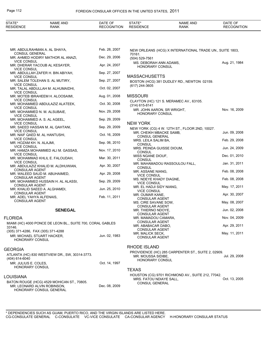| STATE*<br><b>RESIDENCE</b>                           | <b>NAME AND</b><br>RANK                                    | DATE OF<br><b>RECOGNITION</b> | STATE*<br><b>RESIDENCE</b>                           | <b>NAME AND</b><br>RANK                                  | DATE OF<br><b>RECOGNITION</b> |
|------------------------------------------------------|------------------------------------------------------------|-------------------------------|------------------------------------------------------|----------------------------------------------------------|-------------------------------|
|                                                      |                                                            |                               |                                                      |                                                          |                               |
| <b>CONSUL GENERAL</b>                                | MR. ABDULRAHMAN A. AL SHAYA,                               | Feb. 28, 2007                 | 70161.                                               | NEW ORLEANS (HCG) X INTERNATIONAL TRADE UN., SUITE 1803, |                               |
|                                                      | MR. AHMED HODIRY MATHOR AL ANAZI,                          | Dec. 29, 2006                 | $(504)$ 529-7561                                     |                                                          |                               |
| <b>VICE CONSUL</b><br><b>VICE CONSUL</b>             | MR. DHERAR YACOUB AL KESAYER,                              | Apr. 24, 2007                 | MS. DEBORAH ANN ADAMS,<br><b>HONORARY CONSUL</b>     |                                                          | Aug. 21, 1984                 |
| <b>VICE CONSUL</b>                                   | MR. ABDULLAH ZAFER H. BIN ABIYAH,                          | Sep. 27, 2007                 | <b>MASSACHUSETTS</b>                                 |                                                          |                               |
| <b>VICE CONSUL</b>                                   | MR. SALEM TOLEHAN S. AL MUTIRY,                            | Sep. 27, 2007                 |                                                      | BOSTON (HCG) 381 DUDLEY RD., NEWTON 02159.               |                               |
| <b>VICE CONSUL</b>                                   | MR. TALAL ABDULLAH M. ALHUMAIDHI,                          | Oct. 02, 2007                 | (617) 244-3605                                       |                                                          |                               |
|                                                      | MR. MOTEB IBRAHEEM H. ALOOSAIMI,                           | Aug. 01, 2008                 | <b>MISSOURI</b>                                      |                                                          |                               |
| <b>VICE CONSUL</b>                                   | MR. MOHAMMED ABDULAZIZ ALATEEK,                            | Oct. 30, 2008                 | $(314)$ 615-8141                                     | CLAYTON (HC) 121 S. MERAMEC AV., 63105.                  |                               |
| <b>VICE CONSUL</b>                                   | MR. MOHAMMED N. M. ALSUBAIE,                               | Nov. 29, 2008                 | MR. JOHN AARON, SR WRIGHT,<br><b>HONORARY CONSUL</b> |                                                          | Nov. 16, 2009                 |
| <b>VICE CONSUL</b>                                   | MR. MOHAMMED A. S. AL AGEEL,                               | Sep. 29, 2009                 |                                                      |                                                          |                               |
| <b>VICE CONSUL</b>                                   | MR. SAEED HASSAN M. AL QAHTANI,                            | Sep. 29, 2009                 | <b>NEW YORK</b>                                      |                                                          |                               |
| <b>VICE CONSUL</b>                                   |                                                            |                               | MR. CHEIKH MBACKE SAMB,                              | NEW YORK (CG) 4 W. 12TH ST., FLOOR 2ND, 10027.           | Jun. 09, 2008                 |
| <b>VICE CONSUL</b>                                   | MR. NAIF QAED M. AL HANTUSHI,                              | Oct. 16, 2009                 | <b>CONSUL GENERAL</b><br>MRS. LEILA SALIM BA,        |                                                          | Feb. 29, 2008                 |
| MR. HOZAM KH. N. ALAJMI,<br><b>VICE CONSUL</b>       |                                                            | Sep. 06, 2010                 | <b>CONSUL</b><br>MRS. PEINDA GUISSE DIOUM,           |                                                          | Jun. 24, 2009                 |
| <b>VICE CONSUL</b>                                   | MR. HAMZA MOHAMMED ALI M. GASSAS,                          | Nov. 17, 2010                 | <b>CONSUL</b><br>MISS NGANE DIOUF,                   |                                                          | Dec. 01, 2010                 |
| <b>VICE CONSUL</b>                                   | MR. MOHAMMAD KHLIL E. FALOUDAH,                            | Mar. 30, 2011                 | <b>CONSUL</b>                                        |                                                          | Jan. 31, 2011                 |
| <b>CONSULAR AGENT</b>                                | MR. ABDULAZIZ KHALID M. ALDHUWIAN,                         | Apr. 30, 2007                 | <b>CONSUL</b>                                        | MR. MAHAMADOU RASSOULOU FALL,                            |                               |
| <b>CONSULAR AGENT</b>                                | MR. WALEED SAUD M. ABUHAIMED,                              | Apr. 29, 2008                 | MR. ASSANE NIANG,<br><b>VICE CONSUL</b>              |                                                          | Feb. 08, 2008                 |
|                                                      | MR. MOHAMMED HUSSAIN H. AL ALASSI,                         | Sep. 29, 2009                 | MS. NDEYE KHADY DIAGNE,<br><b>VICE CONSUL</b>        |                                                          | Feb. 08, 2008                 |
| <b>CONSULAR AGENT</b>                                | MR. KHALID SAEED A. ALGHAMDI,                              | Jun. 25, 2010                 | MR. EL HADJI SIDY NIANG,<br><b>VICE CONSUL</b>       |                                                          | May. 17, 2011                 |
| <b>CONSULAR AGENT</b><br>MR. ADEL YAHYA ALFENAIS,    |                                                            | Feb. 11, 2011                 | MR. OUMAR KANE,                                      |                                                          | Apr. 30, 2007                 |
| <b>CONSULAR AGENT</b>                                |                                                            |                               | <b>CONSULAR AGENT</b><br>MS. CIRE SAVANE SOW,        |                                                          | May. 08, 2007                 |
|                                                      | <b>SENEGAL</b>                                             |                               | <b>CONSULAR AGENT</b><br>MR. THIERNO NDOYE,          |                                                          | Jun. 02, 2008                 |
|                                                      |                                                            |                               | <b>CONSULAR AGENT</b>                                |                                                          |                               |
| <b>FLORIDA</b>                                       |                                                            |                               | MR. MAMADOU CAMARA,<br><b>CONSULAR AGENT</b>         |                                                          | Nov. 04, 2009                 |
| 33146.                                               | MIAMI (HC) 4000 PONCE DE LEON BL., SUITE 700, CORAL GABLES |                               | MR. ABABACAR DABO,<br><b>CONSULAR AGENT</b>          |                                                          | Apr. 29, 2011                 |
| (305) 371-4286, FAX (305) 371-4288                   |                                                            |                               | MR. MALICK SECK,                                     |                                                          | May. 11, 2011                 |
| MR. MICHAEL STUART HACKER,<br><b>HONORARY CONSUL</b> |                                                            | Jun. 02, 1983                 | <b>CONSULAR AGENT</b>                                |                                                          |                               |
| <b>GEORGIA</b>                                       |                                                            |                               | <b>RHODE ISLAND</b>                                  |                                                          |                               |
|                                                      | ATLANTA (HC) 830 WESTVIEW DR., SW, 30314-3773.             |                               | MR. MOUSSA SIDIBE,                                   | PROVIDENCE (HC) 285 CARPENTER ST., SUITE 2, 02909.       | Jul. 29, 2008                 |
| (404) 614-6040<br>MR. JULIUS E. COLES,               |                                                            | Oct. 14, 1997                 | <b>HONORARY CONSUL</b>                               |                                                          |                               |
| <b>HONORARY CONSUL</b>                               |                                                            |                               | <b>TEXAS</b>                                         |                                                          |                               |
| LOUISIANA                                            |                                                            |                               |                                                      | HOUSTON (CG) 9701 RICHMOND AV., SUITE 212, 77042.        |                               |
|                                                      | BATON ROUGE (HCG) 4529 MOHICAN ST., 70805.                 |                               | MRS. FATOU NDIAYE SALL,<br><b>CONSUL GENERAL</b>     |                                                          | Oct. 13, 2005                 |
|                                                      | MR. LEONARD ALVIN ROBINSON,<br>HONORARY CONSUL GENERAL     | Dec. 08, 2009                 |                                                      |                                                          |                               |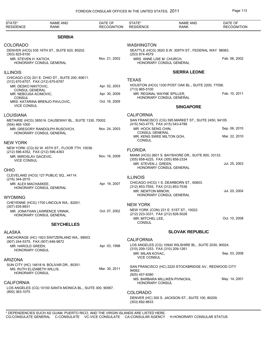| STATE*<br><b>RESIDENCE</b>                                      | <b>NAME AND</b><br><b>RANK</b>                             | DATE OF<br><b>RECOGNITION</b> | STATE*<br><b>RESIDENCE</b>                                                   | <b>NAME AND</b><br>RANK                                 | DATE OF<br><b>RECOGNITION</b>  |
|-----------------------------------------------------------------|------------------------------------------------------------|-------------------------------|------------------------------------------------------------------------------|---------------------------------------------------------|--------------------------------|
|                                                                 | <b>SERBIA</b>                                              |                               |                                                                              |                                                         |                                |
| COLORADO                                                        | DENVER (HCG) 535 16TH ST., SUITE 620, 80202.               |                               | <b>WASHINGTON</b>                                                            | SEATTLE (HCG) 3620 S.W. 309TH ST., FEDERAL WAY 98063.   |                                |
| $(303)$ 825-6100                                                |                                                            |                               | (253) 874-4579                                                               |                                                         |                                |
| MR. STEVEN H. KATICH,                                           | HONORARY CONSUL GENERAL                                    | Nov. 21, 2002                 | MRS. ANNE LISE M. CHURCH,                                                    | HONORARY CONSUL GENERAL                                 | Feb. 06, 2002                  |
| <b>ILLINOIS</b>                                                 |                                                            |                               |                                                                              | <b>SIERRA LEONE</b>                                     |                                |
| (312) 670-6707, FAX (312) 670-6787                              | CHICAGO (CG) 201 E. OHIO ST., SUITE 200, 60611.            |                               | <b>TEXAS</b>                                                                 |                                                         |                                |
| MR. DESKO NIKITOVIC,                                            |                                                            | Apr. 02, 2003                 |                                                                              | HOUSTON (HCG) 1330 POST OAK BL., SUITE 2200, 77056.     |                                |
| <b>CONSUL GENERAL</b><br>MR. NEBOJSA ACIMOVIC,<br><b>CONSUL</b> |                                                            | Apr. 30, 2009                 | (713) 965-5100                                                               | MR. REGINAL WAYNE SPILLER,<br>HONORARY CONSUL GENERAL   | Feb. 10, 2011                  |
|                                                                 | MRS. KATARINA BRENJO PAVLOVIC,                             | Oct. 16, 2009                 |                                                                              |                                                         |                                |
| <b>VICE CONSUL</b>                                              |                                                            |                               |                                                                              | <b>SINGAPORE</b>                                        |                                |
| LOUISIANA                                                       |                                                            |                               | <b>CALIFORNIA</b>                                                            |                                                         |                                |
| $(504)$ 465-1000                                                | METAIRIE (HCG) 3850 N. CAUSEWAY BL., SUITE 1330, 70002.    |                               | (415) 543-4775, FAX (415) 543-4788                                           | SAN FRANCISCO (CG) 595 MARKET ST., SUITE 2450, 94105.   |                                |
|                                                                 | MR. GREGORY RANDOLPH RUSOVICH,<br>HONORARY CONSUL GENERAL  | Nov. 24, 2003                 | MR. HOCK SENG CHIN,<br><b>CONSUL GENERAL</b>                                 | MR. KENG SWEE MILTON GOH,                               | Sep. 06, 2010<br>Mar. 22, 2010 |
| <b>NEW YORK</b>                                                 |                                                            |                               | <b>CONSUL</b>                                                                |                                                         |                                |
|                                                                 | NEW YORK (CG) 62 W. 45TH ST., FLOOR 7TH, 10036.            |                               |                                                                              |                                                         |                                |
| (212) 596-4352, FAX (212) 596-4363                              |                                                            |                               | <b>FLORIDA</b>                                                               | MIAMI (HCG) 2601 S. BAYSHORE DR., SUITE 800, 33133.     |                                |
| MR. MIROSLAV GACEVIC,<br><b>VICE CONSUL</b>                     |                                                            | Nov. 16, 2009                 | (305) 858-4225, FAX (305) 858-2334<br>MR. STEVEN J. GREEN,                   |                                                         | Jul. 25, 2003                  |
| OHIO                                                            |                                                            |                               |                                                                              | HONORARY CONSUL GENERAL                                 |                                |
|                                                                 | CLEVELAND (HCG) 127 PUBLIC SQ., 44114.                     |                               | <b>ILLINOIS</b>                                                              |                                                         |                                |
| (216) 344-2010<br>MR. ALEX MACHASKEE,                           |                                                            | Apr. 19, 2007                 |                                                                              | CHICAGO (HCG) 1 S. DEARBORN ST., 60603.                 |                                |
|                                                                 | HONORARY CONSUL GENERAL                                    |                               | (312) 853-7555, FAX (312) 853-7036<br>MR. NEWTON MINOW.                      |                                                         | Jul. 20, 2004                  |
| WYOMING                                                         |                                                            |                               |                                                                              | HONORARY CONSUL GENERAL                                 |                                |
| (307) 635-8931                                                  | CHEYENNE (HCG) 1700 LINCOLN WA., 82001.                    |                               | <b>NEW YORK</b>                                                              |                                                         |                                |
|                                                                 | MR. JONATHAN LAWRENCE VINNIK.                              | Oct. 07, 2002                 |                                                                              | NEW YORK (CON) 231 E. 51ST ST., 10022.                  |                                |
|                                                                 | HONORARY CONSUL GENERAL                                    |                               | (212) 223-3331, FAX (212) 826-5028<br>MR. MITCHEL LEE,<br><b>CONSUL</b>      |                                                         | Oct. 10, 2008                  |
|                                                                 | <b>SEYCHELLES</b>                                          |                               |                                                                              |                                                         |                                |
| <b>ALASKA</b>                                                   |                                                            |                               |                                                                              | <b>SLOVAK REPUBLIC</b>                                  |                                |
|                                                                 | ANCHORAGE (HC) 1923 SWITZERLAND WA., 99503.                |                               | <b>CALIFORNIA</b>                                                            |                                                         |                                |
| (907) 244-5375, FAX (907) 646-9872<br>MR. HAROLD GREEN,         |                                                            | Apr. 03, 1998                 |                                                                              | LOS ANGELES (CG) 10940 WILSHIRE BL., SUITE 2030, 90024. |                                |
| <b>HONORARY CONSUL</b>                                          |                                                            |                               | (310) 209-1253, FAX (310) 209-1261<br>MR. MILAN KOVAC,<br><b>VICE CONSUL</b> |                                                         | Sep. 03, 2008                  |
| ARIZONA                                                         |                                                            |                               |                                                                              |                                                         |                                |
| MS. RUTH ELIZABETH WILLIS,<br>HONORARY CONSUL                   | SUN CITY (HC) 14618 N. BOLIVAR DR., 85351.                 | Mar. 30, 2011                 | 94062.                                                                       | SAN FRANCISCO (HC) 2220 STOCKBRIDGE AV., REDWOOD CITY   |                                |
|                                                                 |                                                            |                               | (925) 457-8380                                                               | MS. BARBARA MILLIKEN PIVNICKA,                          | May. 14, 2001                  |
| <b>CALIFORNIA</b>                                               |                                                            |                               | <b>HONORARY CONSUL</b>                                                       |                                                         |                                |
| (800) 363-1075                                                  | LOS ANGELES (CG) 10100 SANTA MONICA BL., SUITE 300, 90067. |                               | <b>COLORADO</b><br>(303) 692-8833                                            | DENVER (HC) 300 S. JACKSON ST., SUITE 100, 80209.       |                                |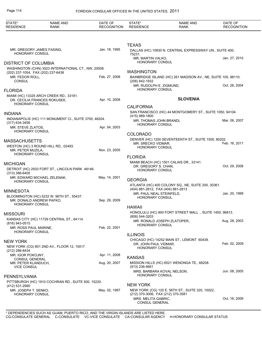| STATE*<br><b>RESIDENCE</b>                                             | <b>NAME AND</b><br><b>RANK</b>                         | DATE OF<br><b>RECOGNITION</b> | STATE*<br><b>RESIDENCE</b>                                                         | <b>NAME AND</b><br><b>RANK</b>                                | DATE OF<br><b>RECOGNITION</b> |
|------------------------------------------------------------------------|--------------------------------------------------------|-------------------------------|------------------------------------------------------------------------------------|---------------------------------------------------------------|-------------------------------|
|                                                                        |                                                        |                               |                                                                                    |                                                               |                               |
| MR. GREGORY JAMES FASING,<br><b>HONORARY CONSUL</b>                    |                                                        | Jan. 18, 1995                 | <b>TEXAS</b><br>75231.                                                             | DALLAS (HC) 10830 N. CENTRAL EXPRESSWAY UN., SUITE 400,       |                               |
|                                                                        |                                                        |                               | MR. MARTIN VALKO,<br><b>HONORARY CONSUL</b>                                        |                                                               | Jan. 27, 2010                 |
| <b>DISTRICT OF COLUMBIA</b>                                            | WASHINGTON (CHN) 3523 INTERNATIONAL CT., NW, 20008.    |                               |                                                                                    |                                                               |                               |
| (202) 237-1054, FAX (202) 237-6438<br>MR. FEDOR ROLL,<br><b>CONSUL</b> |                                                        | Feb. 27, 2008                 | <b>WASHINGTON</b><br>(206) 842-1932                                                | BAINBRIDGE ISLAND (HC) 261 MADISON AV., NE, SUITE 105, 98110. |                               |
|                                                                        |                                                        |                               | MR. RUDOLPH E. ZIGMUND,<br><b>HONORARY CONSUL</b>                                  |                                                               | Oct. 28, 2004                 |
| <b>FLORIDA</b>                                                         | MIAMI (HC) 13325 ARCH CREEK RD., 33181.                |                               |                                                                                    |                                                               |                               |
| <b>HONORARY CONSUL</b>                                                 | DR. CECILIA FRANCES ROKUSEK.                           | Apr. 10, 2008                 |                                                                                    | <b>SLOVENIA</b>                                               |                               |
|                                                                        |                                                        |                               | <b>CALIFORNIA</b>                                                                  |                                                               |                               |
| <b>INDIANA</b>                                                         |                                                        |                               | (415) 989-1800                                                                     | SAN FRANCISCO (HC) 44 MONTGOMERY ST., SUITE 1050, 94104.      |                               |
| $(317)$ 634-3456<br>MR. STEVE ZLATOS,                                  | INDIANAPOLIS (HC) 111 MONUMENT CI., SUITE 3700, 46204. | Apr. 04, 2003                 | MR. THOMAS JOHN BRANDI,<br>HONORARY CONSUL                                         |                                                               | Mar. 06, 2007                 |
| <b>HONORARY CONSUL</b>                                                 |                                                        |                               |                                                                                    |                                                               |                               |
|                                                                        |                                                        |                               | <b>COLORADO</b>                                                                    | DENVER (HC) 1200 SEVENTEENTH ST., SUITE 1500, 80202.          |                               |
| <b>MASSACHUSETTS</b><br>MR. PETER MUZILA,                              | WESTON (HC) 3 ROUND HILL RD., 02493.                   | Nov. 23, 2005                 | MR. SRECKO VIDMAR,<br>HONORARY CONSUL                                              |                                                               | Feb. 16, 2011                 |
| <b>HONORARY CONSUL</b>                                                 |                                                        |                               |                                                                                    |                                                               |                               |
|                                                                        |                                                        |                               | <b>FLORIDA</b>                                                                     | MIAMI BEACH (HC) 1501 CALAIS DR., 33141.                      |                               |
| <b>MICHIGAN</b><br>(313) 386-6400                                      | DETROIT (HC) 2933 FORT ST., LINCOLN PARK 48146.        |                               | DR. GREGORY S. CHAN,<br>HONORARY CONSUL                                            |                                                               | Oct. 29, 2008                 |
| <b>HONORARY CONSUL</b>                                                 | MR. EDWARD MICHAEL ZELENAK,                            | May. 14, 2001                 | <b>GEORGIA</b>                                                                     |                                                               |                               |
|                                                                        |                                                        |                               | (404) 881-2812, FAX (404) 881-2813                                                 | ATLANTA (HC) 400 COLONY SQ., NE, SUITE 200, 30361.            |                               |
| <b>MINNESOTA</b>                                                       | BLOOMINGTON (HC) 5232 W. 96TH ST., 55437.              |                               | MR. PAUL NEAL STEINFELD.                                                           |                                                               | Jan. 20, 1999                 |
| MR. DONALD ANDREW PAFKO,<br><b>HONORARY CONSUL</b>                     |                                                        | Sep. 29, 2009                 | <b>HONORARY CONSUL</b>                                                             |                                                               |                               |
|                                                                        |                                                        |                               | <b>HAWAII</b>                                                                      |                                                               |                               |
| <b>MISSOURI</b>                                                        |                                                        |                               | (808) 544-3203                                                                     | HONOLULU (HC) 900 FORT STREET MALL ., SUITE 1450, 96813.      |                               |
| (816) 943-0515                                                         | KANSAS CITY (HC) 11729 CENTRAL ST., 64114.             |                               | MR. RONALD JOSEPH ZLATOPER,<br>HONORARY CONSUL                                     |                                                               | Aug. 28, 2003                 |
| MR. ROSS PAUL MARINE,<br><b>HONORARY CONSUL</b>                        |                                                        | Feb. 22, 2001                 |                                                                                    |                                                               |                               |
|                                                                        |                                                        |                               | <b>ILLINOIS</b>                                                                    |                                                               |                               |
| <b>NEW YORK</b>                                                        |                                                        |                               | DR. JOHN PAUL VIDMAR,                                                              | CHICAGO (HC) 14252 MAIN ST., LEMONT 60439.                    | Feb. 02, 2009                 |
| (212) 286-8434                                                         | NEW YORK (CG) 801 2ND AV., FLOOR 12, 10017.            |                               | <b>HONORARY CONSUL</b>                                                             |                                                               |                               |
| MR. IGOR POKOJNY,                                                      |                                                        | Apr. 11, 2008                 | <b>KANSAS</b>                                                                      |                                                               |                               |
| <b>CONSUL GENERAL</b><br>MR. PETER KLANDUCH,<br><b>VICE CONSUL</b>     |                                                        | Aug. 20, 2007                 | $(913)$ 236-4661                                                                   | MISSION HILLS (HC) 6521 WENONGA TE., 66208.                   |                               |
|                                                                        |                                                        |                               | MRS. BARBARA KOVAL NELSON,<br>HONORARY CONSUL                                      |                                                               | Jun. 08, 2005                 |
| PENNSYLVANIA                                                           | PITTSBURGH (HC) 1910 COCHRAN RD., SUITE 500, 15220.    |                               |                                                                                    |                                                               |                               |
| (412) 531-2990                                                         |                                                        |                               | <b>NEW YORK</b>                                                                    |                                                               |                               |
| MR. JOSEPH T. SENKO,<br><b>HONORARY CONSUL</b>                         |                                                        | May. 02, 1997                 | (212) 370-3006, FAX (212) 370-3581<br>MRS. MELITA GABRIC,<br><b>CONSUL GENERAL</b> | NEW YORK (CG) 120 E. 56TH ST., SUITE 320, 10022.              | Oct. 16, 2009                 |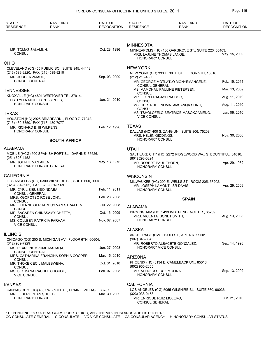| STATE*<br><b>RESIDENCE</b>                 | <b>NAME AND</b><br><b>RANK</b>                                                                                     | DATE OF<br><b>RECOGNITION</b> | STATE*<br><b>RESIDENCE</b>                                              | <b>NAME AND</b><br><b>RANK</b>                                                        | DATE OF<br><b>RECOGNITION</b> |
|--------------------------------------------|--------------------------------------------------------------------------------------------------------------------|-------------------------------|-------------------------------------------------------------------------|---------------------------------------------------------------------------------------|-------------------------------|
| MR. TOMAZ SALAMUN,<br><b>CONSUL</b>        |                                                                                                                    | Oct. 28, 1996                 | <b>MINNESOTA</b><br>MRS. LAJUNE THOMAS LANGE,<br><b>HONORARY CONSUL</b> | MINNEAPOLIS (HC) 430 OAKGROVE ST., SUITE 220, 55403.                                  | May. 15, 2009                 |
| <b>OHIO</b>                                |                                                                                                                    |                               |                                                                         |                                                                                       |                               |
| MR. JURCEK ZMAUC,<br><b>CONSUL GENERAL</b> | CLEVELAND (CG) 55 PUBLIC SQ., SUITE 945, 44113.<br>(216) 589-9220, FAX (216) 589-9210                              | Sep. 03, 2009                 | <b>NEW YORK</b><br>(212) 213-4880                                       | NEW YORK (CG) 333 E. 38TH ST., FLOOR 9TH, 10016.<br>MR. GEORGE MOTLATJO MONYEMANGENE, | Feb. 15, 2011                 |
|                                            |                                                                                                                    |                               | <b>CONSUL GENERAL</b>                                                   | MS. MAMOHAU PAULINE PIETERSEN,                                                        | Mar. 13, 2009                 |
| <b>TENNESSEE</b>                           | KNOXVILLE (HC) 4801 WESTOVER TE., 37914.                                                                           | Jan. 21, 2010                 | CONSUL<br>MR. LEON PRAGASH NAIDOO,                                      |                                                                                       | Aug. 11, 2010                 |
| <b>HONORARY CONSUL</b>                     | DR. LYDIA MIHELIC PULSIPHER,                                                                                       |                               | CONSUL                                                                  | MS. GERTRUDE NOMATAMSANQA SONO,                                                       | Aug. 11, 2010                 |
| <b>TEXAS</b>                               |                                                                                                                    |                               | CONSUL<br><b>VICE CONSUL</b>                                            | MS. TSHOLOFELO BEATRICE MASOKOAMENG,                                                  | Jan. 06, 2010                 |
| <b>HONORARY CONSUL</b>                     | HOUSTON (HC) 2925 BRIARPARK., FLOOR 7, 77042.<br>(713) 430-7350, FAX (713) 430-7077<br>MR. RICHARD B. III WILKENS, | Feb. 12, 1996                 | <b>TEXAS</b><br>MRS. HELEN GIDDINGS,                                    | DALLAS (HC) 400 S. ZANG UN., SUITE 806, 75208.                                        | Nov. 30, 2006                 |
|                                            | <b>SOUTH AFRICA</b>                                                                                                |                               | <b>HONORARY CONSUL</b>                                                  |                                                                                       |                               |
| <b>ALABAMA</b>                             |                                                                                                                    |                               | <b>UTAH</b>                                                             |                                                                                       |                               |
| (251) 626-4452                             | MOBILE (HCG) 500 SPANISH FORT BL., DAPHNE 36526.                                                                   |                               | (801) 298-0824                                                          | SALT LAKE CITY (HC) 2272 RIDGEWOOD WA., S, BOUNTIFUL 84010.                           |                               |
| MR. JOHN H. VAN AKEN,                      | HONORARY CONSUL GENERAL                                                                                            | May. 13, 1976                 | MR. ROBERT PAUL THORN,<br><b>HONORARY CONSUL</b>                        |                                                                                       | Apr. 29, 1982                 |
| <b>CALIFORNIA</b>                          |                                                                                                                    |                               | <b>WISCONSIN</b>                                                        |                                                                                       |                               |
|                                            | LOS ANGELES (CG) 6300 WILSHIRE BL., SUITE 600, 90048.<br>(323) 651-5902, FAX (323) 651-5969                        |                               |                                                                         | MILWAUKEE (HC) 200 E. WELLS ST., ROOM 205, 53202.<br>MR. JOSEPH LAMONT, SR DAVIS,     | Apr. 29, 2009                 |
| <b>CONSUL GENERAL</b>                      | MR. CYRIL SIBUSISO NDABA,                                                                                          | Feb. 11, 2011                 | HONORARY CONSUL                                                         |                                                                                       |                               |
| CONSUL                                     | MRS. KGOPOTSO ROSE JOHN.                                                                                           | Feb. 28, 2008                 |                                                                         | <b>SPAIN</b>                                                                          |                               |
| <b>CONSUL</b>                              | MR. ETIENNE GERHARDUS VAN STRAATEN,                                                                                | Jul. 22, 2008                 | <b>ALABAMA</b>                                                          |                                                                                       |                               |
| CONSUL                                     | MR. SAGAREN CHINASAMY CHETTY,                                                                                      | Oct. 16, 2009                 | MRS. VICENTA BONET SMITH.                                               | BIRMINGHAM (HC) 3499 INDEPENDENCE DR., 35209.                                         | Aug. 13, 2008                 |
| <b>VICE CONSUL</b>                         | MS. COLLEEN PATRICIA FARHAM,                                                                                       | Nov. 07, 2007                 | <b>HONORARY CONSUL</b>                                                  |                                                                                       |                               |
|                                            |                                                                                                                    |                               | <b>ALASKA</b>                                                           |                                                                                       |                               |
| <b>ILLINOIS</b>                            | CHICAGO (CG) 200 S. MICHIGAN AV., FLOOR 6TH, 60604.                                                                |                               | (907) 345-8645                                                          | ANCHORAGE (HVC) 1200 I ST., APT 407, 99501.                                           |                               |
| (312) 939-7929                             | MS. PEARL NOMVUME MAGAQA,                                                                                          | Jun. 27, 2008                 | HONORARY VICE CONSUL                                                    | MR. ROBERTO ALBACETE GONZALEZ,                                                        | Sep. 14, 1998                 |
| <b>CONSUL GENERAL</b>                      | MRS. CATHARINA FRANCINA SOPHIA COOPER,                                                                             | Mar. 15, 2010                 |                                                                         |                                                                                       |                               |
| <b>CONSUL</b>                              | MR. THOKE CECIL MALESWENA,                                                                                         | Oct. 01, 2010                 | <b>ARIZONA</b>                                                          | PHOENIX (HC) 3134 E. CAMELBACK UN., 85016.                                            |                               |
| <b>CONSUL</b><br><b>VICE CONSUL</b>        | MS. SEOMANA RACHEL CHOKOE,                                                                                         | Feb. 07, 2008                 | (602) 955-2055<br>MR. ALFREDO JOSE MOLINA,<br><b>HONORARY CONSUL</b>    |                                                                                       | Sep. 13, 2002                 |
|                                            |                                                                                                                    |                               |                                                                         |                                                                                       |                               |
| <b>KANSAS</b>                              |                                                                                                                    |                               | <b>CALIFORNIA</b>                                                       |                                                                                       |                               |
| MR. LEBERT DEAN SHULTZ,<br>HONORARY CONSUL | KANSAS CITY (HC) 4507 W. 89TH ST., PRAIRIE VILLAGE 66207.                                                          | Mar. 30, 2009                 | $(323)$ 938-0158<br>MR. ENRIQUE RUIZ MOLERO,<br>CONSUL GENERAL          | LOS ANGELES (CG) 5055 WILSHIRE BL., SUITE 860, 90036.                                 | Jun. 21, 2010                 |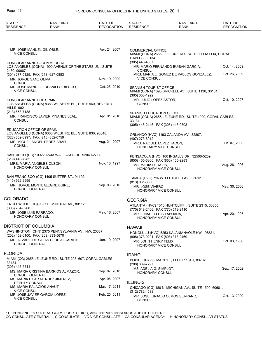### Page 116 FOREIGN CONSULAR OFFICES IN THE UNITED STATES, 2011

| STATE*<br><b>RESIDENCE</b>                                                   | <b>NAME AND</b><br>RANK                                                                   | DATE OF<br><b>RECOGNITION</b> | STATE*<br><b>RESIDENCE</b>                                         | <b>NAME AND</b><br>RANK                                                                 | DATE OF<br><b>RECOGNITION</b> |
|------------------------------------------------------------------------------|-------------------------------------------------------------------------------------------|-------------------------------|--------------------------------------------------------------------|-----------------------------------------------------------------------------------------|-------------------------------|
|                                                                              |                                                                                           |                               |                                                                    |                                                                                         |                               |
| MR. JOSE MANUEL GIL OSLE,<br><b>VICE CONSUL</b>                              |                                                                                           | Apr. 24, 2007                 | COMMERCIAL OFFICE<br>GABLES 33134.<br>(305) 446-4387               | MIAMI (CONA) 2655 LE JEUNE RD., SUITE 1111&1114, CORAL                                  |                               |
| CONSULAR ANNEX - COMMERCIAL<br>2430, 90067.                                  | LOS ANGELES (CONA) 1900 AVENUE OF THE STARS UN., SUITE                                    |                               | <b>CONSUL</b>                                                      | MR. MARIO FERNANDO BUISAN GARCIA,                                                       | Oct. 14, 2009                 |
| (301) 277-5125, FAX (213) 627-0883<br>MR. JORGE SANZ OLIVA.<br><b>CONSUL</b> |                                                                                           | Nov. 19, 2009                 | <b>VICE CONSUL</b>                                                 | MRS. MARIA L. GOMEZ DE PABLOS GONZALEZ,                                                 | Oct. 26, 2009                 |
| <b>VICE CONSUL</b>                                                           | MR. JOSE MANUEL FRESNILLO RIESGO,                                                         | Oct. 28, 2010                 | <b>SPANISH TOURIST OFFICE</b><br>(305) 358-1992                    | MIAMI (CONA) 1395 BRICKELL AV., SUITE 1130, 33131.                                      |                               |
| CONSULAR ANNEX OF SPAIN<br><b>HILLS 90211.</b>                               | LOS ANGELES (CONA) 8383 WILSHIRE BL., SUITE 960, BEVERLY                                  |                               | MR. JULIO LOPEZ ASTOR,<br><b>CONSUL</b>                            |                                                                                         | Oct. 10, 2007                 |
| (213) 658-7188<br><b>CONSUL</b>                                              | MR. FRANCISCO JAVIER PINANES LEAL,                                                        | Apr. 01, 2010                 | SPANISH EDUCATION OFFICE<br>33134.                                 | MIAMI (CONA) 2655 LEJEUNE RD., SUITE 1000, CORAL GABLES                                 |                               |
| EDUCATION OFFICE OF SPAIN                                                    | LOS ANGELES (CONA) 6300 WILSHIRE BL., SUITE 830, 90048.                                   |                               | (305) 448-2146, FAX (305) 445-0508                                 | ORLANDO (HVC) 1193 CALANDA AV., 32807.                                                  |                               |
| (323) 852-6997, FAX (213) 852-0759<br><b>CONSUL</b>                          | MR. MIGUEL ANGEL PEREZ ABAD,                                                              | Aug. 21, 2007                 | (407) 273-8912<br>MRS. RAQUEL LOPEZ TACON,<br>HONORARY VICE CONSUL |                                                                                         | Jun. 07, 2006                 |
| (619) 448-7282                                                               | SAN DIEGO (HC) 10922 ANJA WA., LAKESIDE 92040-2717.                                       |                               | (850) 455-5360, FAX (850) 455-9283                                 | PENSACOLA (HVC) 100 INGALLS DR., 32506-5259.                                            |                               |
| MRS. MARIA ANGELES OLSON,<br>HONORARY CONSUL                                 |                                                                                           | Nov. 13, 1997                 | MS. MARIA D. DAVIS,<br>HONORARY VICE CONSUL                        |                                                                                         | Aug. 26, 1996                 |
| (415) 922-2995                                                               | SAN FRANCISCO (CG) 1405 SUTTER ST., 94109.<br>MR. JORGE MONTEALEGRE BUIRE,                | Sep. 06, 2010                 | (813) 961-3300                                                     | TAMPA (HVC) 716 W. FLETCHER AV., 33612.                                                 |                               |
| <b>CONSUL GENERAL</b>                                                        |                                                                                           |                               | MR. JOSE VIVERO.<br>HONORARY VICE CONSUL                           |                                                                                         | May. 30, 2006                 |
| COLORADO                                                                     |                                                                                           |                               | <b>GEORGIA</b>                                                     |                                                                                         |                               |
| (303) 784-8268<br>MR. JOSE LUIS PARRADO.<br><b>HONORARY CONSUL</b>           | ENGLEWOOD (HC) 9697 E. MINERAL AV., 80112.                                                | May. 16, 2007                 | MR. IGNACIO LUIS TABOADA,<br>HONORARY VICE CONSUL                  | ATLANTA (HVC) 1010 HUNTCLIFF., SUITE 2315, 30350.<br>(770) 518-2406, FAX (770) 518-2410 | Apr. 20, 1995                 |
| DISTRICT OF COLUMBIA                                                         |                                                                                           |                               | <b>HAWAII</b>                                                      |                                                                                         |                               |
| (202) 452-0100, FAX (202) 833-5670                                           | WASHINGTON (CHN) 2375 PENNSYLVANIA AV., NW, 20037.<br>MR. ALVARO DE SALAS G. DE AZCARATE. | Jan. 19, 2007                 | (808) 373-9201, FAX (808) 373-2469<br>MR. JOHN HENRY FELIX,        | HONOLULU (HVC) 5253 KALANIANAOLE HW., 96821.                                            | Oct. 03, 1980                 |
| <b>CONSUL GENERAL</b>                                                        |                                                                                           |                               | HONORARY VICE CONSUL                                               |                                                                                         |                               |
| FLORIDA                                                                      | MIAMI (CG) 2655 LE JEUNE RD., SUITE 203, 607, CORAL GABLES                                |                               | <b>IDAHO</b>                                                       | BOISE (HC) 999 MAIN ST., FLOOR 13TH, 83702.                                             |                               |
| 33134.<br>$(305)$ 446-5511                                                   |                                                                                           |                               | (208) 389-7297                                                     |                                                                                         |                               |
| <b>CONSUL GENERAL</b>                                                        | MS. MARIA CRISTINA BARRIOS ALMAZOR,                                                       | Sep. 07, 2010                 | MS. ADELIA G. SIMPLOT,<br><b>HONORARY CONSUL</b>                   |                                                                                         | Sep. 17, 2002                 |
| DEPUTY CONSUL                                                                | MS. MARIA PILAR MENDEZ JIMENEZ,                                                           | Apr. 06, 2007                 | <b>ILLINOIS</b>                                                    |                                                                                         |                               |
| MS. MARIA PALACIOS ANAUT,<br><b>VICE CONSUL</b>                              |                                                                                           | Mar. 17, 2011                 | (312) 782-4588                                                     | CHICAGO (CG) 180 N. MICHIGAN AV., SUITE 1500, 60601.                                    |                               |
| <b>VICE CONSUL</b>                                                           | MR. JOSE JAVIER GARCIA LOPEZ,                                                             | Feb. 25, 5011                 | <b>CONSUL</b>                                                      | MR. JOSE IGNACIO OLMOS SERRANO,                                                         | Oct. 13, 2009                 |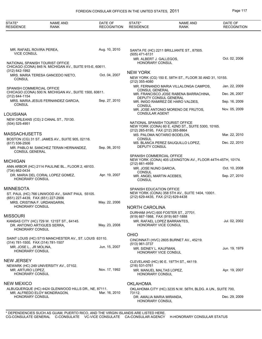### FOREIGN CONSULAR OFFICES IN THE UNITED STATES, 2011 Page 117

| STATE*<br><b>RESIDENCE</b>                        | <b>NAME AND</b><br><b>RANK</b>                                                             | DATE OF<br><b>RECOGNITION</b> | STATE*<br><b>RESIDENCE</b>                                            | <b>NAME AND</b><br>RANK                                    | DATE OF<br><b>RECOGNITION</b> |
|---------------------------------------------------|--------------------------------------------------------------------------------------------|-------------------------------|-----------------------------------------------------------------------|------------------------------------------------------------|-------------------------------|
|                                                   |                                                                                            |                               |                                                                       |                                                            |                               |
| MR. RAFAEL ROVIRA PEREA,<br><b>VICE CONSUL</b>    |                                                                                            | Aug. 10, 2010                 | (505) 471-6131                                                        | SANTA FE (HC) 2211 BRILLIANTE ST., 87505.                  |                               |
|                                                   | NATIONAL SPANISH TOURIST OFFICE<br>CHICAGO (CONA) 845 N. MICHIGAN AV., SUITE 915-E, 60611. |                               | MR. ALBERT J. GALLEGOS,<br><b>HONORARY CONSUL</b>                     |                                                            | Oct. 02, 2006                 |
| (312) 642-1992                                    | MRS. MARIA TERESA GANCEDO NIETO,                                                           | Oct. 04, 2007                 | <b>NEW YORK</b>                                                       |                                                            |                               |
| <b>CONSUL</b>                                     |                                                                                            |                               | (212) 355-4080                                                        | NEW YORK (CG) 150 E. 58TH ST., FLOOR 30 AND 31, 10155.     |                               |
| SPANISH COMMERCIAL OFFICE                         |                                                                                            |                               | <b>CONSUL GENERAL</b>                                                 | MR. FERNANDO MARIA VILLALONGA CAMPOS,                      | Jan. 22, 2009                 |
| (312) 644-1154                                    | CHICAGO (CONA) 500 N. MICHIGAN AV., SUITE 1500, 60611.                                     |                               | DEPUTY CONSUL GENERAL                                                 | MR. FRANCISCO JOSE RABENA BARRACHINA,                      | Dec. 26, 2007                 |
| <b>CONSUL</b>                                     | MRS. MARIA JESUS FERNANDEZ GARCIA,                                                         | Sep. 27, 2010                 | <b>CONSUL</b>                                                         | MR. INIGO RAMIREZ DE HARO VALDES,                          | Sep. 16, 2009                 |
|                                                   |                                                                                            |                               | <b>CONSULAR AGENT</b>                                                 | MR. JOSE ANTONIO MORENO DE FRUTOS,                         | Nov. 05, 2009                 |
| LOUISIANA                                         |                                                                                            |                               |                                                                       |                                                            |                               |
| $(504)$ 525-4951                                  | NEW ORLEANS (CG) 2 CANAL ST., 70130.                                                       |                               | NATIONAL SPANISH TOURIST OFFICE<br>(212) 265-8195, FAX (212) 265-8864 | NEW YORK (CONA) 60 E. 42ND ST., SUITE 5300, 10165.         |                               |
| MASSACHUSETTS                                     |                                                                                            |                               |                                                                       | MS. PALOMA NOTARIO BODELON,                                | Mar. 22, 2010                 |
| $(617) 536 - 2506$                                | BOSTON (CG) 31 ST. JAMES AV., SUITE 905, 02116.                                            |                               | <b>CONSUL</b>                                                         | MS. BLANCA PEREZ SAUQUILLO LOPEZ,                          | Dec. 22, 2010                 |
| <b>CONSUL GENERAL</b>                             | MR. PABLO M. SANCHEZ TERAN HERNANDEZ,                                                      | Sep. 06, 2010                 | <b>DEPUTY CONSUL</b>                                                  |                                                            |                               |
|                                                   |                                                                                            |                               | SPANISH COMMERCIAL OFFICE                                             |                                                            |                               |
| MICHIGAN                                          |                                                                                            |                               | $(212)$ 661-4959                                                      | NEW YORK (CONA) 405 LEXINGTON AV., FLOOR 44TH-45TH, 10174. |                               |
| (734) 662-0434                                    | ANN ARBOR (HC) 2114 PAULINE BL., FLOOR 2, 48103.                                           |                               | MR. JOSE NUNO GARCIA,<br><b>CONSUL</b>                                |                                                            | Oct. 10, 2008                 |
| HONORARY CONSUL                                   | DR. MARIA DEL CORAL LOPEZ GOMEZ,                                                           | Apr. 19, 2007                 | MR. ANGEL MARTIN ACEBES,<br><b>CONSUL</b>                             |                                                            | Sep. 27, 2010                 |
| MINNESOTA                                         |                                                                                            |                               | SPANISH EDUCATION OFFICE                                              |                                                            |                               |
| (651) 227-4439, FAX (651) 227-2906                | ST. PAUL (HC) 766 LINWOOD AV., SAINT PAUL 55105.                                           |                               | (212) 629-4435, FAX (212) 629-4438                                    | NEW YORK (CONA) 358 5TH AV., SUITE 1404, 10001.            |                               |
|                                                   | MRS. CRISTINA F. URDANGARIN,                                                               | May. 22, 2006                 |                                                                       |                                                            |                               |
| HONORARY CONSUL                                   |                                                                                            |                               | NORTH CAROLINA                                                        |                                                            |                               |
| Missouri                                          |                                                                                            |                               | (919) 667-1988, FAX (919) 667-1888                                    | DURHAM (HVC) 600 FOSTER ST., 27701.                        |                               |
|                                                   | KANSAS CITY (HC) 729 W. 121ST ST., 64145.<br>DR. ANTONIO ARTIGUES SERRA,                   | May. 23, 2008                 | MR. RAFAEL LOPEZ BARRANTES,<br><b>HONORARY VICE CONSUL</b>            |                                                            | Jul. 02, 2002                 |
| <b>HONORARY CONSUL</b>                            |                                                                                            |                               |                                                                       |                                                            |                               |
|                                                   | SAINT LOUIS (HC) 5715 MANCHESTER AV., ST. LOUIS 63110.                                     |                               | <b>OHIO</b>                                                           | CINCINNATI (HVC) 2605 BURNET AV., 45219.                   |                               |
| (314) 781-1500, FAX (314) 781-1507                |                                                                                            | Jun. 15, 2007                 | (513) 961-3737                                                        |                                                            |                               |
| MR. JOSE L., JR MOLINA,<br><b>HONORARY CONSUL</b> |                                                                                            |                               | MR. SIDNEY L. KAUFMAN,<br>HONORARY VICE CONSUL                        |                                                            | Jun. 19, 1979                 |
| NEW JERSEY                                        |                                                                                            |                               |                                                                       | CLEVELAND (HC) 90 E. 197TH ST., 44119.                     |                               |
| MR. ARTURO LOPEZ,                                 | NEWARK (HC) 249 UNIVERSITY AV., 07102.                                                     | Nov. 17, 1992                 | (216) 531-0761<br>MR. MANUEL MALTAS LOPEZ,                            |                                                            | Apr. 19, 2007                 |
| HONORARY CONSUL                                   |                                                                                            |                               | HONORARY CONSUL                                                       |                                                            |                               |
| NEW MEXICO                                        |                                                                                            |                               | <b>OKLAHOMA</b>                                                       |                                                            |                               |
|                                                   | ALBUQUERQUE (HC) 4424 GLENWOOD HILLS DR., NE, 87111.                                       |                               |                                                                       | OKLAHOMA CITY (HC) 3235 N.W. 56TH, BLDG. A UN., SUITE 700, |                               |
| <b>HONORARY CONSUL</b>                            | MR. ALFREDO ELOY MONDRAGON,                                                                | Mar. 16, 2010                 | 73112.<br>DR. AMALIA MARIA MIRANDA,<br>HONORARY CONSUL                |                                                            | Dec. 29, 2009                 |
|                                                   |                                                                                            |                               |                                                                       |                                                            |                               |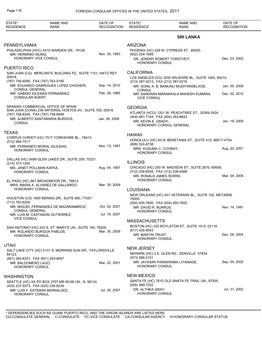| STATE*<br><b>RESIDENCE</b>                                  | <b>NAME AND</b><br><b>RANK</b>                                                                   | DATE OF<br><b>RECOGNITION</b> | STATE*<br><b>RESIDENCE</b>                                         | <b>NAME AND</b><br>RANK                                   | DATE OF<br><b>RECOGNITION</b> |
|-------------------------------------------------------------|--------------------------------------------------------------------------------------------------|-------------------------------|--------------------------------------------------------------------|-----------------------------------------------------------|-------------------------------|
|                                                             |                                                                                                  |                               |                                                                    | <b>SRI LANKA</b>                                          |                               |
| PENNSYLVANIA<br>MR. HERMINIO MUNIZ,<br>HONORARY VICE CONSUL | PHILADELPHIA (HVC) 3410 WARDEN DR., 19129.                                                       | Nov. 30, 1983                 | <b>ARIZONA</b><br>(602) 254-1899                                   | PHOENIX (HC) 329 W. CYPRESS ST., 85003.                   |                               |
|                                                             |                                                                                                  |                               | HONORARY CONSUL                                                    | DR. JEREMY ROBERT TORSTVEIT.                              | Dec. 23, 2002                 |
| <b>PUERTO RICO</b><br>00918.                                | SAN JUAN (CG) MERCANTIL BUILDING PZ., SUITE 1101, HATO REY                                       |                               | <b>CALIFORNIA</b>                                                  |                                                           |                               |
| (787) 758-6090, FAX (787) 763-0190                          |                                                                                                  |                               | (213) 387-0213, FAX (213) 387-0216                                 | LOS ANGELES (CG) 3250 WILSHIRE BL., SUITE 1405, 90010.    |                               |
| <b>CONSUL GENERAL</b>                                       | MR. EDUARDO GARRIGUES LOPEZ CHICHERI,                                                            | Sep. 14, 2010                 | <b>CONSUL</b>                                                      | MR. SUNIL A. B. BAMUNU MUDIYANSELAGE,                     | Jan. 09, 2008                 |
| <b>CONSULAR AGENT</b>                                       | MR. GABINO IGLESIAS FERNANDEZ,                                                                   | Feb. 28, 1985                 | <b>VICE CONSUL</b>                                                 | MR. SANDARA MARAKKALA MAHESH KUMARA,                      | Dec. 02, 2010                 |
|                                                             | SPANISH COMMERCIAL OFFICE OF SPAIN<br>SAN JUAN (CONA) 239 ARTERIAL HOSTOS AV., SUITE 705, 00918. |                               | <b>GEORGIA</b>                                                     |                                                           |                               |
| (787) 758-6345, FAX (787) 758-6948                          |                                                                                                  |                               | (404) 881-7164, FAX (404) 263-8643                                 | ATLANTA (HCG) 1201 W. PEACHTREE ST., 30309-3424.          |                               |
| <b>CONSUL</b>                                               | MR. ALBERTO SANTAMARIA BURGOS,                                                                   | Jan. 09, 2008                 | MR. KEVIN E. GRADY.                                                | HONORARY CONSUL GENERAL                                   | Jan. 19, 2000                 |
| <b>TEXAS</b>                                                |                                                                                                  |                               |                                                                    |                                                           |                               |
| (512) 994-7517                                              | CORPUS CHRISTI (HC) 7517 YORKSHIRE BL., 78413.                                                   |                               | <b>HAWAII</b>                                                      | HONOLULU (HC) 60 N. BERETANIA ST., SUITE 410, 96817-4754. |                               |
| <b>HONORARY CONSUL</b>                                      | MR. FERNANDO MORAL IGLESIAS,                                                                     | Nov. 13, 1997                 | (808) 524-6738<br>MRS. KUSUMA C. COORAY,<br><b>HONORARY CONSUL</b> |                                                           | Aug. 20, 2001                 |
|                                                             | DALLAS (HC) 5499 GLEN LAKES DR., SUITE 209, 75231.                                               |                               | <b>ILLINOIS</b>                                                    |                                                           |                               |
| (214) 373-1200<br>MS. JANET POLLMAN KAFKA,                  |                                                                                                  | Aug. 04, 1997                 |                                                                    | CHICAGO (HC) 200 W. MADISON ST., SUITE 2670, 60606.       |                               |
| HONORARY CONSUL                                             |                                                                                                  |                               | (312) 236-6555, FAX (312) 236-6568<br>MR. RONALD JAMES SORINI,     |                                                           | Mar. 04, 2004                 |
|                                                             | EL PASO (HC) 867 BROADMOOR DR., 79912.<br>MRS. MARIA A. ALVAREZ DE GALLARDO,                     | Mar. 30, 2009                 | <b>HONORARY CONSUL</b>                                             |                                                           |                               |
| <b>HONORARY CONSUL</b>                                      |                                                                                                  |                               | <b>LOUISIANA</b>                                                   |                                                           |                               |
|                                                             | HOUSTON (CG) 1800 BERING DR., SUITE 660, 77057.                                                  |                               | 70005.                                                             | NEW ORLEANS (HC) 401 VETERANS BL., SUITE 102, METAIRIE    |                               |
| (713) 783-6200                                              | MR. MIGUEL FERNANDEZ DE MAZARAMBROZ,                                                             | Oct. 02, 2007                 | (504) 455-7600, FAX (504) 455-7605                                 |                                                           |                               |
| CONSUL GENERAL                                              |                                                                                                  |                               | MR. DAVID R. BURRUS,<br>HONORARY CONSUL                            |                                                           | Nov. 14, 1991                 |
| VICE CONSUL                                                 | MR. LUIS M. CASTANON GUTIERREZ,                                                                  | Jul. 18, 2007                 |                                                                    |                                                           |                               |
|                                                             |                                                                                                  |                               | <b>MASSACHUSETTS</b>                                               | BOSTON (HC) 220 BOYLSTON ST., SUITE 1515, 02116.          |                               |
|                                                             | SAN ANTONIO (HC) 203 S. ST. MARY'S UN., SUITE 160, 78205.<br>MR. ROLANDO BURGOA PABLOS,          | Mar. 30, 2009                 | (617) 426-9543                                                     |                                                           |                               |
| <b>HONORARY CONSUL</b>                                      |                                                                                                  |                               | MR. MARTIN TRUST,<br><b>HONORARY CONSUL</b>                        |                                                           | Dec. 28, 2004                 |
| <b>UTAH</b>                                                 |                                                                                                  |                               |                                                                    |                                                           |                               |
|                                                             | SALT LAKE CITY (HC) 5131 S. MORNING SUN DR., TAYLORSVILLE                                        |                               | <b>NEW JERSEY</b>                                                  |                                                           |                               |
| 84123.<br>(801) 264-8321, FAX (801) 293-8097                |                                                                                                  |                               | $(973) 586 - 0101$                                                 | NEWARK (HC) 2 E. GLEN RD., DENVILLE 07834.                |                               |
| MR. BALDOMERO LAGO.<br><b>HONORARY CONSUL</b>               |                                                                                                  | Mar. 22, 2001                 | HONORARY CONSUL                                                    | MR. JAYASIRI PARAKRAMA LIYANAGE,                          | Sep. 04, 2002                 |
| <b>WASHINGTON</b>                                           |                                                                                                  |                               | <b>NEW MEXICO</b>                                                  |                                                           |                               |
| (425) 237-9373, FAX (425) 228-6239                          | SEATTLE (HC) XX PO BOX 3707 MS 65-68 UN., N, 98124.                                              |                               | (505) 989-7252                                                     | SANTA FE (HC) 7610 OLD SANTA FE TRAIL UN., 87505.         |                               |
| HONORARY CONSUL                                             | MR. LUIS F. ESTEBAN BERNALDEZ,                                                                   | Jul. 30, 2007                 | DR. ALTHEA GRAY,<br><b>HONORARY CONSUL</b>                         |                                                           | Jul. 31, 2002                 |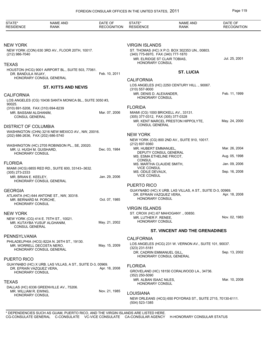| STATE*<br><b>RESIDENCE</b>                         | <b>NAME AND</b><br><b>RANK</b>                                               | DATE OF<br><b>RECOGNITION</b> | STATE*<br><b>RESIDENCE</b>                                                 | <b>NAME AND</b><br><b>RANK</b>                             | DATE OF<br><b>RECOGNITION</b> |
|----------------------------------------------------|------------------------------------------------------------------------------|-------------------------------|----------------------------------------------------------------------------|------------------------------------------------------------|-------------------------------|
| <b>NEW YORK</b>                                    |                                                                              |                               | <b>VIRGIN ISLANDS</b>                                                      |                                                            |                               |
| (212) 986-7040                                     | NEW YORK (CON) 630 3RD AV., FLOOR 20TH, 10017.                               |                               | (340) 775-6970, FAX (340) 777-1870<br>MR. ELRIDGE ST CLAIR TOBIAS,         | ST. THOMAS (HC) X P.O. BOX 302353 UN., 00803.              | Jul. 25, 2001                 |
| <b>TEXAS</b>                                       |                                                                              |                               | <b>HONORARY CONSUL</b>                                                     |                                                            |                               |
| DR. BANDULA WIJAY,                                 | HOUSTON (HCG) 9001 AIRPORT BL., SUITE 503, 77061.<br>HONORARY CONSUL GENERAL | Feb. 10, 2011                 | <b>CALIFORNIA</b>                                                          | <b>ST. LUCIA</b>                                           |                               |
|                                                    | <b>ST. KITTS AND NEVIS</b>                                                   |                               | $(310) 557 - 9000$                                                         | LOS ANGELES (HC) 2250 CENTURY HILL., 90067.                |                               |
| <b>CALIFORNIA</b>                                  |                                                                              |                               | MR. DENIS D. ALEXANDER,                                                    |                                                            | Feb. 11, 1999                 |
| 90025.                                             | LOS ANGELES (CG) 10436 SANTA MONICA BL., SUITE 3050 #3,                      |                               | <b>HONORARY CONSUL</b>                                                     |                                                            |                               |
|                                                    | (310) 691-5208, FAX (310) 694-8239                                           |                               | <b>FLORIDA</b>                                                             |                                                            |                               |
| MR. BASSAM ALGHANIM,<br>CONSUL GENERAL             |                                                                              | Mar. 07, 2006                 | MIAMI (CG) 1000 BRICKELL AV., 33131.<br>(305) 377-0312, FAX (305) 377-0328 |                                                            |                               |
| <b>DISTRICT OF COLUMBIA</b>                        |                                                                              |                               | <b>CONSUL GENERAL</b>                                                      | MR. KENT MARCEL PRESTON HIPPOLYTE.                         | May. 24, 2000                 |
|                                                    | WASHINGTON (CHN) 3216 NEW MEXICO AV., NW, 20016.                             |                               |                                                                            |                                                            |                               |
|                                                    | (202) 686-2636, FAX (202) 686-5740                                           |                               | <b>NEW YORK</b>                                                            |                                                            |                               |
|                                                    | WASHINGTON (HC) 2705 ROBINSON PL., SE, 20020.                                |                               | (212) 697-9360                                                             | NEW YORK (CG) 800 2ND AV., SUITE 910, 10017.               |                               |
| MR. U. HUGH M. GUISHARD,<br><b>HONORARY CONSUL</b> |                                                                              | Dec. 03, 1984                 | MR. HUBERT EMMANUEL,<br>DEPUTY CONSUL GENERAL                              |                                                            | Mar. 26, 2004                 |
|                                                    |                                                                              |                               | MS. ESMA ETHELINE FRICOT,<br>CONSUL                                        |                                                            | Aug. 05, 1998                 |
| <b>FLORIDA</b>                                     |                                                                              |                               | MS. MARTHA CLAUDIE SMITH,                                                  |                                                            | Jan. 09, 2006                 |
| $(305)$ 273-2333                                   | MIAMI (HCG) 6855 RED RD., SUITE 600, 33143--3632.                            |                               | <b>VICE CONSUL</b><br>MS. ODILE DEVAUX,                                    |                                                            | Sep. 16, 2008                 |
| MR. BRIAN E. KEELEY,                               | HONORARY CONSUL GENERAL                                                      | Jan. 29, 2006                 | <b>VICE CONSUL</b>                                                         |                                                            |                               |
|                                                    |                                                                              |                               | <b>PUERTO RICO</b>                                                         |                                                            |                               |
| <b>GEORGIA</b>                                     |                                                                              |                               |                                                                            | GUAYNABO (HC) X URB. LAS VILLAS, A ST., SUITE D-3, 00969.  |                               |
| MR. BERNARD M. PORCHE,<br>HONORARY CONSUL          | ATLANTA (HC) 644 ANTONE ST., NW, 30318.                                      | Oct. 07, 1985                 | DR. EFRAIN VAZQUEZ VERA,<br><b>HONORARY CONSUL</b>                         |                                                            | Apr. 18, 2008                 |
|                                                    |                                                                              |                               | <b>VIRGIN ISLANDS</b>                                                      |                                                            |                               |
| <b>NEW YORK</b>                                    | NEW YORK (CG) 414 E. 75TH ST., 10021.<br>MR. KUTAYBA YUSUF ALGHANIM,         | May. 21, 2002                 | MR. LUTHER F. RENEE,<br><b>HONORARY CONSUL</b>                             | ST. CROIX (HC) 67 MAHOGANY ., 00850.                       | Nov. 02, 1983                 |
| CONSUL GENERAL                                     |                                                                              |                               |                                                                            | ST. VINCENT AND THE GRENADINES                             |                               |
| PENNSYLVANIA                                       |                                                                              |                               |                                                                            |                                                            |                               |
|                                                    | PHILADELPHIA (HCG) 822A N. 26TH ST., 19130.<br>MR. WORRELL DECOSTA NERO.     | May. 15, 2009                 | <b>CALIFORNIA</b>                                                          | LOS ANGELES (HCG) 231 W. VERNON AV., SUITE 101, 90037.     |                               |
|                                                    | HONORARY CONSUL GENERAL                                                      |                               | $(323)$ 231-5181<br>DR. CADRIN EMMANUEL GILL.                              |                                                            | Sep. 13, 2002                 |
| <b>PUERTO RICO</b>                                 |                                                                              |                               |                                                                            | HONORARY CONSUL GENERAL                                    |                               |
| DR. EFRAIN VAZQUEZ VERA,<br>HONORARY CONSUL        | GUAYNABO (HC) X URB. LAS VILLAS, A ST., SUITE D-3, 00969.                    | Apr. 18, 2008                 | <b>FLORIDA</b><br>$(352)$ 250-5090                                         | GROVELAND (HC) 18150 CORALWOOD LA., 34736.                 |                               |
| <b>TEXAS</b>                                       |                                                                              |                               | MR. ALBAN ISAAC NILES,                                                     |                                                            | Mar. 10, 2008                 |
|                                                    | DALLAS (HC) 6336 GREENVILLE AV., 75206.                                      |                               | <b>HONORARY CONSUL</b>                                                     |                                                            |                               |
| MR. WILLIAM R. EWING,<br><b>HONORARY CONSUL</b>    |                                                                              | Nov. 21, 1985                 | LOUISIANA<br>(504) 523-1385                                                | NEW ORLEANS (HCG) 650 POYDRAS ST., SUITE 2715, 70130-6111. |                               |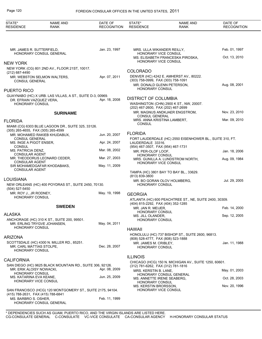#### Page 120 FOREIGN CONSULAR OFFICES IN THE UNITED STATES, 2011

| STATE*<br><b>RESIDENCE</b>                         | <b>NAME AND</b><br><b>RANK</b>                             | DATE OF<br><b>RECOGNITION</b> | STATE*<br><b>RESIDENCE</b>                                  | <b>NAME AND</b><br>RANK                                  | DATE OF<br><b>RECOGNITION</b> |
|----------------------------------------------------|------------------------------------------------------------|-------------------------------|-------------------------------------------------------------|----------------------------------------------------------|-------------------------------|
|                                                    |                                                            |                               |                                                             |                                                          |                               |
| MR. JAMES R. SUTTERFIELD,                          |                                                            | Jan. 23, 1997                 | MRS. ULLA WIKANDER REILLY,                                  |                                                          | Feb. 01, 1997                 |
|                                                    | HONORARY CONSUL GENERAL                                    |                               | HONORARY VICE CONSUL                                        | MS. ELISABETH FRANCESKA PIROSKA,                         | Oct. 13, 2010                 |
| <b>NEW YORK</b>                                    |                                                            |                               | HONORARY VICE CONSUL                                        |                                                          |                               |
|                                                    | NEW YORK (CG) 801 2ND AV., FLOOR 21ST, 10017.              |                               | <b>COLORADO</b>                                             |                                                          |                               |
| (212) 687-4490                                     | MR. WEBSTON SELMON WALTERS,                                | Apr. 07, 2011                 |                                                             | DENVER (HC) 4242 E. AMHERST AV., 80222.                  |                               |
| <b>CONSUL GENERAL</b>                              |                                                            |                               | (303) 758-0999, FAX (303) 758-1091                          |                                                          |                               |
| PUERTO RICO                                        |                                                            |                               | MR. DONALD GLENN PETERSON,<br>HONORARY CONSUL               |                                                          | Aug. 08, 2001                 |
|                                                    | GUAYNABO (HC) X URB. LAS VILLAS, A ST., SUITE D-3, 00969.  |                               |                                                             |                                                          |                               |
| DR. EFRAIN VAZQUEZ VERA,<br><b>HONORARY CONSUL</b> |                                                            | Apr. 18, 2008                 | <b>DISTRICT OF COLUMBIA</b>                                 | WASHINGTON (CHN) 2900 K ST., NW, 20007.                  |                               |
|                                                    |                                                            |                               | (202) 467-2600, FAX (202) 467-2699                          | MR. MAGNUS ANDKJAER ENGSTROM,                            | Nov. 23, 2010                 |
|                                                    | <b>SURINAME</b>                                            |                               | <b>CONSUL GENERAL</b>                                       |                                                          |                               |
| <b>FLORIDA</b>                                     |                                                            |                               | MRS. ANNA KRISTINA LAMBERT,<br><b>CONSUL</b>                |                                                          | Mar. 09, 2010                 |
|                                                    | MIAMI (CG) 6303 BLUE LAGOON DR., SUITE 325, 33126.         |                               |                                                             |                                                          |                               |
| (305) 265-4655, FAX (305) 265-4599                 | MR. MOHAMED RAKIEB KHUDABUX,                               | Jun. 20, 2007                 | <b>FLORIDA</b>                                              |                                                          |                               |
| <b>CONSUL GENERAL</b>                              |                                                            |                               |                                                             | FORT LAUDERDALE (HC) 2550 EISENHOWER BL., SUITE 310, FT. |                               |
| MS. INGE A PIGOT ENSER,<br><b>CONSUL</b>           |                                                            | Apr. 24, 2007                 | LAUDERDALE 33316.<br>(954) 467-3507, FAX (954) 467-1731     |                                                          |                               |
| MS. PATRICIA DENZ,                                 |                                                            | Mar. 08, 2002                 | MR. PER-OLOF LOOF,                                          |                                                          | Jan. 18, 2006                 |
| <b>CONSULAR AGENT</b>                              | MR. THEODORUS LEONARD CEDER,                               | Mar. 27, 2003                 | HONORARY CONSUL                                             | MRS. GUNILLA A. LUNDSTROM NORTH,                         | Aug. 09, 1984                 |
| <b>CONSULAR AGENT</b>                              |                                                            |                               | HONORARY VICE CONSUL                                        |                                                          |                               |
| <b>CONSULAR AGENT</b>                              | SIR MOHAMEDGAFAR KHODABAKS,                                | May. 11, 2009                 |                                                             |                                                          |                               |
|                                                    |                                                            |                               | (813) 839-3800                                              | TAMPA (HC) 3801 BAY TO BAY BL., 33629.                   |                               |
| LOUISIANA                                          |                                                            |                               |                                                             | MR. BO GORAN OLOV HOLMBERG,                              | Jul. 29, 2005                 |
| (504) 527-5450                                     | NEW ORLEANS (HC) 400 POYDRAS ST., SUITE 2450, 70130.       |                               | HONORARY CONSUL                                             |                                                          |                               |
| MR. ROY J., JR RODNEY,                             |                                                            | May. 19, 1998                 | <b>GEORGIA</b>                                              |                                                          |                               |
| HONORARY CONSUL                                    |                                                            |                               |                                                             | ATLANTA (HC) 600 PEACHTREE ST., NE, SUITE 2400, 30309.   |                               |
|                                                    | <b>SWEDEN</b>                                              |                               | (404) 815-2292, FAX (404) 352-1285<br>MR. JAN R. MEIJER,    |                                                          | Feb. 14, 2000                 |
| ALASKA                                             |                                                            |                               | HONORARY CONSUL                                             |                                                          |                               |
|                                                    | ANCHORAGE (HC) 310 K ST., SUITE 200, 99501.                |                               | MS. JILL OLANDER,<br>HONORARY CONSUL                        |                                                          | Sep. 12, 2005                 |
| MR. ERLING TRYGVE JOHANSEN,                        |                                                            | May. 04, 2011                 |                                                             |                                                          |                               |
| <b>HONORARY CONSUL</b>                             |                                                            |                               | <b>HAWAII</b>                                               |                                                          |                               |
| ARIZONA                                            |                                                            |                               |                                                             | HONOLULU (HC) 737 BISHOP ST., SUITE 2600, 96813.         |                               |
|                                                    | SCOTTSDALE (HC) 4300 N. MILLER RD., 85251.                 |                               | (808) 528-4777, FAX (808) 523-1888<br>MR. JAMES M. CRIBLEY, |                                                          | Jan. 11, 1988                 |
| MR. CARL MATTIAS STOLPE,<br>HONORARY CONSUL        |                                                            | Dec. 28, 2007                 | HONORARY CONSUL                                             |                                                          |                               |
|                                                    |                                                            |                               | <b>ILLINOIS</b>                                             |                                                          |                               |
| <b>CALIFORNIA</b>                                  |                                                            |                               |                                                             | CHICAGO (HCG) 150 N. MICHIGAN AV., SUITE 1250, 60601.    |                               |
| MR. ERIK ALOISY NOWACKI,                           | SAN DIEGO (HC) 9625 BLACK MOUNTAIN RD., SUITE 306, 92126.  | Apr. 08, 2009                 | (312) 781-6262, FAX (312) 781-1816<br>MRS. KERSTIN B. LANE, |                                                          | May. 01, 2003                 |
| <b>HONORARY CONSUL</b><br>MS. KATARINA EVA KEANE,  |                                                            | Jun. 25, 2009                 | MS. ANNETTE IRENE SEABERG,                                  | HONORARY CONSUL GENERAL                                  | Oct. 28, 2003                 |
| HONORARY VICE CONSUL                               |                                                            |                               | <b>HONORARY CONSUL</b><br>MS. KERSTIN BRORSSON,             |                                                          | Nov. 20, 1996                 |
| (415) 788-2631, FAX (415) 788-6841                 | SAN FRANCISCO (HCG) 120 MONTGOMERY ST., SUITE 2175, 94104. |                               | HONORARY VICE CONSUL                                        |                                                          |                               |
| MS. BARBRO S. OSHER,                               |                                                            | Feb. 11, 1999                 |                                                             |                                                          |                               |
|                                                    | HONORARY CONSUL GENERAL                                    |                               |                                                             |                                                          |                               |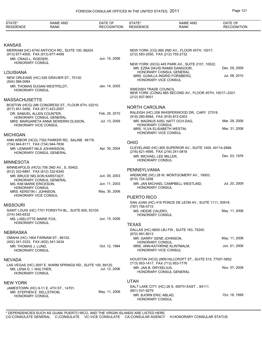| <b>KANSAS</b><br>MERRIAM (HC) 6740 ANTIOCH RD., SUITE 100, 66204.<br>NEW YORK (CG) 885 2ND AV., FLOOR 45TH, 10017.<br>(913) 677-4500, FAX (913) 677-4499<br>(212) 583-2550, FAX (212) 755-2732 | Dec. 29, 2009 |
|------------------------------------------------------------------------------------------------------------------------------------------------------------------------------------------------|---------------|
|                                                                                                                                                                                                |               |
|                                                                                                                                                                                                |               |
|                                                                                                                                                                                                |               |
| Jun. 15, 2006<br>MR. CRAIG L. ROEDER,<br>HONORARY CONSUL<br>NEW YORK (HCG) 445 PARK AV., SUITE 2101, 10022.<br>MR. EZRA DAVID RAMSI DANGOOR.                                                   |               |
| HONORARY CONSUL GENERAL<br>LOUISIANA<br>MRS. GUNILLA INGRID FORSBERG.                                                                                                                          | Jul. 08, 2010 |
| NEW ORLEANS (HC) 528 GRAVIER ST., 70130.<br>HONORARY VICE CONSUL<br>(504) 586-0084                                                                                                             |               |
| MR. THOMAS DUGAN WESTFELDT,<br>Jan. 14, 2005<br>SWEDISH TRADE COUNCIL<br>HONORARY CONSUL<br>NEW YORK (CONA) 885 SECOND AV., FLOOR 45TH, 10017--2201.<br>(212) 507-9001                         |               |
| <b>MASSACHUSETTS</b>                                                                                                                                                                           |               |
| BOSTON (HCG) 286 CONGRESS ST., FLOOR 6TH, 02210.<br><b>NORTH CAROLINA</b><br>(617) 451-3456, FAX (617) 423-2057                                                                                |               |
| RALEIGH (HC) 208 WHISPERWOOD DR., CARY 27518.<br>Feb. 25, 2010<br>DR. SAMUEL ALLEN COUNTER,<br>(919) 280-8584, FAX (919) 872-0303<br>HONORARY CONSUL GENERAL                                   |               |
| Jul. 13, 2009<br>MR. MAGNUS AXEL NATT OCH DAG,<br>MRS. MARGARETA ANNA SEWERIN OLSSON,                                                                                                          | Mar. 29, 2006 |
| HONORARY CONSUL<br>HONORARY VICE CONSUL<br>MRS. YLVA ELISABETH WESTIN,                                                                                                                         | Mar. 31, 2006 |
| <b>HONORARY VICE CONSUL</b><br><b>MICHIGAN</b>                                                                                                                                                 |               |
| ANN ARBOR (HCG) 7352 PARKER RD., SALINE 48176.<br>OHIO<br>(734) 944-8111, FAX (734) 944-7836                                                                                                   |               |
| CLEVELAND (HC) 800 SUPERIOR AV., SUITE 1400, 44114-2688.<br>Apr. 30, 2004<br>MR. LENNART NILS JOHANSSON,<br>(216) 621-4995, FAX (216) 241-0816                                                 |               |
| <b>HONORARY CONSUL GENERAL</b><br>MR. MICHAEL LEE MILLER,                                                                                                                                      | Dec. 03, 1976 |
| HONORARY CONSUL<br><b>MINNESOTA</b>                                                                                                                                                            |               |
| MINNEAPOLIS (HCG) 706 2ND AV., S, 55402.<br>PENNSYLVANIA<br>(612) 332-6897, FAX (612) 332-6340                                                                                                 |               |
| ARDMORE (HC) 28 W. MONTGOMERY AV., 19003.<br>MR. BRUCE NELSON KARSTADT,<br>Jun. 05, 2003<br>(610) 724-3256<br>HONORARY CONSUL GENERAL                                                          |               |
| MR. JAN MICHAEL CAMPBELL WESTLIND,<br>Jun. 11, 2003<br><b>MS. KIM MARIE ERICKSON.</b>                                                                                                          | Jul. 20, 2009 |
| <b>HONORARY CONSUL</b><br><b>HONORARY CONSUL</b><br>May. 30, 2006<br>MRS. KERSTIN I. JOHNSON.<br>HONORARY VICE CONSUL                                                                          |               |
| PUERTO RICO<br>SAN JUAN (HC) 416 PONCE DE LEON AV., SUITE 1111, 00918.                                                                                                                         |               |
| <b>MISSOURI</b><br>(787) 756-5715                                                                                                                                                              |               |
| SAINT LOUIS (HC) 7701 FORSYTH BL., SUITE 600, 63105.<br>MS. HEIDIE CALERO,<br>(314) 540-6532<br>HONORARY CONSUL                                                                                | May. 11, 2006 |
| Jun. 15, 2006<br>MS. LISELOTTE MARIE FOX,<br><b>HONORARY CONSUL</b>                                                                                                                            |               |
| <b>TEXAS</b><br>DALLAS (HC) 6600 LBJ FW., SUITE 183, 75240.                                                                                                                                    |               |
| <b>NEBRASKA</b><br>(972) 991-8013                                                                                                                                                              |               |
| OMAHA (HC) 1904 FARNAM ST., 68102.<br>MR. GARRY GENE JOHNSON,<br>(402) 341-3333, FAX (402) 341-3434<br><b>HONORARY CONSUL</b>                                                                  | May. 11, 2006 |
| Oct. 12, 1994<br>MR. THOMAS J. LUND,<br>MRS. ANN-KATHRINE KLINTMALM,<br>HONORARY CONSUL<br>HONORARY VICE CONSUL                                                                                | Jun. 01, 2006 |
| HOUSTON (HCG) 2909 HILLCROFT ST., SUITE 515, 77057-5852.<br><b>NEVADA</b><br>(713) 953-1417, FAX (713) 953-7776                                                                                |               |
| LAS VEGAS (HC) 3097 E. WARM SPRINGS RD., SUITE 100, 89120.<br>MR. JAN B. DRYSELIUS,<br>MS. LENA D. I. WALTHER,<br>Jul. 12, 2006<br>HONORARY CONSUL GENERAL<br>HONORARY CONSUL                  | Nov. 07, 2008 |
| <b>UTAH</b><br><b>NEW YORK</b>                                                                                                                                                                 |               |
| SALT LAKE CITY (HC) 28 S. 400TH EAST., 84111.<br>JAMESTOWN (HC) 9-11 E. 4TH ST., 14701.<br>(801) 531-9279                                                                                      |               |
| May. 11, 2006<br>MR. STEPHEN E. SELLSTROM,<br>MR. BJORN ERIC ABLAD,<br>HONORARY CONSUL<br>HONORARY CONSUL                                                                                      | Oct. 18, 1999 |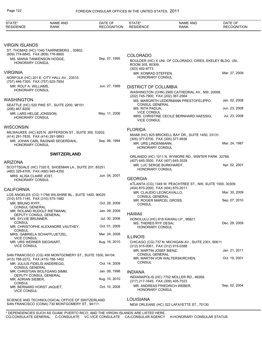| STATE*<br><b>RESIDENCE</b>                                       | <b>NAME AND</b><br><b>RANK</b>                                                                     | DATE OF<br><b>RECOGNITION</b> | STATE*<br><b>RESIDENCE</b>                         | <b>NAME AND</b><br><b>RANK</b>                             | DATE OF<br><b>RECOGNITION</b> |
|------------------------------------------------------------------|----------------------------------------------------------------------------------------------------|-------------------------------|----------------------------------------------------|------------------------------------------------------------|-------------------------------|
|                                                                  |                                                                                                    |                               |                                                    |                                                            |                               |
| <b>VIRGIN ISLANDS</b>                                            |                                                                                                    |                               |                                                    |                                                            |                               |
|                                                                  | ST. THOMAS (HC) 1340 TAARNEBERG., 00802.                                                           |                               |                                                    |                                                            |                               |
| (809) 774-6845, FAX (809) 776-8900<br>MS. MARIA TANKENSON HODGE, |                                                                                                    | Sep. 07, 1995                 | <b>COLORADO</b>                                    |                                                            |                               |
| <b>HONORARY CONSUL</b>                                           |                                                                                                    |                               | ROOM 305, 80309.<br>(303) 492-8773                 | BOULDER (HC) X UNI. OF COLORADO, CIRES, EKELEY BLDG. UN.,  |                               |
| <b>VIRGINIA</b>                                                  |                                                                                                    |                               | MR. KONRAD STEFFEN,                                |                                                            | Mar. 27, 2009                 |
| (757) 446-7300, FAX (757) 625-7854                               | NORFOLK (HC) 201 E. CITY HALL AV., 23510.                                                          |                               | <b>HONORARY CONSUL</b>                             |                                                            |                               |
| MR. ROLF A. WILLIAMS,<br>HONORARY CONSUL                         |                                                                                                    | Jun. 27, 1989                 | <b>DISTRICT OF COLUMBIA</b>                        |                                                            |                               |
|                                                                  |                                                                                                    |                               | (202) 745-7900, FAX (202) 387-2564                 | WASHINGTON (CHN) 2900 CATHEDRAL AV., NW, 20008.            |                               |
| <b>WASHINGTON</b>                                                |                                                                                                    |                               |                                                    | MS. MARGRITH LEDERMANN PRESTOFELIPPO,                      | Jan. 02, 2008                 |
|                                                                  | SEATTLE (HC) 520 PIKE ST., SUITE 2200, 98101.                                                      |                               | <b>CONSUL GENERAL</b>                              |                                                            |                               |
| (206) 467-8200                                                   |                                                                                                    |                               | MS. RITA PADUA,<br><b>VICE CONSUL</b>              |                                                            | Jun. 23, 2008                 |
| MR. LARS HELGE JONSSON.<br><b>HONORARY CONSUL</b>                |                                                                                                    | May. 11, 2006                 | <b>VICE CONSUL</b>                                 | MRS. CHRISTINE CECILE BERNHARD HAESSIG,                    | Jul. 23, 2008                 |
| <b>WISCONSIN</b>                                                 |                                                                                                    |                               |                                                    |                                                            |                               |
|                                                                  | MILWAUKEE (HC) 825 N. JEFFERSON ST., SUITE 300, 53202.                                             |                               | <b>FLORIDA</b>                                     |                                                            |                               |
| (414) 291-7835, FAX (414) 291-5893                               |                                                                                                    |                               | (305) 377-6700, FAX (305) 377-9936                 | MIAMI (HC) 825 BRICKELL BAY DR., SUITE 1450, 33131.        |                               |
| <b>HONORARY CONSUL</b>                                           | MR. JOHAN CARL RAGNAR SEGERDAHL,                                                                   | Sep. 06, 1994                 | MR. URS LINDENMANN,<br><b>HONORARY CONSUL</b>      |                                                            | Mar. 24, 1987                 |
|                                                                  | <b>SWITZERLAND</b>                                                                                 |                               |                                                    |                                                            |                               |
|                                                                  |                                                                                                    |                               | (407) 645-3500, FAX (407) 645-3529                 | ORLANDO (HC) 1011 N. WYMORE RD., WINTER PARK 32789.        |                               |
| <b>ARIZONA</b><br>(480) 329-4705, FAX (480) 945-4350             | SCOTTSDALE (HC) 7320 E. SHOEMAN LA., SUITE 201, 85251.                                             |                               | MR. LUC SERGE BURKHARDT.<br><b>HONORARY CONSUL</b> |                                                            | Apr. 02, 2001                 |
| MRS. ALISA CLAIRE JOST.                                          |                                                                                                    | Jun. 04, 2007                 |                                                    |                                                            |                               |
| <b>HONORARY CONSUL</b>                                           |                                                                                                    |                               | <b>GEORGIA</b>                                     |                                                            |                               |
|                                                                  |                                                                                                    |                               | (404) 870-2000, FAX (404) 870-2011                 | ATLANTA (CG) 1349 W. PEACHTREE ST., NW, SUITE 1000, 30309. |                               |
| <b>CALIFORNIA</b>                                                |                                                                                                    |                               | MR. CLAUDIO LEONCAVALLO,                           |                                                            | Mar. 30, 2009                 |
| (310) 575-1145, FAX (310) 575-1982                               | LOS ANGELES (CG) 11766 WILSHIRE BL., SUITE 1400, 90025.                                            |                               | <b>CONSUL GENERAL</b>                              |                                                            |                               |
| MR. BRUNO RYFF,                                                  |                                                                                                    | Oct. 26, 2009                 | MR. ROGER MARCEL GROSS,<br><b>CONSUL</b>           |                                                            | Sep. 07, 2010                 |
| <b>CONSUL GENERAL</b>                                            |                                                                                                    | Jan. 09, 2009                 |                                                    |                                                            |                               |
| DEPUTY CONSUL GENERAL                                            | MR. ROLAND RUDOLF RIETMANN,                                                                        |                               | <b>HAWAII</b>                                      |                                                            |                               |
| MS. SYLVIE BRUNNER,                                              |                                                                                                    | Jul. 30, 2008                 |                                                    | HONOLULU (HC) 616 KAHIAU LP., 96821.                       |                               |
| <b>CONSUL</b>                                                    | MR. CHRISTOPHE ALEXANDRE VAUTHEY,                                                                  | Oct. 01, 2009                 | MS. THERES RYF DESAI,<br><b>HONORARY CONSUL</b>    |                                                            | Dec. 29, 2009                 |
| <b>CONSUL</b>                                                    |                                                                                                    |                               |                                                    |                                                            |                               |
| <b>VICE CONSUL</b>                                               | MRS. GABRIELA SCHAFFLUETZEL,                                                                       | Mar. 24, 2008                 | <b>ILLINOIS</b>                                    |                                                            |                               |
| MR. URS WERNER SIEGWART,<br><b>VICE CONSUL</b>                   |                                                                                                    | Aug. 16, 2010                 | (312) 915-0061, FAX (312) 915-0388                 | CHICAGO (CG) 737 N. MICHIGAN AV., SUITE 2301, 60611.       |                               |
|                                                                  |                                                                                                    |                               | MR. MARTIN JOSEF BIENZ,<br><b>CONSUL GENERAL</b>   |                                                            | Jan. 21, 2011                 |
| (415) 788-2272, FAX (415) 788-1402                               | SAN FRANCISCO (CG) 456 MONTGOMERY ST., SUITE 1500, 94104.                                          |                               |                                                    | MR. MARTIN VON WALTERSKIRCHEN,                             | Oct. 19, 2001                 |
| MR. JULIUS FIDELIS ANDEREGG.<br><b>CONSUL GENERAL</b>            |                                                                                                    | Oct. 14, 2009                 | CONSUL                                             |                                                            |                               |
| DEPUTY CONSUL GENERAL                                            | MR. CHRISTIAN WOLFGANG SIMM,                                                                       | Jan. 09, 1998                 | <b>INDIANA</b>                                     |                                                            |                               |
| MR. ADRIAN SIEBER,                                               |                                                                                                    | Aug. 10, 2010                 | (317) 217-1645, FAX (309) 405-7023                 | INDIANAPOLIS (HC) 7752 MOLLER RD., 46268.                  |                               |
| <b>CONSUL</b><br>MR. BERNARD HORST JAQUET,                       |                                                                                                    | Oct. 10, 2008                 |                                                    | MR. ANDREAS FRIEDRICH WEBER,                               | Sep. 02, 2004                 |
| <b>VICE CONSUL</b>                                               |                                                                                                    |                               | <b>HONORARY CONSUL</b>                             |                                                            |                               |
|                                                                  |                                                                                                    |                               |                                                    |                                                            |                               |
|                                                                  | SCIENCE AND TECHNOLOGICAL OFFICE OF SWITZERLAND<br>SAN FRANCISCO (CONA) 730 MONTGOMERY ST., 94111. |                               | <b>LOUISIANA</b>                                   | NEW ORLEANS (HC) 322 LAFAYETTE ST., 70130.                 |                               |
|                                                                  |                                                                                                    |                               |                                                    |                                                            |                               |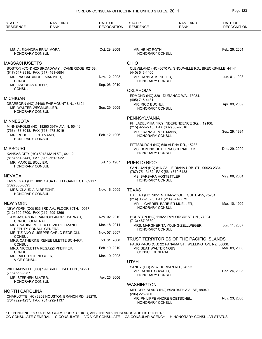| STATE*<br><b>RESIDENCE</b>                                      | <b>NAME AND</b><br><b>RANK</b>                                | DATE OF<br><b>RECOGNITION</b> | STATE*<br><b>RESIDENCE</b>                                    | <b>NAME AND</b><br><b>RANK</b>                           | DATE OF<br><b>RECOGNITION</b> |
|-----------------------------------------------------------------|---------------------------------------------------------------|-------------------------------|---------------------------------------------------------------|----------------------------------------------------------|-------------------------------|
|                                                                 |                                                               |                               |                                                               |                                                          |                               |
| MS. ALEXANDRA ERNA MORA,<br>HONORARY CONSUL                     |                                                               | Oct. 29, 2008                 | MR. HEINZ ROTH,<br><b>HONORARY CONSUL</b>                     |                                                          | Feb. 26, 2001                 |
| <b>MASSACHUSETTS</b>                                            |                                                               |                               | <b>OHIO</b>                                                   |                                                          |                               |
|                                                                 | BOSTON (CON) 420 BROADWAY ., CAMBRIDGE 02138.                 |                               |                                                               | CLEVELAND (HC) 6670 W. SNOWVILLE RD., BRECKSVILLE 44141. |                               |
| (617) 547-3915, FAX (617) 491-6684<br>MR. PASCAL ANDRE MARMIER, |                                                               | Nov. 12, 2008                 | (440) 546-1400<br>MR. HANS A. KESSLER,                        |                                                          | Jun. 01, 1998                 |
| <b>CONSUL</b><br>MR. ANDREAS RUFER,                             |                                                               | Sep. 06, 2010                 | <b>HONORARY CONSUL</b>                                        |                                                          |                               |
| <b>CONSUL</b>                                                   |                                                               |                               | <b>OKLAHOMA</b>                                               |                                                          |                               |
| <b>MICHIGAN</b>                                                 |                                                               |                               | (405) 715-4131                                                | EDMOND (HC) 3201 DURANGO WA., 73034.                     |                               |
| MR. WALTER WEGMUELLER,<br>HONORARY CONSUL                       | DEARBORN (HC) 24406 FAIRMOUNT UN., 48124.                     | Sep. 29, 2009                 | MR. RICO BUCHLI,<br><b>HONORARY CONSUL</b>                    |                                                          | Apr. 08, 2009                 |
|                                                                 |                                                               |                               | PENNSYLVANIA                                                  |                                                          |                               |
| <b>MINNESOTA</b>                                                | MINNEAPOLIS (HC) 18250 39TH AV., N, 55446.                    |                               | (215) 922-2215, FAX (302) 652-2316                            | PHILADELPHIA (HC) INDEPENDENCE SQ., 19106.               |                               |
| (763) 478-3018, FAX (763) 478-3019<br>MR. RUDOLF F. GUTMANN,    |                                                               | Feb. 12, 1996                 | MR. FRANZ J. PORTMANN,                                        |                                                          | Sep. 29, 1994                 |
| HONORARY CONSUL                                                 |                                                               |                               | <b>HONORARY CONSUL</b>                                        |                                                          |                               |
| <b>MISSOURI</b>                                                 |                                                               |                               |                                                               | PITTSBURGH (HC) 640 ALPHA DR., 15238.                    | Dec. 29, 2009                 |
|                                                                 | KANSAS CITY (HC) 5018 MAIN ST., 64112.                        |                               | <b>HONORARY CONSUL</b>                                        | MS. DOMINIQUE ELENA SCHINABECK,                          |                               |
| (816) 561-3441, FAX (816) 561-2922<br>MR. MARCEL BOLLIER,       |                                                               | Jul. 15, 1987                 | <b>PUERTO RICO</b>                                            |                                                          |                               |
| <b>HONORARY CONSUL</b>                                          |                                                               |                               |                                                               | SAN JUAN (HC) 816 CALLE DIANA URB. ST., 00923-2334.      |                               |
| <b>NEVADA</b>                                                   |                                                               |                               | (787) 751-3182, FAX (561) 679-6483<br>MS. BARBARA HOSTETTLER, |                                                          | May. 08, 2001                 |
| (702) 360-0895                                                  | LAS VEGAS (HC) 1861 CASA DE ELEGANTE CT., 89117.              |                               | <b>HONORARY CONSUL</b>                                        |                                                          |                               |
| MRS. CLAUDIA ALBRECHT,                                          |                                                               | Nov. 16, 2009                 | <b>TEXAS</b>                                                  |                                                          |                               |
| HONORARY CONSUL                                                 |                                                               |                               | (214) 965-1025, FAX (214) 871-0879                            | DALLAS (HC) 2651 N. HARWOOD., SUITE 455, 75201.          |                               |
| <b>NEW YORK</b>                                                 |                                                               |                               |                                                               | MR. J. GABRIEL BARBIER MUELLER,                          | Mar. 10, 1995                 |
| (212) 599-5700, FAX (212) 599-4266                              | NEW YORK (CG) 633 3RD AV., FLOOR 30TH, 10017.                 |                               | <b>HONORARY CONSUL</b>                                        |                                                          |                               |
| <b>CONSUL GENERAL</b>                                           | AMBASSADOR FRANCOIS ANDRE BARRAS,                             | Nov. 02, 2010                 | (713) 467-9889                                                | HOUSTON (HC) 11922 TAYLORCREST UN., 77024.               |                               |
|                                                                 | MRS. NADINE MIETTA OLIVIERI LOZANO,                           | Mar. 18, 2011                 |                                                               | MRS. MARGHERITA YOUNG-ZELLWEGER,                         | Jun. 11, 2007                 |
|                                                                 | DEPUTY CONSUL GENERAL<br>MR. TIZIANO GIUSEPPE CARLO PEDRIOLI, | Nov. 07, 2007                 | HONORARY CONSUL                                               |                                                          |                               |
| CONSUL                                                          | MRS. CATHERINE RENEE LILETTE SCHARF,                          | Oct. 01, 2008                 |                                                               | TRUST TERRITORIES OF THE PACIFIC ISLANDS                 |                               |
| <b>CONSUL</b>                                                   | MRS. NICOLETTA REGAZZI PFEIFFER,                              | Feb. 19, 2010                 | MR. BEAT WALTER NOBS,                                         | PAGO PAGO (CG) 22 PANAMA ST., WELLINGTON, NZ 00000.      | Mar. 09, 2006                 |
| <b>CONSUL</b><br>MR. RALPH STEINEGGER,                          |                                                               | Mar. 19, 2008                 | <b>CONSUL GENERAL</b>                                         |                                                          |                               |
| <b>VICE CONSUL</b>                                              |                                                               |                               | <b>UTAH</b>                                                   |                                                          |                               |
|                                                                 | WILLIAMSVILLE (HC) 199 BRIDLE PATH UN., 14221.                |                               | MR. DANIEL OSWALD,                                            | SANDY (HC) 2782 DURBAN RD., 84093.                       | Dec. 24, 2008                 |
| (716) 553-2257<br>MR. STEPHEN SLATER,                           |                                                               | Apr. 25, 2006                 | <b>HONORARY CONSUL</b>                                        |                                                          |                               |
| HONORARY CONSUL                                                 |                                                               |                               | <b>WASHINGTON</b>                                             |                                                          |                               |
| <b>NORTH CAROLINA</b>                                           |                                                               |                               |                                                               | MERCER ISLAND (HC) 6920 94TH AV., SE, 98040.             |                               |
|                                                                 | CHARLOTTE (HC) 2208 HOUSTON BRANCH RD., 28270.                |                               | (206) 228-8110                                                |                                                          |                               |
| (704) 292-1237, FAX (704) 292-1137                              |                                                               |                               | HONORARY CONSUL                                               | MR. PHILIPPE ANDRE GOETSCHEL,                            | Nov. 23, 2005                 |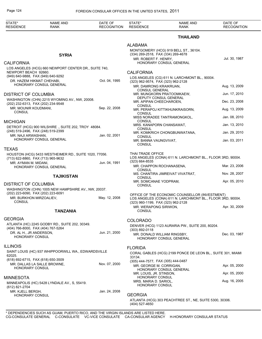| STATE*<br><b>RESIDENCE</b>                                        | NAME AND<br><b>RANK</b>                               | DATE OF<br><b>RECOGNITION</b> | STATE*<br><b>RESIDENCE</b>                                    | <b>NAME AND</b><br><b>RANK</b>                                                                               | DATE OF<br><b>RECOGNITION</b> |
|-------------------------------------------------------------------|-------------------------------------------------------|-------------------------------|---------------------------------------------------------------|--------------------------------------------------------------------------------------------------------------|-------------------------------|
|                                                                   |                                                       |                               |                                                               | <b>THAILAND</b>                                                                                              |                               |
|                                                                   |                                                       |                               | <b>ALABAMA</b>                                                |                                                                                                              |                               |
|                                                                   | <b>SYRIA</b>                                          |                               | (334) 269-2518, FAX (334) 269-4678                            | MONTGOMERY (HCG) 919 BELL ST., 36104.                                                                        |                               |
| <b>CALIFORNIA</b>                                                 |                                                       |                               | MR. ROBERT F. HENRY,                                          | HONORARY CONSUL GENERAL                                                                                      | Jul. 30, 1987                 |
|                                                                   | LOS ANGELES (HCG) 660 NEWPORT CENTER DR., SUITE 740,  |                               |                                                               |                                                                                                              |                               |
| NEWPORT BEACH 92660.<br>(949) 640-9888, FAX (949) 640-9292        |                                                       |                               | <b>CALIFORNIA</b>                                             |                                                                                                              |                               |
| DR. HAZEM HIKMAT CHEHABI,                                         |                                                       | Oct. 04, 1995                 | (323) 962-9574, FAX (323) 962-2128                            | LOS ANGELES (CG) 611 N. LARCHMONT BL., 90004.                                                                |                               |
|                                                                   | HONORARY CONSUL GENERAL                               |                               | MR. DAMRONG KRAIKRUAN,                                        |                                                                                                              | Aug. 13, 2009                 |
| <b>DISTRICT OF COLUMBIA</b>                                       |                                                       |                               | <b>CONSUL GENERAL</b><br>MR. MUNGKORN PRATOOMKAEW,            |                                                                                                              | Jun. 17, 2010                 |
|                                                                   | WASHINGTON (CHN) 2215 WYOMING AV., NW, 20008.         |                               | DEPUTY CONSUL GENERAL<br>MR. APIPAN CHEECHAROEN,              |                                                                                                              | Dec. 23, 2008                 |
| (202) 232-6313, FAX (202) 234-9548<br>MR. MOUNIR KOUDMANI,        |                                                       | Sep. 22, 2008                 | CONSUL                                                        |                                                                                                              |                               |
| <b>CONSUL</b>                                                     |                                                       |                               | <b>CONSUL</b>                                                 | MR. PERAPOJ KITTIKHUNKRAISORN,                                                                               | Aug. 13, 2009                 |
| <b>MICHIGAN</b>                                                   |                                                       |                               | CONSUL                                                        | MISS NORADEE TANTRAMONGKOL,                                                                                  | Jan. 08, 2010                 |
|                                                                   | DETROIT (HCG) 900 WILSHIRE., SUITE 202, TROY 48084.   |                               | MRS. KANAPORN CHANSAWAT,                                      |                                                                                                              | Jan. 13, 2010                 |
| (248) 519-2496, FAX (248) 519-2399                                |                                                       |                               | CONSUL                                                        | MR. KOMKRICH CHONGBUNWATANA,                                                                                 | Jan. 29, 2010                 |
| MR. NAJI ARWASHAN.                                                | HONORARY CONSUL GENERAL                               | Jan. 02, 2001                 | CONSUL<br>MR. BANNA VAUNGVIVAT,                               |                                                                                                              | Jan. 03, 2011                 |
|                                                                   |                                                       |                               | CONSUL                                                        |                                                                                                              |                               |
| <b>TEXAS</b>                                                      |                                                       |                               | THAI TRADE OFFICE                                             |                                                                                                              |                               |
| (713) 622-8860, FAX (713) 965-9632                                | HOUSTON (HCG) 5433 WESTHEIMER RD., SUITE 1020, 77056. |                               |                                                               | LOS ANGELES (CONA) 611 N. LARCHMONT BL., FLOOR 3RD, 90004.                                                   |                               |
| MR. AYMAN M. MIDANI,                                              |                                                       | Jun. 04, 1991                 | (323) 664-8535<br>MR. CHAPPON ROCHANASENA,                    |                                                                                                              | Mar. 23, 2006                 |
|                                                                   | HONORARY CONSUL GENERAL                               |                               | <b>CONSUL</b>                                                 |                                                                                                              | Nov. 28, 2007                 |
|                                                                   | <b>TAJIKISTAN</b>                                     |                               | CONSUL                                                        | MS. CHANTIRA JIMREIVAT VIVATRAT,                                                                             |                               |
| <b>DISTRICT OF COLUMBIA</b>                                       |                                                       |                               | MR. SOMCANAE YODPRAM,<br><b>CONSUL</b>                        |                                                                                                              | Apr. 05, 2010                 |
|                                                                   | WASHINGTON (CHN) 1005 NEW HAMPSHIRE AV., NW, 20037.   |                               |                                                               |                                                                                                              |                               |
| (202) 223-6090, FAX (202) 223-6091<br>MR. BURKHON MIRZOALIEV,     |                                                       | May. 12, 2008                 |                                                               | OFFICE OF THE ECONOMIC COUNSELLOR (INVESTMENT)<br>LOS ANGELES (CONA) 611 N. LARCHMONT BL., FLOOR 3RD, 90004. |                               |
| <b>CONSUL</b>                                                     |                                                       |                               | (323) 960-1199, FAX (323) 962-2128                            |                                                                                                              |                               |
|                                                                   | <b>TANZANIA</b>                                       |                               | MR. WERAPONG SIRIWON,<br><b>CONSUL</b>                        |                                                                                                              | Apr. 30, 2009                 |
| <b>GEORGIA</b>                                                    |                                                       |                               |                                                               |                                                                                                              |                               |
|                                                                   | ATLANTA (HC) 2245 GODBY RD., SUITE 202, 30349.        |                               | <b>COLORADO</b>                                               | DENVER (HCG) 1123 AURARIA PW., SUITE 200, 80204.                                                             |                               |
| (404) 766-8000, FAX (404) 767-5264<br>DR. AL H., JR ANDERSON,     |                                                       | Jun. 21, 2000                 | (303) 892-0118                                                |                                                                                                              |                               |
| <b>HONORARY CONSUL</b>                                            |                                                       |                               | MR. DONALD WILLIAM RINGSBY,                                   | HONORARY CONSUL GENERAL                                                                                      | Dec. 03, 1987                 |
|                                                                   |                                                       |                               |                                                               |                                                                                                              |                               |
| <b>ILLINOIS</b>                                                   | SAINT LOUIS (HC) 937 WHIPPOORWILL WA., EDWARDSVILLE   |                               | <b>FLORIDA</b>                                                |                                                                                                              |                               |
| 62025.                                                            |                                                       |                               | 33134.                                                        | CORAL GABLES (HCG) 2199 PONCE DE LEON BL., SUITE 301, MIAMI                                                  |                               |
| (618) 692-6715, FAX (618) 650-3509<br>MR. DALLAS LA SALLE BROWNE, |                                                       | Nov. 07, 2000                 | (305) 444-7577, FAX (305) 444-0487<br>MR. GEORGE M. CORRIGAN, |                                                                                                              | Apr. 05, 2000                 |
| HONORARY CONSUL                                                   |                                                       |                               |                                                               | HONORARY CONSUL GENERAL                                                                                      |                               |
| <b>MINNESOTA</b>                                                  |                                                       |                               | MR. LOUIS, JR. STINSON,<br><b>HONORARY CONSUL</b>             |                                                                                                              | Apr. 05, 2000                 |
|                                                                   | MINNEAPOLIS (HC) 5428 LYNDALE AV., S, 55419.          |                               | MRS. MARIA D. SARIOL,<br><b>HONORARY CONSUL</b>               |                                                                                                              | Aug. 16, 2005                 |
| (612) 821-2704                                                    |                                                       |                               |                                                               |                                                                                                              |                               |
| MR. KJELL BERGH,<br>HONORARY CONSUL                               |                                                       | Jan. 24, 2008                 | <b>GEORGIA</b>                                                |                                                                                                              |                               |
|                                                                   |                                                       |                               | (404) 527-4650                                                | ATLANTA (HCG) 303 PEACHTREE ST., NE, SUITE 5300, 30306.                                                      |                               |
|                                                                   |                                                       |                               |                                                               |                                                                                                              |                               |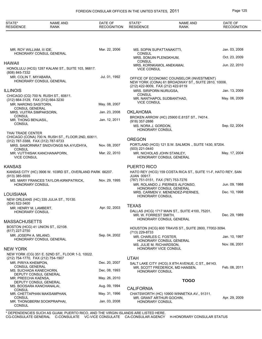## FOREIGN CONSULAR OFFICES IN THE UNITED STATES, 2011 Page 125

| STATE*<br><b>RESIDENCE</b>                            | <b>NAME AND</b><br><b>RANK</b>                           | DATE OF<br><b>RECOGNITION</b> | STATE*<br><b>RESIDENCE</b>                                       | <b>NAME AND</b><br><b>RANK</b>                                                                   | DATE OF<br><b>RECOGNITION</b> |
|-------------------------------------------------------|----------------------------------------------------------|-------------------------------|------------------------------------------------------------------|--------------------------------------------------------------------------------------------------|-------------------------------|
|                                                       |                                                          |                               |                                                                  |                                                                                                  |                               |
| MR. ROY WILLIAM, III IDE,                             | HONORARY CONSUL GENERAL                                  | Mar. 22, 2006                 | MS. SOPIN SUPATTANAKITTI,<br><b>CONSUL</b>                       |                                                                                                  | Jan. 03, 2008                 |
|                                                       |                                                          |                               | MRS. SOMJIN PLENGKHUM,<br><b>CONSUL</b>                          |                                                                                                  | Oct. 23, 2009                 |
| HAWAII                                                | HONOLULU (HCG) 1287 KALANI ST., SUITE 103, 96817.        |                               | MRS. KORNKAMOL ANEKAMAI,<br><b>VICE CONSUL</b>                   |                                                                                                  | Jun. 22, 2010                 |
| (808) 845-7332<br>MR. COLIN T. MIYABARA,              | HONORARY CONSUL GENERAL                                  | Jul. 01, 1992                 | (212) 422-9009, FAX (212) 422-9119                               | OFFICE OF ECONOMIC COUNSELOR (INVESTMENT)<br>NEW YORK (CONA) 61 BROADWAY ST., SUITE 2810, 10006. |                               |
| <b>ILLINOIS</b>                                       |                                                          |                               | MRS. SIRIPORN NURUGSA,                                           |                                                                                                  | Jan. 13, 2009                 |
| (312) 664-3129, FAX (312) 664-3230                    | CHICAGO (CG) 700 N. RUSH ST., 60611.                     |                               | <b>CONSUL</b><br>MR. NANTHAPOL SUDBANTHAD,<br><b>VICE CONSUL</b> |                                                                                                  | May. 06, 2009                 |
| MR. NARONG SASITORN.<br><b>CONSUL GENERAL</b>         |                                                          | May. 08, 2007                 |                                                                  |                                                                                                  |                               |
| MRS. VIJITRA SIMPAKSORN,                              |                                                          | Jan. 23, 2008                 | <b>OKLAHOMA</b>                                                  |                                                                                                  |                               |
| <b>CONSUL</b><br>MR. THONG BENJASIL,<br><b>CONSUL</b> |                                                          | Jan. 12, 2011                 | (918) 357-2886                                                   | BROKEN ARROW (HC) 25900 E.81ST ST., 74014.                                                       |                               |
|                                                       |                                                          |                               | MS. NORA J. GORDON,<br><b>HONORARY CONSUL</b>                    |                                                                                                  | Sep. 02, 2004                 |
| THAI TRADE CENTER                                     | CHICAGO (CONA) 700 N. RUSH ST., FLOOR 2ND, 60611.        |                               |                                                                  |                                                                                                  |                               |
| (312) 787-3388, FAX (312) 787-9733                    | MRS. SAMORNRAT SNIDVONGS NA AYUDHYA,                     | Nov. 08, 2007                 | <b>OREGON</b>                                                    | PORTLAND (HCG) 121 S.W. SALMON., SUITE 1430, 97204.                                              |                               |
| <b>CONSUL</b><br><b>VICE CONSUL</b>                   | MR. VUTTHISAK KANCHANAPORN,                              | Mar. 22, 2010                 | (503) 221-0440<br>MR. NICHOLAS JOHN STANLEY,                     | HONORARY CONSUL GENERAL                                                                          | May. 17, 2004                 |
|                                                       |                                                          |                               |                                                                  |                                                                                                  |                               |
| KANSAS                                                |                                                          |                               | PUERTO RICO                                                      |                                                                                                  |                               |
| $(913)$ 385-5555                                      | KANSAS CITY (HC) 3906 W. 103RD ST., OVERLAND PARK 66207. |                               | <b>JUAN 00917.</b>                                               | HATO REY (HCG) 159 COSTA RICA ST., SUITE 11-F, HATO REY, SAN                                     |                               |
| <b>HONORARY CONSUL</b>                                | MS. MARY FRANCES TAYLOR-KIRKPATRICK,                     | Nov. 29, 1995                 | (787) 751-0151, FAX (787) 753-7276                               | MR. ROLANDO J. PIERNES ALFONSO.<br><b>HONORARY CONSUL GENERAL</b>                                | Jun. 09, 1988                 |
| LOUISIANA                                             |                                                          |                               |                                                                  | MRS. CARMEN V. MENENDEZ-PIERNES,                                                                 | Dec. 10, 1998                 |
| (504) 522-3400                                        | NEW ORLEANS (HC) 335 JULIA ST., 70130.                   |                               | <b>HONORARY CONSUL</b>                                           |                                                                                                  |                               |
| MR. HENRY M. LAMBERT,                                 |                                                          | Apr. 02, 2003                 | <b>TEXAS</b>                                                     |                                                                                                  |                               |
| HONORARY CONSUL                                       |                                                          |                               | MR. W. FORREST SMITH,                                            | DALLAS (HCG) 1717 MAIN ST., SUITE 4100, 75201.<br>HONORARY CONSUL GENERAL                        | Dec. 29, 1989                 |
| MASSACHUSETTS                                         | BOSTON (HCG) 41 UNION ST., 02108.                        |                               |                                                                  |                                                                                                  |                               |
| (617) 227-2750                                        |                                                          |                               | (713) 229-8733                                                   | HOUSTON (HCG) 600 TRAVIS ST., SUITE 2800, 77002-3094.                                            |                               |
| MR. JOSEPH A. MILANO,                                 | HONORARY CONSUL GENERAL                                  | Sep. 04, 2002                 | MR. CHARLES C. FOSTER,                                           | HONORARY CONSUL GENERAL                                                                          | Jan. 10, 1997                 |
|                                                       |                                                          |                               | MS. JULIE M. RICHARDSON,<br>HONORARY VICE CONSUL                 |                                                                                                  | Nov. 06, 2001                 |
| NEW YORK                                              | NEW YORK (CG) 351 E. 52ND ST., FLOOR 1-3, 10022.         |                               |                                                                  |                                                                                                  |                               |
| (212) 754-1770, FAX (212) 754-1907                    |                                                          |                               | <b>UTAH</b>                                                      |                                                                                                  |                               |
| MR. PIRIYA KHEMPON,<br><b>CONSUL GENERAL</b>          |                                                          | Dec. 20, 2007                 |                                                                  | SALT LAKE CITY (HCG) X 8TH AVENUE, C ST., 84143.<br>MR. SCOTT FREDERICK, MD HANSEN,              | Feb. 08, 2011                 |
| MS. SUCHADA KANECHORN,                                | DEPUTY CONSUL GENERAL                                    | Dec. 08, 1993                 | <b>HONORARY CONSUL</b>                                           |                                                                                                  |                               |
| MR. PREECHA KAENSA,                                   | DEPUTY CONSUL GENERAL                                    | May. 26, 2010                 |                                                                  | <b>TOGO</b>                                                                                      |                               |
| MS. BOOSARA KANCHANALAI,                              |                                                          | Aug. 09, 1994                 | <b>CALIFORNIA</b>                                                |                                                                                                  |                               |
| <b>CONSUL</b>                                         | MR. CHETTAPHAN MAKSAMPHAN,                               | May. 31, 1996                 |                                                                  | CHATSWORTH (HC) 10900 WINNETKA AV., 91311.                                                       |                               |
| CONSUL<br><b>CONSUL</b>                               | MR. THONGBERM SOOKPRAPHAI,                               | Jan. 03, 2008                 | MR. GRANT ARTHUR GOCHIN,<br>HONORARY CONSUL                      |                                                                                                  | Apr. 29, 2009                 |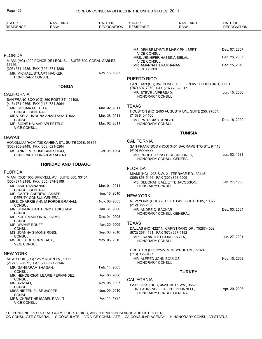### Page 126 FOREIGN CONSULAR OFFICES IN THE UNITED STATES, 2011

| STATE*<br><b>RESIDENCE</b>                                                 | <b>NAME AND</b><br>RANK                                    | DATE OF<br><b>RECOGNITION</b> | STATE*<br><b>RESIDENCE</b>                          | <b>NAME AND</b><br><b>RANK</b>                         | DATE OF<br><b>RECOGNITION</b> |
|----------------------------------------------------------------------------|------------------------------------------------------------|-------------------------------|-----------------------------------------------------|--------------------------------------------------------|-------------------------------|
|                                                                            |                                                            |                               |                                                     |                                                        |                               |
|                                                                            |                                                            |                               |                                                     | MS. DENISE MYRTLE MARY PHILBERT,                       | Dec. 07, 2007                 |
| <b>FLORIDA</b>                                                             |                                                            |                               | <b>VICE CONSUL</b><br>MRS. JENNIFER HASSINA SIBLAL, |                                                        | Dec. 26, 2007                 |
| 33146.                                                                     | MIAMI (HC) 4000 PONCE DE LEON BL., SUITE 700, CORAL GABLES |                               | <b>VICE CONSUL</b><br>MR. AMARNATH RAMNANAN,        |                                                        | Dec. 15, 2010                 |
| (305) 371-4286, FAX (305) 371-4288                                         |                                                            | Nov. 16, 1983                 | <b>VICE CONSUL</b>                                  |                                                        |                               |
| MR. MICHAEL STUART HACKER,<br>HONORARY CONSUL                              |                                                            |                               | PUERTO RICO                                         |                                                        |                               |
|                                                                            | <b>TONGA</b>                                               |                               | (787) 607-7070, FAX (787) 783-8517                  | SAN JUAN (HC) 357 PONCE DE LEON AV., FLOOR 3RD, 00901. |                               |
| <b>CALIFORNIA</b>                                                          |                                                            |                               | MR. STEVE JAIPERSAD,<br>HONORARY CONSUL             |                                                        | Jun. 15, 2006                 |
|                                                                            | SAN FRANCISCO (CG) 360 POST ST., 94108.                    |                               |                                                     |                                                        |                               |
| (415) 781-0365, FAX (415) 781-3964<br>MR. SIOSAIA M. TUITA,                |                                                            | Mar. 02, 2011                 | <b>TEXAS</b>                                        |                                                        |                               |
| <b>CONSUL GENERAL</b>                                                      | MRS. SELA UNOUNA ANASTASIA TUKIA,                          | Mar. 28, 2011                 | (713) 840-1100                                      | HOUSTON (HC) 2400 AUGUSTA UN., SUITE 250, 77057.       |                               |
| <b>CONSUL</b>                                                              |                                                            |                               | MS. PATRICIA YOUNGER,                               |                                                        | Dec. 18, 2000                 |
| MR. SIONE HALAAPIAPI PETELO,<br><b>VICE CONSUL</b>                         |                                                            | Mar. 02, 2011                 | HONORARY CONSUL                                     |                                                        |                               |
|                                                                            |                                                            |                               |                                                     | <b>TUNISIA</b>                                         |                               |
| <b>HAWAII</b>                                                              | HONOLULU (HCA) 738 KAHEKA ST., SUITE 306B, 96814.          |                               | <b>CALIFORNIA</b>                                   |                                                        |                               |
| (808) 953-2449, FAX (808) 521-5264                                         |                                                            |                               |                                                     | SAN FRANCISCO (HCG) 3401 SACRAMENTO ST., 94118.        |                               |
| MS. ANNIE MEGUMI KANESHIRO,                                                | HONORARY CONSULAR AGENT                                    | Oct. 06, 1994                 | (415) 922-9222                                      | MR. PROCTOR PATTERSON JONES,                           | Jun. 03, 1981                 |
|                                                                            |                                                            |                               |                                                     | HONORARY CONSUL GENERAL                                |                               |
|                                                                            | <b>TRINIDAD AND TOBAGO</b>                                 |                               | <b>FLORIDA</b>                                      |                                                        |                               |
| <b>FLORIDA</b>                                                             |                                                            |                               |                                                     | MIAMI (HC) 1236 S.W. 21 TERRACE RD., 33145.            |                               |
| (305) 374-2199, FAX (305) 374-3199<br>MR. ANIL RAMNANAN,                   | MIAMI (CG) 1000 BRICKELL AV., SUITE 800, 33131.            | Mar. 01, 2011                 | (305) 858-5456, FAX (305) 858-5909                  | MS. DEBORAH BALLIETTE JACOBSON,                        | Jan. 27, 1988                 |
| <b>CONSUL GENERAL</b>                                                      |                                                            |                               | HONORARY CONSUL                                     |                                                        |                               |
| MR. GARTH ANDREW LAMSEE,<br>DEPUTY CONSUL GENERAL                          |                                                            | Jun. 16, 2010                 | <b>NEW YORK</b>                                     |                                                        |                               |
| <b>CONSUL</b>                                                              | MRS. CHARRIE ANN M FORDE GRAHAM,                           | Nov. 03, 2005                 | (212) 355-2800                                      | NEW YORK (HCG) 781 FIFTH AV., SUITE 1205, 10022.       |                               |
|                                                                            | MR. STIRLING ANTHONY HACKSHAW,                             | Jan. 31, 2006                 | MR. ANDRE O. BACKAR,                                |                                                        | Dec. 03, 2004                 |
| <b>CONSUL</b><br>MR. KURT MARLON WILLIAMS,                                 |                                                            | Dec. 04, 2008                 |                                                     | HONORARY CONSUL GENERAL                                |                               |
| <b>CONSUL</b><br>MR. WAYNE ROUFF,                                          |                                                            | Apr. 30, 2009                 | <b>TEXAS</b>                                        |                                                        |                               |
| <b>CONSUL</b><br>MS. JOANNA SIMONE ROSS,                                   |                                                            | Sep. 03, 2010                 | (972) 267-4191, FAX (972) 267-4192                  | DALLAS (HC) 4227 N. CAPISTRANO DR., 75287-4002.        |                               |
| <b>CONSUL</b><br>MS. JULIA DE SORMEAUX,<br><b>VICE CONSUL</b>              |                                                            | May. 06, 2010                 | MR. FRANK THEODORE KRYZA,<br>HONORARY CONSUL        |                                                        | Jun. 27, 2001                 |
| <b>NEW YORK</b>                                                            |                                                            |                               | (713) 935-9427                                      | HOUSTON (HC) 12527 MOSSYCUP UN., 77024.                |                               |
| NEW YORK (CG) 125 MAIDEN LA., 10038.<br>(212) 682-7272, FAX (212) 986-2146 |                                                            |                               | MR. ALFRED JOHN BOULOS,<br>HONORARY CONSUL          |                                                        | Nov. 10, 2003                 |
| MR. GANGARAM BHAGAN,                                                       |                                                            | Feb. 14, 2005                 |                                                     |                                                        |                               |
| <b>CONSUL</b>                                                              | MR. HENDERSON LEARIE FERNANDEZ,                            | Apr. 05, 2006                 |                                                     | <b>TURKEY</b>                                          |                               |
| <b>CONSUL</b><br>MR. AZIZ ALI,                                             |                                                            | Nov. 05, 2007                 | <b>CALIFORNIA</b>                                   | FAIR OAKS (HCG) 4520 DIETZ WA., 95628.                 |                               |
| <b>CONSUL</b><br>MISS NIREEN ELISE JASPER,                                 |                                                            | Jun. 09, 2010                 |                                                     | DR. LAURENCE JOSEPH O'CONNELL,                         | Apr. 29, 2008                 |
| <b>CONSUL</b><br>MRS. CHRISTINE ISABEL RAMJIT,                             |                                                            | Apr. 14, 1997                 |                                                     | HONORARY CONSUL GENERAL                                |                               |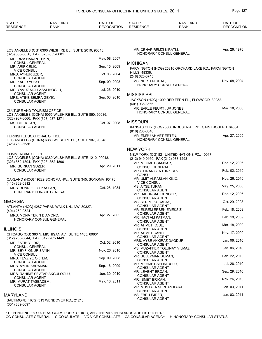| Page |  |
|------|--|
|      |  |

| STATE*<br><b>RESIDENCE</b>                                     | <b>NAME AND</b><br><b>RANK</b>                           | DATE OF<br><b>RECOGNITION</b> | STATE*<br><b>RESIDENCE</b>                                             | <b>NAME AND</b><br><b>RANK</b>                             | DATE OF<br><b>RECOGNITION</b> |
|----------------------------------------------------------------|----------------------------------------------------------|-------------------------------|------------------------------------------------------------------------|------------------------------------------------------------|-------------------------------|
|                                                                | LOS ANGELES (CG) 6300 WILSHIRE BL., SUITE 2010, 90048.   |                               | MR. CENAP REMZI KIRATLI,<br><b>HONORARY CONSUL GENERAL</b>             |                                                            | Apr. 26, 1976                 |
| (323) 655-8056, FAX (323) 655-8681<br>MR. RIZA HAKAN TEKIN,    |                                                          | May. 08, 2007                 |                                                                        |                                                            |                               |
| <b>CONSUL GENERAL</b><br>MR. ARIF CELIK,<br><b>VICE CONSUL</b> |                                                          | Sep. 15, 2009                 | <b>MICHIGAN</b>                                                        | FARMINGTON (HCG) 25816 ORCHARD LAKE RD., FARMINGTON        |                               |
| MRS. AYNUR UZER.<br><b>CONSULAR AGENT</b>                      |                                                          | Oct. 05, 2004                 | <b>HILLS 48336.</b><br>(248) 626-3745                                  |                                                            |                               |
| MR. KADIR YUKSEL,                                              |                                                          | Sep. 09, 2008                 | MS. NURTEN URAL,<br>HONORARY CONSUL GENERAL                            |                                                            | Nov. 08, 2004                 |
| <b>CONSULAR AGENT</b><br>MR. YAVUZ MOLLASALIHOGLU,             |                                                          | Jul. 26, 2010                 |                                                                        |                                                            |                               |
| <b>CONSULAR AGENT</b><br>MRS. ATIKE SEMRA GEYIK,               |                                                          | Sep. 03, 2010                 | <b>MISSISSIPPI</b>                                                     |                                                            |                               |
| <b>CONSULAR AGENT</b>                                          |                                                          |                               | (601) 936-3666                                                         | JACKSON (HCG) 1000 RED FERN PL., FLOWOOD 39232.            |                               |
| <b>CULTURE AND TOURISM OFFICE</b>                              | LOS ANGELES (CONA) 5055 WILSHIRE BL., SUITE 850, 90036.  |                               | MR. EARLE FEURT, JR JONES,<br>HONORARY CONSUL GENERAL                  |                                                            | Mar. 18, 2005                 |
| (323) 937-8066, FAX (323) 937-1271<br>MS. DILEK TAN,           |                                                          | Oct. 07, 2008                 | <b>MISSOURI</b>                                                        |                                                            |                               |
| <b>CONSULAR AGENT</b>                                          |                                                          |                               | (816) 238-6646                                                         | KANSAS CITY (HCG) 6000 INDUSTRIAL RD., SAINT JOSEPH 64504. |                               |
| <b>TURKISH EDUCATIONAL OFFICE</b><br>(323) 782-8636            | LOS ANGELES (CONA) 6380 WILSHIRE BL., SUITE 907, 90048.  |                               | MR. EMRU AHMET ERTEN,<br>HONORARY CONSUL GENERAL                       |                                                            | Apr. 27, 2005                 |
|                                                                |                                                          |                               | <b>NEW YORK</b>                                                        |                                                            |                               |
| <b>COMMERCIAL OFFICE</b>                                       | LOS ANGELES (CONA) 6380 WILSHIRE BL., SUITE 1210, 90048. |                               | (212) 949-0160, FAX (212) 983-1293                                     | NEW YORK (CG) 821 UNITED NATIONS PZ., 10017.               |                               |
| (323) 852-1894, FAX (323) 852-1896<br>MR. GURKAN SUZER,        |                                                          | Apr. 29, 2011                 | MR. MEHMET SAMSAR,<br><b>CONSUL GENERAL</b>                            |                                                            | Dec. 12, 2006                 |
| <b>CONSULAR AGENT</b>                                          |                                                          |                               | MRS. PINAR SENTURK SEVI,                                               |                                                            | Feb. 02, 2010                 |
|                                                                | OAKLAND (HCG) 19229 SONOMA HW., SUITE 345, SONOMA 95476. |                               | <b>CONSUL</b><br>MR. UMIT ALPASLAN KILIC,                              |                                                            | Nov. 26, 2010                 |
| (415) 362-0912<br>MRS. BONNIE JOY KASLAN,                      |                                                          | Oct. 26, 1984                 | <b>VICE CONSUL</b><br>MS. AYSE TURAN,                                  |                                                            | May. 25, 2006                 |
|                                                                | HONORARY CONSUL GENERAL                                  |                               | <b>CONSULAR AGENT</b><br>MR. BABURSAH GUNGOR,<br><b>CONSULAR AGENT</b> |                                                            | Dec. 12, 2006                 |
| <b>GEORGIA</b>                                                 |                                                          |                               | MS. SERPIL KOCABAS,<br><b>CONSULAR AGENT</b>                           |                                                            | Oct. 29, 2008                 |
| (404) 262-9524                                                 | ATLANTA (HCG) 4287 PARAN WALK UN., NW, 30327.            |                               | MR. EKREM ERSEN EMEKSIZ,                                               |                                                            | Feb. 18, 2009                 |
| MRS. MONA TEKIN DIAMOND,                                       | HONORARY CONSUL GENERAL                                  | Apr. 27, 2005                 | <b>CONSULAR AGENT</b><br>MR. HACI ALI KATMAN,                          |                                                            | Feb. 18, 2009                 |
|                                                                |                                                          |                               | <b>CONSULAR AGENT</b><br>MR. AHMET KOSE,                               |                                                            | Mar. 18, 2009                 |
| <b>ILLINOIS</b>                                                | CHICAGO (CG) 360 N. MICHIGAN AV., SUITE 1405, 60601.     |                               | <b>CONSULAR AGENT</b><br>MR. AHMET CANLI,                              |                                                            | Nov. 17, 2009                 |
| (312) 263-0644, FAX (312) 263-1449                             |                                                          |                               | <b>CONSULAR AGENT</b><br>MRS. AYSE AKKIRAZ DAGDUR,                     |                                                            | Jan. 06, 2010                 |
| MR. FATIH YILDIZ,<br><b>CONSUL GENERAL</b>                     |                                                          | Oct. 02, 2010                 | <b>CONSULAR AGENT</b><br>MS. MUZAFFER TOLUNAY YILMAZ,                  |                                                            | Jan. 06, 2010                 |
| MR. SEYFI ONUR SAYIN,<br><b>VICE CONSUL</b>                    |                                                          | Nov. 26, 2010                 | <b>CONSULAR AGENT</b>                                                  |                                                            | Feb. 22, 2010                 |
| MRS. FEVZIYE OKTEM,<br><b>CONSULAR AGENT</b>                   |                                                          | Sep. 09, 2008                 | MR. SULEYMAN DUMAN,<br><b>CONSULAR AGENT</b>                           |                                                            |                               |
| MRS. AYLIN KARAMAN,<br><b>CONSULAR AGENT</b>                   |                                                          | Sep. 16, 2009                 | MR. MEHMET SELIM USLU,<br><b>CONSULAR AGENT</b>                        |                                                            | Jul. 26, 2010                 |
|                                                                | MRS. RAHIME SEVTAP AKGULOGLU,                            | Jun. 30, 2010                 | MR. LEVENT ERCAN,<br><b>CONSULAR AGENT</b>                             |                                                            | Sep. 29, 2010                 |
| <b>CONSULAR AGENT</b><br>MR. MURAT TASBADEMI,                  |                                                          | May. 13, 2011                 | MR. ISMET ERIKAN,<br><b>CONSULAR AGENT</b>                             |                                                            | Nov. 26, 2010                 |
| <b>CONSULAR AGENT</b>                                          |                                                          |                               | MR. MUSTAFA SERHAN KARA,<br><b>CONSULAR AGENT</b>                      |                                                            | Jan. 03, 2011                 |
| <b>MARYLAND</b>                                                |                                                          |                               | MS. EBRU EJDER,                                                        |                                                            | Jan. 03, 2011                 |
| $(301) 889 - 0697$                                             | BALTIMORE (HCG) 313 WENDOVER RD., 21218.                 |                               | <b>CONSULAR AGENT</b>                                                  |                                                            |                               |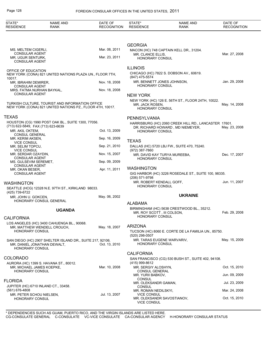| STATE*<br><b>RESIDENCE</b>                                   | <b>NAME AND</b><br><b>RANK</b>                                                                               | DATE OF<br><b>RECOGNITION</b> | STATE*<br><b>RESIDENCE</b>                           | <b>NAME AND</b><br>RANK                                                                   | DATE OF<br><b>RECOGNITION</b> |
|--------------------------------------------------------------|--------------------------------------------------------------------------------------------------------------|-------------------------------|------------------------------------------------------|-------------------------------------------------------------------------------------------|-------------------------------|
|                                                              |                                                                                                              |                               |                                                      |                                                                                           |                               |
| MS. MELTEM CIGERLI,                                          |                                                                                                              | Mar. 08, 2011                 | <b>GEORGIA</b>                                       | MACON (HC) 748 CAPTAIN KELL DR., 31204.                                                   |                               |
| <b>CONSULAR AGENT</b><br>MR. UGUR SENTURK,                   |                                                                                                              | Mar. 23, 2011                 | MR. CLANCE ELLIS.<br>HONORARY CONSUL                 |                                                                                           | Mar. 27, 2008                 |
| <b>CONSULAR AGENT</b>                                        |                                                                                                              |                               | <b>ILLINOIS</b>                                      |                                                                                           |                               |
| OFFICE OF EDUCATION<br>10017.                                | NEW YORK (CONA) 821 UNITED NATIONS PLAZA UN., FLOOR 7TH,                                                     |                               | (847) 475-5574                                       | CHICAGO (HC) 7822 S. DOBSON AV., 60619.                                                   |                               |
| MR. IBRAHIM DEMIRER,<br><b>CONSULAR AGENT</b>                |                                                                                                              | Nov. 18, 2008                 | HONORARY CONSUL                                      | MR. BENNETT JONES JOHNSON,                                                                | Jan. 29, 2008                 |
| MRS. FATMA NURHAN BAYKAL,<br><b>CONSULAR AGENT</b>           |                                                                                                              | Nov. 18, 2008                 |                                                      |                                                                                           |                               |
|                                                              |                                                                                                              |                               | <b>NEW YORK</b>                                      | NEW YORK (HC) 126 E. 56TH ST., FLOOR 24TH, 10022.                                         |                               |
|                                                              | TURKISH CULTURE, TOURIST AND INFORMATION OFFICE<br>NEW YORK (CONA) 821 UNITED NATIONS PZ., FLOOR 4TH, 10017. |                               | MR. JACK ROSEN,<br>HONORARY CONSUL                   |                                                                                           | May. 14, 2008                 |
| <b>TEXAS</b>                                                 |                                                                                                              |                               | PENNSYLVANIA                                         |                                                                                           |                               |
| (713) 622-5849, FAX (713) 623-6639                           | HOUSTON (CG) 1990 POST OAK BL., SUITE 1300, 77056.                                                           | Oct. 13, 2009                 |                                                      | HARRISBURG (HC) 2060 CREEK HILL RD., LANCASTER 17601.<br>DR. RICHARD HOWARD, MD NIEMEYER, | May. 23, 2008                 |
| MR. AKIL OKTEM,<br><b>CONSUL GENERAL</b><br>MR. KERIM AKSEN, |                                                                                                              | Sep. 16, 2009                 | HONORARY CONSUL                                      |                                                                                           |                               |
| <b>VICE CONSUL</b><br>MR. SELIM TOPCU,                       |                                                                                                              | Sep. 21, 2010                 | <b>TEXAS</b>                                         | DALLAS (HC) 5720 LBJ FW., SUITE 470, 75240.                                               |                               |
| <b>VICE CONSUL</b><br>MR. SERDAR OZAYDIN,                    |                                                                                                              | Nov. 15, 2007                 | (972) 387-7860                                       | MR. DAVID KAY TURYA MUREEBA,                                                              | Dec. 17, 2007                 |
| <b>CONSULAR AGENT</b><br>MS. GULSEVIM SEREMET,               |                                                                                                              | Sep. 09, 2009                 | HONORARY CONSUL                                      |                                                                                           |                               |
| <b>CONSULAR AGENT</b><br>MR. OKAN BESER,                     |                                                                                                              | Apr. 11, 2011                 | <b>WASHINGTON</b>                                    |                                                                                           |                               |
| <b>CONSULAR AGENT</b>                                        |                                                                                                              |                               | (206) 571-9798                                       | GIG HARBOR (HC) 3226 ROSEDALE ST., SUITE 100, 98335.                                      |                               |
| <b>WASHINGTON</b>                                            | SEATTLE (HCG) 12328 N.E. 97TH ST., KIRKLAND 98033.                                                           |                               | MR. ROBERT KENDALL GOFF,<br>HONORARY CONSUL          |                                                                                           | Jun. 11, 2007                 |
| (425) 739-6722                                               |                                                                                                              |                               |                                                      | <b>UKRAINE</b>                                                                            |                               |
| MR. JOHN U. GOKCEN,                                          | HONORARY CONSUL GENERAL                                                                                      | May. 06, 2002                 |                                                      |                                                                                           |                               |
|                                                              |                                                                                                              |                               | ALABAMA                                              | BIRMINGHAM (HC) 5638 CRESTWOOD BL., 35212.                                                |                               |
| <b>CALIFORNIA</b>                                            | <b>UGANDA</b>                                                                                                |                               | MR. ROY SCOTT, III COLSON,<br><b>HONORARY CONSUL</b> |                                                                                           | Feb. 29, 2008                 |
|                                                              | LOS ANGELES (HC) 3400 CAHUENGA BL., 90068.                                                                   |                               |                                                      |                                                                                           |                               |
| MR. MATTHEW WENDELL CROUCH,<br>HONORARY CONSUL               |                                                                                                              | May. 18, 2007                 | <b>ARIZONA</b><br>(520) 298-0507                     | TUCSON (HC) 8060 E. CORTE DE LA FAMILIA UN., 85750.                                       |                               |
| MR. DANIEL JONATHAN DEWALT,<br><b>HONORARY CONSUL</b>        | SAN DIEGO (HC) 2907 SHELTER ISLAND DR., SUITE 217, 92106.                                                    | Oct. 13, 2010                 | <b>HONORARY CONSUL</b>                               | MR. TARAS EUGENE WARVARIV,                                                                | May. 15, 2009                 |
|                                                              |                                                                                                              |                               | <b>CALIFORNIA</b>                                    |                                                                                           |                               |
| <b>COLORADO</b>                                              | AURORA (HC) 1399 S. HAVANA ST., 80012.                                                                       |                               | (415) 999-8612                                       | SAN FRANCISCO (CG) 530 BUSH ST., SUITE 402, 94108.                                        |                               |
| MR. MICHAEL JAMES KOEPKE,<br><b>HONORARY CONSUL</b>          |                                                                                                              | Mar. 10, 2008                 | MR. SERGIY ALOSHYN,                                  |                                                                                           | Oct. 15, 2010                 |
|                                                              |                                                                                                              |                               | <b>CONSUL GENERAL</b><br>MR. YURII BABKOV,<br>CONSUL |                                                                                           | Jun. 09, 2009                 |
| <b>FLORIDA</b><br>JUPITER (HC) 6710 INLAND CT., 33458.       |                                                                                                              |                               | MR. OLEKSANDR GAMAN,<br><b>CONSUL</b>                |                                                                                           | Jul. 23, 2009                 |
| (561) 676-4808<br>MR. PETER SCHOU NIELSEN,                   |                                                                                                              | Jul. 13, 2007                 | MR. ROMAN NEDILSKYI,<br><b>VICE CONSUL</b>           |                                                                                           | Mar. 24, 2008                 |
| <b>HONORARY CONSUL</b>                                       |                                                                                                              |                               | <b>VICE CONSUL</b>                                   | MR. OLEKSANDR SAVOSTIANOV,                                                                | Oct. 15, 2010                 |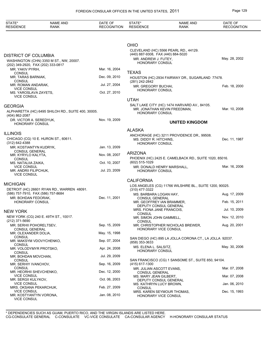| STATE*<br><b>RESIDENCE</b>                        | <b>NAME AND</b><br><b>RANK</b>                     | DATE OF<br><b>RECOGNITION</b> | STATE*<br><b>RESIDENCE</b>                                 | <b>NAME AND</b><br><b>RANK</b>                                               | DATE OF<br><b>RECOGNITION</b> |
|---------------------------------------------------|----------------------------------------------------|-------------------------------|------------------------------------------------------------|------------------------------------------------------------------------------|-------------------------------|
|                                                   |                                                    |                               |                                                            |                                                                              |                               |
|                                                   |                                                    |                               | <b>OHIO</b>                                                |                                                                              |                               |
|                                                   |                                                    |                               |                                                            | CLEVELAND (HC) 5566 PEARL RD., 44129.                                        |                               |
| <b>DISTRICT OF COLUMBIA</b>                       |                                                    |                               | (440) 887-9308, FAX (440) 884-5020<br>MR. ANDREW J. FUTEY, |                                                                              | May. 28, 2002                 |
| (202) 349-2920, FAX (202) 333-0817                | WASHINGTON (CHN) 3350 M ST., NW, 20007.            |                               | HONORARY CONSUL                                            |                                                                              |                               |
| MR. YAKIV PYRIH,                                  |                                                    | Mar. 16, 2004                 | <b>TEXAS</b>                                               |                                                                              |                               |
| <b>CONSUL</b><br>MR. TARAS BARNIAK,               |                                                    | Dec. 09, 2010                 |                                                            | HOUSTON (HC) 2934 FAIRWAY DR., SUGARLAND 77478.                              |                               |
| <b>CONSUL</b>                                     |                                                    | Jul. 27, 2004                 | (281) 242-2842                                             |                                                                              |                               |
| MR. ROMAN ANDARAK,<br><b>VICE CONSUL</b>          |                                                    |                               | MR. GREGORY BUCHAI,<br>HONORARY CONSUL                     |                                                                              | Feb. 18, 2000                 |
| MS. YAROSLAVA ZAYETS,<br><b>VICE CONSUL</b>       |                                                    | Oct. 27, 2010                 |                                                            |                                                                              |                               |
|                                                   |                                                    |                               | <b>UTAH</b>                                                |                                                                              |                               |
| <b>GEORGIA</b>                                    |                                                    |                               |                                                            | SALT LAKE CITY (HC) 1474 HARVARD AV., 84105.<br>MR. JONATHAN KEVIN FREEDMAN. | Mar. 10, 2008                 |
| (404) 862-2087                                    | ALPHARETTA (HC) 6495 SHILOH RD., SUITE 400, 30005. |                               | <b>HONORARY CONSUL</b>                                     |                                                                              |                               |
| DR. VICTOR A. SEREDYUK,<br><b>HONORARY CONSUL</b> |                                                    | Nov. 19, 2009                 |                                                            | <b>UNITED KINGDOM</b>                                                        |                               |
|                                                   |                                                    |                               | <b>ALASKA</b>                                              |                                                                              |                               |
| <b>ILLINOIS</b>                                   |                                                    |                               |                                                            | ANCHORAGE (HC) 3211 PROVIDENCE DR., 99508.                                   |                               |
| (312) 642-4388                                    | CHICAGO (CG) 10 E. HURON ST., 60611.               |                               | MS. DIDDY R. HITCHINS,<br><b>HONORARY CONSUL</b>           |                                                                              | Dec. 11, 1987                 |
| MR. KOSTIANTYN KUDRYK,                            |                                                    | Jan. 13, 2009                 |                                                            |                                                                              |                               |
| <b>CONSUL GENERAL</b><br>MR. KYRYLO KALYTA,       |                                                    | Nov. 08, 2007                 | <b>ARIZONA</b>                                             |                                                                              |                               |
| <b>CONSUL</b>                                     |                                                    | Oct. 10, 2007                 | (602) 515-1029                                             | PHOENIX (HC) 2425 E. CAMELBACK RD., SUITE 1020, 85016.                       |                               |
| MS. NATALIIA ZAIKA,<br><b>VICE CONSUL</b>         |                                                    |                               |                                                            | MR. DONALD HENRY MARSHALL,                                                   | Mar. 16, 2006                 |
| MR. ANDRII FILIPCHUK,<br><b>VICE CONSUL</b>       |                                                    | Jul. 23, 2009                 | <b>HONORARY CONSUL</b>                                     |                                                                              |                               |
|                                                   |                                                    |                               | <b>CALIFORNIA</b>                                          |                                                                              |                               |
| <b>MICHIGAN</b>                                   |                                                    |                               |                                                            | LOS ANGELES (CG) 11766 WILSHIRE BL., SUITE 1200, 90025.                      |                               |
| (586) 757-7910, FAX (586) 757-8684                | DETROIT (HC) 26601 RYAN RD., WARREN 48091.         |                               | (310) 477-3322<br>MS. BARBARA LOGAN HAY,                   |                                                                              | Aug. 17, 2009                 |
| MR. BOHDAN FEDORAK,                               |                                                    | Dec. 11, 2001                 | <b>CONSUL GENERAL</b>                                      |                                                                              |                               |
| <b>HONORARY CONSUL</b>                            |                                                    |                               | MR. GEOFFREY IAN BRAMMER,                                  | DEPUTY CONSUL GENERAL                                                        | Feb. 15, 2011                 |
| <b>NEW YORK</b>                                   |                                                    |                               | MRS. FIONA JANE FRANCOIS.<br><b>CONSUL</b>                 |                                                                              | Jul. 10, 2009                 |
|                                                   | NEW YORK (CG) 240 E. 49TH ST., 10017.              |                               | MR. SIMON JOHN GAMMELL,                                    |                                                                              | Nov. 12, 2010                 |
| (212) 371-5690<br>MR. SERHII POHORELTSEV,         |                                                    | Sep. 15, 2009                 | <b>CONSUL</b>                                              | MR. CHRISTOPHER NICHOLAS BREWER,                                             | Aug. 20, 2001                 |
| <b>CONSUL GENERAL</b>                             |                                                    |                               | HONORARY VICE CONSUL                                       |                                                                              |                               |
| MR. OLEXANDER DOLIA,<br><b>CONSUL</b>             |                                                    | May. 15, 1998                 |                                                            | SAN DIEGO (HC) 895 LA JOLLA CORONA CT., LA JOLLA 92037.                      |                               |
| MR. MAKSYM VDOVYCHENKO,<br><b>CONSUL</b>          |                                                    | Sep. 07, 2004                 | (858) 353-3633                                             |                                                                              |                               |
| MR. VOLODYMYR PROTSKO,                            |                                                    | Apr. 24, 2008                 | MS. ELENA L. SALSITZ,<br>HONORARY CONSUL                   |                                                                              | May. 30, 2006                 |
| <b>CONSUL</b><br>MR. BOHDAN MOVCHAN,              |                                                    | Jul. 29, 2009                 |                                                            |                                                                              |                               |
| <b>CONSUL</b>                                     |                                                    |                               |                                                            | SAN FRANCISCO (CG) 1 SANSOME ST., SUITE 850, 94104.                          |                               |
| MR. SERHIY IVANCHOV,<br><b>CONSUL</b>             |                                                    | Sep. 16, 2009                 | (415) 617-1300<br>MR. JULIAN ASCOTT EVANS,                 |                                                                              | Mar. 07, 2008                 |
| MR. HEORHII SHEVCHENKO,<br><b>VICE CONSUL</b>     |                                                    | Dec. 12, 2000                 | CONSUL GENERAL                                             |                                                                              |                               |
| MR. SERGII KULYKOV,                               |                                                    | Oct. 06, 2003                 | MS. MARY JEAN GILBERT,                                     | DEPUTY CONSUL GENERAL                                                        | Mar. 07, 2008                 |
| <b>VICE CONSUL</b><br>MRS. OKSANA PEKARCHUK,      |                                                    | Feb. 27, 2009                 | MS. KATHRYN LUCY BROWN,<br><b>CONSUL</b>                   |                                                                              | Jan. 06, 2010                 |
| <b>VICE CONSUL</b><br>MR. KOSTYANTYN VORONA,      |                                                    | Jan. 08, 2010                 |                                                            | MRS. KAREN SEYMOUR THOMAS,                                                   | Dec. 15, 1993                 |
|                                                   |                                                    |                               | HONORARY VICE CONSUL                                       |                                                                              |                               |

VICE CONSUL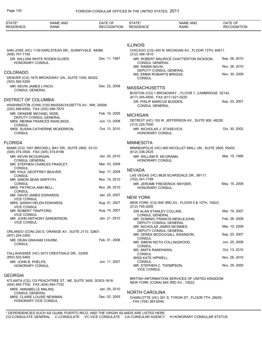| STATE*<br><b>RESIDENCE</b>                      | <b>NAME AND</b><br>RANK                                     | DATE OF<br><b>RECOGNITION</b> | STATE*<br><b>RESIDENCE</b>                                                               | <b>NAME AND</b><br>RANK                                    | DATE OF<br><b>RECOGNITION</b> |
|-------------------------------------------------|-------------------------------------------------------------|-------------------------------|------------------------------------------------------------------------------------------|------------------------------------------------------------|-------------------------------|
|                                                 |                                                             |                               |                                                                                          |                                                            |                               |
|                                                 | SAN JOSE (HC) 1139 KARLSTEAD DR., SUNNYVALE 94089.          |                               | <b>ILLINOIS</b>                                                                          | CHICAGO (CG) 400 N. MICHIGAN AV., FLOOR 13TH, 60611.       |                               |
| (408) 747-7140                                  | DR. WILLIAM WHITE RODEN ELDER,                              | Dec. 11, 1997                 | $(312)$ 346-1810                                                                         | MR. ROBERT MAURICE CHATTERTON DICKSON,                     | Sep. 06, 2010                 |
| <b>HONORARY CONSUL</b>                          |                                                             |                               | <b>CONSUL GENERAL</b><br>MR. RAMIN NAVAI,                                                | Nov. 26, 2010                                              |                               |
| <b>COLORADO</b>                                 | DENVER (CG) 1675 BROADWAY UN., SUITE 1030, 80202.           |                               | DEPUTY CONSUL GENERAL<br>MS. EMMA ROBARTS BRIGGS,<br><b>CONSUL</b>                       |                                                            | Nov. 30, 2009                 |
| (303) 592-5200<br>MR. KEVIN JAMES LYNCH,        |                                                             | Dec. 22, 2008                 | <b>MASSACHUSETTS</b>                                                                     |                                                            |                               |
| <b>CONSUL GENERAL</b>                           |                                                             |                               |                                                                                          | BOSTON (CG) 1 BROADWAY ., FLOOR 7, CAMBRIDGE 02142.        |                               |
| <b>DISTRICT OF COLUMBIA</b>                     | WASHINGTON (CHN) 3100 MASSACHUSETTS AV., NW, 20008.         |                               | (617) 245-4500, FAX (617) 621-0220<br>DR. PHILIP MARCUS BUDDEN,<br><b>CONSUL GENERAL</b> |                                                            | Sep. 20, 2007                 |
| (202) 588-6500, FAX (202) 588-7870              |                                                             | Feb. 10, 2005                 |                                                                                          |                                                            |                               |
| MR. GRAEME MICHAEL WISE,                        | <b>DEPUTY CONSUL GENERAL</b>                                |                               | <b>MICHIGAN</b>                                                                          |                                                            |                               |
| CONSUL                                          | MRS. MENNA FRANCES RAWLINGS,                                | Jun. 13, 2008                 | $(313)$ 225-7000                                                                         | DETROIT (HC) 150 W. JEFFERSON AV., SUITE 900, 48226.       |                               |
| <b>CONSUL</b>                                   | MRS. SUSAN CATHERINE MCKERRON,                              | Oct. 13, 2010                 | MR. NICHOLAS J. STASEVICH,<br>HONORARY CONSUL                                            |                                                            | Oct. 30, 2002                 |
| <b>FLORIDA</b>                                  |                                                             |                               | <b>MINNESOTA</b>                                                                         |                                                            |                               |
| (305) 374-3500, FAX (305) 374-8196              | MIAMI (CG) 1001 BRICKELL BAY DR., SUITE 2800, 33131.        |                               | (612) 338-2525                                                                           | MINNEAPOLIS (HC) 800 NICOLLET MALL UN., SUITE 2600, 55402. |                               |
| MR. KEVIN MCGURGAN,                             |                                                             | Jan. 20, 2010                 | MR. WILLIAM R. MCGRANN.                                                                  |                                                            | Mar. 15, 1995                 |
| CONSUL GENERAL                                  | MR. STEPHEN CHARLES FRADLEY,                                | Mar. 03, 2008                 | <b>HONORARY CONSUL</b>                                                                   |                                                            |                               |
| <b>CONSUL</b><br>MR. PAUL GEOFFREY BEAVER,      |                                                             | Sep. 17, 2008                 | <b>NEVADA</b>                                                                            |                                                            |                               |
| <b>CONSUL</b><br>MR. SIMON SEAN GRIFFITH,       |                                                             | Nov. 15, 2010                 | (702) 341-7789                                                                           | LAS VEGAS (HC) 8628 SCARSDALE DR., 89117.                  |                               |
| <b>CONSUL</b><br>MRS. PATRICIA ANN BELL,        |                                                             | Nov. 26, 2010                 | MR. JEROME FREDERICK SNYDER,<br>HONORARY CONSUL                                          |                                                            | May. 15, 2006                 |
| <b>CONSUL</b><br>MR. DAVID JAMES EDWARDS,       |                                                             | Jan. 25, 2007                 |                                                                                          |                                                            |                               |
| <b>VICE CONSUL</b>                              |                                                             | Aug. 01, 2007                 | <b>NEW YORK</b>                                                                          |                                                            |                               |
| <b>VICE CONSUL</b>                              | MRS. SARAH HELEN EDWARDS,                                   |                               | (212) 745-0200                                                                           | NEW YORK (CG) 845 3RD AV., FLOOR 9 & 10TH, 10022.          |                               |
| MR. ROBERT TRAFFORD,<br><b>VICE CONSUL</b>      |                                                             | Aug. 14, 2007                 | SIR ALAN STANLEY COLLINS,<br><b>CONSUL GENERAL</b>                                       |                                                            | Mar. 19, 2007                 |
| VICE CONSUL                                     | MR. JOHN ANTHONY SANDERSON,                                 | Jan. 21, 2010                 | DEPUTY CONSUL GENERAL                                                                    | MR. DOMINIC FRANCIS MEIKLEJOHN,                            | Feb. 28, 2008                 |
|                                                 |                                                             |                               | MR. NICHOLAS JAMES MCINNES,                                                              |                                                            | Mar. 10, 2009                 |
| (407) 254-3300                                  | ORLANDO (CON) 200 S. ORANGE AV., SUITE 2110, 32801.         |                               | DEPUTY CONSUL GENERAL                                                                    | MR. DEREK MCDOUGALL SWANSON,                               | Sep. 20, 2007                 |
| MR. DEAN GRAHAM CHURM,<br><b>CONSUL</b>         |                                                             | Feb. 01, 2006                 | <b>CONSUL</b><br>MR. SIMON KEITH COLLINGWOOD,                                            |                                                            | Jun. 25, 2008                 |
|                                                 |                                                             |                               | <b>CONSUL</b><br>MS. AMITA RANDHAWA,                                                     |                                                            | Oct. 13, 2010                 |
| (850) 522-5400                                  | TALLAHASSEE (HC) 2073 CRESTDALE DR., 32308.                 |                               | CONSUL<br>MISS KATE HIPWELL,                                                             |                                                            | Nov. 26, 2010                 |
| MR. JOHN B. PHELPS,<br>HONORARY CONSUL          |                                                             | Jun. 11, 2007                 | <b>CONSUL</b><br>MR. STEPHEN C. THOMPSON.<br><b>VICE CONSUL</b>                          |                                                            | Nov. 29, 2000                 |
| <b>GEORGIA</b>                                  |                                                             |                               |                                                                                          |                                                            |                               |
| (404) 954-7700, FAX (404) 954-7702              | ATLANTA (CG) 133 PEACHTREE ST., NE, SUITE 3400, 30303-1818. |                               | NEW YORK (CONA) 845 3RD AV., 10022.                                                      | BRITISH INFORMATION SERVICES OF UNITED KINGDOM             |                               |
| MRS. ANNABELLE MALINS,<br><b>CONSUL GENERAL</b> |                                                             | Jan. 05, 2010                 | <b>NORTH CAROLINA</b>                                                                    |                                                            |                               |
| HONORARY VICE CONSUL                            | MRS. CLAIRE LOUISE NEWMAN,                                  | Dec. 02, 2005                 | ,FAX (704) 383-6545                                                                      | CHARLOTTE (HC) 301 S. TYRON ST., FLOOR 7TH, 28205.         |                               |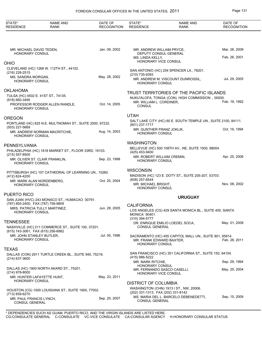| STATE*<br><b>RESIDENCE</b>                         | <b>NAME AND</b><br><b>RANK</b>                           | DATE OF<br><b>RECOGNITION</b> | STATE*<br><b>RESIDENCE</b>                                      | <b>NAME AND</b><br><b>RANK</b>                                 | DATE OF<br><b>RECOGNITION</b> |
|----------------------------------------------------|----------------------------------------------------------|-------------------------------|-----------------------------------------------------------------|----------------------------------------------------------------|-------------------------------|
|                                                    |                                                          |                               |                                                                 |                                                                |                               |
| MR. MICHAEL DAVID TEDEN,<br><b>HONORARY CONSUL</b> |                                                          | Jan. 09, 2002                 | MR. ANDREW WILLIAM PRYCE,<br>DEPUTY CONSUL GENERAL              |                                                                | Mar. 26, 2009                 |
|                                                    |                                                          |                               | MS. LINDA KELLY,<br>HONORARY VICE CONSUL                        |                                                                | Feb. 26, 2001                 |
| OHIO                                               | CLEVELAND (HC) 1268 W. 112TH ST., 44102.                 |                               |                                                                 |                                                                |                               |
| (216) 228-2515                                     |                                                          |                               | (210) 735-9393                                                  | SAN ANTONIO (HC) 254 SPENCER LA., 78201.                       |                               |
| MS. SANDRA MORGAN,<br><b>HONORARY CONSUL</b>       |                                                          | May. 28, 2002                 | <b>HONORARY CONSUL</b>                                          | MR. ANDREW M. VISCOUNT DUNROSSIL,                              | Jul. 29, 2005                 |
| OKLAHOMA                                           |                                                          |                               |                                                                 | TRUST TERRITORIES OF THE PACIFIC ISLANDS                       |                               |
| TULSA (HC) 4502 E. 41ST ST., 74135.                |                                                          |                               |                                                                 | NUKU'ALOFA, TONGA (CON) HIGH COMMISSION ., 00000.              |                               |
| (918) 660-3495<br><b>HONORARY CONSUL</b>           | PROFESSOR RODGER ALLEN RANDLE,                           | Oct. 14, 2005                 | MR. WILLIAM L. CORDINER,<br><b>CONSUL</b>                       |                                                                | Feb. 19, 1992                 |
|                                                    |                                                          |                               | <b>UTAH</b>                                                     |                                                                |                               |
| OREGON<br>$(503)$ 227-5669                         | PORTLAND (HC) 825 N.E. MULTNOMAH ST., SUITE 2000, 97232. |                               | (801) 237-1717                                                  | SALT LAKE CITY (HC) 60 E. SOUTH TEMPLE UN., SUITE 2100, 84111. |                               |
| <b>HONORARY CONSUL</b>                             | MR. ANDREW NORMAN MACRITCHIE,                            | Aug. 14, 2003                 | MR. GUNTHER FRANZ JOKLIK,<br><b>HONORARY CONSUL</b>             |                                                                | Oct. 19. 1994                 |
|                                                    |                                                          |                               | <b>WASHINGTON</b>                                               |                                                                |                               |
| PENNSYLVANIA<br>$(215)$ 557-8500                   | PHILADELPHIA (HC) 1818 MARKET ST., FLOOR 33RD, 19103.    |                               | (425) 453-9400                                                  | BELLEVUE (HC) 500 108TH AV., NE, SUITE 1500, 98004.            |                               |
| <b>HONORARY CONSUL</b>                             | MR. OLIVER ST. CLAIR FRANKLIN,                           | Sep. 23, 1998                 | MR. ROBERT WILLIAM CREMIN,<br><b>HONORARY CONSUL</b>            |                                                                | Apr. 25, 2006                 |
|                                                    | PITTSBURGH (HC) 107 CATHEDRAL OF LEARNING UN., 15260.    |                               | <b>WISCONSIN</b>                                                |                                                                |                               |
| (412) 624-4200                                     |                                                          |                               |                                                                 | MADISON (HC) 123 E. DOTY ST., SUITE 205-207, 53703.            |                               |
| <b>HONORARY CONSUL</b>                             | MR. MARK ALAN NORDENBERG,                                | Oct. 25, 2004                 | (608) 257-6544<br>MR. MICHAEL BRIGHT,<br><b>HONORARY CONSUL</b> |                                                                | Nov. 08, 2002                 |
| PUERTO RICO                                        |                                                          |                               |                                                                 |                                                                |                               |
|                                                    | SAN JUAN (HVC) 243 MONACO ST., HUMACAO 00791.            |                               |                                                                 | <b>URUGUAY</b>                                                 |                               |
| (787) 850-2400, FAX (787) 758-9809                 | MRS. PATRICIA TULLY MARTINEZ,                            | Jun. 28, 2005                 | <b>CALIFORNIA</b>                                               |                                                                |                               |
| HONORARY CONSUL                                    |                                                          |                               | <b>MONICA 90401.</b><br>(310) 394-5777                          | LOS ANGELES (CG) 429 SANTA MONICA BL., SUITE 400, SANTA        |                               |
| <b>TENNESSEE</b>                                   |                                                          |                               |                                                                 | DR. ENRIQUE EMILIO LOEDEL SOCA,                                | May. 01, 2009                 |
| (615) 743-3061, FAX (615) 256-6982                 | NASHVILLE (HC) 211 COMMERCE ST., SUITE 100, 37201.       |                               | <b>CONSUL GENERAL</b>                                           |                                                                |                               |
| MR. JOHN STANLEY BUTLER,<br>HONORARY CONSUL        |                                                          | Jul. 05, 1996                 | MR. FRANK EDWARD BAXTER,<br><b>HONORARY CONSUL</b>              | SACRAMENTO (HC) 455 CAPITOL MALL UN., SUITE 801, 95814.        | Feb. 28, 2011                 |
| TEXAS                                              |                                                          |                               |                                                                 |                                                                |                               |
| $(214)$ 637-3600                                   | DALLAS (CON) 2911 TURTLE CREEK BL., SUITE 940, 75219.    |                               | (415) 986-5222                                                  | SAN FRANCISCO (HC) 351 CALIFORNIA ST., SUITE 150, 94104.       |                               |
|                                                    |                                                          |                               | MR. MARK RITCHIE.<br><b>HONORARY CONSUL</b>                     |                                                                | Sep. 29, 1994                 |
| $(214)$ 978-8000                                   | DALLAS (HC) 1900 NORTH AKARD ST., 75201.                 | May. 23, 2011                 | HONORARY VICE CONSUL                                            | MR. FERNANDO SASCO CASELLI,                                    | May. 25, 2004                 |
| <b>HONORARY CONSUL</b>                             | MR. HUNTER LAFAYETTE HUNT,                               |                               | <b>DISTRICT OF COLUMBIA</b>                                     |                                                                |                               |
| (713) 659-6270                                     | HOUSTON (CG) 1000 LOUISIANA ST., SUITE 1900, 77002.      |                               | (202) 331-1313, FAX (202) 331-8142                              | WASHINGTON (CHN) 1913 I ST., NW, 20006.                        |                               |
| MR. PAUL FRANCIS LYNCH,<br><b>CONSUL GENERAL</b>   |                                                          | Sep. 20, 2007                 | CONSUL GENERAL                                                  | MS. MARIA DEL L. BARCELO DEBENEDETTI,                          | Sep. 15, 2009                 |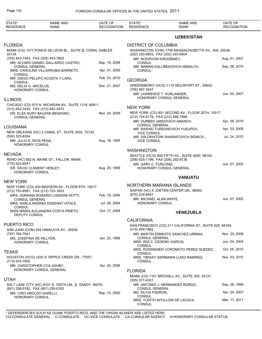| STATE*<br><b>RESIDENCE</b>                                     | <b>NAME AND</b><br>RANK                                                                   | DATE OF<br><b>RECOGNITION</b> | STATE*<br><b>RESIDENCE</b>                                     | <b>NAME AND</b><br><b>RANK</b>                           | DATE OF<br><b>RECOGNITION</b> |
|----------------------------------------------------------------|-------------------------------------------------------------------------------------------|-------------------------------|----------------------------------------------------------------|----------------------------------------------------------|-------------------------------|
|                                                                |                                                                                           |                               |                                                                | <b>UZBEKISTAN</b>                                        |                               |
| <b>FLORIDA</b>                                                 | MIAMI (CG) 1077 PONCE DE LEON BL., SUITE B, CORAL GABLES                                  |                               | <b>DISTRICT OF COLUMBIA</b>                                    | WASHINGTON (CHN) 1746 MASSACHUSETTS AV., NW, 20036.      |                               |
| 33134.<br>(305) 443-7453, FAX (305) 443-7802                   |                                                                                           |                               | (202) 293-6803, FAX (202) 293-6804<br>MR. NODIRJON KIRGIZBAEV, |                                                          | Aug. 01, 2007                 |
|                                                                | MR. ALVARO DANIEL GALLARDO CASTRO,                                                        | Sep. 19, 2008                 | <b>CONSUL</b>                                                  |                                                          | Sep. 28, 2010                 |
| <b>CONSUL GENERAL</b><br>CONSUL                                | MRS. CAROLINA VILLARRUBIA BARRETO,                                                        | Apr. 01, 2009                 | <b>CONSUL</b>                                                  | MR. MAMAN KALLIBEKOVICH ISMAILOV,                        |                               |
| CONSUL                                                         | MR. DIEGO PELUFO ACOSTA Y LARA,                                                           | Feb. 23, 2010                 | <b>GEORGIA</b>                                                 |                                                          |                               |
| MS. DELIA G. ARCELUS,<br><b>HONORARY CONSUL</b>                |                                                                                           | Dec. 21, 2007                 | (706) 467-3447                                                 | GREENSBORO (HCG) 1110 NEILSFORT ST., 30642.              |                               |
| <b>ILLINOIS</b>                                                |                                                                                           |                               | MR. LAWRENCE T. KURLANDER,                                     | HONORARY CONSUL GENERAL                                  | Jun. 20, 2007                 |
|                                                                | CHICAGO (CG) 875 N. MICHIGAN AV., SUITE 1318, 60611.                                      |                               |                                                                |                                                          |                               |
| (312) 642-3430, FAX (312) 642-3470                             |                                                                                           |                               | <b>NEW YORK</b>                                                |                                                          |                               |
| <b>CONSUL GENERAL</b>                                          | DR. ELSA NURY BAUZAN BENZANO,                                                             | Nov. 24, 2009                 | (212) 754-6178, FAX (212) 486-7998                             | NEW YORK (CG) 801 SECOND AV., FLOOR 20TH, 10017.         |                               |
|                                                                |                                                                                           |                               |                                                                | MR. DURBEK UMIDOVICH AMANOV,                             | Apr. 09, 2010                 |
| LOUISIANA                                                      | NEW ORLEANS (HC) 2 CANAL ST., SUITE 2002, 70130.                                          |                               | <b>CONSUL GENERAL</b><br><b>VICE CONSUL</b>                    | MR. RASHID TURSUNOVICH YUSUPOV,                          | Apr. 03, 2008                 |
| (504) 525-8354<br>MR. JULIO E. RIOS PENA,<br>HONORARY CONSUL   |                                                                                           | Aug. 18, 1995                 | <b>VICE CONSUL</b>                                             | MR. SALOKHITDIN SHARAFOVICH SIDIKOV,                     | Jul. 24, 2010                 |
|                                                                |                                                                                           |                               | <b>WASHINGTON</b>                                              |                                                          |                               |
| NEVADA                                                         | RENO (HC) 562 N. MAINE ST., FALLON 89406.                                                 |                               | (206) 625-1199, FAX (206) 292-9736                             | SEATTLE (HCG) 800 FIFTH AV., SUITE 4000, 98104.          |                               |
| (775) 423-6041<br>DR. DAVID CLEMENT HENLEY,<br>HONORARY CONSUL |                                                                                           | Aug. 20, 1999                 | MR. GARY C. FURLONG.                                           | HONORARY CONSUL GENERAL                                  | Jun. 07, 2002                 |
|                                                                |                                                                                           |                               |                                                                | <b>VANUATU</b>                                           |                               |
| <b>NEW YORK</b>                                                |                                                                                           |                               | NORTHERN MARIANA ISLANDS                                       |                                                          |                               |
| (212) 753-8581, FAX (212) 753-1603                             | NEW YORK (CG) 420 MADISON AV., FLOOR 6TH, 10017.<br>MRS. ADRIANA ROSARIO LISSIDINI DOTTI, | Feb. 15, 2006                 | (670) 234-6547                                                 | SAIPAN (HC) X JOETEN CENTER UN., 96950.                  |                               |
| <b>CONSUL GENERAL</b>                                          | MRS. KARLA ANDREA ENSENAT VITALE,                                                         | Jul. 08, 2009                 | MR. MICHAEL ALAN WHITE,<br><b>HONORARY CONSUL</b>              |                                                          | Jun. 07, 2002                 |
| <b>CONSUL</b><br>DEPUTY CONSUL                                 | MISS MARIA ALEJANDRA COSTA PRIETO,                                                        | Oct. 17, 2008                 |                                                                | <b>VENEZUELA</b>                                         |                               |
|                                                                |                                                                                           |                               | <b>CALIFORNIA</b>                                              |                                                          |                               |
| PUERTO RICO                                                    | SAN JUAN (CON) 254 HIMALAYA AV., 00926.                                                   |                               | (415) 955-1982                                                 | SAN FRANCISCO (CG) 311 CALIFORNIA ST., SUITE 620, 94104. |                               |
| (787) 764-7941<br>MS. JOSEFINA DE HILLYER,                     |                                                                                           | Jan. 22, 1988                 | <b>CONSUL GENERAL</b>                                          | MR. MARTIN ERNESTO SANCHEZ URBINA,                       | Nov. 25, 2008                 |
| <b>HONORARY CONSUL</b>                                         |                                                                                           |                               | MRS. ISIS C. CEDENO GARCIA.<br><b>CONSUL</b>                   |                                                          | Jun. 04, 2004                 |
| TEXAS                                                          |                                                                                           |                               | <b>CONSUL</b>                                                  | MRS. RODRIEMER COROMOTO PEREZ GUEDEZ,                    | Oct. 05, 2010                 |
| (713) 974-7855                                                 | HOUSTON (HCG) 1220 S. RIPPLE CREEK DR., 77057.                                            |                               | <b>CONSUL</b>                                                  | MRS. TIBISAY GERMANIA LUGO RAMIREZ,                      | Nov. 03, 2010                 |
|                                                                | MR. CHRISTOPHER COX ASHBY,<br>HONORARY CONSUL GENERAL                                     | Apr. 25, 2006                 | <b>FLORIDA</b>                                                 |                                                          |                               |
| <b>UTAH</b>                                                    |                                                                                           |                               |                                                                | MIAMI (CG) 1101 BRICKELL AV., SUITE 300, 33131.          |                               |
|                                                                | SALT LAKE CITY (HC) 8191 S. 700TH UN., E, SANDY 84070.                                    |                               | $(305)$ 577-4301                                               | MR. ANTONIO J. HERNANDEZ BORGO,                          | Sep. 28, 1999                 |
| (801) 256-0182, FAX (801) 256-0183<br>MR. CIRO AROLDO DARELLI, |                                                                                           | Sep. 12, 2000                 | <b>CONSUL GENERAL</b><br>MS. SILVIA PADRON,                    |                                                          | Apr. 24, 2007                 |
| HONORARY CONSUL                                                |                                                                                           |                               | <b>CONSUL</b><br><b>CONSUL</b>                                 | MRS. YUDITH APOLLONI DE LACAVA,                          | Mar. 11, 2011                 |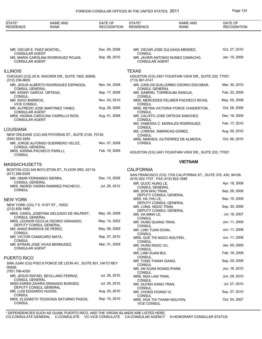## FOREIGN CONSULAR OFFICES IN THE UNITED STATES, 2011 Page 133

| STATE*<br><b>RESIDENCE</b>                                                 | NAME AND<br>RANK                                     | DATE OF<br><b>RECOGNITION</b> | STATE*<br><b>RESIDENCE</b>                                               | <b>NAME AND</b><br><b>RANK</b>       | DATE OF<br><b>RECOGNITION</b> |
|----------------------------------------------------------------------------|------------------------------------------------------|-------------------------------|--------------------------------------------------------------------------|--------------------------------------|-------------------------------|
|                                                                            |                                                      |                               |                                                                          |                                      |                               |
| MR. OSCAR E. PAEZ MONTIEL,<br><b>CONSULAR AGENT</b>                        |                                                      | Dec. 09, 2008                 | <b>CONSUL</b>                                                            | MR. OSCAR JOSE ZULOAGA MENDEZ,       | Oct. 27, 2010                 |
| <b>CONSULAR AGENT</b>                                                      | MS. MARIA CAROLINA RODRIGUEZ ROJAS,                  | Sep. 08, 2010                 | <b>CONSULAR AGENT</b>                                                    | MR. JAVIER ANTONIO NUNEZ CAMACHO,    | Jan. 15, 2009                 |
| <b>ILLINOIS</b>                                                            |                                                      |                               | <b>TEXAS</b>                                                             |                                      |                               |
|                                                                            | CHICAGO (CG) 20 N. WACKER DR., SUITE 1925, 60606.    |                               | HOUSTON (CG) 2401 FOUNTAIN VIEW DR., SUITE 220, 77057.<br>(713) 961-5141 |                                      |                               |
| $(312)$ 236-9655                                                           | MR. JESUS ALBERTO RODRIGUEZ ESPINOZA,                | Nov. 04, 2008                 |                                                                          | MR. CARLOS GUILLERMO OSORIO ESCOBAR, | Mar. 30, 2010                 |
| <b>CONSUL GENERAL</b><br>MR. KENNY GARCIA ORTEGA,                          |                                                      | Sep. 17, 2008                 | <b>CONSUL GENERAL</b>                                                    | MR. GABRIEL TORREALBA SANOJA,        | Feb. 22, 2009                 |
| <b>CONSUL</b><br>MR. RIXIO BARRIOS,                                        |                                                      | Nov. 03, 2010                 | CONSUL                                                                   | MRS. MERCEDES FELIMER PACHECO RIVAS, | May. 05, 2009                 |
| <b>VICE CONSUL</b>                                                         | MR. ALFREDO JOSE MARTINEZ YANEZ,                     | Aug. 28, 2006                 | <b>CONSUL</b>                                                            | MRS. REYNA VICTORIA PONCE CHADERTON, | Oct. 28, 2009                 |
| <b>CONSULAR AGENT</b>                                                      | MRS. HIGINIA CAROLINA CARRILLO RIOS,                 | Aug. 01, 2008                 | <b>CONSUL</b>                                                            | MR. CALIXTO JOSE ORTEGA SANCHEZ,     | Dec. 16, 2009                 |
| <b>CONSULAR AGENT</b>                                                      |                                                      |                               | <b>CONSUL</b>                                                            | MS. VANESSA C. MORALES RODRIGUEZ,    | Feb. 17, 2010                 |
| LOUISIANA                                                                  |                                                      |                               | <b>CONSUL</b>                                                            | MS. LORENA SIMANCAS GOMEZ,           | Aug. 09, 2010                 |
| (504) 522-3284                                                             | NEW ORLEANS (CG) 400 POYDRAS ST., SUITE 2145, 70130. |                               | <b>CONSUL</b>                                                            | MRS. MARISOL GUTIERREZ DE ALMEIDA,   | Oct. 06, 2010                 |
|                                                                            | MR. JORGE ALFONSO GUERRERO VELOZ.                    | Nov. 07, 2008                 | <b>CONSUL</b>                                                            |                                      |                               |
| <b>CONSUL GENERAL</b><br>MRS. KARINA PACHECO PARILLI,<br><b>CONSUL</b>     |                                                      | Feb. 19, 2009                 | HOUSTON (CG) 2401 FOUNTAIN VIEW DR., SUITE 220, 77057.                   |                                      |                               |
|                                                                            |                                                      |                               | <b>VIETNAM</b>                                                           |                                      |                               |
| MASSACHUSETTS                                                              | BOSTON (CG) 545 BOYLSTON ST., FLOOR 3RD, 02116.      |                               | <b>CALIFORNIA</b>                                                        |                                      |                               |
| (617) 266-9355<br>MR. OMAR FERNANDO SIERRA,                                |                                                      | Dec. 10, 2008                 | SAN FRANCISCO (CG) 1700 CALIFORNIA ST., SUITE 370, 430, 94109.           |                                      |                               |
| <b>CONSUL GENERAL</b>                                                      |                                                      |                               | (415) 922-1707, FAX (415) 922-1848<br>MR. QUOC HUNG LE.                  |                                      | Apr. 18, 2008                 |
| <b>CONSUL</b>                                                              | MRS. INGRID YADIRA RAMIREZ PACHECO,                  | Jul. 26, 2012                 | <b>CONSUL GENERAL</b><br>MR. SON NHU TRAN,                               |                                      | Sep. 26, 2008                 |
| NEW YORK                                                                   |                                                      |                               | MRS. HA THU LE,                                                          | DEPUTY CONSUL GENERAL                | Sep. 15, 2009                 |
| NEW YORK (CG) 7 E. 51ST ST., 10022.                                        |                                                      |                               | MR. LONG NGOC TRAN.                                                      | DEPUTY CONSUL GENERAL                | Sep. 30, 2009                 |
| $(212)$ 826-1660                                                           |                                                      | May. 30, 2008                 |                                                                          | DEPUTY CONSUL GENERAL                |                               |
| <b>CONSUL GENERAL</b>                                                      | MRS. CAROL JOSEFINA DELGADO DE WILPERT,              |                               | MR. HA MINH LE,<br>CONSUL                                                |                                      | Jul. 18, 2007                 |
| DEPUTY CONSUL GENERAL                                                      | MRS. LEONOR CECILIA OSORIO GRANADO,                  | May. 14, 2002                 | MR. HUNG QUANG TRAN,<br>CONSUL                                           |                                      | Jun. 11, 2008                 |
| MS. ANAIZ BARRIOS DE PEREZ,<br><b>CONSUL</b>                               |                                                      | May. 06, 2009                 | MR. LINH TUAN DOAN,<br>CONSUL                                            |                                      | Jun. 11, 2008                 |
| MR. VICTOR CAMACARO MATA,<br><b>CONSUL</b>                                 |                                                      | Sep. 07, 2010                 | MRS. QUE THI NGOC NGUYEN,<br>CONSUL                                      |                                      | Jun. 11, 2008                 |
| <b>CONSULAR AGENT</b>                                                      | MR. EFRAIN JOSE VIVAS BERMUDEZ,                      | Mar. 31, 2009                 | MR. HUNG NGOC VU,                                                        |                                      | Jan. 05, 2009                 |
|                                                                            |                                                      |                               | CONSUL<br>MR. LINH XUAN BUI,                                             |                                      | Feb. 19, 2009                 |
| PUERTO RICO<br>SAN JUAN (CG) PISO 6 PONCE DE LEON AV., SUITE 601, HATO REY |                                                      |                               | CONSUL<br>MR. TUNG THANH GIANG,                                          |                                      | Sep. 29, 2009                 |
| 00936.                                                                     |                                                      |                               | CONSUL<br>MR. AN XUAN HOANG PHAM,                                        |                                      | Jun. 16, 2010                 |
| (787) 766-4250                                                             | MR. JESUS RAFAEL SEVILLANO FERRAZ,                   | Jul. 26, 2010                 | CONSUL<br>MRS. NGA LAM TRAN,                                             |                                      | Jun. 28, 2010                 |
| <b>CONSUL GENERAL</b>                                                      | MISS KAREN ZAHIRA GRANADO BORGES,                    | Jul. 26, 2010                 | CONSUL<br>MR. QUYNH DANG TRAN,                                           |                                      | Jul. 27, 2010                 |
| DEPUTY CONSUL GENERAL<br>MR. LUIS EDGARDO HUGAS,                           |                                                      | Aug. 25, 2010                 | CONSUL<br>MR. CHUNG HOANG VI,                                            |                                      | Sep. 27, 2010                 |
| <b>CONSUL</b>                                                              | MRS. ELIZABETH TEODOSIA SATURNO PASOS,               | Sep. 15, 2010                 | CONSUL<br>MRS. HOA THI THANH NGUYEN,                                     |                                      | Oct. 04, 2007                 |
| <b>CONSUL</b>                                                              |                                                      |                               | <b>VICE CONSUL</b>                                                       |                                      |                               |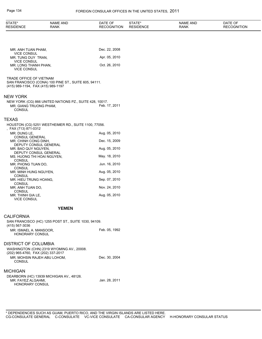| STATE*<br><b>RESIDENCE</b>                                                         | <b>NAME AND</b><br>RANK                                 | DATE OF<br><b>RECOGNITION</b> | STATE*<br><b>RESIDENCE</b> | <b>NAME AND</b><br><b>RANK</b> | DATE OF<br><b>RECOGNITION</b> |
|------------------------------------------------------------------------------------|---------------------------------------------------------|-------------------------------|----------------------------|--------------------------------|-------------------------------|
|                                                                                    |                                                         |                               |                            |                                |                               |
|                                                                                    |                                                         | Dec. 22, 2008                 |                            |                                |                               |
| MR. ANH TUAN PHAM,<br><b>VICE CONSUL</b>                                           |                                                         |                               |                            |                                |                               |
| MR. TUNG DUY TRAN,<br><b>VICE CONSUL</b>                                           |                                                         | Apr. 05, 2010                 |                            |                                |                               |
| MR. LONG THANH PHAN,<br><b>VICE CONSUL</b>                                         |                                                         | Oct. 26, 2010                 |                            |                                |                               |
| TRADE OFFICE OF VIETNAM<br>(415) 989-1194, FAX (415) 989-1197                      | SAN FRANCISCO (CONA) 100 PINE ST., SUITE 605, 94111.    |                               |                            |                                |                               |
| <b>NEW YORK</b>                                                                    |                                                         |                               |                            |                                |                               |
| MR. GIANG TRUONG PHAM,<br><b>CONSUL</b>                                            | NEW YORK (CG) 866 UNITED NATIONS PZ., SUITE 428, 10017. | Feb. 17, 2011                 |                            |                                |                               |
| TEXAS                                                                              |                                                         |                               |                            |                                |                               |
| , FAX (713) 871-0312                                                               | HOUSTON (CG) 5251 WESTHEIMER RD., SUITE 1100, 77056.    |                               |                            |                                |                               |
| MR. DUNG LE,<br><b>CONSUL GENERAL</b>                                              |                                                         | Aug. 05, 2010                 |                            |                                |                               |
| MR. CHINH CONG DINH,                                                               | DEPUTY CONSUL GENERAL                                   | Dec. 15, 2009                 |                            |                                |                               |
| MR. BAO QUY NGUYEN,                                                                | DEPUTY CONSUL GENERAL                                   | Aug. 05, 2010                 |                            |                                |                               |
| MS. HUONG THI HOAI NGUYEN,                                                         |                                                         | May. 18, 2010                 |                            |                                |                               |
| <b>CONSUL</b><br>MR. PHONG TUAN DO,                                                |                                                         | Jun. 16, 2010                 |                            |                                |                               |
| <b>CONSUL</b><br>MR. MINH HUNG NGUYEN,                                             |                                                         | Aug. 05, 2010                 |                            |                                |                               |
| <b>CONSUL</b><br>MR. HIEU TRUNG HOANG,                                             |                                                         | Sep. 07, 2010                 |                            |                                |                               |
| <b>CONSUL</b><br>MR. ANH TUAN DO,                                                  |                                                         | Nov. 24, 2010                 |                            |                                |                               |
| <b>CONSUL</b><br>MR. THINH GIA LE,<br><b>VICE CONSUL</b>                           |                                                         | Aug. 05, 2010                 |                            |                                |                               |
|                                                                                    | <b>YEMEN</b>                                            |                               |                            |                                |                               |
| <b>CALIFORNIA</b>                                                                  |                                                         |                               |                            |                                |                               |
| (415) 567-3036                                                                     | SAN FRANCISCO (HC) 1255 POST ST., SUITE 1030, 94109.    |                               |                            |                                |                               |
| MR. ISMAEL A. MANSOOR,<br>HONORARY CONSUL                                          |                                                         | Feb. 05, 1992                 |                            |                                |                               |
| DISTRICT OF COLUMBIA                                                               |                                                         |                               |                            |                                |                               |
|                                                                                    | WASHINGTON (CHN) 2319 WYOMING AV., 20008.               |                               |                            |                                |                               |
| (202) 965-4760, FAX (202) 337-2017<br>MR. MOHSIN RAJEH ABU LOHOM,<br><b>CONSUL</b> |                                                         | Dec. 30, 2004                 |                            |                                |                               |
| MICHIGAN                                                                           |                                                         |                               |                            |                                |                               |
| MR. FAYEZ ALGAHMI,<br><b>HONORARY CONSUL</b>                                       | DEARBORN (HC) 13939 MICHIGAN AV., 48126.                | Jan. 28, 2011                 |                            |                                |                               |
|                                                                                    |                                                         |                               |                            |                                |                               |